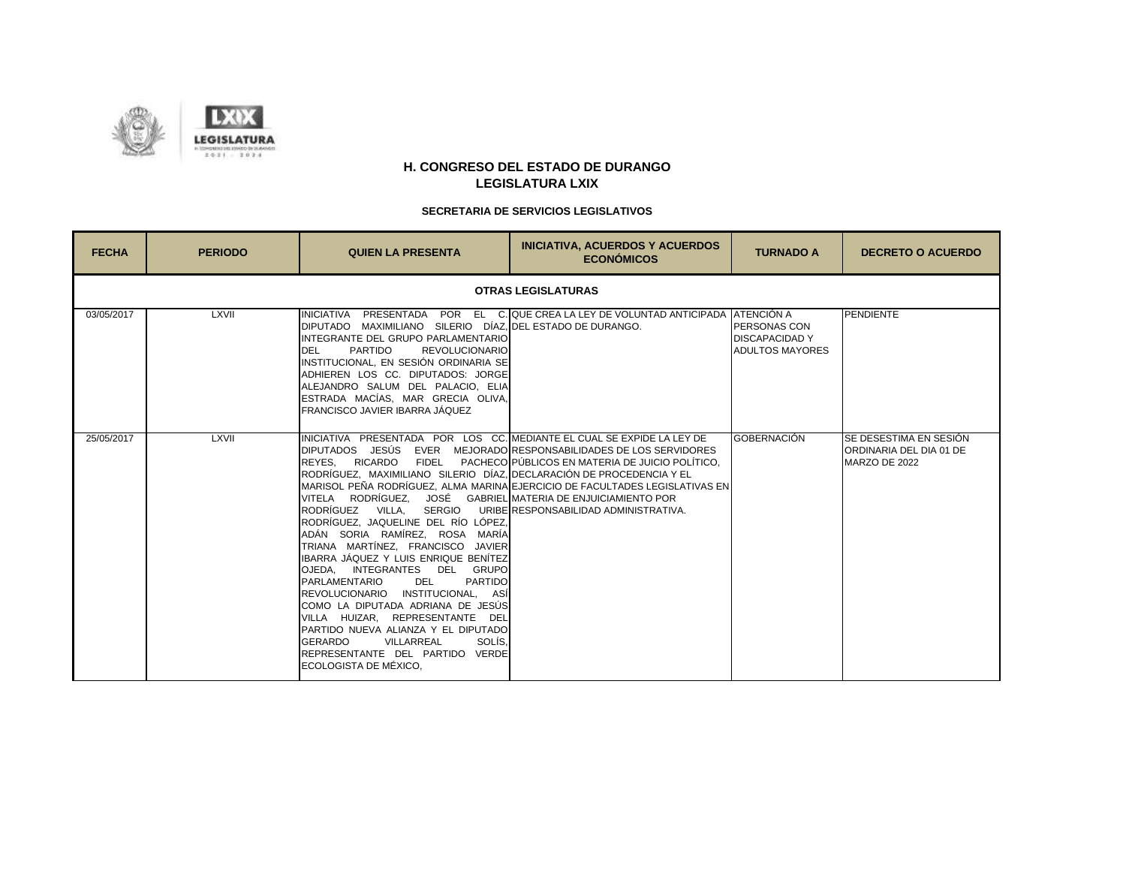

| <b>FECHA</b> | <b>PERIODO</b> | <b>QUIEN LA PRESENTA</b>                                                                                                                                                                                                                                                                                                                                                                                                                                                                                                                                                                                                                                                                                                                                                                                                                 | <b>INICIATIVA, ACUERDOS Y ACUERDOS</b><br><b>ECONÓMICOS</b>                                                                                                                    | <b>TURNADO A</b>                                                       | <b>DECRETO O ACUERDO</b>                                           |
|--------------|----------------|------------------------------------------------------------------------------------------------------------------------------------------------------------------------------------------------------------------------------------------------------------------------------------------------------------------------------------------------------------------------------------------------------------------------------------------------------------------------------------------------------------------------------------------------------------------------------------------------------------------------------------------------------------------------------------------------------------------------------------------------------------------------------------------------------------------------------------------|--------------------------------------------------------------------------------------------------------------------------------------------------------------------------------|------------------------------------------------------------------------|--------------------------------------------------------------------|
|              |                |                                                                                                                                                                                                                                                                                                                                                                                                                                                                                                                                                                                                                                                                                                                                                                                                                                          | <b>OTRAS LEGISLATURAS</b>                                                                                                                                                      |                                                                        |                                                                    |
| 03/05/2017   | LXVII          | DIPUTADO MAXIMILIANO SILERIO DÍAZ, DEL ESTADO DE DURANGO.<br>INTEGRANTE DEL GRUPO PARLAMENTARIO<br><b>PARTIDO</b><br><b>REVOLUCIONARIO</b><br><b>DEL</b><br>INSTITUCIONAL. EN SESIÓN ORDINARIA SE<br>ADHIEREN LOS CC. DIPUTADOS: JORGE<br>ALEJANDRO SALUM DEL PALACIO. ELIA<br>ESTRADA MACÍAS, MAR GRECIA OLIVA,<br>FRANCISCO JAVIER IBARRA JÁQUEZ                                                                                                                                                                                                                                                                                                                                                                                                                                                                                       | INICIATIVA PRESENTADA POR EL C. QUE CREA LA LEY DE VOLUNTAD ANTICIPADA ATENCIÓN A                                                                                              | <b>PERSONAS CON</b><br><b>DISCAPACIDAD Y</b><br><b>ADULTOS MAYORES</b> | <b>PENDIENTE</b>                                                   |
| 25/05/2017   | LXVII          | IINICIATIVA PRESENTADA POR LOS CC. IMEDIANTE EL CUAL SE EXPIDE LA LEY DE<br>DIPUTADOS JESÚS EVER MEJORADO RESPONSABILIDADES DE LOS SERVIDORES<br>RICARDO FIDEL<br>REYES.<br>RODRÍGUEZ, MAXIMILIANO SILERIO DÍAZ, DECLARACIÓN DE PROCEDENCIA Y EL<br>VITELA RODRÍGUEZ. JOSÉ GABRIEL MATERIA DE ENJUICIAMIENTO POR<br>RODRÍGUEZ VILLA.<br>RODRÍGUEZ, JAQUELINE DEL RÍO LÓPEZ,<br>ADÁN SORIA RAMÍREZ, ROSA MARÍA<br>TRIANA MARTÍNEZ. FRANCISCO JAVIER<br>IBARRA JÁQUEZ Y LUIS ENRIQUE BENÍTEZ<br>IOJEDA. INTEGRANTES DEL GRUPO<br>PARLAMENTARIO<br><b>DEL</b><br><b>PARTIDO</b><br>IREVOLUCIONARIO INSTITUCIONAL. ASÍ<br>ICOMO LA DIPUTADA ADRIANA DE JESÚS<br>VILLA HUIZAR, REPRESENTANTE DEL<br>PARTIDO NUEVA ALIANZA Y EL DIPUTADO<br>SOLÍS.<br><b>GERARDO</b><br>VILLARREAL<br>REPRESENTANTE DEL PARTIDO VERDE<br>ECOLOGISTA DE MÉXICO. | PACHECO PÚBLICOS EN MATERIA DE JUICIO POLÍTICO,<br>MARISOL PEÑA RODRÍGUEZ, ALMA MARINA EJERCICIO DE FACULTADES LEGISLATIVAS EN<br>SERGIO URIBE RESPONSABILIDAD ADMINISTRATIVA. | <b>GOBERNACIÓN</b>                                                     | SE DESESTIMA EN SESIÓN<br>ORDINARIA DEL DIA 01 DE<br>MARZO DE 2022 |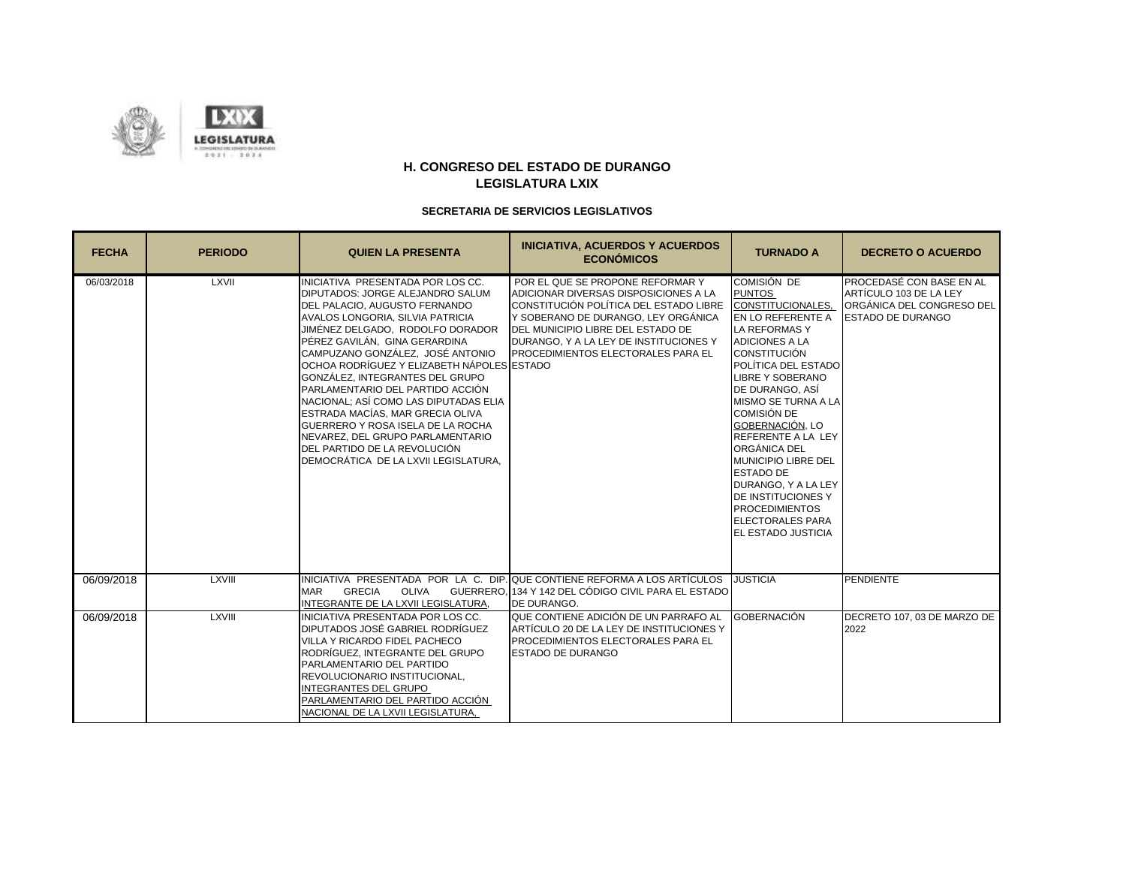

| <b>FECHA</b> | <b>PERIODO</b> | <b>QUIEN LA PRESENTA</b>                                                                                                                                                                                                                                                                                                                                                                                                                                                                                                                                                                               | <b>INICIATIVA, ACUERDOS Y ACUERDOS</b><br><b>ECONÓMICOS</b>                                                                                                                                                                                                                     | <b>TURNADO A</b>                                                                                                                                                                                                                                                                                                                                                                                                                                                                                                        | <b>DECRETO O ACUERDO</b>                                                                                    |
|--------------|----------------|--------------------------------------------------------------------------------------------------------------------------------------------------------------------------------------------------------------------------------------------------------------------------------------------------------------------------------------------------------------------------------------------------------------------------------------------------------------------------------------------------------------------------------------------------------------------------------------------------------|---------------------------------------------------------------------------------------------------------------------------------------------------------------------------------------------------------------------------------------------------------------------------------|-------------------------------------------------------------------------------------------------------------------------------------------------------------------------------------------------------------------------------------------------------------------------------------------------------------------------------------------------------------------------------------------------------------------------------------------------------------------------------------------------------------------------|-------------------------------------------------------------------------------------------------------------|
| 06/03/2018   | LXVII          | INICIATIVA PRESENTADA POR LOS CC.<br>DIPUTADOS: JORGE ALEJANDRO SALUM<br>DEL PALACIO. AUGUSTO FERNANDO<br>AVALOS LONGORIA, SILVIA PATRICIA<br>JIMÉNEZ DELGADO. RODOLFO DORADOR<br>PÉREZ GAVILÁN, GINA GERARDINA<br>CAMPUZANO GONZÁLEZ. JOSÉ ANTONIO<br>OCHOA RODRÍGUEZ Y ELIZABETH NÁPOLES ESTADO<br>GONZÁLEZ. INTEGRANTES DEL GRUPO<br>PARLAMENTARIO DEL PARTIDO ACCIÓN<br>NACIONAL: ASÍ COMO LAS DIPUTADAS ELIA<br>ESTRADA MACÍAS, MAR GRECIA OLIVA<br>GUERRERO Y ROSA ISELA DE LA ROCHA<br>NEVAREZ. DEL GRUPO PARLAMENTARIO<br>DEL PARTIDO DE LA REVOLUCIÓN<br>DEMOCRÁTICA DE LA LXVII LEGISLATURA. | POR EL QUE SE PROPONE REFORMAR Y<br>ADICIONAR DIVERSAS DISPOSICIONES A LA<br>CONSTITUCIÓN POLÍTICA DEL ESTADO LIBRE<br>Y SOBERANO DE DURANGO. LEY ORGÁNICA<br>DEL MUNICIPIO LIBRE DEL ESTADO DE<br>DURANGO, Y A LA LEY DE INSTITUCIONES Y<br>PROCEDIMIENTOS ELECTORALES PARA EL | COMISIÓN DE<br><b>PUNTOS</b><br>CONSTITUCIONALES,<br><b>EN LO REFERENTE A</b><br><b>LA REFORMAS Y</b><br><b>ADICIONES A LA</b><br><b>CONSTITUCIÓN</b><br>POLÍTICA DEL ESTADO<br><b>LIBRE Y SOBERANO</b><br>DE DURANGO, ASÍ<br>MISMO SE TURNA A LA<br><b>COMISIÓN DE</b><br>GOBERNACIÓN, LO<br><b>REFERENTE A LA LEY</b><br>ORGÁNICA DEL<br><b>MUNICIPIO LIBRE DEL</b><br><b>ESTADO DE</b><br>DURANGO, Y A LA LEY<br><b>DE INSTITUCIONES Y</b><br><b>PROCEDIMIENTOS</b><br><b>ELECTORALES PARA</b><br>EL ESTADO JUSTICIA | PROCEDASÉ CON BASE EN AL<br>ARTÍCULO 103 DE LA LEY<br>ORGÁNICA DEL CONGRESO DEL<br><b>ESTADO DE DURANGO</b> |
| 06/09/2018   | <b>LXVIII</b>  | MAR<br><b>GRECIA</b><br><b>OLIVA</b><br>INTEGRANTE DE LA LXVII LEGISLATURA,                                                                                                                                                                                                                                                                                                                                                                                                                                                                                                                            | INICIATIVA PRESENTADA POR LA C. DIP. QUE CONTIENE REFORMA A LOS ARTÍCULOS<br>GUERRERO, 134 Y 142 DEL CÓDIGO CIVIL PARA EL ESTADO<br>DE DURANGO.                                                                                                                                 | <b>JUSTICIA</b>                                                                                                                                                                                                                                                                                                                                                                                                                                                                                                         | <b>PENDIENTE</b>                                                                                            |
| 06/09/2018   | <b>LXVIII</b>  | INICIATIVA PRESENTADA POR LOS CC.<br>DIPUTADOS JOSÉ GABRIEL RODRÍGUEZ<br>VILLA Y RICARDO FIDEL PACHECO<br>RODRÍGUEZ. INTEGRANTE DEL GRUPO<br>PARLAMENTARIO DEL PARTIDO<br>REVOLUCIONARIO INSTITUCIONAL,<br>INTEGRANTES DEL GRUPO<br>PARLAMENTARIO DEL PARTIDO ACCIÓN<br>NACIONAL DE LA LXVII LEGISLATURA.                                                                                                                                                                                                                                                                                              | QUE CONTIENE ADICIÓN DE UN PARRAFO AL<br>ARTÍCULO 20 DE LA LEY DE INSTITUCIONES Y<br>PROCEDIMIENTOS ELECTORALES PARA EL<br><b>ESTADO DE DURANGO</b>                                                                                                                             | <b>GOBERNACIÓN</b>                                                                                                                                                                                                                                                                                                                                                                                                                                                                                                      | DECRETO 107, 03 DE MARZO DE<br>2022                                                                         |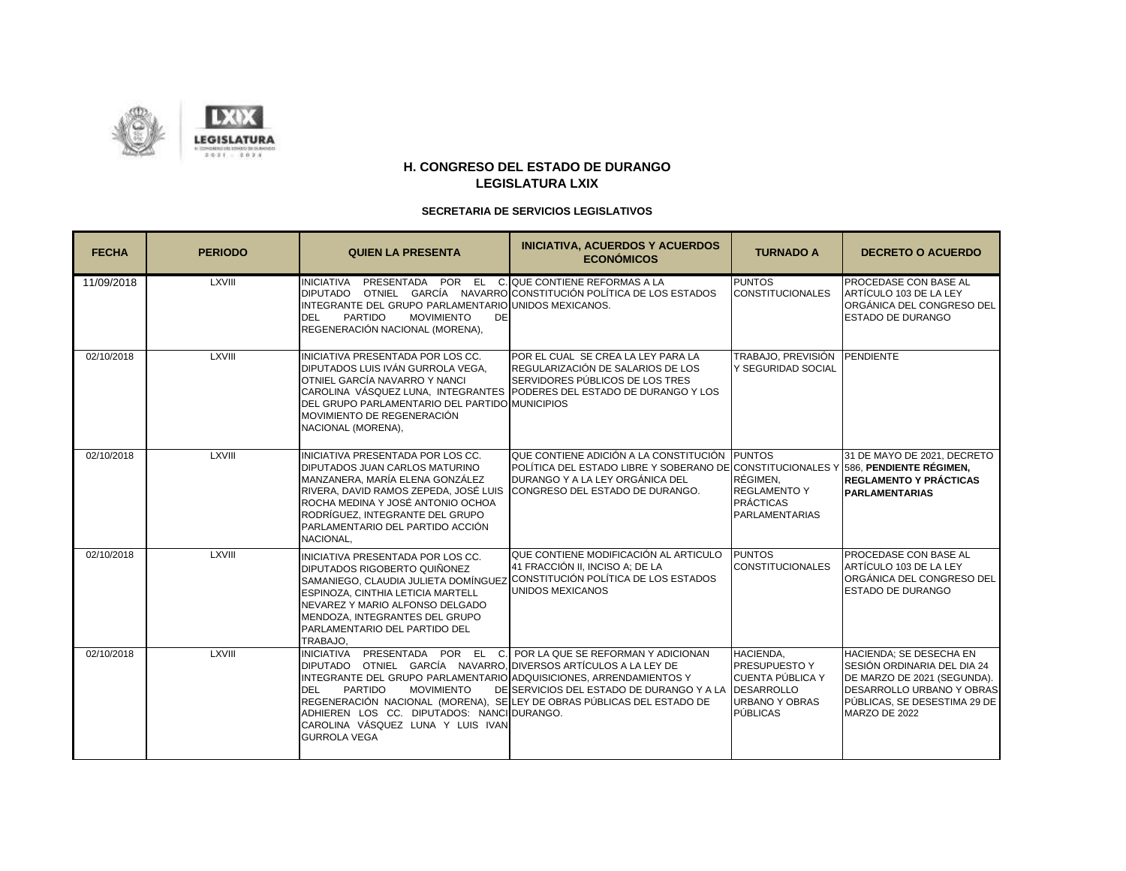

| <b>FECHA</b> | <b>PERIODO</b> | <b>QUIEN LA PRESENTA</b>                                                                                                                                                                                                                                                                                                                                                                                                                    | <b>INICIATIVA, ACUERDOS Y ACUERDOS</b><br><b>ECONÓMICOS</b>                                                                                                                                               | <b>TURNADO A</b>                                                                                         | <b>DECRETO O ACUERDO</b>                                                                                                                                                   |
|--------------|----------------|---------------------------------------------------------------------------------------------------------------------------------------------------------------------------------------------------------------------------------------------------------------------------------------------------------------------------------------------------------------------------------------------------------------------------------------------|-----------------------------------------------------------------------------------------------------------------------------------------------------------------------------------------------------------|----------------------------------------------------------------------------------------------------------|----------------------------------------------------------------------------------------------------------------------------------------------------------------------------|
| 11/09/2018   | <b>LXVIII</b>  | INICIATIVA PRESENTADA POR EL C. QUE CONTIENE REFORMAS A LA<br>DIPUTADO OTNIEL GARCÍA NAVARRO CONSTITUCIÓN POLÍTICA DE LOS ESTADOS<br>INTEGRANTE DEL GRUPO PARLAMENTARIO UNIDOS MEXICANOS.<br><b>PARTIDO</b><br><b>MOVIMIENTO</b><br>DE<br><b>DEL</b><br>REGENERACIÓN NACIONAL (MORENA),                                                                                                                                                     |                                                                                                                                                                                                           | <b>PUNTOS</b><br><b>CONSTITUCIONALES</b>                                                                 | PROCEDASE CON BASE AL<br>ARTÍCULO 103 DE LA LEY<br>ORGÁNICA DEL CONGRESO DEL<br>ESTADO DE DURANGO                                                                          |
| 02/10/2018   | <b>LXVIII</b>  | INICIATIVA PRESENTADA POR LOS CC.<br>DIPUTADOS LUIS IVÁN GURROLA VEGA.<br>OTNIEL GARCÍA NAVARRO Y NANCI<br>DEL GRUPO PARLAMENTARIO DEL PARTIDO MUNICIPIOS<br>MOVIMIENTO DE REGENERACIÓN<br>NACIONAL (MORENA),                                                                                                                                                                                                                               | POR EL CUAL SE CREA LA LEY PARA LA<br>REGULARIZACIÓN DE SALARIOS DE LOS<br>SERVIDORES PÚBLICOS DE LOS TRES<br>CAROLINA VÁSQUEZ LUNA, INTEGRANTES PODERES DEL ESTADO DE DURANGO Y LOS                      | TRABAJO, PREVISIÓN PENDIENTE<br>Y SEGURIDAD SOCIAL                                                       |                                                                                                                                                                            |
| 02/10/2018   | <b>LXVIII</b>  | INICIATIVA PRESENTADA POR LOS CC.<br>DIPUTADOS JUAN CARLOS MATURINO<br>MANZANERA, MARÍA ELENA GONZÁLEZ<br>RIVERA, DAVID RAMOS ZEPEDA, JOSÉ LUIS<br>ROCHA MEDINA Y JOSÉ ANTONIO OCHOA<br>RODRÍGUEZ, INTEGRANTE DEL GRUPO<br>PARLAMENTARIO DEL PARTIDO ACCIÓN<br>NACIONAL.                                                                                                                                                                    | QUE CONTIENE ADICIÓN A LA CONSTITUCIÓN PUNTOS<br>POLÍTICA DEL ESTADO LIBRE Y SOBERANO DE CONSTITUCIONALES Y 586, PENDIENTE RÉGIMEN,<br>DURANGO Y A LA LEY ORGÁNICA DEL<br>CONGRESO DEL ESTADO DE DURANGO. | RÉGIMEN,<br><b>REGLAMENTO Y</b><br><b>PRÁCTICAS</b><br><b>PARLAMENTARIAS</b>                             | 31 DE MAYO DE 2021, DECRETO<br><b>REGLAMENTO Y PRÁCTICAS</b><br><b>PARLAMENTARIAS</b>                                                                                      |
| 02/10/2018   | <b>LXVIII</b>  | INICIATIVA PRESENTADA POR LOS CC.<br>DIPUTADOS RIGOBERTO QUIÑONEZ<br>SAMANIEGO, CLAUDIA JULIETA DOMÍNGUEZ<br>ESPINOZA, CINTHIA LETICIA MARTELL<br>NEVAREZ Y MARIO ALFONSO DELGADO<br>MENDOZA. INTEGRANTES DEL GRUPO<br>PARLAMENTARIO DEL PARTIDO DEL<br>TRABAJO,                                                                                                                                                                            | QUE CONTIENE MODIFICACIÓN AL ARTICULO<br>41 FRACCIÓN II, INCISO A; DE LA<br>CONSTITUCIÓN POLÍTICA DE LOS ESTADOS<br>UNIDOS MEXICANOS                                                                      | <b>PUNTOS</b><br><b>CONSTITUCIONALES</b>                                                                 | PROCEDASE CON BASE AL<br>ARTÍCULO 103 DE LA LEY<br>ORGÁNICA DEL CONGRESO DEL<br>ESTADO DE DURANGO                                                                          |
| 02/10/2018   | <b>LXVIII</b>  | INICIATIVA PRESENTADA POR EL C. POR LA QUE SE REFORMAN Y ADICIONAN<br>DIPUTADO OTNIEL GARCÍA NAVARRO, DIVERSOS ARTÍCULOS A LA LEY DE<br>INTEGRANTE DEL GRUPO PARLAMENTARIO ADQUISICIONES, ARRENDAMIENTOS Y<br><b>PARTIDO</b><br><b>MOVIMIENTO</b><br>DEL<br>REGENERACIÓN NACIONAL (MORENA), SE LEY DE OBRAS PÚBLICAS DEL ESTADO DE<br>ADHIEREN LOS CC. DIPUTADOS: NANCIDURANGO.<br>CAROLINA VÁSQUEZ LUNA Y LUIS IVAN<br><b>GURROLA VEGA</b> | DE SERVICIOS DEL ESTADO DE DURANGO Y A LA DESARROLLO                                                                                                                                                      | HACIENDA,<br><b>PRESUPUESTO Y</b><br><b>CUENTA PÚBLICA Y</b><br><b>URBANO Y OBRAS</b><br><b>PÚBLICAS</b> | HACIENDA; SE DESECHA EN<br>SESIÓN ORDINARIA DEL DIA 24<br>DE MARZO DE 2021 (SEGUNDA).<br>DESARROLLO URBANO Y OBRAS<br>PÚBLICAS, SE DESESTIMA 29 DE<br><b>MARZO DE 2022</b> |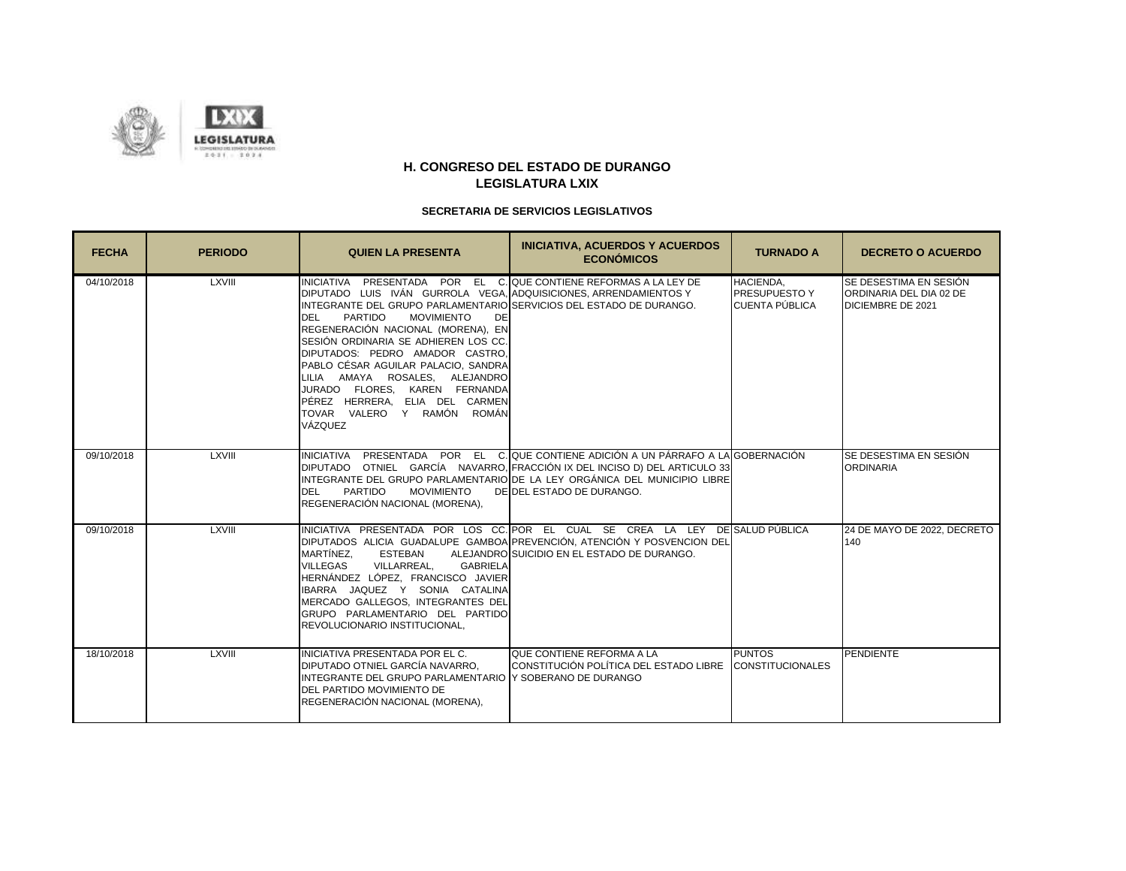

| <b>FECHA</b> | <b>PERIODO</b> | <b>QUIEN LA PRESENTA</b>                                                                                                                                                                                                                                                                                                                                                                                                                                                                                                                                                      | <b>INICIATIVA, ACUERDOS Y ACUERDOS</b><br><b>ECONÓMICOS</b>                                                                                                                                                                                                               | <b>TURNADO A</b>                                           | <b>DECRETO O ACUERDO</b>                                               |
|--------------|----------------|-------------------------------------------------------------------------------------------------------------------------------------------------------------------------------------------------------------------------------------------------------------------------------------------------------------------------------------------------------------------------------------------------------------------------------------------------------------------------------------------------------------------------------------------------------------------------------|---------------------------------------------------------------------------------------------------------------------------------------------------------------------------------------------------------------------------------------------------------------------------|------------------------------------------------------------|------------------------------------------------------------------------|
| 04/10/2018   | <b>LXVIII</b>  | IINICIATIVA PRESENTADA POR EL C.IQUE CONTIENE REFORMAS A LA LEY DE<br>DIPUTADO LUIS IVÁN GURROLA VEGA. ADQUISICIONES ARRENDAMIENTOS Y<br>INTEGRANTE DEL GRUPO PARLAMENTARIOISERVICIOS DEL ESTADO DE DURANGO.<br><b>PARTIDO</b><br><b>MOVIMIENTO</b><br><b>DEL</b><br>DE<br>REGENERACIÓN NACIONAL (MORENA), EN<br>SESIÓN ORDINARIA SE ADHIEREN LOS CC.<br>DIPUTADOS: PEDRO AMADOR CASTRO.<br>PABLO CÉSAR AGUILAR PALACIO, SANDRA<br>LILIA AMAYA ROSALES, ALEJANDRO<br>JURADO FLORES, KAREN FERNANDA<br>PÉREZ HERRERA, ELIA DEL CARMEN<br>TOVAR VALERO Y RAMÓN ROMÁN<br>VÁZQUEZ |                                                                                                                                                                                                                                                                           | HACIENDA.<br><b>PRESUPUESTO Y</b><br><b>CUENTA PÚBLICA</b> | SE DESESTIMA EN SESIÓN<br>ORDINARIA DEL DIA 02 DE<br>DICIEMBRE DE 2021 |
| 09/10/2018   | <b>LXVIII</b>  | <b>MOVIMIENTO</b><br><b>PARTIDO</b><br><b>DEL</b><br>REGENERACIÓN NACIONAL (MORENA),                                                                                                                                                                                                                                                                                                                                                                                                                                                                                          | INICIATIVA PRESENTADA POR EL C. QUE CONTIENE ADICIÓN A UN PÁRRAFO A LA GOBERNACIÓN<br>DIPUTADO OTNIEL GARCÍA NAVARRO, FRACCIÓN IX DEL INCISO D) DEL ARTICULO 33<br>INTEGRANTE DEL GRUPO PARLAMENTARIO DE LA LEY ORGÁNICA DEL MUNICIPIO LIBRE<br>DE DEL ESTADO DE DURANGO. |                                                            | SE DESESTIMA EN SESIÓN<br><b>ORDINARIA</b>                             |
| 09/10/2018   | <b>LXVIII</b>  | IINICIATIVA PRESENTADA POR LOS CC. POR EL CUAL SE CREA LA LEY<br>MARTÍNEZ.<br><b>ESTEBAN</b><br><b>VILLEGAS</b><br>VILLARREAL,<br><b>GABRIELA</b><br>HERNÁNDEZ LÓPEZ, FRANCISCO JAVIER<br>IBARRA JAQUEZ Y SONIA CATALINA<br>MERCADO GALLEGOS, INTEGRANTES DEL<br>GRUPO PARLAMENTARIO DEL PARTIDO<br>REVOLUCIONARIO INSTITUCIONAL,                                                                                                                                                                                                                                             | DIPUTADOS ALICIA GUADALUPE GAMBOA PREVENCIÓN, ATENCIÓN Y POSVENCION DEL<br>ALEJANDRO SUICIDIO EN EL ESTADO DE DURANGO.                                                                                                                                                    | DE SALUD PÚBLICA                                           | 24 DE MAYO DE 2022. DECRETO<br>140                                     |
| 18/10/2018   | <b>LXVIII</b>  | INICIATIVA PRESENTADA POR EL C.<br>DIPUTADO OTNIEL GARCÍA NAVARRO.<br>IINTEGRANTE DEL GRUPO PARLAMENTARIO IY SOBERANO DE DURANGO<br>DEL PARTIDO MOVIMIENTO DE<br>REGENERACIÓN NACIONAL (MORENA),                                                                                                                                                                                                                                                                                                                                                                              | <b>QUE CONTIENE REFORMA A LA</b><br>ICONSTITUCIÓN POLÍTICA DEL ESTADO LIBRE                                                                                                                                                                                               | <b>PUNTOS</b><br><b>CONSTITUCIONALES</b>                   | <b>PENDIENTE</b>                                                       |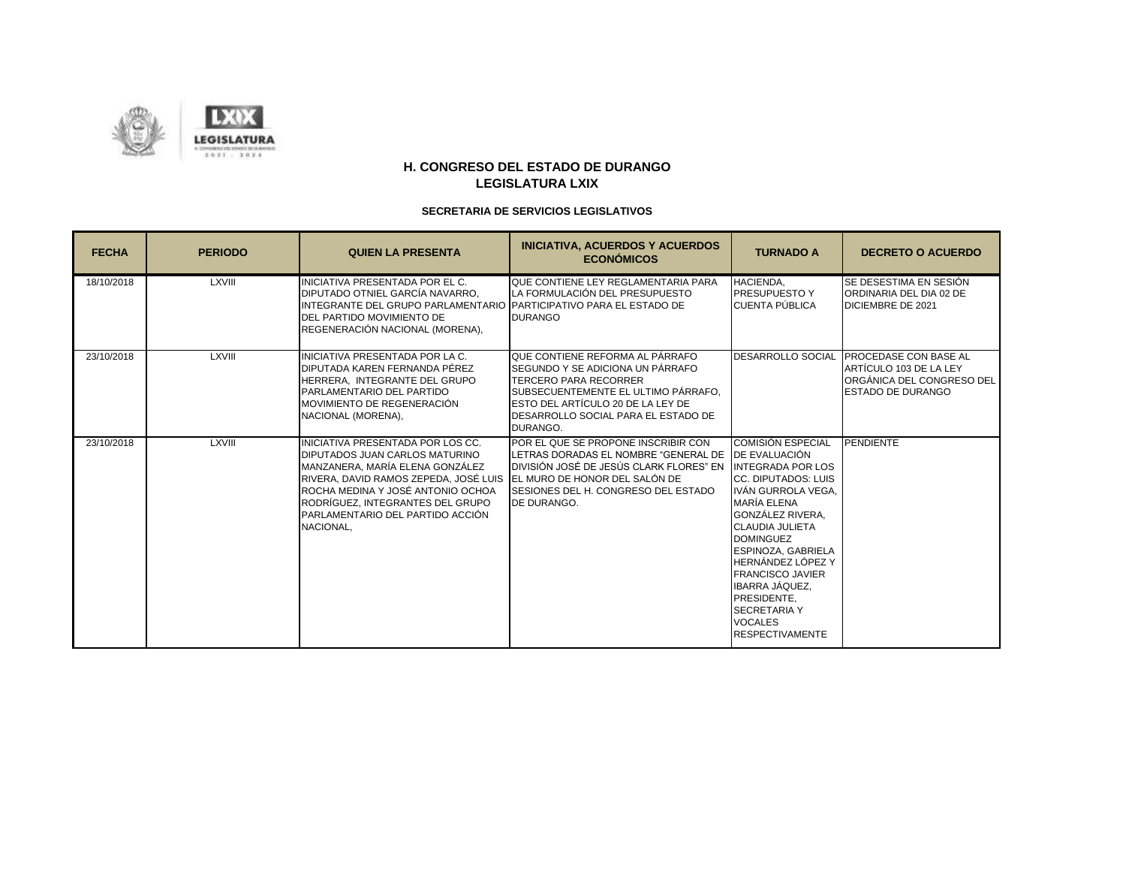



| <b>FECHA</b> | <b>PERIODO</b> | <b>QUIEN LA PRESENTA</b>                                                                                                                                                                                                                                                  | <b>INICIATIVA, ACUERDOS Y ACUERDOS</b><br><b>ECONÓMICOS</b>                                                                                                                                                                               | <b>TURNADO A</b>                                                                                                                                                                                                                                                                                                                                                     | <b>DECRETO O ACUERDO</b>                                                                                            |
|--------------|----------------|---------------------------------------------------------------------------------------------------------------------------------------------------------------------------------------------------------------------------------------------------------------------------|-------------------------------------------------------------------------------------------------------------------------------------------------------------------------------------------------------------------------------------------|----------------------------------------------------------------------------------------------------------------------------------------------------------------------------------------------------------------------------------------------------------------------------------------------------------------------------------------------------------------------|---------------------------------------------------------------------------------------------------------------------|
| 18/10/2018   | <b>LXVIII</b>  | INICIATIVA PRESENTADA POR EL C.<br>DIPUTADO OTNIEL GARCÍA NAVARRO.<br>INTEGRANTE DEL GRUPO PARLAMENTARIO<br>DEL PARTIDO MOVIMIENTO DE<br>REGENERACIÓN NACIONAL (MORENA),                                                                                                  | QUE CONTIENE LEY REGLAMENTARIA PARA<br>LA FORMULACIÓN DEL PRESUPUESTO<br>PARTICIPATIVO PARA EL ESTADO DE<br><b>DURANGO</b>                                                                                                                | HACIENDA,<br><b>PRESUPUESTO Y</b><br><b>CUENTA PÚBLICA</b>                                                                                                                                                                                                                                                                                                           | SE DESESTIMA EN SESIÓN<br>ORDINARIA DEL DIA 02 DE<br>DICIEMBRE DE 2021                                              |
| 23/10/2018   | <b>LXVIII</b>  | INICIATIVA PRESENTADA POR LA C.<br>DIPUTADA KAREN FERNANDA PÉREZ<br>HERRERA, INTEGRANTE DEL GRUPO<br>PARLAMENTARIO DEL PARTIDO<br>MOVIMIENTO DE REGENERACIÓN<br>NACIONAL (MORENA),                                                                                        | QUE CONTIENE REFORMA AL PÁRRAFO<br>SEGUNDO Y SE ADICIONA UN PÁRRAFO<br><b>TERCERO PARA RECORRER</b><br>SUBSECUENTEMENTE EL ULTIMO PÁRRAFO,<br>ESTO DEL ARTÍCULO 20 DE LA LEY DE<br><b>DESARROLLO SOCIAL PARA EL ESTADO DE</b><br>DURANGO. |                                                                                                                                                                                                                                                                                                                                                                      | DESARROLLO SOCIAL PROCEDASE CON BASE AL<br>ARTÍCULO 103 DE LA LEY<br>ORGÁNICA DEL CONGRESO DEL<br>ESTADO DE DURANGO |
| 23/10/2018   | <b>LXVIII</b>  | INICIATIVA PRESENTADA POR LOS CC.<br>DIPUTADOS JUAN CARLOS MATURINO<br>MANZANERA, MARÍA ELENA GONZÁLEZ<br>RIVERA. DAVID RAMOS ZEPEDA. JOSÉ LUIS<br>ROCHA MEDINA Y JOSÉ ANTONIO OCHOA<br>RODRÍGUEZ, INTEGRANTES DEL GRUPO<br>PARLAMENTARIO DEL PARTIDO ACCIÓN<br>NACIONAL, | POR EL QUE SE PROPONE INSCRIBIR CON<br>LETRAS DORADAS EL NOMBRE "GENERAL DE IDE EVALUACIÓN<br>DIVISIÓN JOSÉ DE JESÚS CLARK FLORES" EN<br>IEL MURO DE HONOR DEL SALÓN DE<br>SESIONES DEL H. CONGRESO DEL ESTADO<br>DE DURANGO.             | COMISIÓN ESPECIAL<br><b>INTEGRADA POR LOS</b><br>ICC. DIPUTADOS: LUIS<br>IVÁN GURROLA VEGA.<br>MARÍA ELENA<br>GONZÁLEZ RIVERA.<br><b>CLAUDIA JULIETA</b><br><b>DOMINGUEZ</b><br><b>ESPINOZA, GABRIELA</b><br>HERNÁNDEZ LÓPEZ Y<br><b>FRANCISCO JAVIER</b><br><b>IBARRA JÁQUEZ.</b><br>PRESIDENTE.<br><b>SECRETARIA Y</b><br><b>VOCALES</b><br><b>RESPECTIVAMENTE</b> | PENDIENTE                                                                                                           |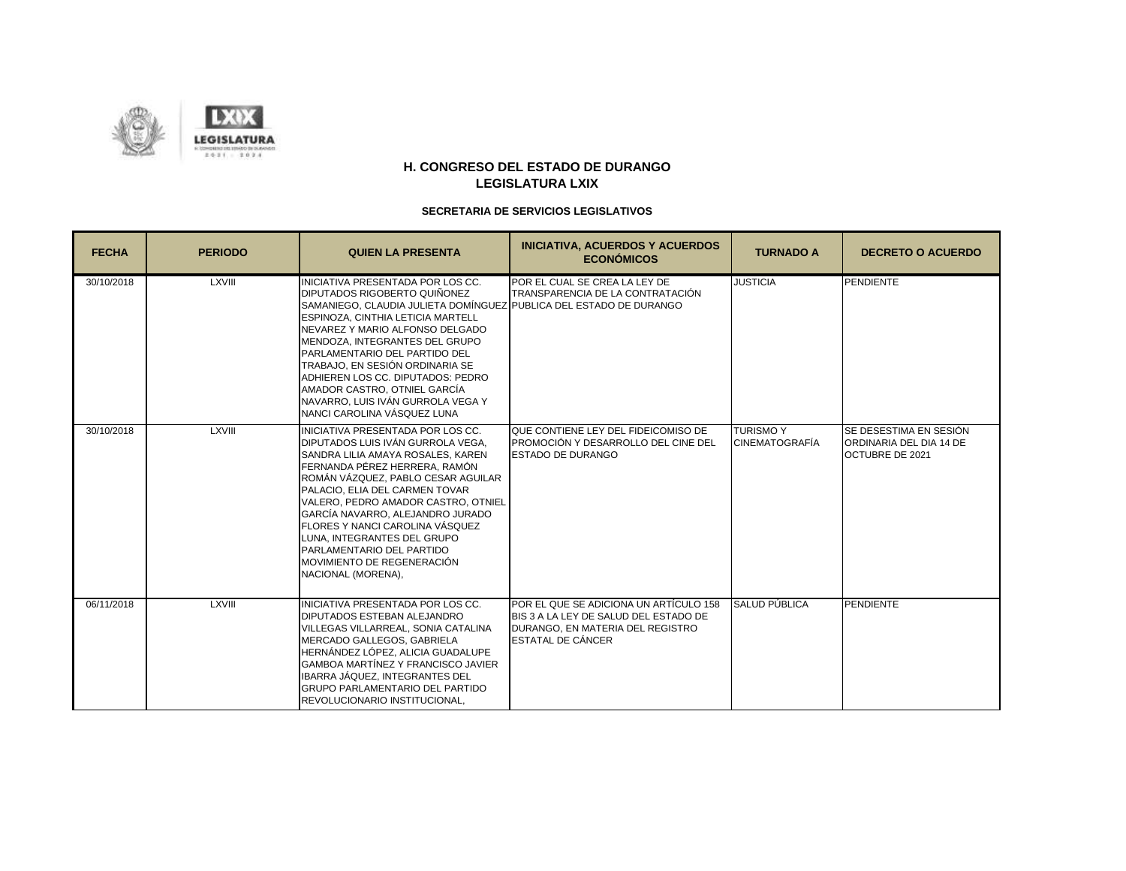

| <b>FECHA</b> | <b>PERIODO</b> | <b>QUIEN LA PRESENTA</b>                                                                                                                                                                                                                                                                                                                                                                                                                                       | <b>INICIATIVA, ACUERDOS Y ACUERDOS</b><br><b>ECONÓMICOS</b>                                                                              | <b>TURNADO A</b>                         | <b>DECRETO O ACUERDO</b>                                             |
|--------------|----------------|----------------------------------------------------------------------------------------------------------------------------------------------------------------------------------------------------------------------------------------------------------------------------------------------------------------------------------------------------------------------------------------------------------------------------------------------------------------|------------------------------------------------------------------------------------------------------------------------------------------|------------------------------------------|----------------------------------------------------------------------|
| 30/10/2018   | <b>LXVIII</b>  | INICIATIVA PRESENTADA POR LOS CC.<br>DIPUTADOS RIGOBERTO QUIÑONEZ<br>SAMANIEGO, CLAUDIA JULIETA DOMÍNGUEZ PUBLICA DEL ESTADO DE DURANGO<br>ESPINOZA. CINTHIA LETICIA MARTELL<br>NEVAREZ Y MARIO ALFONSO DELGADO<br>MENDOZA. INTEGRANTES DEL GRUPO<br>PARLAMENTARIO DEL PARTIDO DEL<br>TRABAJO. EN SESIÓN ORDINARIA SE<br>ADHIEREN LOS CC. DIPUTADOS: PEDRO<br>AMADOR CASTRO, OTNIEL GARCÍA<br>NAVARRO, LUIS IVÁN GURROLA VEGA Y<br>NANCI CAROLINA VÁSQUEZ LUNA | POR EL CUAL SE CREA LA LEY DE<br>TRANSPARENCIA DE LA CONTRATACIÓN                                                                        | <b>JUSTICIA</b>                          | <b>PENDIENTE</b>                                                     |
| 30/10/2018   | <b>LXVIII</b>  | INICIATIVA PRESENTADA POR LOS CC.<br>DIPUTADOS LUIS IVÁN GURROLA VEGA.<br>SANDRA LILIA AMAYA ROSALES. KAREN<br>FERNANDA PÉREZ HERRERA, RAMÓN<br>ROMÁN VÁZQUEZ, PABLO CESAR AGUILAR<br>PALACIO. ELIA DEL CARMEN TOVAR<br>VALERO. PEDRO AMADOR CASTRO, OTNIEL<br>GARCÍA NAVARRO, ALEJANDRO JURADO<br>FLORES Y NANCI CAROLINA VÁSQUEZ<br>LUNA. INTEGRANTES DEL GRUPO<br>PARLAMENTARIO DEL PARTIDO<br>MOVIMIENTO DE REGENERACIÓN<br>NACIONAL (MORENA),             | QUE CONTIENE LEY DEL FIDEICOMISO DE<br>PROMOCIÓN Y DESARROLLO DEL CINE DEL<br><b>ESTADO DE DURANGO</b>                                   | <b>TURISMOY</b><br><b>CINEMATOGRAFÍA</b> | SE DESESTIMA EN SESIÓN<br>ORDINARIA DEL DIA 14 DE<br>OCTUBRE DE 2021 |
| 06/11/2018   | <b>LXVIII</b>  | INICIATIVA PRESENTADA POR LOS CC.<br>DIPUTADOS ESTEBAN ALEJANDRO<br>VILLEGAS VILLARREAL, SONIA CATALINA<br>MERCADO GALLEGOS, GABRIELA<br>HERNÁNDEZ LÓPEZ. ALICIA GUADALUPE<br>GAMBOA MARTÍNEZ Y FRANCISCO JAVIER<br>IBARRA JÁQUEZ, INTEGRANTES DEL<br><b>GRUPO PARLAMENTARIO DEL PARTIDO</b><br>REVOLUCIONARIO INSTITUCIONAL,                                                                                                                                  | POR EL QUE SE ADICIONA UN ARTÍCULO 158<br>BIS 3 A LA LEY DE SALUD DEL ESTADO DE<br>DURANGO. EN MATERIA DEL REGISTRO<br>ESTATAL DE CÁNCER | SALUD PÚBLICA                            | <b>PENDIENTE</b>                                                     |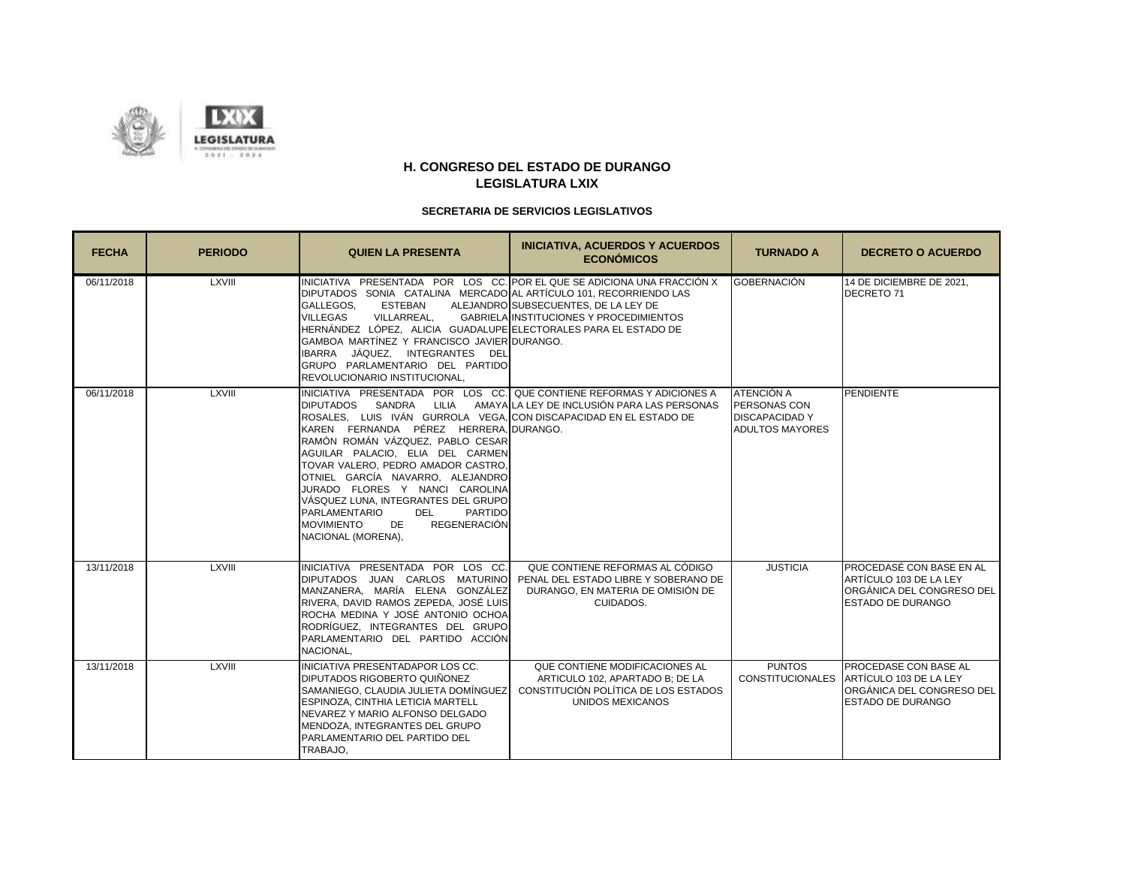

| <b>FECHA</b> | <b>PERIODO</b> | <b>QUIEN LA PRESENTA</b>                                                                                                                                                                                                                                                                                                                                                                                                                                                                                                                                                     | <b>INICIATIVA, ACUERDOS Y ACUERDOS</b><br><b>ECONÓMICOS</b>                                                                          | <b>TURNADO A</b>                                                                            | <b>DECRETO O ACUERDO</b>                                                                             |
|--------------|----------------|------------------------------------------------------------------------------------------------------------------------------------------------------------------------------------------------------------------------------------------------------------------------------------------------------------------------------------------------------------------------------------------------------------------------------------------------------------------------------------------------------------------------------------------------------------------------------|--------------------------------------------------------------------------------------------------------------------------------------|---------------------------------------------------------------------------------------------|------------------------------------------------------------------------------------------------------|
| 06/11/2018   | LXVIII         | INICIATIVA PRESENTADA POR LOS CC. POR EL QUE SE ADICIONA UNA FRACCIÓN X<br>DIPUTADOS SONIA CATALINA MERCADO AL ARTÍCULO 101, RECORRIENDO LAS<br>GALLEGOS.<br><b>ESTEBAN</b><br><b>VILLEGAS</b><br>VILLARREAL.<br>HERNÁNDEZ LÓPEZ. ALICIA GUADALUPE ELECTORALES PARA EL ESTADO DE<br>GAMBOA MARTÍNEZ Y FRANCISCO JAVIER DURANGO.<br>IBARRA JÁQUEZ, INTEGRANTES DEL<br>GRUPO PARLAMENTARIO DEL PARTIDO<br>REVOLUCIONARIO INSTITUCIONAL,                                                                                                                                        | ALEJANDRO SUBSECUENTES, DE LA LEY DE<br><b>GABRIELA INSTITUCIONES Y PROCEDIMIENTOS</b>                                               | GOBERNACIÓN                                                                                 | 14 DE DICIEMBRE DE 2021,<br>DECRETO 71                                                               |
| 06/11/2018   | <b>LXVIII</b>  | INICIATIVA PRESENTADA POR LOS CC. QUE CONTIENE REFORMAS Y ADICIONES A<br>SANDRA LILIA<br><b>DIPUTADOS</b><br>ROSALES. LUIS IVÁN GURROLA VEGA. CON DISCAPACIDAD EN EL ESTADO DE<br>KAREN FERNANDA PÉREZ HERRERA. DURANGO.<br>RAMÓN ROMÁN VÁZQUEZ, PABLO CESAR<br>AGUILAR PALACIO, ELIA DEL CARMEN<br>TOVAR VALERO, PEDRO AMADOR CASTRO,<br>OTNIEL GARCÍA NAVARRO, ALEJANDRO<br>JURADO FLORES Y NANCI CAROLINA<br>VÁSQUEZ LUNA, INTEGRANTES DEL GRUPO<br><b>PARLAMENTARIO</b><br>DEL<br><b>PARTIDO</b><br><b>REGENERACIÓN</b><br><b>MOVIMIENTO</b><br>DE<br>NACIONAL (MORENA), | AMAYA LA LEY DE INCLUSIÓN PARA LAS PERSONAS                                                                                          | <b>ATENCIÓN A</b><br><b>PERSONAS CON</b><br><b>DISCAPACIDAD Y</b><br><b>ADULTOS MAYORES</b> | <b>PENDIENTE</b>                                                                                     |
| 13/11/2018   | <b>LXVIII</b>  | INICIATIVA PRESENTADA POR LOS CC.<br>DIPUTADOS JUAN CARLOS MATURINO<br>MANZANERA, MARÍA ELENA GONZÁLEZ<br>RIVERA, DAVID RAMOS ZEPEDA, JOSÉ LUIS<br>ROCHA MEDINA Y JOSÉ ANTONIO OCHOA<br>RODRÍGUEZ, INTEGRANTES DEL GRUPO<br>PARLAMENTARIO DEL PARTIDO ACCIÓN<br>NACIONAL,                                                                                                                                                                                                                                                                                                    | QUE CONTIENE REFORMAS AL CÓDIGO<br>PENAL DEL ESTADO LIBRE Y SOBERANO DE<br>DURANGO. EN MATERIA DE OMISIÓN DE<br>CUIDADOS.            | <b>JUSTICIA</b>                                                                             | PROCEDASÉ CON BASE EN AL<br>ARTÍCULO 103 DE LA LEY<br>ORGÁNICA DEL CONGRESO DEL<br>ESTADO DE DURANGO |
| 13/11/2018   | <b>LXVIII</b>  | INICIATIVA PRESENTADAPOR LOS CC.<br>DIPUTADOS RIGOBERTO QUIÑONEZ<br>SAMANIEGO, CLAUDIA JULIETA DOMÍNGUEZ<br>ESPINOZA, CINTHIA LETICIA MARTELL<br>NEVAREZ Y MARIO ALFONSO DELGADO<br>MENDOZA, INTEGRANTES DEL GRUPO<br>PARLAMENTARIO DEL PARTIDO DEL<br>TRABAJO.                                                                                                                                                                                                                                                                                                              | QUE CONTIENE MODIFICACIONES AL<br>ARTICULO 102. APARTADO B: DE LA<br>CONSTITUCIÓN POLÍTICA DE LOS ESTADOS<br><b>UNIDOS MEXICANOS</b> | <b>PUNTOS</b><br><b>CONSTITUCIONALES</b>                                                    | PROCEDASE CON BASE AL<br>ARTÍCULO 103 DE LA LEY<br>ORGÁNICA DEL CONGRESO DEL<br>ESTADO DE DURANGO    |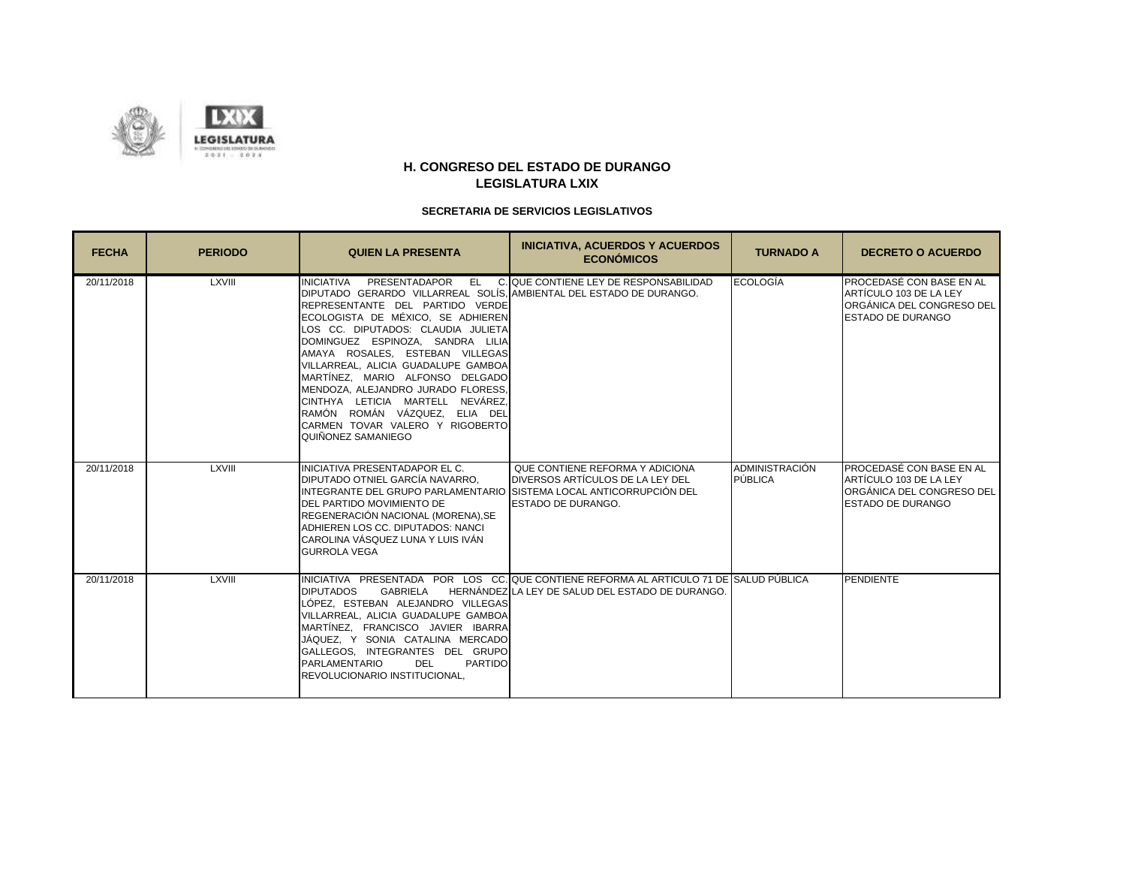

| <b>FECHA</b> | <b>PERIODO</b> | <b>QUIEN LA PRESENTA</b>                                                                                                                                                                                                                                                                                                                                                                                                                                                                                                                     | <b>INICIATIVA, ACUERDOS Y ACUERDOS</b><br><b>ECONÓMICOS</b>                                                                                | <b>TURNADO A</b>                 | <b>DECRETO O ACUERDO</b>                                                                                           |
|--------------|----------------|----------------------------------------------------------------------------------------------------------------------------------------------------------------------------------------------------------------------------------------------------------------------------------------------------------------------------------------------------------------------------------------------------------------------------------------------------------------------------------------------------------------------------------------------|--------------------------------------------------------------------------------------------------------------------------------------------|----------------------------------|--------------------------------------------------------------------------------------------------------------------|
| 20/11/2018   | <b>LXVIII</b>  | <b>INICIATIVA</b><br>PRESENTADAPOR<br>DIPUTADO GERARDO VILLARREAL SOLÍS. AMBIENTAL DEL ESTADO DE DURANGO.<br>REPRESENTANTE DEL PARTIDO VERDE<br>ECOLOGISTA DE MÉXICO, SE ADHIEREN<br>LOS CC. DIPUTADOS: CLAUDIA JULIETA<br>DOMINGUEZ ESPINOZA, SANDRA LILIA<br>AMAYA ROSALES. ESTEBAN VILLEGAS<br>VILLARREAL, ALICIA GUADALUPE GAMBOA<br>MARTÍNEZ, MARIO ALFONSO DELGADO<br>MENDOZA, ALEJANDRO JURADO FLORESS,<br>CINTHYA LETICIA MARTELL NEVÁREZ.<br>RAMÓN ROMÁN VÁZQUEZ. ELIA DEL<br>CARMEN TOVAR VALERO Y RIGOBERTO<br>QUIÑONEZ SAMANIEGO | EL C. QUE CONTIENE LEY DE RESPONSABILIDAD                                                                                                  | <b>ECOLOGÍA</b>                  | <b>PROCEDASÉ CON BASE EN AL</b><br>ARTÍCULO 103 DE LA LEY<br>ORGÁNICA DEL CONGRESO DEL<br><b>ESTADO DE DURANGO</b> |
| 20/11/2018   | LXVIII         | INICIATIVA PRESENTADAPOR EL C.<br>DIPUTADO OTNIEL GARCÍA NAVARRO.<br>INTEGRANTE DEL GRUPO PARLAMENTARIO ISISTEMA LOCAL ANTICORRUPCIÓN DEL<br>DEL PARTIDO MOVIMIENTO DE<br>REGENERACIÓN NACIONAL (MORENA), SE<br>ADHIEREN LOS CC. DIPUTADOS: NANCI<br>CAROLINA VÁSQUEZ LUNA Y LUIS IVÁN<br><b>GURROLA VEGA</b>                                                                                                                                                                                                                                | QUE CONTIENE REFORMA Y ADICIONA<br><b>DIVERSOS ARTÍCULOS DE LA LEY DEL</b><br>ESTADO DE DURANGO.                                           | ADMINISTRACIÓN<br><b>PÚBLICA</b> | <b>PROCEDASÉ CON BASE EN AL</b><br>ARTÍCULO 103 DE LA LEY<br>ORGÁNICA DEL CONGRESO DEL<br><b>ESTADO DE DURANGO</b> |
| 20/11/2018   | <b>LXVIII</b>  | <b>GABRIELA</b><br><b>DIPUTADOS</b><br>ÓPEZ, ESTEBAN ALEJANDRO VILLEGAS<br>VILLARREAL, ALICIA GUADALUPE GAMBOA<br>MARTÍNEZ, FRANCISCO JAVIER IBARRA<br>JÁQUEZ, Y SONIA CATALINA MERCADO<br>GALLEGOS, INTEGRANTES DEL GRUPO<br><b>PARLAMENTARIO</b><br><b>DEL</b><br><b>PARTIDO</b><br>REVOLUCIONARIO INSTITUCIONAL.                                                                                                                                                                                                                          | INICIATIVA PRESENTADA POR LOS CC. QUE CONTIENE REFORMA AL ARTICULO 71 DE SALUD PÚBLICA<br>HERNÁNDEZ LA LEY DE SALUD DEL ESTADO DE DURANGO. |                                  | <b>PENDIENTE</b>                                                                                                   |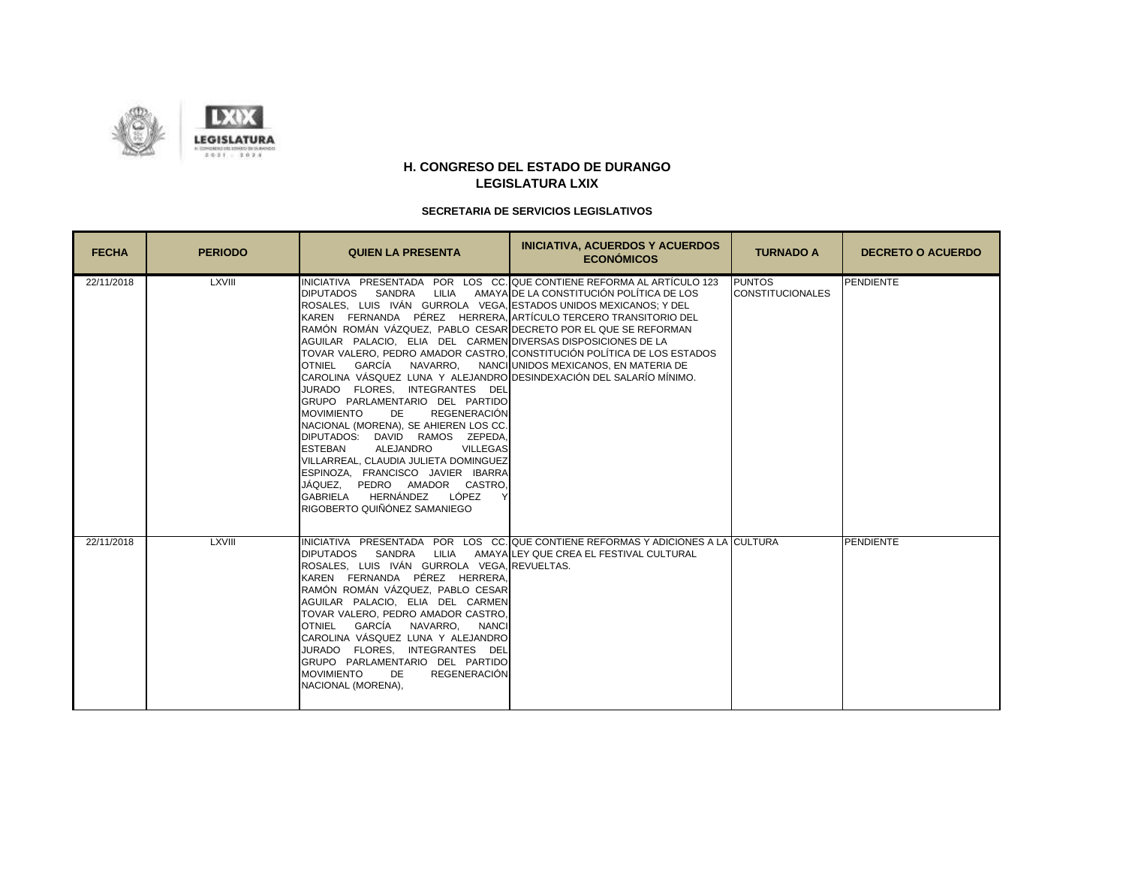

| <b>FECHA</b> | <b>PERIODO</b> | <b>QUIEN LA PRESENTA</b>                                                                                                                                                                                                                                                                                                                                                                                                                                                                                                                                                                                                                                                                                                                                                                                                       | <b>INICIATIVA, ACUERDOS Y ACUERDOS</b><br><b>ECONÓMICOS</b>                                                                                                                                                                                            | <b>TURNADO A</b>                         | <b>DECRETO O ACUERDO</b> |
|--------------|----------------|--------------------------------------------------------------------------------------------------------------------------------------------------------------------------------------------------------------------------------------------------------------------------------------------------------------------------------------------------------------------------------------------------------------------------------------------------------------------------------------------------------------------------------------------------------------------------------------------------------------------------------------------------------------------------------------------------------------------------------------------------------------------------------------------------------------------------------|--------------------------------------------------------------------------------------------------------------------------------------------------------------------------------------------------------------------------------------------------------|------------------------------------------|--------------------------|
| 22/11/2018   | <b>LXVIII</b>  | DIPUTADOS SANDRA LILIA<br>ROSALES. LUIS IVÁN GURROLA VEGA. ESTADOS UNIDOS MEXICANOS: Y DEL<br>KAREN FERNANDA PÉREZ HERRERA, ARTÍCULO TERCERO TRANSITORIO DEL<br>RAMÓN ROMÁN VÁZQUEZ, PABLO CESAR DECRETO POR EL QUE SE REFORMAN<br>AGUILAR PALACIO. ELIA DEL CARMENIDIVERSAS DISPOSICIONES DE LA<br><b>OTNIEL</b><br>CAROLINA VÁSQUEZ LUNA Y ALEJANDRO DESINDEXACIÓN DEL SALARÍO MÍNIMO.<br>JURADO FLORES. INTEGRANTES DEL<br>GRUPO PARLAMENTARIO DEL PARTIDO<br><b>REGENERACIÓN</b><br><b>MOVIMIENTO</b><br>DE<br>NACIONAL (MORENA), SE AHIEREN LOS CC.<br>DIPUTADOS: DAVID RAMOS ZEPEDA,<br><b>ESTEBAN</b><br>ALEJANDRO<br><b>VILLEGAS</b><br>VILLARREAL, CLAUDIA JULIETA DOMINGUEZ<br>ESPINOZA, FRANCISCO JAVIER IBARRA<br>JÁQUEZ. PEDRO AMADOR CASTRO.<br>GABRIELA HERNÁNDEZ<br>LÓPEZ<br>Y<br>RIGOBERTO QUIÑÓNEZ SAMANIEGO | INICIATIVA PRESENTADA POR LOS CC. QUE CONTIENE REFORMA AL ARTÍCULO 123<br>AMAYA DE LA CONSTITUCIÓN POLÍTICA DE LOS<br>TOVAR VALERO. PEDRO AMADOR CASTRO. CONSTITUCIÓN POLÍTICA DE LOS ESTADOS<br>GARCÍA NAVARRO, NANCI UNIDOS MEXICANOS, EN MATERIA DE | <b>PUNTOS</b><br><b>CONSTITUCIONALES</b> | <b>PENDIENTE</b>         |
| 22/11/2018   | <b>LXVIII</b>  | SANDRA LILIA<br><b>DIPUTADOS</b><br>ROSALES. LUIS IVÁN GURROLA VEGA. REVUELTAS.<br>KAREN FERNANDA PÉREZ HERRERA.<br>RAMÓN ROMÁN VÁZQUEZ, PABLO CESAR<br>AGUILAR PALACIO. ELIA DEL CARMEN<br>TOVAR VALERO, PEDRO AMADOR CASTRO,<br>GARCÍA NAVARRO,<br><b>OTNIEL</b><br><b>NANCI</b><br>CAROLINA VÁSQUEZ LUNA Y ALEJANDRO<br>JURADO FLORES, INTEGRANTES DEL<br>GRUPO PARLAMENTARIO DEL PARTIDO<br><b>MOVIMIENTO</b><br>DE<br><b>REGENERACIÓN</b><br>NACIONAL (MORENA),                                                                                                                                                                                                                                                                                                                                                           | INICIATIVA PRESENTADA POR LOS CC. QUE CONTIENE REFORMAS Y ADICIONES A LA CULTURA<br>AMAYA LEY QUE CREA EL FESTIVAL CULTURAL                                                                                                                            |                                          | <b>PENDIENTE</b>         |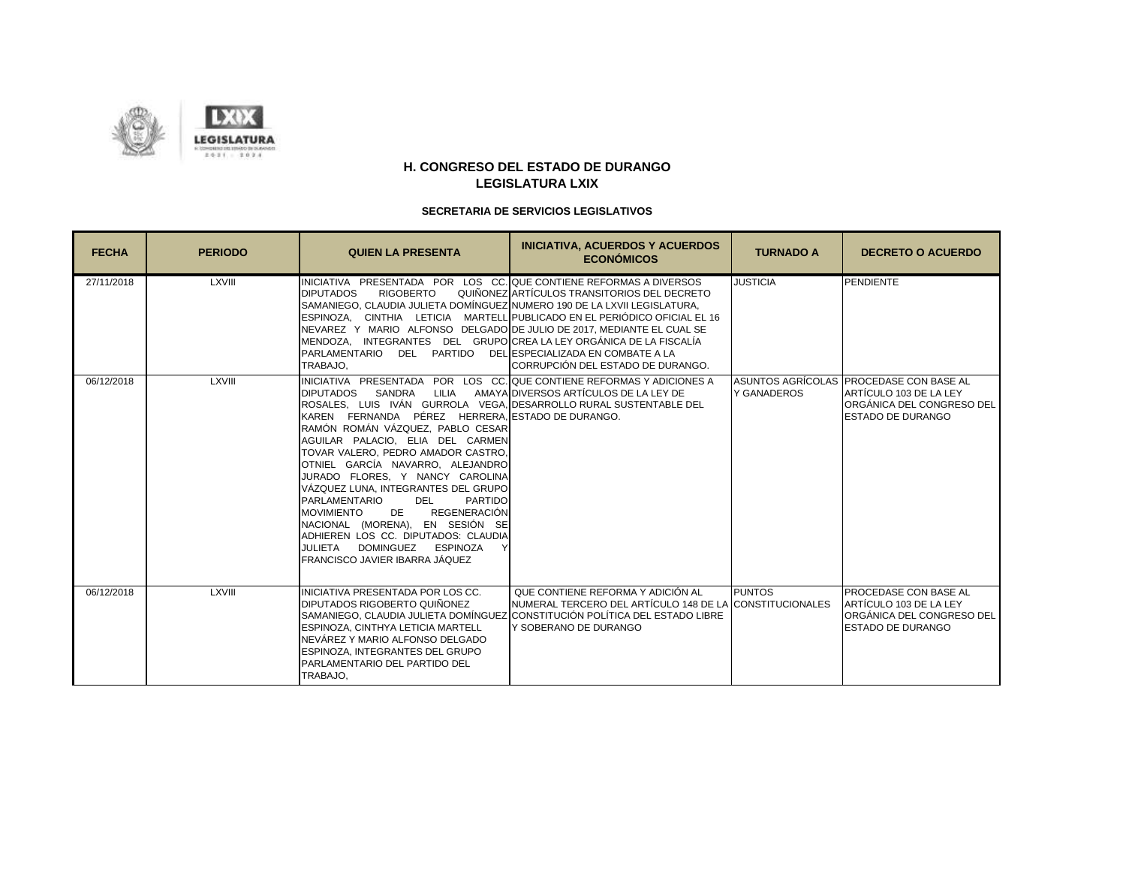

| <b>FECHA</b> | <b>PERIODO</b> | <b>QUIEN LA PRESENTA</b>                                                                                                                                                                                                                                                                                                                                                                                                                                                                                                                                                                                                                                                                                                                | <b>INICIATIVA, ACUERDOS Y ACUERDOS</b><br><b>ECONÓMICOS</b>                                                                                                                                          | <b>TURNADO A</b> | <b>DECRETO O ACUERDO</b>                                                                                                   |
|--------------|----------------|-----------------------------------------------------------------------------------------------------------------------------------------------------------------------------------------------------------------------------------------------------------------------------------------------------------------------------------------------------------------------------------------------------------------------------------------------------------------------------------------------------------------------------------------------------------------------------------------------------------------------------------------------------------------------------------------------------------------------------------------|------------------------------------------------------------------------------------------------------------------------------------------------------------------------------------------------------|------------------|----------------------------------------------------------------------------------------------------------------------------|
| 27/11/2018   | LXVIII         | INICIATIVA PRESENTADA POR LOS CC. QUE CONTIENE REFORMAS A DIVERSOS<br><b>DIPUTADOS</b><br><b>RIGOBERTO</b><br>SAMANIEGO. CLAUDIA JULIETA DOMÍNGUEZINUMERO 190 DE LA LXVII LEGISLATURA.<br>NEVAREZ Y MARIO ALFONSO DELGADO DE JULIO DE 2017. MEDIANTE EL CUAL SE<br>MENDOZA, INTEGRANTES DEL GRUPO CREA LA LEYORGÁNICA DE LA FISCALÍA<br>PARLAMENTARIO DEL PARTIDO DELLESPECIALIZADA EN COMBATE A LA<br>TRABAJO,                                                                                                                                                                                                                                                                                                                         | QUIÑONEZ ARTÍCULOS TRANSITORIOS DEL DECRETO<br>ESPINOZA. CINTHIA LETICIA MARTELL PUBLICADO EN EL PERIÓDICO OFICIAL EL 16<br>CORRUPCIÓN DEL ESTADO DE DURANGO.                                        | <b>JUSTICIA</b>  | <b>PENDIENTE</b>                                                                                                           |
| 06/12/2018   | LXVIII         | INICIATIVA PRESENTADA POR LOS CC. QUE CONTIENE REFORMAS Y ADICIONES A<br><b>DIPUTADOS</b><br>SANDRA<br>LILIA<br>ROSALES. LUIS IVÁN GURROLA VEGA. DESARROLLO_RURAL_SUSTENTABLE_DEL<br>KAREN FERNANDA PÉREZ HERRERA, ESTADODEDURANGO.<br>RAMÓN ROMÁN VÁZQUEZ. PABLO CESAR<br>AGUILAR PALACIO. ELIA DEL CARMEN<br>TOVAR VALERO. PEDRO AMADOR CASTRO.<br>OTNIEL GARCÍA NAVARRO, ALEJANDRO<br>JURADO FLORES, Y NANCY CAROLINA<br>VÁZQUEZ LUNA, INTEGRANTES DEL GRUPO<br><b>PARLAMENTARIO</b><br><b>DEL</b><br><b>PARTIDO</b><br><b>REGENERACIÓN</b><br><b>MOVIMIENTO</b><br>DE<br>NACIONAL (MORENA), EN SESIÓN SE<br>ADHIEREN LOS CC. DIPUTADOS: CLAUDIA<br><b>DOMINGUEZ</b><br>JULIETA<br><b>ESPINOZA</b><br>FRANCISCO JAVIER IBARRA JÁQUEZ | AMAYA DIVERSOS ARTÍCULOS DE LA LEY DE                                                                                                                                                                | Y GANADEROS      | ASUNTOS AGRÍCOLAS PROCEDASE CON BASE AL<br>ARTÍCULO 103 DE LA LEY<br>ORGÁNICA DEL CONGRESO DEL<br><b>ESTADO DE DURANGO</b> |
| 06/12/2018   | LXVIII         | INICIATIVA PRESENTADA POR LOS CC.<br>DIPUTADOS RIGOBERTO QUIÑONEZ<br>ESPINOZA. CINTHYA LETICIA MARTELL<br>NEVÁREZ Y MARIO ALFONSO DELGADO<br>ESPINOZA, INTEGRANTES DEL GRUPO<br>PARLAMENTARIO DEL PARTIDO DEL<br>TRABAJO.                                                                                                                                                                                                                                                                                                                                                                                                                                                                                                               | QUE CONTIENE REFORMA Y ADICIÓN AL<br>NUMERAL TERCERO DEL ARTÍCULO 148 DE LA CONSTITUCIONALES<br>SAMANIEGO, CLAUDIA JULIETA DOMÍNGUEZ CONSTITUCIÓN POLÍTICA DEL ESTADO LIBRE<br>Y SOBERANO DE DURANGO | <b>PUNTOS</b>    | PROCEDASE CON BASE AL<br>ARTÍCULO 103 DE LA LEY<br>ORGÁNICA DEL CONGRESO DEL<br><b>ESTADO DE DURANGO</b>                   |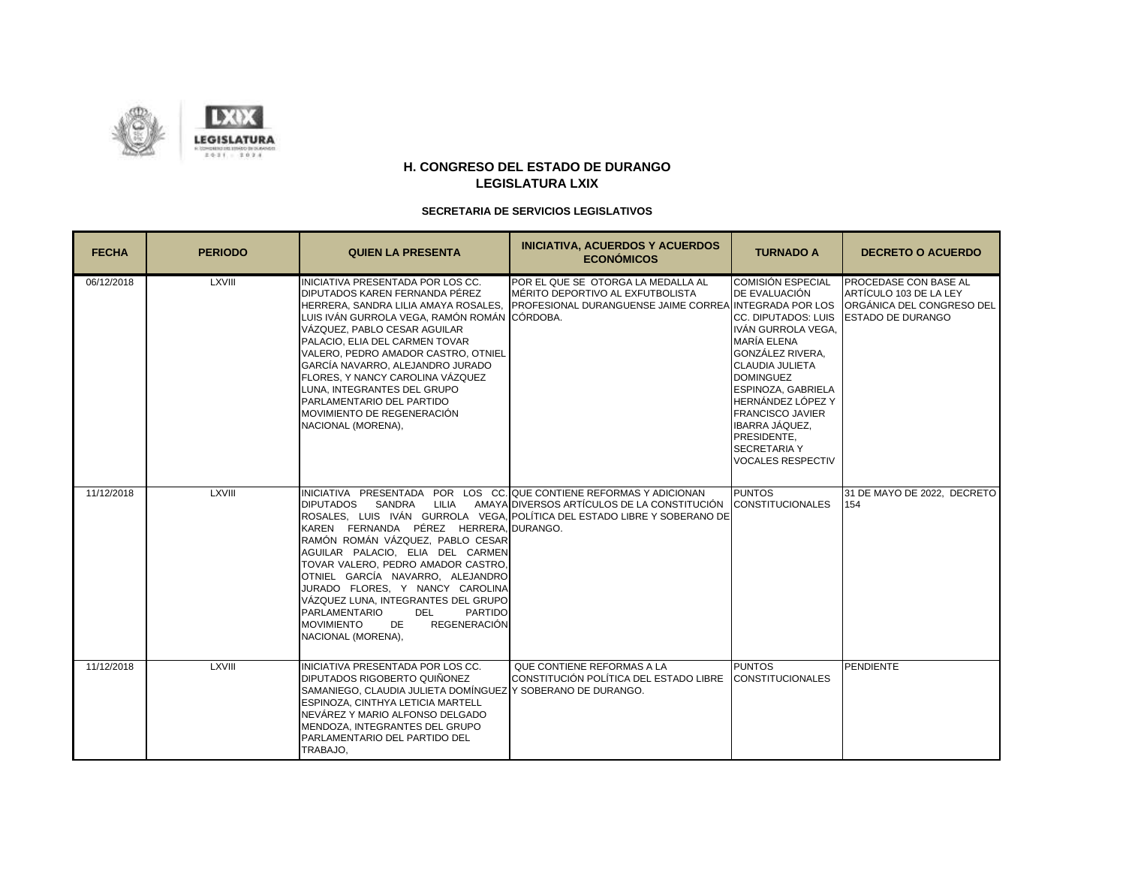

| <b>FECHA</b> | <b>PERIODO</b> | <b>QUIEN LA PRESENTA</b>                                                                                                                                                                                                                                                                                                                                                                                                                                                                                      | <b>INICIATIVA, ACUERDOS Y ACUERDOS</b><br><b>ECONÓMICOS</b>                                                                              | <b>TURNADO A</b>                                                                                                                                                                                                                                                                                                                                | <b>DECRETO O ACUERDO</b>                                                                                        |
|--------------|----------------|---------------------------------------------------------------------------------------------------------------------------------------------------------------------------------------------------------------------------------------------------------------------------------------------------------------------------------------------------------------------------------------------------------------------------------------------------------------------------------------------------------------|------------------------------------------------------------------------------------------------------------------------------------------|-------------------------------------------------------------------------------------------------------------------------------------------------------------------------------------------------------------------------------------------------------------------------------------------------------------------------------------------------|-----------------------------------------------------------------------------------------------------------------|
| 06/12/2018   | LXVIII         | INICIATIVA PRESENTADA POR LOS CC.<br>DIPUTADOS KAREN FERNANDA PÉREZ<br>HERRERA, SANDRA LILIA AMAYA ROSALES,<br>LUIS IVÁN GURROLA VEGA, RAMÓN ROMÁN CÓRDOBA.<br>VÁZQUEZ, PABLO CESAR AGUILAR<br>PALACIO, ELIA DEL CARMEN TOVAR<br>VALERO, PEDRO AMADOR CASTRO, OTNIEL<br>GARCÍA NAVARRO. ALEJANDRO JURADO<br>FLORES, Y NANCY CAROLINA VÁZQUEZ<br>LUNA. INTEGRANTES DEL GRUPO<br>PARLAMENTARIO DEL PARTIDO<br>MOVIMIENTO DE REGENERACIÓN<br>NACIONAL (MORENA),                                                  | POR EL QUE SE OTORGA LA MEDALLA AL<br>MÉRITO DEPORTIVO AL EXFUTBOLISTA<br>PROFESIONAL DURANGUENSE JAIME CORREA INTEGRADA POR LOS         | <b>COMISIÓN ESPECIAL</b><br>DE EVALUACIÓN<br>CC. DIPUTADOS: LUIS<br>IVÁN GURROLA VEGA,<br>MARÍA ELENA<br>GONZÁLEZ RIVERA.<br><b>CLAUDIA JULIETA</b><br><b>DOMINGUEZ</b><br><b>ESPINOZA, GABRIELA</b><br>HERNÁNDEZ LÓPEZ Y<br><b>FRANCISCO JAVIER</b><br><b>IBARRA JÁQUEZ.</b><br>PRESIDENTE,<br><b>SECRETARIA Y</b><br><b>VOCALES RESPECTIV</b> | <b>PROCEDASE CON BASE AL</b><br>ARTÍCULO 103 DE LA LEY<br>ORGÁNICA DEL CONGRESO DEL<br><b>ESTADO DE DURANGO</b> |
| 11/12/2018   | LXVIII         | INICIATIVA PRESENTADA POR LOS CC. QUE CONTIENE REFORMAS Y ADICIONAN<br>SANDRA LILIA<br><b>DIPUTADOS</b><br>KAREN FERNANDA PÉREZ HERRERA. DURANGO.<br>RAMÓN ROMÁN VÁZQUEZ, PABLO CESAR<br>AGUILAR PALACIO, ELIA DEL CARMEN<br>TOVAR VALERO, PEDRO AMADOR CASTRO,<br>OTNIEL GARCÍA NAVARRO, ALEJANDRO<br>JURADO FLORES, Y NANCY CAROLINA<br>VÁZQUEZ LUNA, INTEGRANTES DEL GRUPO<br><b>DEL</b><br><b>PARTIDO</b><br><b>PARLAMENTARIO</b><br><b>REGENERACIÓN</b><br><b>MOVIMIENTO</b><br>DE<br>NACIONAL (MORENA), | AMAYA DIVERSOS ARTÍCULOS DE LA CONSTITUCIÓN CONSTITUCIONALES<br>ROSALES. LUIS IVÁN GURROLA VEGA. POLÍTICA DEL ESTADO LIBRE Y SOBERANO DE | <b>PUNTOS</b>                                                                                                                                                                                                                                                                                                                                   | 31 DE MAYO DE 2022, DECRETO<br>154                                                                              |
| 11/12/2018   | LXVIII         | INICIATIVA PRESENTADA POR LOS CC.<br>DIPUTADOS RIGOBERTO QUIÑONEZ<br>SAMANIEGO, CLAUDIA JULIETA DOMÍNGUEZ Y SOBERANO DE DURANGO.<br>ESPINOZA, CINTHYA LETICIA MARTELL<br>NEVÁREZ Y MARIO ALFONSO DELGADO<br>MENDOZA. INTEGRANTES DEL GRUPO<br>PARLAMENTARIO DEL PARTIDO DEL<br>TRABAJO,                                                                                                                                                                                                                       | QUE CONTIENE REFORMAS A LA<br>CONSTITUCIÓN POLÍTICA DEL ESTADO LIBRE CONSTITUCIONALES                                                    | <b>PUNTOS</b>                                                                                                                                                                                                                                                                                                                                   | <b>PENDIENTE</b>                                                                                                |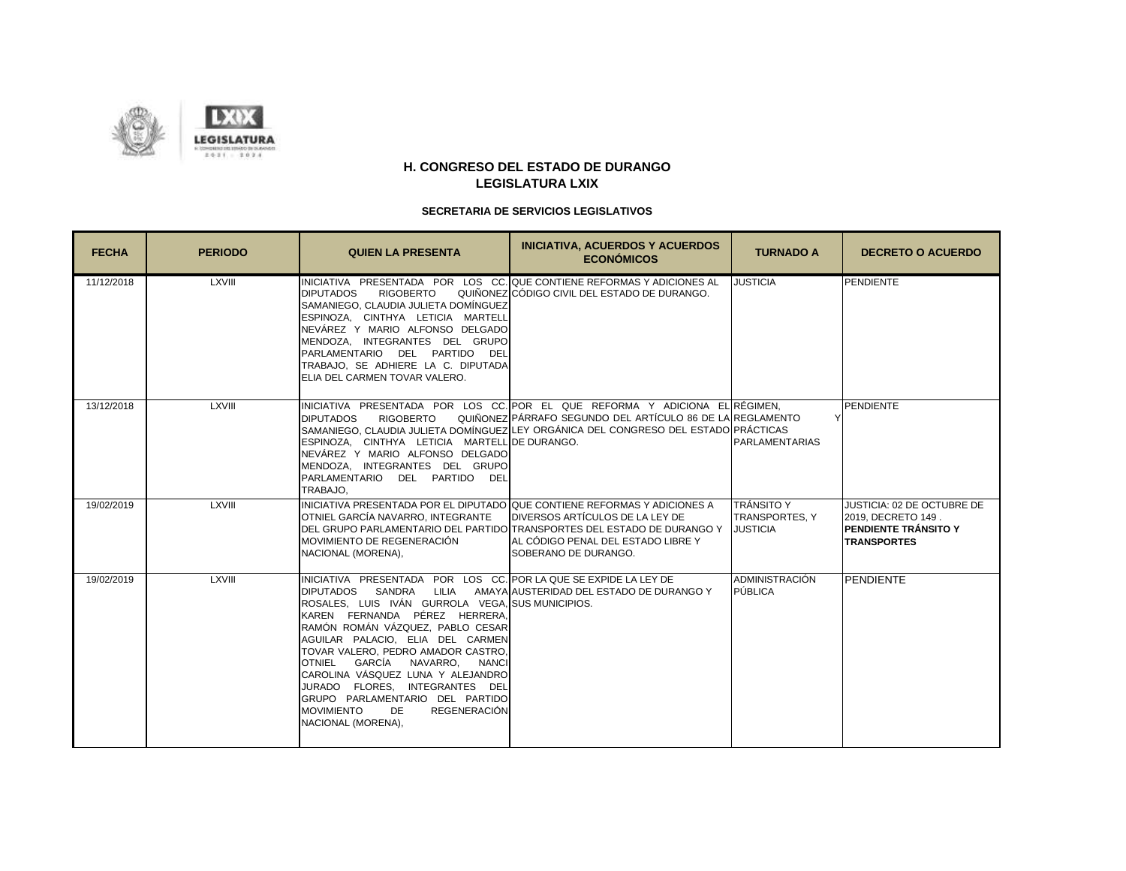



| <b>FECHA</b> | <b>PERIODO</b> | <b>QUIEN LA PRESENTA</b>                                                                                                                                                                                                                                                                                                                                                                                                                                                                                                                                  | <b>INICIATIVA, ACUERDOS Y ACUERDOS</b><br><b>ECONÓMICOS</b>                                                                                                                                                                     | <b>TURNADO A</b>                           | <b>DECRETO O ACUERDO</b>                                                                               |
|--------------|----------------|-----------------------------------------------------------------------------------------------------------------------------------------------------------------------------------------------------------------------------------------------------------------------------------------------------------------------------------------------------------------------------------------------------------------------------------------------------------------------------------------------------------------------------------------------------------|---------------------------------------------------------------------------------------------------------------------------------------------------------------------------------------------------------------------------------|--------------------------------------------|--------------------------------------------------------------------------------------------------------|
| 11/12/2018   | LXVIII         | <b>RIGOBERTO</b><br><b>DIPUTADOS</b><br>SAMANIEGO, CLAUDIA JULIETA DOMÍNGUEZ<br>ESPINOZA, CINTHYA LETICIA MARTELL<br>NEVÁREZ Y MARIO ALFONSO DELGADO<br>MENDOZA, INTEGRANTES DEL GRUPO<br>PARLAMENTARIO DEL PARTIDO DEL<br>TRABAJO, SE ADHIERE LA C. DIPUTADA<br>ELIA DEL CARMEN TOVAR VALERO.                                                                                                                                                                                                                                                            | INICIATIVA PRESENTADA POR LOS CC. QUE CONTIENE REFORMAS Y ADICIONES AL<br>QUIÑONEZ CÓDIGO CIVIL DEL ESTADO DE DURANGO.                                                                                                          | <b>JUSTICIA</b>                            | <b>PENDIENTE</b>                                                                                       |
| 13/12/2018   | LXVIII         | <b>RIGOBERTO</b><br><b>DIPUTADOS</b><br>ESPINOZA, CINTHYA LETICIA MARTELL DE DURANGO.<br>NEVÁREZ Y MARIO ALFONSO DELGADO<br>MENDOZA, INTEGRANTES DEL GRUPO<br>PARLAMENTARIO DEL PARTIDO DEL<br>TRABAJO.                                                                                                                                                                                                                                                                                                                                                   | INICIATIVA PRESENTADA POR LOS CC. POR EL QUE REFORMA Y ADICIONA EL RÉGIMEN,<br>QUIÑONEZ PÁRRAFO SEGUNDO DEL ARTÍCULO 86 DE LA REGLAMENTO<br>SAMANIEGO, CLAUDIA JULIETA DOMÍNGUEZ LEY ORGÁNICA DEL CONGRESO DEL ESTADO PRÁCTICAS | Υ<br><b>PARLAMENTARIAS</b>                 | <b>PENDIENTE</b>                                                                                       |
| 19/02/2019   | <b>LXVIII</b>  | INICIATIVA PRESENTADA POR EL DIPUTADO QUE CONTIENE REFORMAS Y ADICIONES A<br>OTNIEL GARCÍA NAVARRO. INTEGRANTE<br>MOVIMIENTO DE REGENERACIÓN<br>NACIONAL (MORENA),                                                                                                                                                                                                                                                                                                                                                                                        | DIVERSOS ARTÍCULOS DE LA LEY DE<br>DEL GRUPO PARLAMENTARIO DEL PARTIDO TRANSPORTES DEL ESTADO DE DURANGO Y LUUSTICIA<br>AL CÓDIGO PENAL DEL ESTADO LIBRE Y<br>SOBERANO DE DURANGO.                                              | <b>TRÁNSITO Y</b><br><b>TRANSPORTES, Y</b> | JUSTICIA: 02 DE OCTUBRE DE<br>2019. DECRETO 149.<br><b>IPENDIENTE TRÁNSITO Y</b><br><b>TRANSPORTES</b> |
| 19/02/2019   | <b>LXVIII</b>  | INICIATIVA PRESENTADA POR LOS CC. POR LA QUE SE EXPIDE LA LEY DE<br>DIPUTADOS SANDRA LILIA AMAYALAUSTERIDAD. DEL ESTADO DE DURANGO Y<br>ROSALES, LUIS IVÁN GURROLA VEGA, SUS MUNICIPIOS.<br>KAREN FERNANDA PÉREZ HERRERA,<br>RAMÓN ROMÁN VÁZQUEZ, PABLO CESAR<br>AGUILAR PALACIO, ELIA DEL CARMEN<br>TOVAR VALERO, PEDRO AMADOR CASTRO,<br>OTNIEL GARCÍA NAVARRO, NANCI<br>CAROLINA VÁSQUEZ LUNA Y ALEJANDRO<br>JURADO FLORES, INTEGRANTES DEL<br>GRUPO PARLAMENTARIO DEL PARTIDO<br><b>MOVIMIENTO</b><br>DE<br><b>REGENERACIÓN</b><br>NACIONAL (MORENA), |                                                                                                                                                                                                                                 | ADMINISTRACIÓN<br><b>PÚBLICA</b>           | PENDIENTE                                                                                              |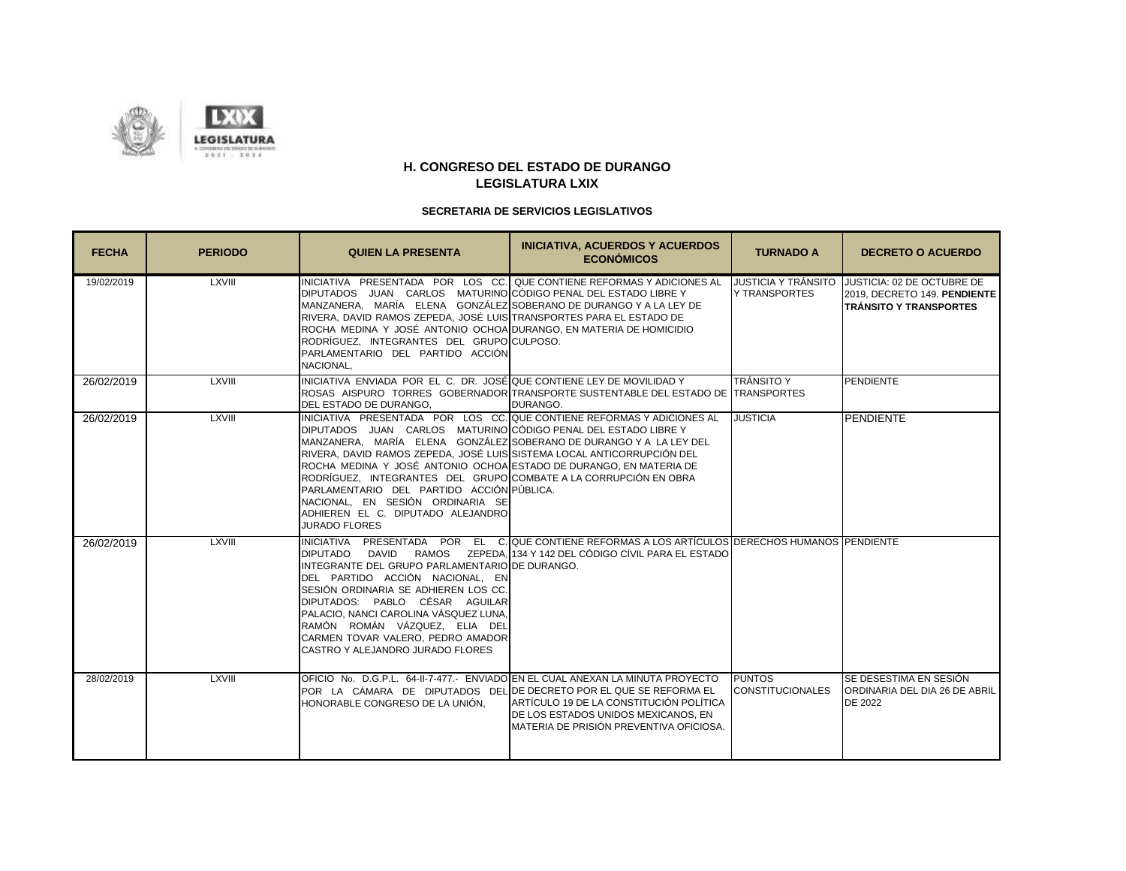

| <b>FECHA</b> | <b>PERIODO</b> | <b>QUIEN LA PRESENTA</b>                                                                                                                                                                                                                                                                                                                                                                                                                                                                               | <b>INICIATIVA, ACUERDOS Y ACUERDOS</b><br><b>ECONÓMICOS</b>                                                                                                                                                                                                                       | <b>TURNADO A</b>                         | <b>DECRETO O ACUERDO</b>                                                                                        |
|--------------|----------------|--------------------------------------------------------------------------------------------------------------------------------------------------------------------------------------------------------------------------------------------------------------------------------------------------------------------------------------------------------------------------------------------------------------------------------------------------------------------------------------------------------|-----------------------------------------------------------------------------------------------------------------------------------------------------------------------------------------------------------------------------------------------------------------------------------|------------------------------------------|-----------------------------------------------------------------------------------------------------------------|
| 19/02/2019   | <b>LXVIII</b>  | DIPUTADOS JUAN CARLOS MATURINO CÓDIGO PENAL DEL ESTADO LIBRE Y<br>MANZANERA, MARÍA ELENA GONZÁLEZ SOBERANO DE DURANGO Y A LA LEY DE<br>RIVERA, DAVID RAMOS ZEPEDA, JOSÉ LUIS TRANSPORTES PARA EL ESTADO DE<br>ROCHA MEDINA Y JOSÉ ANTONIO OCHOA DURANGO, EN MATERIA DE HOMICIDIO<br>RODRÍGUEZ, INTEGRANTES DEL GRUPO CULPOSO.<br>PARLAMENTARIO DEL PARTIDO ACCIÓN<br>NACIONAL,                                                                                                                         | INICIATIVA PRESENTADA POR LOS CC. QUE CONTIENE REFORMAS Y ADICIONES AL                                                                                                                                                                                                            | <b>Y TRANSPORTES</b>                     | JUSTICIA Y TRÁNSITO JUSTICIA: 02 DE OCTUBRE DE<br>2019, DECRETO 149. PENDIENTE<br><b>TRÁNSITO Y TRANSPORTES</b> |
| 26/02/2019   | <b>LXVIII</b>  | INICIATIVA_ENVIADA_POR_EL_C._DR._JOSÉIQUE CONTIENE LEY DE MOVILIDAD Y_<br>DEL ESTADO DE DURANGO.                                                                                                                                                                                                                                                                                                                                                                                                       | ROSAS AISPURO TORRES GOBERNADOR TRANSPORTE SUSTENTABLE DEL ESTADO DE TRANSPORTES<br>DURANGO.                                                                                                                                                                                      | <b>TRÁNSITO Y</b>                        | PENDIENTE                                                                                                       |
| 26/02/2019   | <b>LXVIII</b>  | DIPUTADOS JUAN CARLOS MATURINOICÓDIGO PENAL DEL ESTADO LIBRE Y<br>MANZANERA, MARÍA ELENA GONZÁLEZ SOBERANO DE DURANGO Y A LA LEY DEL<br>RIVERA, DAVID RAMOS ZEPEDA, JOSÉ LUIS SISTEMA LOCAL ANTICORRUPCIÓN DEL<br>ROCHA MEDINA Y JOSÉ ANTONIO OCHOA ESTADO DE DURANGO, EN MATERIA DE<br>RODRÍGUEZ, INTEGRANTES DEL GRUPO COMBATE A LA CORRUPCIÓN EN OBRA<br>PARLAMENTARIO DEL PARTIDO ACCIÓN PÚBLICA.<br>NACIONAL, EN SESIÓN ORDINARIA SE<br>ADHIEREN EL C. DIPUTADO ALEJANDRO<br><b>JURADO FLORES</b> | INICIATIVA PRESENTADA POR LOS CC. QUE CONTIENE REFORMAS Y ADICIONES AL                                                                                                                                                                                                            | <b>JUSTICIA</b>                          | <b>PENDIENTE</b>                                                                                                |
| 26/02/2019   | <b>LXVIII</b>  | <b>DIPUTADO</b><br>INTEGRANTE DEL GRUPO PARLAMENTARIO DE DURANGO.<br>DEL PARTIDO ACCIÓN NACIONAL. EN<br>SESIÓN ORDINARIA SE ADHIEREN LOS CC.<br>DIPUTADOS: PABLO CÉSAR AGUILAR<br>PALACIO. NANCI CAROLINA VÁSQUEZ LUNA.<br>RAMÓN ROMÁN VÁZQUEZ, ELIA DEL<br>CARMEN TOVAR VALERO. PEDRO AMADOR<br>CASTRO Y ALEJANDRO JURADO FLORES                                                                                                                                                                      | INICIATIVA PRESENTADA POR EL C.IQUE CONTIENE REFORMAS A LOS ARTÍCULOS IDERECHOS HUMANOS IPENDIENTE<br>DAVID RAMOS ZEPEDA. 134 Y 142 DEL CÓDIGO CÍVIL PARA EL ESTADO                                                                                                               |                                          |                                                                                                                 |
| 28/02/2019   | <b>LXVIII</b>  | HONORABLE CONGRESO DE LA UNIÓN,                                                                                                                                                                                                                                                                                                                                                                                                                                                                        | OFICIO No. D.G.P.L. 64-II-7-477.- ENVIADO EN EL CUAL ANEXAN LA MINUTA PROYECTO<br>POR LA CÁMARA DE DIPUTADOS DEL DE DECRETO POR EL QUE SE REFORMA EL<br>ARTÍCULO 19 DE LA CONSTITUCIÓN POLÍTICA<br>DE LOS ESTADOS UNIDOS MEXICANOS, EN<br>MATERIA DE PRISIÓN PREVENTIVA OFICIOSA. | <b>PUNTOS</b><br><b>CONSTITUCIONALES</b> | SE DESESTIMA EN SESIÓN<br>ORDINARIA DEL DIA 26 DE ABRIL<br>DE 2022                                              |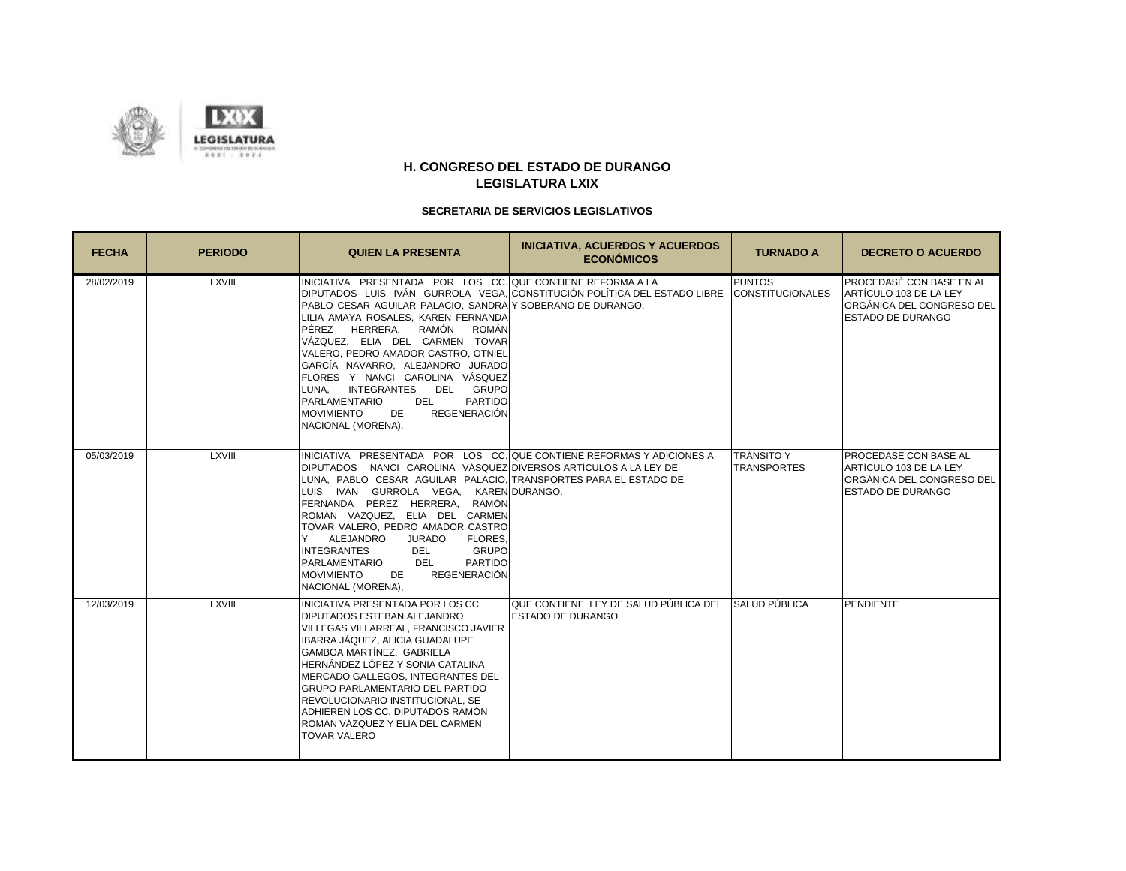

| <b>FECHA</b> | <b>PERIODO</b> | <b>QUIEN LA PRESENTA</b>                                                                                                                                                                                                                                                                                                                                                                                                                                                                                                                                                             | <b>INICIATIVA, ACUERDOS Y ACUERDOS</b><br><b>ECONÓMICOS</b>                     | <b>TURNADO A</b>                         | <b>DECRETO O ACUERDO</b>                                                                                 |
|--------------|----------------|--------------------------------------------------------------------------------------------------------------------------------------------------------------------------------------------------------------------------------------------------------------------------------------------------------------------------------------------------------------------------------------------------------------------------------------------------------------------------------------------------------------------------------------------------------------------------------------|---------------------------------------------------------------------------------|------------------------------------------|----------------------------------------------------------------------------------------------------------|
| 28/02/2019   | LXVIII         | IINICIATIVA PRESENTADA POR LOS CC. QUE CONTIENE REFORMA A LA<br>PABLO CESAR AGUILAR PALACIO, SANDRA Y SOBERANO DE DURANGO.<br>LILIA AMAYA ROSALES, KAREN FERNANDA<br>PÉREZ HERRERA.<br>RAMÓN ROMÁN<br>VÁZQUEZ, ELIA DEL CARMEN TOVAR<br>VALERO, PEDRO AMADOR CASTRO, OTNIEL<br>GARCÍA NAVARRO, ALEJANDRO JURADO<br>FLORES Y NANCI CAROLINA VÁSQUEZ<br><b>INTEGRANTES</b><br>DEL GRUPO<br>LUNA.<br><b>PARTIDO</b><br><b>PARLAMENTARIO</b><br><b>DEL</b><br><b>MOVIMIENTO</b><br><b>REGENERACIÓN</b><br>DE<br>NACIONAL (MORENA),                                                       | DIPUTADOS LUIS IVÁN GURROLA VEGA. CONSTITUCIÓN POLÍTICA DEL ESTADO LIBRE        | <b>PUNTOS</b><br><b>CONSTITUCIONALES</b> | PROCEDASÉ CON BASE EN AL<br>ARTÍCULO 103 DE LA LEY<br>ORGÁNICA DEL CONGRESO DEL<br>ESTADO DE DURANGO     |
| 05/03/2019   | <b>LXVIII</b>  | INICIATIVA PRESENTADA POR LOS CC. QUE CONTIENE REFORMAS Y ADICIONES A<br>DIPUTADOS – NANCL CAROLINA VÁSQUEZ DIVERSOS ARTÍCULOS A LA LEY DE<br>LUNA, PABLO CESAR AGUILAR PALACIO, TRANSPORTES PARA EL ESTADO DE<br>LUIS IVÁN GURROLA VEGA, KARENDURANGO.<br>FERNANDA PÉREZ HERRERA, RAMÓN<br>ROMÁN VÁZQUEZ, ELIA DEL CARMEN<br>TOVAR VALERO, PEDRO AMADOR CASTRO<br>ALEJANDRO<br><b>JURADO</b><br>FLORES.<br>Υ<br><b>GRUPO</b><br><b>DEL</b><br><b>INTEGRANTES</b><br><b>PARTIDO</b><br>PARLAMENTARIO<br>DEL.<br><b>MOVIMIENTO</b><br><b>REGENERACIÓN</b><br>DE<br>NACIONAL (MORENA), |                                                                                 | <b>TRÁNSITO Y</b><br><b>TRANSPORTES</b>  | PROCEDASE CON BASE AL<br>ARTICULO 103 DE LA LEY<br>ORGÁNICA DEL CONGRESO DEL<br><b>ESTADO DE DURANGO</b> |
| 12/03/2019   | <b>LXVIII</b>  | INICIATIVA PRESENTADA POR LOS CC.<br><b>DIPUTADOS ESTEBAN ALEJANDRO</b><br>VILLEGAS VILLARREAL, FRANCISCO JAVIER<br>IBARRA JÁQUEZ, ALICIA GUADALUPE<br>GAMBOA MARTÍNEZ. GABRIELA<br>HERNÁNDEZ LÓPEZ Y SONIA CATALINA<br><b>IMERCADO GALLEGOS. INTEGRANTES DEL</b><br><b>GRUPO PARLAMENTARIO DEL PARTIDO</b><br>REVOLUCIONARIO INSTITUCIONAL, SE<br>ADHIEREN LOS CC. DIPUTADOS RAMÓN<br>IROMÁN VÁZQUEZ Y ELIA DEL CARMEN<br><b>TOVAR VALERO</b>                                                                                                                                       | QUE CONTIENE LEY DE SALUD PÚBLICA DEL SALUD PÚBLICA<br><b>ESTADO DE DURANGO</b> |                                          | <b>PENDIENTE</b>                                                                                         |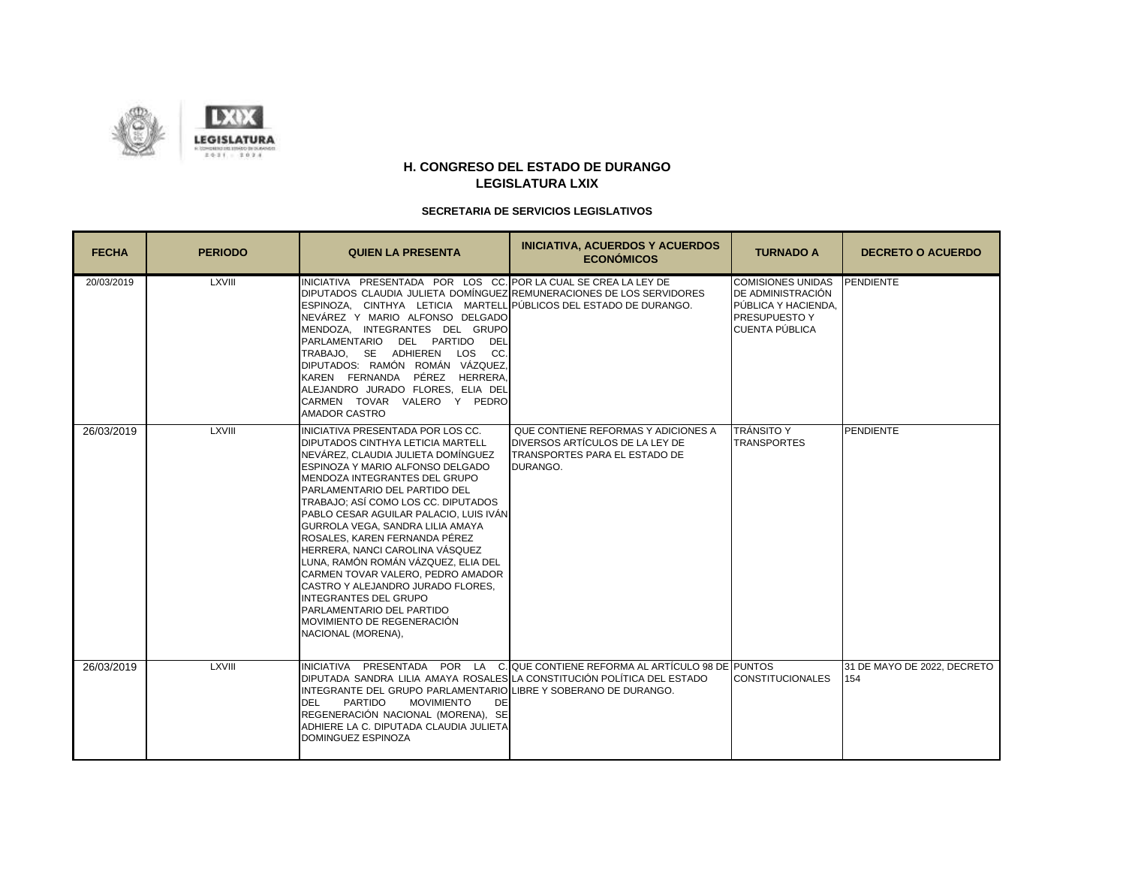

| <b>FECHA</b> | <b>PERIODO</b> | <b>QUIEN LA PRESENTA</b>                                                                                                                                                                                                                                                                                                                                                                                                                                                                                                                                                                                                                                     | <b>INICIATIVA, ACUERDOS Y ACUERDOS</b><br><b>ECONÓMICOS</b>                                                                         | <b>TURNADO A</b>                                                                                                      | <b>DECRETO O ACUERDO</b>           |
|--------------|----------------|--------------------------------------------------------------------------------------------------------------------------------------------------------------------------------------------------------------------------------------------------------------------------------------------------------------------------------------------------------------------------------------------------------------------------------------------------------------------------------------------------------------------------------------------------------------------------------------------------------------------------------------------------------------|-------------------------------------------------------------------------------------------------------------------------------------|-----------------------------------------------------------------------------------------------------------------------|------------------------------------|
| 20/03/2019   | <b>LXVIII</b>  | INICIATIVA PRESENTADA POR LOS CC. POR LA CUAL SE CREA LA LEY DE<br>DIPUTADOS CLAUDIA JULIETA DOMÍNGUEZ REMUNERACIONES DE LOS SERVIDORES<br>ESPINOZA, CINTHYA LETICIA MARTELL PÚBLICOS DEL ESTADO DE DURANGO.<br>NEVÁREZ Y MARIO ALFONSO DELGADO<br>MENDOZA, INTEGRANTES DEL GRUPO<br>PARLAMENTARIO DEL PARTIDO<br><b>DEL</b><br>TRABAJO, SE ADHIEREN LOS CC.<br>DIPUTADOS: RAMÓN ROMÁN VÁZQUEZ.<br>KAREN FERNANDA PÉREZ HERRERA,<br>ALEJANDRO JURADO FLORES, ELIA DEL<br>CARMEN TOVAR VALERO Y PEDRO<br><b>AMADOR CASTRO</b>                                                                                                                                 |                                                                                                                                     | <b>COMISIONES UNIDAS</b><br>DE ADMINISTRACIÓN<br>PÚBLICA Y HACIENDA,<br><b>PRESUPUESTO Y</b><br><b>CUENTA PÚBLICA</b> | PENDIENTE                          |
| 26/03/2019   | <b>LXVIII</b>  | INICIATIVA PRESENTADA POR LOS CC.<br><b>DIPUTADOS CINTHYA LETICIA MARTELL</b><br>INEVÁREZ. CLAUDIA JULIETA DOMÍNGUEZ<br>ESPINOZA Y MARIO ALFONSO DELGADO<br>MENDOZA INTEGRANTES DEL GRUPO<br>PARLAMENTARIO DEL PARTIDO DEL<br>TRABAJO: ASÍ COMO LOS CC. DIPUTADOS<br>PABLO CESAR AGUILAR PALACIO. LUIS IVÁN<br>GURROLA VEGA, SANDRA LILIA AMAYA<br>ROSALES. KAREN FERNANDA PÉREZ<br>HERRERA, NANCI CAROLINA VÁSQUEZ<br>LUNA, RAMÓN ROMÁN VÁZQUEZ, ELIA DEL<br>CARMEN TOVAR VALERO, PEDRO AMADOR<br>CASTRO Y ALEJANDRO JURADO FLORES,<br><b>INTEGRANTES DEL GRUPO</b><br><b>PARLAMENTARIO DEL PARTIDO</b><br>MOVIMIENTO DE REGENERACIÓN<br>NACIONAL (MORENA), | QUE CONTIENE REFORMAS Y ADICIONES A<br><b>IDIVERSOS ARTÍCULOS DE LA LEY DE</b><br><b>ITRANSPORTES PARA EL ESTADO DE</b><br>DURANGO. | <b>TRÁNSITO Y</b><br><b>TRANSPORTES</b>                                                                               | <b>PENDIENTE</b>                   |
| 26/03/2019   | <b>LXVIII</b>  | DIPUTADA SANDRA LILIA AMAYA ROSALES LA CONSTITUCIÓN POLÍTICA DEL ESTADO<br>INTEGRANTE DEL GRUPO PARLAMENTARIO LIBRE Y SOBERANO DE DURANGO.<br><b>DEL</b><br><b>PARTIDO</b><br><b>MOVIMIENTO</b><br>DE<br>REGENERACIÓN NACIONAL (MORENA), SE<br>ADHIERE LA C. DIPUTADA CLAUDIA JULIETA<br>DOMINGUEZ ESPINOZA                                                                                                                                                                                                                                                                                                                                                  | INICIATIVA PRESENTADA POR LA C. QUE CONTIENE REFORMA AL ARTÍCULO 98 DE PUNTOS.                                                      | <b>CONSTITUCIONALES</b>                                                                                               | 31 DE MAYO DE 2022. DECRETO<br>154 |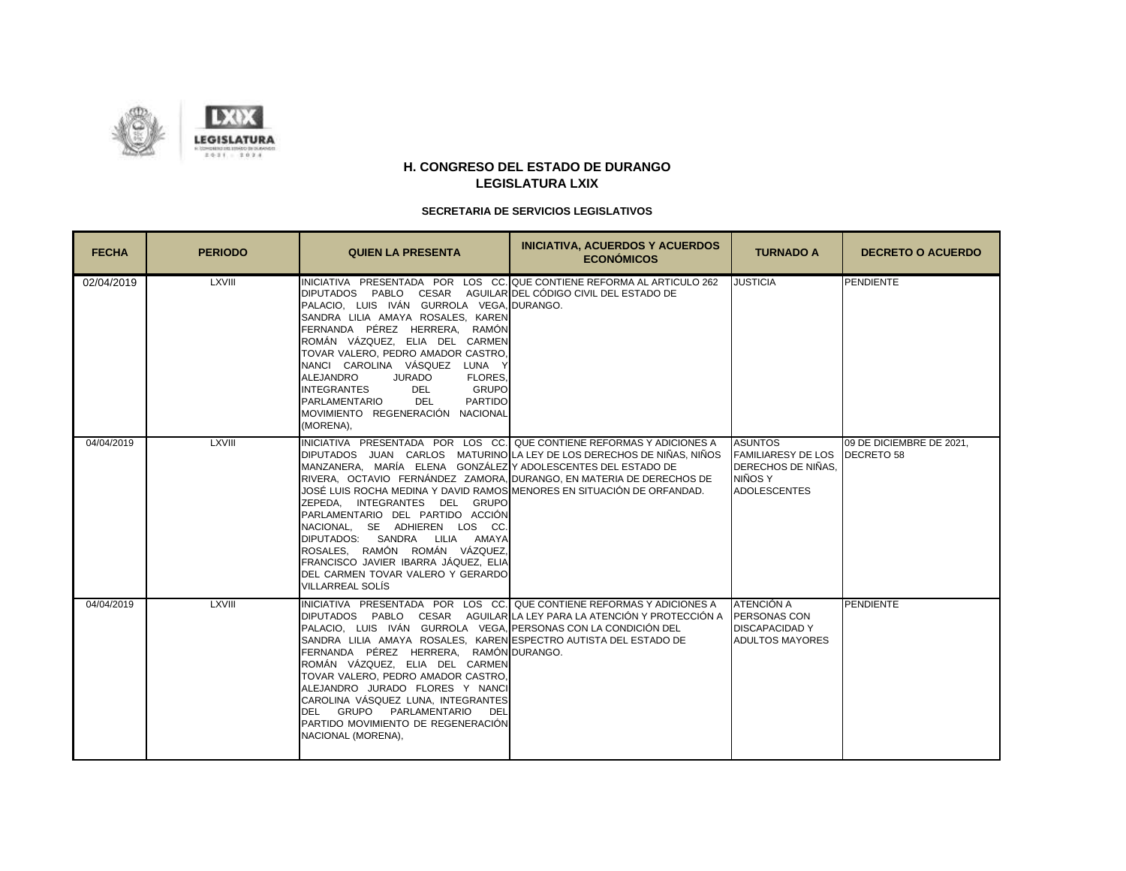

| <b>FECHA</b> | <b>PERIODO</b> | <b>QUIEN LA PRESENTA</b>                                                                                                                                                                                                                                                                                                                                                                                                                                                                                                                                                | <b>INICIATIVA, ACUERDOS Y ACUERDOS</b><br><b>ECONÓMICOS</b>                       | <b>TURNADO A</b>                                                                                               | <b>DECRETO O ACUERDO</b> |
|--------------|----------------|-------------------------------------------------------------------------------------------------------------------------------------------------------------------------------------------------------------------------------------------------------------------------------------------------------------------------------------------------------------------------------------------------------------------------------------------------------------------------------------------------------------------------------------------------------------------------|-----------------------------------------------------------------------------------|----------------------------------------------------------------------------------------------------------------|--------------------------|
| 02/04/2019   | LXVIII         | INICIATIVA PRESENTADA POR LOS CC. QUE CONTIENE REFORMA AL ARTICULO 262<br>DIPUTADOS PABLO CESAR AGUILARIDEL CÓDIGO CIVIL DEL ESTADO DE<br>PALACIO, LUIS IVÁN GURROLA VEGA, DURANGO.<br>SANDRA LILIA AMAYA ROSALES, KAREN<br>FERNANDA PÉREZ HERRERA, RAMÓN<br>ROMÁN VÁZQUEZ, ELIA DEL CARMEN<br>TOVAR VALERO, PEDRO AMADOR CASTRO,<br>NANCI CAROLINA VÁSQUEZ LUNA Y<br>ALEJANDRO<br><b>JURADO</b><br>FLORES.<br><b>GRUPO</b><br><b>INTEGRANTES</b><br>DEL.<br><b>DEL</b><br><b>PARTIDO</b><br><b>PARLAMENTARIO</b><br>MOVIMIENTO REGENERACIÓN NACIONAL<br>(MORENA),      |                                                                                   | <b>JUSTICIA</b>                                                                                                | PENDIENTE                |
| 04/04/2019   | <b>LXVIII</b>  | INICIATIVA PRESENTADA POR LOS CC. QUE CONTIENE REFORMAS Y ADICIONES A<br>MANZANERA, MARÍA ELENA GONZÁLEZ Y ADOLESCENTES DEL ESTADO DE<br>RIVERA, OCTAVIO FERNÁNDEZ ZAMORA, DURANGO, EN MATERIA DE DERECHOS DE<br>JOSÉ LUIS ROCHA MEDINA Y DAVID RAMOS MENORES EN SITUACIÓN DE ORFANDAD.<br>ZEPEDA. INTEGRANTES DEL GRUPO<br>PARLAMENTARIO DEL PARTIDO ACCIÓN<br>NACIONAL, SE ADHIEREN LOS CC.<br>DIPUTADOS: SANDRA LILIA AMAYA<br>ROSALES, RAMÓN ROMÁN VÁZQUEZ,<br>FRANCISCO JAVIER IBARRA JÁQUEZ. ELIA<br>DEL CARMEN TOVAR VALERO Y GERARDO<br><b>VILLARREAL SOLIS</b> | DIPUTADOS JUAN CARLOS MATURINO LA LEY DE LOS DERECHOS DE NIÑAS, NIÑOS             | <b>ASUNTOS</b><br><b>FAMILIARESY DE LOS DECRETO 58</b><br>DERECHOS DE NIÑAS.<br>NIÑOS Y<br><b>ADOLESCENTES</b> | 09 DE DICIEMBRE DE 2021. |
| 04/04/2019   | <b>LXVIII</b>  | INICIATIVA PRESENTADA POR LOS CC. QUE CONTIENE REFORMAS Y ADICIONES A<br>PALACIO, LUIS IVÁN GURROLA VEGA, PERSONAS CON LA CONDICIÓN DEL<br>SANDRA LILIA AMAYA ROSALES, KAREN ESPECTRO AUTISTA DEL ESTADO DE<br>FERNANDA PÉREZ HERRERA, RAMÓN DURANGO.<br>ROMÁN VÁZQUEZ, ELIA DEL CARMEN<br>TOVAR VALERO. PEDRO AMADOR CASTRO.<br>ALEJANDRO JURADO FLORES Y NANCI<br>CAROLINA VÁSQUEZ LUNA, INTEGRANTES<br>DEL GRUPO PARLAMENTARIO<br>DEL<br>PARTIDO MOVIMIENTO DE REGENERACIÓN<br>NACIONAL (MORENA),                                                                    | DIPUTADOS PABLO CESAR AGUILAR LA LEY PARA LA ATENCIÓN Y PROTECCIÓN A PERSONAS CON | ATENCIÓN A<br><b>DISCAPACIDAD Y</b><br><b>ADULTOS MAYORES</b>                                                  | <b>PENDIENTE</b>         |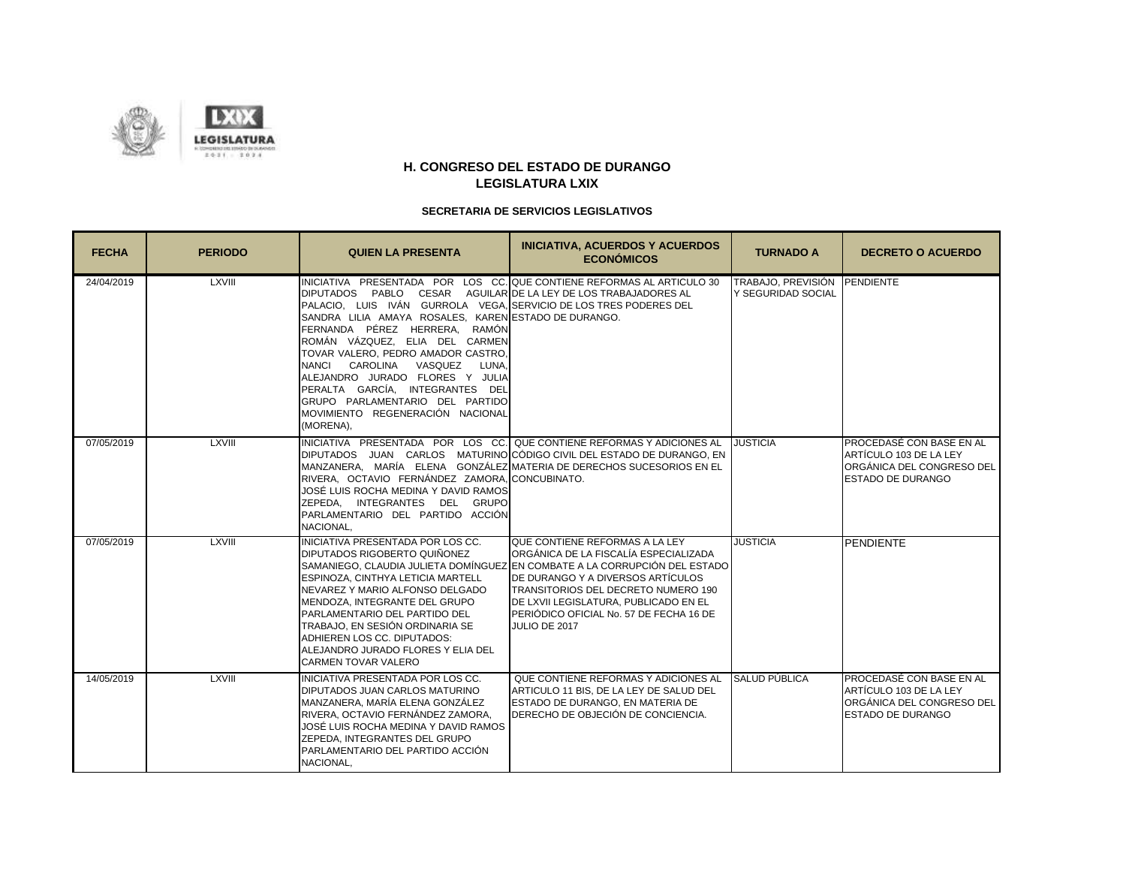

| <b>FECHA</b> | <b>PERIODO</b> | <b>QUIEN LA PRESENTA</b>                                                                                                                                                                                                                                                                                                                                                                                                                                                                                                                                                    | <b>INICIATIVA, ACUERDOS Y ACUERDOS</b><br><b>ECONÓMICOS</b>                                                                                                                                                                                                                                                                            | <b>TURNADO A</b>                                   | <b>DECRETO O ACUERDO</b>                                                                                    |
|--------------|----------------|-----------------------------------------------------------------------------------------------------------------------------------------------------------------------------------------------------------------------------------------------------------------------------------------------------------------------------------------------------------------------------------------------------------------------------------------------------------------------------------------------------------------------------------------------------------------------------|----------------------------------------------------------------------------------------------------------------------------------------------------------------------------------------------------------------------------------------------------------------------------------------------------------------------------------------|----------------------------------------------------|-------------------------------------------------------------------------------------------------------------|
| 24/04/2019   | <b>LXVIII</b>  | INICIATIVA PRESENTADA POR LOS CC. QUE CONTIENE REFORMAS AL ARTICULO 30<br>DIPUTADOS PABLO CESAR AGUILARIDE LA LEY DE LOS TRABAJADORES AL<br>PALACIO, LUIS IVÁN GURROLA VEGA, SERVICIO DE LOS TRES PODERES DEL<br>SANDRA LILIA AMAYA ROSALES. KAREN ESTADO DE DURANGO.<br>FERNANDA PÉREZ HERRERA, RAMÓN<br>ROMÁN VÁZQUEZ, ELIA DEL CARMEN<br>TOVAR VALERO. PEDRO AMADOR CASTRO.<br>NANCI CAROLINA VASQUEZ<br>LUNA.<br>ALEJANDRO JURADO FLORES Y JULIA<br>PERALTA GARCÍA, INTEGRANTES DEL<br>GRUPO PARLAMENTARIO DEL PARTIDO<br>MOVIMIENTO REGENERACIÓN NACIONAL<br>(MORENA), |                                                                                                                                                                                                                                                                                                                                        | TRABAJO, PREVISIÓN PENDIENTE<br>Y SEGURIDAD SOCIAL |                                                                                                             |
| 07/05/2019   | <b>LXVIII</b>  | RIVERA. OCTAVIO FERNÁNDEZ ZAMORA. CONCUBINATO.<br>JOSÉ LUIS ROCHA MEDINA Y DAVID RAMOS<br>ZEPEDA, INTEGRANTES DEL GRUPO<br>PARLAMENTARIO DEL PARTIDO ACCIÓN<br>NACIONAL.                                                                                                                                                                                                                                                                                                                                                                                                    | INICIATIVA PRESENTADA POR LOS CC. QUE CONTIENE REFORMAS Y ADICIONES AL<br>DIPUTADOS JUAN CARLOS MATURINO CÓDIGO CIVIL DEL ESTADO DE DURANGO, EN<br>MANZANERA, MARÍA ELENA GONZÁLEZ MATERIA DE DERECHOS SUCESORIOS EN EL                                                                                                                | <b>JUSTICIA</b>                                    | PROCEDASÉ CON BASE EN AL<br>ARTÍCULO 103 DE LA LEY<br>ORGÁNICA DEL CONGRESO DEL<br><b>ESTADO DE DURANGO</b> |
| 07/05/2019   | <b>LXVIII</b>  | INICIATIVA PRESENTADA POR LOS CC.<br>DIPUTADOS RIGOBERTO QUIÑONEZ<br>ESPINOZA, CINTHYA LETICIA MARTELL<br>NEVAREZ Y MARIO ALFONSO DELGADO<br>MENDOZA. INTEGRANTE DEL GRUPO<br>PARLAMENTARIO DEL PARTIDO DEL<br>TRABAJO, EN SESIÓN ORDINARIA SE<br>ADHIEREN LOS CC. DIPUTADOS:<br>ALEJANDRO JURADO FLORES Y ELIA DEL<br><b>CARMEN TOVAR VALERO</b>                                                                                                                                                                                                                           | QUE CONTIENE REFORMAS A LA LEY<br>ORGÁNICA DE LA FISCALÍA ESPECIALIZADA<br>SAMANIEGO, CLAUDIA JULIETA DOMÍNGUEZ EN COMBATE A LA CORRUPCIÓN DEL ESTADO<br>DE DURANGO Y A DIVERSOS ARTÍCULOS<br>TRANSITORIOS DEL DECRETO NUMERO 190<br>DE LXVII LEGISLATURA. PUBLICADO EN EL<br>PERIÓDICO OFICIAL No. 57 DE FECHA 16 DE<br>JULIO DE 2017 | <b>JUSTICIA</b>                                    | <b>PENDIENTE</b>                                                                                            |
| 14/05/2019   | <b>LXVIII</b>  | INICIATIVA PRESENTADA POR LOS CC.<br><b>DIPUTADOS JUAN CARLOS MATURINO</b><br>MANZANERA. MARÍA ELENA GONZÁLEZ<br>RIVERA, OCTAVIO FERNÁNDEZ ZAMORA.<br>JOSÉ LUIS ROCHA MEDINA Y DAVID RAMOS<br>ZEPEDA. INTEGRANTES DEL GRUPO<br>PARLAMENTARIO DEL PARTIDO ACCIÓN<br>NACIONAL,                                                                                                                                                                                                                                                                                                | QUE CONTIENE REFORMAS Y ADICIONES AL<br>ARTICULO 11 BIS. DE LA LEY DE SALUD DEL<br>ESTADO DE DURANGO, EN MATERIA DE<br>DERECHO DE OBJECIÓN DE CONCIENCIA.                                                                                                                                                                              | <b>SALUD PÚBLICA</b>                               | PROCEDASÉ CON BASE EN AL<br>ARTÍCULO 103 DE LA LEY<br>ORGÁNICA DEL CONGRESO DEL<br>ESTADO DE DURANGO        |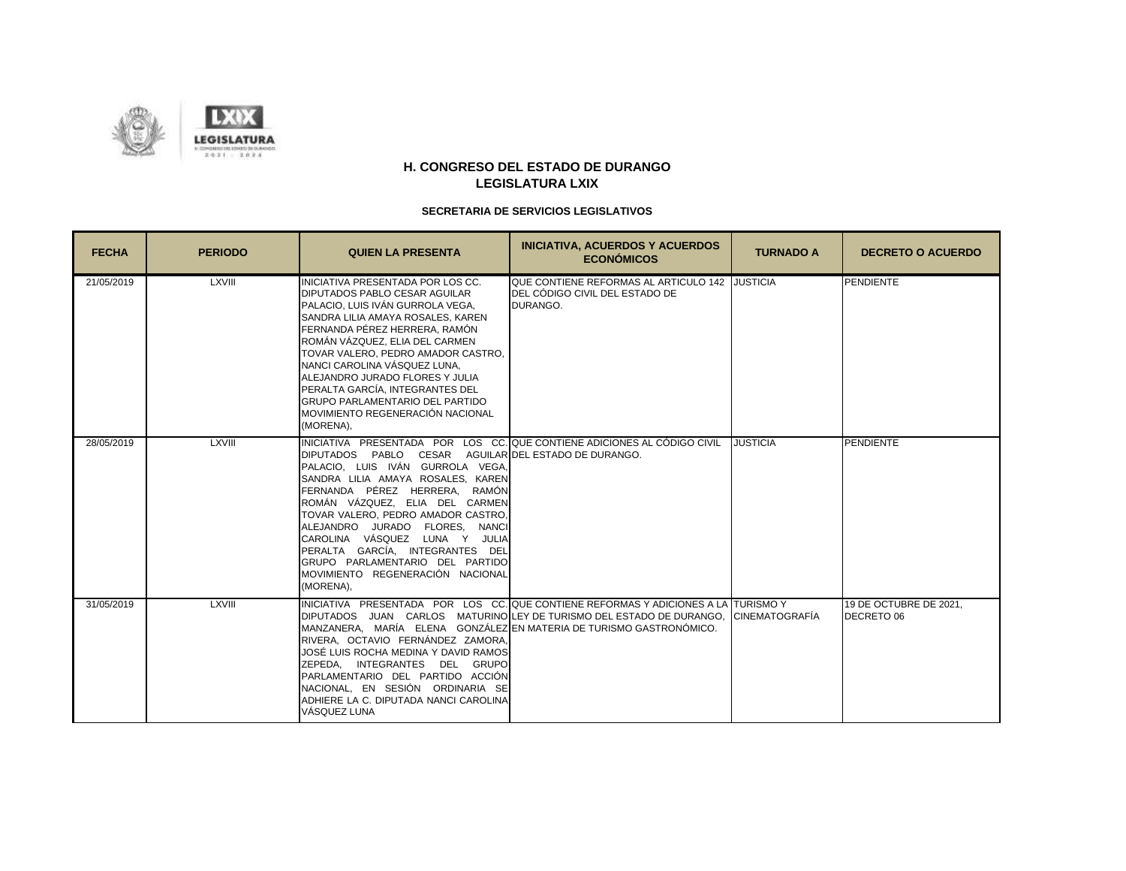

| <b>FECHA</b> | <b>PERIODO</b> | <b>QUIEN LA PRESENTA</b>                                                                                                                                                                                                                                                                                                                                                                                                                                     | <b>INICIATIVA, ACUERDOS Y ACUERDOS</b><br><b>ECONÓMICOS</b>                                                                                                                                                                                       | <b>TURNADO A</b> | <b>DECRETO O ACUERDO</b>             |
|--------------|----------------|--------------------------------------------------------------------------------------------------------------------------------------------------------------------------------------------------------------------------------------------------------------------------------------------------------------------------------------------------------------------------------------------------------------------------------------------------------------|---------------------------------------------------------------------------------------------------------------------------------------------------------------------------------------------------------------------------------------------------|------------------|--------------------------------------|
| 21/05/2019   | <b>LXVIII</b>  | INICIATIVA PRESENTADA POR LOS CC.<br><b>DIPUTADOS PABLO CESAR AGUILAR</b><br>PALACIO. LUIS IVÁN GURROLA VEGA.<br>SANDRA LILIA AMAYA ROSALES. KAREN<br>FERNANDA PÉREZ HERRERA, RAMÓN<br>ROMÁN VÁZQUEZ, ELIA DEL CARMEN<br>TOVAR VALERO, PEDRO AMADOR CASTRO,<br>NANCI CAROLINA VÁSQUEZ LUNA.<br>ALEJANDRO JURADO FLORES Y JULIA<br>PERALTA GARCÍA. INTEGRANTES DEL<br><b>GRUPO PARLAMENTARIO DEL PARTIDO</b><br>MOVIMIENTO REGENERACIÓN NACIONAL<br>(MORENA), | QUE CONTIENE REFORMAS AL ARTICULO 142 JJUSTICIA<br>IDEL CÓDIGO CIVIL DEL ESTADO DE<br>DURANGO.                                                                                                                                                    |                  | <b>PENDIENTE</b>                     |
| 28/05/2019   | <b>LXVIII</b>  | DIPUTADOS PABLO CESAR AGUILARIDELESTADO DE DURANGO.<br>PALACIO, LUIS IVÁN GURROLA VEGA,<br>SANDRA LILIA AMAYA ROSALES. KAREN<br>FERNANDA PÉREZ HERRERA, RAMÓN<br>ROMÁN VÁZQUEZ. ELIA DEL CARMEN<br>TOVAR VALERO, PEDRO AMADOR CASTRO,<br>ALEJANDRO JURADO FLORES, NANCI<br>CAROLINA VÁSQUEZ LUNA Y JULIA<br>PERALTA GARCÍA, INTEGRANTES DEL<br>GRUPO PARLAMENTARIO DEL PARTIDO<br>MOVIMIENTO REGENERACIÓN NACIONAL<br>(MORENA),                              | INICIATIVA PRESENTADA POR LOS CC. QUE CONTIENE ADICIONES AL CÓDIGO CIVIL                                                                                                                                                                          | <b>JUSTICIA</b>  | <b>PENDIENTE</b>                     |
| 31/05/2019   | <b>LXVIII</b>  | RIVERA. OCTAVIO FERNÁNDEZ ZAMORA.<br>JOSÉ LUIS ROCHA MEDINA Y DAVID RAMOS<br>ZEPEDA, INTEGRANTES DEL GRUPO<br>PARLAMENTARIO DEL PARTIDO ACCIÓN<br>NACIONAL, EN SESIÓN ORDINARIA SE<br>ADHIERE LA C. DIPUTADA NANCI CAROLINA<br>VÁSQUEZ LUNA                                                                                                                                                                                                                  | INICIATIVA PRESENTADA POR LOS CC. QUE CONTIENE REFORMAS Y ADICIONES A LA ITURISMO Y<br>DIPUTADOS JUAN CARLOS MATURINO LEY DE TURISMO DEL ESTADO DE DURANGO, CINEMATOGRAFÍA<br>MANZANERA. MARÍA ELENA GONZÁLEZIEN MATERIA DE TURISMO GASTRONÓMICO. |                  | 19 DE OCTUBRE DE 2021,<br>DECRETO 06 |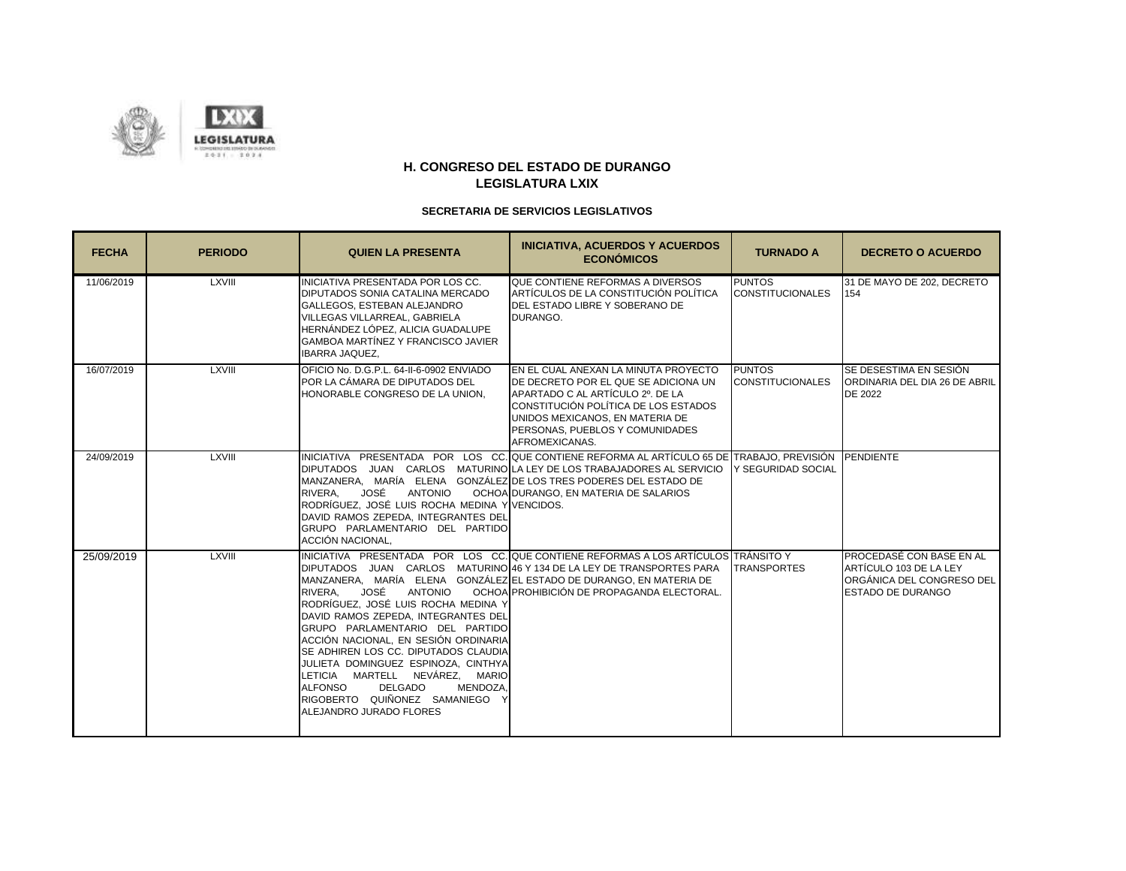

| <b>FECHA</b> | <b>PERIODO</b> | <b>QUIEN LA PRESENTA</b>                                                                                                                                                                                                                                                                                                                                                                                                                                                                           | <b>INICIATIVA, ACUERDOS Y ACUERDOS</b><br><b>ECONÓMICOS</b>                                                                                                                                                                                                      | <b>TURNADO A</b>                         | <b>DECRETO O ACUERDO</b>                                                                                    |
|--------------|----------------|----------------------------------------------------------------------------------------------------------------------------------------------------------------------------------------------------------------------------------------------------------------------------------------------------------------------------------------------------------------------------------------------------------------------------------------------------------------------------------------------------|------------------------------------------------------------------------------------------------------------------------------------------------------------------------------------------------------------------------------------------------------------------|------------------------------------------|-------------------------------------------------------------------------------------------------------------|
| 11/06/2019   | <b>LXVIII</b>  | INICIATIVA PRESENTADA POR LOS CC.<br><b>DIPUTADOS SONIA CATALINA MERCADO</b><br>GALLEGOS, ESTEBAN ALEJANDRO<br>VILLEGAS VILLARREAL, GABRIELA<br>HERNÁNDEZ LÓPEZ, ALICIA GUADALUPE<br>GAMBOA MARTÍNEZ Y FRANCISCO JAVIER<br><b>IBARRA JAQUEZ.</b>                                                                                                                                                                                                                                                   | QUE CONTIENE REFORMAS A DIVERSOS<br>ARTÍCULOS DE LA CONSTITUCIÓN POLÍTICA<br>DEL ESTADO LIBRE Y SOBERANO DE<br>DURANGO.                                                                                                                                          | <b>PUNTOS</b><br><b>CONSTITUCIONALES</b> | 31 DE MAYO DE 202, DECRETO<br>154                                                                           |
| 16/07/2019   | LXVIII         | OFICIO No. D.G.P.L. 64-II-6-0902 ENVIADO<br>POR LA CÁMARA DE DIPUTADOS DEL<br>HONORABLE CONGRESO DE LA UNION.                                                                                                                                                                                                                                                                                                                                                                                      | <b>IEN EL CUAL ANEXAN LA MINUTA PROYECTO</b><br>DE DECRETO POR EL QUE SE ADICIONA UN<br>APARTADO C AL ARTÍCULO 2º. DE LA<br><b>ICONSTITUCIÓN POLÍTICA DE LOS ESTADOS</b><br>UNIDOS MEXICANOS. EN MATERIA DE<br>PERSONAS, PUEBLOS Y COMUNIDADES<br>AFROMEXICANAS. | <b>PUNTOS</b><br><b>CONSTITUCIONALES</b> | SE DESESTIMA EN SESIÓN<br>ORDINARIA DEL DIA 26 DE ABRIL<br><b>DE 2022</b>                                   |
| 24/09/2019   | <b>LXVIII</b>  | MANZANERA, MARÍA ELENA GONZÁLEZIDE LOS TRES PODERES DEL ESTADO DE<br>JOSÉ<br><b>ANTONIO</b><br>RIVERA.<br>RODRÍGUEZ, JOSÉ LUIS ROCHA MEDINA Y VENCIDOS.<br>DAVID RAMOS ZEPEDA, INTEGRANTES DEL<br>GRUPO PARLAMENTARIO DEL PARTIDO<br>ACCIÓN NACIONAL.                                                                                                                                                                                                                                              | INICIATIVA PRESENTADA POR LOS CC. QUE CONTIENE REFORMA AL ARTÍCULO 65 DE TRABAJO, PREVISIÓN PENDIENTE<br>DIPUTADOS JUAN CARLOS MATURINO LA LEY DE LOS TRABAJADORES AL SERVICIO<br>OCHOA DURANGO, EN MATERIA DE SALARIOS                                          | Y SEGURIDAD SOCIAL                       |                                                                                                             |
| 25/09/2019   | <b>LXVIII</b>  | MANZANERA, MARÍA ELENA GONZÁLEZ EL ESTADO DE DURANGO, EN MATERIA DE<br>ANTONIO<br>RIVERA.<br>JOSÉ<br>RODRÍGUEZ, JOSÉ LUIS ROCHA MEDINA Y<br>DAVID RAMOS ZEPEDA, INTEGRANTES DEL<br>GRUPO PARLAMENTARIO DEL PARTIDO<br>ACCIÓN NACIONAL. EN SESIÓN ORDINARIA<br>SE ADHIREN LOS CC. DIPUTADOS CLAUDIA<br>JULIETA DOMINGUEZ ESPINOZA, CINTHYA<br>LETICIA MARTELL NEVÁREZ.<br><b>MARIO</b><br><b>ALFONSO</b><br><b>DELGADO</b><br>MENDOZA,<br>RIGOBERTO QUIÑONEZ SAMANIEGO Y<br>ALEJANDRO JURADO FLORES | INICIATIVA PRESENTADA POR LOS CC. QUE CONTIENE REFORMAS A LOS ARTÍCULOS TRÁNSITO Y<br>DIPUTADOS JUAN CARLOS MATURINO 46 Y 134 DE LA LEY DE TRANSPORTES PARA<br>OCHOA PROHIBICIÓN DE PROPAGANDA ELECTORAL.                                                        | <b>TRANSPORTES</b>                       | PROCEDASÉ CON BASE EN AL<br>ARTÍCULO 103 DE LA LEY<br>ORGÁNICA DEL CONGRESO DEL<br><b>ESTADO DE DURANGO</b> |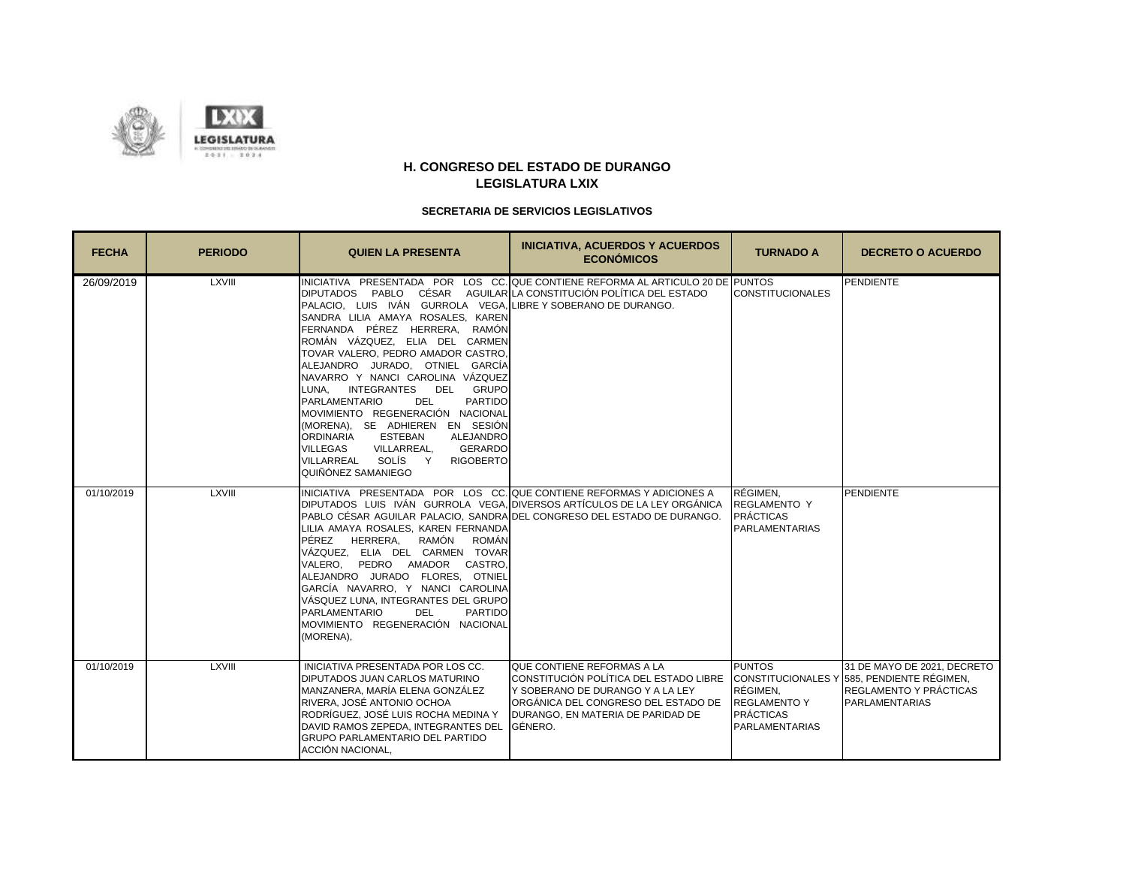

| <b>FECHA</b> | <b>PERIODO</b> | <b>QUIEN LA PRESENTA</b>                                                                                                                                                                                                                                                                                                                                                                                                                                                                                                                                                                                                                                                                           | <b>INICIATIVA, ACUERDOS Y ACUERDOS</b><br><b>ECONÓMICOS</b>                                                                                                                                     | <b>TURNADO A</b>                                                                              | <b>DECRETO O ACUERDO</b>                                                                                                     |
|--------------|----------------|----------------------------------------------------------------------------------------------------------------------------------------------------------------------------------------------------------------------------------------------------------------------------------------------------------------------------------------------------------------------------------------------------------------------------------------------------------------------------------------------------------------------------------------------------------------------------------------------------------------------------------------------------------------------------------------------------|-------------------------------------------------------------------------------------------------------------------------------------------------------------------------------------------------|-----------------------------------------------------------------------------------------------|------------------------------------------------------------------------------------------------------------------------------|
| 26/09/2019   | <b>LXVIII</b>  | DIPUTADOS PABLO CÉSAR AGUILARILA CONSTITUCIÓN POLÍTICA DEL ESTADO<br>PALACIO. LUIS IVÁN GURROLA VEGA. LIBRE Y SOBERANO DE DURANGO.<br>SANDRA LILIA AMAYA ROSALES. KAREN<br>FERNANDA PÉREZ HERRERA, RAMÓN<br>ROMÁN VÁZQUEZ, ELIA DEL CARMEN<br>TOVAR VALERO, PEDRO AMADOR CASTRO,<br>ALEJANDRO JURADO, OTNIEL GARCÍA<br>NAVARRO Y NANCI CAROLINA VÁZQUEZ<br>DEL GRUPO<br>LUNA.<br><b>INTEGRANTES</b><br><b>PARTIDO</b><br><b>PARLAMENTARIO</b><br><b>DEL</b><br>MOVIMIENTO REGENERACIÓN NACIONAL<br>(MORENA), SE ADHIEREN EN SESIÓN<br><b>ORDINARIA</b><br>ESTEBAN<br>ALEJANDRO<br><b>VILLEGAS</b><br><b>GERARDO</b><br>VILLARREAL.<br>VILLARREAL SOLÍS Y<br><b>RIGOBERTO</b><br>QUIÑÓNEZ SAMANIEGO | INICIATIVA PRESENTADA POR LOS CC. QUE CONTIENE REFORMA AL ARTICULO 20 DE PUNTOS                                                                                                                 | <b>CONSTITUCIONALES</b>                                                                       | PENDIENTE                                                                                                                    |
| 01/10/2019   | LXVIII         | INICIATIVA PRESENTADA POR LOS CC. QUE CONTIENE REFORMAS Y ADICIONES A<br>LILIA AMAYA ROSALES, KAREN FERNANDA<br>RAMÓN ROMÁN<br>PÉREZ HERRERA,<br>VÁZQUEZ, ELIA DEL CARMEN TOVAR<br>VALERO, PEDRO AMADOR CASTRO,<br>ALEJANDRO JURADO FLORES. OTNIEL<br>GARCÍA NAVARRO, Y NANCI CAROLINA<br>VÁSQUEZ LUNA, INTEGRANTES DEL GRUPO<br><b>PARLAMENTARIO</b><br><b>DEL</b><br><b>PARTIDO</b><br>MOVIMIENTO REGENERACIÓN NACIONAL<br>(MORENA),                                                                                                                                                                                                                                                             | DIPUTADOS LUIS IVÁN GURROLA VEGA DIVERSOS ARTÍCULOS DE LA LEY ORGÁNICA REGLAMENTO Y<br>PABLO CÉSAR AGUILAR PALACIO, SANDRA DEL CONGRESO DEL ESTADO DE DURANGO.                                  | RÉGIMEN.<br><b>PRÁCTICAS</b><br><b>PARLAMENTARIAS</b>                                         | <b>PENDIENTE</b>                                                                                                             |
| 01/10/2019   | <b>LXVIII</b>  | INICIATIVA PRESENTADA POR LOS CC.<br>DIPUTADOS JUAN CARLOS MATURINO<br>MANZANERA, MARÍA ELENA GONZÁLEZ<br>RIVERA, JOSÉ ANTONIO OCHOA<br>RODRÍGUEZ, JOSÉ LUIS ROCHA MEDINA Y<br>DAVID RAMOS ZEPEDA, INTEGRANTES DEL<br><b>GRUPO PARLAMENTARIO DEL PARTIDO</b><br>ACCIÓN NACIONAL.                                                                                                                                                                                                                                                                                                                                                                                                                   | QUE CONTIENE REFORMAS A LA<br>CONSTITUCIÓN POLÍTICA DEL ESTADO LIBRE<br>Y SOBERANO DE DURANGO Y A LA LEY<br>ORGÁNICA DEL CONGRESO DEL ESTADO DE<br>DURANGO, EN MATERIA DE PARIDAD DE<br>GÉNERO. | <b>PUNTOS</b><br>RÉGIMEN,<br><b>REGLAMENTO Y</b><br><b>PRÁCTICAS</b><br><b>PARLAMENTARIAS</b> | 31 DE MAYO DE 2021, DECRETO<br>CONSTITUCIONALES Y 585, PENDIENTE RÉGIMEN.<br>REGLAMENTO Y PRÁCTICAS<br><b>PARLAMENTARIAS</b> |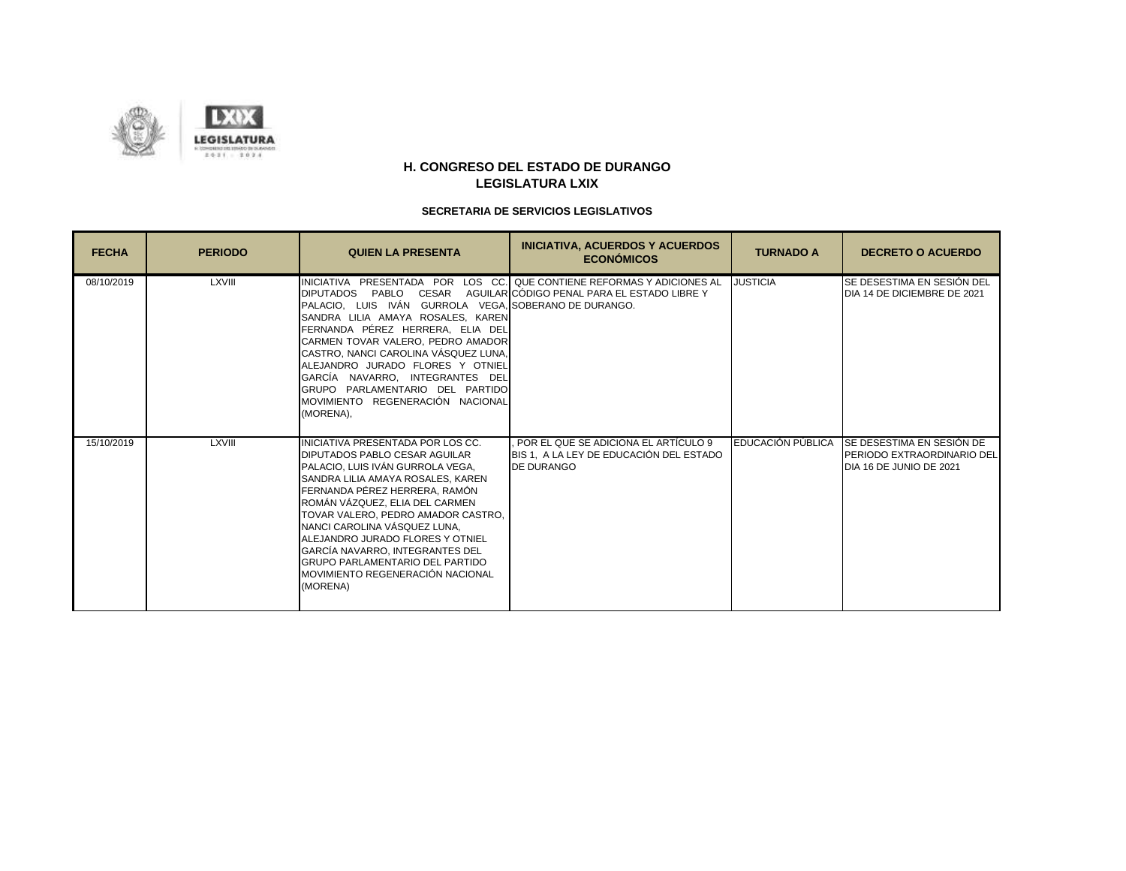

| <b>FECHA</b> | <b>PERIODO</b> | <b>QUIEN LA PRESENTA</b>                                                                                                                                                                                                                                                                                                                                                                                                                                            | <b>INICIATIVA, ACUERDOS Y ACUERDOS</b><br><b>ECONÓMICOS</b>                                                            | <b>TURNADO A</b>  | <b>DECRETO O ACUERDO</b>                                                           |
|--------------|----------------|---------------------------------------------------------------------------------------------------------------------------------------------------------------------------------------------------------------------------------------------------------------------------------------------------------------------------------------------------------------------------------------------------------------------------------------------------------------------|------------------------------------------------------------------------------------------------------------------------|-------------------|------------------------------------------------------------------------------------|
| 08/10/2019   | <b>LXVIII</b>  | <b>DIPUTADOS</b><br>PABLO<br>CESAR<br>PALACIO. LUIS IVÁN GURROLA VEGA. SOBERANO DE DURANGO.<br>SANDRA LILIA AMAYA ROSALES, KAREN<br>FERNANDA PÉREZ HERRERA, ELIA DEL<br>CARMEN TOVAR VALERO, PEDRO AMADOR<br>CASTRO. NANCI CAROLINA VÁSQUEZ LUNA.<br>ALEJANDRO JURADO FLORES Y OTNIEL<br>GARCÍA NAVARRO, INTEGRANTES DEL<br>GRUPO PARLAMENTARIO DEL PARTIDO<br>MOVIMIENTO REGENERACIÓN NACIONAL<br>(MORENA),                                                        | IINICIATIVA PRESENTADA POR LOS CC. QUE CONTIENE REFORMAS Y ADICIONES AL<br>AGUILAR CÓDIGO PENAL PARA EL ESTADO LIBRE Y | <b>JUSTICIA</b>   | SE DESESTIMA EN SESIÓN DEL<br>DIA 14 DE DICIEMBRE DE 2021                          |
| 15/10/2019   | LXVIII         | INICIATIVA PRESENTADA POR LOS CC.<br><b>DIPUTADOS PABLO CESAR AGUILAR</b><br>PALACIO, LUIS IVÁN GURROLA VEGA,<br><b>SANDRA LILIA AMAYA ROSALES. KAREN</b><br>FERNANDA PÉREZ HERRERA. RAMÓN<br>ROMÁN VÁZQUEZ. ELIA DEL CARMEN<br>TOVAR VALERO, PEDRO AMADOR CASTRO,<br>NANCI CAROLINA VÁSQUEZ LUNA.<br>ALEJANDRO JURADO FLORES Y OTNIEL<br>GARCÍA NAVARRO, INTEGRANTES DEL<br><b>GRUPO PARLAMENTARIO DEL PARTIDO</b><br>MOVIMIENTO REGENERACIÓN NACIONAL<br>(MORENA) | POR EL QUE SE ADICIONA EL ARTÍCULO 9<br>BIS 1. A LA LEY DE EDUCACIÓN DEL ESTADO<br><b>DE DURANGO</b>                   | EDUCACIÓN PÚBLICA | SE DESESTIMA EN SESIÓN DE<br>PERIODO EXTRAORDINARIO DEL<br>DIA 16 DE JUNIO DE 2021 |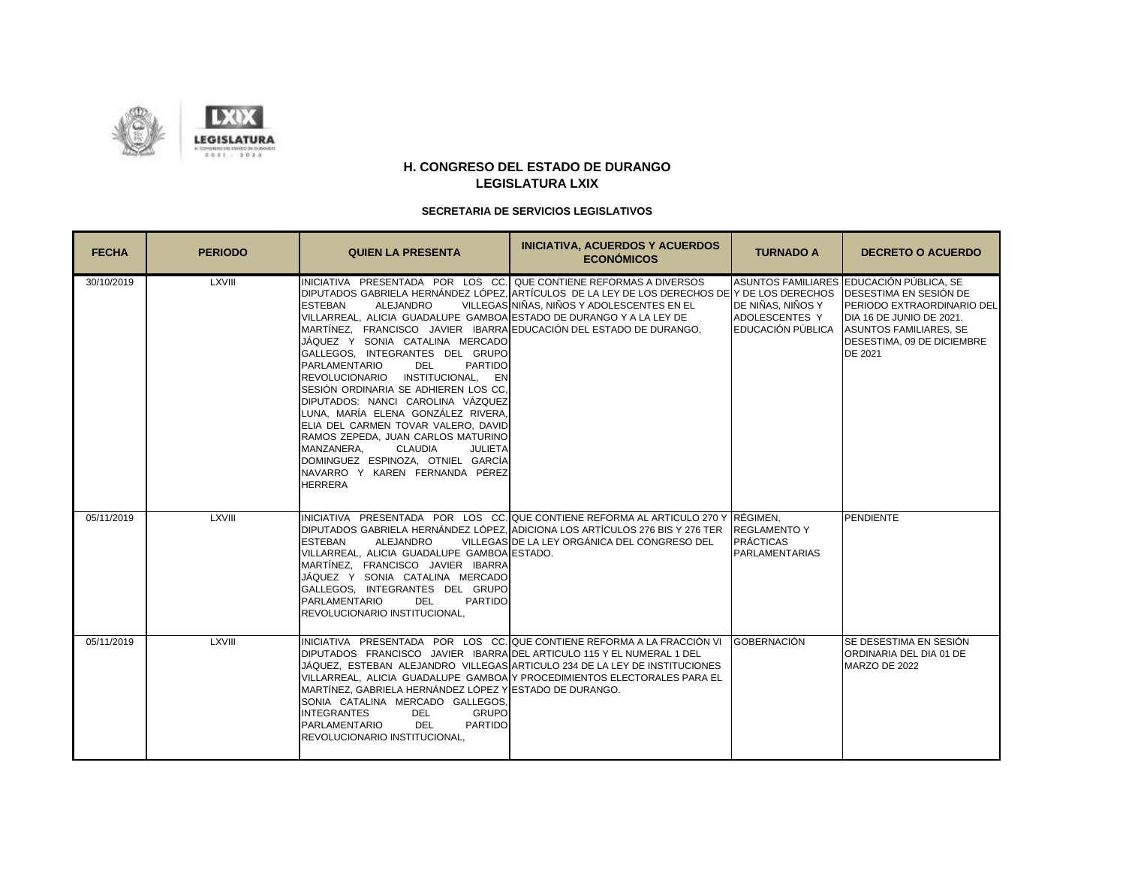

| <b>FECHA</b> | <b>PERIODO</b> | <b>QUIEN LA PRESENTA</b>                                                                                                                                                                                                                                                                                                                                                                                                                                                                                                                                                                                                                                                                                                                                           | <b>INICIATIVA, ACUERDOS Y ACUERDOS</b><br><b>ECONÓMICOS</b>                                                                                                                                                                         | <b>TURNADO A</b>                                                 | <b>DECRETO O ACUERDO</b>                                                                                                                                                     |
|--------------|----------------|--------------------------------------------------------------------------------------------------------------------------------------------------------------------------------------------------------------------------------------------------------------------------------------------------------------------------------------------------------------------------------------------------------------------------------------------------------------------------------------------------------------------------------------------------------------------------------------------------------------------------------------------------------------------------------------------------------------------------------------------------------------------|-------------------------------------------------------------------------------------------------------------------------------------------------------------------------------------------------------------------------------------|------------------------------------------------------------------|------------------------------------------------------------------------------------------------------------------------------------------------------------------------------|
| 30/10/2019   | <b>LXVIII</b>  | INICIATIVA PRESENTADA POR LOS CC. QUE CONTIENE REFORMAS A DIVERSOS<br><b>ESTEBAN</b><br><b>ALEJANDRO</b><br>VILLARREAL. ALICIA GUADALUPE GAMBOA ESTADO DE DURANGO Y A LA LEY DE<br>MARTÍNEZ. FRANCISCO JAVIER IBARRA EDUCACIÓN DEL ESTADO DE DURANGO.<br>JÁQUEZ Y SONIA CATALINA MERCADO<br>GALLEGOS. INTEGRANTES DEL GRUPO<br><b>PARLAMENTARIO</b><br><b>DEL</b><br><b>PARTIDO</b><br>REVOLUCIONARIO INSTITUCIONAL. EN<br>SESIÓN ORDINARIA SE ADHIEREN LOS CC.<br>DIPUTADOS: NANCI CAROLINA VÁZQUEZ<br>LUNA, MARÍA ELENA GONZÁLEZ RIVERA,<br>ELIA DEL CARMEN TOVAR VALERO. DAVID<br>RAMOS ZEPEDA, JUAN CARLOS MATURINO<br><b>CLAUDIA</b><br>MANZANERA,<br><b>JULIETA</b><br>DOMINGUEZ ESPINOZA, OTNIEL GARCÍA<br>NAVARRO Y KAREN FERNANDA PÉREZ<br><b>HERRERA</b> | DIPUTADOS GABRIELA HERNÁNDEZ LÓPEZ ARTÍCULOS DE LA LEY DE LOS DERECHOS DE Y DE LOS DERECHOS DESESTIMA EN SESIÓN DE<br>VILLEGAS NIÑAS, NIÑOS Y ADOLESCENTES EN EL                                                                    | DE NIÑAS, NIÑOS Y<br>ADOLESCENTES Y<br>EDUCACIÓN PÚBLICA         | ASUNTOS FAMILIARES EDUCACIÓN PÚBLICA. SE<br><b>PERIODO EXTRAORDINARIO DEL</b><br>DIA 16 DE JUNIO DE 2021.<br>ASUNTOS FAMILIARES. SE<br>DESESTIMA, 09 DE DICIEMBRE<br>DE 2021 |
| 05/11/2019   | <b>LXVIII</b>  | ALEJANDRO<br><b>ESTEBAN</b><br>VILLARREAL, ALICIA GUADALUPE GAMBOA ESTADO.<br>MARTÍNEZ, FRANCISCO JAVIER IBARRA<br>JÁQUEZ Y SONIA CATALINA MERCADO<br>GALLEGOS, INTEGRANTES DEL GRUPO<br><b>PARLAMENTARIO</b><br><b>PARTIDO</b><br><b>DEL</b><br>REVOLUCIONARIO INSTITUCIONAL.                                                                                                                                                                                                                                                                                                                                                                                                                                                                                     | INICIATIVA PRESENTADA POR LOS CC. QUE CONTIENE REFORMA AL ARTICULO 270 Y RÉGIMEN.<br>DIPUTADOS GABRIELA HERNÁNDEZ LÓPEZ. ADICIONA LOS ARTÍCULOS 276 BIS Y 276 TER<br>VILLEGAS DE LA LEY ORGÁNICA DEL CONGRESO DEL                   | <b>REGLAMENTO Y</b><br><b>PRÁCTICAS</b><br><b>PARLAMENTARIAS</b> | <b>PENDIENTE</b>                                                                                                                                                             |
| 05/11/2019   | <b>LXVIII</b>  | DIPUTADOS FRANCISCO JAVIER IBARRA DEL ARTICULO 115 Y EL NUMERAL 1 DEL<br>MARTÍNEZ, GABRIELA HERNÁNDEZ LÓPEZ Y ESTADO DE DURANGO.<br>SONIA CATALINA MERCADO GALLEGOS,<br><b>INTEGRANTES</b><br><b>DEL</b><br><b>GRUPO</b><br><b>PARTIDO</b><br><b>PARLAMENTARIO</b><br>DEL.<br>REVOLUCIONARIO INSTITUCIONAL.                                                                                                                                                                                                                                                                                                                                                                                                                                                        | INICIATIVA PRESENTADA POR LOS CC. IQUE CONTIENE REFORMA A LA FRACCIÓN VI.<br>JÁQUEZ, ESTEBAN ALEJANDRO VILLEGAS ARTICULO 234 DE LA LEY DE INSTITUCIONES<br>VILLARREAL, ALICIA GUADALUPE GAMBOA Y PROCEDIMIENTOS ELECTORALES PARA EL | <b>GOBERNACIÓN</b>                                               | SE DESESTIMA EN SESIÓN<br>ORDINARIA DEL DIA 01 DE<br>MARZO DE 2022                                                                                                           |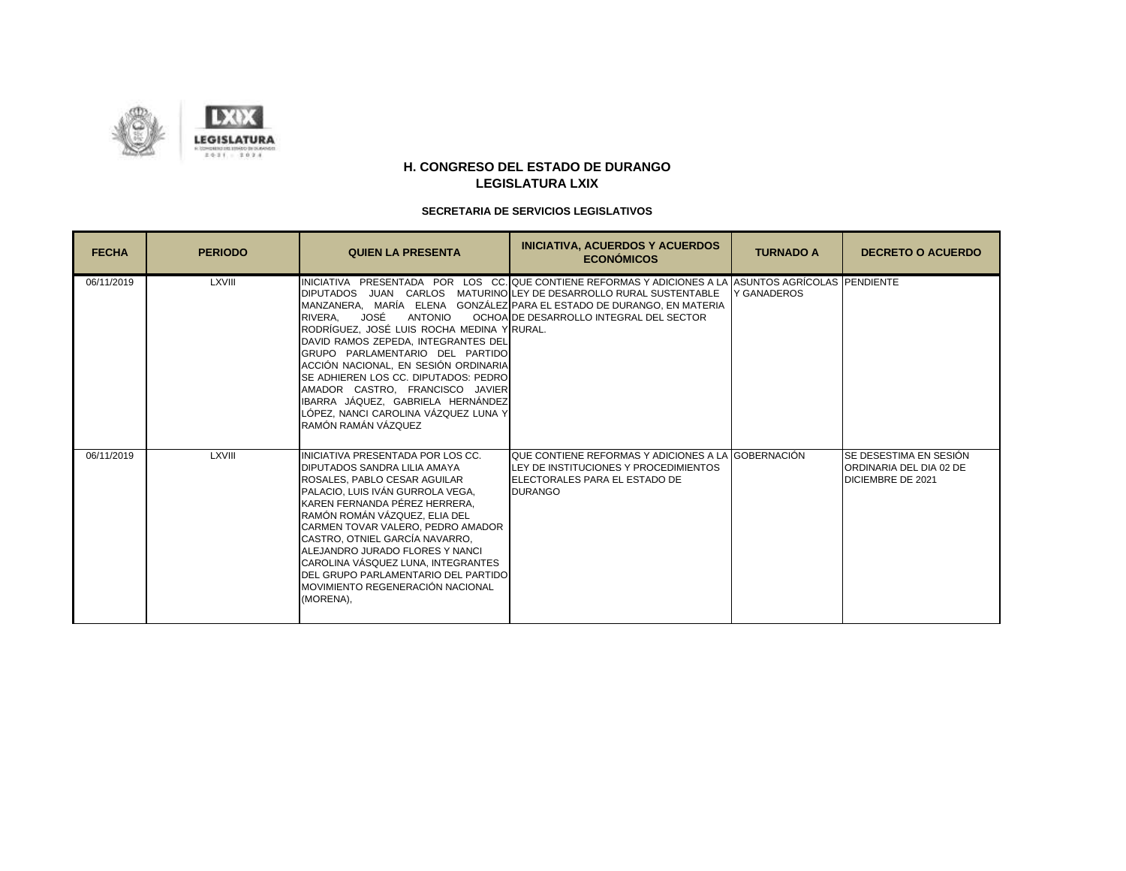

| <b>FECHA</b> | <b>PERIODO</b> | <b>QUIEN LA PRESENTA</b>                                                                                                                                                                                                                                                                                                                                                                                                                        | <b>INICIATIVA, ACUERDOS Y ACUERDOS</b><br><b>ECONÓMICOS</b>                                                                                                                                                                                                                                    | <b>TURNADO A</b> | <b>DECRETO O ACUERDO</b>                                               |
|--------------|----------------|-------------------------------------------------------------------------------------------------------------------------------------------------------------------------------------------------------------------------------------------------------------------------------------------------------------------------------------------------------------------------------------------------------------------------------------------------|------------------------------------------------------------------------------------------------------------------------------------------------------------------------------------------------------------------------------------------------------------------------------------------------|------------------|------------------------------------------------------------------------|
| 06/11/2019   | <b>LXVIII</b>  | ANTONIO<br>RIVERA.<br>JOSÉ<br>RODRÍGUEZ, JOSÉ LUIS ROCHA MEDINA Y RURAL.<br>DAVID RAMOS ZEPEDA, INTEGRANTES DEL<br>GRUPO PARLAMENTARIO DEL PARTIDO<br>ACCIÓN NACIONAL. EN SESIÓN ORDINARIA<br>SE ADHIEREN LOS CC. DIPUTADOS: PEDRO<br>AMADOR CASTRO. FRANCISCO JAVIER<br>IBARRA JÁQUEZ, GABRIELA HERNÁNDEZ<br>LÓPEZ, NANCI CAROLINA VÁZQUEZ LUNA Y<br>RAMÓN RAMÁN VÁZQUEZ                                                                       | INICIATIVA PRESENTADA POR LOS CC. QUE CONTIENE REFORMAS Y ADICIONES A LA ASUNTOS AGRÍCOLAS PENDIENTE<br>DIPUTADOS JUAN CARLOS MATURINO LEY DE DESARROLLO RURAL SUSTENTABLE<br>MANZANERA. MARÍA ELENA GONZÁLEZ PARA EL ESTADO DE DURANGO. EN MATERIA<br>OCHOAIDE DESARROLLO INTEGRAL DEL SECTOR | Y GANADEROS      |                                                                        |
| 06/11/2019   | LXVIII         | INICIATIVA PRESENTADA POR LOS CC.<br>DIPUTADOS SANDRA LILIA AMAYA<br>ROSALES. PABLO CESAR AGUILAR<br>PALACIO, LUIS IVÁN GURROLA VEGA,<br>KAREN FERNANDA PÉREZ HERRERA.<br>RAMÓN ROMÁN VÁZQUEZ, ELIA DEL<br>CARMEN TOVAR VALERO, PEDRO AMADOR<br>CASTRO, OTNIEL GARCÍA NAVARRO,<br>ALEJANDRO JURADO FLORES Y NANCI<br>CAROLINA VÁSQUEZ LUNA. INTEGRANTES<br>DEL GRUPO PARLAMENTARIO DEL PARTIDO<br>MOVIMIENTO REGENERACIÓN NACIONAL<br>(MORENA), | QUE CONTIENE REFORMAS Y ADICIONES A LA GOBERNACIÓN<br>LEY DE INSTITUCIONES Y PROCEDIMIENTOS<br>ELECTORALES PARA EL ESTADO DE<br><b>DURANGO</b>                                                                                                                                                 |                  | SE DESESTIMA EN SESIÓN<br>ORDINARIA DEL DIA 02 DE<br>DICIEMBRE DE 2021 |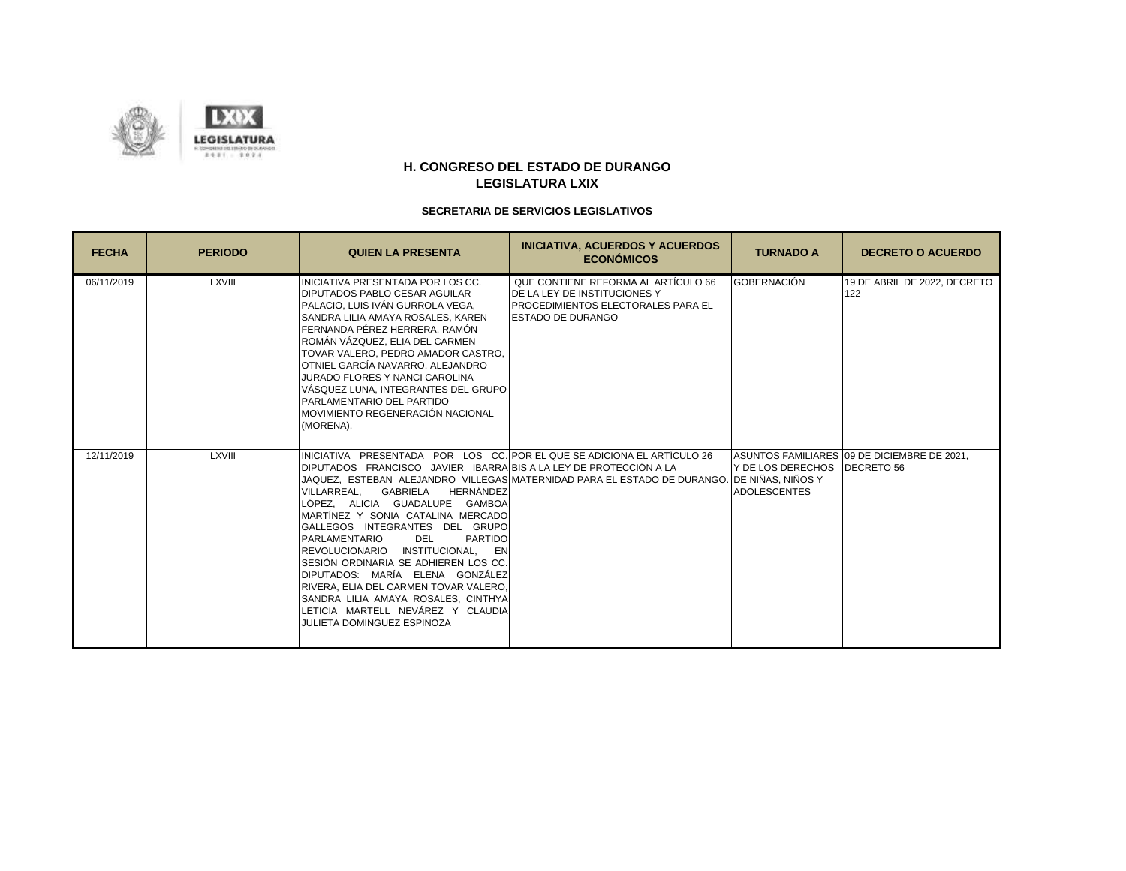

| <b>FECHA</b> | <b>PERIODO</b> | <b>QUIEN LA PRESENTA</b>                                                                                                                                                                                                                                                                                                                                                                                                                                                                                                                                                                                     | <b>INICIATIVA, ACUERDOS Y ACUERDOS</b><br><b>ECONÓMICOS</b>                                                                                          | <b>TURNADO A</b>                         | <b>DECRETO O ACUERDO</b>                                  |
|--------------|----------------|--------------------------------------------------------------------------------------------------------------------------------------------------------------------------------------------------------------------------------------------------------------------------------------------------------------------------------------------------------------------------------------------------------------------------------------------------------------------------------------------------------------------------------------------------------------------------------------------------------------|------------------------------------------------------------------------------------------------------------------------------------------------------|------------------------------------------|-----------------------------------------------------------|
| 06/11/2019   | LXVIII         | INICIATIVA PRESENTADA POR LOS CC.<br><b>DIPUTADOS PABLO CESAR AGUILAR</b><br>PALACIO, LUIS IVÁN GURROLA VEGA,<br>SANDRA LILIA AMAYA ROSALES, KAREN<br>FERNANDA PÉREZ HERRERA, RAMÓN<br>ROMÁN VÁZQUEZ. ELIA DEL CARMEN<br>TOVAR VALERO. PEDRO AMADOR CASTRO.<br>OTNIEL GARCÍA NAVARRO, ALEJANDRO<br>JURADO FLORES Y NANCI CAROLINA<br>VÁSQUEZ LUNA. INTEGRANTES DEL GRUPO<br>PARLAMENTARIO DEL PARTIDO<br>MOVIMIENTO REGENERACIÓN NACIONAL<br>(MORENA),                                                                                                                                                       | QUE CONTIENE REFORMA AL ARTÍCULO 66<br><b>IDE LA LEY DE INSTITUCIONES Y</b><br><b>PROCEDIMIENTOS ELECTORALES PARA EL</b><br><b>ESTADO DE DURANGO</b> | <b>GOBERNACIÓN</b>                       | 19 DE ABRIL DE 2022, DECRETO<br>122                       |
| 12/11/2019   | LXVIII         | INICIATIVA PRESENTADA POR LOS CC. POR EL QUE SE ADICIONA EL ARTÍCULO 26<br>DIPUTADOS FRANCISCO JAVIER IBARRAIBIS A LA LEY DE PROTECCIÓN A LA<br>GABRIELA<br>HERNÁNDEZ<br>VILLARREAL.<br>LÓPEZ, ALICIA GUADALUPE GAMBOA<br>MARTÍNEZ Y SONIA CATALINA MERCADO<br>GALLEGOS INTEGRANTES DEL GRUPO<br>PARLAMENTARIO<br>PARTIDO<br><b>DEL</b><br>REVOLUCIONARIO INSTITUCIONAL.<br>EN<br>SESIÓN ORDINARIA SE ADHIEREN LOS CC.<br>DIPUTADOS: MARÍA ELENA GONZÁLEZ<br>RIVERA, ELIA DEL CARMEN TOVAR VALERO,<br>SANDRA LILIA AMAYA ROSALES, CINTHYA<br>LETICIA MARTELL NEVÁREZ Y CLAUDIA<br>JULIETA DOMINGUEZ ESPINOZA | JÁQUEZ.  ESTEBAN  ALEJANDRO  VILLEGASIMATERNIDAD PARA EL ESTADO DE DURANGO. IDE NIÑAS. NIÑOS Y                                                       | Y DE LOS DERECHOS<br><b>ADOLESCENTES</b> | ASUNTOS FAMILIARES 09 DE DICIEMBRE DE 2021.<br>DECRETO 56 |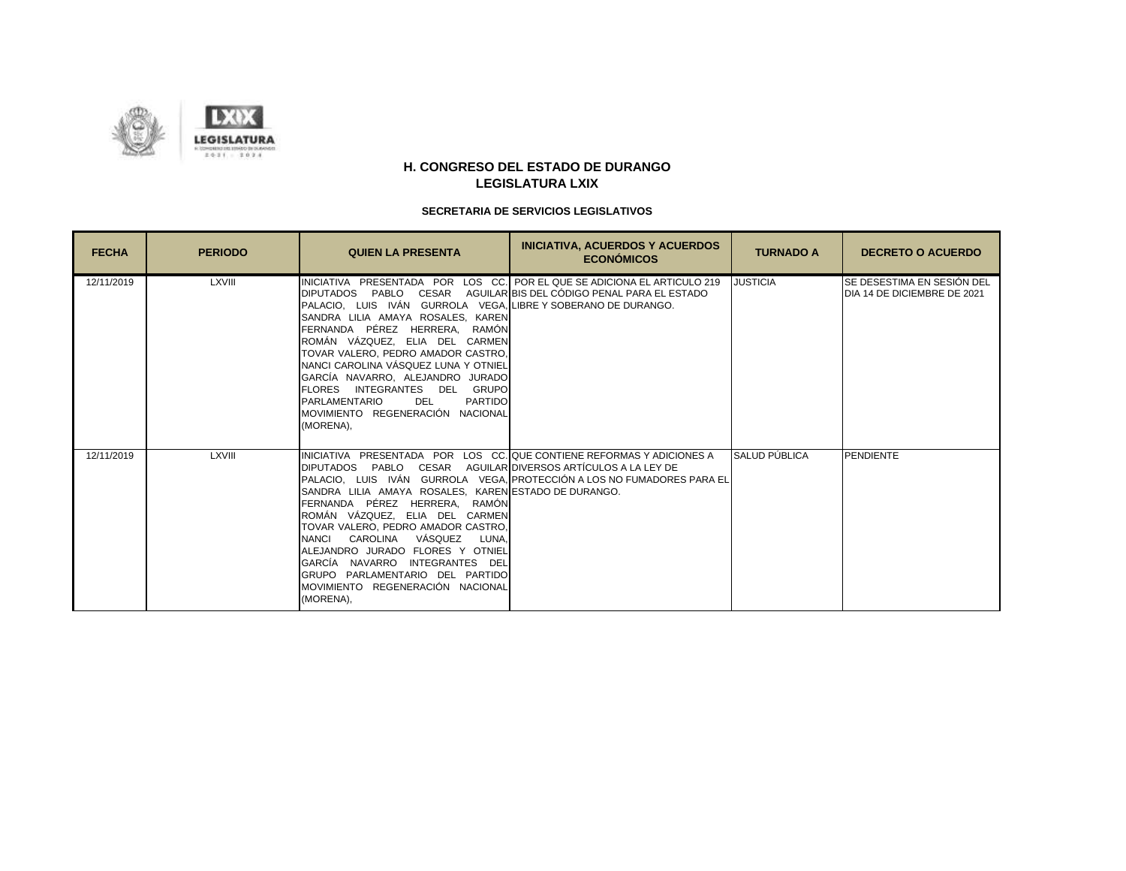

| <b>FECHA</b> | <b>PERIODO</b> | <b>QUIEN LA PRESENTA</b>                                                                                                                                                                                                                                                                                                                                                                                                                                        | <b>INICIATIVA, ACUERDOS Y ACUERDOS</b><br><b>ECONÓMICOS</b>                                                             | <b>TURNADO A</b> | <b>DECRETO O ACUERDO</b>                                  |
|--------------|----------------|-----------------------------------------------------------------------------------------------------------------------------------------------------------------------------------------------------------------------------------------------------------------------------------------------------------------------------------------------------------------------------------------------------------------------------------------------------------------|-------------------------------------------------------------------------------------------------------------------------|------------------|-----------------------------------------------------------|
| 12/11/2019   | LXVIII         | DIPUTADOS PABLO<br>CESAR<br>PALACIO. LUIS IVÁN GURROLA VEGA. LIBRE Y SOBERANO DE DURANGO.<br>SANDRA LILIA AMAYA ROSALES, KAREN<br>FERNANDA PÉREZ HERRERA,<br>RAMÓN<br>ROMÁN VÁZQUEZ, ELIA DEL CARMEN<br>TOVAR VALERO. PEDRO AMADOR CASTRO.<br>NANCI CAROLINA VÁSQUEZ LUNA Y OTNIEL<br>GARCÍA NAVARRO, ALEJANDRO JURADO<br>FLORES INTEGRANTES DEL GRUPO<br>PARLAMENTARIO<br><b>PARTIDO</b><br>DEL.<br>MOVIMIENTO REGENERACIÓN NACIONAL<br>(MORENA),              | INICIATIVA PRESENTADA POR LOS CC. POR EL QUE SE ADICIONA EL ARTICULO 219<br>AGUILAR BIS DEL CÓDIGO PENAL PARA EL ESTADO | <b>JUSTICIA</b>  | SE DESESTIMA EN SESIÓN DEL<br>DIA 14 DE DICIEMBRE DE 2021 |
| 12/11/2019   | LXVIII         | INICIATIVA PRESENTADA POR LOS CC. QUE CONTIENE REFORMAS Y ADICIONES A<br>DIPUTADOS PABLO<br>SANDRA LILIA AMAYA ROSALES, KAREN ESTADO DE DURANGO.<br>FERNANDA PÉREZ HERRERA.<br>RAMÓN<br>ROMÁN VÁZQUEZ, ELIA DEL CARMEN<br>TOVAR VALERO, PEDRO AMADOR CASTRO,<br>VÁSQUEZ<br>CAROLINA<br>NANCI<br>LUNA.<br>ALEJANDRO JURADO FLORES Y OTNIEL<br>GARCÍA NAVARRO INTEGRANTES DEL<br>GRUPO PARLAMENTARIO DEL PARTIDO<br>MOVIMIENTO REGENERACIÓN NACIONAL<br>(MORENA). | CESAR AGUILAR DIVERSOS ARTÍCULOS A LA LEY DE<br>PALACIO. LUIS IVÁN GURROLA VEGA PROTECCIÓN A LOS NO FUMADORES PARA EL   | SALUD PÚBLICA    | <b>PENDIENTE</b>                                          |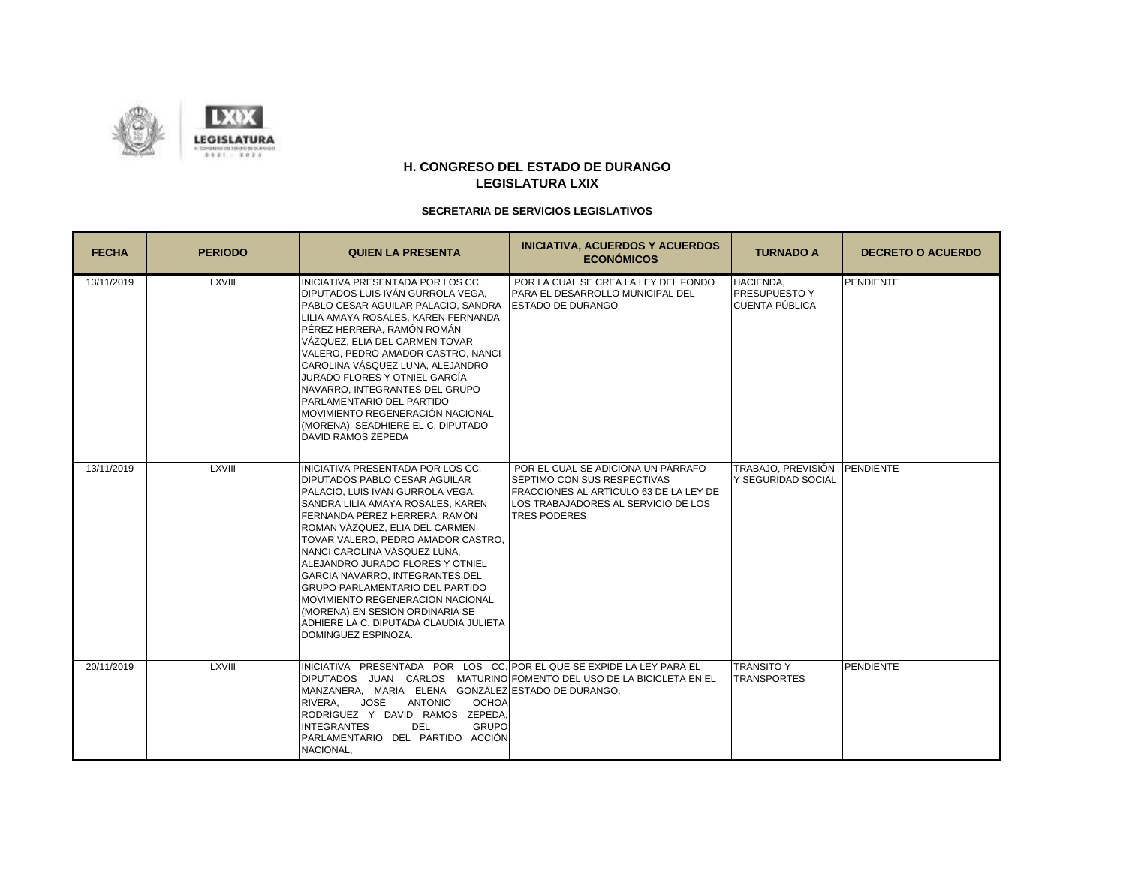

| <b>FECHA</b> | <b>PERIODO</b> | <b>QUIEN LA PRESENTA</b>                                                                                                                                                                                                                                                                                                                                                                                                                                                                                                                       | <b>INICIATIVA, ACUERDOS Y ACUERDOS</b><br><b>ECONÓMICOS</b>                                                                                                               | <b>TURNADO A</b>                                    | <b>DECRETO O ACUERDO</b> |
|--------------|----------------|------------------------------------------------------------------------------------------------------------------------------------------------------------------------------------------------------------------------------------------------------------------------------------------------------------------------------------------------------------------------------------------------------------------------------------------------------------------------------------------------------------------------------------------------|---------------------------------------------------------------------------------------------------------------------------------------------------------------------------|-----------------------------------------------------|--------------------------|
| 13/11/2019   | <b>LXVIII</b>  | INICIATIVA PRESENTADA POR LOS CC.<br>DIPUTADOS LUIS IVÁN GURROLA VEGA,<br>PABLO CESAR AGUILAR PALACIO, SANDRA<br>LILIA AMAYA ROSALES, KAREN FERNANDA<br>PÉREZ HERRERA, RAMÓN ROMÁN<br>VÁZQUEZ. ELIA DEL CARMEN TOVAR<br>VALERO, PEDRO AMADOR CASTRO, NANCI<br>CAROLINA VÁSQUEZ LUNA. ALEJANDRO<br>JURADO FLORES Y OTNIEL GARCÍA<br>NAVARRO. INTEGRANTES DEL GRUPO<br>PARLAMENTARIO DEL PARTIDO<br>MOVIMIENTO REGENERACIÓN NACIONAL<br>(MORENA), SEADHIERE EL C. DIPUTADO<br>DAVID RAMOS ZEPEDA                                                 | POR LA CUAL SE CREA LA LEY DEL FONDO<br>PARA EL DESARROLLO MUNICIPAL DEL<br><b>ESTADO DE DURANGO</b>                                                                      | HACIENDA.<br>PRESUPUESTO Y<br><b>CUENTA PÚBLICA</b> | <b>PENDIENTE</b>         |
| 13/11/2019   | <b>LXVIII</b>  | INICIATIVA PRESENTADA POR LOS CC.<br>DIPUTADOS PABLO CESAR AGUILAR<br>PALACIO. LUIS IVÁN GURROLA VEGA.<br>SANDRA LILIA AMAYA ROSALES. KAREN<br>FERNANDA PÉREZ HERRERA, RAMÓN<br>ROMÁN VÁZQUEZ, ELIA DEL CARMEN<br>TOVAR VALERO, PEDRO AMADOR CASTRO,<br>NANCI CAROLINA VÁSQUEZ LUNA.<br>ALEJANDRO JURADO FLORES Y OTNIEL<br>GARCÍA NAVARRO. INTEGRANTES DEL<br><b>GRUPO PARLAMENTARIO DEL PARTIDO</b><br>MOVIMIENTO REGENERACIÓN NACIONAL<br>(MORENA), EN SESIÓN ORDINARIA SE<br>ADHIERE LA C. DIPUTADA CLAUDIA JULIETA<br>DOMINGUEZ ESPINOZA. | POR EL CUAL SE ADICIONA UN PÁRRAFO<br>SÉPTIMO CON SUS RESPECTIVAS<br>FRACCIONES AL ARTÍCULO 63 DE LA LEY DE<br>LOS TRABAJADORES AL SERVICIO DE LOS<br><b>TRES PODERES</b> | TRABAJO, PREVISIÓN PENDIENTE<br>Y SEGURIDAD SOCIAL  |                          |
| 20/11/2019   | <b>LXVIII</b>  | INICIATIVA PRESENTADA POR LOS CC. POR EL QUE SE EXPIDE LA LEY PARA EL<br>MANZANERA, MARÍA ELENA GONZÁLEZ ESTADO DE DURANGO.<br>JOSÉ<br><b>ANTONIO</b><br><b>OCHOA</b><br>RIVERA.<br>RODRÍGUEZ Y DAVID RAMOS ZEPEDA.<br><b>INTEGRANTES</b><br>GRUPO<br><b>DEL</b><br>PARLAMENTARIO DEL PARTIDO ACCIÓN<br>NACIONAL,                                                                                                                                                                                                                              | DIPUTADOS JUAN CARLOS MATURINOIFOMENTO DEL USO DE LA BICICLETA EN EL                                                                                                      | <b>TRÁNSITO Y</b><br><b>TRANSPORTES</b>             | <b>PENDIENTE</b>         |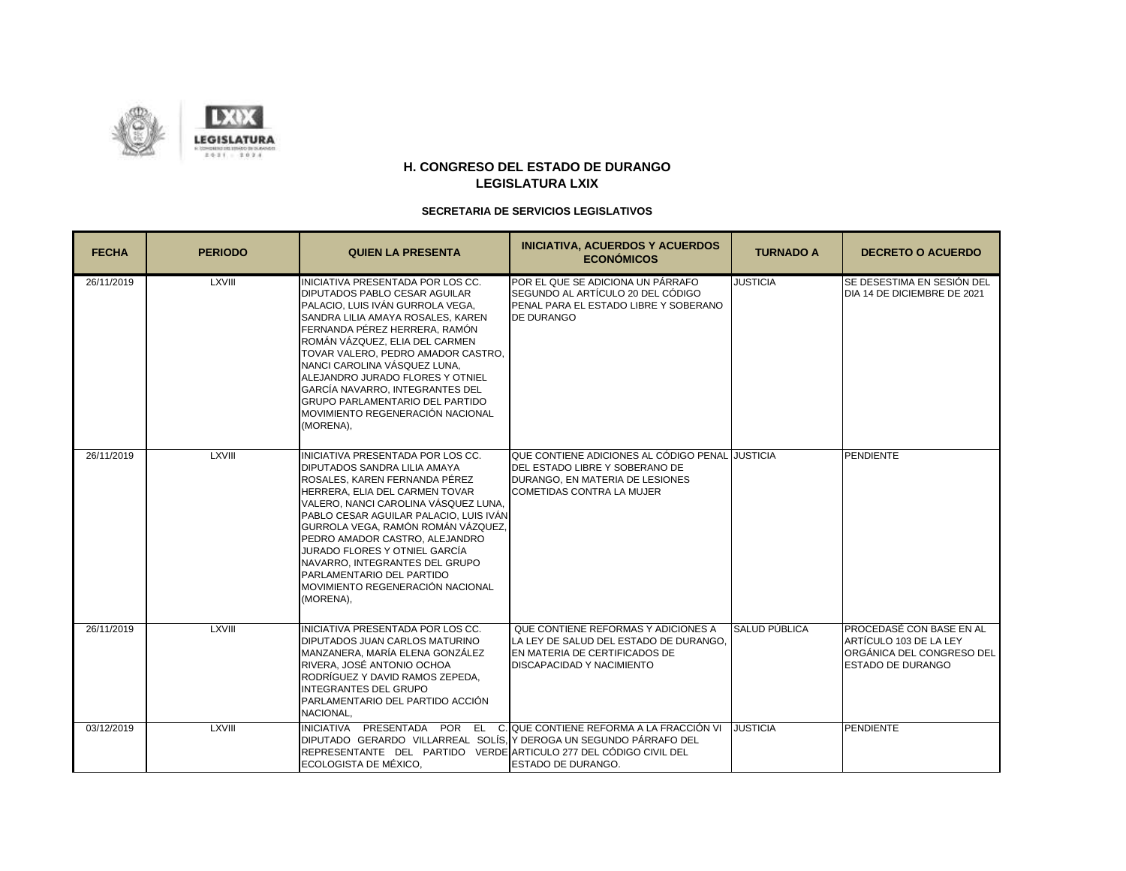

| <b>FECHA</b> | <b>PERIODO</b> | <b>QUIEN LA PRESENTA</b>                                                                                                                                                                                                                                                                                                                                                                                                                                       | <b>INICIATIVA, ACUERDOS Y ACUERDOS</b><br><b>ECONÓMICOS</b>                                                                                        | <b>TURNADO A</b> | <b>DECRETO O ACUERDO</b>                                                                             |
|--------------|----------------|----------------------------------------------------------------------------------------------------------------------------------------------------------------------------------------------------------------------------------------------------------------------------------------------------------------------------------------------------------------------------------------------------------------------------------------------------------------|----------------------------------------------------------------------------------------------------------------------------------------------------|------------------|------------------------------------------------------------------------------------------------------|
| 26/11/2019   | <b>LXVIII</b>  | INICIATIVA PRESENTADA POR LOS CC.<br><b>DIPUTADOS PABLO CESAR AGUILAR</b><br>PALACIO. LUIS IVÁN GURROLA VEGA.<br>ISANDRA LILIA AMAYA ROSALES. KAREN<br>FERNANDA PÉREZ HERRERA. RAMÓN<br>ROMÁN VÁZQUEZ, ELIA DEL CARMEN<br>TOVAR VALERO, PEDRO AMADOR CASTRO,<br>NANCI CAROLINA VÁSQUEZ LUNA,<br>ALEJANDRO JURADO FLORES Y OTNIEL<br>GARCÍA NAVARRO. INTEGRANTES DEL<br><b>GRUPO PARLAMENTARIO DEL PARTIDO</b><br>MOVIMIENTO REGENERACIÓN NACIONAL<br>(MORENA), | POR EL QUE SE ADICIONA UN PÁRRAFO<br>SEGUNDO AL ARTÍCULO 20 DEL CÓDIGO<br>PENAL PARA EL ESTADO LIBRE Y SOBERANO<br><b>DE DURANGO</b>               | <b>JUSTICIA</b>  | SE DESESTIMA EN SESIÓN DEL<br>DIA 14 DE DICIEMBRE DE 2021                                            |
| 26/11/2019   | <b>LXVIII</b>  | INICIATIVA PRESENTADA POR LOS CC.<br><b>DIPUTADOS SANDRA LILIA AMAYA</b><br>ROSALES, KAREN FERNANDA PÉREZ<br>HERRERA, ELIA DEL CARMEN TOVAR<br>VALERO, NANCI CAROLINA VÁSQUEZ LUNA,<br>PABLO CESAR AGUILAR PALACIO, LUIS IVÁN<br>GURROLA VEGA, RAMÓN ROMÁN VÁZQUEZ,<br>PEDRO AMADOR CASTRO, ALEJANDRO<br>JURADO FLORES Y OTNIEL GARCÍA<br>INAVARRO. INTEGRANTES DEL GRUPO<br>PARLAMENTARIO DEL PARTIDO<br>MOVIMIENTO REGENERACIÓN NACIONAL<br>(MORENA),        | QUE CONTIENE ADICIONES AL CÓDIGO PENAL JUSTICIA<br>DEL ESTADO LIBRE Y SOBERANO DE<br>DURANGO, EN MATERIA DE LESIONES<br>COMETIDAS CONTRA LA MUJER  |                  | <b>PENDIENTE</b>                                                                                     |
| 26/11/2019   | <b>LXVIII</b>  | INICIATIVA PRESENTADA POR LOS CC.<br><b>DIPUTADOS JUAN CARLOS MATURINO</b><br>MANZANERA. MARÍA ELENA GONZÁLEZ<br>RIVERA, JOSÉ ANTONIO OCHOA<br>RODRÍGUEZ Y DAVID RAMOS ZEPEDA,<br><b>INTEGRANTES DEL GRUPO</b><br>PARLAMENTARIO DEL PARTIDO ACCIÓN<br>NACIONAL,                                                                                                                                                                                                | QUE CONTIENE REFORMAS Y ADICIONES A<br>LA LEY DE SALUD DEL ESTADO DE DURANGO.<br>EN MATERIA DE CERTIFICADOS DE<br><b>DISCAPACIDAD Y NACIMIENTO</b> | SALUD PÚBLICA    | PROCEDASÉ CON BASE EN AL<br>ARTÍCULO 103 DE LA LEY<br>ORGÁNICA DEL CONGRESO DEL<br>ESTADO DE DURANGO |
| 03/12/2019   | <b>LXVIII</b>  | DIPUTADO GERARDO VILLARREAL SOLÍS. Y DEROGA UN SEGUNDO PÁRRAFO DEL<br>REPRESENTANTE DEL PARTIDO VERDE ARTICULO 277 DEL CÓDIGO CIVIL DEL<br>ECOLOGISTA DE MÉXICO.                                                                                                                                                                                                                                                                                               | INICIATIVA PRESENTADA POR EL C. QUE CONTIENE REFORMA A LA FRACCIÓN VI<br>ESTADO DE DURANGO.                                                        | <b>JUSTICIA</b>  | <b>PENDIENTE</b>                                                                                     |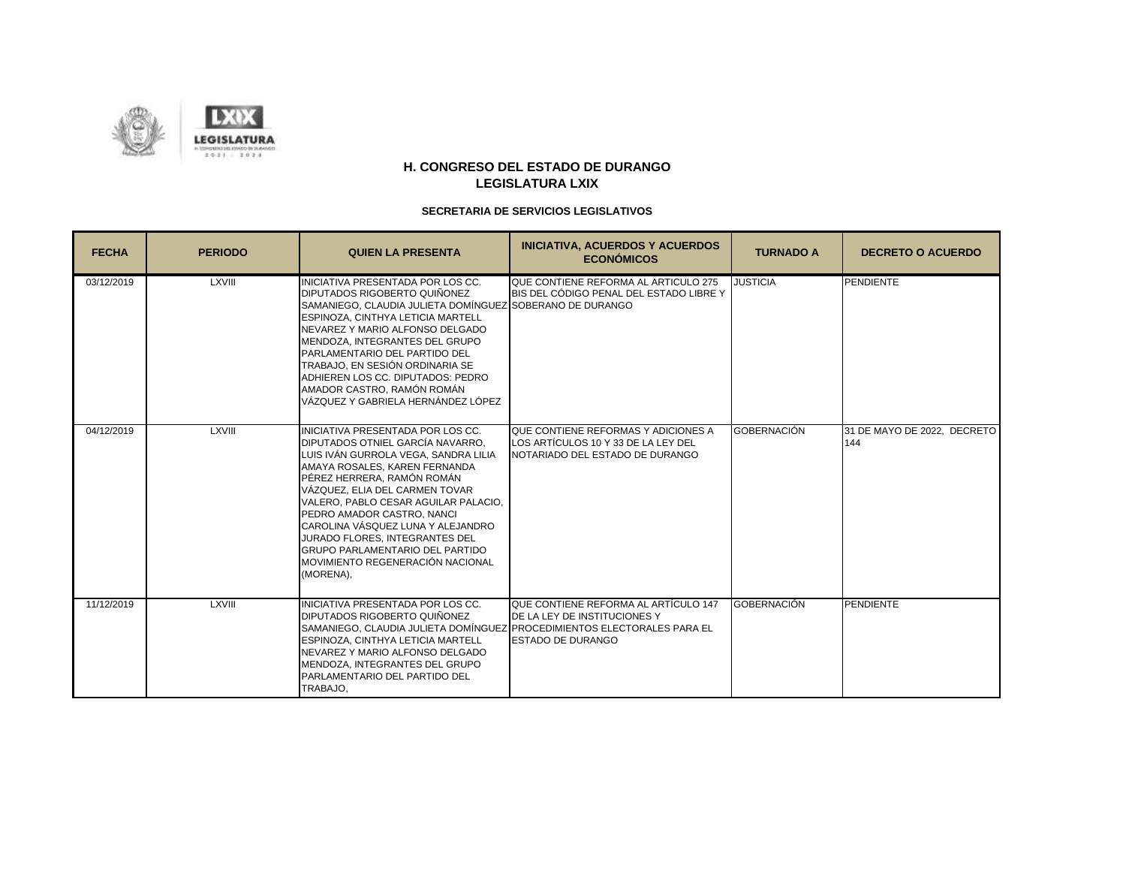

| <b>FECHA</b> | <b>PERIODO</b> | <b>QUIEN LA PRESENTA</b>                                                                                                                                                                                                                                                                                                                                                                                                                                                    | <b>INICIATIVA, ACUERDOS Y ACUERDOS</b><br><b>ECONÓMICOS</b>                                                   | <b>TURNADO A</b>   | <b>DECRETO O ACUERDO</b>           |
|--------------|----------------|-----------------------------------------------------------------------------------------------------------------------------------------------------------------------------------------------------------------------------------------------------------------------------------------------------------------------------------------------------------------------------------------------------------------------------------------------------------------------------|---------------------------------------------------------------------------------------------------------------|--------------------|------------------------------------|
| 03/12/2019   | <b>LXVIII</b>  | INICIATIVA PRESENTADA POR LOS CC.<br><b>DIPUTADOS RIGOBERTO QUIÑONEZ</b><br>SAMANIEGO, CLAUDIA JULIETA DOMÍNGUEZ SOBERANO DE DURANGO<br><b>IESPINOZA. CINTHYA LETICIA MARTELL</b><br>NEVAREZ Y MARIO ALFONSO DELGADO<br><b>IMENDOZA. INTEGRANTES DEL GRUPO</b><br>PARLAMENTARIO DEL PARTIDO DEL<br>TRABAJO, EN SESIÓN ORDINARIA SE<br>ADHIEREN LOS CC. DIPUTADOS: PEDRO<br>AMADOR CASTRO, RAMÓN ROMÁN<br>VÁZQUEZ Y GABRIELA HERNÁNDEZ LÓPEZ                                 | QUE CONTIENE REFORMA AL ARTICULO 275<br>BIS DEL CÓDIGO PENAL DEL ESTADO LIBRE Y                               | <b>JUSTICIA</b>    | <b>PENDIENTE</b>                   |
| 04/12/2019   | <b>LXVIII</b>  | INICIATIVA PRESENTADA POR LOS CC.<br><b>DIPUTADOS OTNIEL GARCÍA NAVARRO.</b><br>LUIS IVÁN GURROLA VEGA. SANDRA LILIA<br>AMAYA ROSALES, KAREN FERNANDA<br>PÉREZ HERRERA. RAMÓN ROMÁN<br>VÁZQUEZ, ELIA DEL CARMEN TOVAR<br>VALERO. PABLO CESAR AGUILAR PALACIO.<br><b>PEDRO AMADOR CASTRO, NANCI</b><br><b>CAROLINA VÁSQUEZ LUNA Y ALEJANDRO</b><br>JURADO FLORES. INTEGRANTES DEL<br><b>GRUPO PARLAMENTARIO DEL PARTIDO</b><br>MOVIMIENTO REGENERACIÓN NACIONAL<br>(MORENA). | QUE CONTIENE REFORMAS Y ADICIONES A<br>LOS ARTÍCULOS 10 Y 33 DE LA LEY DEL<br>NOTARIADO DEL ESTADO DE DURANGO | <b>GOBERNACIÓN</b> | 31 DE MAYO DE 2022. DECRETO<br>144 |
| 11/12/2019   | <b>LXVIII</b>  | INICIATIVA PRESENTADA POR LOS CC.<br>DIPUTADOS RIGOBERTO QUIÑONEZ<br>SAMANIEGO. CLAUDIA JULIETA DOMÍNGUEZ PROCEDIMIENTOS ELECTORALES PARA EL<br>ESPINOZA, CINTHYA LETICIA MARTELL<br>INEVAREZ Y MARIO ALFONSO DELGADO<br>MENDOZA, INTEGRANTES DEL GRUPO<br>PARLAMENTARIO DEL PARTIDO DEL<br>TRABAJO.                                                                                                                                                                        | QUE CONTIENE REFORMA AL ARTÍCULO 147<br><b>DE LA LEY DE INSTITUCIONES Y</b><br><b>IESTADO DE DURANGO</b>      | <b>GOBERNACIÓN</b> | <b>PENDIENTE</b>                   |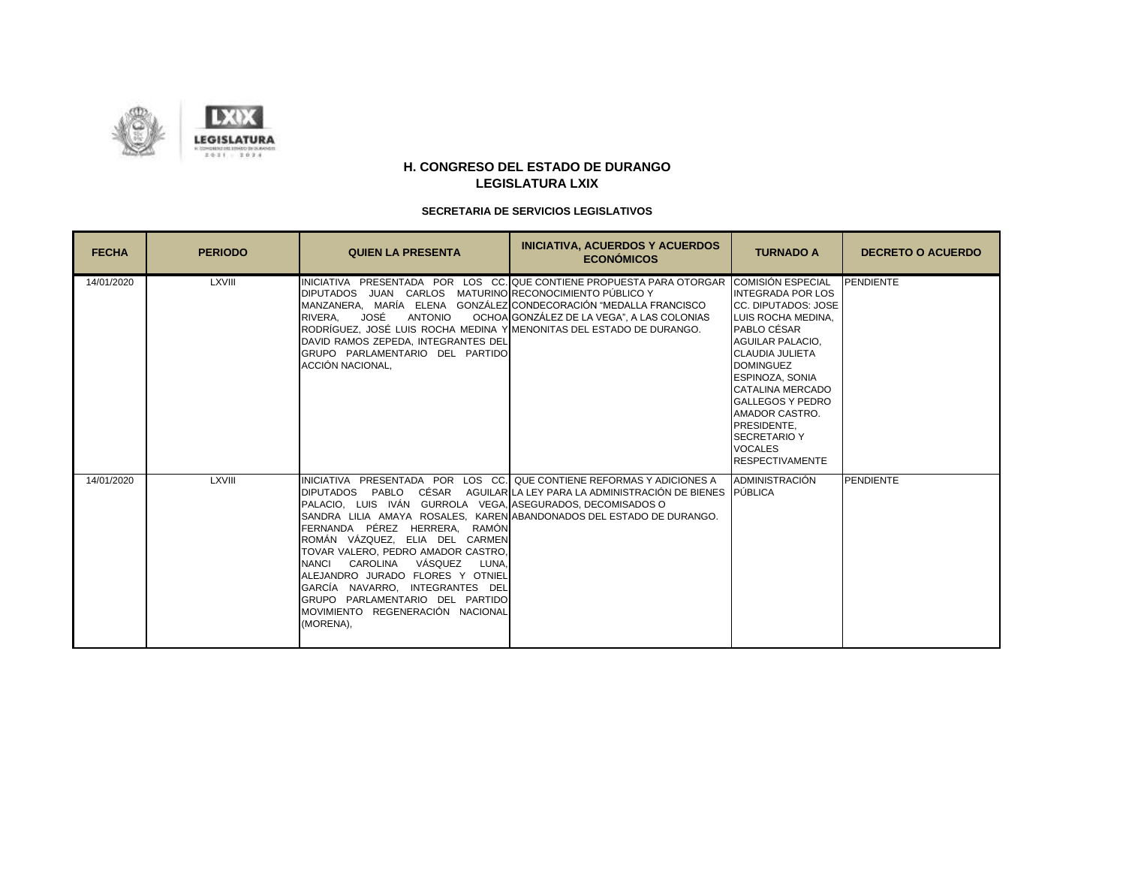

| <b>FECHA</b> | <b>PERIODO</b> | <b>QUIEN LA PRESENTA</b>                                                                                                                                                                                                                                                                                                                                            | <b>INICIATIVA, ACUERDOS Y ACUERDOS</b><br><b>ECONÓMICOS</b>                                                                                                                                                                    | <b>TURNADO A</b>                                                                                                                                                                                                                                                                                                                           | <b>DECRETO O ACUERDO</b> |
|--------------|----------------|---------------------------------------------------------------------------------------------------------------------------------------------------------------------------------------------------------------------------------------------------------------------------------------------------------------------------------------------------------------------|--------------------------------------------------------------------------------------------------------------------------------------------------------------------------------------------------------------------------------|--------------------------------------------------------------------------------------------------------------------------------------------------------------------------------------------------------------------------------------------------------------------------------------------------------------------------------------------|--------------------------|
| 14/01/2020   | <b>LXVIII</b>  | DIPUTADOS JUAN CARLOS MATURINO RECONOCIMIENTO PÚBLICO Y<br>MANZANERA. MARÍA ELENA GONZÁLEZICONDECORACIÓN "MEDALLA FRANCISCO<br>RIVERA.<br>JOSÉ<br>ANTONIO<br>RODRÍGUEZ, JOSÉ LUIS ROCHA MEDINA Y MENONITAS DEL ESTADO DE DURANGO.<br>DAVID RAMOS ZEPEDA, INTEGRANTES DEL<br>GRUPO PARLAMENTARIO DEL PARTIDO<br>ACCIÓN NACIONAL.                                     | INICIATIVA PRESENTADA POR LOS CC. QUE CONTIENE PROPUESTA PARA OTORGAR COMISIÓN ESPECIAL<br>OCHOA GONZÁLEZ DE LA VEGA", A LAS COLONIAS                                                                                          | <b>INTEGRADA POR LOS</b><br>CC. DIPUTADOS: JOSE<br>LUIS ROCHA MEDINA.<br>PABLO CÉSAR<br>AGUILAR PALACIO,<br><b>CLAUDIA JULIETA</b><br><b>DOMINGUEZ</b><br><b>ESPINOZA, SONIA</b><br><b>CATALINA MERCADO</b><br><b>GALLEGOS Y PEDRO</b><br>AMADOR CASTRO.<br>PRESIDENTE.<br><b>SECRETARIO Y</b><br><b>VOCALES</b><br><b>RESPECTIVAMENTE</b> | <b>PENDIENTE</b>         |
| 14/01/2020   | LXVIII         | PALACIO. LUIS IVÁN GURROLA VEGA. ASEGURADOS DECOMISADOS O<br>FERNANDA PÉREZ HERRERA, RAMÓN<br>ROMÁN VÁZQUEZ, ELIA DEL CARMEN<br>TOVAR VALERO. PEDRO AMADOR CASTRO.<br>CAROLINA VÁSQUEZ<br>NANCI<br>LUNA.<br>ALEJANDRO JURADO FLORES Y OTNIEL<br>GARCÍA NAVARRO, INTEGRANTES DEL<br>GRUPO PARLAMENTARIO DEL PARTIDO<br>MOVIMIENTO REGENERACIÓN NACIONAL<br>(MORENA), | INICIATIVA PRESENTADA POR LOS CC. QUE CONTIENE REFORMAS Y ADICIONES A<br>DIPUTADOS PABLO CÉSAR AGUILARILA LEY PARA LA ADMINISTRACIÓN DE BIENES PUBLICA<br>SANDRA LILIA AMAYA ROSALES, KAREN ABANDONADOS DEL ESTADO DE DURANGO. | ADMINISTRACIÓN                                                                                                                                                                                                                                                                                                                             | <b>PENDIENTE</b>         |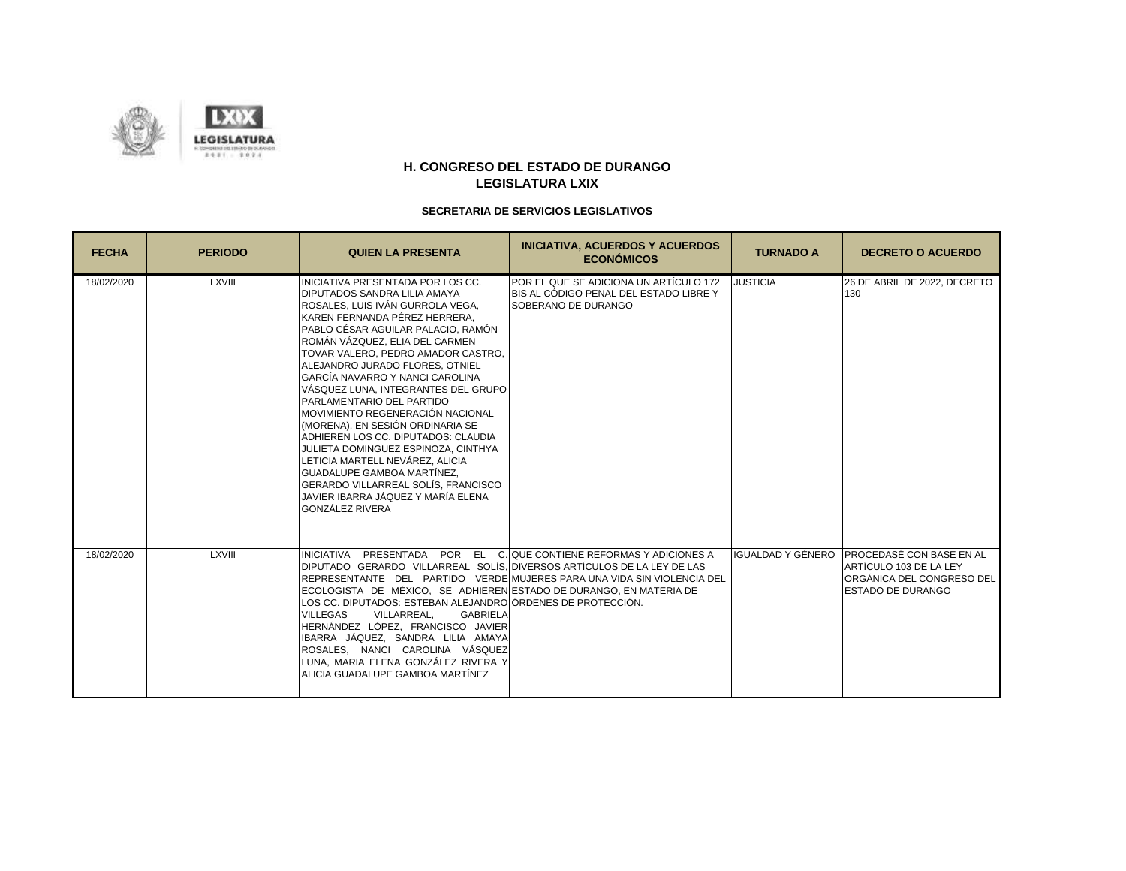

| <b>FECHA</b> | <b>PERIODO</b> | <b>QUIEN LA PRESENTA</b>                                                                                                                                                                                                                                                                                                                                                                                                                                                                                                                                                                                                                                                                                                     | <b>INICIATIVA, ACUERDOS Y ACUERDOS</b><br><b>ECONÓMICOS</b>                                             | <b>TURNADO A</b> | <b>DECRETO O ACUERDO</b>                                                                                                      |
|--------------|----------------|------------------------------------------------------------------------------------------------------------------------------------------------------------------------------------------------------------------------------------------------------------------------------------------------------------------------------------------------------------------------------------------------------------------------------------------------------------------------------------------------------------------------------------------------------------------------------------------------------------------------------------------------------------------------------------------------------------------------------|---------------------------------------------------------------------------------------------------------|------------------|-------------------------------------------------------------------------------------------------------------------------------|
| 18/02/2020   | LXVIII         | INICIATIVA PRESENTADA POR LOS CC.<br>DIPUTADOS SANDRA LILIA AMAYA<br>ROSALES. LUIS IVÁN GURROLA VEGA.<br>KAREN FERNANDA PÉREZ HERRERA.<br>PABLO CÉSAR AGUILAR PALACIO. RAMÓN<br>ROMÁN VÁZQUEZ, ELIA DEL CARMEN<br>TOVAR VALERO. PEDRO AMADOR CASTRO.<br>ALEJANDRO JURADO FLORES, OTNIEL<br>GARCÍA NAVARRO Y NANCI CAROLINA<br>VÁSQUEZ LUNA. INTEGRANTES DEL GRUPO<br>PARLAMENTARIO DEL PARTIDO<br>MOVIMIENTO REGENERACIÓN NACIONAL<br>(MORENA), EN SESIÓN ORDINARIA SE<br>ADHIEREN LOS CC. DIPUTADOS: CLAUDIA<br>JULIETA DOMINGUEZ ESPINOZA, CINTHYA<br>LETICIA MARTELL NEVÁREZ, ALICIA<br>GUADALUPE GAMBOA MARTÍNEZ.<br>GERARDO VILLARREAL SOLÍS, FRANCISCO<br>JAVIER IBARRA JÁQUEZ Y MARÍA ELENA<br><b>GONZÁLEZ RIVERA</b> | POR EL QUE SE ADICIONA UN ARTÍCULO 172<br>BIS AL CÓDIGO PENAL DEL ESTADO LIBRE Y<br>SOBERANO DE DURANGO | <b>JUSTICIA</b>  | 26 DE ABRIL DE 2022, DECRETO<br>130                                                                                           |
| 18/02/2020   | LXVIII         | INICIATIVA PRESENTADA POR EL C. QUE CONTIENE REFORMAS Y ADICIONES A<br>DIPUTADO GERARDO VILLARREAL SOLÍS. DIVERSOS ARTÍCULOS DE LA LEY DE LAS<br>ECOLOGISTA DE MÉXICO, SE ADHIEREN ESTADO DE DURANGO, EN MATERIA DE<br>LOS CC. DIPUTADOS: ESTEBAN ALEJANDROÍÓRDENES DE PROTECCIÓN.<br>VILLARREAL.<br><b>VILLEGAS</b><br><b>GABRIELA</b><br>HERNÁNDEZ LÓPEZ, FRANCISCO JAVIER<br>IBARRA JÁQUEZ, SANDRA LILIA AMAYA<br>ROSALES, NANCI CAROLINA VÁSQUEZ<br>LUNA. MARIA ELENA GONZÁLEZ RIVERA Y<br>ALICIA GUADALUPE GAMBOA MARTÍNEZ                                                                                                                                                                                              | REPRESENTANTE DEL PARTIDO VERDE MUJERES PARA UNA VIDA SIN VIOLENCIA DEL                                 |                  | IGUALDAD Y GÉNERO PROCEDASÉ CON BASE EN AL<br>ARTÍCULO 103 DE LA LEY<br>ORGÁNICA DEL CONGRESO DEL<br><b>ESTADO DE DURANGO</b> |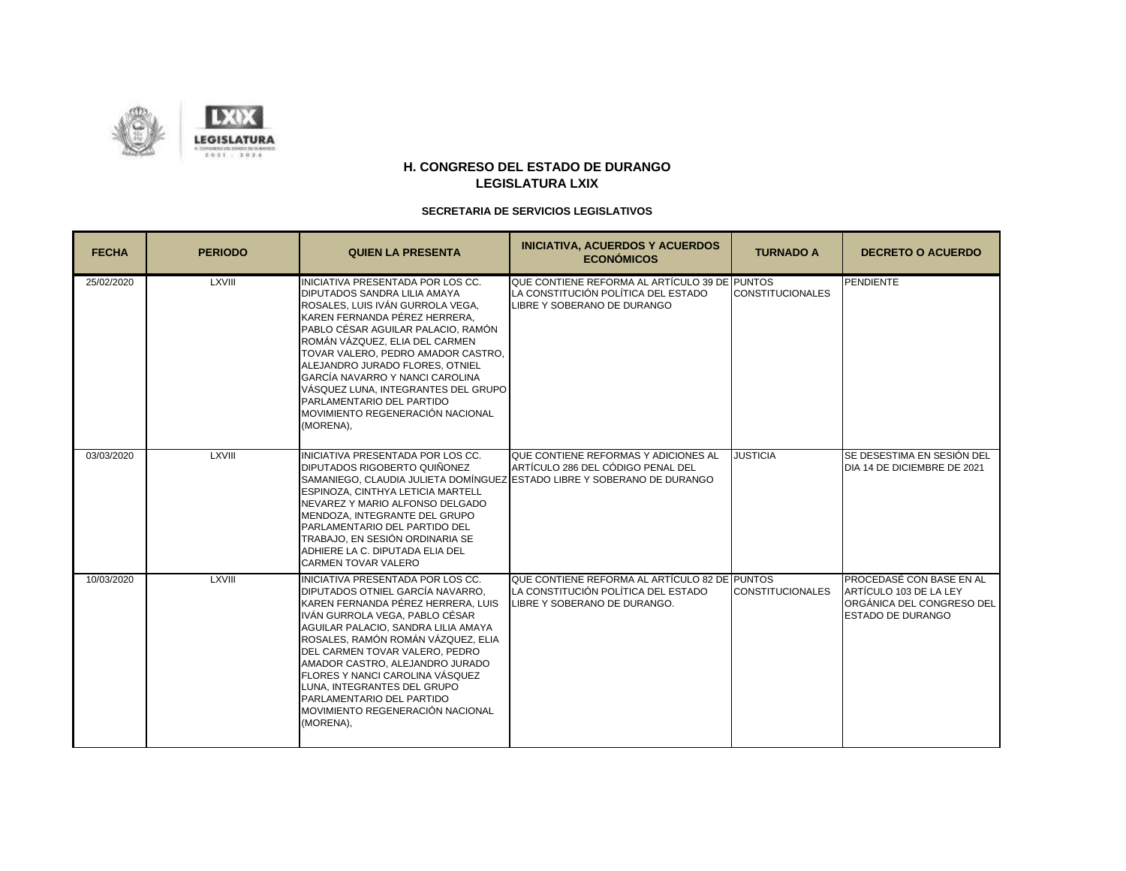

| <b>FECHA</b> | <b>PERIODO</b> | <b>QUIEN LA PRESENTA</b>                                                                                                                                                                                                                                                                                                                                                                                                                        | <b>INICIATIVA, ACUERDOS Y ACUERDOS</b><br><b>ECONÓMICOS</b>                                                          | <b>TURNADO A</b>        | <b>DECRETO O ACUERDO</b>                                                                                           |
|--------------|----------------|-------------------------------------------------------------------------------------------------------------------------------------------------------------------------------------------------------------------------------------------------------------------------------------------------------------------------------------------------------------------------------------------------------------------------------------------------|----------------------------------------------------------------------------------------------------------------------|-------------------------|--------------------------------------------------------------------------------------------------------------------|
| 25/02/2020   | <b>LXVIII</b>  | INICIATIVA PRESENTADA POR LOS CC.<br>DIPUTADOS SANDRA LILIA AMAYA<br>ROSALES. LUIS IVÁN GURROLA VEGA.<br>KAREN FERNANDA PÉREZ HERRERA,<br>PABLO CÉSAR AGUILAR PALACIO. RAMÓN<br>ROMÁN VÁZQUEZ. ELIA DEL CARMEN<br>TOVAR VALERO, PEDRO AMADOR CASTRO,<br>ALEJANDRO JURADO FLORES. OTNIEL<br>GARCÍA NAVARRO Y NANCI CAROLINA<br>VÁSQUEZ LUNA. INTEGRANTES DEL GRUPO<br>PARLAMENTARIO DEL PARTIDO<br>MOVIMIENTO REGENERACIÓN NACIONAL<br>(MORENA), | QUE CONTIENE REFORMA AL ARTÍCULO 39 DE PUNTOS<br>LA CONSTITUCIÓN POLÍTICA DEL ESTADO<br>LIBRE Y SOBERANO DE DURANGO  | <b>CONSTITUCIONALES</b> | PENDIENTE                                                                                                          |
| 03/03/2020   | <b>LXVIII</b>  | INICIATIVA PRESENTADA POR LOS CC.<br>DIPUTADOS RIGOBERTO QUIÑONEZ<br>SAMANIEGO, CLAUDIA JULIETA DOMÍNGUEZ ESTADO LIBRE Y SOBERANO DE DURANGO<br>ESPINOZA. CINTHYA LETICIA MARTELL<br>NEVAREZ Y MARIO ALFONSO DELGADO<br>MENDOZA, INTEGRANTE DEL GRUPO<br>PARLAMENTARIO DEL PARTIDO DEL<br>TRABAJO. EN SESIÓN ORDINARIA SE<br>ADHIERE LA C. DIPUTADA ELIA DEL<br>CARMEN TOVAR VALERO                                                             | QUE CONTIENE REFORMAS Y ADICIONES AL<br>ARTÍCULO 286 DEL CÓDIGO PENAL DEL                                            | <b>JUSTICIA</b>         | SE DESESTIMA EN SESIÓN DEL<br>DIA 14 DE DICIEMBRE DE 2021                                                          |
| 10/03/2020   | LXVIII         | INICIATIVA PRESENTADA POR LOS CC.<br>DIPUTADOS OTNIEL GARCÍA NAVARRO.<br>KAREN FERNANDA PÉREZ HERRERA, LUIS<br>IVÁN GURROLA VEGA. PABLO CÉSAR<br>AGUILAR PALACIO. SANDRA LILIA AMAYA<br>ROSALES. RAMÓN ROMÁN VÁZQUEZ. ELIA<br>DEL CARMEN TOVAR VALERO. PEDRO<br>AMADOR CASTRO, ALEJANDRO JURADO<br>FLORES Y NANCI CAROLINA VÁSQUEZ<br>LUNA, INTEGRANTES DEL GRUPO<br>PARLAMENTARIO DEL PARTIDO<br>MOVIMIENTO REGENERACIÓN NACIONAL<br>(MORENA), | QUE CONTIENE REFORMA AL ARTÍCULO 82 DE PUNTOS<br>LA CONSTITUCIÓN POLÍTICA DEL ESTADO<br>LIBRE Y SOBERANO DE DURANGO. | <b>CONSTITUCIONALES</b> | <b>PROCEDASÉ CON BASE EN AL</b><br>ARTÍCULO 103 DE LA LEY<br>ORGÁNICA DEL CONGRESO DEL<br><b>ESTADO DE DURANGO</b> |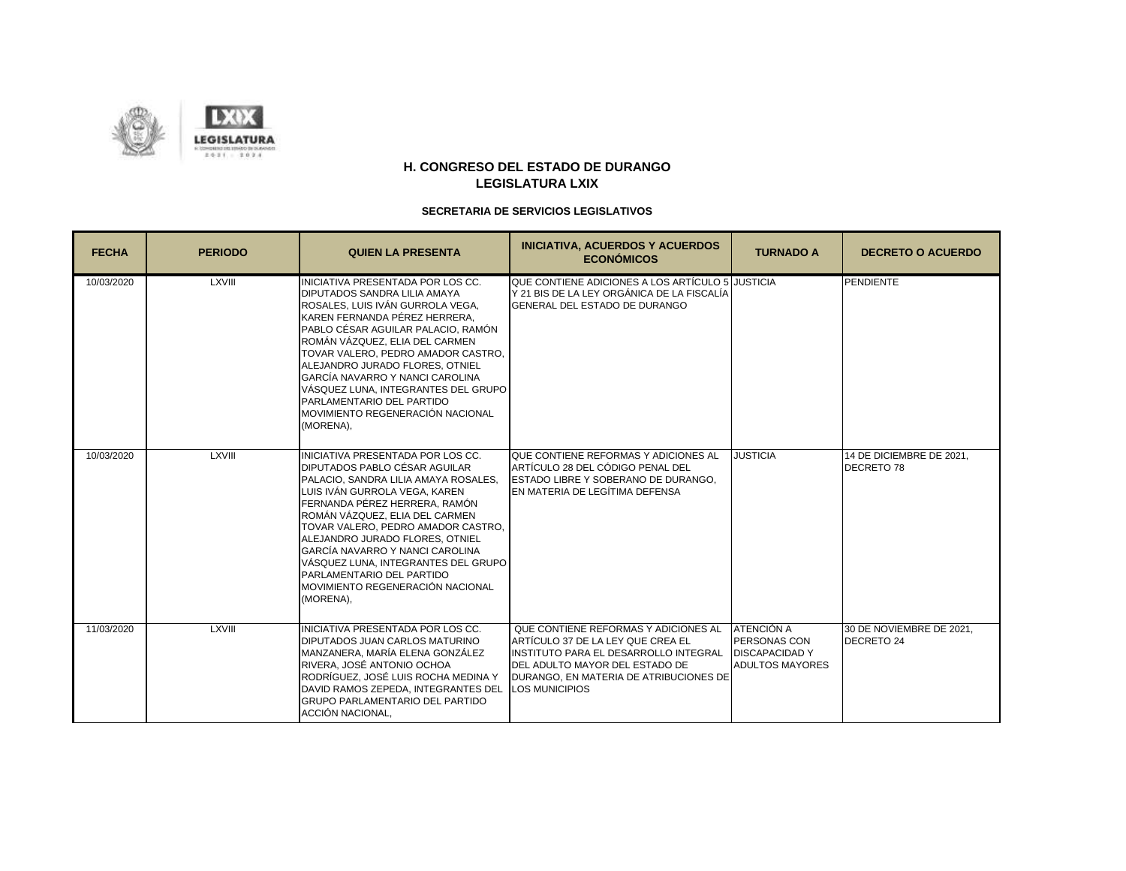

| <b>FECHA</b> | <b>PERIODO</b> | <b>QUIEN LA PRESENTA</b>                                                                                                                                                                                                                                                                                                                                                                                                                               | <b>INICIATIVA, ACUERDOS Y ACUERDOS</b><br><b>ECONÓMICOS</b>                                                                                                                                                                     | <b>TURNADO A</b>                                                                     | <b>DECRETO O ACUERDO</b>               |
|--------------|----------------|--------------------------------------------------------------------------------------------------------------------------------------------------------------------------------------------------------------------------------------------------------------------------------------------------------------------------------------------------------------------------------------------------------------------------------------------------------|---------------------------------------------------------------------------------------------------------------------------------------------------------------------------------------------------------------------------------|--------------------------------------------------------------------------------------|----------------------------------------|
| 10/03/2020   | <b>LXVIII</b>  | INICIATIVA PRESENTADA POR LOS CC.<br>DIPUTADOS SANDRA LILIA AMAYA<br>ROSALES, LUIS IVÁN GURROLA VEGA,<br>KAREN FERNANDA PÉREZ HERRERA.<br>PABLO CÉSAR AGUILAR PALACIO. RAMÓN<br>ROMÁN VÁZQUEZ, ELIA DEL CARMEN<br>TOVAR VALERO. PEDRO AMADOR CASTRO.<br>ALEJANDRO JURADO FLORES, OTNIEL<br>GARCÍA NAVARRO Y NANCI CAROLINA<br>VÁSQUEZ LUNA, INTEGRANTES DEL GRUPO<br>PARLAMENTARIO DEL PARTIDO<br>MOVIMIENTO REGENERACIÓN NACIONAL<br>(MORENA),        | QUE CONTIENE ADICIONES A LOS ARTÍCULO 5 JJUSTICIA<br>Y 21 BIS DE LA LEY ORGÁNICA DE LA FISCALÍA<br><b>IGENERAL DEL ESTADO DE DURANGO</b>                                                                                        |                                                                                      | <b>PENDIENTE</b>                       |
| 10/03/2020   | <b>LXVIII</b>  | <b>INICIATIVA PRESENTADA POR LOS CC.</b><br>DIPUTADOS PABLO CÉSAR AGUILAR<br>PALACIO. SANDRA LILIA AMAYA ROSALES.<br>LUIS IVÁN GURROLA VEGA, KAREN<br>FERNANDA PÉREZ HERRERA, RAMÓN<br>ROMÁN VÁZQUEZ, ELIA DEL CARMEN<br>TOVAR VALERO, PEDRO AMADOR CASTRO,<br>ALEJANDRO JURADO FLORES, OTNIEL<br>GARCÍA NAVARRO Y NANCI CAROLINA<br>VÁSQUEZ LUNA. INTEGRANTES DEL GRUPO<br>PARLAMENTARIO DEL PARTIDO<br>MOVIMIENTO REGENERACIÓN NACIONAL<br>(MORENA), | QUE CONTIENE REFORMAS Y ADICIONES AL<br>ARTÍCULO 28 DEL CÓDIGO PENAL DEL<br>ESTADO LIBRE Y SOBERANO DE DURANGO,<br>EN MATERIA DE LEGÍTIMA DEFENSA                                                                               | <b>JUSTICIA</b>                                                                      | 14 DE DICIEMBRE DE 2021.<br>DECRETO 78 |
| 11/03/2020   | LXVIII         | INICIATIVA PRESENTADA POR LOS CC.<br>DIPUTADOS JUAN CARLOS MATURINO<br>MANZANERA. MARÍA ELENA GONZÁLEZ<br>RIVERA, JOSÉ ANTONIO OCHOA<br>RODRÍGUEZ, JOSÉ LUIS ROCHA MEDINA Y<br>DAVID RAMOS ZEPEDA, INTEGRANTES DEL<br><b>GRUPO PARLAMENTARIO DEL PARTIDO</b><br>ACCIÓN NACIONAL.                                                                                                                                                                       | QUE CONTIENE REFORMAS Y ADICIONES AL<br>ARTÍCULO 37 DE LA LEY QUE CREA EL<br>INSTITUTO PARA EL DESARROLLO INTEGRAL<br><b>IDEL ADULTO MAYOR DEL ESTADO DE</b><br>DURANGO, EN MATERIA DE ATRIBUCIONES DE<br><b>LOS MUNICIPIOS</b> | <b>ATENCIÓN A</b><br>PERSONAS CON<br><b>DISCAPACIDAD Y</b><br><b>ADULTOS MAYORES</b> | 30 DE NOVIEMBRE DE 2021.<br>DECRETO 24 |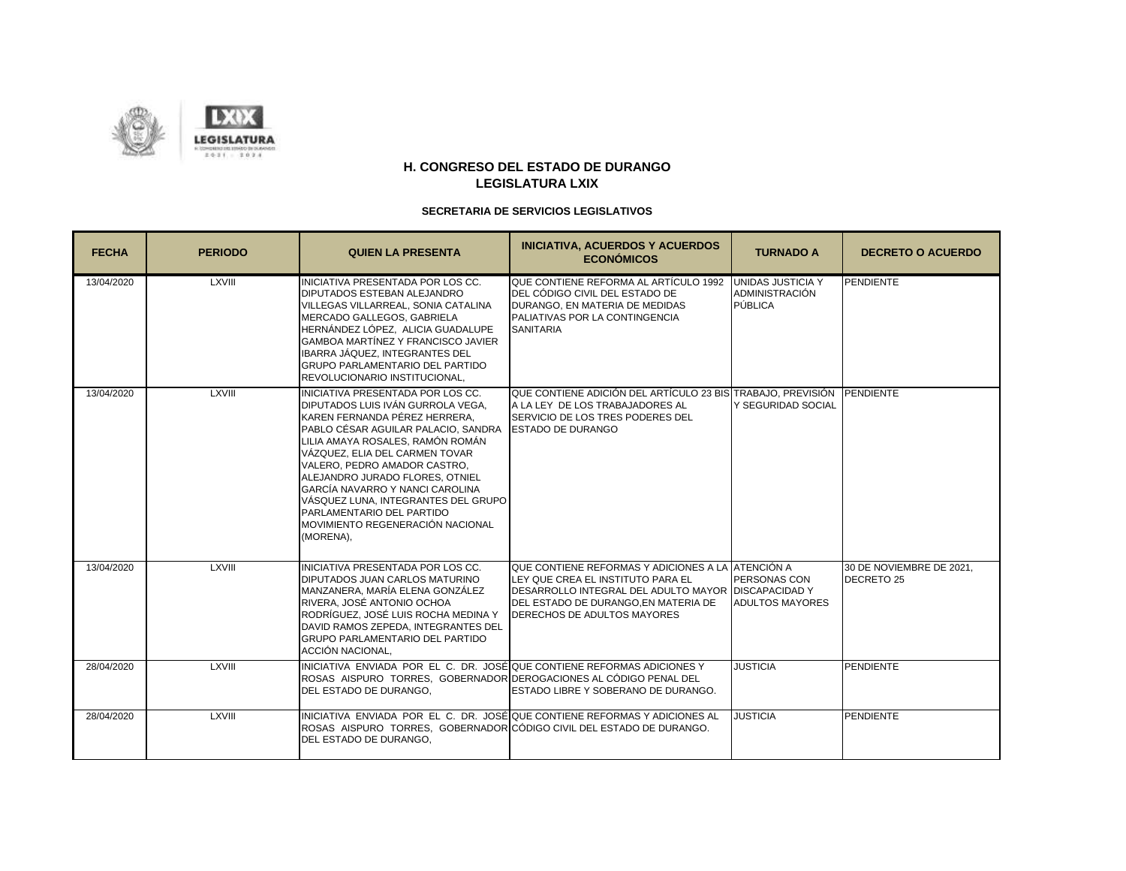

| <b>FECHA</b> | <b>PERIODO</b> | <b>QUIEN LA PRESENTA</b>                                                                                                                                                                                                                                                                                                                                                                                                                        | <b>INICIATIVA, ACUERDOS Y ACUERDOS</b><br><b>ECONÓMICOS</b>                                                                                                                                                                | <b>TURNADO A</b>                              | <b>DECRETO O ACUERDO</b>               |
|--------------|----------------|-------------------------------------------------------------------------------------------------------------------------------------------------------------------------------------------------------------------------------------------------------------------------------------------------------------------------------------------------------------------------------------------------------------------------------------------------|----------------------------------------------------------------------------------------------------------------------------------------------------------------------------------------------------------------------------|-----------------------------------------------|----------------------------------------|
| 13/04/2020   | <b>LXVIII</b>  | INICIATIVA PRESENTADA POR LOS CC.<br>DIPUTADOS ESTEBAN ALEJANDRO<br>VILLEGAS VILLARREAL, SONIA CATALINA<br>MERCADO GALLEGOS, GABRIELA<br>HERNÁNDEZ LÓPEZ, ALICIA GUADALUPE<br>GAMBOA MARTÍNEZ Y FRANCISCO JAVIER<br>IBARRA JÁQUEZ, INTEGRANTES DEL<br><b>GRUPO PARLAMENTARIO DEL PARTIDO</b><br>REVOLUCIONARIO INSTITUCIONAL.                                                                                                                   | QUE CONTIENE REFORMA AL ARTÍCULO 1992 UNIDAS JUSTICIA Y<br>DEL CÓDIGO CIVIL DEL ESTADO DE<br>DURANGO. EN MATERIA DE MEDIDAS<br>PALIATIVAS POR LA CONTINGENCIA<br><b>SANITARIA</b>                                          | <b>ADMINISTRACIÓN</b><br><b>PÚBLICA</b>       | <b>PENDIENTE</b>                       |
| 13/04/2020   | <b>LXVIII</b>  | INICIATIVA PRESENTADA POR LOS CC.<br>DIPUTADOS LUIS IVÁN GURROLA VEGA.<br>KAREN FERNANDA PÉREZ HERRERA.<br>PABLO CÉSAR AGUILAR PALACIO, SANDRA<br>LILIA AMAYA ROSALES. RAMÓN ROMÁN<br>VÁZQUEZ. ELIA DEL CARMEN TOVAR<br>VALERO. PEDRO AMADOR CASTRO.<br>ALEJANDRO JURADO FLORES, OTNIEL<br>GARCÍA NAVARRO Y NANCI CAROLINA<br>VÁSQUEZ LUNA, INTEGRANTES DEL GRUPO<br>PARLAMENTARIO DEL PARTIDO<br>MOVIMIENTO REGENERACIÓN NACIONAL<br>(MORENA), | QUE CONTIENE ADICIÓN DEL ARTÍCULO 23 BISÍTRABAJO. PREVISIÓN TPENDIENTE<br>A LA LEY DE LOS TRABAJADORES AL<br>SERVICIO DE LOS TRES PODERES DEL<br><b>ESTADO DE DURANGO</b>                                                  | Y SEGURIDAD SOCIAL                            |                                        |
| 13/04/2020   | <b>LXVIII</b>  | INICIATIVA PRESENTADA POR LOS CC.<br>DIPUTADOS JUAN CARLOS MATURINO<br>MANZANERA. MARÍA ELENA GONZÁLEZ<br>RIVERA. JOSÉ ANTONIO OCHOA<br>RODRÍGUEZ. JOSÉ LUIS ROCHA MEDINA Y<br>DAVID RAMOS ZEPEDA, INTEGRANTES DEL<br><b>GRUPO PARLAMENTARIO DEL PARTIDO</b><br>ACCIÓN NACIONAL.                                                                                                                                                                | QUE CONTIENE REFORMAS Y ADICIONES A LA ATENCIÓN A<br>LEY QUE CREA EL INSTITUTO PARA EL<br>DESARROLLO INTEGRAL DEL ADULTO MAYOR DISCAPACIDAD Y<br>DEL ESTADO DE DURANGO.EN MATERIA DE<br><b>DERECHOS DE ADULTOS MAYORES</b> | <b>PERSONAS CON</b><br><b>ADULTOS MAYORES</b> | 30 DE NOVIEMBRE DE 2021,<br>DECRETO 25 |
| 28/04/2020   | <b>LXVIII</b>  | INICIATIVA ENVIADA POR EL C. DR. JOSÉ QUE CONTIENE REFORMAS ADICIONES Y<br>ROSAS AISPURO TORRES. GOBERNADOR DEROGACIONES AL CÓDIGO PENAL DEL<br>DEL ESTADO DE DURANGO.                                                                                                                                                                                                                                                                          | ESTADO LIBRE Y SOBERANO DE DURANGO.                                                                                                                                                                                        | <b>JUSTICIA</b>                               | <b>PENDIENTE</b>                       |
| 28/04/2020   | LXVIII         | ROSAS AISPURO TORRES, GOBERNADOR CÓDIGO CIVIL DEL ESTADO DE DURANGO.<br>DEL ESTADO DE DURANGO.                                                                                                                                                                                                                                                                                                                                                  | INICIATIVA ENVIADA POR EL C. DR. JOSÉ QUE CONTIENE REFORMAS Y ADICIONES AL                                                                                                                                                 | <b>JUSTICIA</b>                               | <b>PENDIENTE</b>                       |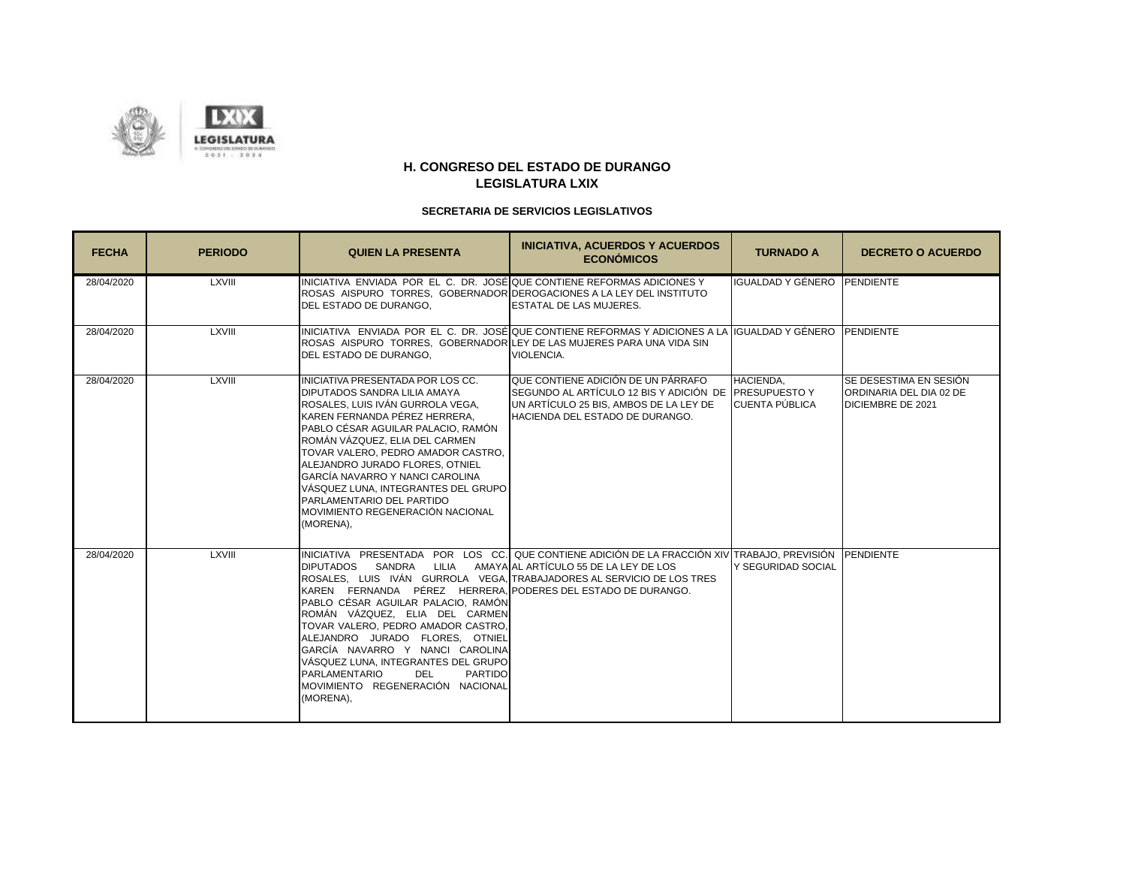

| <b>FECHA</b> | <b>PERIODO</b> | <b>QUIEN LA PRESENTA</b>                                                                                                                                                                                                                                                                                                                                                                                                                        | <b>INICIATIVA, ACUERDOS Y ACUERDOS</b><br><b>ECONÓMICOS</b>                                                                                                                                                              | <b>TURNADO A</b>                   | <b>DECRETO O ACUERDO</b>                                               |
|--------------|----------------|-------------------------------------------------------------------------------------------------------------------------------------------------------------------------------------------------------------------------------------------------------------------------------------------------------------------------------------------------------------------------------------------------------------------------------------------------|--------------------------------------------------------------------------------------------------------------------------------------------------------------------------------------------------------------------------|------------------------------------|------------------------------------------------------------------------|
| 28/04/2020   | <b>LXVIII</b>  | INICIATIVA ENVIADA POR EL C. DR. JOSÉ QUE CONTIENE REFORMAS ADICIONES Y<br>ROSAS AISPURO TORRES, GOBERNADOR DEROGACIONES A LA LEY DEL INSTITUTO<br>DEL ESTADO DE DURANGO.                                                                                                                                                                                                                                                                       | <b>ESTATAL DE LAS MUJERES.</b>                                                                                                                                                                                           | IGUALDAD Y GÉNERO PENDIENTE        |                                                                        |
| 28/04/2020   | <b>LXVIII</b>  | ROSAS AISPURO TORRES. GOBERNADOR LEY DE LAS MUJERES PARA UNA VIDA SIN<br>DEL ESTADO DE DURANGO.                                                                                                                                                                                                                                                                                                                                                 | INICIATIVA ENVIADA POR EL C. DR. JOSÉ QUE CONTIENE REFORMAS Y ADICIONES A LA IGUALDAD Y GÉNERO PENDIENTE<br>VIOLENCIA.                                                                                                   |                                    |                                                                        |
| 28/04/2020   | <b>LXVIII</b>  | INICIATIVA PRESENTADA POR LOS CC.<br>DIPUTADOS SANDRA LILIA AMAYA<br>ROSALES. LUIS IVÁN GURROLA VEGA.<br>KAREN FERNANDA PÉREZ HERRERA.<br>PABLO CÉSAR AGUILAR PALACIO, RAMÓN<br>ROMÁN VÁZQUEZ. ELIA DEL CARMEN<br>TOVAR VALERO. PEDRO AMADOR CASTRO.<br>ALEJANDRO JURADO FLORES, OTNIEL<br>GARCÍA NAVARRO Y NANCI CAROLINA<br>VÁSQUEZ LUNA, INTEGRANTES DEL GRUPO<br>PARLAMENTARIO DEL PARTIDO<br>MOVIMIENTO REGENERACIÓN NACIONAL<br>(MORENA), | QUE CONTIENE ADICIÓN DE UN PÁRRAFO<br>SEGUNDO AL ARTÍCULO 12 BIS Y ADICIÓN DE IPRESUPUESTO Y<br>UN ARTÍCULO 25 BIS, AMBOS DE LA LEY DE<br>HACIENDA DEL ESTADO DE DURANGO.                                                | HACIENDA.<br><b>CUENTA PÚBLICA</b> | SE DESESTIMA EN SESIÓN<br>ORDINARIA DEL DIA 02 DE<br>DICIEMBRE DE 2021 |
| 28/04/2020   | <b>LXVIII</b>  | DIPUTADOS SANDRA LILIA<br>KAREN FERNANDA PÉREZ HERRERA. PODERES DEL ESTADO DE DURANGO.<br>PABLO CÉSAR AGUILAR PALACIO, RAMÓN<br>ROMÁN VÁZQUEZ. ELIA DEL CARMEN<br>TOVAR VALERO, PEDRO AMADOR CASTRO,<br>ALEJANDRO JURADO FLORES, OTNIEL<br>GARCÍA NAVARRO Y NANCI CAROLINA<br>VÁSQUEZ LUNA, INTEGRANTES DEL GRUPO<br>PARLAMENTARIO<br><b>DEL</b><br>PARTIDO<br>MOVIMIENTO REGENERACIÓN NACIONAL<br>(MORENA),                                    | INICIATIVA PRESENTADA POR LOS CC. QUE CONTIENE ADICIÓN DE LA FRACCIÓN XIVITRABAJO. PREVISIÓN PENDIENTE<br>AMAYA AL ARTÍCULO 55 DE LA LEY DE LOS<br>ROSALES. LUIS IVÁN GURROLA VEGA. TRABAJADORES AL SERVICIO DE LOS TRES | Y SEGURIDAD SOCIAL                 |                                                                        |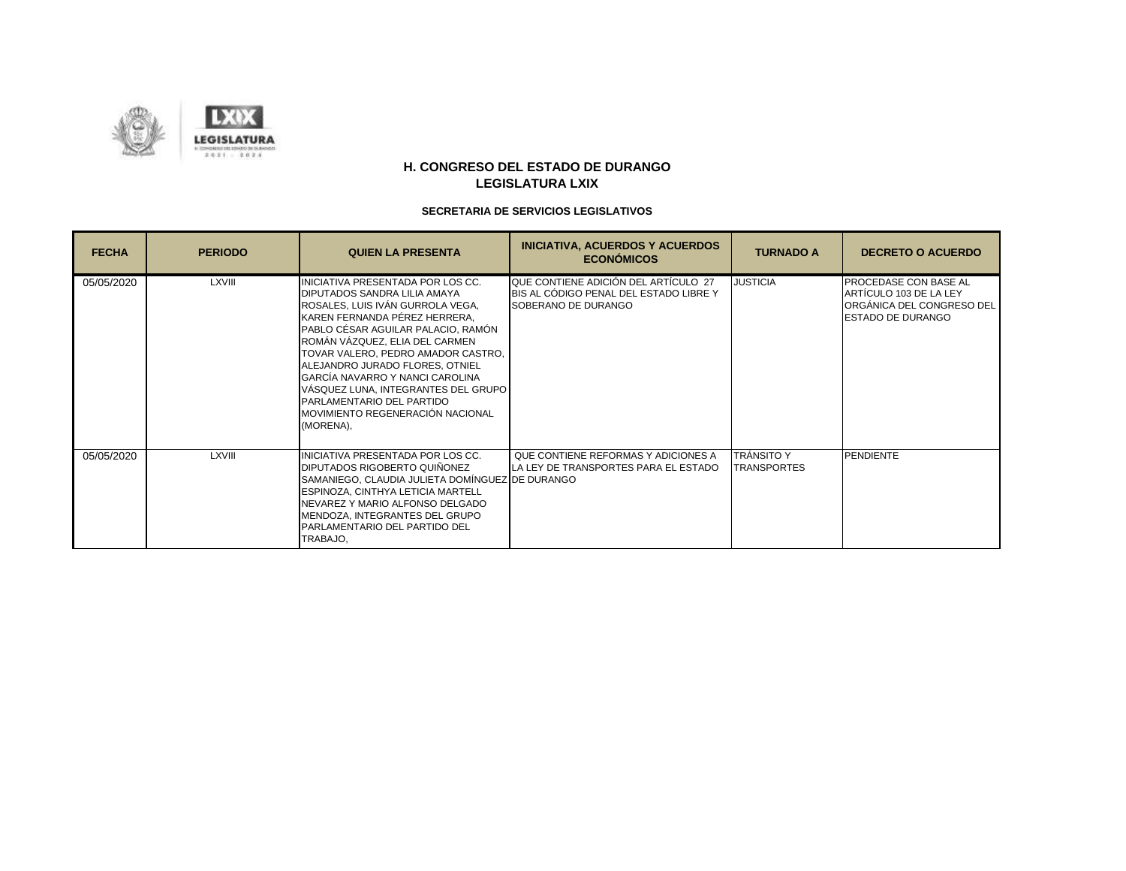

| <b>FECHA</b> | <b>PERIODO</b> | <b>QUIEN LA PRESENTA</b>                                                                                                                                                                                                                                                                                                                                                                                                                        | <b>INICIATIVA, ACUERDOS Y ACUERDOS</b><br><b>ECONÓMICOS</b>                                                    | <b>TURNADO A</b>                        | <b>DECRETO O ACUERDO</b>                                                                                 |
|--------------|----------------|-------------------------------------------------------------------------------------------------------------------------------------------------------------------------------------------------------------------------------------------------------------------------------------------------------------------------------------------------------------------------------------------------------------------------------------------------|----------------------------------------------------------------------------------------------------------------|-----------------------------------------|----------------------------------------------------------------------------------------------------------|
| 05/05/2020   | LXVIII         | INICIATIVA PRESENTADA POR LOS CC.<br>DIPUTADOS SANDRA LILIA AMAYA<br>ROSALES, LUIS IVÁN GURROLA VEGA,<br>KAREN FERNANDA PÉREZ HERRERA,<br>PABLO CÉSAR AGUILAR PALACIO, RAMÓN<br>ROMÁN VÁZQUEZ, ELIA DEL CARMEN<br>TOVAR VALERO, PEDRO AMADOR CASTRO,<br>ALEJANDRO JURADO FLORES, OTNIEL<br>GARCÍA NAVARRO Y NANCI CAROLINA<br>VÁSQUEZ LUNA. INTEGRANTES DEL GRUPO<br>PARLAMENTARIO DEL PARTIDO<br>MOVIMIENTO REGENERACIÓN NACIONAL<br>(MORENA), | QUE CONTIENE ADICIÓN DEL ARTÍCULO 27<br>IBIS AL CÓDIGO PENAL DEL ESTADO LIBRE Y<br><b>ISOBERANO DE DURANGO</b> | <b>JUSTICIA</b>                         | PROCEDASE CON BASE AL<br>ARTÍCULO 103 DE LA LEY<br>ORGÁNICA DEL CONGRESO DEL<br><b>ESTADO DE DURANGO</b> |
| 05/05/2020   | LXVIII         | INICIATIVA PRESENTADA POR LOS CC.<br>DIPUTADOS RIGOBERTO QUIÑONEZ<br>SAMANIEGO, CLAUDIA JULIETA DOMÍNGUEZ DE DURANGO<br>ESPINOZA, CINTHYA LETICIA MARTELL<br>NEVAREZ Y MARIO ALFONSO DELGADO<br>MENDOZA, INTEGRANTES DEL GRUPO<br>PARLAMENTARIO DEL PARTIDO DEL<br>TRABAJO,                                                                                                                                                                     | QUE CONTIENE REFORMAS Y ADICIONES A<br>LA LEY DE TRANSPORTES PARA EL ESTADO                                    | <b>TRÁNSITO Y</b><br><b>TRANSPORTES</b> | <b>PENDIENTE</b>                                                                                         |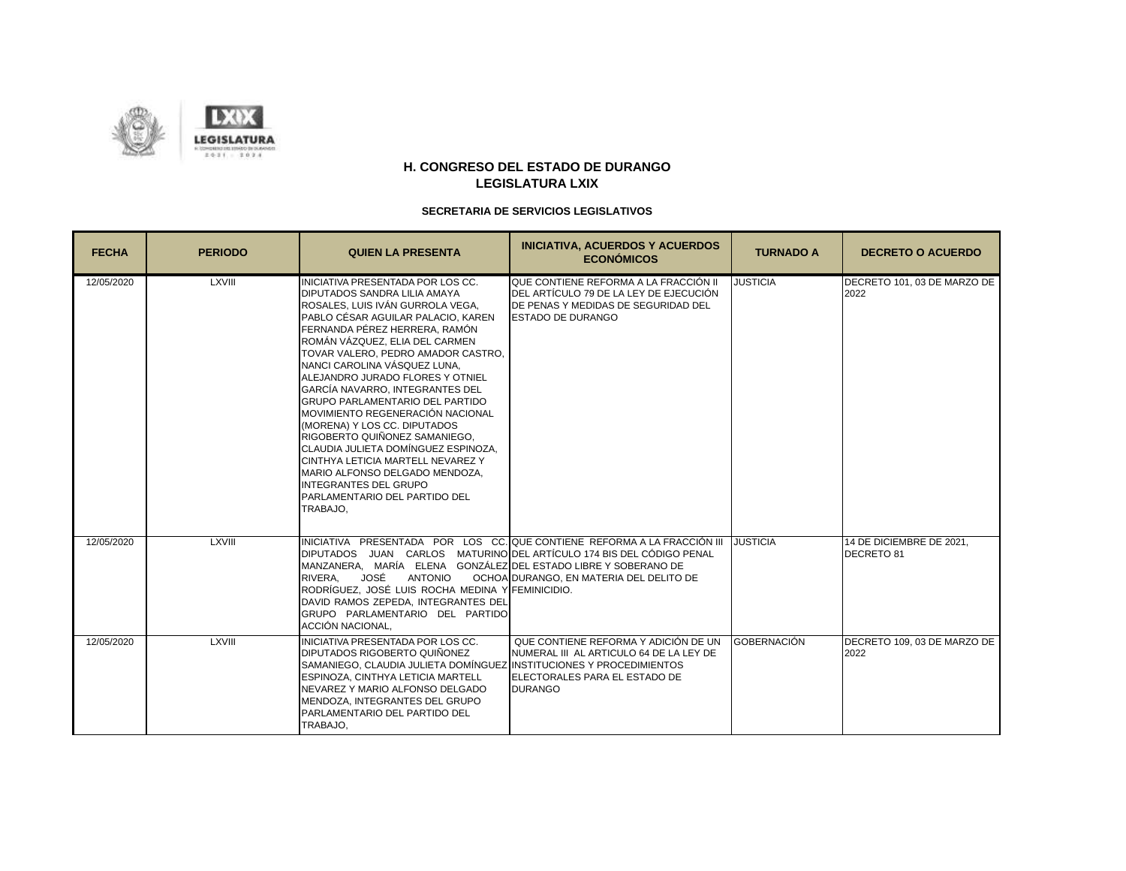

| <b>FECHA</b> | <b>PERIODO</b> | <b>QUIEN LA PRESENTA</b>                                                                                                                                                                                                                                                                                                                                                                                                                                                                                                                                                                                                                                                                       | <b>INICIATIVA, ACUERDOS Y ACUERDOS</b><br><b>ECONÓMICOS</b>                                                                                                | <b>TURNADO A</b>   | <b>DECRETO O ACUERDO</b>               |
|--------------|----------------|------------------------------------------------------------------------------------------------------------------------------------------------------------------------------------------------------------------------------------------------------------------------------------------------------------------------------------------------------------------------------------------------------------------------------------------------------------------------------------------------------------------------------------------------------------------------------------------------------------------------------------------------------------------------------------------------|------------------------------------------------------------------------------------------------------------------------------------------------------------|--------------------|----------------------------------------|
| 12/05/2020   | <b>LXVIII</b>  | INICIATIVA PRESENTADA POR LOS CC.<br>DIPUTADOS SANDRA LILIA AMAYA<br>ROSALES. LUIS IVÁN GURROLA VEGA.<br>PABLO CÉSAR AGUILAR PALACIO, KAREN<br>FERNANDA PÉREZ HERRERA, RAMÓN<br>ROMÁN VÁZQUEZ, ELIA DEL CARMEN<br>TOVAR VALERO, PEDRO AMADOR CASTRO,<br>NANCI CAROLINA VÁSQUEZ LUNA.<br>ALEJANDRO JURADO FLORES Y OTNIEL<br>GARCÍA NAVARRO. INTEGRANTES DEL<br><b>GRUPO PARLAMENTARIO DEL PARTIDO</b><br>MOVIMIENTO REGENERACIÓN NACIONAL<br>(MORENA) Y LOS CC. DIPUTADOS<br>RIGOBERTO QUIÑONEZ SAMANIEGO.<br>CLAUDIA JULIETA DOMÍNGUEZ ESPINOZA.<br>CINTHYA LETICIA MARTELL NEVAREZ Y<br>MARIO ALFONSO DELGADO MENDOZA.<br>INTEGRANTES DEL GRUPO<br>PARLAMENTARIO DEL PARTIDO DEL<br>TRABAJO, | QUE CONTIENE REFORMA A LA FRACCIÓN II<br>DEL ARTÍCULO 79 DE LA LEY DE EJECUCIÓN<br><b>IDE PENAS Y MEDIDAS DE SEGURIDAD DEL</b><br><b>ESTADO DE DURANGO</b> | <b>JUSTICIA</b>    | DECRETO 101, 03 DE MARZO DE<br>2022    |
| 12/05/2020   | <b>LXVIII</b>  | DIPUTADOS JUAN CARLOS MATURINO DEL ARTÍCULO 174 BIS DEL CÓDIGO PENAL<br>MANZANERA, MARÍA ELENA GONZÁLEZ DEL ESTADO LIBRE Y SOBERANO DE<br>JOSÉ<br>RIVERA.<br>ANTONIO<br>RODRÍGUEZ, JOSÉ LUIS ROCHA MEDINA Y FEMINICIDIO.<br>DAVID RAMOS ZEPEDA. INTEGRANTES DEL<br>GRUPO PARLAMENTARIO DEL PARTIDO<br>ACCIÓN NACIONAL.                                                                                                                                                                                                                                                                                                                                                                         | INICIATIVA PRESENTADA POR LOS CC. QUE CONTIENE REFORMA A LA FRACCIÓN III<br>OCHOA DURANGO, EN MATERIA DEL DELITO DE                                        | <b>JUSTICIA</b>    | 14 DE DICIEMBRE DE 2021,<br>DECRETO 81 |
| 12/05/2020   | <b>LXVIII</b>  | INICIATIVA PRESENTADA POR LOS CC.<br>DIPUTADOS RIGOBERTO QUIÑONEZ<br>SAMANIEGO, CLAUDIA JULIETA DOMÍNGUEZ INSTITUCIONES Y PROCEDIMIENTOS<br>ESPINOZA, CINTHYA LETICIA MARTELL<br>NEVAREZ Y MARIO ALFONSO DELGADO<br>MENDOZA, INTEGRANTES DEL GRUPO<br>PARLAMENTARIO DEL PARTIDO DEL<br>TRABAJO,                                                                                                                                                                                                                                                                                                                                                                                                | QUE CONTIENE REFORMA Y ADICIÓN DE UN<br>NUMERAL III AL ARTICULO 64 DE LA LEY DE<br><b>IELECTORALES PARA EL ESTADO DE</b><br><b>DURANGO</b>                 | <b>GOBERNACIÓN</b> | DECRETO 109, 03 DE MARZO DE<br>2022    |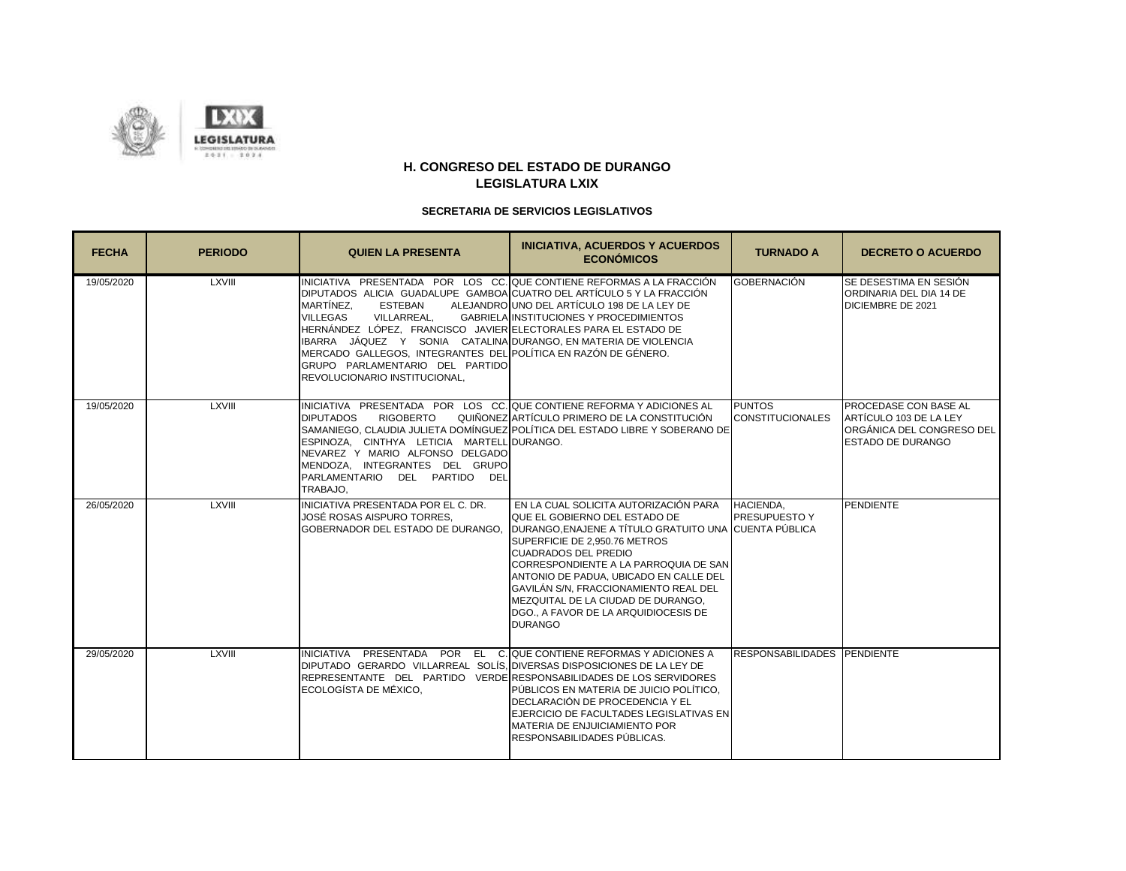

| <b>FECHA</b> | <b>PERIODO</b> | <b>QUIEN LA PRESENTA</b>                                                                                                                                                                                                                                                                                                                                                                                                                                                                   | <b>INICIATIVA, ACUERDOS Y ACUERDOS</b><br><b>ECONÓMICOS</b>                                                                                                                                                                                                                                                                                                                                                                 | <b>TURNADO A</b>                         | <b>DECRETO O ACUERDO</b>                                                                                 |
|--------------|----------------|--------------------------------------------------------------------------------------------------------------------------------------------------------------------------------------------------------------------------------------------------------------------------------------------------------------------------------------------------------------------------------------------------------------------------------------------------------------------------------------------|-----------------------------------------------------------------------------------------------------------------------------------------------------------------------------------------------------------------------------------------------------------------------------------------------------------------------------------------------------------------------------------------------------------------------------|------------------------------------------|----------------------------------------------------------------------------------------------------------|
| 19/05/2020   | <b>LXVIII</b>  | INICIATIVA PRESENTADA POR LOS CC. QUE CONTIENE REFORMAS A LA FRACCIÓN<br>DIPUTADOS ALICIA GUADALUPE GAMBOA CUATRO DEL ARTÍCULO 5 Y LA FRACCIÓN<br>MARTÍNEZ.<br>ESTEBAN<br><b>VILLEGAS</b><br>VILLARREAL.<br>HERNÁNDEZ LÓPEZ. FRANCISCO JAVIER ELECTORALES PARA EL ESTADO DE<br>BARRA JÁQUEZ Y SONIA CATALINA DURANGO, EN MATERIA DE VIOLENCIA<br>MERCADO GALLEGOS, INTEGRANTES DEL POLÍTICA EN RAZÓN DE GÉNERO.<br>GRUPO PARLAMENTARIO DEL PARTIDO<br><b>REVOLUCIONARIO INSTITUCIONAL.</b> | ALEJANDRO UNO DEL ARTÍCULO 198 DE LA LEY DE<br>GABRIELA INSTITUCIONES Y PROCEDIMIENTOS                                                                                                                                                                                                                                                                                                                                      | <b>GOBERNACIÓN</b>                       | SE DESESTIMA EN SESIÓN<br>ORDINARIA DEL DIA 14 DE<br>DICIEMBRE DE 2021                                   |
| 19/05/2020   | <b>LXVIII</b>  | INICIATIVA PRESENTADA POR LOS CC. QUE CONTIENE REFORMA Y ADICIONES AL<br><b>DIPUTADOS</b><br><b>RIGOBERTO</b><br>ESPINOZA, CINTHYA LETICIA MARTELLOURANGO.<br>NEVAREZ Y MARIO ALFONSO DELGADO<br>MENDOZA, INTEGRANTES DEL GRUPO<br>PARLAMENTARIO DEL PARTIDO DEL<br>TRABAJO.                                                                                                                                                                                                               | QUIÑONEZ ARTÍCULO PRIMERO DE LA CONSTITUCIÓN<br>SAMANIEGO, CLAUDIA JULIETA DOMÍNGUEZ POLÍTICA DEL ESTADO LIBRE Y SOBERANO DE                                                                                                                                                                                                                                                                                                | <b>PUNTOS</b><br><b>CONSTITUCIONALES</b> | PROCEDASE CON BASE AL<br>ARTÍCULO 103 DE LA LEY<br>ORGÁNICA DEL CONGRESO DEL<br><b>ESTADO DE DURANGO</b> |
| 26/05/2020   | <b>LXVIII</b>  | INICIATIVA PRESENTADA POR EL C. DR.<br>JOSÉ ROSAS AISPURO TORRES.<br>GOBERNADOR DEL ESTADO DE DURANGO.                                                                                                                                                                                                                                                                                                                                                                                     | EN LA CUAL SOLICITA AUTORIZACIÓN PARA<br>QUE EL GOBIERNO DEL ESTADO DE<br>DURANGO, ENAJENE A TÍTULO GRATUITO UNA CUENTA PÚBLICA<br>SUPERFICIE DE 2,950.76 METROS<br><b>CUADRADOS DEL PREDIO</b><br>CORRESPONDIENTE A LA PARROQUIA DE SAN<br>ANTONIO DE PADUA, UBICADO EN CALLE DEL<br>GAVILÁN S/N. FRACCIONAMIENTO REAL DEL<br>MEZQUITAL DE LA CIUDAD DE DURANGO.<br>DGO., A FAVOR DE LA ARQUIDIOCESIS DE<br><b>DURANGO</b> | HACIENDA.<br>PRESUPUESTO Y               | <b>PENDIENTE</b>                                                                                         |
| 29/05/2020   | LXVIII         | IINICIATIVA PRESENTADA POR EL C.IQUE.CONTIENE.REFORMAS.Y.ADICIONES.A.<br>DIPUTADO GERARDO VILLARREAL SOLÍS. DIVERSAS DISPOSICIONES DE LA LEY DE<br>REPRESENTANTE DEL PARTIDO VERDE RESPONSABILIDADES DE LOS SERVIDORES<br>ECOLOGÍSTA DE MÉXICO,                                                                                                                                                                                                                                            | PÚBLICOS EN MATERIA DE JUICIO POLÍTICO,<br>DECLARACIÓN DE PROCEDENCIA Y EL<br>EJERCICIO DE FACULTADES LEGISLATIVAS EN<br>MATERIA DE ENJUICIAMIENTO POR<br>RESPONSABILIDADES PÚBLICAS.                                                                                                                                                                                                                                       | RESPONSABILIDADES PENDIENTE              |                                                                                                          |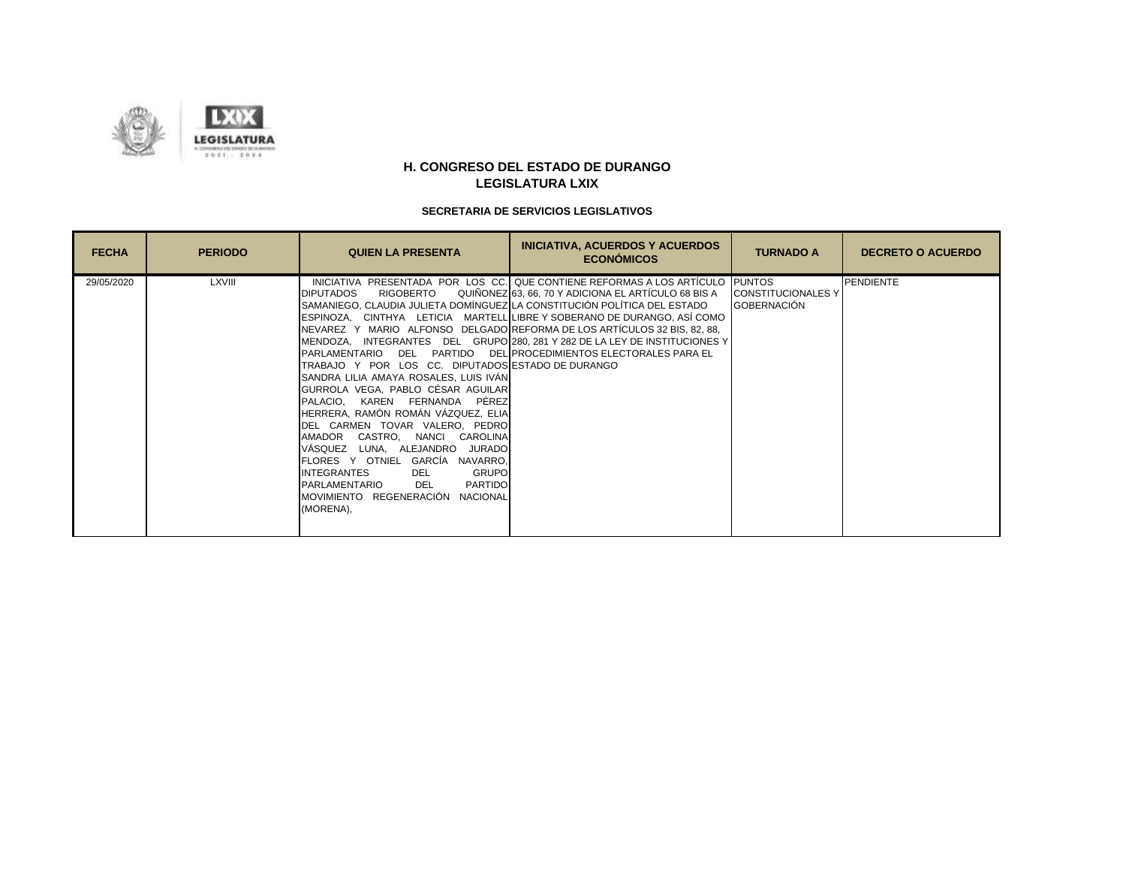

| <b>FECHA</b> | <b>PERIODO</b> | <b>QUIEN LA PRESENTA</b>                                                                                                                                                                                                                                                                                                                                                                                                                                                                                                                                                                                                                       | <b>INICIATIVA, ACUERDOS Y ACUERDOS</b><br><b>ECONÓMICOS</b>                                                                                                                                                                                                                                                                                                                                                                 | <b>TURNADO A</b>                                | <b>DECRETO O ACUERDO</b> |
|--------------|----------------|------------------------------------------------------------------------------------------------------------------------------------------------------------------------------------------------------------------------------------------------------------------------------------------------------------------------------------------------------------------------------------------------------------------------------------------------------------------------------------------------------------------------------------------------------------------------------------------------------------------------------------------------|-----------------------------------------------------------------------------------------------------------------------------------------------------------------------------------------------------------------------------------------------------------------------------------------------------------------------------------------------------------------------------------------------------------------------------|-------------------------------------------------|--------------------------|
| 29/05/2020   | <b>LXVIII</b>  | <b>RIGOBERTO</b><br><b>DIPUTADOS</b><br>ISAMANIEGO. CLAUDIA JULIETA DOMÍNGUEZILA CONSTITUCIÓN POLÍTICA DEL ESTADO<br>PARLAMENTARIO<br>DEL<br>TRABAJO Y POR LOS CC. DIPUTADOS ESTADO DE DURANGO<br>SANDRA LILIA AMAYA ROSALES, LUIS IVAN<br>GURROLA VEGA, PABLO CÉSAR AGUILAR<br>PALACIO. KAREN FERNANDA PÉREZI<br>HERRERA, RAMÓN ROMÁN VÁZQUEZ, ELIA<br>DEL CARMEN TOVAR VALERO, PEDRO<br>CASTRO, NANCI CAROLINA<br>AMADOR<br>VÁSQUEZ LUNA, ALEJANDRO JURADO<br>FLORES Y OTNIEL GARCÍA NAVARRO,<br><b>INTEGRANTES</b><br><b>GRUPO</b><br>DEL<br><b>DEL</b><br><b>PARTIDO</b><br>PARLAMENTARIO<br>MOVIMIENTO REGENERACIÓN NACIONAL<br>(MORENA), | INICIATIVA PRESENTADA POR LOS CC. QUE CONTIENE REFORMAS A LOS ARTÍCULO PUNTOS<br>QUIÑONEZ 63, 66, 70 Y ADICIONA EL ARTÍCULO 68 BIS A<br>ESPINOZA, CINTHYA LETICIA MARTELL LIBRE Y SOBERANO DE DURANGO, ASÍ COMO<br>NEVAREZ Y MARIO ALFONSO DELGADOIREFORMA DE LOS ARTÍCULOS 32 BIS. 82. 88.<br>MENDOZA, INTEGRANTES DEL GRUPO 280, 281 Y 282 DE LA LEY DE INSTITUCIONES Y<br>PARTIDO DELIPROCEDIMIENTOS ELECTORALES PARA EL | <b>CONSTITUCIONALES Y</b><br><b>GOBERNACIÓN</b> | <b>PENDIENTE</b>         |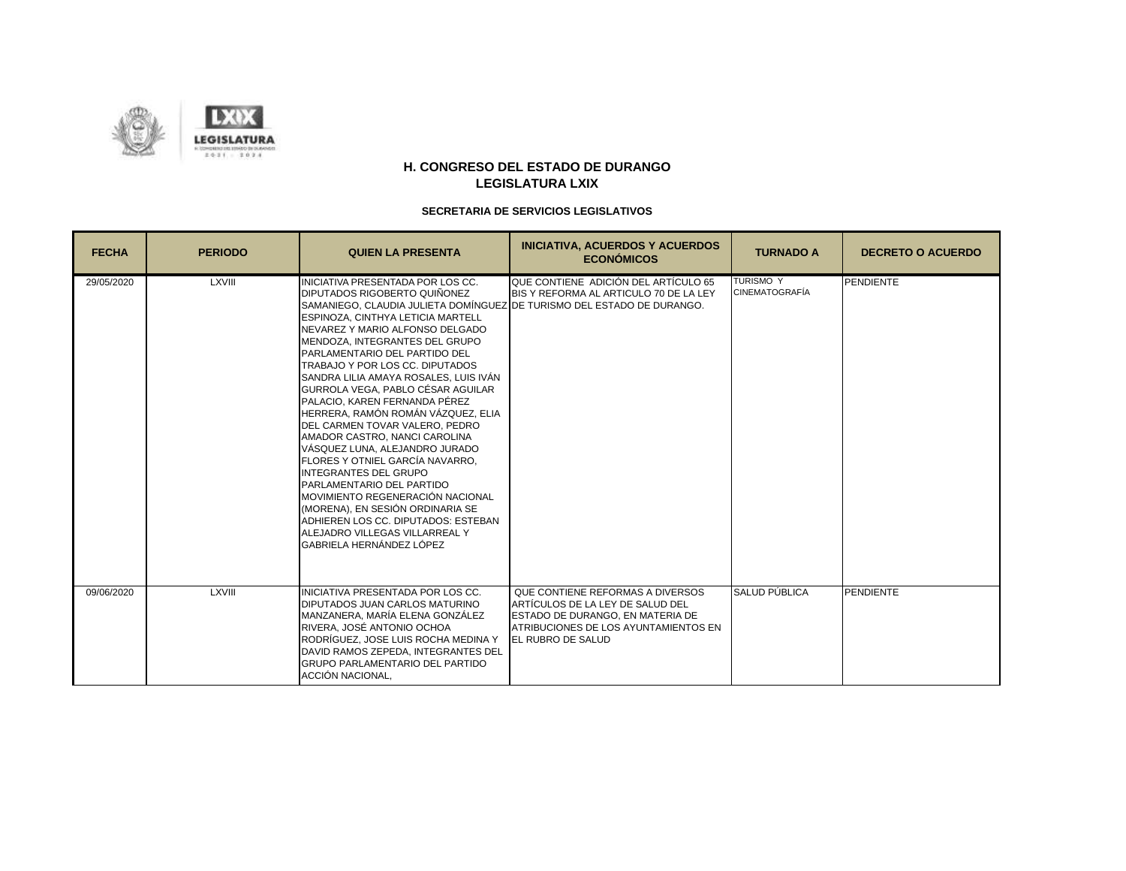

| <b>FECHA</b> | <b>PERIODO</b> | <b>QUIEN LA PRESENTA</b>                                                                                                                                                                                                                                                                                                                                                                                                                                                                                                                                                                                                                                                                                                                                                                                                                                          | <b>INICIATIVA, ACUERDOS Y ACUERDOS</b><br><b>ECONÓMICOS</b>                                                                                                                  | <b>TURNADO A</b>                          | <b>DECRETO O ACUERDO</b> |
|--------------|----------------|-------------------------------------------------------------------------------------------------------------------------------------------------------------------------------------------------------------------------------------------------------------------------------------------------------------------------------------------------------------------------------------------------------------------------------------------------------------------------------------------------------------------------------------------------------------------------------------------------------------------------------------------------------------------------------------------------------------------------------------------------------------------------------------------------------------------------------------------------------------------|------------------------------------------------------------------------------------------------------------------------------------------------------------------------------|-------------------------------------------|--------------------------|
| 29/05/2020   | LXVIII         | INICIATIVA PRESENTADA POR LOS CC.<br>DIPUTADOS RIGOBERTO QUIÑONEZ<br>ISAMANIEGO. CLAUDIA JULIETA DOMÍNGUEZIDE TURISMO DEL ESTADO DE DURANGO.<br>ESPINOZA, CINTHYA LETICIA MARTELL<br>NEVAREZ Y MARIO ALFONSO DELGADO<br>MENDOZA. INTEGRANTES DEL GRUPO<br>PARLAMENTARIO DEL PARTIDO DEL<br>TRABAJO Y POR LOS CC. DIPUTADOS<br>SANDRA LILIA AMAYA ROSALES, LUIS IVÁN<br>GURROLA VEGA. PABLO CÉSAR AGUILAR<br>PALACIO, KAREN FERNANDA PÉREZ<br>HERRERA. RAMÓN ROMÁN VÁZQUEZ. ELIA<br>DEL CARMEN TOVAR VALERO. PEDRO<br>AMADOR CASTRO, NANCI CAROLINA<br>VÁSQUEZ LUNA, ALEJANDRO JURADO<br>FLORES Y OTNIEL GARCÍA NAVARRO.<br><b>INTEGRANTES DEL GRUPO</b><br>PARLAMENTARIO DEL PARTIDO<br>MOVIMIENTO REGENERACIÓN NACIONAL<br>(MORENA). EN SESIÓN ORDINARIA SE<br>ADHIEREN LOS CC. DIPUTADOS: ESTEBAN<br>ALEJADRO VILLEGAS VILLARREAL Y<br>GABRIELA HERNÁNDEZ LÓPEZ | QUE CONTIENE ADICIÓN DEL ARTÍCULO 65<br>BIS Y REFORMA AL ARTICULO 70 DE LA LEY                                                                                               | <b>TURISMO Y</b><br><b>CINEMATOGRAFÍA</b> | <b>PENDIENTE</b>         |
| 09/06/2020   | LXVIII         | INICIATIVA PRESENTADA POR LOS CC.<br>DIPUTADOS JUAN CARLOS MATURINO<br>MANZANERA. MARÍA ELENA GONZÁLEZ<br>RIVERA. JOSÉ ANTONIO OCHOA<br>RODRÍGUEZ. JOSE LUIS ROCHA MEDINA Y<br>DAVID RAMOS ZEPEDA. INTEGRANTES DEL<br><b>GRUPO PARLAMENTARIO DEL PARTIDO</b><br>ACCIÓN NACIONAL.                                                                                                                                                                                                                                                                                                                                                                                                                                                                                                                                                                                  | QUE CONTIENE REFORMAS A DIVERSOS<br>ARTÍCULOS DE LA LEY DE SALUD DEL<br>ESTADO DE DURANGO. EN MATERIA DE<br>ATRIBUCIONES DE LOS AYUNTAMIENTOS EN<br><b>EL RUBRO DE SALUD</b> | SALUD PÚBLICA                             | <b>PENDIENTE</b>         |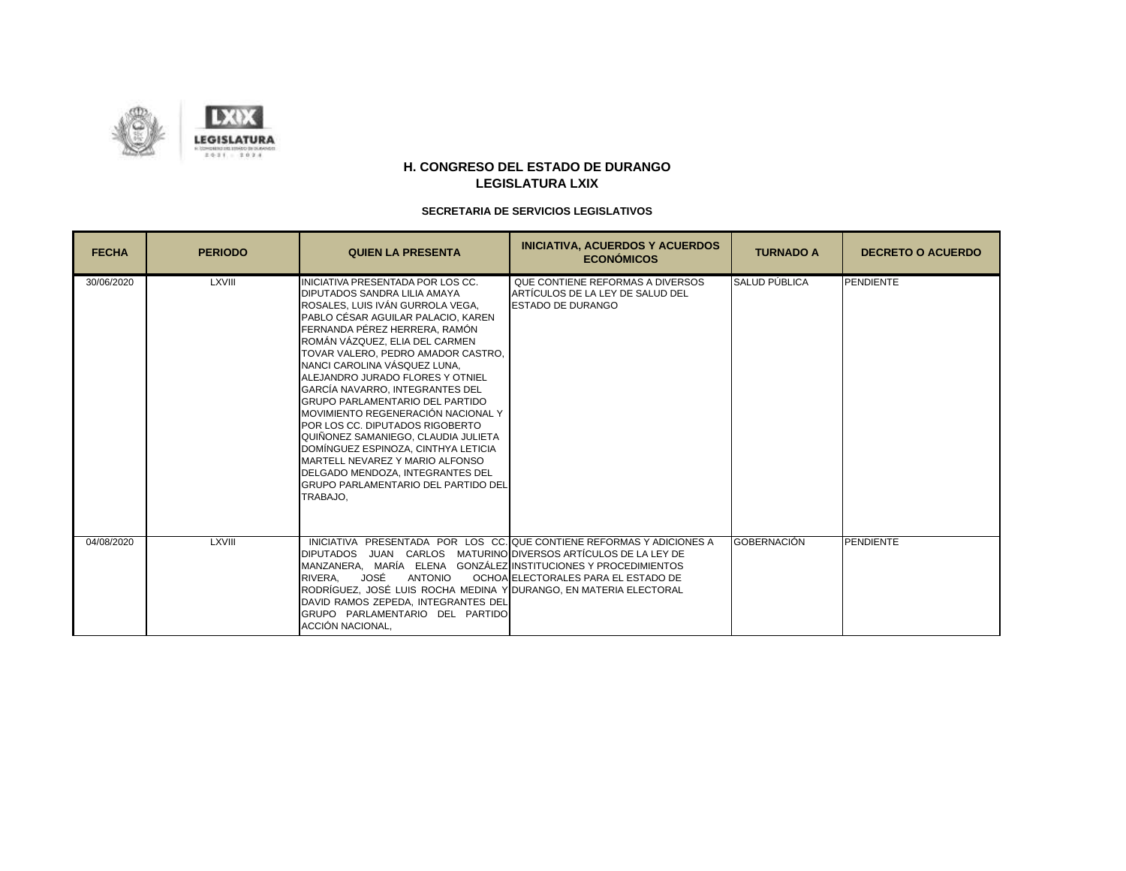

| <b>FECHA</b> | <b>PERIODO</b> | <b>QUIEN LA PRESENTA</b>                                                                                                                                                                                                                                                                                                                                                                                                                                                                                                                                                                                                                                                                      | <b>INICIATIVA, ACUERDOS Y ACUERDOS</b><br><b>ECONÓMICOS</b>                                                  | <b>TURNADO A</b>   | <b>DECRETO O ACUERDO</b> |
|--------------|----------------|-----------------------------------------------------------------------------------------------------------------------------------------------------------------------------------------------------------------------------------------------------------------------------------------------------------------------------------------------------------------------------------------------------------------------------------------------------------------------------------------------------------------------------------------------------------------------------------------------------------------------------------------------------------------------------------------------|--------------------------------------------------------------------------------------------------------------|--------------------|--------------------------|
| 30/06/2020   | <b>LXVIII</b>  | INICIATIVA PRESENTADA POR LOS CC.<br>DIPUTADOS SANDRA LILIA AMAYA<br>ROSALES. LUIS IVÁN GURROLA VEGA.<br>PABLO CÉSAR AGUILAR PALACIO, KAREN<br>FERNANDA PÉREZ HERRERA. RAMÓN<br>ROMÁN VÁZQUEZ. ELIA DEL CARMEN<br>TOVAR VALERO. PEDRO AMADOR CASTRO.<br>NANCI CAROLINA VÁSQUEZ LUNA.<br>ALEJANDRO JURADO FLORES Y OTNIEL<br>GARCÍA NAVARRO. INTEGRANTES DEL<br><b>GRUPO PARLAMENTARIO DEL PARTIDO</b><br>MOVIMIENTO REGENERACIÓN NACIONAL Y<br>POR LOS CC. DIPUTADOS RIGOBERTO<br>QUIÑONEZ SAMANIEGO, CLAUDIA JULIETA<br>DOMÍNGUEZ ESPINOZA. CINTHYA LETICIA<br>MARTELL NEVAREZ Y MARIO ALFONSO<br>DELGADO MENDOZA. INTEGRANTES DEL<br><b>GRUPO PARLAMENTARIO DEL PARTIDO DEL</b><br>TRABAJO, | QUE CONTIENE REFORMAS A DIVERSOS<br>IARTÍCULOS DE LA LEY DE SALUD DEL<br><b>ESTADO DE DURANGO</b>            | SALUD PÚBLICA      | PENDIENTE                |
| 04/08/2020   | <b>LXVIII</b>  | DIPUTADOS JUAN CARLOS MATURINO DIVERSOS ARTÍCULOS DE LA LEY DE<br>MANZANERA. MARÍA ELENA GONZÁLEZIINSTITUCIONES Y PROCEDIMIENTOS<br>RIVERA.<br>JOSÉ<br>ANTONIO<br>RODRÍGUEZ, JOSÉ LUIS ROCHA MEDINA Y DURANGO, EN MATERIA ELECTORAL<br>DAVID RAMOS ZEPEDA. INTEGRANTES DEL<br>GRUPO PARLAMENTARIO DEL PARTIDO<br>ACCIÓN NACIONAL,                                                                                                                                                                                                                                                                                                                                                             | INICIATIVA PRESENTADA POR LOS CC. QUE CONTIENE REFORMAS Y ADICIONES A<br>OCHOA ELECTORALES PARA EL ESTADO DE | <b>GOBERNACIÓN</b> | <b>PENDIENTE</b>         |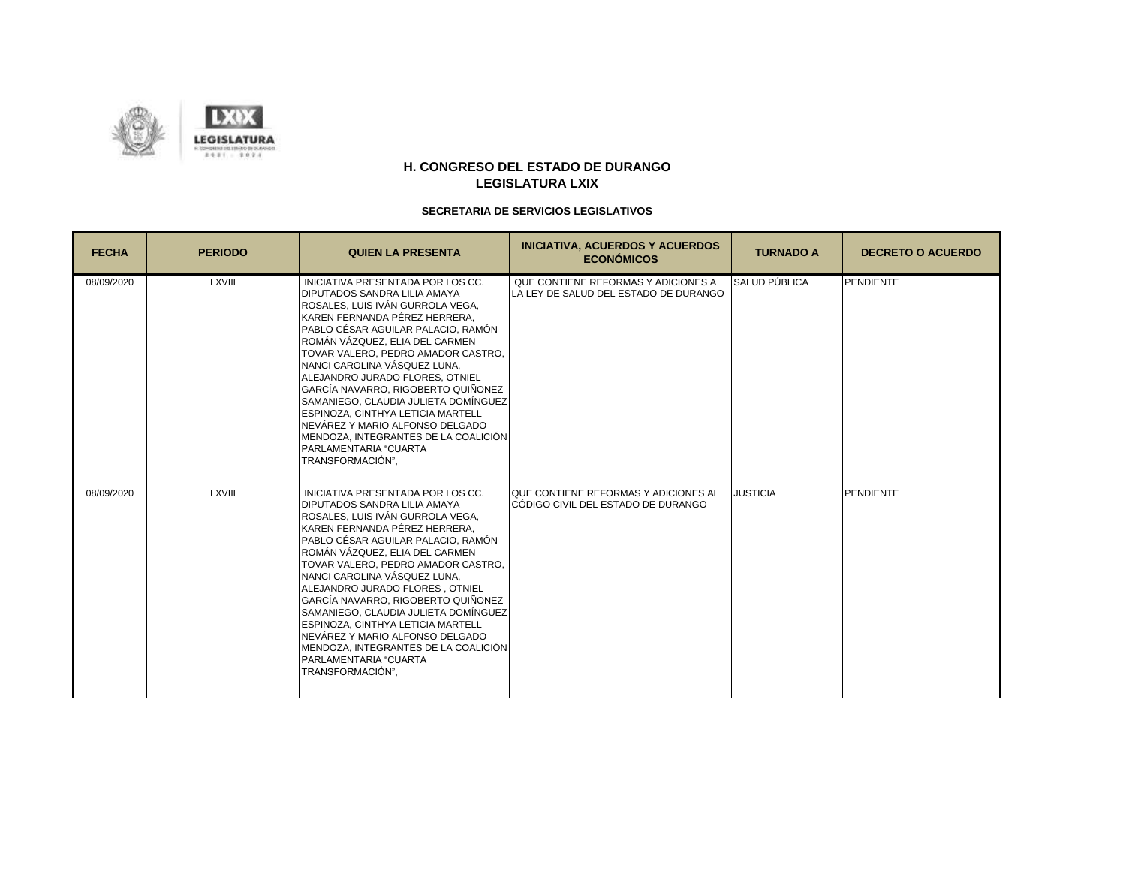

| <b>FECHA</b> | <b>PERIODO</b> | <b>QUIEN LA PRESENTA</b>                                                                                                                                                                                                                                                                                                                                                                                                                                                                                                                                                   | <b>INICIATIVA, ACUERDOS Y ACUERDOS</b><br><b>ECONÓMICOS</b>                  | <b>TURNADO A</b> | <b>DECRETO O ACUERDO</b> |
|--------------|----------------|----------------------------------------------------------------------------------------------------------------------------------------------------------------------------------------------------------------------------------------------------------------------------------------------------------------------------------------------------------------------------------------------------------------------------------------------------------------------------------------------------------------------------------------------------------------------------|------------------------------------------------------------------------------|------------------|--------------------------|
| 08/09/2020   | <b>LXVIII</b>  | INICIATIVA PRESENTADA POR LOS CC.<br>DIPUTADOS SANDRA LILIA AMAYA<br>ROSALES. LUIS IVÁN GURROLA VEGA.<br>KAREN FERNANDA PÉREZ HERRERA,<br>PABLO CÉSAR AGUILAR PALACIO, RAMÓN<br>ROMÁN VÁZQUEZ. ELIA DEL CARMEN<br>TOVAR VALERO, PEDRO AMADOR CASTRO,<br>NANCI CAROLINA VÁSQUEZ LUNA,<br>ALEJANDRO JURADO FLORES, OTNIEL<br>GARCÍA NAVARRO. RIGOBERTO QUIÑONEZ<br>SAMANIEGO, CLAUDIA JULIETA DOMÍNGUEZ<br>ESPINOZA, CINTHYA LETICIA MARTELL<br>NEVÁREZ Y MARIO ALFONSO DELGADO<br>MENDOZA, INTEGRANTES DE LA COALICIÓN<br>PARLAMENTARIA "CUARTA<br>TRANSFORMACIÓN",         | QUE CONTIENE REFORMAS Y ADICIONES A<br>LA LEY DE SALUD DEL ESTADO DE DURANGO | SALUD PÚBLICA    | PENDIENTE                |
| 08/09/2020   | <b>LXVIII</b>  | INICIATIVA PRESENTADA POR LOS CC.<br><b>DIPUTADOS SANDRA LILIA AMAYA</b><br>ROSALES. LUIS IVÁN GURROLA VEGA.<br>KAREN FERNANDA PÉREZ HERRERA.<br>PABLO CÉSAR AGUILAR PALACIO. RAMÓN<br>ROMÁN VÁZQUEZ. ELIA DEL CARMEN<br>TOVAR VALERO, PEDRO AMADOR CASTRO,<br>NANCI CAROLINA VÁSQUEZ LUNA.<br>ALEJANDRO JURADO FLORES . OTNIEL<br>GARCÍA NAVARRO, RIGOBERTO QUIÑONEZ<br>SAMANIEGO. CLAUDIA JULIETA DOMÍNGUEZ<br>ESPINOZA. CINTHYA LETICIA MARTELL<br>NEVÁREZ Y MARIO ALFONSO DELGADO<br>MENDOZA, INTEGRANTES DE LA COALICIÓN<br>PARLAMENTARIA "CUARTA<br>TRANSFORMACIÓN". | QUE CONTIENE REFORMAS Y ADICIONES AL<br>ICÓDIGO CIVIL DEL ESTADO DE DURANGO  | <b>JUSTICIA</b>  | <b>PENDIENTE</b>         |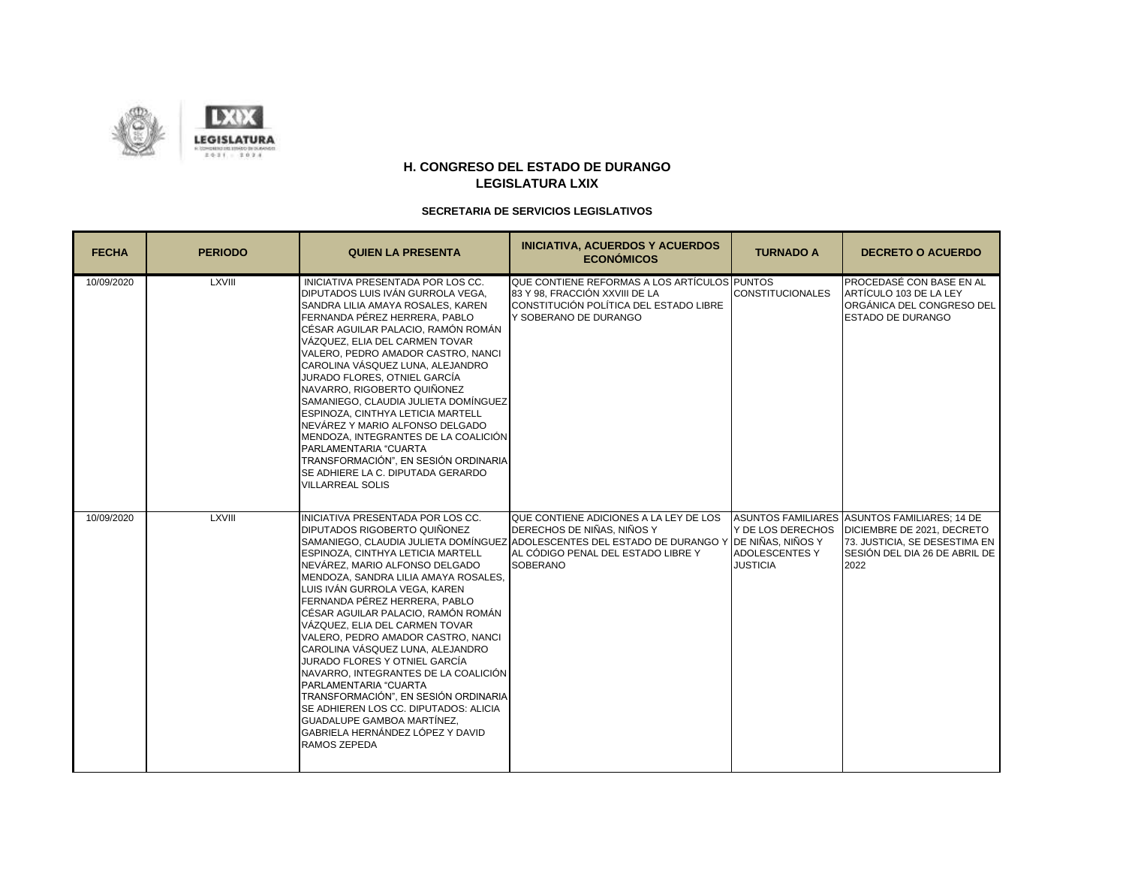

| <b>FECHA</b> | <b>PERIODO</b> | <b>QUIEN LA PRESENTA</b>                                                                                                                                                                                                                                                                                                                                                                                                                                                                                                                                                                                                                                                  | <b>INICIATIVA, ACUERDOS Y ACUERDOS</b><br><b>ECONÓMICOS</b>                                                                                                                                                                   | <b>TURNADO A</b>                                              | <b>DECRETO O ACUERDO</b>                                                                                                                             |
|--------------|----------------|---------------------------------------------------------------------------------------------------------------------------------------------------------------------------------------------------------------------------------------------------------------------------------------------------------------------------------------------------------------------------------------------------------------------------------------------------------------------------------------------------------------------------------------------------------------------------------------------------------------------------------------------------------------------------|-------------------------------------------------------------------------------------------------------------------------------------------------------------------------------------------------------------------------------|---------------------------------------------------------------|------------------------------------------------------------------------------------------------------------------------------------------------------|
| 10/09/2020   | <b>LXVIII</b>  | INICIATIVA PRESENTADA POR LOS CC.<br>DIPUTADOS LUIS IVÁN GURROLA VEGA.<br>SANDRA LILIA AMAYA ROSALES, KAREN<br>FERNANDA PÉREZ HERRERA, PABLO<br>CÉSAR AGUILAR PALACIO, RAMÓN ROMÁN<br>VÁZQUEZ. ELIA DEL CARMEN TOVAR<br>VALERO. PEDRO AMADOR CASTRO. NANCI<br>CAROLINA VÁSQUEZ LUNA. ALEJANDRO<br>JURADO FLORES, OTNIEL GARCÍA<br>NAVARRO, RIGOBERTO QUIÑONEZ<br>SAMANIEGO, CLAUDIA JULIETA DOMÍNGUEZ<br>ESPINOZA. CINTHYA LETICIA MARTELL<br>NEVÁREZ Y MARIO ALFONSO DELGADO<br>MENDOZA, INTEGRANTES DE LA COALICIÓN<br>PARLAMENTARIA "CUARTA<br>TRANSFORMACIÓN", EN SESIÓN ORDINARIA<br>SE ADHIERE LA C. DIPUTADA GERARDO<br><b>VILLARREAL SOLIS</b>                    | QUE CONTIENE REFORMAS A LOS ARTÍCULOS PUNTOS<br>83 Y 98. FRACCIÓN XXVIII DE LA<br>CONSTITUCIÓN POLÍTICA DEL ESTADO LIBRE<br>Y SOBERANO DE DURANGO                                                                             | <b>CONSTITUCIONALES</b>                                       | <b>PROCEDASÉ CON BASE EN AL</b><br>ARTÍCULO 103 DE LA LEY<br>ORGÁNICA DEL CONGRESO DEL<br><b>ESTADO DE DURANGO</b>                                   |
| 10/09/2020   | <b>LXVIII</b>  | INICIATIVA PRESENTADA POR LOS CC.<br>DIPUTADOS RIGOBERTO QUIÑONEZ<br>ESPINOZA, CINTHYA LETICIA MARTELL<br>NEVÁREZ, MARIO ALFONSO DELGADO<br>MENDOZA, SANDRA LILIA AMAYA ROSALES,<br>LUIS IVÁN GURROLA VEGA, KAREN<br>FERNANDA PÉREZ HERRERA. PABLO<br>CÉSAR AGUILAR PALACIO, RAMÓN ROMÁN<br>VÁZQUEZ, ELIA DEL CARMEN TOVAR<br>VALERO, PEDRO AMADOR CASTRO, NANCI<br>CAROLINA VÁSQUEZ LUNA, ALEJANDRO<br>JURADO FLORES Y OTNIEL GARCÍA<br>NAVARRO, INTEGRANTES DE LA COALICIÓN<br>PARLAMENTARIA "CUARTA<br>TRANSFORMACIÓN". EN SESIÓN ORDINARIA<br>SE ADHIEREN LOS CC. DIPUTADOS: ALICIA<br>GUADALUPE GAMBOA MARTÍNEZ,<br>GABRIELA HERNÁNDEZ LÓPEZ Y DAVID<br>RAMOS ZEPEDA | QUE CONTIENE ADICIONES A LA LEY DE LOS<br>DERECHOS DE NIÑAS, NIÑOS Y<br>SAMANIEGO. CLAUDIA JULIETA DOMÍNGUEZ ADOLESCENTES DEL ESTADO DE DURANGO Y IDE NIÑAS. NIÑOS Y<br>AL CÓDIGO PENAL DEL ESTADO LIBRE Y<br><b>SOBERANO</b> | Y DE LOS DERECHOS<br><b>ADOLESCENTES Y</b><br><b>JUSTICIA</b> | ASUNTOS FAMILIARES ASUNTOS FAMILIARES; 14 DE<br>DICIEMBRE DE 2021, DECRETO<br>73. JUSTICIA. SE DESESTIMA EN<br>SESIÓN DEL DIA 26 DE ABRIL DE<br>2022 |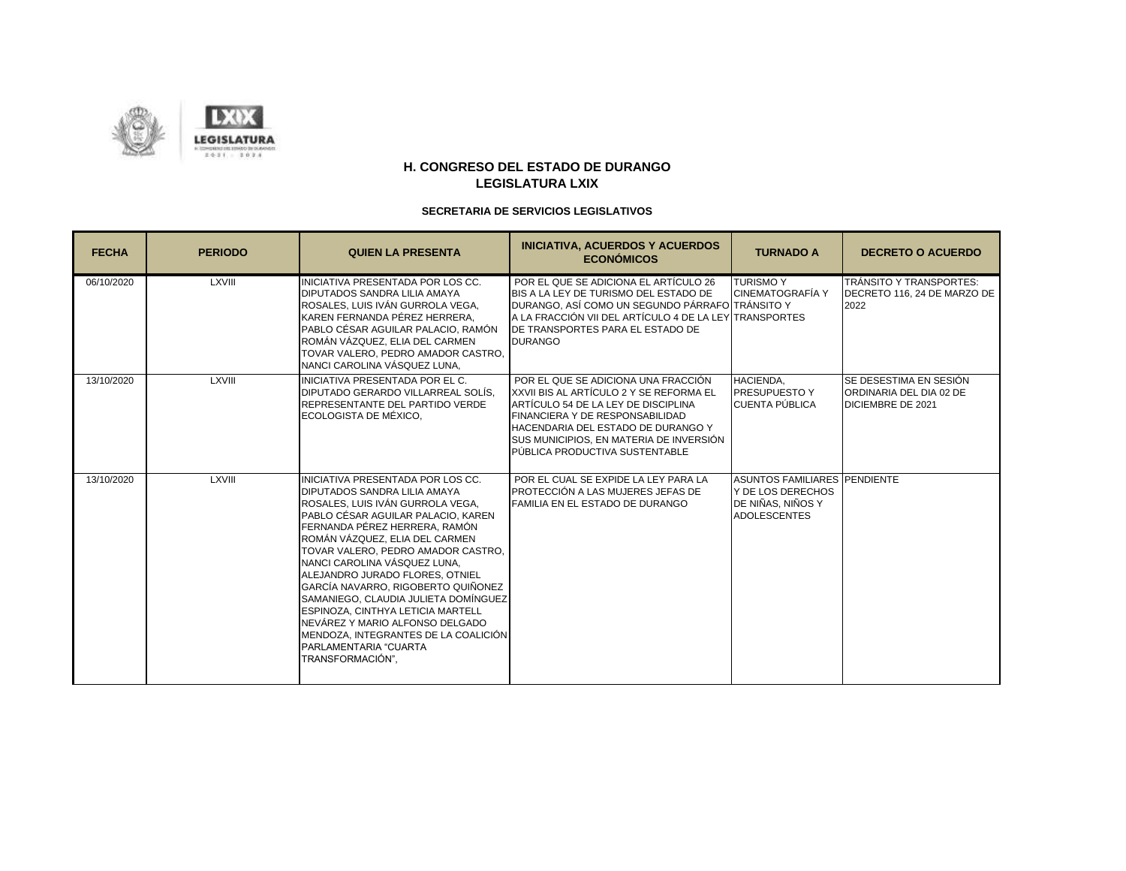

| <b>FECHA</b> | <b>PERIODO</b> | <b>QUIEN LA PRESENTA</b>                                                                                                                                                                                                                                                                                                                                                                                                                                                                                                                                           | <b>INICIATIVA, ACUERDOS Y ACUERDOS</b><br><b>ECONÓMICOS</b>                                                                                                                                                                                                                 | <b>TURNADO A</b>                                                                              | <b>DECRETO O ACUERDO</b>                                                      |
|--------------|----------------|--------------------------------------------------------------------------------------------------------------------------------------------------------------------------------------------------------------------------------------------------------------------------------------------------------------------------------------------------------------------------------------------------------------------------------------------------------------------------------------------------------------------------------------------------------------------|-----------------------------------------------------------------------------------------------------------------------------------------------------------------------------------------------------------------------------------------------------------------------------|-----------------------------------------------------------------------------------------------|-------------------------------------------------------------------------------|
| 06/10/2020   | <b>LXVIII</b>  | INICIATIVA PRESENTADA POR LOS CC.<br>DIPUTADOS SANDRA LILIA AMAYA<br>ROSALES. LUIS IVÁN GURROLA VEGA.<br>KAREN FERNANDA PÉREZ HERRERA,<br>PABLO CÉSAR AGUILAR PALACIO. RAMÓN<br>ROMÁN VÁZQUEZ. ELIA DEL CARMEN<br>TOVAR VALERO. PEDRO AMADOR CASTRO.<br>NANCI CAROLINA VÁSQUEZ LUNA,                                                                                                                                                                                                                                                                               | POR EL QUE SE ADICIONA EL ARTÍCULO 26<br>BIS A LA LEY DE TURISMO DEL ESTADO DE<br>DURANGO. ASÍ COMO UN SEGUNDO PÁRRAFO TRÁNSITO Y<br>A LA FRACCIÓN VII DEL ARTÍCULO 4 DE LA LEY TRANSPORTES<br>DE TRANSPORTES PARA EL ESTADO DE<br><b>DURANGO</b>                           | <b>TURISMOY</b><br><b>CINEMATOGRAFÍA Y</b>                                                    | <b>TRÁNSITO Y TRANSPORTES:</b><br>DECRETO 116, 24 DE MARZO DE<br>2022         |
| 13/10/2020   | LXVIII         | INICIATIVA PRESENTADA POR EL C.<br>DIPUTADO GERARDO VILLARREAL SOLÍS,<br>REPRESENTANTE DEL PARTIDO VERDE<br>ECOLOGISTA DE MÉXICO.                                                                                                                                                                                                                                                                                                                                                                                                                                  | POR EL QUE SE ADICIONA UNA FRACCIÓN<br>XXVII BIS AL ARTÍCULO 2 Y SE REFORMA EL<br>ARTÍCULO 54 DE LA LEY DE DISCIPLINA<br>FINANCIERA Y DE RESPONSABILIDAD<br>HACENDARIA DEL ESTADO DE DURANGO Y<br>SUS MUNICIPIOS, EN MATERIA DE INVERSIÓN<br>PÚBLICA PRODUCTIVA SUSTENTABLE | HACIENDA.<br><b>PRESUPUESTO Y</b><br><b>CUENTA PÚBLICA</b>                                    | SE DESESTIMA EN SESIÓN<br>ORDINARIA DEL DIA 02 DE<br><b>DICIEMBRE DE 2021</b> |
| 13/10/2020   | LXVIII         | INICIATIVA PRESENTADA POR LOS CC.<br>DIPUTADOS SANDRA LILIA AMAYA<br>ROSALES. LUIS IVÁN GURROLA VEGA.<br>PABLO CÉSAR AGUILAR PALACIO, KAREN<br>FERNANDA PÉREZ HERRERA. RAMÓN<br>ROMÁN VÁZQUEZ. ELIA DEL CARMEN<br>TOVAR VALERO, PEDRO AMADOR CASTRO,<br>NANCI CAROLINA VÁSQUEZ LUNA,<br>ALEJANDRO JURADO FLORES, OTNIEL<br>GARCÍA NAVARRO, RIGOBERTO QUIÑONEZ<br>SAMANIEGO, CLAUDIA JULIETA DOMÍNGUEZ<br>ESPINOZA, CINTHYA LETICIA MARTELL<br>NEVÁREZ Y MARIO ALFONSO DELGADO<br>MENDOZA. INTEGRANTES DE LA COALICIÓN<br>PARLAMENTARIA "CUARTA<br>TRANSFORMACIÓN". | POR EL CUAL SE EXPIDE LA LEY PARA LA<br>PROTECCIÓN A LAS MUJERES JEFAS DE<br>FAMILIA EN EL ESTADO DE DURANGO                                                                                                                                                                | ASUNTOS FAMILIARES PENDIENTE<br>Y DE LOS DERECHOS<br>DE NIÑAS, NIÑOS Y<br><b>ADOLESCENTES</b> |                                                                               |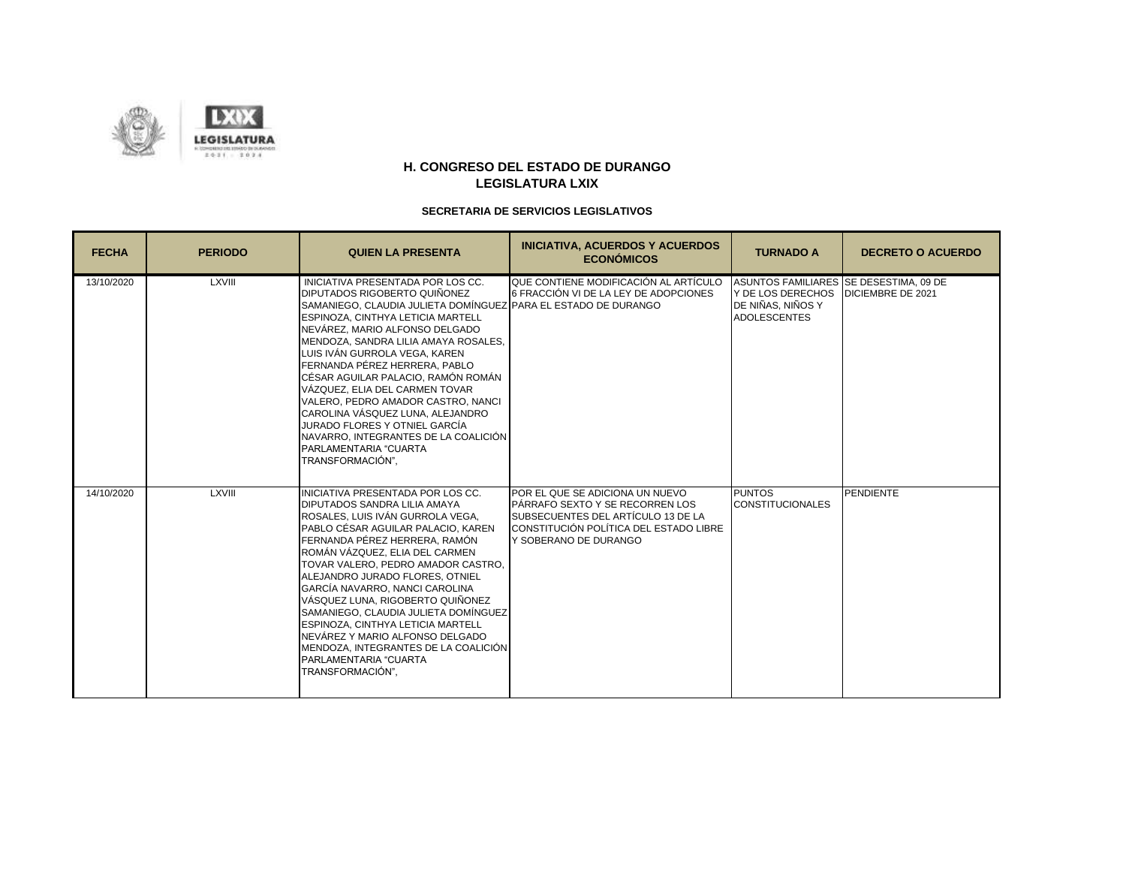

| <b>FECHA</b> | <b>PERIODO</b> | <b>QUIEN LA PRESENTA</b>                                                                                                                                                                                                                                                                                                                                                                                                                                                                                                                                                                            | <b>INICIATIVA, ACUERDOS Y ACUERDOS</b><br><b>ECONÓMICOS</b>                                                                                                                        | <b>TURNADO A</b>                                                                                        | <b>DECRETO O ACUERDO</b> |
|--------------|----------------|-----------------------------------------------------------------------------------------------------------------------------------------------------------------------------------------------------------------------------------------------------------------------------------------------------------------------------------------------------------------------------------------------------------------------------------------------------------------------------------------------------------------------------------------------------------------------------------------------------|------------------------------------------------------------------------------------------------------------------------------------------------------------------------------------|---------------------------------------------------------------------------------------------------------|--------------------------|
| 13/10/2020   | <b>LXVIII</b>  | <b>INICIATIVA PRESENTADA POR LOS CC.</b><br>DIPUTADOS RIGOBERTO QUIÑONEZ<br>SAMANIEGO. CLAUDIA JULIETA DOMÍNGUEZ PARA EL ESTADO DE DURANGO<br>ESPINOZA, CINTHYA LETICIA MARTELL<br>NEVÁREZ. MARIO ALFONSO DELGADO<br>MENDOZA. SANDRA LILIA AMAYA ROSALES.<br>LUIS IVÁN GURROLA VEGA, KAREN<br>FERNANDA PÉREZ HERRERA. PABLO<br>CÉSAR AGUILAR PALACIO, RAMÓN ROMÁN<br>VÁZQUEZ. ELIA DEL CARMEN TOVAR<br>VALERO. PEDRO AMADOR CASTRO. NANCI<br>CAROLINA VÁSQUEZ LUNA, ALEJANDRO<br>JURADO FLORES Y OTNIEL GARCÍA<br>NAVARRO, INTEGRANTES DE LA COALICIÓN<br>PARLAMENTARIA "CUARTA<br>TRANSFORMACIÓN". | QUE CONTIENE MODIFICACIÓN AL ARTÍCULO<br>6 FRACCIÓN VI DE LA LEY DE ADOPCIONES                                                                                                     | ASUNTOS FAMILIARES SE DESESTIMA. 09 DE<br>Y DE LOS DERECHOS<br>DE NIÑAS. NIÑOS Y<br><b>ADOLESCENTES</b> | <b>DICIEMBRE DE 2021</b> |
| 14/10/2020   | LXVIII         | INICIATIVA PRESENTADA POR LOS CC.<br>DIPUTADOS SANDRA LILIA AMAYA<br>ROSALES. LUIS IVÁN GURROLA VEGA.<br>PABLO CÉSAR AGUILAR PALACIO, KAREN<br>FERNANDA PÉREZ HERRERA, RAMÓN<br>ROMÁN VÁZQUEZ. ELIA DEL CARMEN<br>TOVAR VALERO, PEDRO AMADOR CASTRO,<br>ALEJANDRO JURADO FLORES, OTNIEL<br>GARCÍA NAVARRO, NANCI CAROLINA<br>VÁSQUEZ LUNA. RIGOBERTO QUIÑONEZ<br>SAMANIEGO. CLAUDIA JULIETA DOMÍNGUEZ<br>ESPINOZA, CINTHYA LETICIA MARTELL<br>NEVÁREZ Y MARIO ALFONSO DELGADO<br>MENDOZA, INTEGRANTES DE LA COALICIÓN<br>PARLAMENTARIA "CUARTA<br>TRANSFORMACIÓN".                                  | <b>POR EL QUE SE ADICIONA UN NUEVO</b><br>PÁRRAFO SEXTO Y SE RECORREN LOS<br>SUBSECUENTES DEL ARTÍCULO 13 DE LA<br>CONSTITUCIÓN POLÍTICA DEL ESTADO LIBRE<br>Y SOBERANO DE DURANGO | <b>PUNTOS</b><br><b>CONSTITUCIONALES</b>                                                                | <b>PENDIENTE</b>         |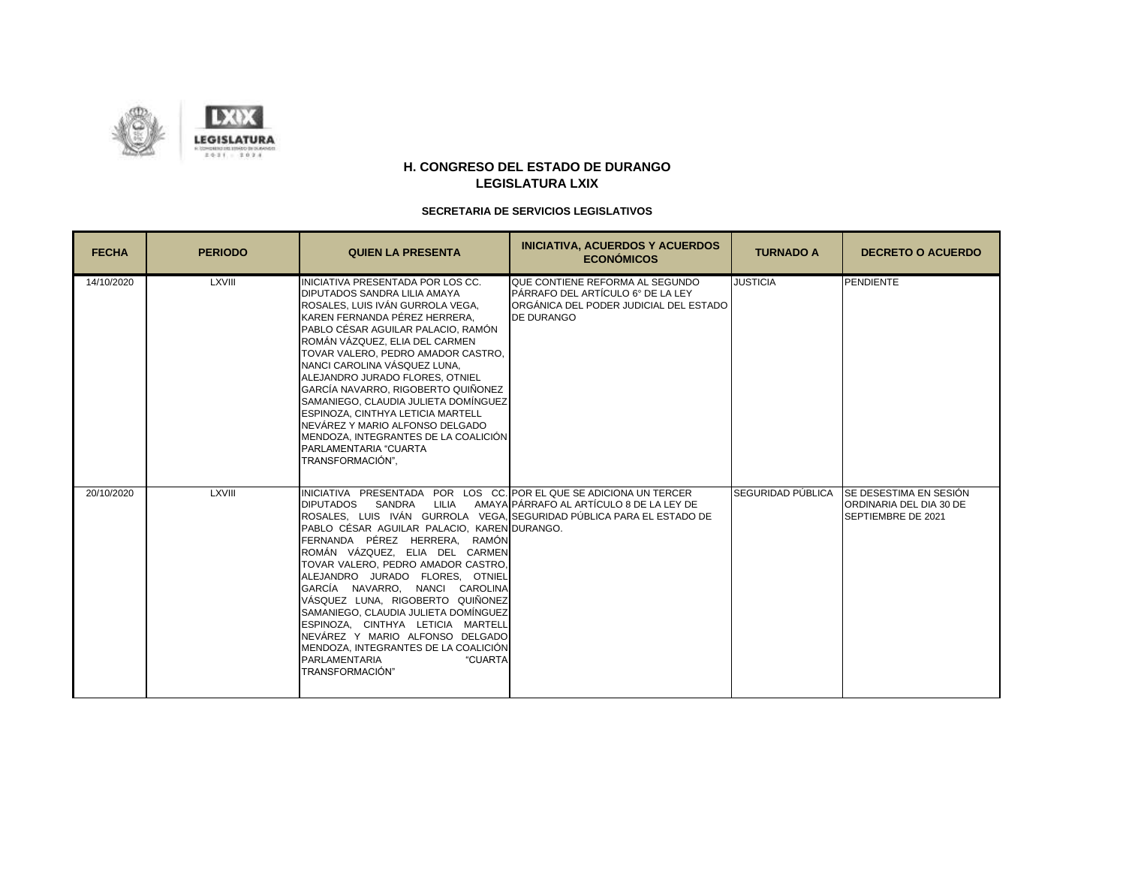

| <b>FECHA</b> | <b>PERIODO</b> | <b>QUIEN LA PRESENTA</b>                                                                                                                                                                                                                                                                                                                                                                                                                                                                                                                                                                                                                                     | <b>INICIATIVA, ACUERDOS Y ACUERDOS</b><br><b>ECONÓMICOS</b>                                                                  | <b>TURNADO A</b> | <b>DECRETO O ACUERDO</b>                                                                   |
|--------------|----------------|--------------------------------------------------------------------------------------------------------------------------------------------------------------------------------------------------------------------------------------------------------------------------------------------------------------------------------------------------------------------------------------------------------------------------------------------------------------------------------------------------------------------------------------------------------------------------------------------------------------------------------------------------------------|------------------------------------------------------------------------------------------------------------------------------|------------------|--------------------------------------------------------------------------------------------|
| 14/10/2020   | <b>LXVIII</b>  | INICIATIVA PRESENTADA POR LOS CC.<br>DIPUTADOS SANDRA LILIA AMAYA<br>ROSALES. LUIS IVÁN GURROLA VEGA.<br>KAREN FERNANDA PÉREZ HERRERA.<br>PABLO CÉSAR AGUILAR PALACIO. RAMÓN<br>ROMÁN VÁZQUEZ. ELIA DEL CARMEN<br>TOVAR VALERO. PEDRO AMADOR CASTRO.<br>NANCI CAROLINA VÁSQUEZ LUNA.<br>ALEJANDRO JURADO FLORES. OTNIEL<br>GARCÍA NAVARRO. RIGOBERTO QUIÑONEZ<br>SAMANIEGO, CLAUDIA JULIETA DOMÍNGUEZ<br>ESPINOZA. CINTHYA LETICIA MARTELL<br>NEVÁREZ Y MARIO ALFONSO DELGADO<br>MENDOZA. INTEGRANTES DE LA COALICIÓN<br>PARLAMENTARIA "CUARTA<br>TRANSFORMACIÓN".                                                                                           | QUE CONTIENE REFORMA AL SEGUNDO<br>PÁRRAFO DEL ARTÍCULO 6° DE LA LEY<br>ORGÁNICA DEL PODER JUDICIAL DEL ESTADO<br>DE DURANGO | <b>JUSTICIA</b>  | PENDIENTE                                                                                  |
| 20/10/2020   | LXVIII         | INICIATIVA PRESENTADA POR LOS CC. POR EL QUE SE ADICIONA UN TERCER<br>SANDRA LILIA<br><b>DIPUTADOS</b><br>ROSALES. LUIS IVÁN GURROLA VEGA SEGURIDAD PÚBLICA PARA EL ESTADO DE<br>PABLO CÉSAR AGUILAR PALACIO, KAREN DURANGO.<br>FERNANDA PÉREZ HERRERA, RAMÓN<br>ROMÁN VÁZQUEZ, ELIA DEL CARMEN<br>TOVAR VALERO, PEDRO AMADOR CASTRO,<br>ALEJANDRO JURADO FLORES, OTNIEL<br>GARCÍA NAVARRO, NANCI CAROLINA<br>VÁSQUEZ LUNA, RIGOBERTO QUIÑONEZ<br>SAMANIEGO, CLAUDIA JULIETA DOMÍNGUEZ<br>ESPINOZA, CINTHYA LETICIA MARTELL<br>NEVÁREZ Y MARIO ALFONSO DELGADO<br>MENDOZA, INTEGRANTES DE LA COALICIÓN<br><b>PARLAMENTARIA</b><br>"CUARTA<br>TRANSFORMACIÓN" | AMAYA PÁRRAFO AL ARTÍCULO 8 DE LA LEY DE                                                                                     |                  | SEGURIDAD PÚBLICA ISE DESESTIMA EN SESIÓN<br>ORDINARIA DEL DIA 30 DE<br>SEPTIEMBRE DE 2021 |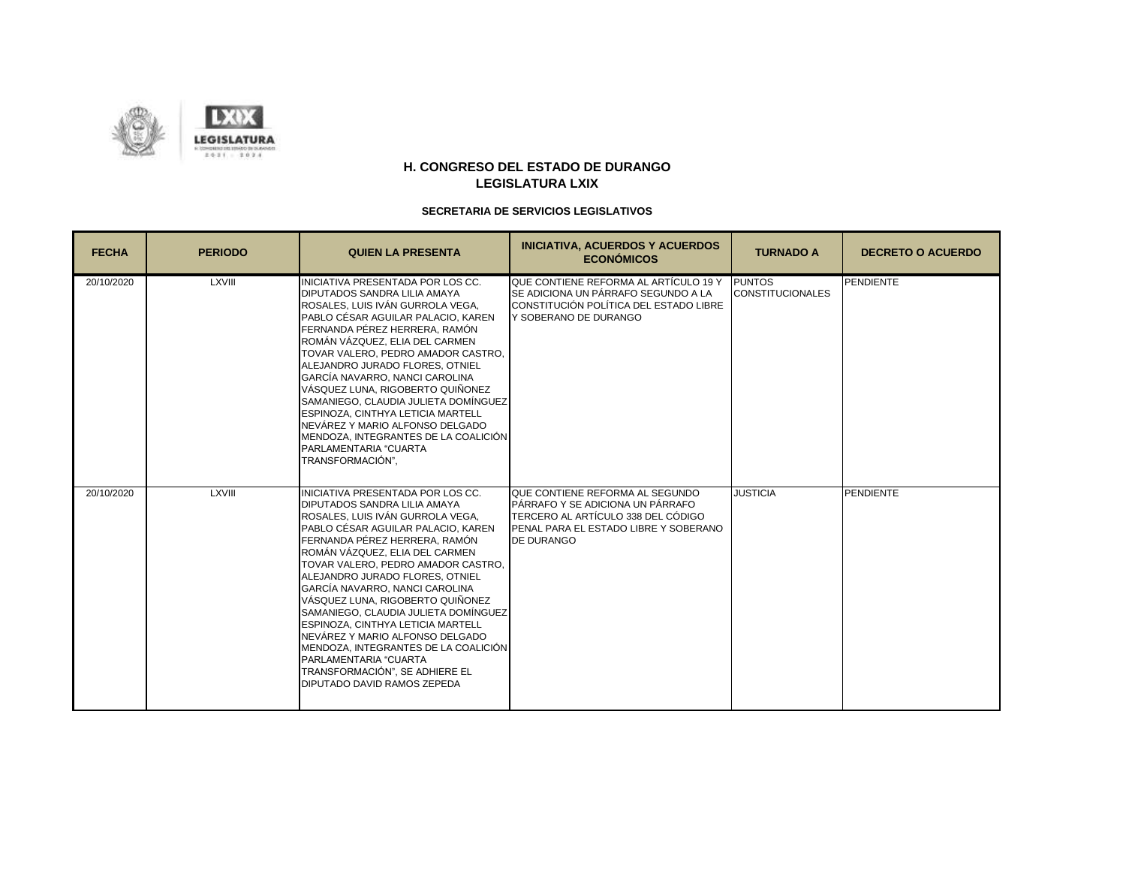

| <b>FECHA</b> | <b>PERIODO</b> | <b>QUIEN LA PRESENTA</b>                                                                                                                                                                                                                                                                                                                                                                                                                                                                                                                                                                                        | <b>INICIATIVA, ACUERDOS Y ACUERDOS</b><br><b>ECONÓMICOS</b>                                                                                                      | <b>TURNADO A</b>                         | <b>DECRETO O ACUERDO</b> |
|--------------|----------------|-----------------------------------------------------------------------------------------------------------------------------------------------------------------------------------------------------------------------------------------------------------------------------------------------------------------------------------------------------------------------------------------------------------------------------------------------------------------------------------------------------------------------------------------------------------------------------------------------------------------|------------------------------------------------------------------------------------------------------------------------------------------------------------------|------------------------------------------|--------------------------|
| 20/10/2020   | <b>LXVIII</b>  | INICIATIVA PRESENTADA POR LOS CC.<br>DIPUTADOS SANDRA LILIA AMAYA<br>ROSALES, LUIS IVÁN GURROLA VEGA,<br>PABLO CÉSAR AGUILAR PALACIO, KAREN<br>FERNANDA PÉREZ HERRERA, RAMÓN<br>ROMÁN VÁZQUEZ, ELIA DEL CARMEN<br>TOVAR VALERO. PEDRO AMADOR CASTRO.<br>ALEJANDRO JURADO FLORES, OTNIEL<br>GARCÍA NAVARRO, NANCI CAROLINA<br>VÁSQUEZ LUNA. RIGOBERTO QUIÑONEZ<br>SAMANIEGO, CLAUDIA JULIETA DOMÍNGUEZ<br>ESPINOZA. CINTHYA LETICIA MARTELL<br>NEVÁREZ Y MARIO ALFONSO DELGADO<br>MENDOZA, INTEGRANTES DE LA COALICIÓN<br>PARLAMENTARIA "CUARTA<br>TRANSFORMACIÓN".                                              | QUE CONTIENE REFORMA AL ARTÍCULO 19 Y<br>SE ADICIONA UN PÁRRAFO SEGUNDO A LA<br>CONSTITUCIÓN POLÍTICA DEL ESTADO LIBRE<br>Y SOBERANO DE DURANGO                  | <b>PUNTOS</b><br><b>CONSTITUCIONALES</b> | PENDIENTE                |
| 20/10/2020   | <b>LXVIII</b>  | INICIATIVA PRESENTADA POR LOS CC.<br>DIPUTADOS SANDRA LILIA AMAYA<br>ROSALES. LUIS IVÁN GURROLA VEGA.<br>PABLO CÉSAR AGUILAR PALACIO, KAREN<br>FERNANDA PÉREZ HERRERA. RAMÓN<br>ROMÁN VÁZQUEZ. ELIA DEL CARMEN<br>TOVAR VALERO, PEDRO AMADOR CASTRO,<br>ALEJANDRO JURADO FLORES, OTNIEL<br>GARCÍA NAVARRO, NANCI CAROLINA<br>VÁSQUEZ LUNA, RIGOBERTO QUIÑONEZ<br>SAMANIEGO, CLAUDIA JULIETA DOMÍNGUEZ<br>ESPINOZA. CINTHYA LETICIA MARTELL<br>NEVÁREZ Y MARIO ALFONSO DELGADO<br>MENDOZA, INTEGRANTES DE LA COALICIÓN<br>PARLAMENTARIA "CUARTA<br>TRANSFORMACIÓN". SE ADHIERE EL<br>DIPUTADO DAVID RAMOS ZEPEDA | QUE CONTIENE REFORMA AL SEGUNDO<br>PÁRRAFO Y SE ADICIONA UN PÁRRAFO<br>TERCERO AL ARTÍCULO 338 DEL CÓDIGO<br>PENAL PARA EL ESTADO LIBRE Y SOBERANO<br>DE DURANGO | <b>JUSTICIA</b>                          | <b>PENDIENTE</b>         |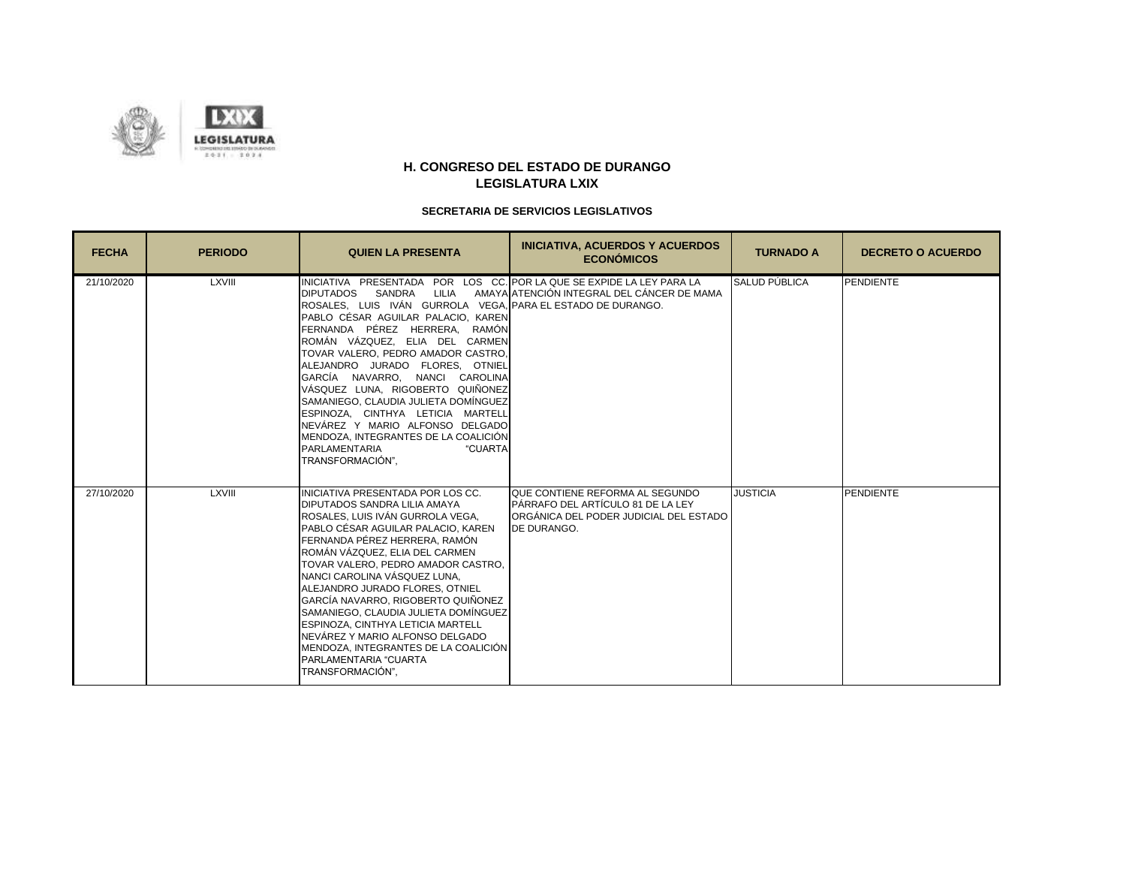

| <b>FECHA</b> | <b>PERIODO</b> | <b>QUIEN LA PRESENTA</b>                                                                                                                                                                                                                                                                                                                                                                                                                                                                                                                                                                                                                           | <b>INICIATIVA, ACUERDOS Y ACUERDOS</b><br><b>ECONÓMICOS</b>                                                                   | <b>TURNADO A</b> | <b>DECRETO O ACUERDO</b> |
|--------------|----------------|----------------------------------------------------------------------------------------------------------------------------------------------------------------------------------------------------------------------------------------------------------------------------------------------------------------------------------------------------------------------------------------------------------------------------------------------------------------------------------------------------------------------------------------------------------------------------------------------------------------------------------------------------|-------------------------------------------------------------------------------------------------------------------------------|------------------|--------------------------|
| 21/10/2020   | LXVIII         | INICIATIVA PRESENTADA POR LOS CC. POR LA QUE SE EXPIDE LA LEY PARA LA<br><b>DIPUTADOS</b><br>SANDRA<br>LILIA<br>ROSALES, LUIS IVÁN GURROLA VEGA, PARA EL ESTADO DE DURANGO.<br>PABLO CÉSAR AGUILAR PALACIO, KAREN<br>FERNANDA PÉREZ HERRERA, RAMÓN<br>ROMÁN VÁZQUEZ, ELIA DEL CARMEN<br>TOVAR VALERO, PEDRO AMADOR CASTRO,<br>ALEJANDRO JURADO FLORES, OTNIEL<br>GARCÍA NAVARRO, NANCI CAROLINA<br>VÁSQUEZ LUNA, RIGOBERTO QUIÑONEZ<br>SAMANIEGO, CLAUDIA JULIETA DOMÍNGUEZ<br>ESPINOZA, CINTHYA LETICIA MARTELL<br>NEVÁREZ Y MARIO ALFONSO DELGADO<br>MENDOZA, INTEGRANTES DE LA COALICIÓN<br><b>PARLAMENTARIA</b><br>"CUARTA<br>TRANSFORMACIÓN", | AMAYA ATENCIÓN INTEGRAL DEL CÁNCER DE MAMA                                                                                    | SALUD PÚBLICA    | PENDIENTE                |
| 27/10/2020   | LXVIII         | <b>INICIATIVA PRESENTADA POR LOS CC.</b><br>DIPUTADOS SANDRA LILIA AMAYA<br>ROSALES. LUIS IVÁN GURROLA VEGA.<br>PABLO CÉSAR AGUILAR PALACIO. KAREN<br>FERNANDA PÉREZ HERRERA, RAMÓN<br>ROMÁN VÁZQUEZ. ELIA DEL CARMEN<br>TOVAR VALERO, PEDRO AMADOR CASTRO,<br>NANCI CAROLINA VÁSQUEZ LUNA.<br>ALEJANDRO JURADO FLORES, OTNIEL<br>GARCÍA NAVARRO, RIGOBERTO QUIÑONEZ<br>SAMANIEGO. CLAUDIA JULIETA DOMÍNGUEZ<br>ESPINOZA, CINTHYA LETICIA MARTELL<br>NEVÁREZ Y MARIO ALFONSO DELGADO<br>MENDOZA, INTEGRANTES DE LA COALICIÓN<br>PARLAMENTARIA "CUARTA<br>TRANSFORMACIÓN",                                                                          | QUE CONTIENE REFORMA AL SEGUNDO<br>PÁRRAFO DEL ARTÍCULO 81 DE LA LEY<br>ORGÁNICA DEL PODER JUDICIAL DEL ESTADO<br>DE DURANGO. | <b>JUSTICIA</b>  | PENDIENTE                |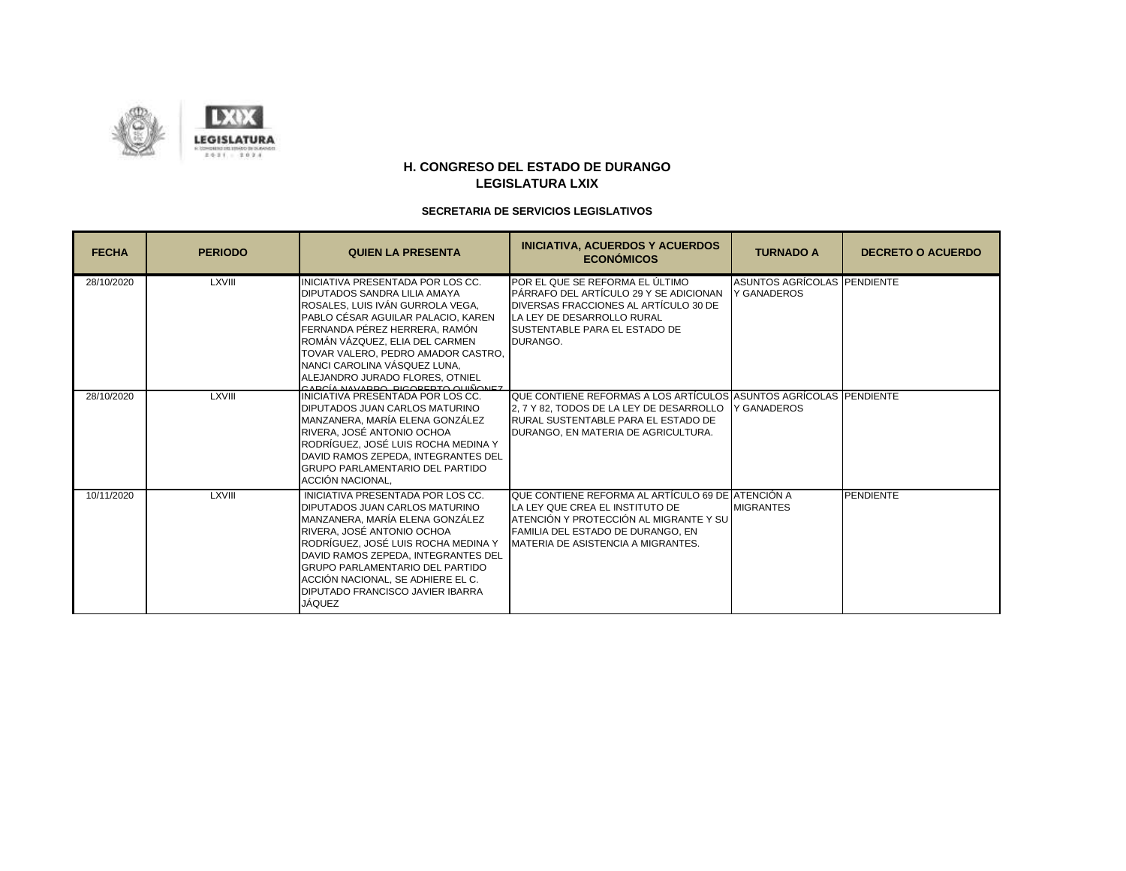

| <b>FECHA</b> | <b>PERIODO</b> | <b>QUIEN LA PRESENTA</b>                                                                                                                                                                                                                                                                                                                        | <b>INICIATIVA, ACUERDOS Y ACUERDOS</b><br><b>ECONÓMICOS</b>                                                                                                                                               | <b>TURNADO A</b>                           | <b>DECRETO O ACUERDO</b> |
|--------------|----------------|-------------------------------------------------------------------------------------------------------------------------------------------------------------------------------------------------------------------------------------------------------------------------------------------------------------------------------------------------|-----------------------------------------------------------------------------------------------------------------------------------------------------------------------------------------------------------|--------------------------------------------|--------------------------|
| 28/10/2020   | LXVIII         | INICIATIVA PRESENTADA POR LOS CC.<br><b>DIPUTADOS SANDRA LILIA AMAYA</b><br>ROSALES. LUIS IVÁN GURROLA VEGA.<br>PABLO CÉSAR AGUILAR PALACIO, KAREN<br>FERNANDA PÉREZ HERRERA, RAMÓN<br>ROMÁN VÁZQUEZ. ELIA DEL CARMEN<br>TOVAR VALERO. PEDRO AMADOR CASTRO.<br>NANCI CAROLINA VÁSQUEZ LUNA.<br>ALEJANDRO JURADO FLORES. OTNIEL                  | POR EL QUE SE REFORMA EL ÚLTIMO<br>PÁRRAFO DEL ARTÍCULO 29 Y SE ADICIONAN<br>DIVERSAS FRACCIONES AL ARTÍCULO 30 DE<br>LA LEY DE DESARROLLO RURAL<br>SUSTENTABLE PARA EL ESTADO DE<br>DURANGO.             | ASUNTOS AGRÍCOLAS PENDIENTE<br>Y GANADEROS |                          |
| 28/10/2020   | LXVIII         | GARCÍA NAVARRO, RICORERTO OLINIONEZ.<br>INICIATIVA PRESENTADA POR LOS CC.<br>DIPUTADOS JUAN CARLOS MATURINO<br>MANZANERA, MARÍA ELENA GONZÁLEZ<br>RIVERA, JOSÉ ANTONIO OCHOA<br>RODRÍGUEZ, JOSÉ LUIS ROCHA MEDINA Y<br>DAVID RAMOS ZEPEDA, INTEGRANTES DEL<br><b>GRUPO PARLAMENTARIO DEL PARTIDO</b><br>ACCIÓN NACIONAL.                        | QUE CONTIENE REFORMAS A LOS ARTÍCULOS LASUNTOS AGRÍCOLAS I PENDIENTE<br>2. 7 Y 82. TODOS DE LA LEY DE DESARROLLO<br>RURAL SUSTENTABLE PARA EL ESTADO DE<br>DURANGO, EN MATERIA DE AGRICULTURA.            | <b>Y GANADEROS</b>                         |                          |
| 10/11/2020   | LXVIII         | INICIATIVA PRESENTADA POR LOS CC.<br>DIPUTADOS JUAN CARLOS MATURINO<br>MANZANERA, MARÍA ELENA GONZÁLEZ<br>RIVERA, JOSÉ ANTONIO OCHOA<br>RODRÍGUEZ. JOSÉ LUIS ROCHA MEDINA Y<br>DAVID RAMOS ZEPEDA, INTEGRANTES DEL<br><b>GRUPO PARLAMENTARIO DEL PARTIDO</b><br>ACCIÓN NACIONAL. SE ADHIERE EL C.<br>DIPUTADO FRANCISCO JAVIER IBARRA<br>JÁQUEZ | QUE CONTIENE REFORMA AL ARTÍCULO 69 DE ATENCIÓN A<br>LA LEY QUE CREA EL INSTITUTO DE<br>ATENCIÓN Y PROTECCIÓN AL MIGRANTE Y SU<br>FAMILIA DEL ESTADO DE DURANGO. EN<br>MATERIA DE ASISTENCIA A MIGRANTES. | <b>MIGRANTES</b>                           | PENDIENTE                |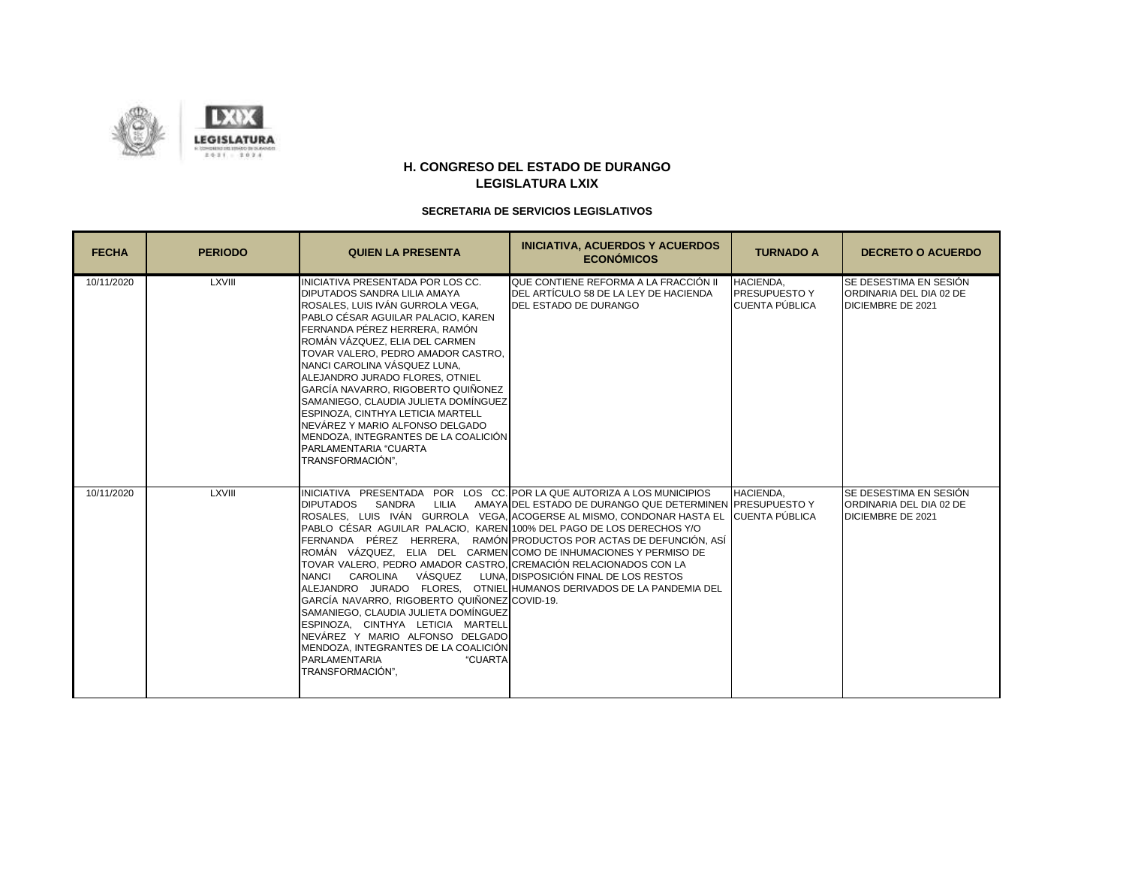

| <b>FECHA</b> | <b>PERIODO</b> | <b>QUIEN LA PRESENTA</b>                                                                                                                                                                                                                                                                                                                                                                                                                                                                                                                                                                                                         | <b>INICIATIVA, ACUERDOS Y ACUERDOS</b><br><b>ECONÓMICOS</b>                                                                                                                                                                                                                                                               | <b>TURNADO A</b>                                           | <b>DECRETO O ACUERDO</b>                                                       |
|--------------|----------------|----------------------------------------------------------------------------------------------------------------------------------------------------------------------------------------------------------------------------------------------------------------------------------------------------------------------------------------------------------------------------------------------------------------------------------------------------------------------------------------------------------------------------------------------------------------------------------------------------------------------------------|---------------------------------------------------------------------------------------------------------------------------------------------------------------------------------------------------------------------------------------------------------------------------------------------------------------------------|------------------------------------------------------------|--------------------------------------------------------------------------------|
| 10/11/2020   | LXVIII         | INICIATIVA PRESENTADA POR LOS CC.<br>DIPUTADOS SANDRA LILIA AMAYA<br>ROSALES. LUIS IVÁN GURROLA VEGA.<br>PABLO CÉSAR AGUILAR PALACIO, KAREN<br>FERNANDA PÉREZ HERRERA. RAMÓN<br>ROMÁN VÁZQUEZ. ELIA DEL CARMEN<br>TOVAR VALERO. PEDRO AMADOR CASTRO.<br>NANCI CAROLINA VÁSQUEZ LUNA.<br>ALEJANDRO JURADO FLORES. OTNIEL<br>GARCÍA NAVARRO. RIGOBERTO QUIÑONEZ<br>SAMANIEGO, CLAUDIA JULIETA DOMÍNGUEZ<br>ESPINOZA. CINTHYA LETICIA MARTELL<br>NEVÁREZ Y MARIO ALFONSO DELGADO<br>MENDOZA, INTEGRANTES DE LA COALICIÓN<br>PARLAMENTARIA "CUARTA<br>TRANSFORMACIÓN".                                                               | QUE CONTIENE REFORMA A LA FRACCIÓN II.<br>DEL ARTÍCULO 58 DE LA LEY DE HACIENDA<br>DEL ESTADO DE DURANGO                                                                                                                                                                                                                  | HACIENDA.<br><b>PRESUPUESTO Y</b><br><b>CUENTA PÚBLICA</b> | SE DESESTIMA EN SESIÓN<br>ORDINARIA DEL DIA 02 DE<br><b>DICIEMBRE DE 2021</b>  |
| 10/11/2020   | <b>LXVIII</b>  | INICIATIVA PRESENTADA POR LOS CC. POR LA QUE AUTORIZA A LOS MUNICIPIOS<br><b>DIPUTADOS</b><br>SANDRA<br>LILIA<br>PABLO CÉSAR AGUILAR PALACIO, KAREN 100% DEL PAGO DE LOS DERECHOS Y/O<br>ROMÁN VÁZQUEZ. ELIA DEL CARMENICOMO DE INHUMACIONES Y PERMISO DE<br>TOVAR VALERO, PEDRO AMADOR CASTRO, CREMACIÓN RELACIONADOS CON LA<br>CAROLINA VÁSQUEZ<br><b>NANCI</b><br>GARCÍA NAVARRO, RIGOBERTO QUIÑONEZ COVID-19.<br>SAMANIEGO. CLAUDIA JULIETA DOMÍNGUEZ<br>ESPINOZA, CINTHYA LETICIA MARTELL<br>NEVÁREZ Y MARIO ALFONSO DELGADO<br>MENDOZA, INTEGRANTES DE LA COALICIÓN<br><b>PARLAMENTARIA</b><br>"CUARTA<br>TRANSFORMACIÓN", | AMAYA DEL ESTADO DE DURANGO QUE DETERMINEN PRESUPUESTO Y<br>ROSALES, LUIS IVÁN GURROLA VEGA, ACOGERSE AL MISMO, CONDONAR HASTA EL<br>FERNANDA PÉREZ HERRERA, RAMÓN PRODUCTOS POR ACTAS DE DEFUNCIÓN, ASÍ<br>LUNA. DISPOSICIÓN FINAL DE LOS RESTOS<br>ALEJANDRO JURADO FLORES. OTNIEL HUMANOS DERIVADOS DE LA PANDEMIA DEL | HACIENDA,<br><b>CUENTA PÚBLICA</b>                         | ISE DESESTIMA EN SESIÓN<br>ORDINARIA DEL DIA 02 DE<br><b>DICIEMBRE DE 2021</b> |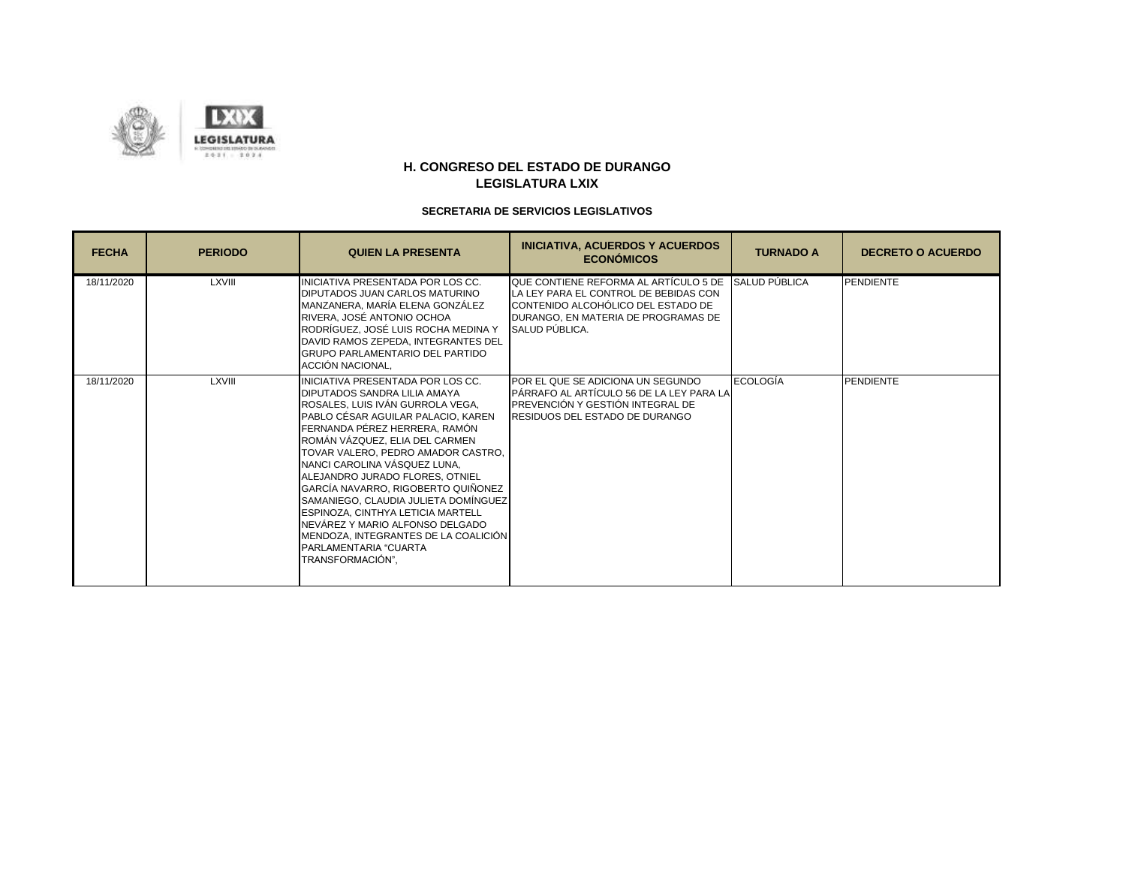

| <b>FECHA</b> | <b>PERIODO</b> | <b>QUIEN LA PRESENTA</b>                                                                                                                                                                                                                                                                                                                                                                                                                                                                                                                                                    | <b>INICIATIVA, ACUERDOS Y ACUERDOS</b><br><b>ECONÓMICOS</b>                                                                                                                   | <b>TURNADO A</b> | <b>DECRETO O ACUERDO</b> |
|--------------|----------------|-----------------------------------------------------------------------------------------------------------------------------------------------------------------------------------------------------------------------------------------------------------------------------------------------------------------------------------------------------------------------------------------------------------------------------------------------------------------------------------------------------------------------------------------------------------------------------|-------------------------------------------------------------------------------------------------------------------------------------------------------------------------------|------------------|--------------------------|
| 18/11/2020   | <b>LXVIII</b>  | INICIATIVA PRESENTADA POR LOS CC.<br><b>DIPUTADOS JUAN CARLOS MATURINO</b><br>MANZANERA, MARÍA ELENA GONZÁLEZ<br>RIVERA, JOSÉ ANTONIO OCHOA<br>RODRÍGUEZ. JOSÉ LUIS ROCHA MEDINA Y<br>DAVID RAMOS ZEPEDA. INTEGRANTES DEL<br><b>GRUPO PARLAMENTARIO DEL PARTIDO</b><br>ACCIÓN NACIONAL,                                                                                                                                                                                                                                                                                     | QUE CONTIENE REFORMA AL ARTÍCULO 5 DE<br>LA LEY PARA EL CONTROL DE BEBIDAS CON<br>CONTENIDO ALCOHÓLICO DEL ESTADO DE<br>DURANGO, EN MATERIA DE PROGRAMAS DE<br>SALUD PÚBLICA. | SALUD PÚBLICA    | PENDIENTE                |
| 18/11/2020   | LXVIII         | INICIATIVA PRESENTADA POR LOS CC.<br><b>DIPUTADOS SANDRA LILIA AMAYA</b><br>ROSALES, LUIS IVÁN GURROLA VEGA,<br>PABLO CÉSAR AGUILAR PALACIO, KAREN<br>FERNANDA PÉREZ HERRERA, RAMÓN<br>ROMÁN VÁZQUEZ, ELIA DEL CARMEN<br>TOVAR VALERO. PEDRO AMADOR CASTRO.<br>INANCI CAROLINA VÁSQUEZ LUNA.<br>ALEJANDRO JURADO FLORES, OTNIEL<br>GARCÍA NAVARRO, RIGOBERTO QUIÑONEZ<br>SAMANIEGO. CLAUDIA JULIETA DOMÍNGUEZ<br>ESPINOZA, CINTHYA LETICIA MARTELL<br>INEVÁREZ Y MARIO ALFONSO DELGADO<br>MENDOZA. INTEGRANTES DE LA COALICIÓN<br>PARLAMENTARIA "CUARTA<br>TRANSFORMACIÓN", | POR EL QUE SE ADICIONA UN SEGUNDO<br>PÁRRAFO AL ARTÍCULO 56 DE LA LEY PARA LA<br>PREVENCIÓN Y GESTIÓN INTEGRAL DE<br><b>RESIDUOS DEL ESTADO DE DURANGO</b>                    | <b>ECOLOGÍA</b>  | <b>PENDIENTE</b>         |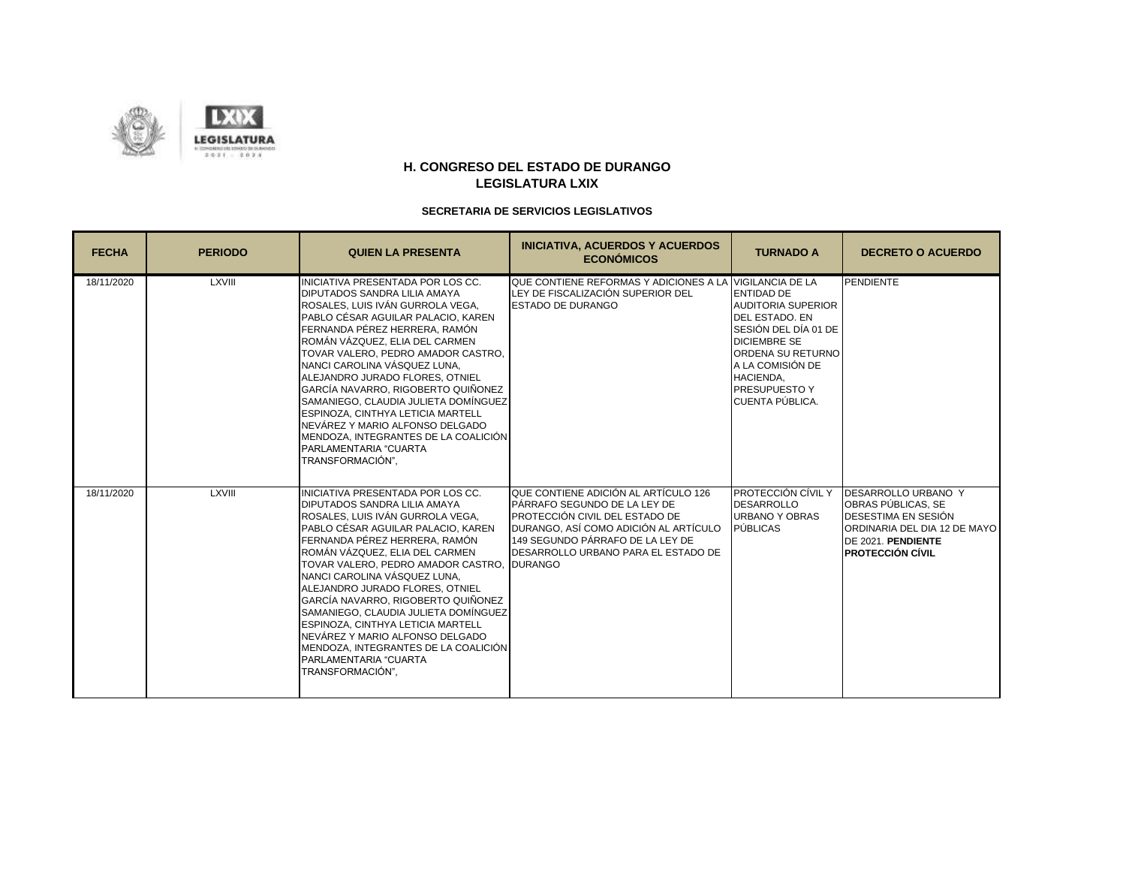

| <b>FECHA</b> | <b>PERIODO</b> | <b>QUIEN LA PRESENTA</b>                                                                                                                                                                                                                                                                                                                                                                                                                                                                                                                                                   | <b>INICIATIVA, ACUERDOS Y ACUERDOS</b><br><b>ECONÓMICOS</b>                                                                                                                                                                | <b>TURNADO A</b>                                                                                                                                                                                                        | <b>DECRETO O ACUERDO</b>                                                                                                                                 |
|--------------|----------------|----------------------------------------------------------------------------------------------------------------------------------------------------------------------------------------------------------------------------------------------------------------------------------------------------------------------------------------------------------------------------------------------------------------------------------------------------------------------------------------------------------------------------------------------------------------------------|----------------------------------------------------------------------------------------------------------------------------------------------------------------------------------------------------------------------------|-------------------------------------------------------------------------------------------------------------------------------------------------------------------------------------------------------------------------|----------------------------------------------------------------------------------------------------------------------------------------------------------|
| 18/11/2020   | LXVIII         | INICIATIVA PRESENTADA POR LOS CC.<br>DIPUTADOS SANDRA LILIA AMAYA<br>ROSALES. LUIS IVÁN GURROLA VEGA.<br>PABLO CÉSAR AGUILAR PALACIO, KAREN<br>FERNANDA PÉREZ HERRERA. RAMÓN<br>ROMÁN VÁZQUEZ. ELIA DEL CARMEN<br>TOVAR VALERO, PEDRO AMADOR CASTRO,<br>NANCI CAROLINA VÁSQUEZ LUNA.<br>ALEJANDRO JURADO FLORES, OTNIEL<br>GARCÍA NAVARRO. RIGOBERTO QUIÑONEZ<br>SAMANIEGO, CLAUDIA JULIETA DOMÍNGUEZ<br>ESPINOZA. CINTHYA LETICIA MARTELL<br>NEVÁREZ Y MARIO ALFONSO DELGADO<br>MENDOZA, INTEGRANTES DE LA COALICIÓN<br>PARLAMENTARIA "CUARTA<br>TRANSFORMACIÓN",         | QUE CONTIENE REFORMAS Y ADICIONES A LA VIGILANCIA DE LA<br>LEY DE FISCALIZACIÓN SUPERIOR DEL<br><b>ESTADO DE DURANGO</b>                                                                                                   | <b>ENTIDAD DE</b><br><b>AUDITORIA SUPERIOR</b><br>DEL ESTADO. EN<br>SESIÓN DEL DÍA 01 DE<br><b>DICIEMBRE SE</b><br>ORDENA SU RETURNO<br>A LA COMISIÓN DE<br><b>HACIENDA.</b><br><b>PRESUPUESTO Y</b><br>CUENTA PÚBLICA. | <b>PENDIENTE</b>                                                                                                                                         |
| 18/11/2020   | <b>LXVIII</b>  | INICIATIVA PRESENTADA POR LOS CC.<br>DIPUTADOS SANDRA LILIA AMAYA<br>ROSALES. LUIS IVÁN GURROLA VEGA.<br>PABLO CÉSAR AGUILAR PALACIO. KAREN<br>FERNANDA PÉREZ HERRERA, RAMÓN<br>ROMÁN VÁZQUEZ. ELIA DEL CARMEN<br>TOVAR VALERO, PEDRO AMADOR CASTRO, DURANGO<br>NANCI CAROLINA VÁSQUEZ LUNA.<br>ALEJANDRO JURADO FLORES, OTNIEL<br>GARCÍA NAVARRO, RIGOBERTO QUIÑONEZ<br>SAMANIEGO. CLAUDIA JULIETA DOMÍNGUEZ<br>ESPINOZA, CINTHYA LETICIA MARTELL<br>NEVÁREZ Y MARIO ALFONSO DELGADO<br>MENDOZA. INTEGRANTES DE LA COALICIÓN<br>PARLAMENTARIA "CUARTA<br>TRANSFORMACIÓN". | QUE CONTIENE ADICIÓN AL ARTÍCULO 126<br>PÁRRAFO SEGUNDO DE LA LEY DE<br>PROTECCIÓN CIVIL DEL ESTADO DE<br>DURANGO. ASÍ COMO ADICIÓN AL ARTÍCULO<br>149 SEGUNDO PÁRRAFO DE LA LEY DE<br>DESARROLLO URBANO PARA EL ESTADO DE | <b>PROTECCIÓN CÍVIL Y</b><br><b>DESARROLLO</b><br><b>URBANO Y OBRAS</b><br><b>PÚBLICAS</b>                                                                                                                              | <b>DESARROLLO URBANO Y</b><br>OBRAS PÚBLICAS. SE<br>DESESTIMA EN SESIÓN<br>ORDINARIA DEL DIA 12 DE MAYO<br>DE 2021. PENDIENTE<br><b>PROTECCIÓN CÍVIL</b> |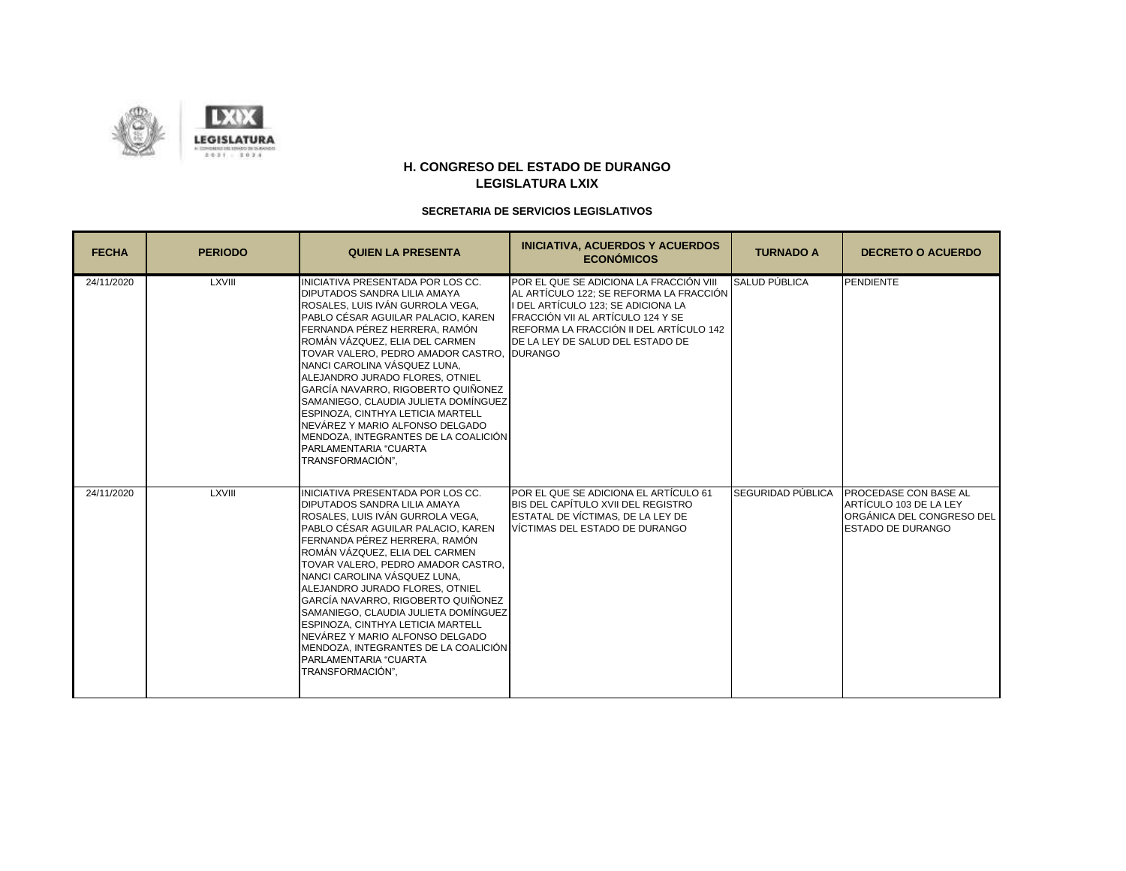

| <b>FECHA</b> | <b>PERIODO</b> | <b>QUIEN LA PRESENTA</b>                                                                                                                                                                                                                                                                                                                                                                                                                                                                                                                                                   | <b>INICIATIVA, ACUERDOS Y ACUERDOS</b><br><b>ECONÓMICOS</b>                                                                                                                                                                                  | <b>TURNADO A</b>  | <b>DECRETO O ACUERDO</b>                                                                                        |
|--------------|----------------|----------------------------------------------------------------------------------------------------------------------------------------------------------------------------------------------------------------------------------------------------------------------------------------------------------------------------------------------------------------------------------------------------------------------------------------------------------------------------------------------------------------------------------------------------------------------------|----------------------------------------------------------------------------------------------------------------------------------------------------------------------------------------------------------------------------------------------|-------------------|-----------------------------------------------------------------------------------------------------------------|
| 24/11/2020   | <b>LXVIII</b>  | INICIATIVA PRESENTADA POR LOS CC.<br>DIPUTADOS SANDRA LILIA AMAYA<br>ROSALES. LUIS IVÁN GURROLA VEGA.<br>PABLO CÉSAR AGUILAR PALACIO. KAREN<br>FERNANDA PÉREZ HERRERA. RAMÓN<br>ROMÁN VÁZQUEZ. ELIA DEL CARMEN<br>TOVAR VALERO. PEDRO AMADOR CASTRO. DURANGO<br>NANCI CAROLINA VÁSQUEZ LUNA.<br>ALEJANDRO JURADO FLORES. OTNIEL<br>GARCÍA NAVARRO, RIGOBERTO QUIÑONEZ<br>SAMANIEGO, CLAUDIA JULIETA DOMÍNGUEZ<br>ESPINOZA. CINTHYA LETICIA MARTELL<br>NEVÁREZ Y MARIO ALFONSO DELGADO<br>MENDOZA, INTEGRANTES DE LA COALICIÓN<br>PARLAMENTARIA "CUARTA<br>TRANSFORMACIÓN", | POR EL QUE SE ADICIONA LA FRACCIÓN VIII<br>AL ARTÍCULO 122; SE REFORMA LA FRACCIÓN<br>I DEL ARTÍCULO 123; SE ADICIONA LA<br>FRACCIÓN VII AL ARTÍCULO 124 Y SE<br>REFORMA LA FRACCIÓN II DEL ARTÍCULO 142<br>DE LA LEY DE SALUD DEL ESTADO DE | SALUD PÚBLICA     | <b>PENDIENTE</b>                                                                                                |
| 24/11/2020   | LXVIII         | INICIATIVA PRESENTADA POR LOS CC.<br>DIPUTADOS SANDRA LILIA AMAYA<br>ROSALES, LUIS IVÁN GURROLA VEGA,<br>PABLO CÉSAR AGUILAR PALACIO, KAREN<br>FERNANDA PÉREZ HERRERA, RAMÓN<br>ROMÁN VÁZQUEZ. ELIA DEL CARMEN<br>TOVAR VALERO, PEDRO AMADOR CASTRO,<br>NANCI CAROLINA VÁSQUEZ LUNA.<br>ALEJANDRO JURADO FLORES. OTNIEL<br>GARCÍA NAVARRO, RIGOBERTO QUIÑONEZ<br>SAMANIEGO. CLAUDIA JULIETA DOMÍNGUEZ<br>ESPINOZA, CINTHYA LETICIA MARTELL<br>NEVÁREZ Y MARIO ALFONSO DELGADO<br>MENDOZA. INTEGRANTES DE LA COALICIÓN<br>PARLAMENTARIA "CUARTA<br>TRANSFORMACIÓN".         | POR EL QUE SE ADICIONA EL ARTÍCULO 61<br><b>BIS DEL CAPÍTULO XVII DEL REGISTRO</b><br>ESTATAL DE VÍCTIMAS, DE LA LEY DE<br>VÍCTIMAS DEL ESTADO DE DURANGO                                                                                    | SEGURIDAD PÚBLICA | <b>PROCEDASE CON BASE AL</b><br>ARTÍCULO 103 DE LA LEY<br>ORGÁNICA DEL CONGRESO DEL<br><b>ESTADO DE DURANGO</b> |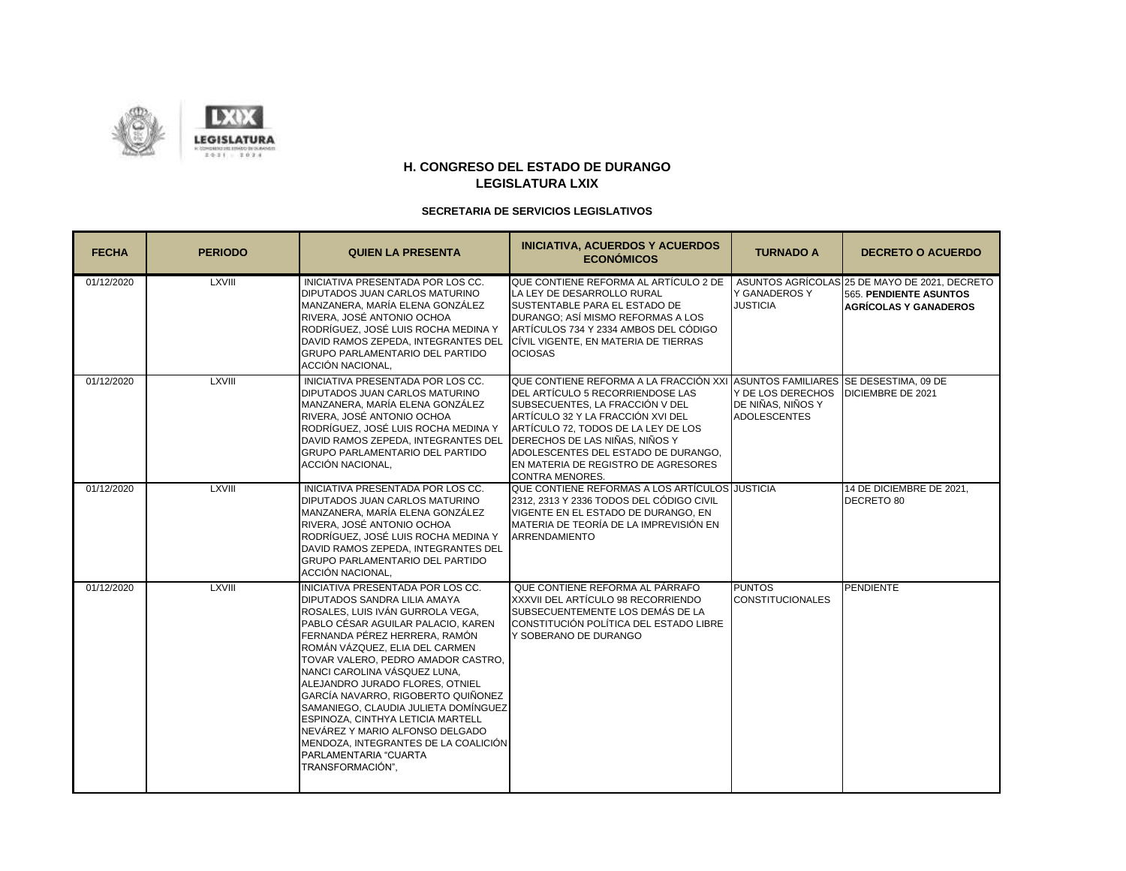

| <b>FECHA</b> | <b>PERIODO</b> | <b>QUIEN LA PRESENTA</b>                                                                                                                                                                                                                                                                                                                                                                                                                                                                                                                                                   | <b>INICIATIVA, ACUERDOS Y ACUERDOS</b><br><b>ECONÓMICOS</b>                                                                                                                                                                                                                                                                                                                | <b>TURNADO A</b>                                              | <b>DECRETO O ACUERDO</b>                                                                                |
|--------------|----------------|----------------------------------------------------------------------------------------------------------------------------------------------------------------------------------------------------------------------------------------------------------------------------------------------------------------------------------------------------------------------------------------------------------------------------------------------------------------------------------------------------------------------------------------------------------------------------|----------------------------------------------------------------------------------------------------------------------------------------------------------------------------------------------------------------------------------------------------------------------------------------------------------------------------------------------------------------------------|---------------------------------------------------------------|---------------------------------------------------------------------------------------------------------|
| 01/12/2020   | <b>LXVIII</b>  | INICIATIVA PRESENTADA POR LOS CC.<br><b>DIPUTADOS JUAN CARLOS MATURINO</b><br>MANZANERA, MARÍA ELENA GONZÁLEZ<br>RIVERA, JOSÉ ANTONIO OCHOA<br>RODRÍGUEZ, JOSÉ LUIS ROCHA MEDINA Y<br>DAVID RAMOS ZEPEDA, INTEGRANTES DEL<br><b>GRUPO PARLAMENTARIO DEL PARTIDO</b><br>ACCIÓN NACIONAL,                                                                                                                                                                                                                                                                                    | QUE CONTIENE REFORMA AL ARTÍCULO 2 DE<br>LA LEY DE DESARROLLO RURAL<br>SUSTENTABLE PARA EL ESTADO DE<br>DURANGO: ASÍ MISMO REFORMAS A LOS<br>ARTÍCULOS 734 Y 2334 AMBOS DEL CÓDIGO<br>CÍVIL VIGENTE, EN MATERIA DE TIERRAS<br><b>OCIOSAS</b>                                                                                                                               | Y GANADEROS Y<br><b>JUSTICIA</b>                              | ASUNTOS AGRÍCOLAS 25 DE MAYO DE 2021. DECRETO<br>565. PENDIENTE ASUNTOS<br><b>AGRÍCOLAS Y GANADEROS</b> |
| 01/12/2020   | <b>LXVIII</b>  | INICIATIVA PRESENTADA POR LOS CC.<br><b>DIPUTADOS JUAN CARLOS MATURINO</b><br>MANZANERA, MARÍA ELENA GONZÁLEZ<br>RIVERA, JOSÉ ANTONIO OCHOA<br>RODRÍGUEZ, JOSÉ LUIS ROCHA MEDINA Y<br>DAVID RAMOS ZEPEDA, INTEGRANTES DEL<br><b>GRUPO PARLAMENTARIO DEL PARTIDO</b><br>ACCIÓN NACIONAL.                                                                                                                                                                                                                                                                                    | QUE CONTIENE REFORMA A LA FRACCIÓN XXI ASUNTOS FAMILIARES SE DESESTIMA, 09 DE<br>DEL ARTÍCULO 5 RECORRIENDOSE LAS<br>SUBSECUENTES, LA FRACCIÓN V DEL<br>ARTÍCULO 32 Y LA FRACCIÓN XVI DEL<br>ARTÍCULO 72. TODOS DE LA LEY DE LOS<br>DERECHOS DE LAS NIÑAS, NIÑOS Y<br>ADOLESCENTES DEL ESTADO DE DURANGO.<br>EN MATERIA DE REGISTRO DE AGRESORES<br><b>CONTRA MENORES.</b> | Y DE LOS DERECHOS<br>DE NIÑAS, NIÑOS Y<br><b>ADOLESCENTES</b> | DICIEMBRE DE 2021                                                                                       |
| 01/12/2020   | <b>LXVIII</b>  | INICIATIVA PRESENTADA POR LOS CC.<br><b>DIPUTADOS JUAN CARLOS MATURINO</b><br>MANZANERA, MARÍA ELENA GONZÁLEZ<br>RIVERA, JOSÉ ANTONIO OCHOA<br>RODRÍGUEZ, JOSÉ LUIS ROCHA MEDINA Y<br>DAVID RAMOS ZEPEDA, INTEGRANTES DEL<br><b>GRUPO PARLAMENTARIO DEL PARTIDO</b><br>ACCIÓN NACIONAL.                                                                                                                                                                                                                                                                                    | QUE CONTIENE REFORMAS A LOS ARTÍCULOS JUSTICIA<br>2312, 2313 Y 2336 TODOS DEL CÓDIGO CIVIL<br>VIGENTE EN EL ESTADO DE DURANGO, EN<br>MATERIA DE TEORÍA DE LA IMPREVISIÓN EN<br><b>ARRENDAMIENTO</b>                                                                                                                                                                        |                                                               | 14 DE DICIEMBRE DE 2021.<br>DECRETO 80                                                                  |
| 01/12/2020   | <b>LXVIII</b>  | INICIATIVA PRESENTADA POR LOS CC.<br><b>DIPUTADOS SANDRA LILIA AMAYA</b><br>ROSALES, LUIS IVÁN GURROLA VEGA,<br>PABLO CÉSAR AGUILAR PALACIO, KAREN<br>FERNANDA PÉREZ HERRERA. RAMÓN<br>ROMÁN VÁZQUEZ, ELIA DEL CARMEN<br>TOVAR VALERO. PEDRO AMADOR CASTRO.<br>NANCI CAROLINA VÁSQUEZ LUNA.<br>ALEJANDRO JURADO FLORES, OTNIEL<br>GARCÍA NAVARRO. RIGOBERTO QUIÑONEZ<br>SAMANIEGO, CLAUDIA JULIETA DOMÍNGUEZ<br>ESPINOZA, CINTHYA LETICIA MARTELL<br>NEVÁREZ Y MARIO ALFONSO DELGADO<br>IMENDOZA. INTEGRANTES DE LA COALICIÓN<br>PARLAMENTARIA "CUARTA<br>TRANSFORMACIÓN". | QUE CONTIENE REFORMA AL PÁRRAFO<br>XXXVII DEL ARTÍCULO 98 RECORRIENDO<br>SUBSECUENTEMENTE LOS DEMÁS DE LA<br>CONSTITUCIÓN POLÍTICA DEL ESTADO LIBRE<br>Y SOBERANO DE DURANGO                                                                                                                                                                                               | <b>PUNTOS</b><br><b>CONSTITUCIONALES</b>                      | PENDIENTE                                                                                               |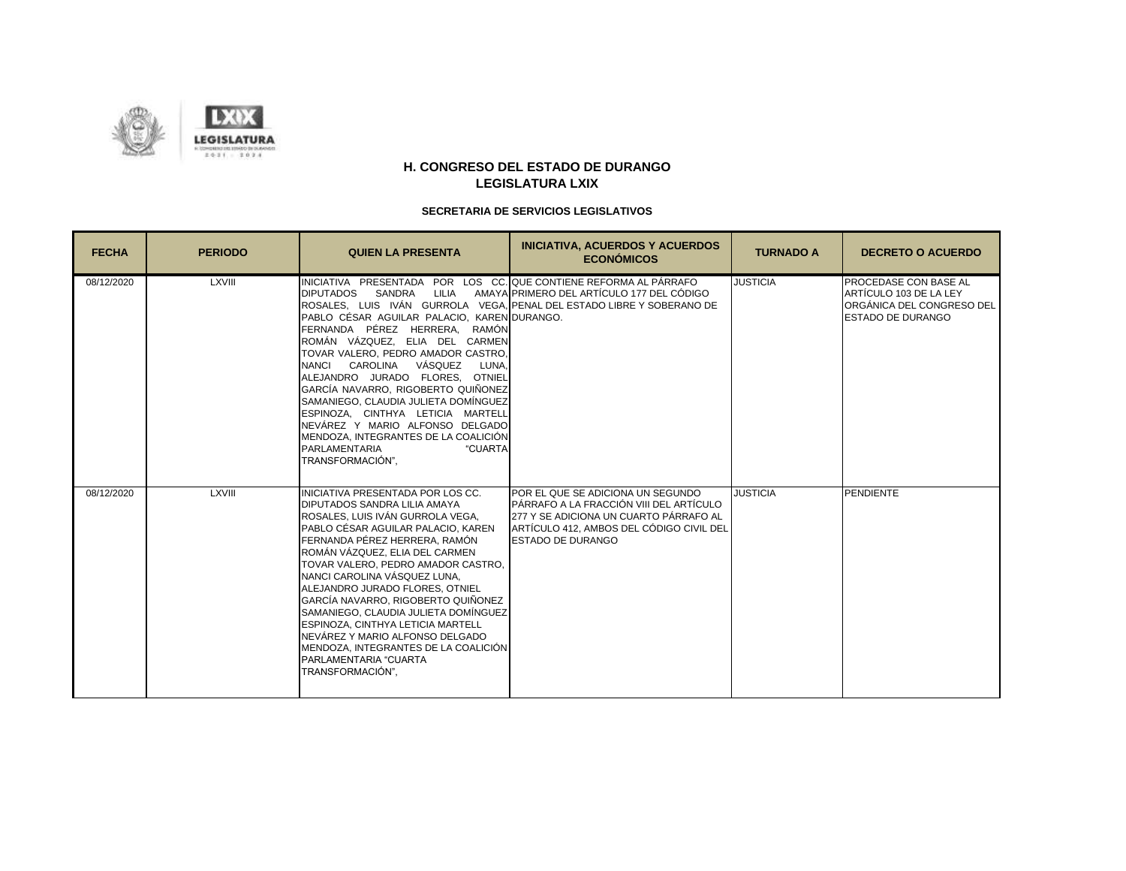

| <b>FECHA</b> | <b>PERIODO</b> | <b>QUIEN LA PRESENTA</b>                                                                                                                                                                                                                                                                                                                                                                                                                                                                                                                                                                                     | <b>INICIATIVA, ACUERDOS Y ACUERDOS</b><br><b>ECONÓMICOS</b>                                                                                                                                           | <b>TURNADO A</b> | <b>DECRETO O ACUERDO</b>                                                                                 |
|--------------|----------------|--------------------------------------------------------------------------------------------------------------------------------------------------------------------------------------------------------------------------------------------------------------------------------------------------------------------------------------------------------------------------------------------------------------------------------------------------------------------------------------------------------------------------------------------------------------------------------------------------------------|-------------------------------------------------------------------------------------------------------------------------------------------------------------------------------------------------------|------------------|----------------------------------------------------------------------------------------------------------|
| 08/12/2020   | <b>LXVIII</b>  | INICIATIVA PRESENTADA POR LOS CC. QUE CONTIENE REFORMA AL PÁRRAFO<br>SANDRA<br><b>LILIA</b><br><b>DIPUTADOS</b><br>PABLO CÉSAR AGUILAR PALACIO, KAREN DURANGO.<br>FERNANDA PÉREZ HERRERA, RAMÓN<br>ROMÁN VÁZQUEZ, ELIA DEL CARMEN<br>TOVAR VALERO, PEDRO AMADOR CASTRO,<br>CAROLINA VÁSQUEZ<br><b>NANCI</b><br>LUNA.<br>ALEJANDRO JURADO FLORES, OTNIEL<br>GARCÍA NAVARRO, RIGOBERTO QUIÑONEZ<br>SAMANIEGO, CLAUDIA JULIETA DOMÍNGUEZ<br>ESPINOZA, CINTHYA LETICIA MARTELL<br>NEVÁREZ Y MARIO ALFONSO DELGADO<br>MENDOZA, INTEGRANTES DE LA COALICIÓN<br><b>PARLAMENTARIA</b><br>"CUARTA<br>TRANSFORMACIÓN", | AMAYA PRIMERO DEL ARTÍCULO 177 DEL CÓDIGO<br>ROSALES. LUIS IVÁN GURROLA VEGA. PENAL DEL ESTADO LIBRE Y SOBERANO DE                                                                                    | <b>JUSTICIA</b>  | PROCEDASE CON BASE AL<br>ARTÍCULO 103 DE LA LEY<br>ORGÁNICA DEL CONGRESO DEL<br><b>ESTADO DE DURANGO</b> |
| 08/12/2020   | LXVIII         | INICIATIVA PRESENTADA POR LOS CC.<br>DIPUTADOS SANDRA LILIA AMAYA<br>ROSALES. LUIS IVÁN GURROLA VEGA.<br>PABLO CÉSAR AGUILAR PALACIO, KAREN<br>FERNANDA PÉREZ HERRERA, RAMÓN<br>ROMÁN VÁZQUEZ. ELIA DEL CARMEN<br>TOVAR VALERO, PEDRO AMADOR CASTRO,<br>NANCI CAROLINA VÁSQUEZ LUNA.<br>ALEJANDRO JURADO FLORES, OTNIEL<br>GARCÍA NAVARRO, RIGOBERTO QUIÑONEZ<br>SAMANIEGO. CLAUDIA JULIETA DOMÍNGUEZ<br>ESPINOZA, CINTHYA LETICIA MARTELL<br>NEVÁREZ Y MARIO ALFONSO DELGADO<br>MENDOZA, INTEGRANTES DE LA COALICIÓN<br>PARLAMENTARIA "CUARTA<br>TRANSFORMACIÓN".                                           | <b>POR EL QUE SE ADICIONA UN SEGUNDO</b><br>PÁRRAFO A LA FRACCIÓN VIII DEL ARTÍCULO<br>277 Y SE ADICIONA UN CUARTO PÁRRAFO AL<br>ARTÍCULO 412, AMBOS DEL CÓDIGO CIVIL DEL<br><b>ESTADO DE DURANGO</b> | <b>JUSTICIA</b>  | <b>PENDIENTE</b>                                                                                         |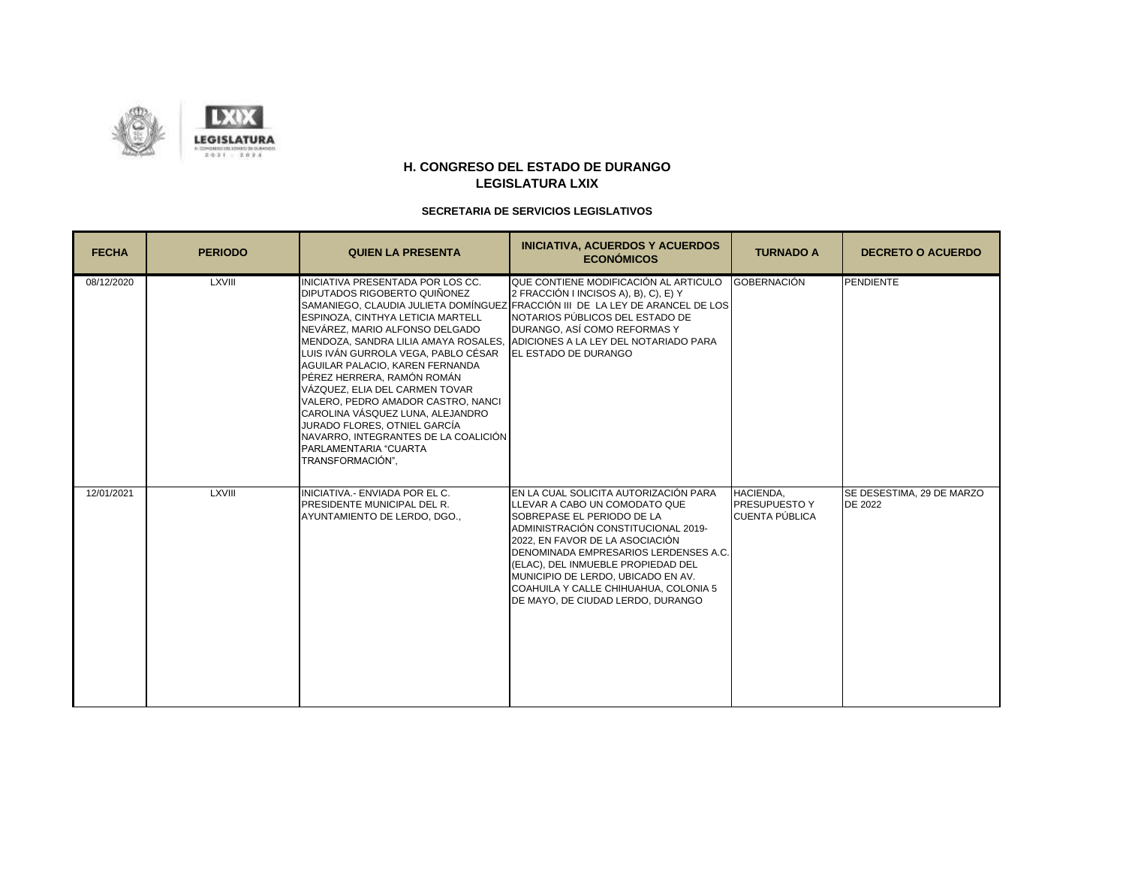

| <b>FECHA</b> | <b>PERIODO</b> | <b>QUIEN LA PRESENTA</b>                                                                                                                                                                                                                                                                                                                                                                                                                                                                                                                                         | <b>INICIATIVA, ACUERDOS Y ACUERDOS</b><br><b>ECONÓMICOS</b>                                                                                                                                                                                                                                                                                                                       | <b>TURNADO A</b>                             | <b>DECRETO O ACUERDO</b>             |
|--------------|----------------|------------------------------------------------------------------------------------------------------------------------------------------------------------------------------------------------------------------------------------------------------------------------------------------------------------------------------------------------------------------------------------------------------------------------------------------------------------------------------------------------------------------------------------------------------------------|-----------------------------------------------------------------------------------------------------------------------------------------------------------------------------------------------------------------------------------------------------------------------------------------------------------------------------------------------------------------------------------|----------------------------------------------|--------------------------------------|
| 08/12/2020   | <b>LXVIII</b>  | INICIATIVA PRESENTADA POR LOS CC.<br>DIPUTADOS RIGOBERTO QUIÑONEZ<br>ESPINOZA, CINTHYA LETICIA MARTELL<br>NEVÁREZ. MARIO ALFONSO DELGADO<br>MENDOZA. SANDRA LILIA AMAYA ROSALES.  ADICIONES A LA LEY DEL NOTARIADO PARA<br>LUIS IVÁN GURROLA VEGA. PABLO CÉSAR<br>AGUILAR PALACIO, KAREN FERNANDA<br>PÉREZ HERRERA, RAMÓN ROMÁN<br>VÁZQUEZ. ELIA DEL CARMEN TOVAR<br>VALERO, PEDRO AMADOR CASTRO, NANCI<br>CAROLINA VÁSQUEZ LUNA. ALEJANDRO<br>JURADO FLORES, OTNIEL GARCÍA<br>NAVARRO. INTEGRANTES DE LA COALICIÓN<br>PARLAMENTARIA "CUARTA<br>TRANSFORMACIÓN", | QUE CONTIENE MODIFICACIÓN AL ARTICULO<br>2 FRACCIÓN I INCISOS A), B), C), E) Y<br>SAMANIEGO, CLAUDIA JULIETA DOMÍNGUEZ FRACCIÓN III DE LA LEY DE ARANCEL DE LOS<br>NOTARIOS PÚBLICOS DEL ESTADO DE<br>DURANGO. ASÍ COMO REFORMAS Y<br><b>EL ESTADO DE DURANGO</b>                                                                                                                 | <b>GOBERNACIÓN</b>                           | PENDIENTE                            |
| 12/01/2021   | <b>LXVIII</b>  | INICIATIVA .- ENVIADA POR EL C.<br>PRESIDENTE MUNICIPAL DEL R.<br>AYUNTAMIENTO DE LERDO, DGO.,                                                                                                                                                                                                                                                                                                                                                                                                                                                                   | EN LA CUAL SOLICITA AUTORIZACIÓN PARA<br>LLEVAR A CABO UN COMODATO QUE<br>SOBREPASE EL PERIODO DE LA<br>ADMINISTRACIÓN CONSTITUCIONAL 2019-<br>2022, EN FAVOR DE LA ASOCIACIÓN<br>DENOMINADA EMPRESARIOS LERDENSES A.C.<br>(ELAC). DEL INMUEBLE PROPIEDAD DEL<br>MUNICIPIO DE LERDO. UBICADO EN AV.<br>COAHUILA Y CALLE CHIHUAHUA, COLONIA 5<br>DE MAYO, DE CIUDAD LERDO, DURANGO | HACIENDA.<br>PRESUPUESTO Y<br>CUENTA PÚBLICA | SE DESESTIMA, 29 DE MARZO<br>DE 2022 |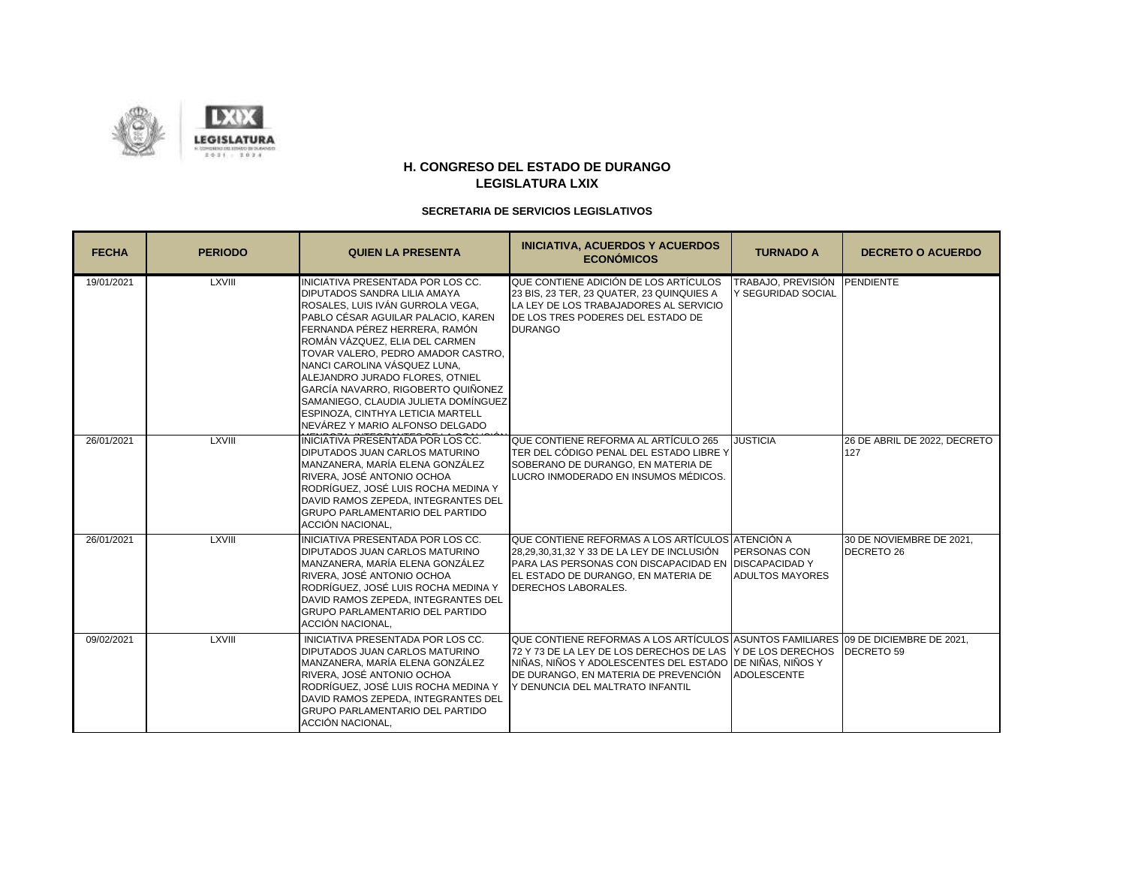

| <b>FECHA</b> | <b>PERIODO</b> | <b>QUIEN LA PRESENTA</b>                                                                                                                                                                                                                                                                                                                                                                                                                                                      | <b>INICIATIVA, ACUERDOS Y ACUERDOS</b><br><b>ECONÓMICOS</b>                                                                                                                                                                                                                              | <b>TURNADO A</b>                              | <b>DECRETO O ACUERDO</b>               |
|--------------|----------------|-------------------------------------------------------------------------------------------------------------------------------------------------------------------------------------------------------------------------------------------------------------------------------------------------------------------------------------------------------------------------------------------------------------------------------------------------------------------------------|------------------------------------------------------------------------------------------------------------------------------------------------------------------------------------------------------------------------------------------------------------------------------------------|-----------------------------------------------|----------------------------------------|
| 19/01/2021   | <b>LXVIII</b>  | INICIATIVA PRESENTADA POR LOS CC.<br>DIPUTADOS SANDRA LILIA AMAYA<br>ROSALES. LUIS IVÁN GURROLA VEGA.<br>PABLO CÉSAR AGUILAR PALACIO, KAREN<br>FERNANDA PÉREZ HERRERA. RAMÓN<br>ROMÁN VÁZQUEZ, ELIA DEL CARMEN<br>TOVAR VALERO. PEDRO AMADOR CASTRO.<br>NANCI CAROLINA VÁSQUEZ LUNA.<br>ALEJANDRO JURADO FLORES, OTNIEL<br>GARCÍA NAVARRO. RIGOBERTO QUIÑONEZ<br>SAMANIEGO, CLAUDIA JULIETA DOMÍNGUEZ<br>ESPINOZA. CINTHYA LETICIA MARTELL<br>NEVÁREZ Y MARIO ALFONSO DELGADO | QUE CONTIENE ADICIÓN DE LOS ARTÍCULOS<br>23 BIS, 23 TER, 23 QUATER, 23 QUINQUIES A<br>LA LEY DE LOS TRABAJADORES AL SERVICIO<br>DE LOS TRES PODERES DEL ESTADO DE<br><b>DURANGO</b>                                                                                                      | TRABAJO, PREVISIÓN<br>Y SEGURIDAD SOCIAL      | PENDIENTE                              |
| 26/01/2021   | <b>LXVIII</b>  | INICIATIVA PRESENTADA POR LOS CC.<br>DIPUTADOS JUAN CARLOS MATURINO<br>MANZANERA. MARÍA ELENA GONZÁLEZ<br>RIVERA. JOSÉ ANTONIO OCHOA<br>RODRÍGUEZ. JOSÉ LUIS ROCHA MEDINA Y<br>DAVID RAMOS ZEPEDA, INTEGRANTES DEL<br><b>GRUPO PARLAMENTARIO DEL PARTIDO</b><br>ACCIÓN NACIONAL.                                                                                                                                                                                              | QUE CONTIENE REFORMA AL ARTÍCULO 265<br>TER DEL CÓDIGO PENAL DEL ESTADO LIBRE Y<br>SOBERANO DE DURANGO. EN MATERIA DE<br>LUCRO INMODERADO EN INSUMOS MÉDICOS.                                                                                                                            | <b>JUSTICIA</b>                               | 26 DE ABRIL DE 2022. DECRETO<br>127    |
| 26/01/2021   | <b>LXVIII</b>  | INICIATIVA PRESENTADA POR LOS CC.<br>DIPUTADOS JUAN CARLOS MATURINO<br>MANZANERA. MARÍA ELENA GONZÁLEZ<br>RIVERA, JOSÉ ANTONIO OCHOA<br>RODRÍGUEZ. JOSÉ LUIS ROCHA MEDINA Y<br>DAVID RAMOS ZEPEDA, INTEGRANTES DEL<br><b>GRUPO PARLAMENTARIO DEL PARTIDO</b><br>ACCIÓN NACIONAL.                                                                                                                                                                                              | QUE CONTIENE REFORMAS A LOS ARTÍCULOS ATENCIÓN A<br>28.29.30.31.32 Y 33 DE LA LEY DE INCLUSIÓN<br>PARA LAS PERSONAS CON DISCAPACIDAD EN DISCAPACIDAD Y<br>EL ESTADO DE DURANGO, EN MATERIA DE<br>DERECHOS LABORALES.                                                                     | <b>PERSONAS CON</b><br><b>ADULTOS MAYORES</b> | 30 DE NOVIEMBRE DE 2021,<br>DECRETO 26 |
| 09/02/2021   | <b>LXVIII</b>  | INICIATIVA PRESENTADA POR LOS CC.<br>DIPUTADOS JUAN CARLOS MATURINO<br>MANZANERA, MARÍA ELENA GONZÁLEZ<br>RIVERA. JOSÉ ANTONIO OCHOA<br>RODRÍGUEZ, JOSÉ LUIS ROCHA MEDINA Y<br>DAVID RAMOS ZEPEDA. INTEGRANTES DEL<br><b>GRUPO PARLAMENTARIO DEL PARTIDO</b><br>ACCIÓN NACIONAL,                                                                                                                                                                                              | QUE CONTIENE REFORMAS A LOS ARTÍCULOS ASUNTOS FAMILIARES 09 DE DICIEMBRE DE 2021,<br>72 Y 73 DE LA LEY DE LOS DERECHOS DE LAS IY DE LOS DERECHOS<br>NIÑAS, NIÑOS Y ADOLESCENTES DEL ESTADO DE NIÑAS, NIÑOS Y<br>DE DURANGO. EN MATERIA DE PREVENCIÓN<br>Y DENUNCIA DEL MALTRATO INFANTIL | <b>ADOLESCENTE</b>                            | DECRETO 59                             |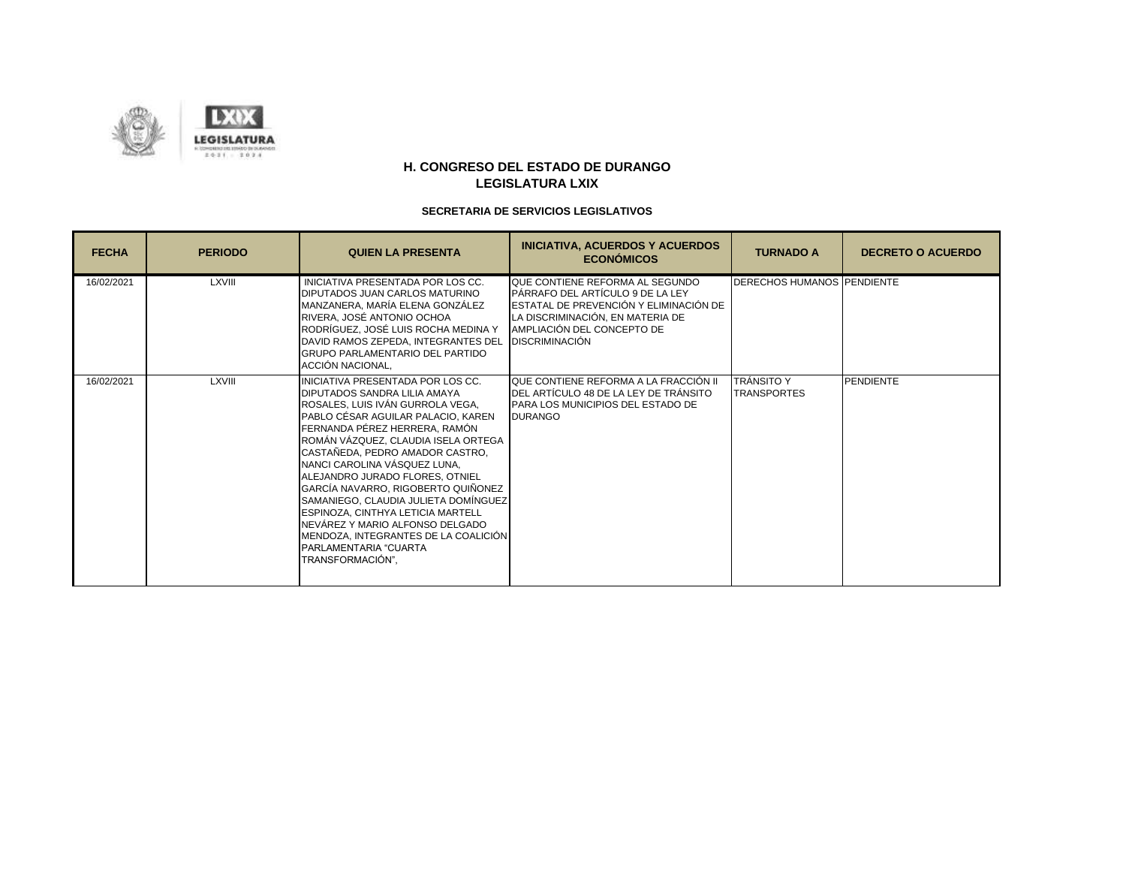

| <b>FECHA</b> | <b>PERIODO</b> | <b>QUIEN LA PRESENTA</b>                                                                                                                                                                                                                                                                                                                                                                                                                                                                                                                                                     | <b>INICIATIVA, ACUERDOS Y ACUERDOS</b><br><b>ECONÓMICOS</b>                                                                                                                                              | <b>TURNADO A</b>                        | <b>DECRETO O ACUERDO</b> |
|--------------|----------------|------------------------------------------------------------------------------------------------------------------------------------------------------------------------------------------------------------------------------------------------------------------------------------------------------------------------------------------------------------------------------------------------------------------------------------------------------------------------------------------------------------------------------------------------------------------------------|----------------------------------------------------------------------------------------------------------------------------------------------------------------------------------------------------------|-----------------------------------------|--------------------------|
| 16/02/2021   | <b>LXVIII</b>  | INICIATIVA PRESENTADA POR LOS CC.<br><b>DIPUTADOS JUAN CARLOS MATURINO</b><br>MANZANERA, MARÍA ELENA GONZÁLEZ<br>RIVERA, JOSÉ ANTONIO OCHOA<br>RODRÍGUEZ. JOSÉ LUIS ROCHA MEDINA Y<br>DAVID RAMOS ZEPEDA, INTEGRANTES DEL<br><b>GRUPO PARLAMENTARIO DEL PARTIDO</b><br>ACCIÓN NACIONAL,                                                                                                                                                                                                                                                                                      | QUE CONTIENE REFORMA AL SEGUNDO<br>PÁRRAFO DEL ARTÍCULO 9 DE LA LEY<br>ESTATAL DE PREVENCIÓN Y ELIMINACIÓN DE<br>LA DISCRIMINACIÓN, EN MATERIA DE<br>AMPLIACIÓN DEL CONCEPTO DE<br><b>DISCRIMINACIÓN</b> | <b>DERECHOS HUMANOS PENDIENTE</b>       |                          |
| 16/02/2021   | <b>LXVIII</b>  | INICIATIVA PRESENTADA POR LOS CC.<br><b>DIPUTADOS SANDRA LILIA AMAYA</b><br>ROSALES, LUIS IVÁN GURROLA VEGA,<br>PABLO CÉSAR AGUILAR PALACIO, KAREN<br>FERNANDA PÉREZ HERRERA, RAMÓN<br>ROMÁN VÁZQUEZ, CLAUDIA ISELA ORTEGA<br>CASTAÑEDA, PEDRO AMADOR CASTRO,<br>NANCI CAROLINA VÁSQUEZ LUNA.<br>ALEJANDRO JURADO FLORES, OTNIEL<br>GARCÍA NAVARRO, RIGOBERTO QUIÑONEZ<br>SAMANIEGO, CLAUDIA JULIETA DOMÍNGUEZ<br>ESPINOZA, CINTHYA LETICIA MARTELL<br>INEVÁREZ Y MARIO ALFONSO DELGADO<br>MENDOZA. INTEGRANTES DE LA COALICIÓN<br>PARLAMENTARIA "CUARTA<br>TRANSFORMACIÓN", | QUE CONTIENE REFORMA A LA FRACCIÓN II.<br>DEL ARTÍCULO 48 DE LA LEY DE TRÁNSITO<br>PARA LOS MUNICIPIOS DEL ESTADO DE<br><b>DURANGO</b>                                                                   | <b>TRÁNSITO Y</b><br><b>TRANSPORTES</b> | <b>PENDIENTE</b>         |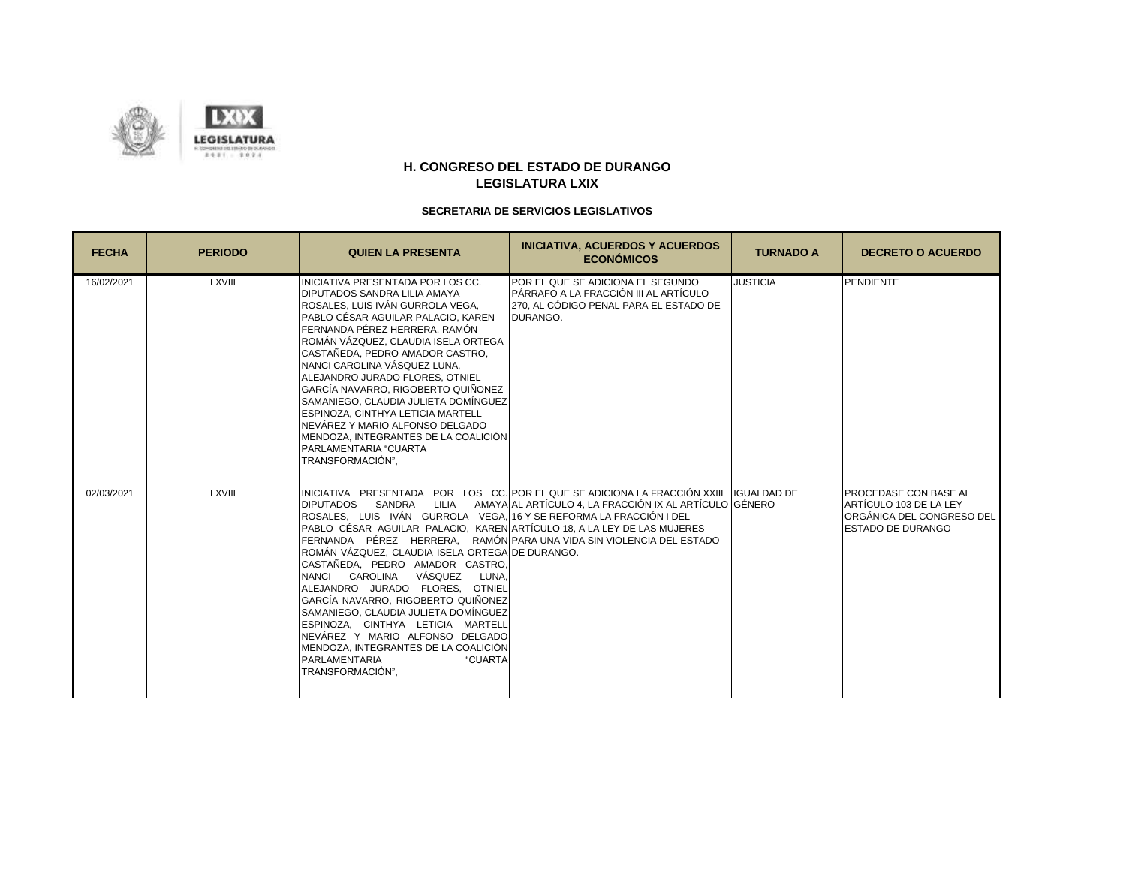

| <b>FECHA</b> | <b>PERIODO</b> | <b>QUIEN LA PRESENTA</b>                                                                                                                                                                                                                                                                                                                                                                                                                                                                                                                                                                           | <b>INICIATIVA, ACUERDOS Y ACUERDOS</b><br><b>ECONÓMICOS</b>                                                                                                                                                                | <b>TURNADO A</b> | <b>DECRETO O ACUERDO</b>                                                                          |
|--------------|----------------|----------------------------------------------------------------------------------------------------------------------------------------------------------------------------------------------------------------------------------------------------------------------------------------------------------------------------------------------------------------------------------------------------------------------------------------------------------------------------------------------------------------------------------------------------------------------------------------------------|----------------------------------------------------------------------------------------------------------------------------------------------------------------------------------------------------------------------------|------------------|---------------------------------------------------------------------------------------------------|
| 16/02/2021   | LXVIII         | INICIATIVA PRESENTADA POR LOS CC.<br>DIPUTADOS SANDRA LILIA AMAYA<br>ROSALES. LUIS IVÁN GURROLA VEGA.<br>PABLO CÉSAR AGUILAR PALACIO, KAREN<br>FERNANDA PÉREZ HERRERA, RAMÓN<br>ROMÁN VÁZQUEZ, CLAUDIA ISELA ORTEGA<br>CASTAÑEDA. PEDRO AMADOR CASTRO.<br>NANCI CAROLINA VÁSQUEZ LUNA.<br>ALEJANDRO JURADO FLORES, OTNIEL<br>GARCÍA NAVARRO. RIGOBERTO QUIÑONEZ<br>SAMANIEGO, CLAUDIA JULIETA DOMÍNGUEZ<br>ESPINOZA. CINTHYA LETICIA MARTELL<br>NEVÁREZ Y MARIO ALFONSO DELGADO<br>MENDOZA, INTEGRANTES DE LA COALICIÓN<br>PARLAMENTARIA "CUARTA<br>TRANSFORMACIÓN".                               | POR EL QUE SE ADICIONA EL SEGUNDO<br>PÁRRAFO A LA FRACCIÓN III AL ARTÍCULO<br>270, AL CÓDIGO PENAL PARA EL ESTADO DE<br>DURANGO.                                                                                           | <b>JUSTICIA</b>  | <b>PENDIENTE</b>                                                                                  |
| 02/03/2021   | <b>LXVIII</b>  | SANDRA LILIA<br><b>DIPUTADOS</b><br>ROSALES. LUIS IVÁN GURROLA VEGA. 16 Y SE REFORMA LA FRACCIÓN I DEL<br>PABLO CÉSAR AGUILAR PALACIO, KAREN ARTÍCULO 18, A LA LEY DE LAS MUJERES<br>ROMÁN VÁZQUEZ, CLAUDIA ISELA ORTEGA DE DURANGO.<br>CASTAÑEDA, PEDRO AMADOR CASTRO,<br>VÁSQUEZ LUNA,<br>NANCI CAROLINA<br>ALEJANDRO JURADO FLORES. OTNIEL<br>GARCÍA NAVARRO, RIGOBERTO QUIÑONEZ<br>SAMANIEGO, CLAUDIA JULIETA DOMÍNGUEZ<br>ESPINOZA, CINTHYA LETICIA MARTELL<br>NEVÁREZ Y MARIO ALFONSO DELGADO<br>MENDOZA, INTEGRANTES DE LA COALICIÓN<br><b>PARLAMENTARIA</b><br>"CUARTA<br>TRANSFORMACIÓN", | INICIATIVA PRESENTADA POR LOS CC. POR EL QUE SE ADICIONA LA FRACCIÓN XXIII I IGUALDAD DE<br>AMAYA AL ARTÍCULO 4, LA FRACCIÓN IX AL ARTÍCULO GÉNERO<br>FERNANDA PÉREZ HERRERA, RAMÓN PARA UNA VIDA SIN VIOLENCIA DEL ESTADO |                  | PROCEDASE CON BASE AL<br>ARTÍCULO 103 DE LA LEY<br>ORGÁNICA DEL CONGRESO DEL<br>ESTADO DE DURANGO |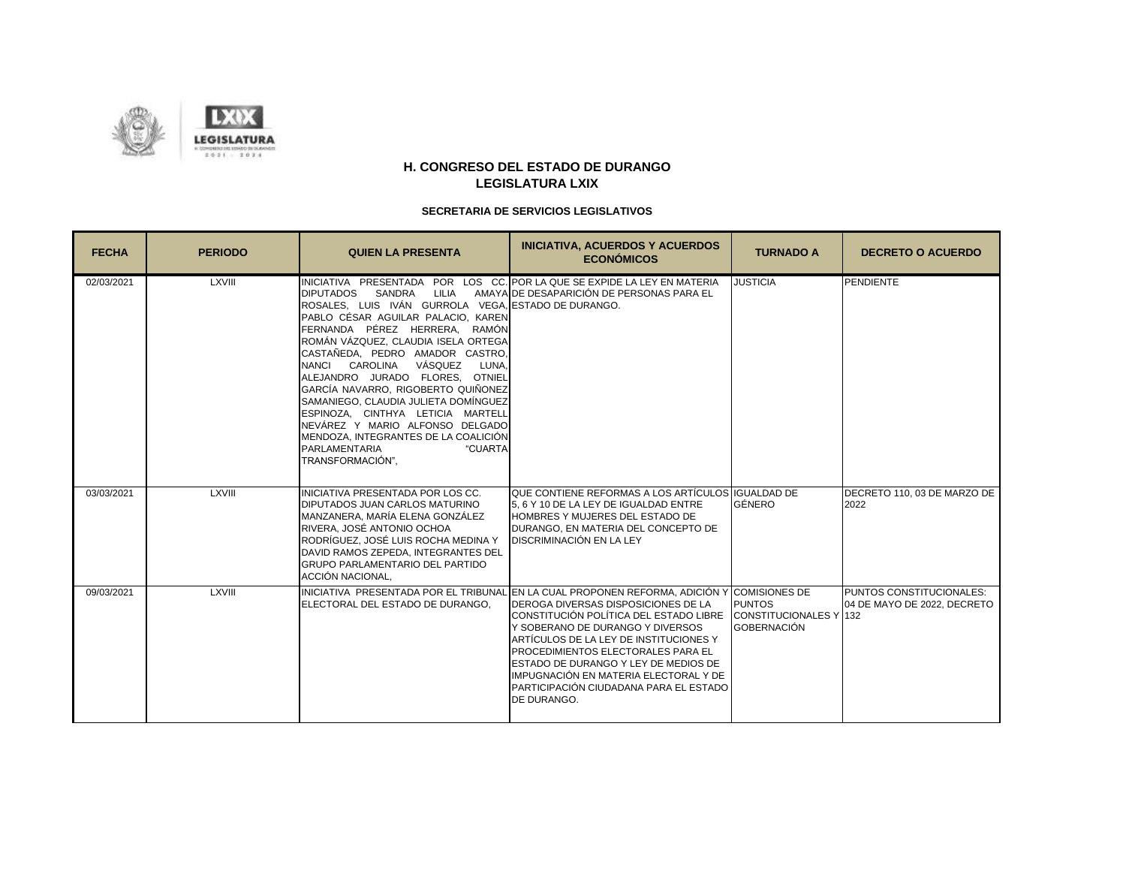

| <b>FECHA</b> | <b>PERIODO</b> | <b>QUIEN LA PRESENTA</b>                                                                                                                                                                                                                                                                                                                                                                                                                                                                                                                                                         | <b>INICIATIVA, ACUERDOS Y ACUERDOS</b><br><b>ECONÓMICOS</b>                                                                                                                                                                                                                                                                                                                                                                                             | <b>TURNADO A</b>                                              | <b>DECRETO O ACUERDO</b>                                |
|--------------|----------------|----------------------------------------------------------------------------------------------------------------------------------------------------------------------------------------------------------------------------------------------------------------------------------------------------------------------------------------------------------------------------------------------------------------------------------------------------------------------------------------------------------------------------------------------------------------------------------|---------------------------------------------------------------------------------------------------------------------------------------------------------------------------------------------------------------------------------------------------------------------------------------------------------------------------------------------------------------------------------------------------------------------------------------------------------|---------------------------------------------------------------|---------------------------------------------------------|
| 02/03/2021   | LXVIII         | <b>SANDRA</b><br><b>DIPUTADOS</b><br>LILIA<br>ROSALES, LUIS IVÁN GURROLA VEGA, ESTADO DE DURANGO.<br>PABLO CÉSAR AGUILAR PALACIO, KAREN<br>FERNANDA PÉREZ HERRERA, RAMÓN<br>ROMÁN VÁZQUEZ, CLAUDIA ISELA ORTEGA<br>CASTAÑEDA, PEDRO AMADOR CASTRO,<br>VÁSQUEZ<br>NANCI CAROLINA<br>LUNA.<br>ALEJANDRO JURADO FLORES, OTNIEL<br>GARCÍA NAVARRO, RIGOBERTO QUIÑONEZ<br>SAMANIEGO, CLAUDIA JULIETA DOMÍNGUEZ<br>ESPINOZA, CINTHYA LETICIA MARTELL<br>NEVÁREZ Y MARIO ALFONSO DELGADO<br>MENDOZA, INTEGRANTES DE LA COALICIÓN<br><b>PARLAMENTARIA</b><br>"CUARTA<br>TRANSFORMACIÓN". | INICIATIVA PRESENTADA POR LOS CC. POR LA QUE SE EXPIDE LA LEY EN MATERIA<br>AMAYAIDE DESAPARICIÓN DE PERSONAS PARA EL                                                                                                                                                                                                                                                                                                                                   | <b>JUSTICIA</b>                                               | <b>PENDIENTE</b>                                        |
| 03/03/2021   | LXVIII         | INICIATIVA PRESENTADA POR LOS CC.<br>DIPUTADOS JUAN CARLOS MATURINO<br>MANZANERA. MARÍA ELENA GONZÁLEZ<br>RIVERA. JOSÉ ANTONIO OCHOA<br>RODRÍGUEZ, JOSÉ LUIS ROCHA MEDINA Y<br>DAVID RAMOS ZEPEDA, INTEGRANTES DEL<br><b>GRUPO PARLAMENTARIO DEL PARTIDO</b><br>ACCIÓN NACIONAL.                                                                                                                                                                                                                                                                                                 | QUE CONTIENE REFORMAS A LOS ARTÍCULOS IIGUALDAD DE<br>5.6 Y 10 DE LA LEY DE IGUALDAD ENTRE<br>HOMBRES Y MUJERES DEL ESTADO DE<br>DURANGO. EN MATERIA DEL CONCEPTO DE<br><b>DISCRIMINACIÓN EN LA LEY</b>                                                                                                                                                                                                                                                 | <b>GÉNERO</b>                                                 | DECRETO 110, 03 DE MARZO DE<br>2022                     |
| 09/03/2021   | <b>LXVIII</b>  | ELECTORAL DEL ESTADO DE DURANGO.                                                                                                                                                                                                                                                                                                                                                                                                                                                                                                                                                 | INICIATIVA PRESENTADA POR EL TRIBUNAL EN LA CUAL PROPONEN REFORMA, ADICIÓN Y COMISIONES DE<br><b>DEROGA DIVERSAS DISPOSICIONES DE LA</b><br>CONSTITUCIÓN POLÍTICA DEL ESTADO LIBRE<br>Y SOBERANO DE DURANGO Y DIVERSOS<br>ARTÍCULOS DE LA LEY DE INSTITUCIONES Y<br><b>PROCEDIMIENTOS ELECTORALES PARA EL</b><br>ESTADO DE DURANGO Y LEY DE MEDIOS DE<br>IMPUGNACIÓN EN MATERIA ELECTORAL Y DE<br>PARTICIPACIÓN CIUDADANA PARA EL ESTADO<br>DE DURANGO. | <b>PUNTOS</b><br>CONSTITUCIONALES Y 132<br><b>GOBERNACIÓN</b> | PUNTOS CONSTITUCIONALES:<br>04 DE MAYO DE 2022, DECRETO |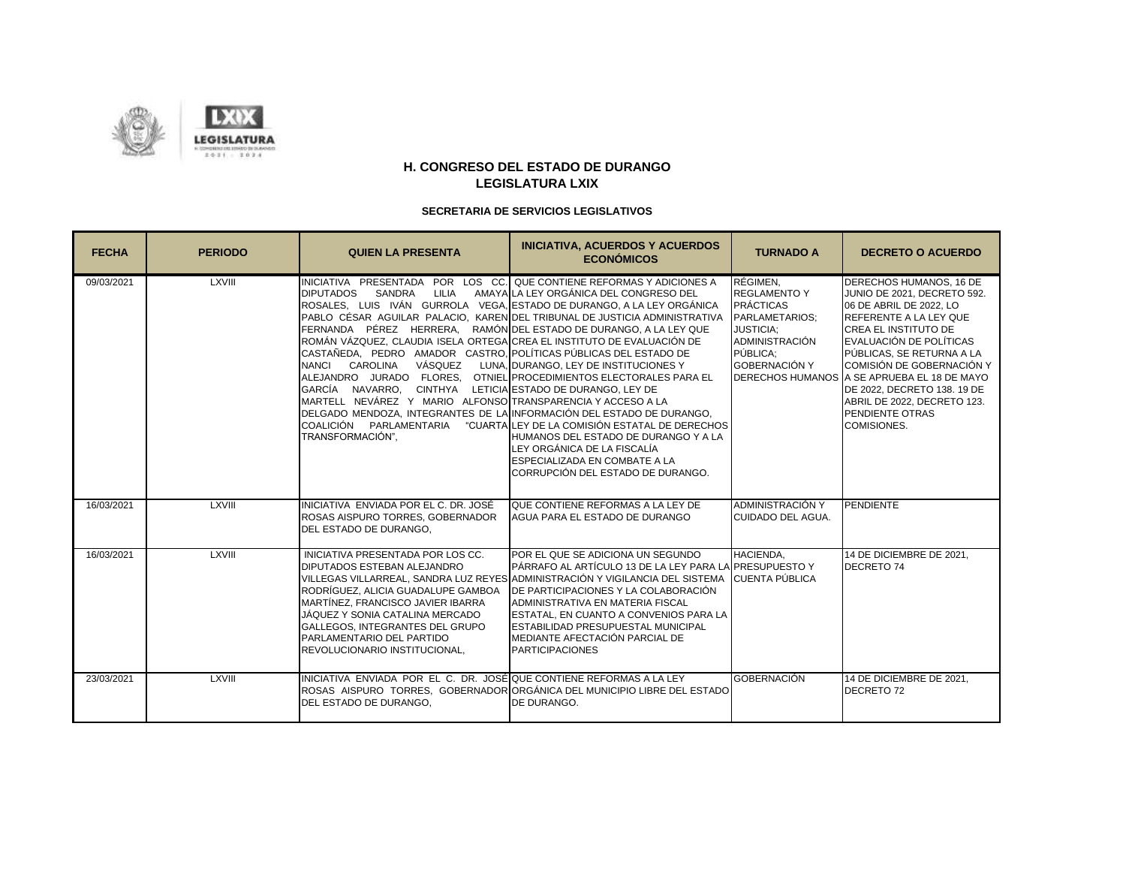

| <b>FECHA</b> | <b>PERIODO</b> | <b>QUIEN LA PRESENTA</b>                                                                                                                                                                                                                                                                                                                                                                                                                                                                                                                                                                                                                                                                                                                    | <b>INICIATIVA, ACUERDOS Y ACUERDOS</b><br><b>ECONÓMICOS</b>                                                                                                                                                                                                                                                                                                                                                                   | <b>TURNADO A</b>                                                                                                                                | <b>DECRETO O ACUERDO</b>                                                                                                                                                                                                                                                                                                                                                       |
|--------------|----------------|---------------------------------------------------------------------------------------------------------------------------------------------------------------------------------------------------------------------------------------------------------------------------------------------------------------------------------------------------------------------------------------------------------------------------------------------------------------------------------------------------------------------------------------------------------------------------------------------------------------------------------------------------------------------------------------------------------------------------------------------|-------------------------------------------------------------------------------------------------------------------------------------------------------------------------------------------------------------------------------------------------------------------------------------------------------------------------------------------------------------------------------------------------------------------------------|-------------------------------------------------------------------------------------------------------------------------------------------------|--------------------------------------------------------------------------------------------------------------------------------------------------------------------------------------------------------------------------------------------------------------------------------------------------------------------------------------------------------------------------------|
| 09/03/2021   | LXVIII         | INICIATIVA PRESENTADA POR LOS CC. QUE CONTIENE REFORMAS Y ADICIONES A<br><b>DIPUTADOS</b><br>SANDRA<br><b>LILIA</b><br>ROSALES, LUIS IVÁN GURROLA VEGA, ESTADO DE DURANGO, A LA LEY ORGÁNICA<br>FERNANDA PÉREZ HERRERA, RAMÓN DEL ESTADO DE DURANGO, A LA LEY QUE<br>ROMÁN VÁZQUEZ, CLAUDIA ISELA ORTEGA CREA EL INSTITUTO DE EVALUACIÓN DE<br>CASTAÑEDA. PEDRO AMADOR CASTRO. POLÍTICAS PÚBLICAS DEL ESTADO DE<br>VÁSQUEZ<br>NANCI CAROLINA<br>ALEJANDRO JURADO FLORES, OTNIEL PROCEDIMIENTOS ELECTORALES PARA EL<br>GARCÍA NAVARRO. CINTHYA LETICIA ESTADO DE DURANGO. LEY DE<br>MARTELL NEVÁREZ Y MARIO ALFONSO TRANSPARENCIA Y ACCESO A LA<br>DELGADO MENDOZA, INTEGRANTES DE LA INFORMACIÓN DEL ESTADO DE DURANGO.<br>TRANSFORMACIÓN", | AMAYA LA LEY ORGÁNICA DEL CONGRESO DEL<br>PABLO CÉSAR AGUILAR PALACIO. KARENIDEL TRIBUNAL DE JUSTICIA ADMINISTRATIVA<br>LUNA. DURANGO. LEY DE INSTITUCIONES Y<br>COALICIÓN PARLAMENTARIA "CUARTA LEY DE LA COMISIÓN ESTATAL DE DERECHOS<br>HUMANOS DEL ESTADO DE DURANGO Y A LA<br>LEY ORGÁNICA DE LA FISCALÍA<br>ESPECIALIZADA EN COMBATE A LA<br>CORRUPCIÓN DEL ESTADO DE DURANGO.                                          | RÉGIMEN.<br><b>REGLAMENTO Y</b><br><b>PRÁCTICAS</b><br>PARLAMETARIOS;<br><b>JUSTICIA:</b><br>ADMINISTRACIÓN<br>PÚBLICA:<br><b>GOBERNACIÓN Y</b> | DERECHOS HUMANOS, 16 DE<br>JUNIO DE 2021, DECRETO 592.<br>06 DE ABRIL DE 2022. LO<br><b>REFERENTE A LA LEY QUE</b><br>CREA EL INSTITUTO DE<br>EVALUACIÓN DE POLÍTICAS<br>PÚBLICAS, SE RETURNA A LA<br>COMISIÓN DE GOBERNACIÓN Y<br>DERECHOS HUMANOS A SE APRUEBA EL 18 DE MAYO<br>DE 2022, DECRETO 138, 19 DE<br>ABRIL DE 2022, DECRETO 123.<br>PENDIENTE OTRAS<br>COMISIONES. |
| 16/03/2021   | LXVIII         | INICIATIVA ENVIADA POR EL C. DR. JOSÉ<br><b>ROSAS AISPURO TORRES, GOBERNADOR</b><br>DEL ESTADO DE DURANGO.                                                                                                                                                                                                                                                                                                                                                                                                                                                                                                                                                                                                                                  | QUE CONTIENE REFORMAS A LA LEY DE<br>AGUA PARA EL ESTADO DE DURANGO                                                                                                                                                                                                                                                                                                                                                           | ADMINISTRACIÓN Y<br>CUIDADO DEL AGUA.                                                                                                           | PENDIENTE                                                                                                                                                                                                                                                                                                                                                                      |
| 16/03/2021   | <b>LXVIII</b>  | INICIATIVA PRESENTADA POR LOS CC.<br><b>DIPUTADOS ESTEBAN ALEJANDRO</b><br>RODRÍGUEZ, ALICIA GUADALUPE GAMBOA<br>MARTÍNEZ. FRANCISCO JAVIER IBARRA<br>JÁQUEZ Y SONIA CATALINA MERCADO<br>GALLEGOS. INTEGRANTES DEL GRUPO<br>PARLAMENTARIO DEL PARTIDO<br>REVOLUCIONARIO INSTITUCIONAL.                                                                                                                                                                                                                                                                                                                                                                                                                                                      | POR EL QUE SE ADICIONA UN SEGUNDO<br>PÁRRAFO AL ARTÍCULO 13 DE LA LEY PARA LA PRESUPUESTO Y<br>VILLEGAS VILLARREAL, SANDRA LUZ REYES∫ADMINISTRACIÓN Y VIGILANCIA DEL SISTEMA  İCUENTA PÚBLICA<br>DE PARTICIPACIONES Y LA COLABORACIÓN<br>ADMINISTRATIVA EN MATERIA FISCAL<br>ESTATAL, EN CUANTO A CONVENIOS PARA LA<br><b>IESTABILIDAD PRESUPUESTAL MUNICIPAL</b><br>MEDIANTE AFECTACIÓN PARCIAL DE<br><b>PARTICIPACIONES</b> | HACIENDA.                                                                                                                                       | 14 DE DICIEMBRE DE 2021.<br>DECRETO 74                                                                                                                                                                                                                                                                                                                                         |
| 23/03/2021   | LXVIII         | IINICIATIVA ENVIADA POR EL C. DR. JOSÉIQUE CONTIENE REFORMAS A LA LEY<br>DEL ESTADO DE DURANGO.                                                                                                                                                                                                                                                                                                                                                                                                                                                                                                                                                                                                                                             | ROSAS AISPURO TORRES, GOBERNADOR ORGÁNICA DEL MUNICIPIO LIBRE DEL ESTADO<br>DE DURANGO.                                                                                                                                                                                                                                                                                                                                       | <b>GOBERNACIÓN</b>                                                                                                                              | 14 DE DICIEMBRE DE 2021.<br>DECRETO 72                                                                                                                                                                                                                                                                                                                                         |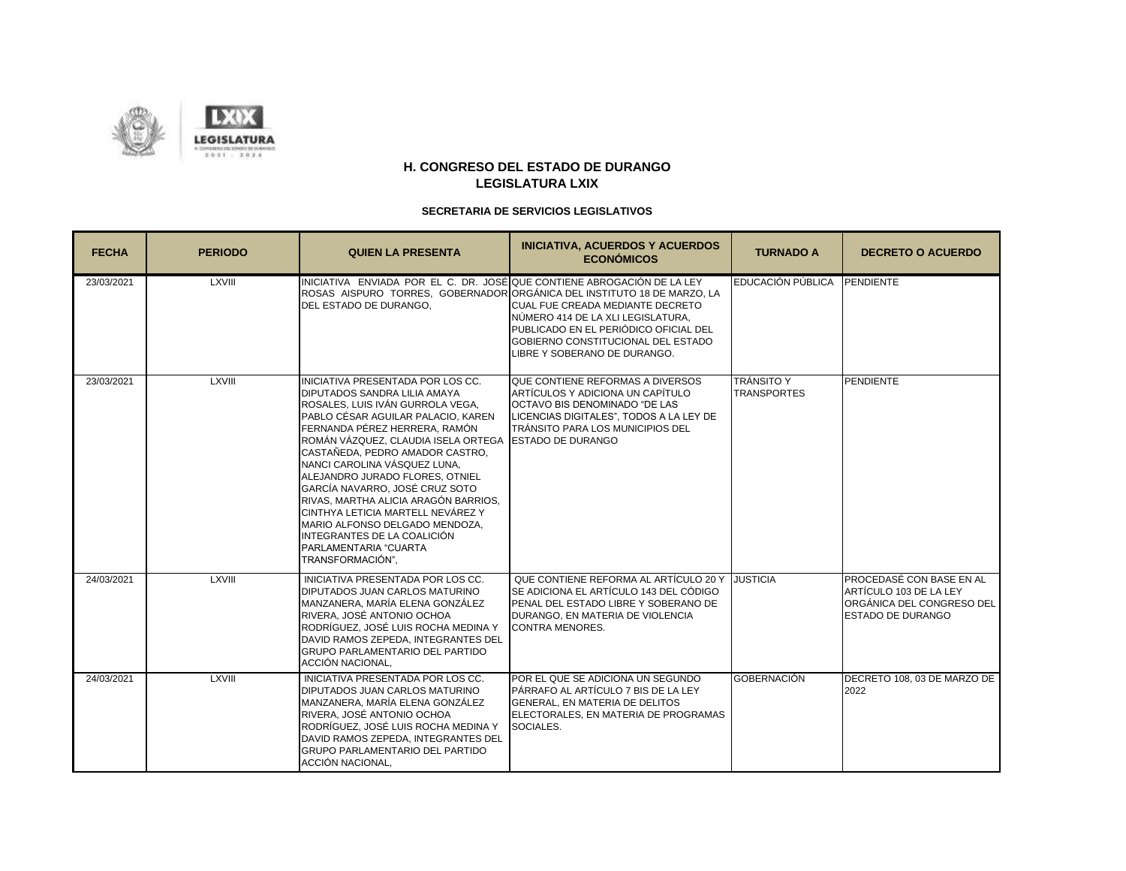

| <b>FECHA</b> | <b>PERIODO</b> | <b>QUIEN LA PRESENTA</b>                                                                                                                                                                                                                                                                                                                                                                                                                                                                                                                               | <b>INICIATIVA, ACUERDOS Y ACUERDOS</b><br><b>ECONÓMICOS</b>                                                                                                                                                                                                     | <b>TURNADO A</b>                        | <b>DECRETO O ACUERDO</b>                                                                                    |
|--------------|----------------|--------------------------------------------------------------------------------------------------------------------------------------------------------------------------------------------------------------------------------------------------------------------------------------------------------------------------------------------------------------------------------------------------------------------------------------------------------------------------------------------------------------------------------------------------------|-----------------------------------------------------------------------------------------------------------------------------------------------------------------------------------------------------------------------------------------------------------------|-----------------------------------------|-------------------------------------------------------------------------------------------------------------|
| 23/03/2021   | <b>LXVIII</b>  | INICIATIVA ENVIADA POR EL C. DR. JOSÉ QUE CONTIENE ABROGACIÓN DE LA LEY<br>DEL ESTADO DE DURANGO.                                                                                                                                                                                                                                                                                                                                                                                                                                                      | ROSAS AISPURO TORRES, GOBERNADOR ORGÁNICA DEL INSTITUTO 18 DE MARZO, LA<br>CUAL FUE CREADA MEDIANTE DECRETO<br>NÚMERO 414 DE LA XLI LEGISLATURA.<br>PUBLICADO EN EL PERIÓDICO OFICIAL DEL<br>GOBIERNO CONSTITUCIONAL DEL ESTADO<br>LIBRE Y SOBERANO DE DURANGO. | EDUCACIÓN PÚBLICA PENDIENTE             |                                                                                                             |
| 23/03/2021   | <b>LXVIII</b>  | INICIATIVA PRESENTADA POR LOS CC.<br>DIPUTADOS SANDRA LILIA AMAYA<br>ROSALES. LUIS IVÁN GURROLA VEGA.<br>PABLO CÉSAR AGUILAR PALACIO. KAREN<br>FERNANDA PÉREZ HERRERA. RAMÓN<br>ROMÁN VÁZQUEZ, CLAUDIA ISELA ORTEGA<br>CASTAÑEDA. PEDRO AMADOR CASTRO.<br>NANCI CAROLINA VÁSQUEZ LUNA,<br>ALEJANDRO JURADO FLORES, OTNIEL<br>GARCÍA NAVARRO, JOSÉ CRUZ SOTO<br>RIVAS, MARTHA ALICIA ARAGÓN BARRIOS,<br>CINTHYA LETICIA MARTELL NEVÁREZ Y<br>MARIO ALFONSO DELGADO MENDOZA.<br>INTEGRANTES DE LA COALICIÓN<br>PARLAMENTARIA "CUARTA<br>TRANSFORMACIÓN", | QUE CONTIENE REFORMAS A DIVERSOS<br>ARTÍCULOS Y ADICIONA UN CAPÍTULO<br>OCTAVO BIS DENOMINADO "DE LAS<br>LICENCIAS DIGITALES". TODOS A LA LEY DE<br>TRÁNSITO PARA LOS MUNICIPIOS DEL<br><b>ESTADO DE DURANGO</b>                                                | <b>TRÁNSITO Y</b><br><b>TRANSPORTES</b> | PENDIENTE                                                                                                   |
| 24/03/2021   | <b>LXVIII</b>  | INICIATIVA PRESENTADA POR LOS CC.<br>DIPUTADOS JUAN CARLOS MATURINO<br>MANZANERA, MARÍA ELENA GONZÁLEZ<br>RIVERA. JOSÉ ANTONIO OCHOA<br>RODRÍGUEZ, JOSÉ LUIS ROCHA MEDINA Y<br>DAVID RAMOS ZEPEDA, INTEGRANTES DEL<br><b>GRUPO PARLAMENTARIO DEL PARTIDO</b><br>ACCIÓN NACIONAL.                                                                                                                                                                                                                                                                       | QUE CONTIENE REFORMA AL ARTÍCULO 20 Y JUSTICIA<br>SE ADICIONA EL ARTÍCULO 143 DEL CÓDIGO<br>PENAL DEL ESTADO LIBRE Y SOBERANO DE<br>DURANGO. EN MATERIA DE VIOLENCIA<br><b>CONTRA MENORES.</b>                                                                  |                                         | PROCEDASÉ CON BASE EN AL<br>ARTÍCULO 103 DE LA LEY<br>ORGÁNICA DEL CONGRESO DEL<br><b>ESTADO DE DURANGO</b> |
| 24/03/2021   | <b>LXVIII</b>  | INICIATIVA PRESENTADA POR LOS CC.<br>DIPUTADOS JUAN CARLOS MATURINO<br>MANZANERA, MARÍA ELENA GONZÁLEZ<br>RIVERA, JOSÉ ANTONIO OCHOA<br>RODRÍGUEZ. JOSÉ LUIS ROCHA MEDINA Y<br>DAVID RAMOS ZEPEDA, INTEGRANTES DEL<br><b>GRUPO PARLAMENTARIO DEL PARTIDO</b><br>ACCIÓN NACIONAL.                                                                                                                                                                                                                                                                       | POR EL QUE SE ADICIONA UN SEGUNDO<br>PÁRRAFO AL ARTÍCULO 7 BIS DE LA LEY<br><b>GENERAL, EN MATERIA DE DELITOS</b><br>ELECTORALES, EN MATERIA DE PROGRAMAS<br>SOCIALES.                                                                                          | <b>GOBERNACIÓN</b>                      | DECRETO 108, 03 DE MARZO DE<br>2022                                                                         |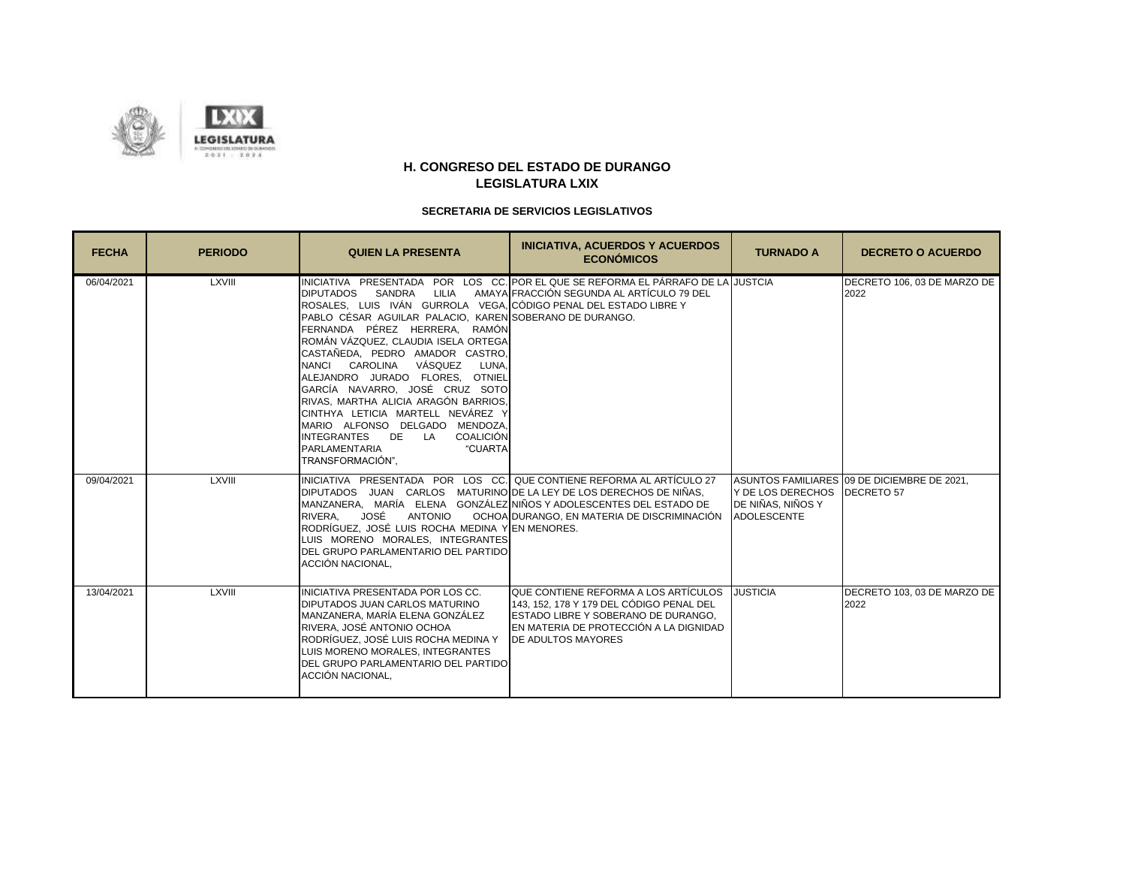

| <b>FECHA</b> | <b>PERIODO</b> | <b>QUIEN LA PRESENTA</b>                                                                                                                                                                                                                                                                                                                                                                                                                                                                                                                                                                                   | <b>INICIATIVA, ACUERDOS Y ACUERDOS</b><br><b>ECONÓMICOS</b>                                                                                                                                    | <b>TURNADO A</b>                                                         | <b>DECRETO O ACUERDO</b>                    |
|--------------|----------------|------------------------------------------------------------------------------------------------------------------------------------------------------------------------------------------------------------------------------------------------------------------------------------------------------------------------------------------------------------------------------------------------------------------------------------------------------------------------------------------------------------------------------------------------------------------------------------------------------------|------------------------------------------------------------------------------------------------------------------------------------------------------------------------------------------------|--------------------------------------------------------------------------|---------------------------------------------|
| 06/04/2021   | <b>LXVIII</b>  | <b>DIPUTADOS</b><br>SANDRA<br><b>LILIA</b><br>ROSALES, LUIS IVÁN GURROLA VEGA, CÓDIGO PENAL DEL ESTADO LIBRE Y<br>PABLO CÉSAR AGUILAR PALACIO, KAREN SOBERANO DE DURANGO.<br>FERNANDA PÉREZ HERRERA. RAMÓN<br>ROMÁN VÁZQUEZ, CLAUDIA ISELA ORTEGA<br>CASTAÑEDA. PEDRO AMADOR CASTRO.<br>VÁSQUEZ<br>NANCI CAROLINA<br>LUNA.<br>ALEJANDRO JURADO FLORES, OTNIEL<br>GARCÍA NAVARRO, JOSÉ CRUZ SOTO<br>RIVAS, MARTHA ALICIA ARAGÓN BARRIOS,<br>CINTHYA LETICIA MARTELL NEVÁREZ Y<br>MARIO ALFONSO DELGADO MENDOZA,<br>COALICIÓN<br>INTEGRANTES DE<br>LA<br><b>PARLAMENTARIA</b><br>"CUARTA<br>TRANSFORMACIÓN". | INICIATIVA PRESENTADA POR LOS CC. POR EL QUE SE REFORMA EL PÁRRAFO DE LA JUSTCIA<br>AMAYA FRACCIÓN SEGUNDA AL ARTÍCULO 79 DEL                                                                  |                                                                          | DECRETO 106, 03 DE MARZO DE<br>2022         |
| 09/04/2021   | LXVIII         | INICIATIVA PRESENTADA POR LOS CC.I QUE CONTIENE REFORMA AL ARTÍCULO 27<br>DIPUTADOS JUAN CARLOS MATURINO DE LA LEY DE LOS DERECHOS DE NIÑAS.<br>MANZANERA. MARÍA ELENA GONZÁLEZINIÑOS Y ADOLESCENTES DEL ESTADO DE<br>RIVERA.<br>JOSÉ<br><b>ANTONIO</b><br>RODRÍGUEZ, JOSÉ LUIS ROCHA MEDINA Y EN MENORES.<br>LUIS MORENO MORALES, INTEGRANTES<br>DEL GRUPO PARLAMENTARIO DEL PARTIDO<br>ACCIÓN NACIONAL.                                                                                                                                                                                                  | OCHOA DURANGO. EN MATERIA DE DISCRIMINACIÓN                                                                                                                                                    | Y DE LOS DERECHOS IDECRETO 57<br>DE NIÑAS, NIÑOS Y<br><b>ADOLESCENTE</b> | ASUNTOS FAMILIARES 09 DE DICIEMBRE DE 2021. |
| 13/04/2021   | <b>LXVIII</b>  | INICIATIVA PRESENTADA POR LOS CC.<br>DIPUTADOS JUAN CARLOS MATURINO<br>MANZANERA. MARÍA ELENA GONZÁLEZ<br>RIVERA. JOSÉ ANTONIO OCHOA<br>RODRÍGUEZ, JOSÉ LUIS ROCHA MEDINA Y<br>LUIS MORENO MORALES. INTEGRANTES<br>DEL GRUPO PARLAMENTARIO DEL PARTIDO<br>ACCIÓN NACIONAL.                                                                                                                                                                                                                                                                                                                                 | QUE CONTIENE REFORMA A LOS ARTÍCULOS<br>143. 152. 178 Y 179 DEL CÓDIGO PENAL DEL<br>ESTADO LIBRE Y SOBERANO DE DURANGO.<br>EN MATERIA DE PROTECCIÓN A LA DIGNIDAD<br><b>DE ADULTOS MAYORES</b> | <b>JUSTICIA</b>                                                          | DECRETO 103, 03 DE MARZO DE<br>2022         |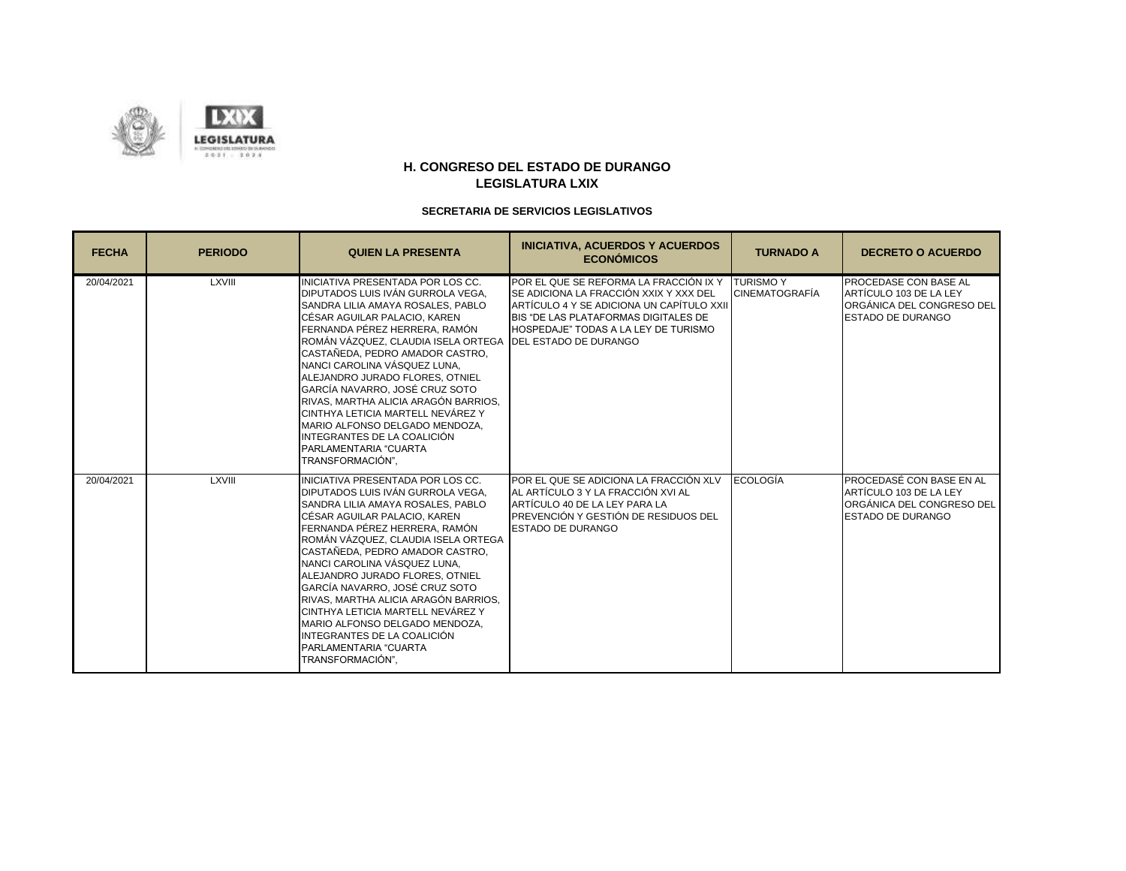

| <b>FECHA</b> | <b>PERIODO</b> | <b>QUIEN LA PRESENTA</b>                                                                                                                                                                                                                                                                                                                                                                                                                                                                                                                                                      | <b>INICIATIVA, ACUERDOS Y ACUERDOS</b><br><b>ECONÓMICOS</b>                                                                                                                                                   | <b>TURNADO A</b>                         | <b>DECRETO O ACUERDO</b>                                                                                           |
|--------------|----------------|-------------------------------------------------------------------------------------------------------------------------------------------------------------------------------------------------------------------------------------------------------------------------------------------------------------------------------------------------------------------------------------------------------------------------------------------------------------------------------------------------------------------------------------------------------------------------------|---------------------------------------------------------------------------------------------------------------------------------------------------------------------------------------------------------------|------------------------------------------|--------------------------------------------------------------------------------------------------------------------|
| 20/04/2021   | LXVIII         | INICIATIVA PRESENTADA POR LOS CC.<br>DIPUTADOS LUIS IVÁN GURROLA VEGA,<br>SANDRA LILIA AMAYA ROSALES, PABLO<br>CÉSAR AGUILAR PALACIO, KAREN<br>FERNANDA PÉREZ HERRERA, RAMÓN<br>ROMÁN VÁZQUEZ. CLAUDIA ISELA ORTEGA IDEL ESTADO DE DURANGO<br>CASTAÑEDA. PEDRO AMADOR CASTRO.<br>NANCI CAROLINA VÁSQUEZ LUNA.<br>ALEJANDRO JURADO FLORES, OTNIEL<br>GARCÍA NAVARRO, JOSÉ CRUZ SOTO<br>RIVAS. MARTHA ALICIA ARAGÓN BARRIOS.<br>CINTHYA LETICIA MARTELL NEVÁREZ Y<br>MARIO ALFONSO DELGADO MENDOZA.<br>INTEGRANTES DE LA COALICIÓN<br>PARLAMENTARIA "CUARTA<br>TRANSFORMACIÓN". | POR EL QUE SE REFORMA LA FRACCIÓN IX Y<br>SE ADICIONA LA FRACCIÓN XXIX Y XXX DEL<br>ARTÍCULO 4 Y SE ADICIONA UN CAPÍTULO XXII<br>BIS "DE LAS PLATAFORMAS DIGITALES DE<br>HOSPEDAJE" TODAS A LA LEY DE TURISMO | <b>TURISMOY</b><br><b>CINEMATOGRAFÍA</b> | <b>PROCEDASE CON BASE AL</b><br>ARTÍCULO 103 DE LA LEY<br>ORGÁNICA DEL CONGRESO DEL<br><b>ESTADO DE DURANGO</b>    |
| 20/04/2021   | LXVIII         | INICIATIVA PRESENTADA POR LOS CC.<br>DIPUTADOS LUIS IVÁN GURROLA VEGA.<br>SANDRA LILIA AMAYA ROSALES. PABLO<br>CÉSAR AGUILAR PALACIO, KAREN<br>FERNANDA PÉREZ HERRERA. RAMÓN<br>ROMÁN VÁZQUEZ, CLAUDIA ISELA ORTEGA<br>CASTAÑEDA. PEDRO AMADOR CASTRO.<br>NANCI CAROLINA VÁSQUEZ LUNA.<br>ALEJANDRO JURADO FLORES. OTNIEL<br>GARCÍA NAVARRO, JOSÉ CRUZ SOTO<br>RIVAS, MARTHA ALICIA ARAGÓN BARRIOS,<br>CINTHYA LETICIA MARTELL NEVÁREZ Y<br>MARIO ALFONSO DELGADO MENDOZA.<br>INTEGRANTES DE LA COALICIÓN<br>PARLAMENTARIA "CUARTA<br>TRANSFORMACIÓN",                        | POR EL QUE SE ADICIONA LA FRACCIÓN XLV<br>AL ARTÍCULO 3 Y LA FRACCIÓN XVI AL<br>ARTÍCULO 40 DE LA LEY PARA LA<br><b>PREVENCIÓN Y GESTIÓN DE RESIDUOS DEL</b><br><b>ESTADO DE DURANGO</b>                      | <b>ECOLOGÍA</b>                          | PROCEDASÉ CON BASE EN AL<br>ARTÍCULO 103 DE LA LEY<br><b>ORGÁNICA DEL CONGRESO DEL</b><br><b>ESTADO DE DURANGO</b> |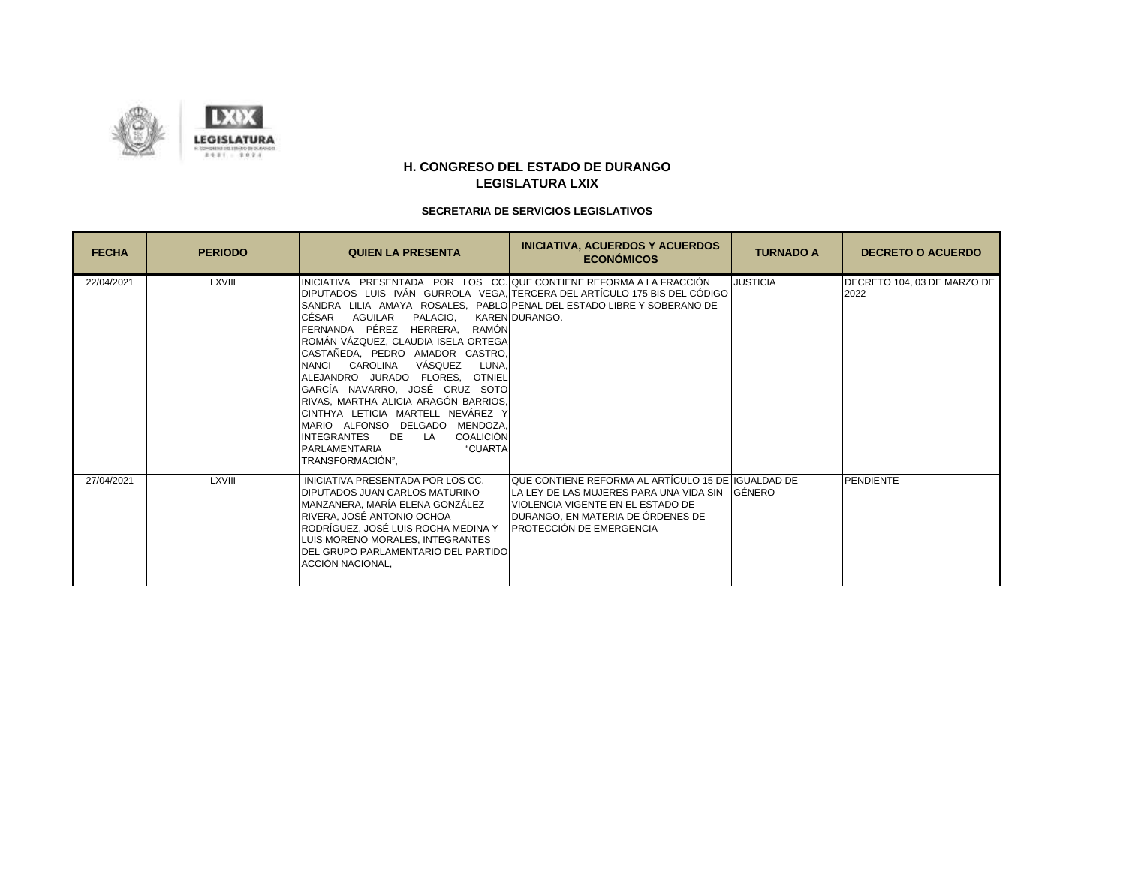

| <b>FECHA</b> | <b>PERIODO</b> | <b>QUIEN LA PRESENTA</b>                                                                                                                                                                                                                                                                                                                                                                                                                                                                                                                                                   | <b>INICIATIVA, ACUERDOS Y ACUERDOS</b><br><b>ECONÓMICOS</b>                                                                                                                                                         | <b>TURNADO A</b> | <b>DECRETO O ACUERDO</b>            |
|--------------|----------------|----------------------------------------------------------------------------------------------------------------------------------------------------------------------------------------------------------------------------------------------------------------------------------------------------------------------------------------------------------------------------------------------------------------------------------------------------------------------------------------------------------------------------------------------------------------------------|---------------------------------------------------------------------------------------------------------------------------------------------------------------------------------------------------------------------|------------------|-------------------------------------|
| 22/04/2021   | <b>LXVIII</b>  | INICIATIVA PRESENTADA POR LOS CC. QUE CONTIENE REFORMA A LA FRACCIÓN<br>CÉSAR<br>AGUILAR<br>PALACIO.<br>FERNANDA PÉREZ HERRERA.<br>RAMÓN<br>ROMÁN VÁZQUEZ, CLAUDIA ISELA ORTEGA<br>CASTAÑEDA, PEDRO AMADOR CASTRO,<br>VÁSQUEZ<br>CAROLINA<br>NANCI<br>LUNA.<br><b>OTNIEL</b><br>ALEJANDRO JURADO FLORES.<br>GARCÍA NAVARRO, JOSÉ CRUZ SOTO<br>RIVAS, MARTHA ALICIA ARAGÓN BARRIOS,<br>CINTHYA LETICIA MARTELL NEVÁREZ Y<br>MARIO ALFONSO DELGADO<br>MENDOZA.<br>DE<br><b>COALICIÓN</b><br><b>INTEGRANTES</b><br>LA.<br><b>PARLAMENTARIA</b><br>"CUARTA<br>TRANSFORMACIÓN". | DIPUTADOS LUIS IVÁN GURROLA VEGA. TERCERA DEL ARTÍCULO 175 BIS DEL CÓDIGO<br>SANDRA LILIA AMAYA ROSALES. PABLO PENAL DEL ESTADO LIBRE Y SOBERANO DE<br>KAREN DURANGO.                                               | <b>JUSTICIA</b>  | DECRETO 104, 03 DE MARZO DE<br>2022 |
| 27/04/2021   | <b>LXVIII</b>  | INICIATIVA PRESENTADA POR LOS CC.<br>DIPUTADOS JUAN CARLOS MATURINO<br>MANZANERA, MARÍA ELENA GONZÁLEZ<br>RIVERA. JOSÉ ANTONIO OCHOA<br>RODRÍGUEZ, JOSÉ LUIS ROCHA MEDINA Y<br>LUIS MORENO MORALES. INTEGRANTES<br>DEL GRUPO PARLAMENTARIO DEL PARTIDO<br>ACCIÓN NACIONAL,                                                                                                                                                                                                                                                                                                 | QUE CONTIENE REFORMA AL ARTÍCULO 15 DE IIGUALDAD DE<br>LA LEY DE LAS MUJERES PARA UNA VIDA SIN<br>VIOLENCIA VIGENTE EN EL ESTADO DE<br><b>IDURANGO. EN MATERIA DE ÓRDENES DE</b><br><b>PROTECCIÓN DE EMERGENCIA</b> | GÉNERO           | <b>PENDIENTE</b>                    |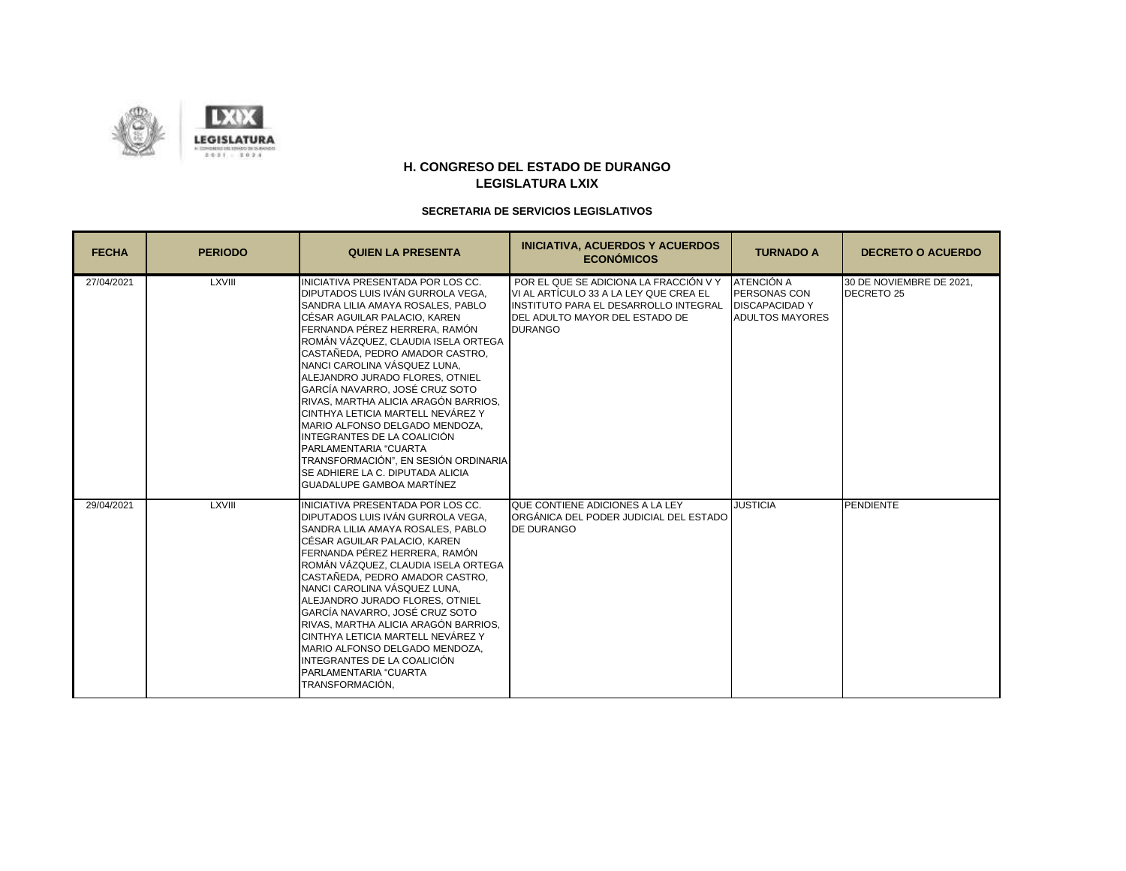

| <b>FECHA</b> | <b>PERIODO</b> | <b>QUIEN LA PRESENTA</b>                                                                                                                                                                                                                                                                                                                                                                                                                                                                                                                                                                                                                    | <b>INICIATIVA, ACUERDOS Y ACUERDOS</b><br><b>ECONÓMICOS</b>                                                                                                                           | <b>TURNADO A</b>                                                                            | <b>DECRETO O ACUERDO</b>               |
|--------------|----------------|---------------------------------------------------------------------------------------------------------------------------------------------------------------------------------------------------------------------------------------------------------------------------------------------------------------------------------------------------------------------------------------------------------------------------------------------------------------------------------------------------------------------------------------------------------------------------------------------------------------------------------------------|---------------------------------------------------------------------------------------------------------------------------------------------------------------------------------------|---------------------------------------------------------------------------------------------|----------------------------------------|
| 27/04/2021   | <b>LXVIII</b>  | INICIATIVA PRESENTADA POR LOS CC.<br>DIPUTADOS LUIS IVÁN GURROLA VEGA,<br>SANDRA LILIA AMAYA ROSALES. PABLO<br>CÉSAR AGUILAR PALACIO, KAREN<br>FERNANDA PÉREZ HERRERA, RAMÓN<br>ROMÁN VÁZQUEZ, CLAUDIA ISELA ORTEGA<br>CASTAÑEDA. PEDRO AMADOR CASTRO.<br>NANCI CAROLINA VÁSQUEZ LUNA.<br>ALEJANDRO JURADO FLORES, OTNIEL<br>GARCÍA NAVARRO, JOSÉ CRUZ SOTO<br>RIVAS, MARTHA ALICIA ARAGÓN BARRIOS,<br>CINTHYA LETICIA MARTELL NEVÁREZ Y<br>MARIO ALFONSO DELGADO MENDOZA.<br>INTEGRANTES DE LA COALICIÓN<br>PARLAMENTARIA "CUARTA<br>TRANSFORMACIÓN", EN SESIÓN ORDINARIA<br>SE ADHIERE LA C. DIPUTADA ALICIA<br>GUADALUPE GAMBOA MARTÍNEZ | POR EL QUE SE ADICIONA LA FRACCIÓN V Y<br>VI AL ARTÍCULO 33 A LA LEY QUE CREA EL<br>INSTITUTO PARA EL DESARROLLO INTEGRAL<br><b>IDEL ADULTO MAYOR DEL ESTADO DE</b><br><b>DURANGO</b> | <b>ATENCIÓN A</b><br><b>PERSONAS CON</b><br><b>DISCAPACIDAD Y</b><br><b>ADULTOS MAYORES</b> | 30 DE NOVIEMBRE DE 2021.<br>DECRETO 25 |
| 29/04/2021   | LXVIII         | INICIATIVA PRESENTADA POR LOS CC.<br>DIPUTADOS LUIS IVÁN GURROLA VEGA,<br>SANDRA LILIA AMAYA ROSALES, PABLO<br>CÉSAR AGUILAR PALACIO, KAREN<br>FERNANDA PÉREZ HERRERA, RAMÓN<br>ROMÁN VÁZQUEZ, CLAUDIA ISELA ORTEGA<br>CASTAÑEDA. PEDRO AMADOR CASTRO.<br>NANCI CAROLINA VÁSQUEZ LUNA.<br>ALEJANDRO JURADO FLORES, OTNIEL<br>GARCÍA NAVARRO, JOSÉ CRUZ SOTO<br>RIVAS. MARTHA ALICIA ARAGÓN BARRIOS.<br>CINTHYA LETICIA MARTELL NEVÁREZ Y<br>MARIO ALFONSO DELGADO MENDOZA.<br>INTEGRANTES DE LA COALICIÓN<br>PARLAMENTARIA "CUARTA<br>TRANSFORMACIÓN,                                                                                       | QUE CONTIENE ADICIONES A LA LEY<br>ORGÁNICA DEL PODER JUDICIAL DEL ESTADO<br><b>DE DURANGO</b>                                                                                        | <b>JUSTICIA</b>                                                                             | <b>PENDIENTE</b>                       |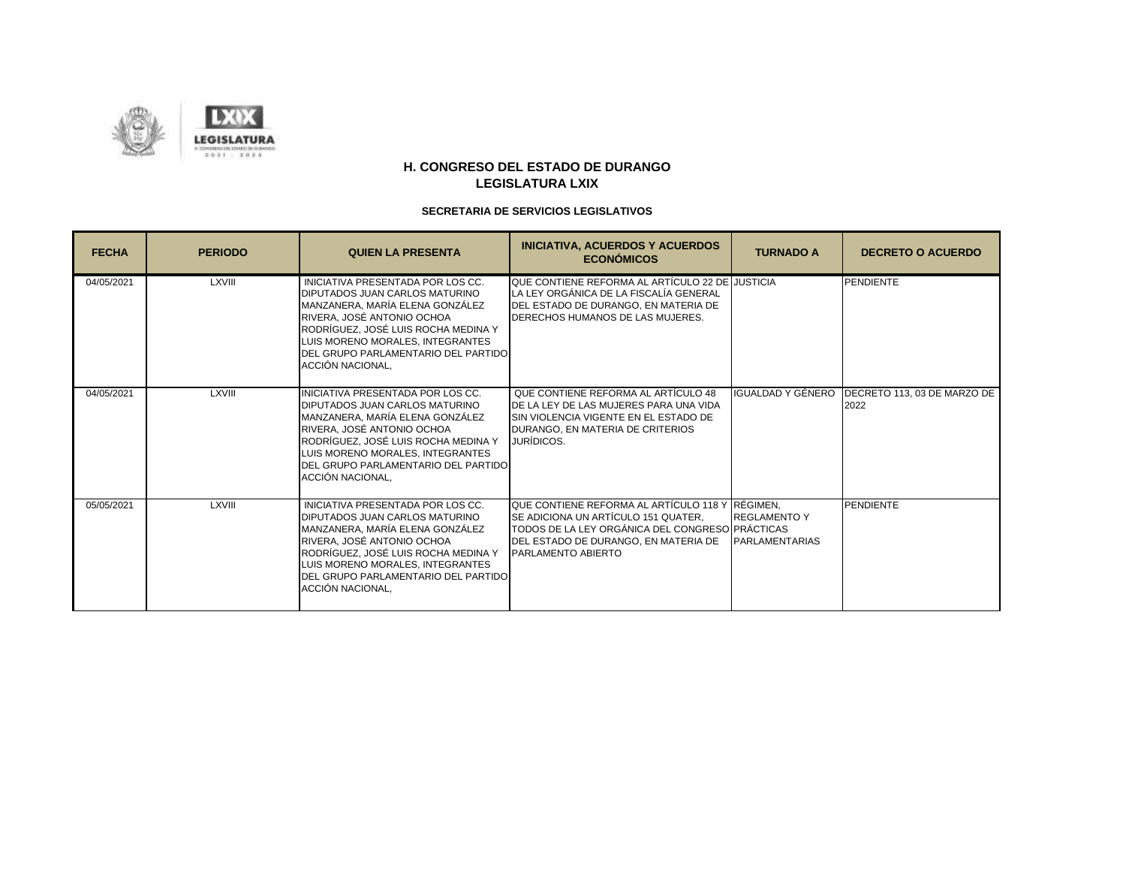

| <b>FECHA</b> | <b>PERIODO</b> | <b>QUIEN LA PRESENTA</b>                                                                                                                                                                                                                                                   | <b>INICIATIVA, ACUERDOS Y ACUERDOS</b><br><b>ECONÓMICOS</b>                                                                                                                                                            | <b>TURNADO A</b>                             | <b>DECRETO O ACUERDO</b>            |
|--------------|----------------|----------------------------------------------------------------------------------------------------------------------------------------------------------------------------------------------------------------------------------------------------------------------------|------------------------------------------------------------------------------------------------------------------------------------------------------------------------------------------------------------------------|----------------------------------------------|-------------------------------------|
| 04/05/2021   | <b>LXVIII</b>  | INICIATIVA PRESENTADA POR LOS CC.<br>DIPUTADOS JUAN CARLOS MATURINO<br>MANZANERA, MARÍA ELENA GONZÁLEZ<br>RIVERA. JOSÉ ANTONIO OCHOA<br>RODRÍGUEZ, JOSÉ LUIS ROCHA MEDINA Y<br>LUIS MORENO MORALES. INTEGRANTES<br>DEL GRUPO PARLAMENTARIO DEL PARTIDO<br>ACCIÓN NACIONAL. | QUE CONTIENE REFORMA AL ARTÍCULO 22 DE JUSTICIA<br>LA LEY ORGÁNICA DE LA FISCALÍA GENERAL<br>DEL ESTADO DE DURANGO. EN MATERIA DE<br><b>IDERECHOS HUMANOS DE LAS MUJERES.</b>                                          |                                              | <b>PENDIENTE</b>                    |
| 04/05/2021   | LXVIII         | INICIATIVA PRESENTADA POR LOS CC.<br>DIPUTADOS JUAN CARLOS MATURINO<br>MANZANERA, MARÍA ELENA GONZÁLEZ<br>RIVERA, JOSÉ ANTONIO OCHOA<br>RODRÍGUEZ, JOSÉ LUIS ROCHA MEDINA Y<br>LUIS MORENO MORALES. INTEGRANTES<br>DEL GRUPO PARLAMENTARIO DEL PARTIDO<br>ACCIÓN NACIONAL. | QUE CONTIENE REFORMA AL ARTÍCULO 48<br>DE LA LEY DE LAS MUJERES PARA UNA VIDA<br>SIN VIOLENCIA VIGENTE EN EL ESTADO DE<br>DURANGO. EN MATERIA DE CRITERIOS<br>JURÍDICOS.                                               | IGUALDAD Y GÉNERO                            | DECRETO 113, 03 DE MARZO DE<br>2022 |
| 05/05/2021   | LXVIII         | INICIATIVA PRESENTADA POR LOS CC.<br>DIPUTADOS JUAN CARLOS MATURINO<br>MANZANERA, MARÍA ELENA GONZÁLEZ<br>RIVERA, JOSÉ ANTONIO OCHOA<br>RODRÍGUEZ, JOSÉ LUIS ROCHA MEDINA Y<br>LUIS MORENO MORALES. INTEGRANTES<br>DEL GRUPO PARLAMENTARIO DEL PARTIDO<br>ACCIÓN NACIONAL. | QUE CONTIENE REFORMA AL ARTÍCULO 118 Y RÉGIMEN.<br>SE ADICIONA UN ARTÍCULO 151 QUATER,<br>TODOS DE LA LEY ORGÁNICA DEL CONGRESO PRÁCTICAS<br><b>IDEL ESTADO DE DURANGO. EN MATERIA DE</b><br><b>PARLAMENTO ABIERTO</b> | <b>REGLAMENTO Y</b><br><b>PARLAMENTARIAS</b> | <b>PENDIENTE</b>                    |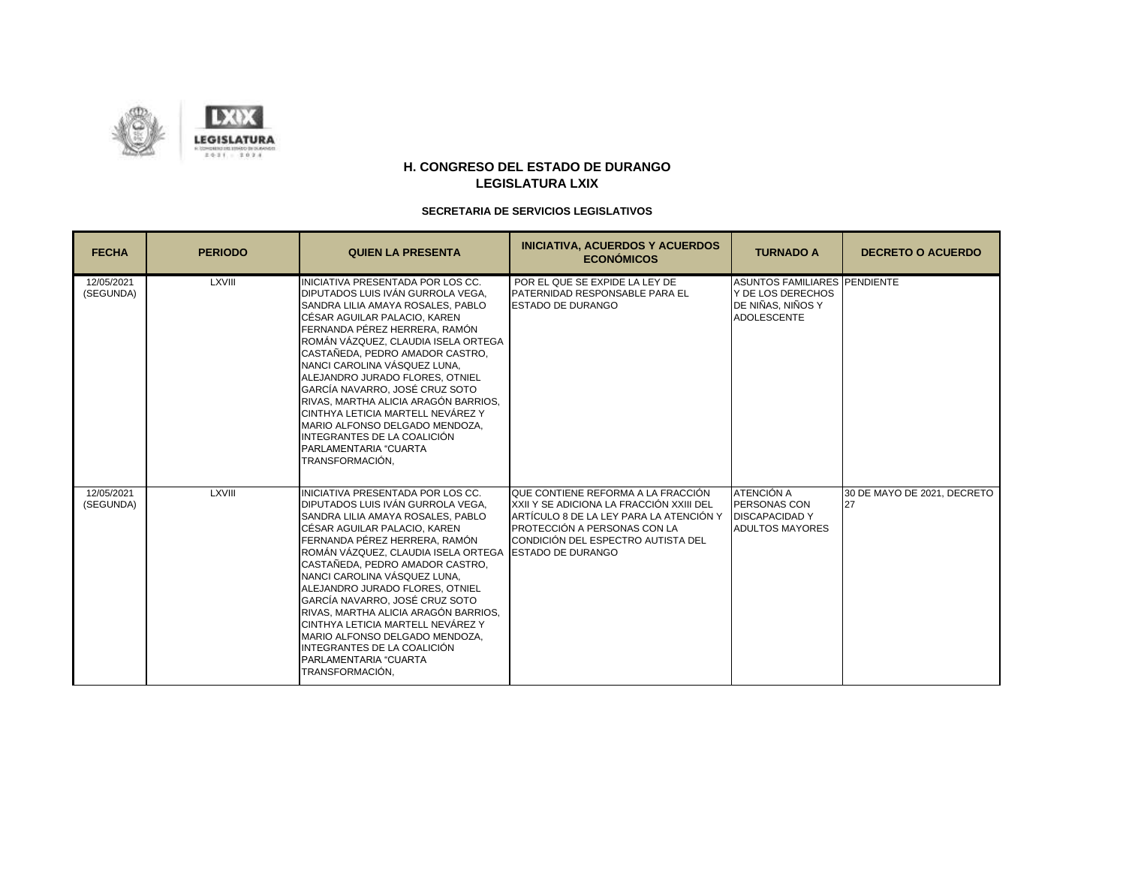

| <b>FECHA</b>            | <b>PERIODO</b> | <b>QUIEN LA PRESENTA</b>                                                                                                                                                                                                                                                                                                                                                                                                                                                                                                                                      | <b>INICIATIVA, ACUERDOS Y ACUERDOS</b><br><b>ECONÓMICOS</b>                                                                                                                                                            | <b>TURNADO A</b>                                                                                    | <b>DECRETO O ACUERDO</b>          |
|-------------------------|----------------|---------------------------------------------------------------------------------------------------------------------------------------------------------------------------------------------------------------------------------------------------------------------------------------------------------------------------------------------------------------------------------------------------------------------------------------------------------------------------------------------------------------------------------------------------------------|------------------------------------------------------------------------------------------------------------------------------------------------------------------------------------------------------------------------|-----------------------------------------------------------------------------------------------------|-----------------------------------|
| 12/05/2021<br>(SEGUNDA) | <b>LXVIII</b>  | INICIATIVA PRESENTADA POR LOS CC.<br>DIPUTADOS LUIS IVÁN GURROLA VEGA.<br>SANDRA LILIA AMAYA ROSALES, PABLO<br>CÉSAR AGUILAR PALACIO, KAREN<br>FERNANDA PÉREZ HERRERA, RAMÓN<br>ROMÁN VÁZQUEZ. CLAUDIA ISELA ORTEGA<br>CASTAÑEDA, PEDRO AMADOR CASTRO,<br>NANCI CAROLINA VÁSQUEZ LUNA.<br>ALEJANDRO JURADO FLORES, OTNIEL<br>GARCÍA NAVARRO, JOSÉ CRUZ SOTO<br>RIVAS, MARTHA ALICIA ARAGÓN BARRIOS,<br><b>CINTHYA LETICIA MARTELL NEVÁREZ Y</b><br>MARIO ALFONSO DELGADO MENDOZA.<br>INTEGRANTES DE LA COALICIÓN<br>PARLAMENTARIA "CUARTA<br>TRANSFORMACIÓN.  | POR EL QUE SE EXPIDE LA LEY DE<br>PATERNIDAD RESPONSABLE PARA EL<br><b>ESTADO DE DURANGO</b>                                                                                                                           | <b>ASUNTOS FAMILIARES PENDIENTE</b><br>Y DE LOS DERECHOS<br>DE NIÑAS, NIÑOS Y<br><b>ADOLESCENTE</b> |                                   |
| 12/05/2021<br>(SEGUNDA) | <b>LXVIII</b>  | INICIATIVA PRESENTADA POR LOS CC.<br>DIPUTADOS LUIS IVÁN GURROLA VEGA,<br>SANDRA LILIA AMAYA ROSALES. PABLO<br>CÉSAR AGUILAR PALACIO, KAREN<br>FERNANDA PÉREZ HERRERA, RAMÓN<br>ROMÁN VÁZQUEZ. CLAUDIA ISELA ORTEGA<br>CASTAÑEDA, PEDRO AMADOR CASTRO,<br>INANCI CAROLINA VÁSQUEZ LUNA.<br>ALEJANDRO JURADO FLORES. OTNIEL<br>GARCÍA NAVARRO, JOSÉ CRUZ SOTO<br>RIVAS. MARTHA ALICIA ARAGÓN BARRIOS.<br><b>CINTHYA LETICIA MARTELL NEVÁREZ Y</b><br>MARIO ALFONSO DELGADO MENDOZA.<br>INTEGRANTES DE LA COALICIÓN<br>PARLAMENTARIA "CUARTA<br>TRANSFORMACIÓN, | QUE CONTIENE REFORMA A LA FRACCIÓN<br>IXXII Y SE ADICIONA LA FRACCIÓN XXIII DEL<br>ARTÍCULO 8 DE LA LEY PARA LA ATENCIÓN Y<br>IPROTECCIÓN A PERSONAS CON LA<br>CONDICIÓN DEL ESPECTRO AUTISTA DEL<br>ESTADO DE DURANGO | <b>ATENCIÓN A</b><br><b>PERSONAS CON</b><br><b>DISCAPACIDAD Y</b><br><b>ADULTOS MAYORES</b>         | 30 DE MAYO DE 2021. DECRETO<br>27 |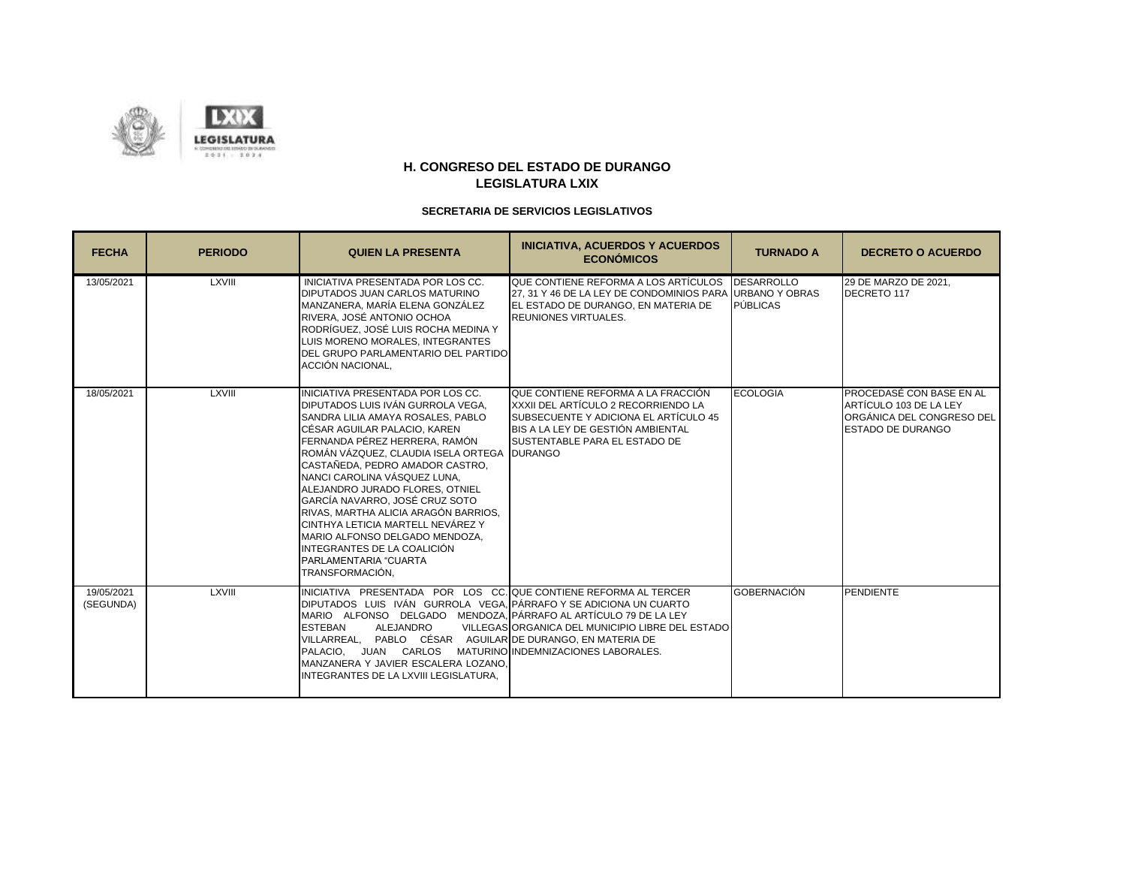

| <b>FECHA</b>            | <b>PERIODO</b> | <b>QUIEN LA PRESENTA</b>                                                                                                                                                                                                                                                                                                                                                                                                                                                                                                                                              | <b>INICIATIVA, ACUERDOS Y ACUERDOS</b><br><b>ECONÓMICOS</b>                                                                                                                              | <b>TURNADO A</b>   | <b>DECRETO O ACUERDO</b>                                                                                           |
|-------------------------|----------------|-----------------------------------------------------------------------------------------------------------------------------------------------------------------------------------------------------------------------------------------------------------------------------------------------------------------------------------------------------------------------------------------------------------------------------------------------------------------------------------------------------------------------------------------------------------------------|------------------------------------------------------------------------------------------------------------------------------------------------------------------------------------------|--------------------|--------------------------------------------------------------------------------------------------------------------|
| 13/05/2021              | <b>LXVIII</b>  | INICIATIVA PRESENTADA POR LOS CC.<br>DIPUTADOS JUAN CARLOS MATURINO<br>MANZANERA. MARÍA ELENA GONZÁLEZ<br>RIVERA, JOSÉ ANTONIO OCHOA<br>RODRÍGUEZ. JOSÉ LUIS ROCHA MEDINA Y<br>LUIS MORENO MORALES, INTEGRANTES<br>DEL GRUPO PARLAMENTARIO DEL PARTIDO<br>ACCIÓN NACIONAL.                                                                                                                                                                                                                                                                                            | QUE CONTIENE REFORMA A LOS ARTÍCULOS DESARROLLO<br>27, 31 Y 46 DE LA LEY DE CONDOMINIOS PARA URBANO Y OBRAS<br>EL ESTADO DE DURANGO, EN MATERIA DE<br><b>REUNIONES VIRTUALES.</b>        | <b>PÚBLICAS</b>    | 29 DE MARZO DE 2021.<br>DECRETO 117                                                                                |
| 18/05/2021              | <b>LXVIII</b>  | INICIATIVA PRESENTADA POR LOS CC.<br><b>DIPUTADOS LUIS IVÁN GURROLA VEGA.</b><br>SANDRA LILIA AMAYA ROSALES, PABLO<br>CÉSAR AGUILAR PALACIO. KAREN<br>FERNANDA PÉREZ HERRERA, RAMÓN<br>ROMÁN VÁZQUEZ. CLAUDIA ISELA ORTEGA IDURANGO<br>CASTAÑEDA. PEDRO AMADOR CASTRO.<br>NANCI CAROLINA VÁSQUEZ LUNA.<br>ALEJANDRO JURADO FLORES. OTNIEL<br>GARCÍA NAVARRO, JOSÉ CRUZ SOTO<br>RIVAS. MARTHA ALICIA ARAGÓN BARRIOS.<br>CINTHYA LETICIA MARTELL NEVÁREZ Y<br>MARIO ALFONSO DELGADO MENDOZA.<br>INTEGRANTES DE LA COALICIÓN<br>PARLAMENTARIA "CUARTA<br>TRANSFORMACIÓN. | QUE CONTIENE REFORMA A LA FRACCIÓN<br>XXXII DEL ARTÍCULO 2 RECORRIENDO LA<br>SUBSECUENTE Y ADICIONA EL ARTÍCULO 45<br>BIS A LA LEY DE GESTIÓN AMBIENTAL<br>SUSTENTABLE PARA EL ESTADO DE | <b>ECOLOGIA</b>    | <b>PROCEDASÉ CON BASE EN AL</b><br>ARTÍCULO 103 DE LA LEY<br>ORGÁNICA DEL CONGRESO DEL<br><b>ESTADO DE DURANGO</b> |
| 19/05/2021<br>(SEGUNDA) | <b>LXVIII</b>  | INICIATIVA PRESENTADA POR LOS CC. QUE CONTIENE REFORMA AL TERCER<br>DIPUTADOS LUIS IVÁN GURROLA VEGA, PÁRRAFO Y SE ADICIONA UN CUARTO<br>MARIO ALFONSO DELGADO MENDOZA. IPÁRRAFO AL ARTÍCULO 79 DE LA LEY<br><b>ESTEBAN</b><br><b>ALEJANDRO</b><br>VILLARREAL, PABLO CÉSAR AGUILAR DE DURANGO, EN MATERIA DE<br>PALACIO. JUAN CARLOS MATURINOIINDEMNIZACIONES.LABORALES.<br>MANZANERA Y JAVIER ESCALERA LOZANO.<br>INTEGRANTES DE LA LXVIII LEGISLATURA,                                                                                                              | VILLEGAS ORGANICA DEL MUNICIPIO LIBRE DEL ESTADO                                                                                                                                         | <b>GOBERNACIÓN</b> | PENDIENTE                                                                                                          |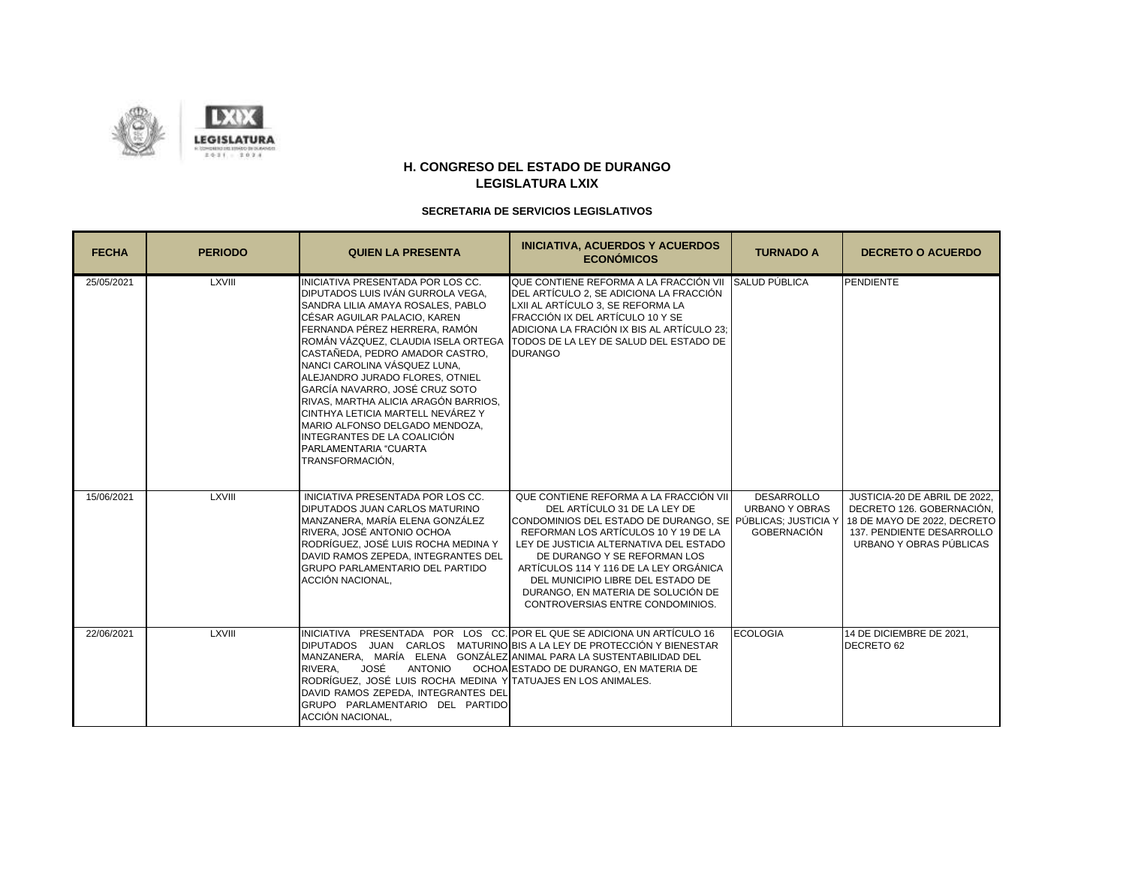

| <b>FECHA</b> | <b>PERIODO</b> | <b>QUIEN LA PRESENTA</b>                                                                                                                                                                                                                                                                                                                                                                                                                                                                                                                              | <b>INICIATIVA, ACUERDOS Y ACUERDOS</b><br><b>ECONÓMICOS</b>                                                                                                                                                                                                                                                                                                                                                     | <b>TURNADO A</b>                                                 | <b>DECRETO O ACUERDO</b>                                                                                                                          |
|--------------|----------------|-------------------------------------------------------------------------------------------------------------------------------------------------------------------------------------------------------------------------------------------------------------------------------------------------------------------------------------------------------------------------------------------------------------------------------------------------------------------------------------------------------------------------------------------------------|-----------------------------------------------------------------------------------------------------------------------------------------------------------------------------------------------------------------------------------------------------------------------------------------------------------------------------------------------------------------------------------------------------------------|------------------------------------------------------------------|---------------------------------------------------------------------------------------------------------------------------------------------------|
| 25/05/2021   | LXVIII         | INICIATIVA PRESENTADA POR LOS CC.<br>DIPUTADOS LUIS IVÁN GURROLA VEGA.<br>SANDRA LILIA AMAYA ROSALES. PABLO<br>CÉSAR AGUILAR PALACIO. KAREN<br>FERNANDA PÉREZ HERRERA. RAMÓN<br>ROMÁN VÁZQUEZ, CLAUDIA ISELA ORTEGA<br>CASTAÑEDA. PEDRO AMADOR CASTRO.<br>NANCI CAROLINA VÁSQUEZ LUNA.<br>ALEJANDRO JURADO FLORES, OTNIEL<br>GARCÍA NAVARRO, JOSÉ CRUZ SOTO<br>RIVAS. MARTHA ALICIA ARAGÓN BARRIOS.<br>CINTHYA LETICIA MARTELL NEVÁREZ Y<br>MARIO ALFONSO DELGADO MENDOZA.<br>INTEGRANTES DE LA COALICIÓN<br>PARLAMENTARIA "CUARTA<br>TRANSFORMACIÓN. | QUE CONTIENE REFORMA A LA FRACCIÓN VII<br>DEL ARTÍCULO 2, SE ADICIONA LA FRACCIÓN<br>LXII AL ARTÍCULO 3, SE REFORMA LA<br>FRACCIÓN IX DEL ARTÍCULO 10 Y SE<br>ADICIONA LA FRACIÓN IX BIS AL ARTÍCULO 23:<br>TODOS DE LA LEY DE SALUD DEL ESTADO DE<br><b>DURANGO</b>                                                                                                                                            | SALUD PÚBLICA                                                    | <b>PENDIENTE</b>                                                                                                                                  |
| 15/06/2021   | <b>LXVIII</b>  | INICIATIVA PRESENTADA POR LOS CC.<br>DIPUTADOS JUAN CARLOS MATURINO<br>MANZANERA, MARÍA ELENA GONZÁLEZ<br>RIVERA, JOSÉ ANTONIO OCHOA<br>RODRÍGUEZ. JOSÉ LUIS ROCHA MEDINA Y<br>DAVID RAMOS ZEPEDA, INTEGRANTES DEL<br><b>GRUPO PARLAMENTARIO DEL PARTIDO</b><br>ACCIÓN NACIONAL,                                                                                                                                                                                                                                                                      | QUE CONTIENE REFORMA A LA FRACCIÓN VII<br>DEL ARTÍCULO 31 DE LA LEY DE<br>CONDOMINIOS DEL ESTADO DE DURANGO, SE PÚBLICAS; JUSTICIA Y<br>REFORMAN LOS ARTÍCULOS 10 Y 19 DE LA<br>LEY DE JUSTICIA ALTERNATIVA DEL ESTADO<br>DE DURANGO Y SE REFORMAN LOS<br>ARTÍCULOS 114 Y 116 DE LA LEY ORGÁNICA<br>DEL MUNICIPIO LIBRE DEL ESTADO DE<br>DURANGO. EN MATERIA DE SOLUCIÓN DE<br>CONTROVERSIAS ENTRE CONDOMINIOS. | <b>DESARROLLO</b><br><b>URBANO Y OBRAS</b><br><b>GOBERNACIÓN</b> | JUSTICIA-20 DE ABRIL DE 2022,<br>DECRETO 126. GOBERNACIÓN.<br>18 DE MAYO DE 2022, DECRETO<br>137. PENDIENTE DESARROLLO<br>URBANO Y OBRAS PÚBLICAS |
| 22/06/2021   | LXVIII         | INICIATIVA PRESENTADA POR LOS CC. POR EL QUE SE ADICIONA UN ARTÍCULO 16<br>MANZANERA, MARÍA ELENA GONZÁLEZ ANIMAL PARA LA SUSTENTABILIDAD DEL<br>JOSÉ<br><b>ANTONIO</b><br>RIVERA.<br>RODRÍGUEZ, JOSÉ LUIS ROCHA MEDINA Y TATUAJES EN LOS ANIMALES.<br>DAVID RAMOS ZEPEDA, INTEGRANTES DEL<br>GRUPO PARLAMENTARIO DEL PARTIDO<br>ACCIÓN NACIONAL,                                                                                                                                                                                                     | DIPUTADOS JUAN CARLOS MATURINO BISALA LEY DE PROTECCIÓN Y BIENESTAR<br>OCHOALESTADO DE DURANGO. EN MATERIA DE                                                                                                                                                                                                                                                                                                   | <b>ECOLOGIA</b>                                                  | 14 DE DICIEMBRE DE 2021.<br>DECRETO 62                                                                                                            |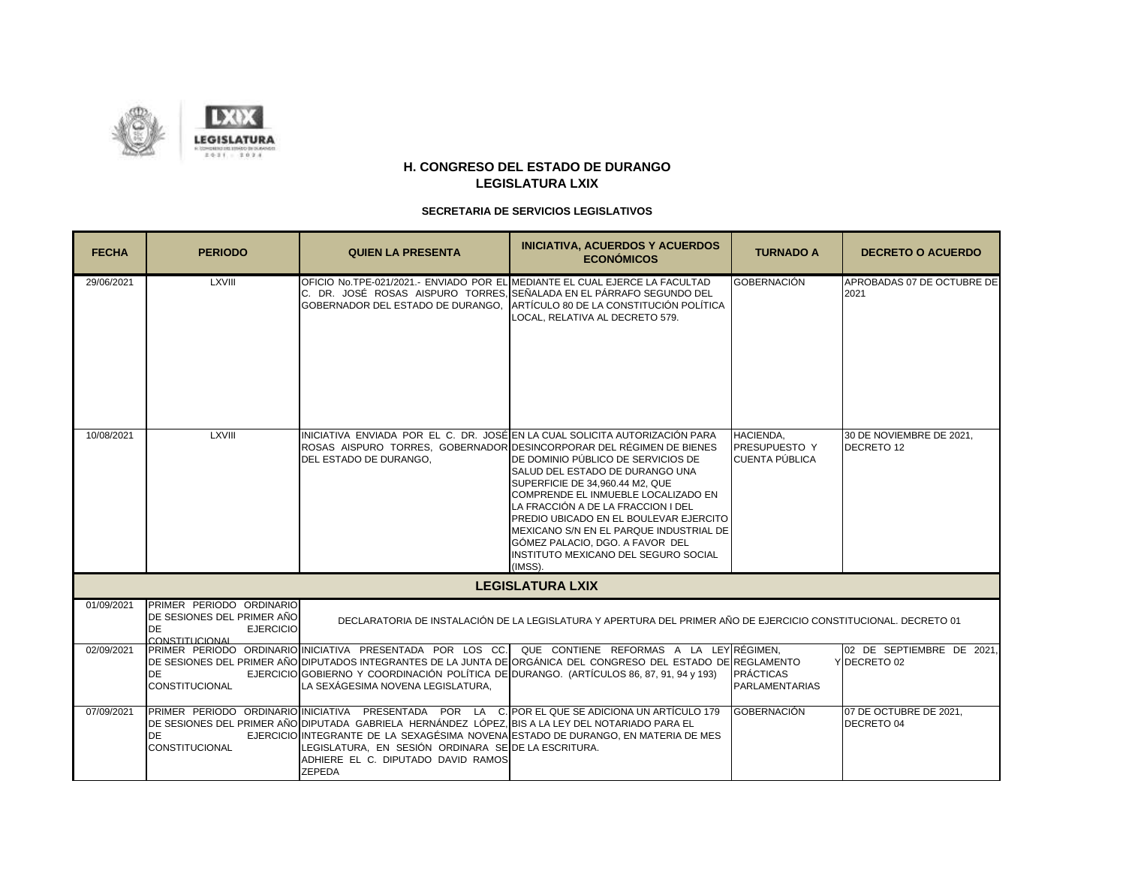

| <b>FECHA</b> | <b>PERIODO</b>                                                                                     | <b>QUIEN LA PRESENTA</b>                                                                                                                                                                                                                                                                                          | <b>INICIATIVA, ACUERDOS Y ACUERDOS</b><br><b>ECONÓMICOS</b>                                                                                                                                                                                                                                                                                                                                                                                                                                                             | <b>TURNADO A</b>                                           | <b>DECRETO O ACUERDO</b>                      |
|--------------|----------------------------------------------------------------------------------------------------|-------------------------------------------------------------------------------------------------------------------------------------------------------------------------------------------------------------------------------------------------------------------------------------------------------------------|-------------------------------------------------------------------------------------------------------------------------------------------------------------------------------------------------------------------------------------------------------------------------------------------------------------------------------------------------------------------------------------------------------------------------------------------------------------------------------------------------------------------------|------------------------------------------------------------|-----------------------------------------------|
| 29/06/2021   | <b>LXVIII</b>                                                                                      | OFICIO No. TPE-021/2021. ENVIADO POR EL MEDIANTE EL CUAL EJERCE LA FACULTAD<br>IC. DR. JOSÉ ROSAS AISPURO TORRES.ISEÑALADA EN EL PÁRRAFO SEGUNDO DEL<br>GOBERNADOR DEL ESTADO DE DURANGO.                                                                                                                         | ARTÍCULO 80 DE LA CONSTITUCIÓN POLÍTICA<br>LOCAL, RELATIVA AL DECRETO 579.                                                                                                                                                                                                                                                                                                                                                                                                                                              | GOBERNACIÓN                                                | APROBADAS 07 DE OCTUBRE DE<br>2021            |
| 10/08/2021   | <b>LXVIII</b>                                                                                      | DEL ESTADO DE DURANGO.                                                                                                                                                                                                                                                                                            | INICIATIVA ENVIADA POR EL C. DR. JOSÉ EN LA CUAL SOLICITA AUTORIZACIÓN PARA<br>ROSAS AISPURO TORRES, GOBERNADOR DESINCORPORAR DEL RÉGIMEN DE BIENES<br>DE DOMINIO PÚBLICO DE SERVICIOS DE<br>SALUD DEL ESTADO DE DURANGO UNA<br>SUPERFICIE DE 34,960.44 M2, QUE<br>COMPRENDE EL INMUEBLE LOCALIZADO EN<br>LA FRACCIÓN A DE LA FRACCION I DEL<br>PREDIO UBICADO EN EL BOULEVAR EJERCITO<br>MEXICANO S/N EN EL PARQUE INDUSTRIAL DE<br>GÓMEZ PALACIO, DGO. A FAVOR DEL<br>INSTITUTO MEXICANO DEL SEGURO SOCIAL<br>(IMSS). | HACIENDA.<br><b>PRESUPUESTO Y</b><br><b>CUENTA PÚBLICA</b> | 30 DE NOVIEMBRE DE 2021.<br><b>DECRETO 12</b> |
|              |                                                                                                    |                                                                                                                                                                                                                                                                                                                   | <b>LEGISLATURA LXIX</b>                                                                                                                                                                                                                                                                                                                                                                                                                                                                                                 |                                                            |                                               |
| 01/09/2021   | PRIMER PERIODO ORDINARIO<br>DE SESIONES DEL PRIMER AÑO<br>DE<br><b>EJERCICIO</b><br>CONSTITUCIONAL |                                                                                                                                                                                                                                                                                                                   | DECLARATORIA DE INSTALACIÓN DE LA LEGISLATURA Y APERTURA DEL PRIMER AÑO DE EJERCICIO CONSTITUCIONAL. DECRETO 01                                                                                                                                                                                                                                                                                                                                                                                                         |                                                            |                                               |
| 02/09/2021   | <b>DE</b><br><b>CONSTITUCIONAL</b>                                                                 | EJERCICIO GOBIERNO Y COORDINACIÓN POLÍTICA DE DURANGO. (ARTÍCULOS 86, 87, 91, 94 y 193)<br>LA SEXÁGESIMA NOVENA LEGISLATURA.                                                                                                                                                                                      | PRIMER PERIODO ORDINARIO INICIATIVA PRESENTADA POR LOS CC. QUE CONTIENE REFORMAS A LA LEY RÉGIMEN.<br>DE SESIONES DEL PRIMER AÑO DIPUTADOS INTEGRANTES DE LA JUNTA DE ORGÁNICA DEL CONGRESO DEL ESTADO DE REGLAMENTO                                                                                                                                                                                                                                                                                                    | <b>PRÁCTICAS</b><br><b>PARLAMENTARIAS</b>                  | 02 DE SEPTIEMBRE DE 2021.<br>Y DECRETO 02     |
| 07/09/2021   | DE<br><b>CONSTITUCIONAL</b>                                                                        | PRIMER PERIODO ORDINARIO INICIATIVA PRESENTADA POR LA C. POR EL QUE SE ADICIONA UN ARTÍCULO 179<br>DE SESIONES DEL PRIMER AÑO DIPUTADA GABRIELA HERNÁNDEZ LÓPEZ, BIS A LA LEY DEL NOTARIADO PARA EL<br>LEGISLATURA, EN SESIÓN ORDINARA SE DE LA ESCRITURA.<br>ADHIERE EL C. DIPUTADO DAVID RAMOS<br><b>ZEPEDA</b> | EJERCICIO INTEGRANTE DE LA SEXAGÉSIMA NOVENA ESTADO DE DURANGO, EN MATERIA DE MES                                                                                                                                                                                                                                                                                                                                                                                                                                       | <b>GOBERNACIÓN</b>                                         | 07 DE OCTUBRE DE 2021.<br>DECRETO 04          |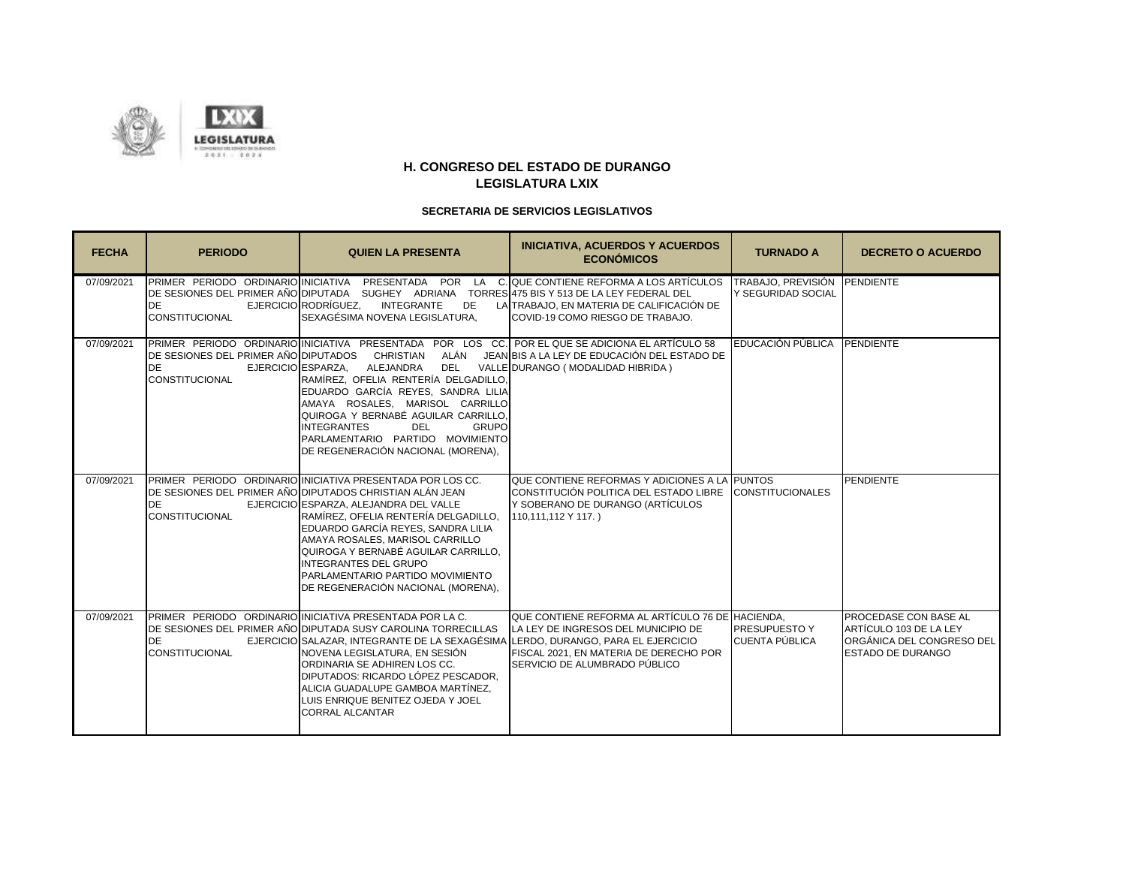

| <b>FECHA</b> | <b>PERIODO</b>                                                                       | <b>QUIEN LA PRESENTA</b>                                                                                                                                                                                                                                                                                                                                                                                                                        | <b>INICIATIVA, ACUERDOS Y ACUERDOS</b><br><b>ECONÓMICOS</b>                                                                                                                    | <b>TURNADO A</b>                                   | <b>DECRETO O ACUERDO</b>                                                                                        |
|--------------|--------------------------------------------------------------------------------------|-------------------------------------------------------------------------------------------------------------------------------------------------------------------------------------------------------------------------------------------------------------------------------------------------------------------------------------------------------------------------------------------------------------------------------------------------|--------------------------------------------------------------------------------------------------------------------------------------------------------------------------------|----------------------------------------------------|-----------------------------------------------------------------------------------------------------------------|
| 07/09/2021   | <b>DE</b><br><b>CONSTITUCIONAL</b>                                                   | DE SESIONES DEL PRIMER AÑO DIPUTADA SUGHEY ADRIANA TORRES 475 BIS Y 513 DE LA LEY FEDERAL DEL<br><b>INTEGRANTE</b><br>EJERCICIO RODRÍGUEZ,<br>DE<br>SEXAGÉSIMA NOVENA LEGISLATURA,                                                                                                                                                                                                                                                              | PRIMER PERIODO ORDINARIO INICIATIVA PRESENTADA POR LA C. QUE CONTIENE REFORMA A LOS ARTÍCULOS<br>LA TRABAJO, EN MATERIA DE CALIFICACIÓN DE<br>COVID-19 COMO RIESGO DE TRABAJO. | TRABAJO, PREVISIÓN PENDIENTE<br>Y SEGURIDAD SOCIAL |                                                                                                                 |
| 07/09/2021   | DE SESIONES DEL PRIMER AÑO DIPUTADOS CHRISTIAN<br><b>DE</b><br><b>CONSTITUCIONAL</b> | PRIMER PERIODO ORDINARIO INICIATIVA PRESENTADA POR LOS CC. POR EL QUE SE ADICIONA EL ARTÍCULO 58<br>ALÁN<br>EJERCICIO ESPARZA,<br>ALEJANDRA<br><b>DEL</b><br>RAMÍREZ. OFELIA RENTERÍA DELGADILLO.<br>EDUARDO GARCÍA REYES, SANDRA LILIA<br>AMAYA ROSALES, MARISOL CARRILLO<br>QUIROGA Y BERNABÉ AGUILAR CARRILLO.<br><b>INTEGRANTES</b><br><b>GRUPO</b><br><b>DEL</b><br>PARLAMENTARIO PARTIDO MOVIMIENTO<br>DE REGENERACIÓN NACIONAL (MORENA), | JEAN BIS A LA LEY DE EDUCACIÓN DEL ESTADO DE<br>VALLE DURANGO (MODALIDAD HIBRIDA)                                                                                              | EDUCACIÓN PÚBLICA PENDIENTE                        |                                                                                                                 |
| 07/09/2021   | <b>DE</b><br><b>CONSTITUCIONAL</b>                                                   | PRIMER PERIODO ORDINARIO INICIATIVA PRESENTADA POR LOS CC.<br>DE SESIONES DEL PRIMER AÑO DIPUTADOS CHRISTIAN ALÁN JEAN<br>EJERCICIO ESPARZA, ALEJANDRA DEL VALLE<br>IRAMÍREZ. OFELIA RENTERÍA DELGADILLO.<br>EDUARDO GARCÍA REYES, SANDRA LILIA<br>AMAYA ROSALES, MARISOL CARRILLO<br>QUIROGA Y BERNABÉ AGUILAR CARRILLO.<br><b>INTEGRANTES DEL GRUPO</b><br>PARLAMENTARIO PARTIDO MOVIMIENTO<br>DE REGENERACIÓN NACIONAL (MORENA),             | QUE CONTIENE REFORMAS Y ADICIONES A LA PUNTOS<br>CONSTITUCIÓN POLITICA DEL ESTADO LIBRE CONSTITUCIONALES<br>Y SOBERANO DE DURANGO (ARTÍCULOS<br>110,111,112 Y 117.)            |                                                    | PENDIENTE                                                                                                       |
| 07/09/2021   | <b>DE</b><br><b>CONSTITUCIONAL</b>                                                   | PRIMER PERIODO ORDINARIO INICIATIVA PRESENTADA POR LA C.<br>IDE SESIONES DEL PRIMER AÑOIDIPUTADA SUSY CAROLINA TORRECILLAS<br>EJERCICIO SALAZAR, INTEGRANTE DE LA SEXAGÉSIMA LERDO, DURANGO, PARA EL EJERCICIO<br>NOVENA LEGISLATURA. EN SESIÓN<br>ORDINARIA SE ADHIREN LOS CC.<br>DIPUTADOS: RICARDO LÓPEZ PESCADOR.<br>ALICIA GUADALUPE GAMBOA MARTÍNEZ,<br>LUIS ENRIQUE BENITEZ OJEDA Y JOEL<br><b>CORRAL ALCANTAR</b>                       | QUE CONTIENE REFORMA AL ARTÍCULO 76 DE HACIENDA.<br>LA LEY DE INGRESOS DEL MUNICIPIO DE<br>FISCAL 2021. EN MATERIA DE DERECHO POR<br>SERVICIO DE ALUMBRADO PÚBLICO             | PRESUPUESTO Y<br><b>CUENTA PÚBLICA</b>             | <b>PROCEDASE CON BASE AL</b><br>ARTÍCULO 103 DE LA LEY<br>ORGÁNICA DEL CONGRESO DEL<br><b>ESTADO DE DURANGO</b> |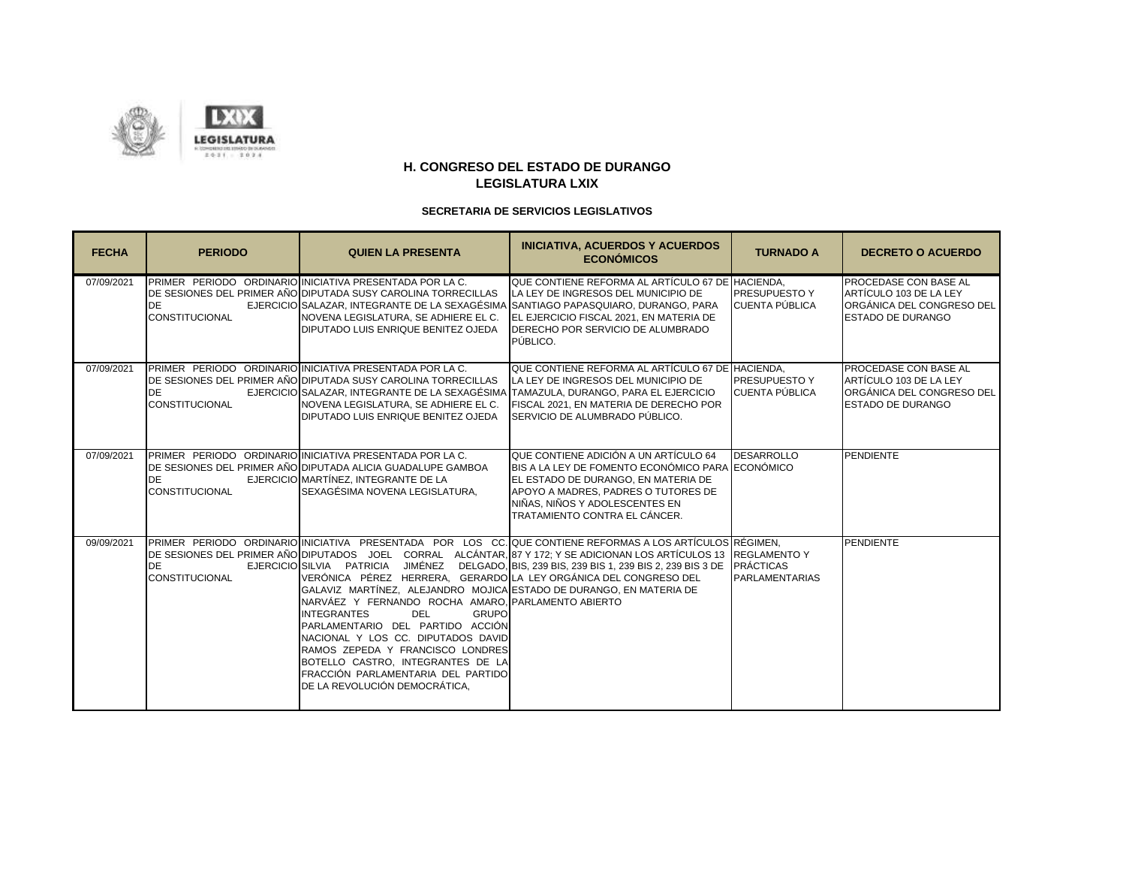



| <b>FECHA</b> | <b>PERIODO</b>                     | <b>QUIEN LA PRESENTA</b>                                                                                                                                                                                                                                                                                                                                                                                                                                                    | <b>INICIATIVA, ACUERDOS Y ACUERDOS</b><br><b>ECONÓMICOS</b>                                                                                                                                                                                                                                                                             | <b>TURNADO A</b>                              | <b>DECRETO O ACUERDO</b>                                                                                 |
|--------------|------------------------------------|-----------------------------------------------------------------------------------------------------------------------------------------------------------------------------------------------------------------------------------------------------------------------------------------------------------------------------------------------------------------------------------------------------------------------------------------------------------------------------|-----------------------------------------------------------------------------------------------------------------------------------------------------------------------------------------------------------------------------------------------------------------------------------------------------------------------------------------|-----------------------------------------------|----------------------------------------------------------------------------------------------------------|
| 07/09/2021   | <b>DE</b><br><b>CONSTITUCIONAL</b> | PRIMER PERIODO ORDINARIO INICIATIVA PRESENTADA POR LA C.<br>DE SESIONES DEL PRIMER AÑO DIPUTADA SUSY CAROLINA TORRECILLAS<br>NOVENA LEGISLATURA. SE ADHIERE EL C.<br><b>DIPUTADO LUIS ENRIQUE BENITEZ OJEDA</b>                                                                                                                                                                                                                                                             | QUE CONTIENE REFORMA AL ARTÍCULO 67 DE HACIENDA.<br>LA LEY DE INGRESOS DEL MUNICIPIO DE<br>EJERCICIO SALAZAR, INTEGRANTE DE LA SEXAGÉSIMA SANTIAGO PAPASQUIARO, DURANGO, PARA<br>EL EJERCICIO FISCAL 2021, EN MATERIA DE<br>DERECHO POR SERVICIO DE ALUMBRADO<br>PÚBLICO.                                                               | <b>PRESUPUESTO Y</b><br>CUENTA PÚBLICA        | PROCEDASE CON BASE AL<br>ARTÍCULO 103 DE LA LEY<br>ORGÁNICA DEL CONGRESO DEL<br><b>ESTADO DE DURANGO</b> |
| 07/09/2021   | <b>DE</b><br><b>CONSTITUCIONAL</b> | PRIMER PERIODO ORDINARIO INICIATIVA PRESENTADA POR LA C.<br>IDE SESIONES DEL PRIMER AÑO DIPUTADA SUSY CAROLINA TORRECILLAS<br>EJERCICIO SALAZAR. INTEGRANTE DE LA SEXAGÉSIMA<br>NOVENA LEGISLATURA, SE ADHIERE EL C.<br>DIPUTADO LUIS ENRIQUE BENITEZ OJEDA                                                                                                                                                                                                                 | QUE CONTIENE REFORMA AL ARTÍCULO 67 DE HACIENDA.<br>LA LEY DE INGRESOS DEL MUNICIPIO DE<br>TAMAZULA, DURANGO, PARA EL EJERCICIO<br>FISCAL 2021, EN MATERIA DE DERECHO POR<br>SERVICIO DE ALUMBRADO PÚBLICO.                                                                                                                             | <b>PRESUPUESTO Y</b><br><b>CUENTA PÚBLICA</b> | PROCEDASE CON BASE AL<br>ARTÍCULO 103 DE LA LEY<br>ORGÁNICA DEL CONGRESO DEL<br>ESTADO DE DURANGO        |
| 07/09/2021   | <b>DE</b><br><b>CONSTITUCIONAL</b> | PRIMER PERIODO ORDINARIO INICIATIVA PRESENTADA POR LA C.<br>DE SESIONES DEL PRIMER AÑO DIPUTADA ALICIA GUADALUPE GAMBOA<br>EJERCICIO MARTÍNEZ, INTEGRANTE DE LA<br>SEXAGÉSIMA NOVENA LEGISLATURA,                                                                                                                                                                                                                                                                           | QUE CONTIENE ADICIÓN A UN ARTÍCULO 64<br>BIS A LA LEY DE FOMENTO ECONÓMICO PARA ECONÓMICO<br>EL ESTADO DE DURANGO. EN MATERIA DE<br>APOYO A MADRES, PADRES O TUTORES DE<br>NIÑAS, NIÑOS Y ADOLESCENTES EN<br>TRATAMIENTO CONTRA EL CÁNCER.                                                                                              | DESARROLLO                                    | PENDIENTE                                                                                                |
| 09/09/2021   | <b>DE</b><br><b>CONSTITUCIONAL</b> | VERÓNICA PÉREZ HERRERA, GERARDO LA LEY ORGÁNICA DEL CONGRESO DEL<br>GALAVIZ MARTÍNEZ, ALEJANDRO MOJICA ESTADO DE DURANGO, EN MATERIA DE<br>NARVÁEZ Y FERNANDO ROCHA AMARO. PARLAMENTO ABIERTO<br><b>INTEGRANTES</b><br><b>GRUPO</b><br><b>DEL</b><br>PARLAMENTARIO DEL PARTIDO ACCIÓN<br>NACIONAL Y LOS CC. DIPUTADOS DAVID<br>RAMOS ZEPEDA Y FRANCISCO LONDRES<br>BOTELLO CASTRO, INTEGRANTES DE LA<br>FRACCIÓN PARLAMENTARIA DEL PARTIDO<br>DE LA REVOLUCIÓN DEMOCRÁTICA, | PRIMER PERIODO ORDINARIO INICIATIVA PRESENTADA POR LOS CC. QUE CONTIENE REFORMAS A LOS ARTÍCULOS RÉGIMEN.<br>DE SESIONES DEL PRIMER AÑO DIPUTADOS JOEL CORRAL ALCÁNTAR, 87 Y 172: Y SE ADICIONAN LOS ARTÍCULOS 13 REGLAMENTO Y<br>EJERCICIO SILVIA PATRICIA JIMÉNEZ DELGADO, BIS, 239 BIS, 239 BIS 1, 239 BIS 2, 239 BIS 3 DE PRÁCTICAS | <b>PARLAMENTARIAS</b>                         | PENDIENTE                                                                                                |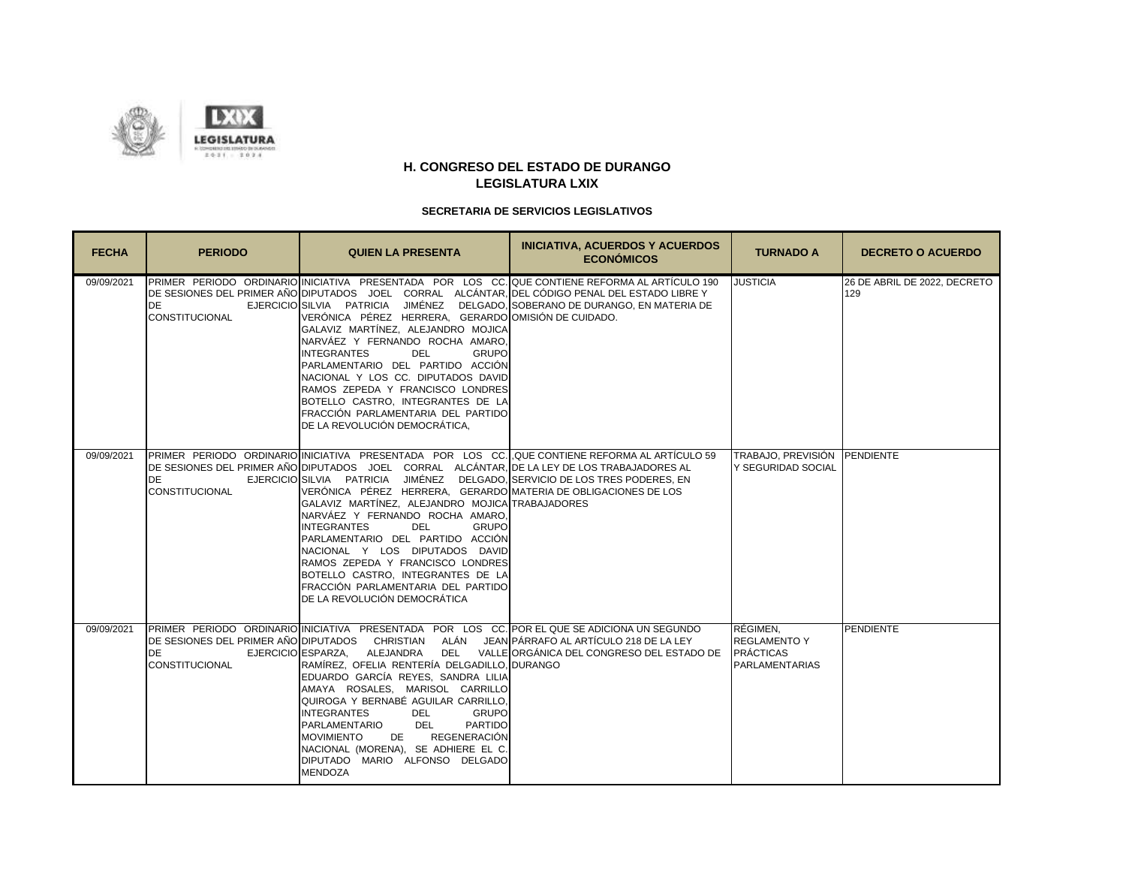



| <b>FECHA</b> | <b>PERIODO</b>                     | <b>QUIEN LA PRESENTA</b>                                                                                                                                                                                                                                                                                                                                                                                                                                                                                                                                                                                                                                                                               | <b>INICIATIVA, ACUERDOS Y ACUERDOS</b><br><b>ECONÓMICOS</b> | <b>TURNADO A</b>                                                             | <b>DECRETO O ACUERDO</b>            |
|--------------|------------------------------------|--------------------------------------------------------------------------------------------------------------------------------------------------------------------------------------------------------------------------------------------------------------------------------------------------------------------------------------------------------------------------------------------------------------------------------------------------------------------------------------------------------------------------------------------------------------------------------------------------------------------------------------------------------------------------------------------------------|-------------------------------------------------------------|------------------------------------------------------------------------------|-------------------------------------|
| 09/09/2021   | DE<br><b>CONSTITUCIONAL</b>        | PRIMER PERIODO ORDINARIO INICIATIVA PRESENTADA POR LOS CC. QUE CONTIENE REFORMA AL ARTÍCULO 190<br>DE SESIONES DEL PRIMER AÑO DIPUTADOS JOEL CORRAL ALCÁNTAR. DEL CÓDIGO PENAL DEL ESTADO LIBRE Y<br>EJERCICIO SILVIA PATRICIA JIMÉNEZ DELGADO, SOBERANO DE DURANGO, EN MATERIA DE<br>VERÓNICA PÉREZ HERRERA, GERARDO OMISIÓN DE CUIDADO.<br>GALAVIZ MARTÍNEZ, ALEJANDRO MOJICA<br>NARVÁEZ Y FERNANDO ROCHA AMARO,<br><b>INTEGRANTES</b><br><b>DEL</b><br><b>GRUPO</b><br>PARLAMENTARIO DEL PARTIDO ACCIÓN<br>NACIONAL Y LOS CC. DIPUTADOS DAVID<br>RAMOS ZEPEDA Y FRANCISCO LONDRES<br>BOTELLO CASTRO, INTEGRANTES DE LA<br>FRACCIÓN PARLAMENTARIA DEL PARTIDO<br>DE LA REVOLUCIÓN DEMOCRÁTICA.       |                                                             | <b>JUSTICIA</b>                                                              | 26 DE ABRIL DE 2022, DECRETO<br>129 |
| 09/09/2021   | <b>DE</b><br><b>CONSTITUCIONAL</b> | PRIMER PERIODO ORDINARIO INICIATIVA PRESENTADA POR LOS CC. QUE CONTIENE REFORMA AL ARTÍCULO 59<br>DE SESIONES DEL PRIMER AÑO DIPUTADOS JOEL CORRAL ALCÁNTAR, DE LA LEY DE LOS TRABAJADORES AL<br>EJERCICIO SILVIA PATRICIA JIMÉNEZ DELGADO, SERVICIO DE LOS TRES PODERES, EN<br>VERÓNICA PÉREZ HERRERA, GERARDO MATERIA DE OBLIGACIONES DE LOS<br>GALAVIZ MARTÍNEZ, ALEJANDRO MOJICA TRABAJADORES<br>NARVÁEZ Y FERNANDO ROCHA AMARO.<br><b>INTEGRANTES</b><br>DEL<br><b>GRUPO</b><br>PARLAMENTARIO DEL PARTIDO ACCIÓN<br>NACIONAL Y LOS DIPUTADOS DAVID<br>RAMOS ZEPEDA Y FRANCISCO LONDRES<br>BOTELLO CASTRO, INTEGRANTES DE LA<br>FRACCIÓN PARLAMENTARIA DEL PARTIDO<br>DE LA REVOLUCIÓN DEMOCRÁTICA |                                                             | TRABAJO, PREVISIÓN PENDIENTE<br>Y SEGURIDAD SOCIAL                           |                                     |
| 09/09/2021   | DE<br><b>CONSTITUCIONAL</b>        | PRIMER PERIODO ORDINARIO INICIATIVA PRESENTADA POR LOS CC. POR EL QUE SE ADICIONA UN SEGUNDO<br>DE SESIONES DEL PRIMER AÑO DIPUTADOS CHRISTIAN ALÁN JEAN PÁRRAFO AL ARTÍCULO 218 DE LA LEY<br>EJERCICIO ESPARZA,<br>RAMÍREZ, OFELIA RENTERÍA DELGADILLO, DURANGO<br>EDUARDO GARCÍA REYES, SANDRA LILIA<br>AMAYA ROSALES, MARISOL CARRILLO<br>QUIROGA Y BERNABÉ AGUILAR CARRILLO,<br><b>INTEGRANTES</b><br><b>DEL</b><br>GRUPO<br><b>PARTIDO</b><br>PARLAMENTARIO<br><b>DEL</b><br><b>REGENERACIÓN</b><br><b>MOVIMIENTO</b><br>DE<br>NACIONAL (MORENA), SE ADHIERE EL C.<br>DIPUTADO MARIO ALFONSO DELGADO<br><b>MENDOZA</b>                                                                            | ALEJANDRA DEL VALLE ORGÁNICA DEL CONGRESO DEL ESTADO DE     | RÉGIMEN.<br><b>REGLAMENTO Y</b><br><b>PRÁCTICAS</b><br><b>PARLAMENTARIAS</b> | <b>PENDIENTE</b>                    |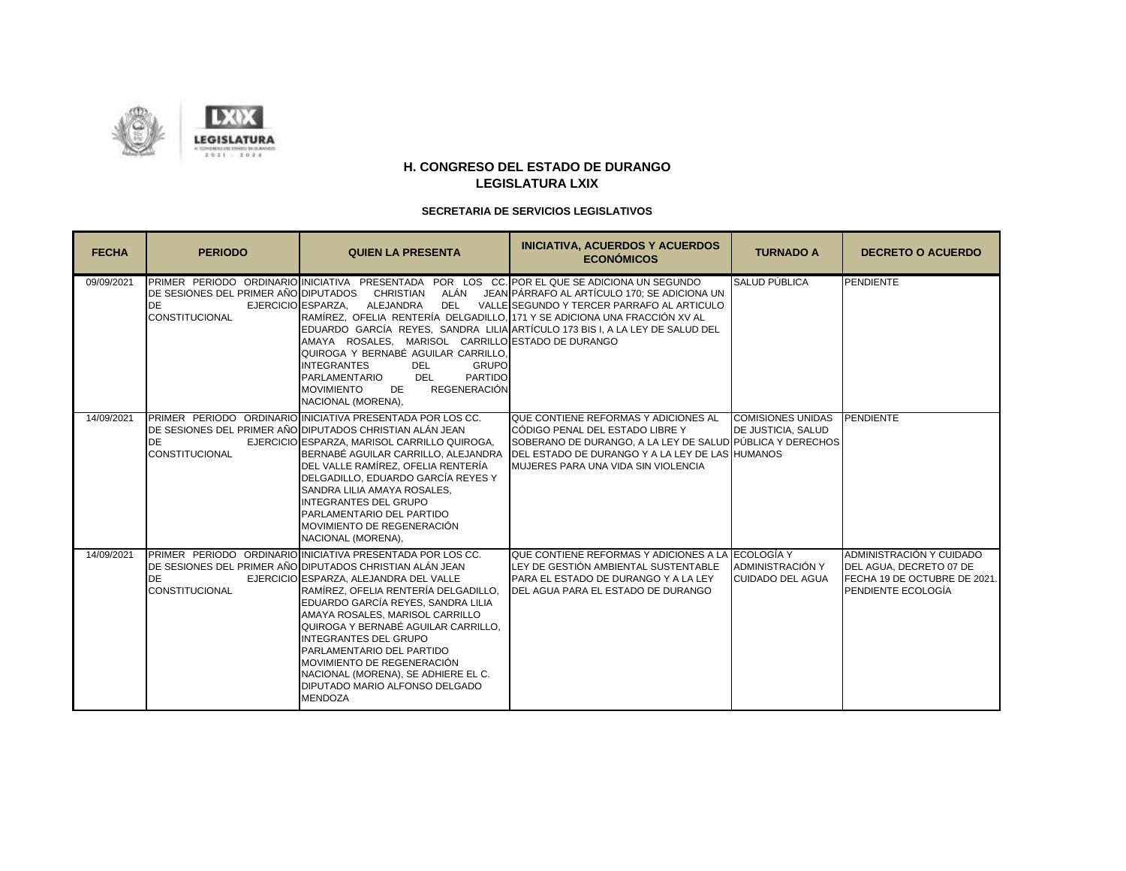



| <b>FECHA</b> | <b>PERIODO</b>                                                      | <b>QUIEN LA PRESENTA</b>                                                                                                                                                                                                                                                                                                                                                                                                                                                                                              | <b>INICIATIVA, ACUERDOS Y ACUERDOS</b><br><b>ECONÓMICOS</b>                                                                                                                                                                                                         | <b>TURNADO A</b>                                         | <b>DECRETO O ACUERDO</b>                                                                                  |
|--------------|---------------------------------------------------------------------|-----------------------------------------------------------------------------------------------------------------------------------------------------------------------------------------------------------------------------------------------------------------------------------------------------------------------------------------------------------------------------------------------------------------------------------------------------------------------------------------------------------------------|---------------------------------------------------------------------------------------------------------------------------------------------------------------------------------------------------------------------------------------------------------------------|----------------------------------------------------------|-----------------------------------------------------------------------------------------------------------|
| 09/09/2021   | DE SESIONES DEL PRIMER AÑO DIPUTADOS<br>DE<br><b>CONSTITUCIONAL</b> | PRIMER PERIODO ORDINARIO INICIATIVA PRESENTADA POR LOS CC. POR EL QUE SE ADICIONA UN SEGUNDO<br>ALÁN<br>CHRISTIAN<br>ALEJANDRA<br>EJERCICIO ESPARZA,<br>DEL<br>RAMÍREZ, OFELIA RENTERÍA DELGADILLO, 171 Y SE ADICIONA UNA FRACCIÓN XV AL<br>AMAYA ROSALES, MARISOL CARRILLO ESTADO DE DURANGO<br>QUIROGA Y BERNABÉ AGUILAR CARRILLO.<br><b>INTEGRANTES</b><br><b>DEL</b><br><b>GRUPO</b><br><b>PARTIDO</b><br><b>PARLAMENTARIO</b><br>DEL<br><b>REGENERACIÓN</b><br><b>MOVIMIENTO</b><br>DE<br>NACIONAL (MORENA),     | JEAN PÁRRAFO AL ARTÍCULO 170; SE ADICIONA UN<br>VALLE SEGUNDO Y TERCER PARRAFO AL ARTICULO<br>EDUARDO GARCÍA REYES, SANDRA LILIA ARTÍCULO 173 BIS I, A LA LEY DE SALUD DEL                                                                                          | SALUD PÚBLICA                                            | PENDIENTE                                                                                                 |
| 14/09/2021   | <b>DE</b><br><b>CONSTITUCIONAL</b>                                  | <b>PRIMER PERIODO ORDINARIO INICIATIVA PRESENTADA POR LOS CC.</b><br>DE SESIONES DEL PRIMER AÑO DIPUTADOS CHRISTIAN ALÁN JEAN<br>EJERCICIO ESPARZA, MARISOL CARRILLO QUIROGA,<br>DEL VALLE RAMÍREZ. OFELIA RENTERÍA<br>DELGADILLO, EDUARDO GARCÍA REYES Y<br>SANDRA LILIA AMAYA ROSALES.<br><b>INTEGRANTES DEL GRUPO</b><br>PARLAMENTARIO DEL PARTIDO<br>MOVIMIENTO DE REGENERACIÓN<br>NACIONAL (MORENA),                                                                                                             | QUE CONTIENE REFORMAS Y ADICIONES AL<br>ICÓDIGO PENAL DEL ESTADO LIBRE Y<br>SOBERANO DE DURANGO, A LA LEY DE SALUD PÚBLICA Y DERECHOS<br>BERNABÉ AGUILAR CARRILLO, ALEJANDRA DEL ESTADO DE DURANGO Y A LA LEY DE LAS HUMANOS<br>MUJERES PARA UNA VIDA SIN VIOLENCIA | COMISIONES UNIDAS PENDIENTE<br><b>DE JUSTICIA, SALUD</b> |                                                                                                           |
| 14/09/2021   | <b>DE</b><br><b>CONSTITUCIONAL</b>                                  | <b>PRIMER PERIODO ORDINARIO INICIATIVA PRESENTADA POR LOS CC.</b><br>DE SESIONES DEL PRIMER AÑO DIPUTADOS CHRISTIAN ALÁN JEAN<br>EJERCICIO ESPARZA, ALEJANDRA DEL VALLE<br>RAMÍREZ, OFELIA RENTERÍA DELGADILLO,<br>EDUARDO GARCÍA REYES, SANDRA LILIA<br>AMAYA ROSALES, MARISOL CARRILLO<br>QUIROGA Y BERNABÉ AGUILAR CARRILLO.<br><b>INTEGRANTES DEL GRUPO</b><br>PARLAMENTARIO DEL PARTIDO<br>MOVIMIENTO DE REGENERACIÓN<br>NACIONAL (MORENA), SE ADHIERE EL C.<br>DIPUTADO MARIO ALFONSO DELGADO<br><b>MENDOZA</b> | QUE CONTIENE REFORMAS Y ADICIONES A LA ECOLOGÍA Y<br>LEY DE GESTIÓN AMBIENTAL SUSTENTABLE<br><b>PARA EL ESTADO DE DURANGO Y A LA LEY</b><br>DEL AGUA PARA EL ESTADO DE DURANGO                                                                                      | ADMINISTRACIÓN Y<br><b>CUIDADO DEL AGUA</b>              | ADMINISTRACIÓN Y CUIDADO<br>DEL AGUA. DECRETO 07 DE<br>FECHA 19 DE OCTUBRE DE 2021.<br>PENDIENTE ECOLOGÍA |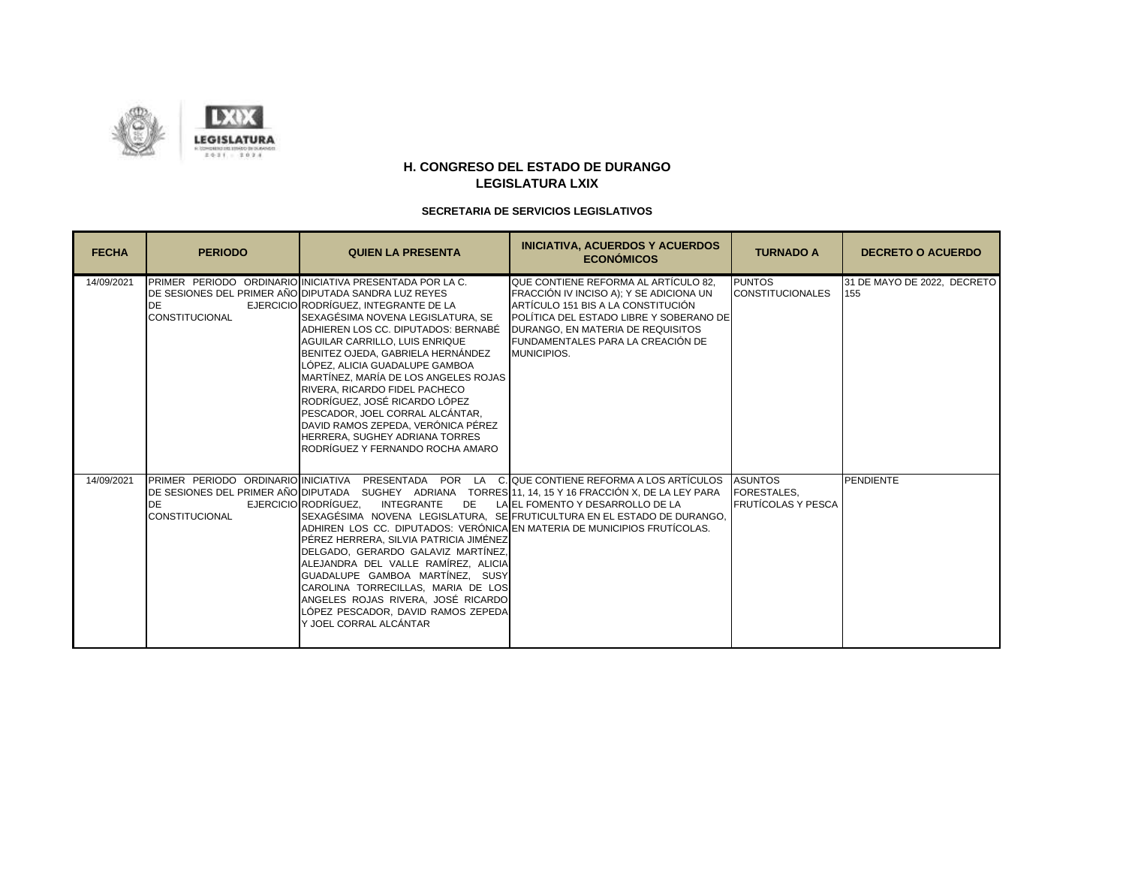

| <b>FECHA</b> | <b>PERIODO</b>                                                                             | <b>QUIEN LA PRESENTA</b>                                                                                                                                                                                                                                                                                                                                                                                                                                                                                                                        | <b>INICIATIVA, ACUERDOS Y ACUERDOS</b><br><b>ECONÓMICOS</b>                                                                                                                                                                                                       | <b>TURNADO A</b>                                           | <b>DECRETO O ACUERDO</b>           |
|--------------|--------------------------------------------------------------------------------------------|-------------------------------------------------------------------------------------------------------------------------------------------------------------------------------------------------------------------------------------------------------------------------------------------------------------------------------------------------------------------------------------------------------------------------------------------------------------------------------------------------------------------------------------------------|-------------------------------------------------------------------------------------------------------------------------------------------------------------------------------------------------------------------------------------------------------------------|------------------------------------------------------------|------------------------------------|
| 14/09/2021   | DE SESIONES DEL PRIMER AÑO DIPUTADA SANDRA LUZ REYES<br><b>DE</b><br><b>CONSTITUCIONAL</b> | PRIMER PERIODO ORDINARIO INICIATIVA PRESENTADA POR LA C.<br>EJERCICIO RODRÍGUEZ, INTEGRANTE DE LA<br>SEXAGÉSIMA NOVENA LEGISLATURA, SE<br>ADHIEREN LOS CC. DIPUTADOS: BERNABÉ<br>AGUILAR CARRILLO. LUIS ENRIQUE<br>BENITEZ OJEDA. GABRIELA HERNÁNDEZ<br>LÓPEZ, ALICIA GUADALUPE GAMBOA<br>MARTÍNEZ, MARÍA DE LOS ANGELES ROJAS<br>RIVERA, RICARDO FIDEL PACHECO<br>RODRÍGUEZ. JOSÉ RICARDO LÓPEZ<br>PESCADOR. JOEL CORRAL ALCÁNTAR.<br>DAVID RAMOS ZEPEDA. VERÓNICA PÉREZ<br>HERRERA. SUGHEY ADRIANA TORRES<br>RODRÍGUEZ Y FERNANDO ROCHA AMARO | QUE CONTIENE REFORMA AL ARTÍCULO 82.<br>FRACCIÓN IV INCISO A); Y SE ADICIONA UN<br>ARTÍCULO 151 BIS A LA CONSTITUCIÓN<br>POLÍTICA DEL ESTADO LIBRE Y SOBERANO DE<br>DURANGO. EN MATERIA DE REQUISITOS<br>FUNDAMENTALES PARA LA CREACIÓN DE<br>MUNICIPIOS.         | <b>PUNTOS</b><br><b>CONSTITUCIONALES</b>                   | 31 DE MAYO DE 2022, DECRETO<br>155 |
| 14/09/2021   | <b>DE</b><br><b>CONSTITUCIONAL</b>                                                         | PRIMER PERIODO ORDINARIO INICIATIVA PRESENTADA POR<br>EJERCICIO RODRÍGUEZ.<br><b>INTEGRANTE</b><br>DE<br>ADHIREN LOS CC. DIPUTADOS: VERÓNICALEN MATERIA DE MUNICIPIOS FRUTÍCOLAS.<br>PÉREZ HERRERA, SILVIA PATRICIA JIMÉNEZ<br>DELGADO. GERARDO GALAVIZ MARTÍNEZ.<br>ALEJANDRA DEL VALLE RAMÍREZ, ALICIA<br>GUADALUPE GAMBOA MARTÍNEZ, SUSY<br>CAROLINA TORRECILLAS, MARIA DE LOS<br>ANGELES ROJAS RIVERA, JOSÉ RICARDO<br>LÓPEZ PESCADOR. DAVID RAMOS ZEPEDA<br>Y JOEL CORRAL ALCÁNTAR                                                         | LA C. QUE CONTIENE REFORMA A LOS ARTÍCULOS<br>DE SESIONES DEL PRIMER AÑO DIPUTADA SUGHEY ADRIANA TORRES 11, 14, 15 Y 16 FRACCIÓN X, DE LA LEY PARA<br>LA EL FOMENTO Y DESARROLLO DE LA<br>SEXAGÉSIMA NOVENA LEGISLATURA, SE FRUTICULTURA EN EL ESTADO DE DURANGO. | <b>ASUNTOS</b><br>FORESTALES,<br><b>FRUTÍCOLAS Y PESCA</b> | <b>PENDIENTE</b>                   |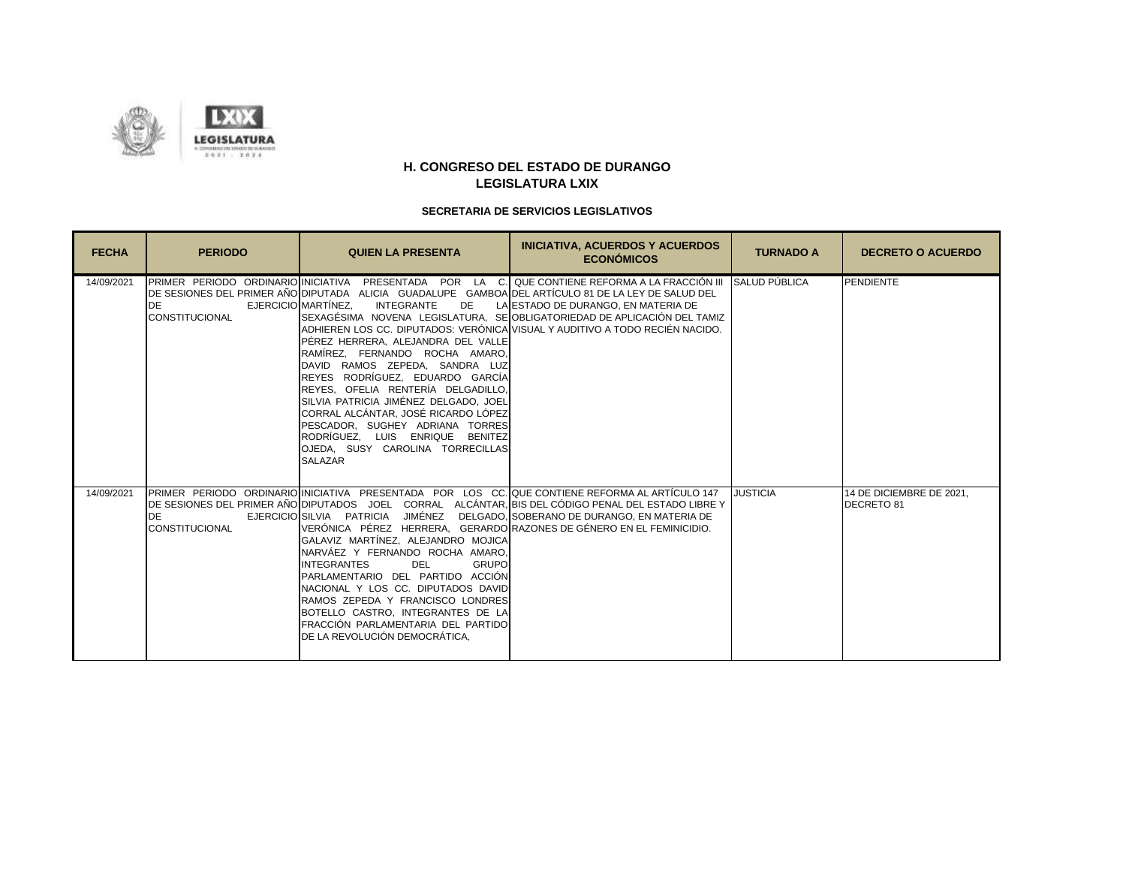

| <b>FECHA</b> | <b>PERIODO</b>                     | <b>QUIEN LA PRESENTA</b>                                                                                                                                                                                                                                                                                                                                                                                                                                                                                                                                                                                         | <b>INICIATIVA, ACUERDOS Y ACUERDOS</b><br><b>ECONÓMICOS</b>                                                                                                                                                                                                                                                      | <b>TURNADO A</b> | <b>DECRETO O ACUERDO</b>               |
|--------------|------------------------------------|------------------------------------------------------------------------------------------------------------------------------------------------------------------------------------------------------------------------------------------------------------------------------------------------------------------------------------------------------------------------------------------------------------------------------------------------------------------------------------------------------------------------------------------------------------------------------------------------------------------|------------------------------------------------------------------------------------------------------------------------------------------------------------------------------------------------------------------------------------------------------------------------------------------------------------------|------------------|----------------------------------------|
| 14/09/2021   | <b>DE</b><br><b>CONSTITUCIONAL</b> | DE SESIONES DEL PRIMER AÑO DIPUTADA ALICIA GUADALUPE GAMBOA DEL ARTÍCULO 81 DE LA LEY DE SALUD DEL<br>EJERCICIO MARTÍNEZ.<br><b>INTEGRANTE</b><br>DE<br>PÉREZ HERRERA, ALEJANDRA DEL VALLE<br>RAMÍREZ, FERNANDO ROCHA AMARO,<br>DAVID RAMOS ZEPEDA, SANDRA LUZ<br>REYES RODRÍGUEZ, EDUARDO GARCÍA<br>REYES, OFELIA RENTERÍA DELGADILLO,<br>SILVIA PATRICIA JIMÉNEZ DELGADO, JOEL<br>CORRAL ALCÁNTAR. JOSÉ RICARDO LÓPEZ<br>PESCADOR, SUGHEY ADRIANA TORRES<br>RODRÍGUEZ, LUIS ENRIQUE BENITEZ<br>OJEDA, SUSY CAROLINA TORRECILLAS<br><b>SALAZAR</b>                                                              | PRIMER PERIODO ORDINARIO INICIATIVA PRESENTADA POR LA C. QUE CONTIENE REFORMA A LA FRACCIÓN III SALUD PÚBLICA<br>LA ESTADO DE DURANGO. EN MATERIA DE<br>SEXAGÉSIMA NOVENA LEGISLATURA, SE OBLIGATORIEDAD DE APLICACIÓN DEL TAMIZ<br>ADHIEREN LOS CC. DIPUTADOS: VERÓNICA VISUAL Y AUDITIVO A TODO RECIÉN NACIDO. |                  | <b>PENDIENTE</b>                       |
| 14/09/2021   | <b>DE</b><br><b>CONSTITUCIONAL</b> | PRIMER PERIODO ORDINARIO INICIATIVA PRESENTADA POR LOS CC. QUE CONTIENE REFORMA AL ARTÍCULO 147<br>EJERCICIO SILVIA PATRICIA JIMÉNEZ DELGADO. SOBERANO DE DURANGO. EN MATERIA DE<br>VERÓNICA PÉREZ HERRERA, GERARDO RAZONES DE GÉNERO EN EL FEMINICIDIO.<br>GALAVIZ MARTÍNEZ, ALEJANDRO MOJICA<br>NARVÁEZ Y FERNANDO ROCHA AMARO.<br><b>INTEGRANTES</b><br><b>DEL</b><br><b>GRUPO</b><br>PARLAMENTARIO DEL PARTIDO ACCIÓN<br>NACIONAL Y LOS CC. DIPUTADOS DAVIDI<br>RAMOS ZEPEDA Y FRANCISCO LONDRES<br>BOTELLO CASTRO, INTEGRANTES DE LA<br>FRACCIÓN PARLAMENTARIA DEL PARTIDO<br>DE LA REVOLUCIÓN DEMOCRÁTICA, | DE SESIONES DEL PRIMER AÑO DIPUTADOS JOEL CORRAL ALCÁNTAR, BIS DEL CÓDIGO PENAL DEL ESTADO LIBRE Y                                                                                                                                                                                                               | <b>JUSTICIA</b>  | 14 DE DICIEMBRE DE 2021.<br>DECRETO 81 |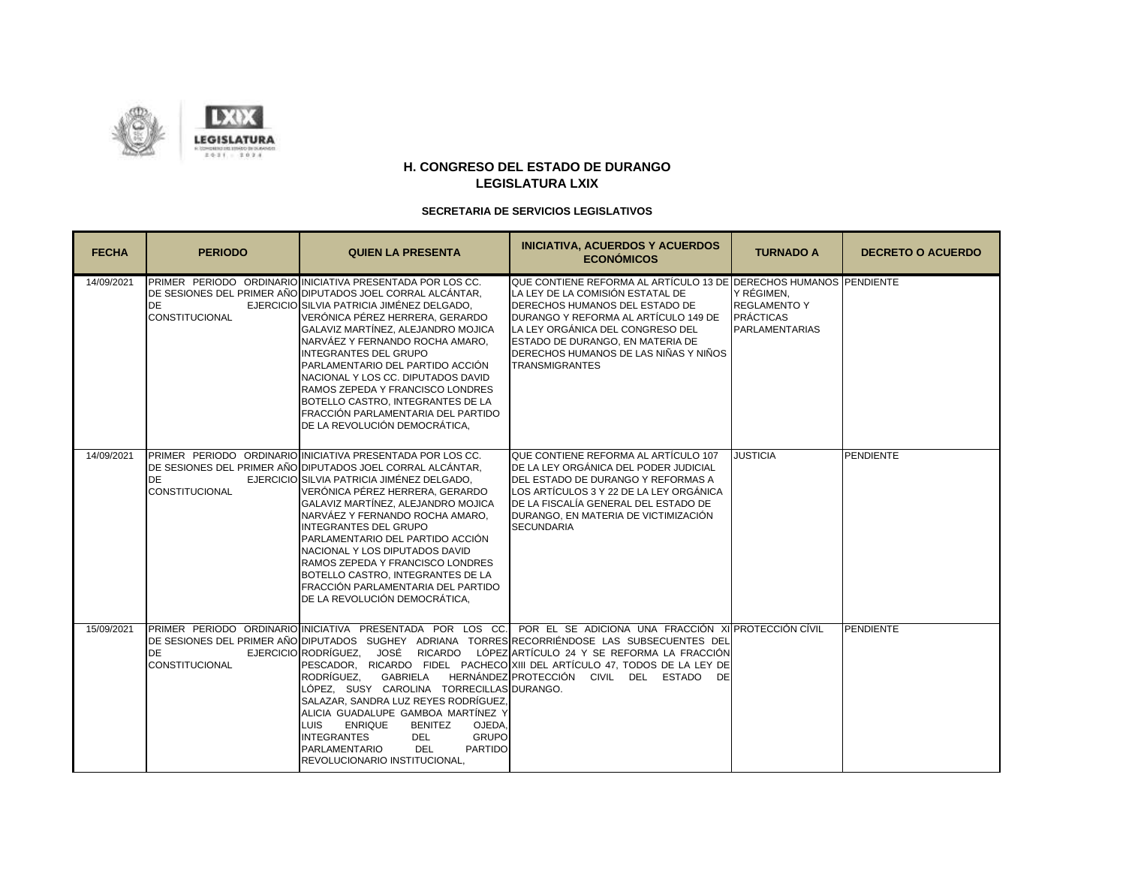

| <b>FECHA</b> | <b>PERIODO</b>                      | <b>QUIEN LA PRESENTA</b>                                                                                                                                                                                                                                                                                                                                                                                                                                                                                                                        | <b>INICIATIVA, ACUERDOS Y ACUERDOS</b><br><b>ECONÓMICOS</b>                                                                                                                                                                                                                                                                                                                                                                | <b>TURNADO A</b>                                                               | <b>DECRETO O ACUERDO</b> |
|--------------|-------------------------------------|-------------------------------------------------------------------------------------------------------------------------------------------------------------------------------------------------------------------------------------------------------------------------------------------------------------------------------------------------------------------------------------------------------------------------------------------------------------------------------------------------------------------------------------------------|----------------------------------------------------------------------------------------------------------------------------------------------------------------------------------------------------------------------------------------------------------------------------------------------------------------------------------------------------------------------------------------------------------------------------|--------------------------------------------------------------------------------|--------------------------|
| 14/09/2021   | <b>IDE</b><br><b>CONSTITUCIONAL</b> | PRIMER PERIODO ORDINARIO INICIATIVA PRESENTADA POR LOS CC.<br>DE SESIONES DEL PRIMER AÑO DIPUTADOS JOEL CORRAL ALCÁNTAR,<br>EJERCICIO SILVIA PATRICIA JIMÉNEZ DELGADO.<br>VERÓNICA PÉREZ HERRERA, GERARDO<br>GALAVIZ MARTÍNEZ, ALEJANDRO MOJICA<br>NARVÁEZ Y FERNANDO ROCHA AMARO.<br><b>INTEGRANTES DEL GRUPO</b><br>PARLAMENTARIO DEL PARTIDO ACCIÓN<br>NACIONAL Y LOS CC. DIPUTADOS DAVID<br>RAMOS ZEPEDA Y FRANCISCO LONDRES<br>BOTELLO CASTRO. INTEGRANTES DE LA<br>FRACCIÓN PARLAMENTARIA DEL PARTIDO<br>DE LA REVOLUCIÓN DEMOCRÁTICA,    | QUE CONTIENE REFORMA AL ARTÍCULO 13 DE DERECHOS HUMANOS PENDIENTE<br>LA LEY DE LA COMISIÓN ESTATAL DE<br>DERECHOS HUMANOS DEL ESTADO DE<br>DURANGO Y REFORMA AL ARTÍCULO 149 DE<br>LA LEY ORGÁNICA DEL CONGRESO DEL<br>ESTADO DE DURANGO, EN MATERIA DE<br>DERECHOS HUMANOS DE LAS NIÑAS Y NIÑOS<br><b>TRANSMIGRANTES</b>                                                                                                  | Y RÉGIMEN.<br><b>REGLAMENTO Y</b><br><b>PRÁCTICAS</b><br><b>PARLAMENTARIAS</b> |                          |
| 14/09/2021   | DE<br><b>CONSTITUCIONAL</b>         | <b>PRIMER PERIODO ORDINARIO INICIATIVA PRESENTADA POR LOS CC.</b><br>DE SESIONES DEL PRIMER AÑO DIPUTADOS JOEL CORRAL ALCÁNTAR,<br>EJERCICIO SILVIA PATRICIA JIMÉNEZ DELGADO,<br>VERÓNICA PÉREZ HERRERA, GERARDO<br>GALAVIZ MARTÍNEZ. ALEJANDRO MOJICA<br>NARVÁEZ Y FERNANDO ROCHA AMARO,<br><b>INTEGRANTES DEL GRUPO</b><br>PARLAMENTARIO DEL PARTIDO ACCIÓN<br>NACIONAL Y LOS DIPUTADOS DAVID<br>RAMOS ZEPEDA Y FRANCISCO LONDRES<br>BOTELLO CASTRO, INTEGRANTES DE LA<br>FRACCIÓN PARLAMENTARIA DEL PARTIDO<br>DE LA REVOLUCIÓN DEMOCRÁTICA, | QUE CONTIENE REFORMA AL ARTÍCULO 107<br>DE LA LEY ORGÁNICA DEL PODER JUDICIAL<br>DEL ESTADO DE DURANGO Y REFORMAS A<br>LOS ARTÍCULOS 3 Y 22 DE LA LEY ORGÁNICA<br>DE LA FISCALÍA GENERAL DEL ESTADO DE<br>DURANGO, EN MATERIA DE VICTIMIZACIÓN<br><b>SECUNDARIA</b>                                                                                                                                                        | <b>JUSTICIA</b>                                                                | <b>PENDIENTE</b>         |
| 15/09/2021   | <b>DE</b><br><b>CONSTITUCIONAL</b>  | RODRÍGUEZ.<br><b>GABRIELA</b><br>LÓPEZ. SUSY CAROLINA TORRECILLASIDURANGO.<br>SALAZAR, SANDRA LUZ REYES RODRÍGUEZ,<br>ALICIA GUADALUPE GAMBOA MARTÍNEZ Y<br><b>LUIS</b><br><b>ENRIQUE</b><br><b>BENITEZ</b><br>OJEDA,<br><b>INTEGRANTES</b><br><b>GRUPO</b><br><b>DEL</b><br>PARLAMENTARIO<br><b>DEL</b><br><b>PARTIDO</b><br>REVOLUCIONARIO INSTITUCIONAL,                                                                                                                                                                                     | PRIMER PERIODO ORDINARIO INICIATIVA PRESENTADA POR LOS CC. POR EL SE ADICIONA UNA FRACCIÓN XI PROTECCIÓN CÍVIL<br>DE SESIONES DEL PRIMER AÑO DIPUTADOS SUGHEY ADRIANA TORRES RECORRIÉNDOSE LAS SUBSECUENTES DEL<br>EJERCICIO RODRÍGUEZ. JOSÉ RICARDO LÓPEZ ARTÍCULO 24 Y SE REFORMA LA FRACCIÓN<br>PESCADOR, RICARDO FIDEL PACHECO XIII DEL ARTÍCULO 47, TODOS DE LA LEY DE<br>HERNÁNDEZ PROTECCIÓN CIVIL DEL ESTADO<br>DE |                                                                                | <b>PENDIENTE</b>         |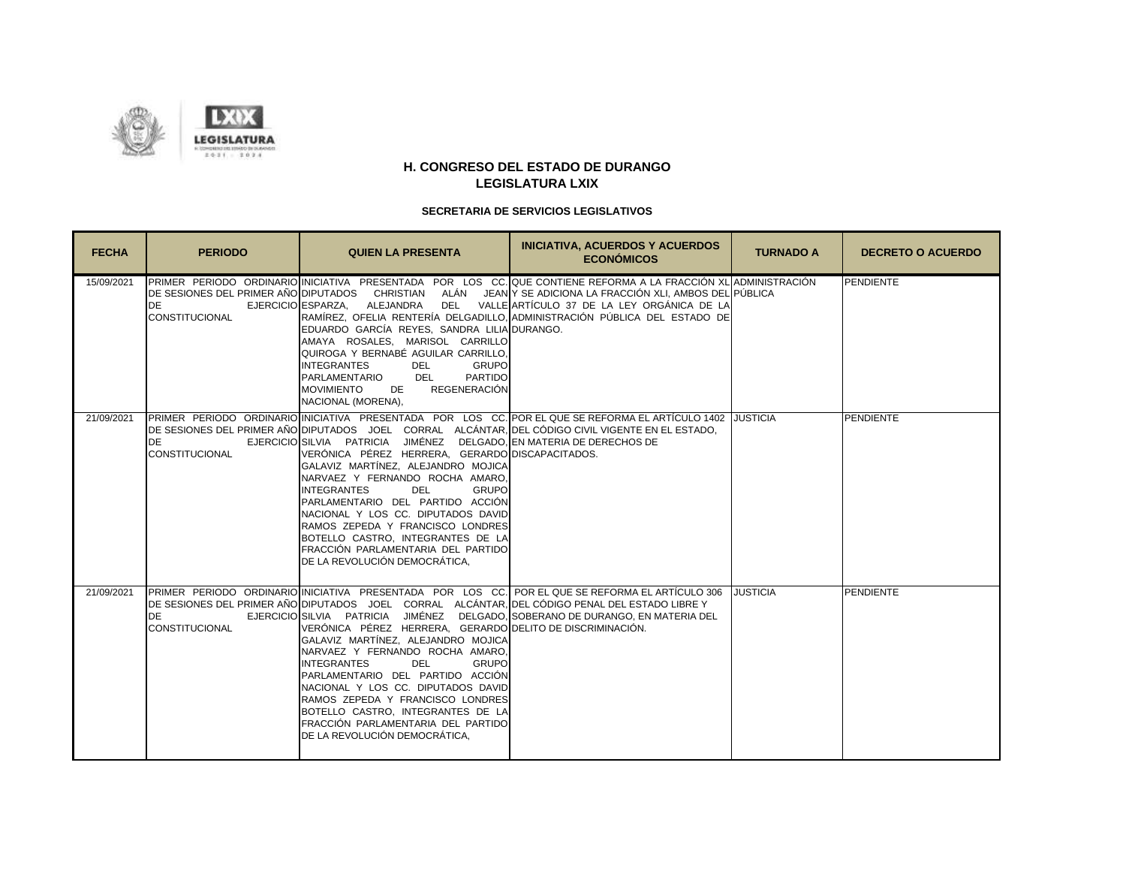



| <b>FECHA</b> | <b>PERIODO</b>                     | <b>QUIEN LA PRESENTA</b>                                                                                                                                                                                                                                                                                                                                                                                                                                                                                                                                                                              | <b>INICIATIVA, ACUERDOS Y ACUERDOS</b><br><b>ECONÓMICOS</b>                                                                                                                                                                                                                                                                                                                              | <b>TURNADO A</b> | <b>DECRETO O ACUERDO</b> |
|--------------|------------------------------------|-------------------------------------------------------------------------------------------------------------------------------------------------------------------------------------------------------------------------------------------------------------------------------------------------------------------------------------------------------------------------------------------------------------------------------------------------------------------------------------------------------------------------------------------------------------------------------------------------------|------------------------------------------------------------------------------------------------------------------------------------------------------------------------------------------------------------------------------------------------------------------------------------------------------------------------------------------------------------------------------------------|------------------|--------------------------|
| 15/09/2021   | <b>DE</b><br><b>CONSTITUCIONAL</b> | EDUARDO GARCÍA REYES, SANDRA LILIA DURANGO.<br>AMAYA ROSALES, MARISOL CARRILLO<br>QUIROGA Y BERNABÉ AGUILAR CARRILLO,<br><b>INTEGRANTES</b><br><b>DEL</b><br>GRUPO<br><b>PARTIDO</b><br><b>PARLAMENTARIO</b><br>DEL<br><b>REGENERACIÓN</b><br><b>MOVIMIENTO</b><br>DE<br>NACIONAL (MORENA),                                                                                                                                                                                                                                                                                                           | PRIMER PERIODO ORDINARIO INICIATIVA PRESENTADA POR LOS CC. QUE CONTIENE REFORMA A LA FRACCIÓN XL ADMINISTRACIÓN<br>DE SESIONES DEL PRIMER AÑO DIPUTADOS CHRISTIAN ALÁN JEAN Y SE ADICIONA LA FRACCIÓN XLI. AMBOS DEL PÚBLICA<br>EJERCICIO ESPARZA, ALEJANDRA DEL VALLE ARTÍCULO 37 DE LA LEY ORGÁNICA DE LA<br>RAMÍREZ, OFELIA RENTERÍA DELGADILLO, ADMINISTRACIÓN PÚBLICA DEL ESTADO DE |                  | <b>PENDIENTE</b>         |
| 21/09/2021   | <b>DE</b><br><b>CONSTITUCIONAL</b> | DE SESIONES DEL PRIMER AÑO DIPUTADOS JOEL CORRAL ALCÁNTAR. DEL CÓDIGO CIVIL VIGENTE EN EL ESTADO.<br>EJERCICIO SILVIA PATRICIA JIMÉNEZ DELGADO, EN MATERIA DE DERECHOS DE<br>VERÓNICA PÉREZ HERRERA, GERARDO DISCAPACITADOS.<br>GALAVIZ MARTÍNEZ, ALEJANDRO MOJICA<br>NARVAEZ Y FERNANDO ROCHA AMARO,<br><b>INTEGRANTES</b><br><b>DEL</b><br><b>GRUPO</b><br>PARLAMENTARIO DEL PARTIDO ACCIÓN<br>NACIONAL Y LOS CC. DIPUTADOS DAVID<br>RAMOS ZEPEDA Y FRANCISCO LONDRES<br>BOTELLO CASTRO, INTEGRANTES DE LA<br>FRACCIÓN PARLAMENTARIA DEL PARTIDO<br>DE LA REVOLUCIÓN DEMOCRÁTICA.                   | PRIMER PERIODO ORDINARIO INICIATIVA PRESENTADA POR LOS CC. POR EL QUE SE REFORMA EL ARTÍCULO 1402 JUSTICIA                                                                                                                                                                                                                                                                               |                  | <b>PENDIENTE</b>         |
| 21/09/2021   | <b>DE</b><br><b>CONSTITUCIONAL</b> | DE SESIONES DEL PRIMER AÑO DIPUTADOS JOEL CORRAL ALCÁNTAR. DEL CÓDIGO PENAL DEL ESTADO LIBRE Y<br>EJERCICIO SILVIA PATRICIA JIMÉNEZ DELGADO. SOBERANO DE DURANGO. EN MATERIA DEL<br>VERÓNICA PÉREZ HERRERA, GERARDO DELITO DE DISCRIMINACIÓN.<br>GALAVIZ MARTÍNEZ, ALEJANDRO MOJICA<br>NARVAEZ Y FERNANDO ROCHA AMARO,<br><b>INTEGRANTES</b><br><b>DEL</b><br><b>GRUPO</b><br>PARLAMENTARIO DEL PARTIDO ACCIÓN<br>NACIONAL Y LOS CC. DIPUTADOS DAVIDI<br>RAMOS ZEPEDA Y FRANCISCO LONDRES<br>BOTELLO CASTRO, INTEGRANTES DE LA<br>FRACCIÓN PARLAMENTARIA DEL PARTIDO<br>DE LA REVOLUCIÓN DEMOCRÁTICA. | PRIMER PERIODO ORDINARIO INICIATIVA PRESENTADA POR LOS CC. POR EL QUE SE REFORMA EL ARTÍCULO 306 JUSTICIA                                                                                                                                                                                                                                                                                |                  | <b>PENDIENTE</b>         |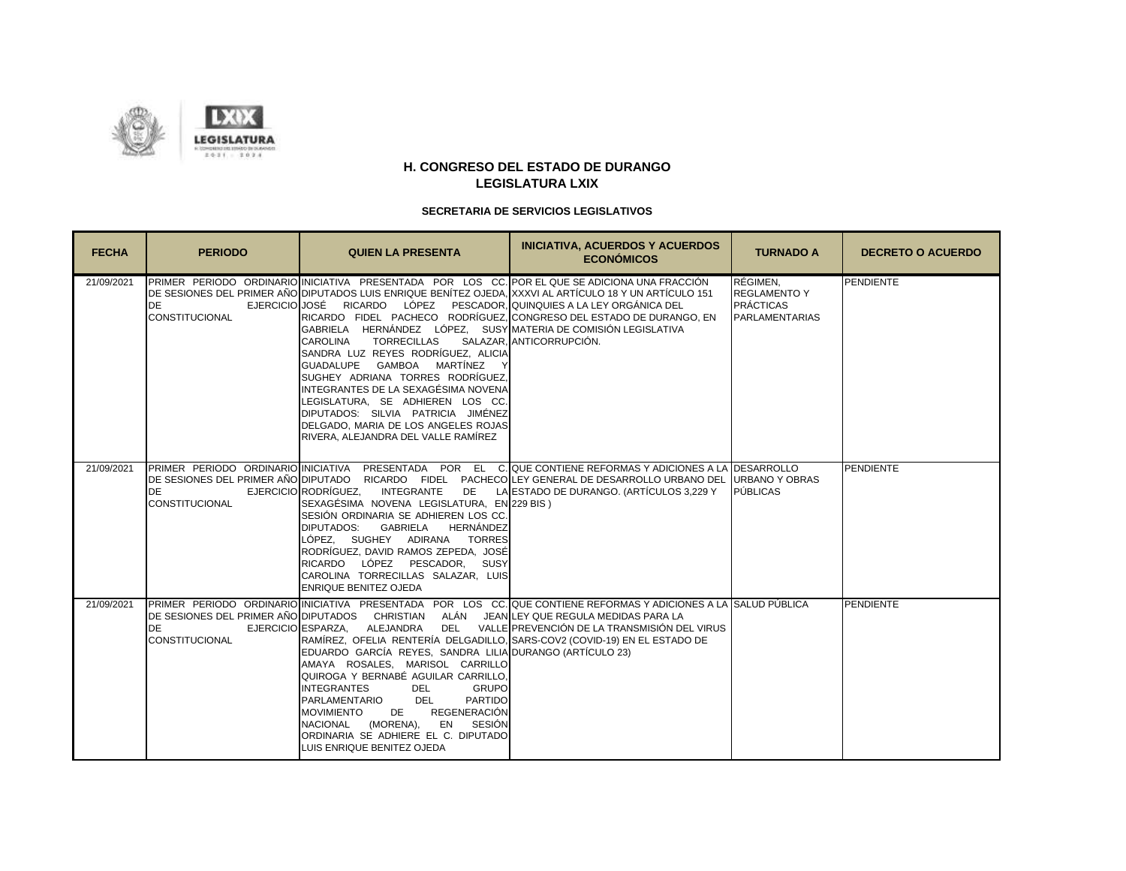

| <b>FECHA</b> | <b>PERIODO</b>                      | <b>QUIEN LA PRESENTA</b>                                                                                                                                                                                                                                                                                                                                                                                                                                                                                                                                                                                                                                                                                                                                              | <b>INICIATIVA, ACUERDOS Y ACUERDOS</b><br><b>ECONÓMICOS</b>                                                                                                                                                                                               | <b>TURNADO A</b>                                                             | <b>DECRETO O ACUERDO</b> |
|--------------|-------------------------------------|-----------------------------------------------------------------------------------------------------------------------------------------------------------------------------------------------------------------------------------------------------------------------------------------------------------------------------------------------------------------------------------------------------------------------------------------------------------------------------------------------------------------------------------------------------------------------------------------------------------------------------------------------------------------------------------------------------------------------------------------------------------------------|-----------------------------------------------------------------------------------------------------------------------------------------------------------------------------------------------------------------------------------------------------------|------------------------------------------------------------------------------|--------------------------|
| 21/09/2021   | DE<br><b>CONSTITUCIONAL</b>         | PRIMER PERIODO ORDINARIO INICIATIVA PRESENTADA POR LOS CC. POR EL QUE SE ADICIONA UNA FRACCIÓN<br>DE SESIONES DEL PRIMER AÑO DIPUTADOS LUIS ENRIQUE BENÍTEZ OJEDA, XXXVI AL ARTÍCULO 18 Y UN ARTÍCULO 151<br>EJERCICIO JOSÉ RICARDO LÓPEZ PESCADOR QUINQUIES A LA LEY ORGÁNICA DEL<br>RICARDO FIDEL PACHECO RODRÍGUEZ, CONGRESO DEL ESTADO DE DURANGO, EN<br>GABRIELA HERNÁNDEZ LÓPEZ, SUSY MATERIA DE COMISIÓN LEGISLATIVA<br>CAROLINA<br><b>TORRECILLAS</b><br>SANDRA LUZ REYES RODRÍGUEZ, ALICIA<br>GUADALUPE GAMBOA MARTÍNEZ Y<br>SUGHEY ADRIANA TORRES RODRÍGUEZ.<br>INTEGRANTES DE LA SEXAGÉSIMA NOVENA<br>LEGISLATURA, SE ADHIEREN LOS CC.<br>DIPUTADOS: SILVIA PATRICIA JIMÉNEZ<br>DELGADO. MARIA DE LOS ANGELES ROJAS<br>RIVERA, ALEJANDRA DEL VALLE RAMÍREZ | SALAZAR. ANTICORRUPCIÓN.                                                                                                                                                                                                                                  | RÉGIMEN.<br><b>REGLAMENTO Y</b><br><b>PRÁCTICAS</b><br><b>PARLAMENTARIAS</b> | <b>PENDIENTE</b>         |
| 21/09/2021   | <b>IDE</b><br><b>CONSTITUCIONAL</b> | EJERCICIO RODRÍGUEZ.<br><b>INTEGRANTE</b><br>DE<br>SEXAGÉSIMA NOVENA LEGISLATURA, EN 229 BIS)<br>SESIÓN ORDINARIA SE ADHIEREN LOS CC.<br><b>GABRIELA</b><br>HERNÁNDEZ<br><b>DIPUTADOS:</b><br>LÓPEZ. SUGHEY ADIRANA TORRES<br>RODRÍGUEZ, DAVID RAMOS ZEPEDA, JOSÉ<br>RICARDO LÓPEZ PESCADOR, SUSY<br>CAROLINA TORRECILLAS SALAZAR, LUIS<br><b>ENRIQUE BENITEZ OJEDA</b>                                                                                                                                                                                                                                                                                                                                                                                               | PRIMER PERIODO ORDINARIO INICIATIVA PRESENTADA POR EL C. QUE CONTIENE REFORMAS Y ADICIONES A LA IDESARROLLO<br>DE SESIONES DEL PRIMER AÑO DIPUTADO RICARDO FIDEL PACHECO LEY GENERAL DE DESARROLLO URBANO DEL<br>LA ESTADO DE DURANGO. (ARTÍCULOS 3,229 Y | <b>URBANO Y OBRAS</b><br><b>PÚBLICAS</b>                                     | <b>PENDIENTE</b>         |
| 21/09/2021   | <b>DE</b><br><b>CONSTITUCIONAL</b>  | DE SESIONES DEL PRIMER AÑO DIPUTADOS CHRISTIAN ALÁN JEAN LEY QUE REGULA MEDIDAS PARA LA<br>EJERCICIO ESPARZA. ALEJANDRA<br>RAMÍREZ, OFELIA RENTERÍA DELGADILLO, SARS-COV2 (COVID-19) EN EL ESTADO DE<br>EDUARDO GARCÍA REYES, SANDRA LILIA DURANGO (ARTÍCULO 23)<br>AMAYA ROSALES, MARISOL CARRILLO<br>QUIROGA Y BERNABÉ AGUILAR CARRILLO.<br><b>INTEGRANTES</b><br><b>GRUPO</b><br>DEL<br><b>PARTIDO</b><br><b>PARLAMENTARIO</b><br><b>DEL</b><br><b>MOVIMIENTO</b><br><b>REGENERACIÓN</b><br>DE<br>SESIÓN<br><b>NACIONAL</b><br>(MORENA),<br>EN<br>ORDINARIA SE ADHIERE EL C. DIPUTADO<br>LUIS ENRIQUE BENITEZ OJEDA                                                                                                                                                | PRIMER PERIODO ORDINARIO INICIATIVA PRESENTADA POR LOS CC. QUE CONTIENE REFORMAS Y ADICIONES A LA SALUD PÚBLICA<br>DEL VALLE PREVENCIÓN DE LA TRANSMISIÓN DEL VIRUS                                                                                       |                                                                              | <b>PENDIENTE</b>         |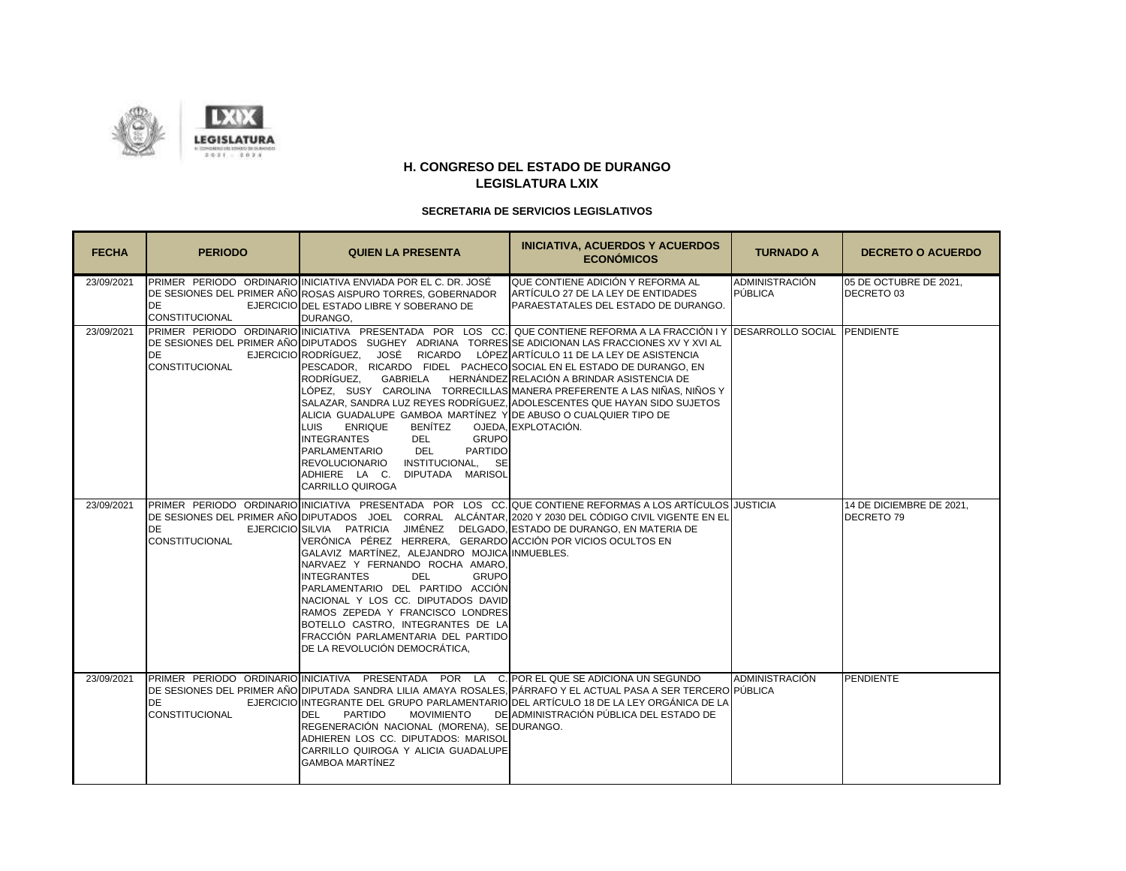



| <b>FECHA</b> | <b>PERIODO</b>                     | <b>QUIEN LA PRESENTA</b>                                                                                                                                                                                                                                                                                                                                                                                                                                                                                      | <b>INICIATIVA, ACUERDOS Y ACUERDOS</b><br><b>ECONÓMICOS</b>                                                                                                                                                                                                                                                                                                                                                                                                           | <b>TURNADO A</b>                 | <b>DECRETO O ACUERDO</b>                      |
|--------------|------------------------------------|---------------------------------------------------------------------------------------------------------------------------------------------------------------------------------------------------------------------------------------------------------------------------------------------------------------------------------------------------------------------------------------------------------------------------------------------------------------------------------------------------------------|-----------------------------------------------------------------------------------------------------------------------------------------------------------------------------------------------------------------------------------------------------------------------------------------------------------------------------------------------------------------------------------------------------------------------------------------------------------------------|----------------------------------|-----------------------------------------------|
| 23/09/2021   | <b>DE</b><br><b>CONSTITUCIONAL</b> | PRIMER PERIODO ORDINARIO INICIATIVA ENVIADA POR EL C. DR. JOSÉ<br>DE SESIONES DEL PRIMER AÑO ROSAS AISPURO TORRES, GOBERNADOR<br>EJERCICIO DEL ESTADO LIBRE Y SOBERANO DE<br>DURANGO,                                                                                                                                                                                                                                                                                                                         | QUE CONTIENE ADICIÓN Y REFORMA AL<br>ARTÍCULO 27 DE LA LEY DE ENTIDADES<br>PARAESTATALES DEL ESTADO DE DURANGO.                                                                                                                                                                                                                                                                                                                                                       | <b>ADMINISTRACIÓN</b><br>PÚBLICA | 05 DE OCTUBRE DE 2021,<br>DECRETO 03          |
| 23/09/2021   | <b>DE</b><br><b>CONSTITUCIONAL</b> | EJERCICIO RODRÍGUEZ, JOSÉ RICARDO LÓPEZ ARTÍCULO 11 DE LA LEY DE ASISTENCIA<br>PESCADOR, RICARDO FIDEL PACHECO SOCIAL EN EL ESTADO DE DURANGO, EN<br>RODRÍGUEZ.<br><b>GABRIELA</b><br>ALICIA GUADALUPE GAMBOA MARTÍNEZ Y DE ABUSO O CUALQUIER TIPO DE<br><b>BENÍTEZ</b><br>LUIS<br><b>ENRIQUE</b><br><b>INTEGRANTES</b><br><b>GRUPO</b><br>DEL.<br>PARLAMENTARIO<br><b>DEL</b><br><b>PARTIDO</b><br>REVOLUCIONARIO INSTITUCIONAL, SE<br>ADHIERE LA C. DIPUTADA MARISOL<br><b>CARRILLO QUIROGA</b>             | PRIMER PERIODO ORDINARIO INICIATIVA PRESENTADA POR LOS CC. QUE CONTIENE REFORMA A LA FRACCIÓN I Y DESARROLLO SOCIAL PENDIENTE<br>DE SESIONES DEL PRIMER AÑO DIPUTADOS   SUGHEY   ADRIANA   TORRES SE ADICIONAN LAS FRACCIONES XV Y XVI AL<br>HERNÁNDEZ RELACIÓN A BRINDAR ASISTENCIA DE<br>LÓPEZ, SUSY CAROLINA TORRECILLAS MANERA PREFERENTE A LAS NIÑAS, NIÑOS Y<br>SALAZAR, SANDRA LUZ REYES RODRÍGUEZ, ADOLESCENTES QUE HAYAN SIDO SUJETOS<br>OJEDA. EXPLOTACIÓN. |                                  |                                               |
| 23/09/2021   | <b>DE</b><br><b>CONSTITUCIONAL</b> | EJERCICIO SILVIA PATRICIA JIMÉNEZ DELGADO. ESTADO DE DURANGO. EN MATERIA DE<br>VERÓNICA PÉREZ HERRERA, GERARDO ACCIÓN POR VICIOS OCULTOS EN<br>GALAVIZ MARTÍNEZ, ALEJANDRO MOJICA INMUEBLES.<br>NARVAEZ Y FERNANDO ROCHA AMARO,<br><b>DEL</b><br><b>GRUPO</b><br><b>INTEGRANTES</b><br>PARLAMENTARIO DEL PARTIDO ACCIÓN<br>NACIONAL Y LOS CC. DIPUTADOS DAVID<br>RAMOS ZEPEDA Y FRANCISCO LONDRES<br>BOTELLO CASTRO, INTEGRANTES DE LA<br>FRACCIÓN PARLAMENTARIA DEL PARTIDO<br>DE LA REVOLUCIÓN DEMOCRÁTICA. | PRIMER PERIODO ORDINARIO INICIATIVA PRESENTADA POR LOS CC. QUE CONTIENE REFORMAS A LOS ARTÍCULOS JUSTICIA<br>DE SESIONES DEL PRIMER AÑO DIPUTADOS JOEL CORRAL ALCÁNTAR, 2020 Y 2030 DEL CÓDIGO CIVIL VIGENTE EN EL                                                                                                                                                                                                                                                    |                                  | 14 DE DICIEMBRE DE 2021.<br><b>DECRETO 79</b> |
| 23/09/2021   | <b>DE</b><br><b>CONSTITUCIONAL</b> | PRIMER PERIODO ORDINARIO INICIATIVA PRESENTADA POR LA C. POR EL QUE SE ADICIONA UN SEGUNDO<br><b>PARTIDO</b><br><b>MOVIMIENTO</b><br><b>DEL</b><br>REGENERACIÓN NACIONAL (MORENA), SE DURANGO.<br>ADHIEREN LOS CC. DIPUTADOS: MARISOL<br>CARRILLO QUIROGA Y ALICIA GUADALUPE<br><b>GAMBOA MARTÍNEZ</b>                                                                                                                                                                                                        | DE SESIONES DEL PRIMER AÑO│DIPUTADA SANDRA LILIA AMAYA ROSALES.│PÁRRAFO Y EL ACTUAL PASA A SER TERCERO│PÚBLICA<br>EJERCICIO INTEGRANTE DEL GRUPO PARLAMENTARIO DEL ARTÍCULO 18 DE LA LEY ORGÁNICA DE LA<br>DE ADMINISTRACIÓN PÚBLICA DEL ESTADO DE                                                                                                                                                                                                                    | ADMINISTRACIÓN                   | <b>PENDIENTE</b>                              |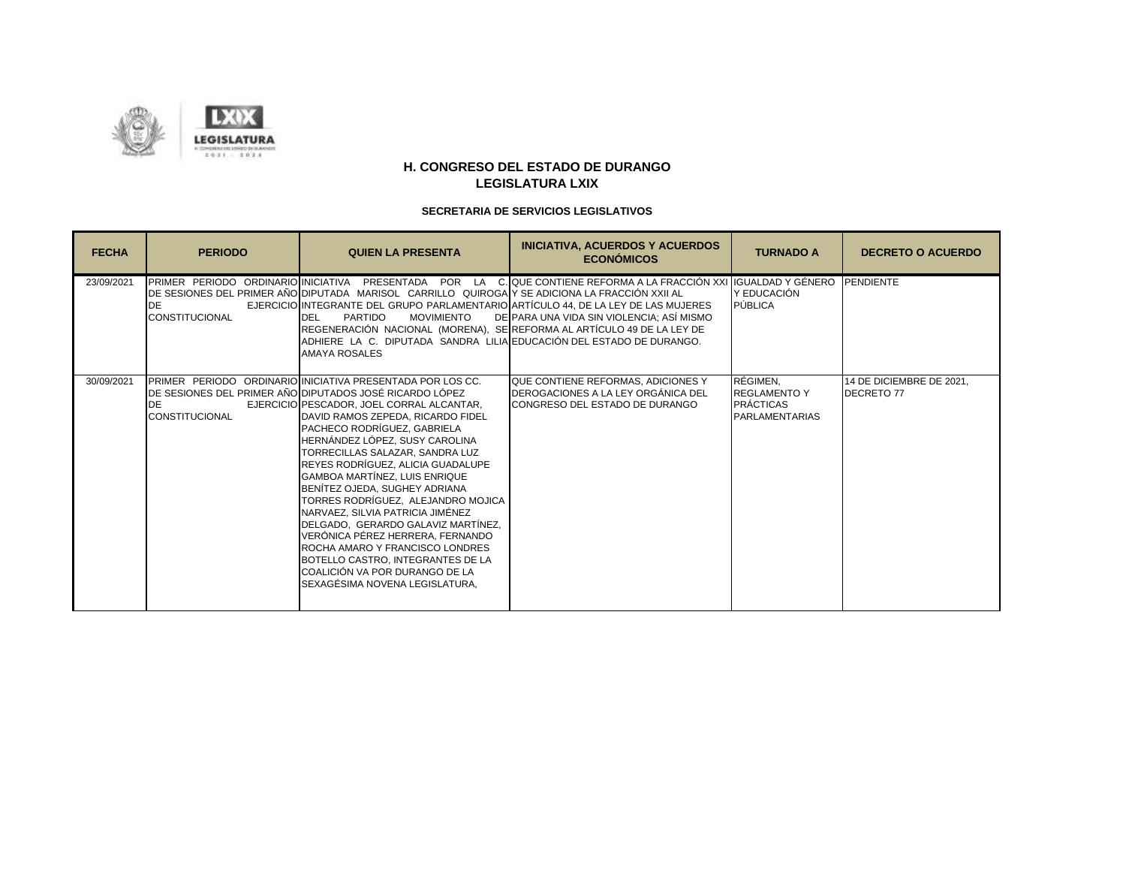



| <b>FECHA</b> | <b>PERIODO</b>                     | <b>QUIEN LA PRESENTA</b>                                                                                                                                                                                                                                                                                                                                                                                                                                                                                                                                                                                                                                                                                                   | <b>INICIATIVA, ACUERDOS Y ACUERDOS</b><br><b>ECONÓMICOS</b>                                                                                                               | <b>TURNADO A</b>                                                             | <b>DECRETO O ACUERDO</b>               |
|--------------|------------------------------------|----------------------------------------------------------------------------------------------------------------------------------------------------------------------------------------------------------------------------------------------------------------------------------------------------------------------------------------------------------------------------------------------------------------------------------------------------------------------------------------------------------------------------------------------------------------------------------------------------------------------------------------------------------------------------------------------------------------------------|---------------------------------------------------------------------------------------------------------------------------------------------------------------------------|------------------------------------------------------------------------------|----------------------------------------|
| 23/09/2021   | <b>DE</b><br><b>CONSTITUCIONAL</b> | DE SESIONES DEL PRIMER AÑO DIPUTADA MARISOL CARRILLO QUIROGA Y SE ADICIONA LA FRACCIÓN XXII AL<br>EJERCICIO INTEGRANTE DEL GRUPO PARLAMENTARIO ARTÍCULO 44, DE LA LEY DE LAS MUJERES<br>PARTIDO<br><b>MOVIMIENTO</b><br>DEL<br>REGENERACIÓN NACIONAL (MORENA), SE REFORMA AL ARTÍCULO 49 DE LA LEY DE<br>ADHIERE LA C. DIPUTADA SANDRA LILIA EDUCACIÓN DEL ESTADO DE DURANGO.<br><b>AMAYA ROSALES</b>                                                                                                                                                                                                                                                                                                                      | PRIMER PERIODO ORDINARIO INICIATIVA PRESENTADA POR LA C. QUE CONTIENE REFORMA A LA FRACCIÓN XXI IIGUALDAD Y GÉNERO PENDIENTE<br>DE PARA UNA VIDA SIN VIOLENCIA; ASÍ MISMO | Y EDUCACIÓN<br><b>PÚBLICA</b>                                                |                                        |
| 30/09/2021   | <b>DE</b><br><b>CONSTITUCIONAL</b> | PRIMER PERIODO ORDINARIO INICIATIVA PRESENTADA POR LOS CC.<br>DE SESIONES DEL PRIMER AÑO DIPUTADOS JOSÉ RICARDO LÓPEZ<br>EJERCICIO PESCADOR, JOEL CORRAL ALCANTAR,<br>DAVID RAMOS ZEPEDA, RICARDO FIDEL<br>PACHECO RODRÍGUEZ. GABRIELA<br>HERNÁNDEZ LÓPEZ. SUSY CAROLINA<br>TORRECILLAS SALAZAR. SANDRA LUZ<br>REYES RODRÍGUEZ, ALICIA GUADALUPE<br><b>GAMBOA MARTÍNEZ, LUIS ENRIQUE</b><br>BENÍTEZ OJEDA. SUGHEY ADRIANA<br>TORRES RODRÍGUEZ,  ALEJANDRO MOJICA<br>NARVAEZ, SILVIA PATRICIA JIMÉNEZ<br>DELGADO, GERARDO GALAVIZ MARTÍNEZ,<br>VERÓNICA PÉREZ HERRERA, FERNANDO<br>ROCHA AMARO Y FRANCISCO LONDRES<br>BOTELLO CASTRO. INTEGRANTES DE LA<br>COALICIÓN VA POR DURANGO DE LA<br>SEXAGÉSIMA NOVENA LEGISLATURA. | QUE CONTIENE REFORMAS, ADICIONES Y<br>DEROGACIONES A LA LEY ORGÁNICA DEL<br>CONGRESO DEL ESTADO DE DURANGO                                                                | RÉGIMEN,<br><b>REGLAMENTO Y</b><br><b>PRÁCTICAS</b><br><b>PARLAMENTARIAS</b> | 14 DE DICIEMBRE DE 2021.<br>DECRETO 77 |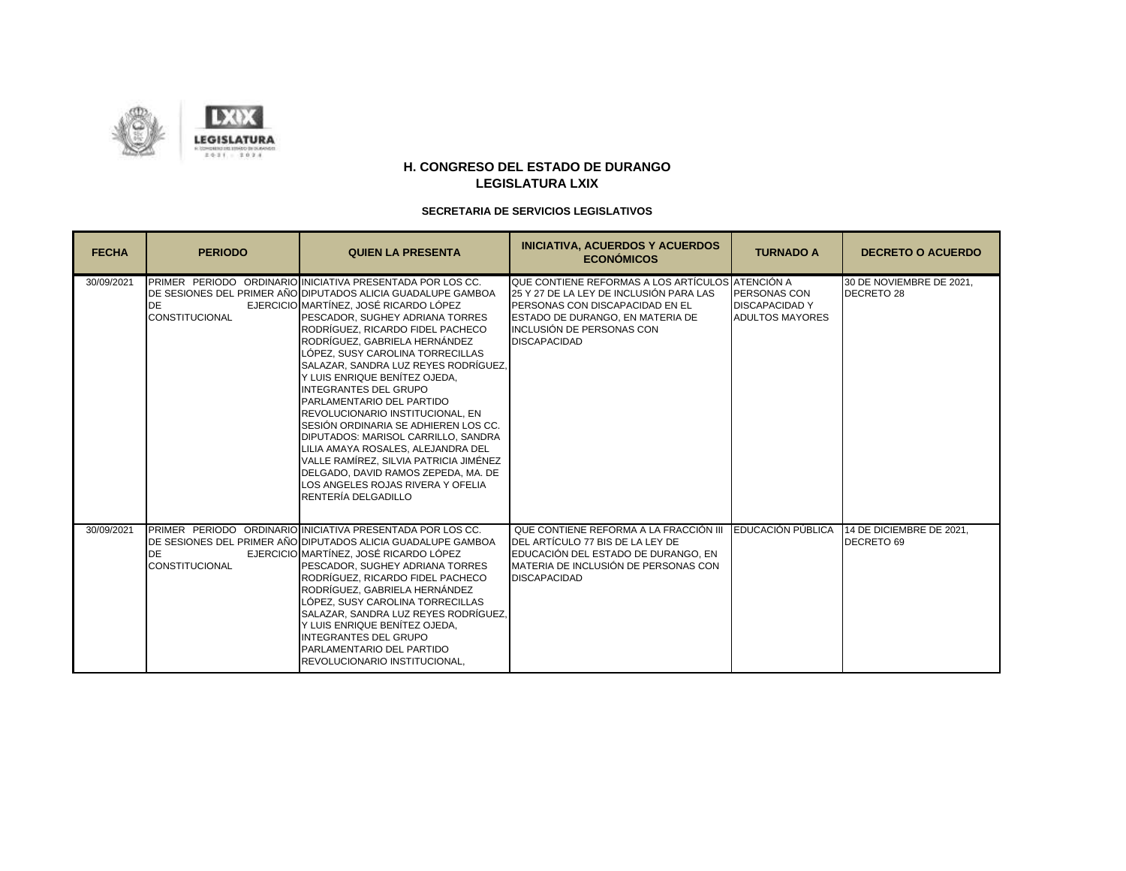



| <b>FECHA</b> | <b>PERIODO</b>                     | <b>QUIEN LA PRESENTA</b>                                                                                                                                                                                                                                                                                                                                                                                                                                                                                                                                                                                                                                                                                                                                           | <b>INICIATIVA, ACUERDOS Y ACUERDOS</b><br><b>ECONÓMICOS</b>                                                                                                                                                            | <b>TURNADO A</b>                                                       | <b>DECRETO O ACUERDO</b>                                 |
|--------------|------------------------------------|--------------------------------------------------------------------------------------------------------------------------------------------------------------------------------------------------------------------------------------------------------------------------------------------------------------------------------------------------------------------------------------------------------------------------------------------------------------------------------------------------------------------------------------------------------------------------------------------------------------------------------------------------------------------------------------------------------------------------------------------------------------------|------------------------------------------------------------------------------------------------------------------------------------------------------------------------------------------------------------------------|------------------------------------------------------------------------|----------------------------------------------------------|
| 30/09/2021   | <b>DE</b><br><b>CONSTITUCIONAL</b> | <b>PRIMER PERIODO ORDINARIO INICIATIVA PRESENTADA POR LOS CC.</b><br>DE SESIONES DEL PRIMER AÑO DIPUTADOS ALICIA GUADALUPE GAMBOA<br>EJERCICIO MARTÍNEZ, JOSÉ RICARDO LÓPEZ<br>PESCADOR. SUGHEY ADRIANA TORRES<br>RODRÍGUEZ, RICARDO FIDEL PACHECO<br>RODRÍGUEZ. GABRIELA HERNÁNDEZ<br>ÓPEZ, SUSY CAROLINA TORRECILLAS<br>SALAZAR, SANDRA LUZ REYES RODRÍGUEZ,<br>Y LUIS ENRIQUE BENÍTEZ OJEDA.<br><b>INTEGRANTES DEL GRUPO</b><br>PARLAMENTARIO DEL PARTIDO<br>REVOLUCIONARIO INSTITUCIONAL, EN<br>SESIÓN ORDINARIA SE ADHIEREN LOS CC.<br>DIPUTADOS: MARISOL CARRILLO, SANDRA<br>LILIA AMAYA ROSALES. ALEJANDRA DEL<br>VALLE RAMÍREZ, SILVIA PATRICIA JIMÉNEZ<br>DELGADO, DAVID RAMOS ZEPEDA, MA. DE<br>LOS ANGELES ROJAS RIVERA Y OFELIA<br>RENTERÍA DELGADILLO | QUE CONTIENE REFORMAS A LOS ARTÍCULOS ATENCIÓN A<br>25 Y 27 DE LA LEY DE INCLUSIÓN PARA LAS<br>PERSONAS CON DISCAPACIDAD EN EL<br>ESTADO DE DURANGO, EN MATERIA DE<br>INCLUSIÓN DE PERSONAS CON<br><b>DISCAPACIDAD</b> | <b>PERSONAS CON</b><br><b>DISCAPACIDAD Y</b><br><b>ADULTOS MAYORES</b> | 30 DE NOVIEMBRE DE 2021,<br>DECRETO 28                   |
| 30/09/2021   | <b>DE</b><br><b>CONSTITUCIONAL</b> | <b>PRIMER PERIODO ORDINARIO INICIATIVA PRESENTADA POR LOS CC.</b><br>DE SESIONES DEL PRIMER AÑO DIPUTADOS ALICIA GUADALUPE GAMBOA<br>EJERCICIO MARTÍNEZ, JOSÉ RICARDO LÓPEZ<br>PESCADOR, SUGHEY ADRIANA TORRES<br>RODRÍGUEZ. RICARDO FIDEL PACHECO<br>RODRÍGUEZ. GABRIELA HERNÁNDEZ<br>LÓPEZ. SUSY CAROLINA TORRECILLAS<br>SALAZAR. SANDRA LUZ REYES RODRÍGUEZ.<br>Y LUIS ENRIQUE BENÍTEZ OJEDA.<br><b>INTEGRANTES DEL GRUPO</b><br>PARLAMENTARIO DEL PARTIDO<br>REVOLUCIONARIO INSTITUCIONAL,                                                                                                                                                                                                                                                                     | QUE CONTIENE REFORMA A LA FRACCIÓN III.<br>DEL ARTÍCULO 77 BIS DE LA LEY DE<br>EDUCACIÓN DEL ESTADO DE DURANGO. EN<br>MATERIA DE INCLUSIÓN DE PERSONAS CON<br><b>DISCAPACIDAD</b>                                      |                                                                        | EDUCACIÓN PÚBLICA 14 DE DICIEMBRE DE 2021,<br>DECRETO 69 |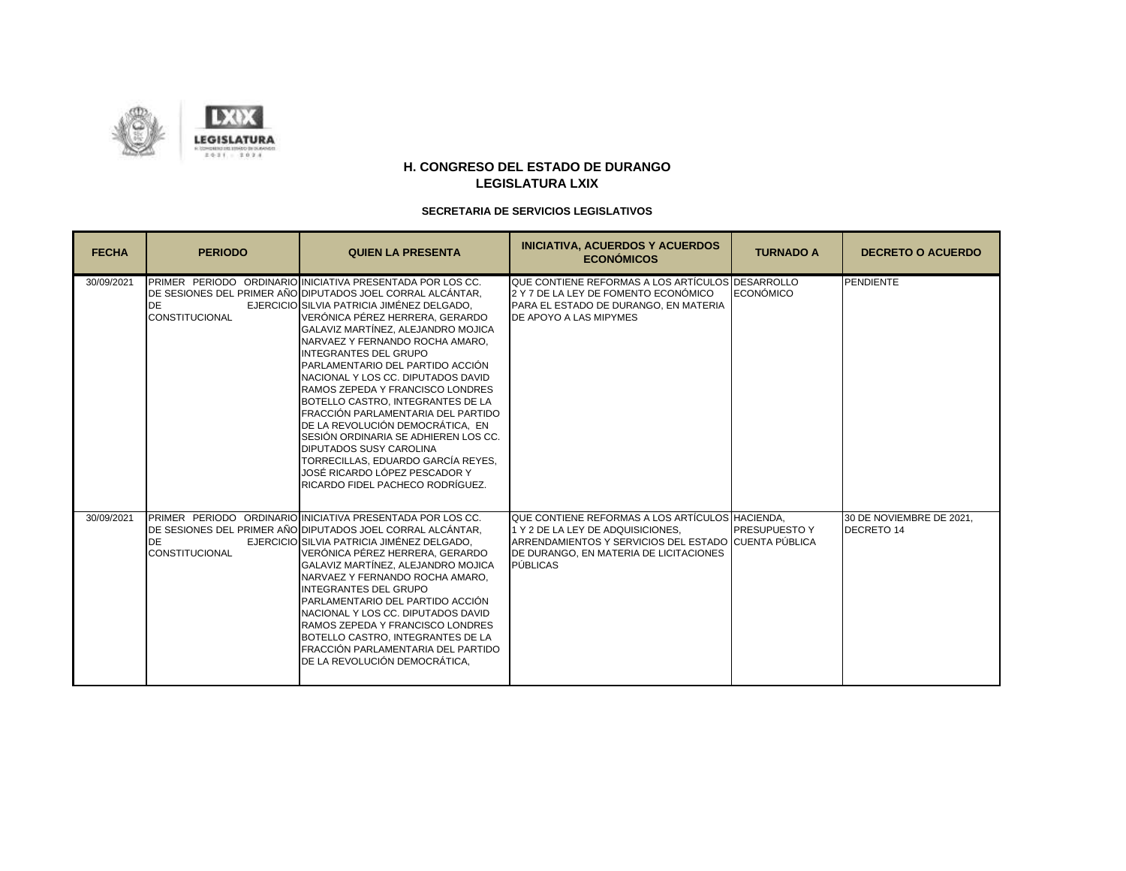



| <b>FECHA</b> | <b>PERIODO</b>                     | <b>QUIEN LA PRESENTA</b>                                                                                                                                                                                                                                                                                                                                                                                                                                                                                                                                                                                                                                                                                                                    | <b>INICIATIVA, ACUERDOS Y ACUERDOS</b><br><b>ECONÓMICOS</b>                                                                                                                                               | <b>TURNADO A</b>     | <b>DECRETO O ACUERDO</b>                      |
|--------------|------------------------------------|---------------------------------------------------------------------------------------------------------------------------------------------------------------------------------------------------------------------------------------------------------------------------------------------------------------------------------------------------------------------------------------------------------------------------------------------------------------------------------------------------------------------------------------------------------------------------------------------------------------------------------------------------------------------------------------------------------------------------------------------|-----------------------------------------------------------------------------------------------------------------------------------------------------------------------------------------------------------|----------------------|-----------------------------------------------|
| 30/09/2021   | <b>DE</b><br><b>CONSTITUCIONAL</b> | <b>PRIMER PERIODO ORDINARIO INICIATIVA PRESENTADA POR LOS CC.</b><br>DE SESIONES DEL PRIMER AÑO DIPUTADOS JOEL CORRAL ALCÁNTAR,<br>EJERCICIO SILVIA PATRICIA JIMÉNEZ DELGADO.<br>VERÓNICA PÉREZ HERRERA, GERARDO<br>GALAVIZ MARTÍNEZ, ALEJANDRO MOJICA<br>NARVAEZ Y FERNANDO ROCHA AMARO.<br><b>INTEGRANTES DEL GRUPO</b><br>PARLAMENTARIO DEL PARTIDO ACCIÓN<br>NACIONAL Y LOS CC. DIPUTADOS DAVID<br>RAMOS ZEPEDA Y FRANCISCO LONDRES<br>BOTELLO CASTRO, INTEGRANTES DE LA<br>FRACCIÓN PARLAMENTARIA DEL PARTIDO<br>DE LA REVOLUCIÓN DEMOCRÁTICA, EN<br>SESIÓN ORDINARIA SE ADHIEREN LOS CC.<br><b>DIPUTADOS SUSY CAROLINA</b><br>TORRECILLAS, EDUARDO GARCÍA REYES,<br>JOSÉ RICARDO LÓPEZ PESCADOR Y<br>RICARDO FIDEL PACHECO RODRÍGUEZ. | QUE CONTIENE REFORMAS A LOS ARTÍCULOS DESARROLLO<br>2 Y 7 DE LA LEY DE FOMENTO ECONÓMICO<br>PARA EL ESTADO DE DURANGO. EN MATERIA<br><b>DE APOYO A LAS MIPYMES</b>                                        | <b>ECONÓMICO</b>     | PENDIENTE                                     |
| 30/09/2021   | <b>DE</b><br><b>CONSTITUCIONAL</b> | PRIMER PERIODO ORDINARIO INICIATIVA PRESENTADA POR LOS CC.<br>DE SESIONES DEL PRIMER AÑO DIPUTADOS JOEL CORRAL ALCÁNTAR.<br>EJERCICIO SILVIA PATRICIA JIMÉNEZ DELGADO.<br>VERÓNICA PÉREZ HERRERA, GERARDO<br>GALAVIZ MARTÍNEZ, ALEJANDRO MOJICA<br>NARVAEZ Y FERNANDO ROCHA AMARO.<br><b>INTEGRANTES DEL GRUPO</b><br>PARLAMENTARIO DEL PARTIDO ACCIÓN<br>NACIONAL Y LOS CC. DIPUTADOS DAVID<br>RAMOS ZEPEDA Y FRANCISCO LONDRES<br>BOTELLO CASTRO. INTEGRANTES DE LA<br>FRACCIÓN PARLAMENTARIA DEL PARTIDO<br>DE LA REVOLUCIÓN DEMOCRÁTICA,                                                                                                                                                                                                | QUE CONTIENE REFORMAS A LOS ARTÍCULOS HACIENDA.<br>1 Y 2 DE LA LEY DE ADQUISICIONES.<br>ARRENDAMIENTOS Y SERVICIOS DEL ESTADO CUENTA PÚBLICA<br>DE DURANGO, EN MATERIA DE LICITACIONES<br><b>PÚBLICAS</b> | <b>PRESUPUESTO Y</b> | 30 DE NOVIEMBRE DE 2021.<br><b>DECRETO 14</b> |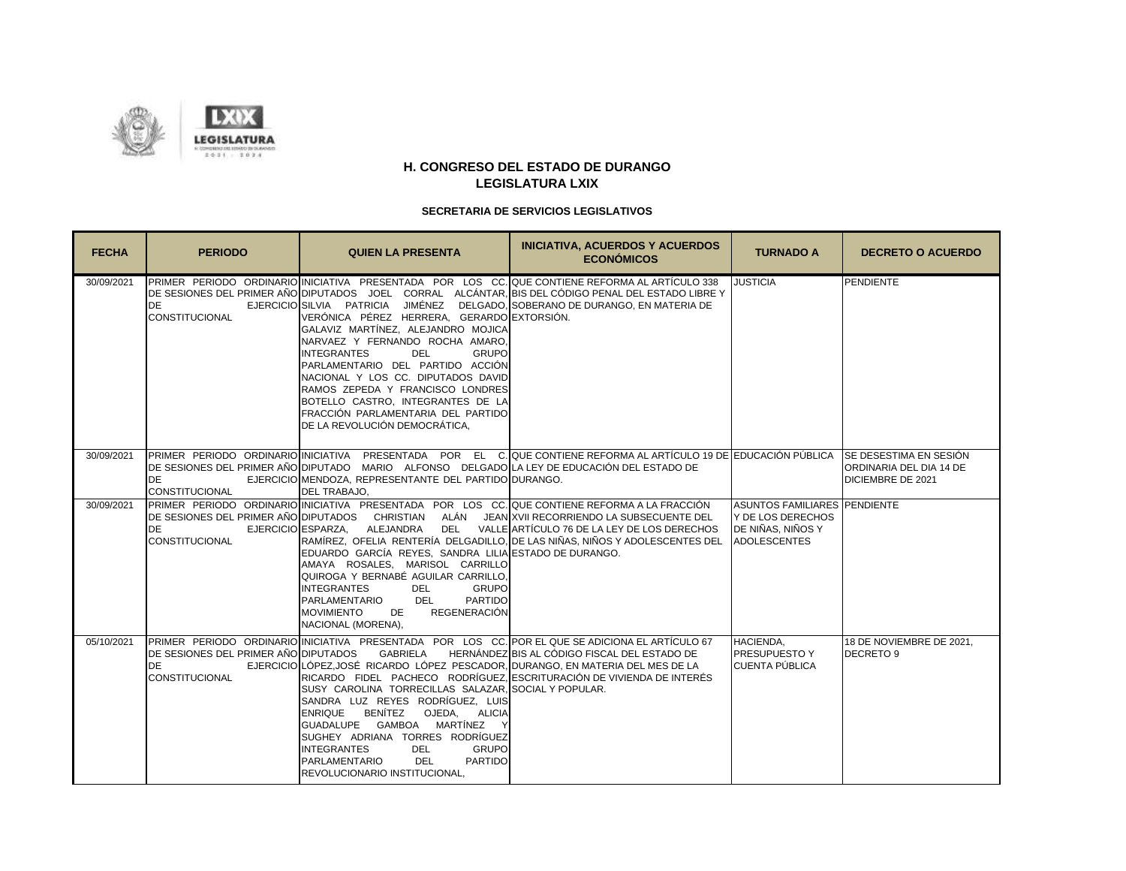

| <b>FECHA</b> | <b>PERIODO</b>                                                      | <b>QUIEN LA PRESENTA</b>                                                                                                                                                                                                                                                                                                                                                                                                                                                                                                                                                                                                           | <b>INICIATIVA, ACUERDOS Y ACUERDOS</b><br><b>ECONÓMICOS</b>                                                                                                                                           | <b>TURNADO A</b>                                                                              | <b>DECRETO O ACUERDO</b>                     |
|--------------|---------------------------------------------------------------------|------------------------------------------------------------------------------------------------------------------------------------------------------------------------------------------------------------------------------------------------------------------------------------------------------------------------------------------------------------------------------------------------------------------------------------------------------------------------------------------------------------------------------------------------------------------------------------------------------------------------------------|-------------------------------------------------------------------------------------------------------------------------------------------------------------------------------------------------------|-----------------------------------------------------------------------------------------------|----------------------------------------------|
| 30/09/2021   | DE<br><b>CONSTITUCIONAL</b>                                         | EJERCICIO SILVIA PATRICIA JIMÉNEZ DELGADO, SOBERANO DE DURANGO, EN MATERIA DE<br>VERÓNICA PÉREZ HERRERA, GERARDO EXTORSIÓN.<br>GALAVIZ MARTÍNEZ, ALEJANDRO MOJICA<br>NARVAEZ Y FERNANDO ROCHA AMARO,<br><b>INTEGRANTES</b><br><b>DEL</b><br>GRUPO<br>PARLAMENTARIO DEL PARTIDO ACCIÓN<br>NACIONAL Y LOS CC. DIPUTADOS DAVID<br>RAMOS ZEPEDA Y FRANCISCO LONDRES<br>BOTELLO CASTRO, INTEGRANTES DE LA<br>FRACCIÓN PARLAMENTARIA DEL PARTIDO<br>DE LA REVOLUCIÓN DEMOCRÁTICA,                                                                                                                                                        | PRIMER PERIODO ORDINARIO INICIATIVA PRESENTADA POR LOS CC. QUE CONTIENE REFORMA AL ARTÍCULO 338<br>DE SESIONES DEL PRIMER AÑO DIPUTADOS JOEL CORRAL ALCÁNTAR, BIS DEL CÓDIGO PENAL DEL ESTADO LIBRE Y | <b>JUSTICIA</b>                                                                               | PENDIENTE                                    |
| 30/09/2021   | DE<br><b>CONSTITUCIONAL</b>                                         | DE SESIONES DEL PRIMER AÑO DIPUTADO MARIO ALFONSO DELGADO LA LEY DE EDUCACIÓN DEL ESTADO DE<br>EJERCICIO MENDOZA, REPRESENTANTE DEL PARTIDO DURANGO.<br>DEL TRABAJO,                                                                                                                                                                                                                                                                                                                                                                                                                                                               | PRIMER PERIODO ORDINARIO INICIATIVA PRESENTADA POR EL C. QUE CONTIENE REFORMA AL ARTÍCULO 19 DE EDUCACIÓN PÚBLICA SE DESESTIMA EN SESIÓN                                                              |                                                                                               | ORDINARIA DEL DIA 14 DE<br>DICIEMBRE DE 2021 |
| 30/09/2021   | DE<br><b>CONSTITUCIONAL</b>                                         | PRIMER PERIODO ORDINARIO INICIATIVA PRESENTADA POR LOS CC. QUE CONTIENE REFORMA A LA FRACCIÓN<br>DE SESIONES DEL PRIMER AÑO DIPUTADOS CHRISTIAN ALÁN JEAN XVII RECORRIENDO LA SUBSECUENTE DEL<br>EJERCICIO ESPARZA.<br>ALEJANDRA<br>EDUARDO GARCÍA REYES, SANDRA LILIA ESTADO DE DURANGO.<br>AMAYA ROSALES, MARISOL CARRILLO<br>QUIROGA Y BERNABÉ AGUILAR CARRILLO,<br><b>INTEGRANTES</b><br><b>DEL</b><br>GRUPO<br><b>PARTIDO</b><br>PARLAMENTARIO<br><b>DEL</b><br><b>MOVIMIENTO</b><br>REGENERACIÓN<br>DE<br>NACIONAL (MORENA),                                                                                                 | DEL VALLE ARTÍCULO 76 DE LA LEY DE LOS DERECHOS<br>RAMÍREZ, OFELIA RENTERÍA DELGADILLO, DE LAS NIÑAS, NIÑOS Y ADOLESCENTES DEL                                                                        | ASUNTOS FAMILIARES PENDIENTE<br>Y DE LOS DERECHOS<br>DE NIÑAS, NIÑOS Y<br><b>ADOLESCENTES</b> |                                              |
| 05/10/2021   | DE SESIONES DEL PRIMER AÑO DIPUTADOS<br>DE<br><b>CONSTITUCIONAL</b> | PRIMER PERIODO ORDINARIO INICIATIVA PRESENTADA POR LOS CC. POR EL QUE SE ADICIONA EL ARTÍCULO 67<br><b>GABRIELA</b><br>EJERCICIO LÓPEZ, JOSÉ RICARDO LÓPEZ PESCADOR, DURANGO, EN MATERIA DEL MES DE LA<br>RICARDO FIDEL PACHECO RODRÍGUEZ, ESCRITURACIÓN DE VIVIENDA DE INTERÉS<br>SUSY CAROLINA TORRECILLAS SALAZAR, SOCIAL Y POPULAR.<br>SANDRA LUZ REYES RODRÍGUEZ, LUIS<br><b>ENRIQUE</b><br>BENÍTEZ<br>OJEDA, ALICIA<br>GUADALUPE GAMBOA MARTÍNEZ Y<br>SUGHEY ADRIANA TORRES RODRÍGUEZ<br><b>INTEGRANTES</b><br><b>DEL</b><br><b>GRUPO</b><br><b>PARTIDO</b><br><b>PARLAMENTARIO</b><br>DEL.<br>REVOLUCIONARIO INSTITUCIONAL, | HERNÁNDEZ BIS AL CÓDIGO FISCAL DEL ESTADO DE                                                                                                                                                          | HACIENDA,<br>PRESUPUESTO Y<br>CUENTA PÚBLICA                                                  | 18 DE NOVIEMBRE DE 2021,<br>DECRETO 9        |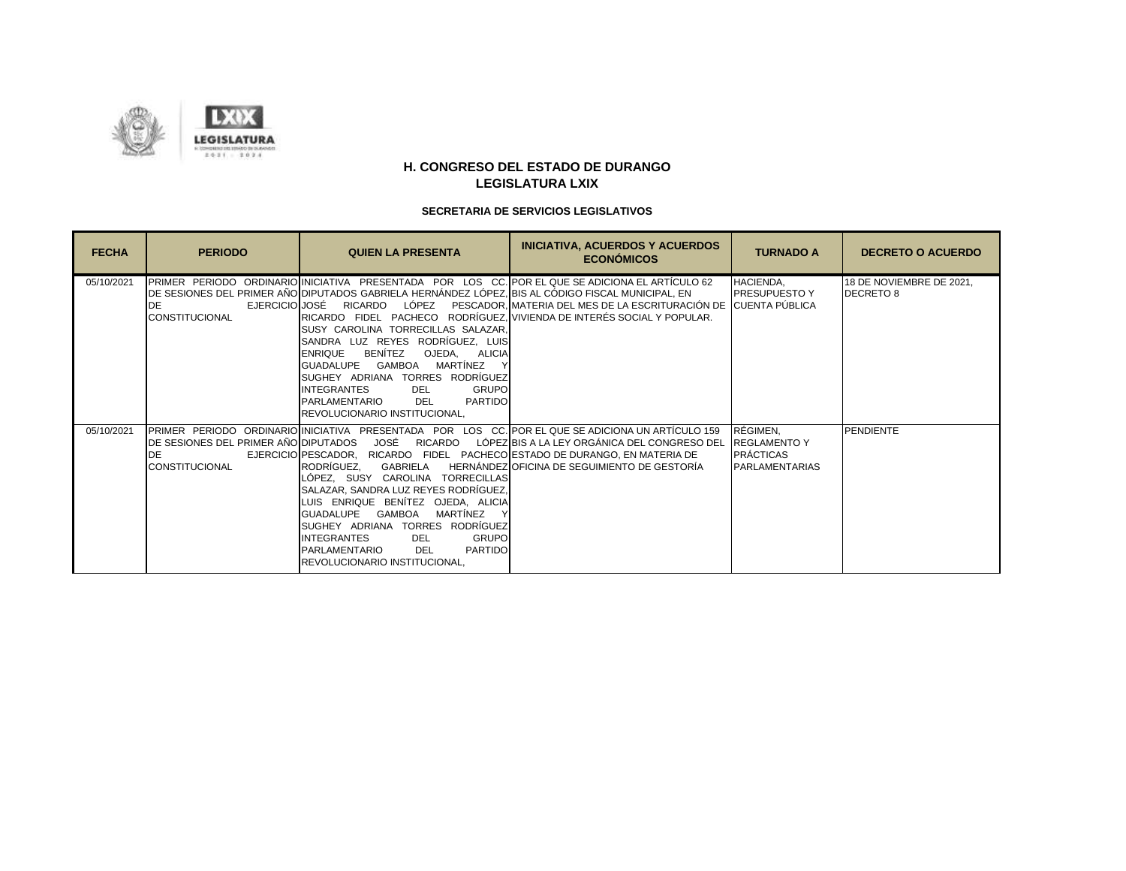

| <b>FECHA</b> | <b>PERIODO</b>                                                      | <b>QUIEN LA PRESENTA</b>                                                                                                                                                                                                                                                                                                                                                                                                                                                                                                                                                                                                                                | <b>INICIATIVA, ACUERDOS Y ACUERDOS</b><br><b>ECONÓMICOS</b>                                                                                                                                       | <b>TURNADO A</b>                                                             | <b>DECRETO O ACUERDO</b>                     |
|--------------|---------------------------------------------------------------------|---------------------------------------------------------------------------------------------------------------------------------------------------------------------------------------------------------------------------------------------------------------------------------------------------------------------------------------------------------------------------------------------------------------------------------------------------------------------------------------------------------------------------------------------------------------------------------------------------------------------------------------------------------|---------------------------------------------------------------------------------------------------------------------------------------------------------------------------------------------------|------------------------------------------------------------------------------|----------------------------------------------|
| 05/10/2021   | DE<br><b>CONSTITUCIONAL</b>                                         | PRIMER PERIODO ORDINARIO INICIATIVA PRESENTADA POR LOS CC. POR EL QUE SE ADICIONA EL ARTÍCULO 62<br>DE SESIONES DEL PRIMER AÑO DIPUTADOS GABRIELA HERNÁNDEZ LÓPEZ BIIS AL CÓDIGO FISCAL MUNICIPAL, EN<br>EJERCICIO JOSÉ RICARDO<br>RICARDO FIDEL PACHECO RODRÍGUEZ, VIVIENDA DE INTERÉS SOCIAL Y POPULAR.<br>SUSY CAROLINA TORRECILLAS SALAZAR.<br>SANDRA LUZ REYES RODRÍGUEZ, LUIS<br><b>BENÍTEZ</b><br><b>ENRIQUE</b><br>OJEDA.<br><b>ALICIA</b><br>MARTÍNEZ<br>GUADALUPE<br>GAMBOA<br>SUGHEY ADRIANA TORRES RODRÍGUEZ<br><b>INTEGRANTES</b><br>DEL<br><b>GRUPO</b><br><b>PARTIDO</b><br><b>PARLAMENTARIO</b><br>DEL<br>REVOLUCIONARIO INSTITUCIONAL. | LÓPEZ PESCADOR, MATERIA DEL MES DE LA ESCRITURACIÓN DE CUENTA PÚBLICA                                                                                                                             | HACIENDA,<br><b>PRESUPUESTO Y</b>                                            | 18 DE NOVIEMBRE DE 2021,<br><b>DECRETO 8</b> |
| 05/10/2021   | DE SESIONES DEL PRIMER AÑO DIPUTADOS<br>DE<br><b>CONSTITUCIONAL</b> | JOSÉ RICARDO<br>EJERCICIO PESCADOR, RICARDO FIDEL PACHECO ESTADO DE DURANGO, EN MATERIA DE<br>RODRÍGUEZ.<br>GABRIELA<br>LÓPEZ, SUSY CAROLINA TORRECILLAS<br>SALAZAR, SANDRA LUZ REYES RODRÍGUEZ,<br>LUIS ENRIQUE BENÍTEZ OJEDA, ALICIA<br>GUADALUPE GAMBOA<br>MARTÍNEZ<br>SUGHEY ADRIANA TORRES RODRÍGUEZ<br><b>DEL</b><br><b>GRUPO</b><br><b>INTEGRANTES</b><br>DEL<br><b>PARTIDO</b><br><b>PARLAMENTARIO</b><br>REVOLUCIONARIO INSTITUCIONAL.                                                                                                                                                                                                         | PRIMER PERIODO ORDINARIO INICIATIVA PRESENTADA POR LOS CC. POR EL QUE SE ADICIONA UN ARTÍCULO 159<br>LÓPEZ BIS A LA LEY ORGÁNICA DEL CONGRESO DEL<br>HERNÁNDEZ OFICINA DE SEGUIMIENTO DE GESTORÍA | RÉGIMEN,<br><b>REGLAMENTO Y</b><br><b>PRÁCTICAS</b><br><b>PARLAMENTARIAS</b> | <b>PENDIENTE</b>                             |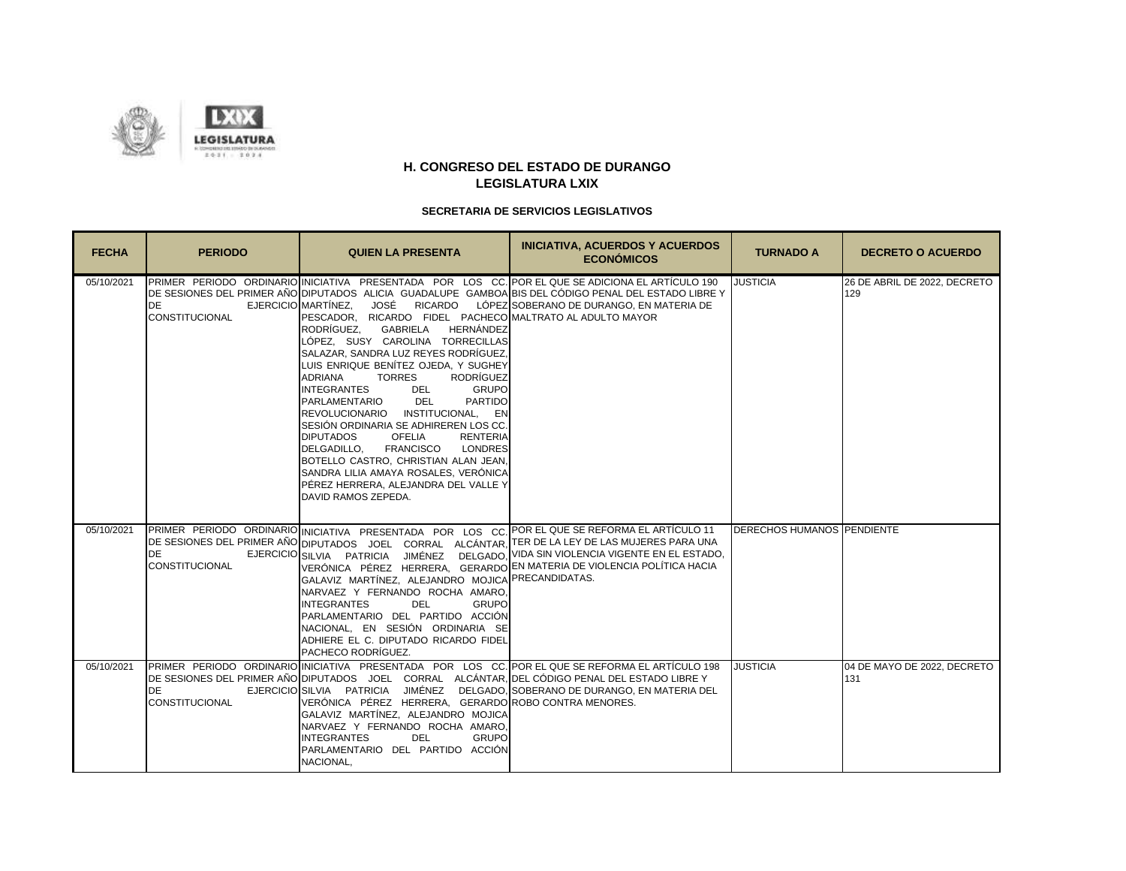

| <b>FECHA</b> | <b>PERIODO</b>                     | <b>QUIEN LA PRESENTA</b>                                                                                                                                                                                                                                                                                                                                                                                                                                                                                                                                                                                                                                                                                                                             | <b>INICIATIVA, ACUERDOS Y ACUERDOS</b><br><b>ECONÓMICOS</b>                                                                                                                                                                                                       | <b>TURNADO A</b>                  | <b>DECRETO O ACUERDO</b>            |
|--------------|------------------------------------|------------------------------------------------------------------------------------------------------------------------------------------------------------------------------------------------------------------------------------------------------------------------------------------------------------------------------------------------------------------------------------------------------------------------------------------------------------------------------------------------------------------------------------------------------------------------------------------------------------------------------------------------------------------------------------------------------------------------------------------------------|-------------------------------------------------------------------------------------------------------------------------------------------------------------------------------------------------------------------------------------------------------------------|-----------------------------------|-------------------------------------|
| 05/10/2021   | <b>DE</b><br><b>CONSTITUCIONAL</b> | JOSÉ RICARDO<br>EJERCICIO MARTÍNEZ.<br>PESCADOR, RICARDO FIDEL PACHECO MALTRATO AL ADULTO MAYOR<br>HERNÁNDEZ<br>RODRÍGUEZ.<br>GABRIELA<br>LÓPEZ, SUSY CAROLINA TORRECILLAS<br>SALAZAR, SANDRA LUZ REYES RODRÍGUEZ,<br>LUIS ENRIQUE BENÍTEZ OJEDA, Y SUGHEY<br><b>RODRÍGUEZ</b><br>ADRIANA<br>TORRES<br>GRUPO<br><b>INTEGRANTES</b><br><b>DEL</b><br><b>PARTIDO</b><br><b>PARLAMENTARIO</b><br><b>DEL</b><br>REVOLUCIONARIO INSTITUCIONAL.<br>EN<br>SESIÓN ORDINARIA SE ADHIREREN LOS CC.<br><b>DIPUTADOS</b><br><b>OFELIA</b><br><b>RENTERIA</b><br><b>FRANCISCO</b><br><b>LONDRES</b><br>DELGADILLO.<br>BOTELLO CASTRO, CHRISTIAN ALAN JEAN,<br>SANDRA LILIA AMAYA ROSALES, VERÓNICA<br>PÉREZ HERRERA, ALEJANDRA DEL VALLE Y<br>DAVID RAMOS ZEPEDA. | PRIMER PERIODO ORDINARIO INICIATIVA PRESENTADA POR LOS CC. POR EL QUE SE ADICIONA EL ARTÍCULO 190<br>DE SESIONES DEL PRIMER AÑO DIPUTADOS ALICIA GUADALUPE GAMBOA BIS DEL CÓDIGO PENAL DEL ESTADO LIBRE Y<br>LÓPEZ SOBERANO DE DURANGO. EN MATERIA DE             | <b>JUSTICIA</b>                   | 26 DE ABRIL DE 2022, DECRETO<br>129 |
| 05/10/2021   | <b>DE</b><br><b>CONSTITUCIONAL</b> | PRIMER PERIODO ORDINARIO INICIATIVA PRESENTADA POR LOS CC. POR EL QUE SE REFORMA EL ARTÍCULO 11<br>GALAVIZ MARTÍNEZ, ALEJANDRO MOJICA PRECANDIDATAS.<br>NARVAEZ Y FERNANDO ROCHA AMARO,<br><b>DEL</b><br><b>INTEGRANTES</b><br>GRUPO<br>PARLAMENTARIO DEL PARTIDO ACCIÓN<br>NACIONAL, EN SESIÓN ORDINARIA SE<br>ADHIERE EL C. DIPUTADO RICARDO FIDEL<br>PACHECO RODRÍGUEZ.                                                                                                                                                                                                                                                                                                                                                                           | DE SESIONES DEL PRIMER AÑO DIPUTADOS JOEL CORRAL ALCÁNTAR, TER DE LA LEY DE LAS MUJERES PARA UNA<br>EJERCICIO SILVIA PATRICIA JIMÉNEZ DELGADO, VIDA SIN VIOLENCIA VIGENTE EN EL ESTADO,<br>VERÓNICA PÉREZ HERRERA, GERARDO EN MATERIA DE VIOLENCIA POLÍTICA HACIA | <b>DERECHOS HUMANOS PENDIENTE</b> |                                     |
| 05/10/2021   | <b>DE</b><br><b>CONSTITUCIONAL</b> | DE SESIONES DEL PRIMER AÑO DIPUTADOS JOEL CORRAL ALCÁNTAR, DEL CÓDIGO PENAL DEL ESTADO LIBRE Y<br>VERÓNICA PÉREZ HERRERA, GERARDO ROBO CONTRA MENORES.<br>GALAVIZ MARTÍNEZ, ALEJANDRO MOJICA<br>NARVAEZ Y FERNANDO ROCHA AMARO,<br><b>INTEGRANTES</b><br><b>GRUPO</b><br><b>DEL</b><br>PARLAMENTARIO DEL PARTIDO ACCIÓN<br>NACIONAL.                                                                                                                                                                                                                                                                                                                                                                                                                 | PRIMER PERIODO ORDINARIO INICIATIVA PRESENTADA POR LOS CC. POR EL QUE SE REFORMA EL ARTÍCULO 198<br>EJERCICIO SILVIA PATRICIA JIMÉNEZ DELGADO, SOBERANO DE DURANGO, EN MATERIA DEL                                                                                | <b>JUSTICIA</b>                   | 04 DE MAYO DE 2022, DECRETO<br>131  |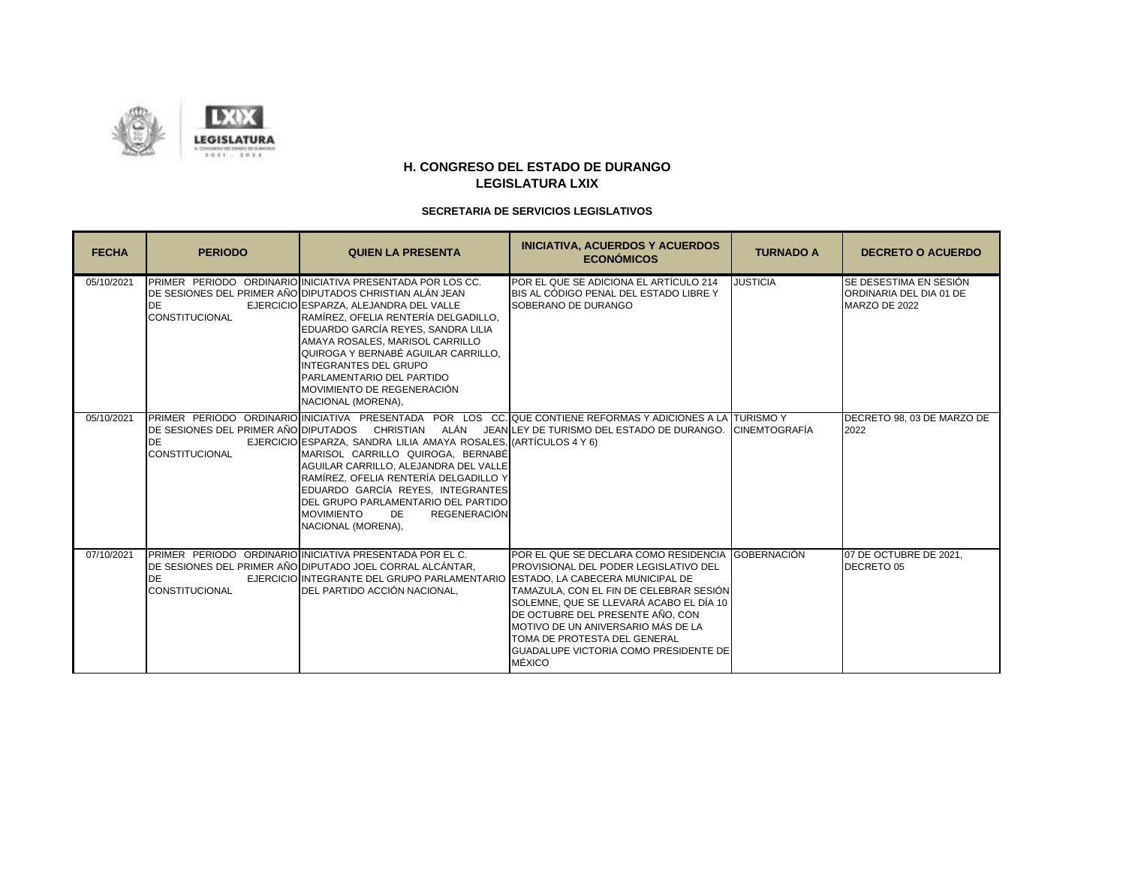

| <b>FECHA</b> | <b>PERIODO</b>                      | <b>QUIEN LA PRESENTA</b>                                                                                                                                                                                                                                                                                                                                                                                                                          | <b>INICIATIVA, ACUERDOS Y ACUERDOS</b><br><b>ECONÓMICOS</b>                                                                                                                                                                                                                                                                                                                              | <b>TURNADO A</b>     | <b>DECRETO O ACUERDO</b>                                           |
|--------------|-------------------------------------|---------------------------------------------------------------------------------------------------------------------------------------------------------------------------------------------------------------------------------------------------------------------------------------------------------------------------------------------------------------------------------------------------------------------------------------------------|------------------------------------------------------------------------------------------------------------------------------------------------------------------------------------------------------------------------------------------------------------------------------------------------------------------------------------------------------------------------------------------|----------------------|--------------------------------------------------------------------|
| 05/10/2021   | <b>DE</b><br><b>CONSTITUCIONAL</b>  | <b>PRIMER PERIODO ORDINARIO INICIATIVA PRESENTADA POR LOS CC.</b><br>DE SESIONES DEL PRIMER AÑO DIPUTADOS CHRISTIAN ALÁN JEAN<br>EJERCICIO ESPARZA, ALEJANDRA DEL VALLE<br>lRAMÍREZ. OFELIA RENTERÍA DELGADILLO.<br>EDUARDO GARCÍA REYES, SANDRA LILIA<br>AMAYA ROSALES, MARISOL CARRILLO<br>QUIROGA Y BERNABÉ AGUILAR CARRILLO,<br><b>INTEGRANTES DEL GRUPO</b><br>PARLAMENTARIO DEL PARTIDO<br>MOVIMIENTO DE REGENERACIÓN<br>NACIONAL (MORENA), | POR EL QUE SE ADICIONA EL ARTÍCULO 214<br>BIS AL CÓDIGO PENAL DEL ESTADO LIBRE Y<br>SOBERANO DE DURANGO                                                                                                                                                                                                                                                                                  | <b>JUSTICIA</b>      | SE DESESTIMA EN SESIÓN<br>ORDINARIA DEL DIA 01 DE<br>MARZO DE 2022 |
| 05/10/2021   | <b>IDE</b><br><b>CONSTITUCIONAL</b> | EJERCICIO ESPARZA, SANDRA LILIA AMAYA ROSALES, (ARTÍCULOS 4 Y 6)<br>MARISOL CARRILLO QUIROGA, BERNABÉ<br>AGUILAR CARRILLO. ALEJANDRA DEL VALLE<br>RAMÍREZ, OFELIA RENTERÍA DELGADILLO Y<br>EDUARDO GARCÍA REYES, INTEGRANTES<br>DEL GRUPO PARLAMENTARIO DEL PARTIDO<br><b>MOVIMIENTO</b><br><b>REGENERACIÓN</b><br>DE<br>NACIONAL (MORENA),                                                                                                       | PRIMER PERIODO ORDINARIO INICIATIVA PRESENTADA POR LOS CC. QUE CONTIENE REFORMAS Y ADICIONES A LA TURISMO Y<br>DE SESIONES DEL PRIMER AÑO DIPUTADOS CHRISTIAN ALÁN JEAN LEY DE TURISMO DEL ESTADO DE DURANGO.                                                                                                                                                                            | <b>CINEMTOGRAFÍA</b> | DECRETO 98, 03 DE MARZO DE<br>2022                                 |
| 07/10/2021   | DE<br><b>CONSTITUCIONAL</b>         | <b>PRIMER PERIODO ORDINARIO INICIATIVA PRESENTADA POR EL C.</b><br>DE SESIONES DEL PRIMER AÑO DIPUTADO JOEL CORRAL ALCÁNTAR.<br>EJERCICIO INTEGRANTE DEL GRUPO PARLAMENTARIO<br>DEL PARTIDO ACCIÓN NACIONAL,                                                                                                                                                                                                                                      | POR EL QUE SE DECLARA COMO RESIDENCIA GOBERNACIÓN<br>PROVISIONAL DEL PODER LEGISLATIVO DEL<br>ESTADO. LA CABECERA MUNICIPAL DE<br>TAMAZULA, CON EL FIN DE CELEBRAR SESIÓN<br>SOLEMNE. QUE SE LLEVARÁ ACABO EL DÍA 10<br>DE OCTUBRE DEL PRESENTE AÑO, CON<br>MOTIVO DE UN ANIVERSARIO MÁS DE LA<br>TOMA DE PROTESTA DEL GENERAL<br>GUADALUPE VICTORIA COMO PRESIDENTE DE<br><b>MÉXICO</b> |                      | 07 DE OCTUBRE DE 2021,<br>DECRETO 05                               |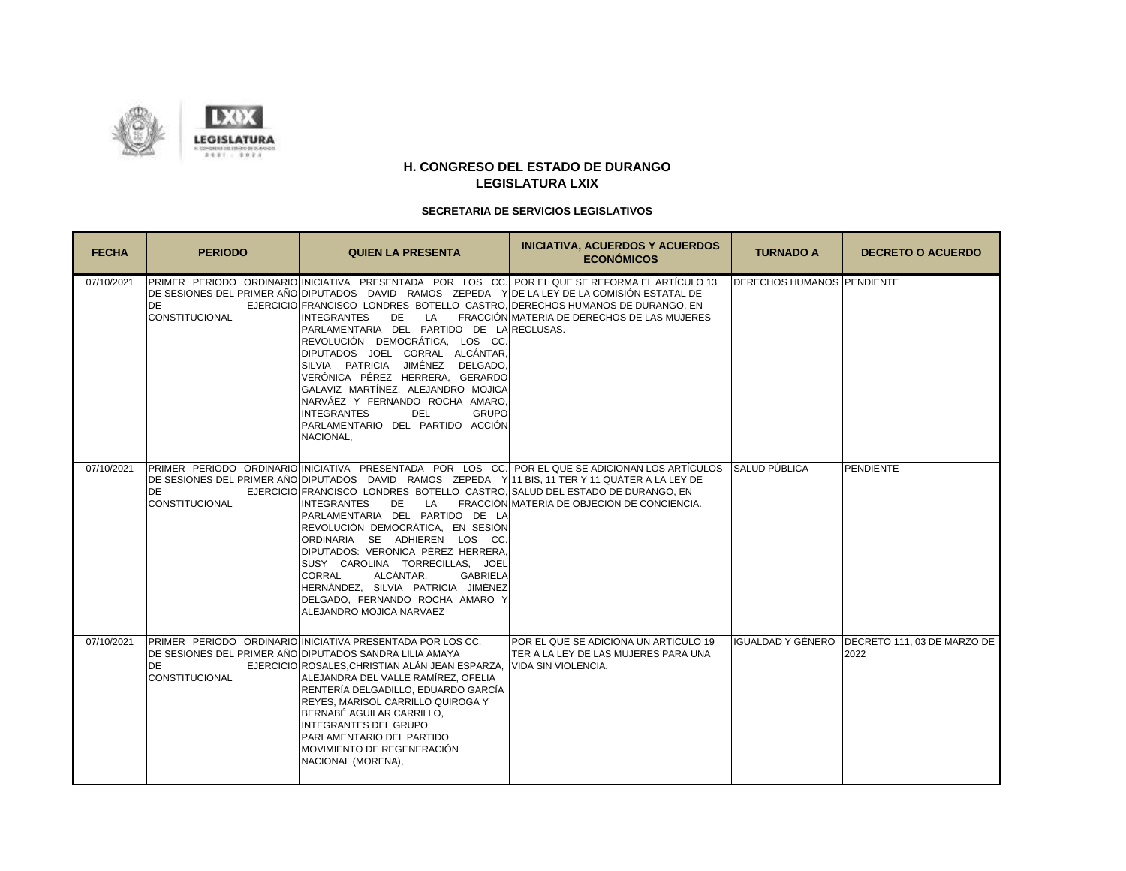

| <b>FECHA</b> | <b>PERIODO</b>              | <b>QUIEN LA PRESENTA</b>                                                                                                                                                                                                                                                                                                                                                                                                                                                                                                                                                                                                                                                           | <b>INICIATIVA, ACUERDOS Y ACUERDOS</b><br><b>ECONÓMICOS</b>                                                                                     | <b>TURNADO A</b>                  | <b>DECRETO O ACUERDO</b>                              |
|--------------|-----------------------------|------------------------------------------------------------------------------------------------------------------------------------------------------------------------------------------------------------------------------------------------------------------------------------------------------------------------------------------------------------------------------------------------------------------------------------------------------------------------------------------------------------------------------------------------------------------------------------------------------------------------------------------------------------------------------------|-------------------------------------------------------------------------------------------------------------------------------------------------|-----------------------------------|-------------------------------------------------------|
| 07/10/2021   | DE<br><b>CONSTITUCIONAL</b> | PRIMER PERIODO ORDINARIO INICIATIVA PRESENTADA POR LOS CC. POR EL QUE SE REFORMA EL ARTÍCULO 13<br>DE SESIONES DEL PRIMER AÑO DIPUTADOS DAVID RAMOS ZEPEDA Y DE LA LEY DE LA COMISIÓN ESTATAL DE<br>EJERCICIO FRANCISCO LONDRES BOTELLO CASTRO, DERECHOS HUMANOS DE DURANGO, EN<br><b>INTEGRANTES</b><br>DE<br>LA<br>PARLAMENTARIA DEL PARTIDO DE LA RECLUSAS.<br>REVOLUCIÓN DEMOCRÁTICA, LOS CC.<br>DIPUTADOS JOEL CORRAL ALCÁNTAR.<br>SILVIA PATRICIA JIMÉNEZ DELGADO.<br>VERÓNICA PÉREZ HERRERA, GERARDO<br>GALAVIZ MARTÍNEZ, ALEJANDRO MOJICA<br>NARVÁEZ Y FERNANDO ROCHA AMARO,<br><b>INTEGRANTES</b><br>GRUPO<br><b>DEL</b><br>PARLAMENTARIO DEL PARTIDO ACCIÓN<br>NACIONAL, | FRACCIÓN MATERIA DE DERECHOS DE LAS MUJERES                                                                                                     | <b>DERECHOS HUMANOS PENDIENTE</b> |                                                       |
| 07/10/2021   | DE<br><b>CONSTITUCIONAL</b> | DE SESIONES DEL PRIMER AÑO DIPUTADOS DAVID RAMOS ZEPEDA Y 11 BIS. 11 TER Y 11 QUÁTER A LA LEY DE<br>EJERCICIO FRANCISCO LONDRES BOTELLO CASTRO, SALUD DEL ESTADO DE DURANGO, EN<br>DE<br>LA<br><b>INTEGRANTES</b><br>PARLAMENTARIA DEL PARTIDO DE LA<br>REVOLUCIÓN DEMOCRÁTICA, EN SESIÓN<br>ORDINARIA SE ADHIEREN LOS CC.<br>DIPUTADOS: VERONICA PÉREZ HERRERA.<br>SUSY CAROLINA TORRECILLAS, JOEL<br>ALCÁNTAR,<br><b>CORRAL</b><br><b>GABRIELA</b><br>HERNÁNDEZ, SILVIA PATRICIA JIMÉNEZ<br>DELGADO, FERNANDO ROCHA AMARO Y<br>ALEJANDRO MOJICA NARVAEZ                                                                                                                          | PRIMER PERIODO ORDINARIO INICIATIVA PRESENTADA POR LOS CC. POR EL QUE SE ADICIONAN LOS ARTÍCULOS<br>FRACCIÓN MATERIA DE OBJECIÓN DE CONCIENCIA. | SALUD PUBLICA                     | <b>PENDIENTE</b>                                      |
| 07/10/2021   | DE<br><b>CONSTITUCIONAL</b> | <b>PRIMER PERIODO ORDINARIO INICIATIVA PRESENTADA POR LOS CC.</b><br>DE SESIONES DEL PRIMER AÑO DIPUTADOS SANDRA LILIA AMAYA<br>EJERCICIO ROSALES, CHRISTIAN ALÁN JEAN ESPARZA,<br>ALEJANDRA DEL VALLE RAMÍREZ, OFELIA<br>RENTERÍA DELGADILLO, EDUARDO GARCÍA<br>REYES, MARISOL CARRILLO QUIROGA Y<br>BERNABÉ AGUILAR CARRILLO.<br><b>INTEGRANTES DEL GRUPO</b><br>PARLAMENTARIO DEL PARTIDO<br>MOVIMIENTO DE REGENERACIÓN<br>NACIONAL (MORENA),                                                                                                                                                                                                                                   | POR EL QUE SE ADICIONA UN ARTÍCULO 19<br>TER A LA LEY DE LAS MUJERES PARA UNA<br>VIDA SIN VIOLENCIA.                                            |                                   | IGUALDAD Y GÉNERO DECRETO 111, 03 DE MARZO DE<br>2022 |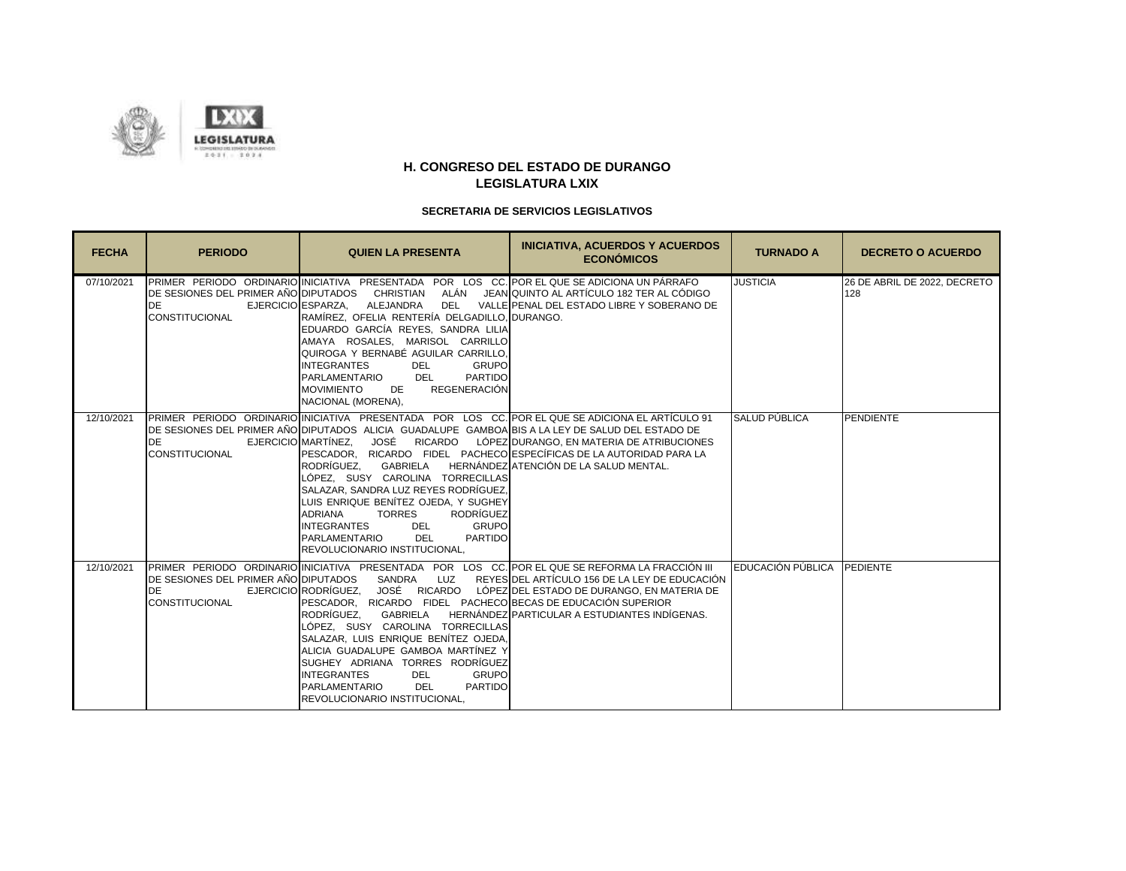



| <b>FECHA</b> | <b>PERIODO</b>                                                                | <b>QUIEN LA PRESENTA</b>                                                                                                                                                                                                                                                                                                                                                                                                                                                                                                                                                                                                                     | <b>INICIATIVA, ACUERDOS Y ACUERDOS</b><br><b>ECONÓMICOS</b>                                                                                               | <b>TURNADO A</b>  | <b>DECRETO O ACUERDO</b>            |
|--------------|-------------------------------------------------------------------------------|----------------------------------------------------------------------------------------------------------------------------------------------------------------------------------------------------------------------------------------------------------------------------------------------------------------------------------------------------------------------------------------------------------------------------------------------------------------------------------------------------------------------------------------------------------------------------------------------------------------------------------------------|-----------------------------------------------------------------------------------------------------------------------------------------------------------|-------------------|-------------------------------------|
| 07/10/2021   | DE SESIONES DEL PRIMER AÑO DIPUTADOS CHRISTIAN<br>DE<br><b>CONSTITUCIONAL</b> | PRIMER PERIODO ORDINARIO INICIATIVA PRESENTADA POR LOS CC. POR EL QUE SE ADICIONA UN PÁRRAFO<br>ALEJANDRA<br>EJERCICIO ESPARZA,<br>RAMÍREZ, OFELIA RENTERÍA DELGADILLO, DURANGO.<br>EDUARDO GARCÍA REYES, SANDRA LILIA<br>AMAYA ROSALES, MARISOL CARRILLO<br>QUIROGA Y BERNABÉ AGUILAR CARRILLO,<br><b>INTEGRANTES</b><br><b>GRUPO</b><br>DEL<br>PARTIDO<br><b>PARLAMENTARIO</b><br><b>DEL</b><br><b>REGENERACIÓN</b><br><b>MOVIMIENTO</b><br>DE<br>NACIONAL (MORENA),                                                                                                                                                                       | ALÁN JEAN QUINTO AL ARTÍCULO 182 TER AL CÓDIGO<br>DEL VALLE PENAL DEL ESTADO LIBRE Y SOBERANO DE                                                          | <b>JUSTICIA</b>   | 26 DE ABRIL DE 2022, DECRETO<br>128 |
| 12/10/2021   | DE<br><b>CONSTITUCIONAL</b>                                                   | PRIMER PERIODO ORDINARIO INICIATIVA PRESENTADA POR LOS CC. POR EL QUE SE ADICIONA EL ARTÍCULO 91<br>DE SESIONES DEL PRIMER AÑO DIPUTADOS ALICIA GUADALUPE GAMBOA BIS A LA LEY DE SALUD DEL ESTADO DE<br>EJERCICIO MARTÍNEZ,<br>PESCADOR, RICARDO FIDEL PACHECO ESPECÍFICAS DE LA AUTORIDAD PARA LA<br><b>GABRIELA</b><br>RODRÍGUEZ.<br>ÓPEZ. SUSY CAROLINA TORRECILLAS<br>SALAZAR, SANDRA LUZ REYES RODRÍGUEZ,<br>LUIS ENRIQUE BENÍTEZ OJEDA, Y SUGHEY<br>RODRÍGUEZ<br><b>ADRIANA</b><br><b>TORRES</b><br><b>GRUPO</b><br><b>INTEGRANTES</b><br><b>DEL</b><br>PARTIDO<br><b>PARLAMENTARIO</b><br><b>DEL</b><br>REVOLUCIONARIO INSTITUCIONAL. | JOSÉ RICARDO LÓPEZ DURANGO, EN MATERIA DE ATRIBUCIONES<br>HERNÁNDEZ ATENCIÓN DE LA SALUD MENTAL.                                                          | SALUD PÚBLICA     | PENDIENTE                           |
| 12/10/2021   | DE SESIONES DEL PRIMER AÑO DIPUTADOS<br>DE<br><b>CONSTITUCIONAL</b>           | PRIMER PERIODO ORDINARIO INICIATIVA PRESENTADA POR LOS CC. POR EL QUE SE REFORMA LA FRACCIÓN III<br>SANDRA<br>LUZ<br>EJERCICIO RODRÍGUEZ.<br>PESCADOR. RICARDO FIDEL PACHECO BECAS DE EDUCACIÓN SUPERIOR<br><b>GABRIELA</b><br>RODRÍGUEZ.<br>ÓPEZ, SUSY CAROLINA TORRECILLAS<br>SALAZAR, LUIS ENRIQUE BENÍTEZ OJEDA,<br>ALICIA GUADALUPE GAMBOA MARTÍNEZ Y<br>SUGHEY ADRIANA TORRES RODRÍGUEZ<br><b>GRUPO</b><br><b>INTEGRANTES</b><br>DEL<br><b>PARTIDO</b><br><b>PARLAMENTARIO</b><br><b>DEL</b><br>REVOLUCIONARIO INSTITUCIONAL.                                                                                                          | REYES DEL ARTÍCULO 156 DE LA LEY DE EDUCACIÓN<br>JOSÉ RICARDO LÓPEZ DEL ESTADO DE DURANGO, EN MATERIA DE<br>HERNÁNDEZ PARTICULAR A ESTUDIANTES INDÍGENAS. | EDUCACIÓN PÚBLICA | PEDIENTE                            |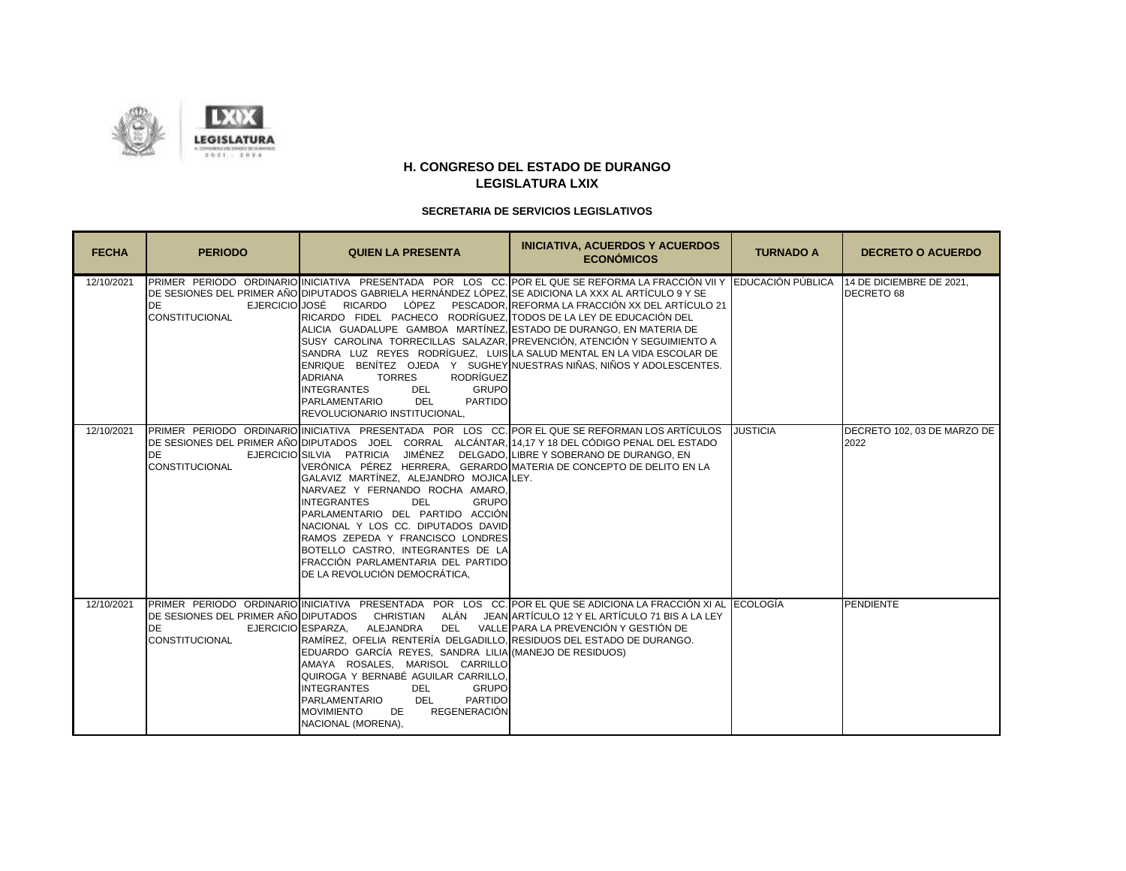



| <b>FECHA</b> | <b>PERIODO</b>                                                      | <b>QUIEN LA PRESENTA</b>                                                                                                                                                                                                                                                                                                                                                                                                                                                                                                                                                                             | <b>INICIATIVA, ACUERDOS Y ACUERDOS</b><br><b>ECONÓMICOS</b>                                                                                                                                                                                                                                                                                                                      | <b>TURNADO A</b> | <b>DECRETO O ACUERDO</b>            |
|--------------|---------------------------------------------------------------------|------------------------------------------------------------------------------------------------------------------------------------------------------------------------------------------------------------------------------------------------------------------------------------------------------------------------------------------------------------------------------------------------------------------------------------------------------------------------------------------------------------------------------------------------------------------------------------------------------|----------------------------------------------------------------------------------------------------------------------------------------------------------------------------------------------------------------------------------------------------------------------------------------------------------------------------------------------------------------------------------|------------------|-------------------------------------|
| 12/10/2021   | <b>DE</b><br><b>CONSTITUCIONAL</b>                                  | DE SESIONES DEL PRIMER AÑO DIPUTADOS GABRIELA HERNÁNDEZ LÓPEZ, SE ADICIONA LA XXX AL ARTÍCULO 9 Y SE<br>RICARDO FIDEL PACHECO RODRÍGUEZ, TODOS DE LA LEY DE EDUCACIÓN DEL<br>ALICIA GUADALUPE GAMBOA MARTÍNEZ, ESTADO DE DURANGO, EN MATERIA DE<br>SUSY CAROLINA TORRECILLAS SALAZAR, PREVENCIÓN, ATENCIÓN Y SEGUIMIENTO A<br><b>RODRÍGUEZ</b><br><b>ADRIANA</b><br><b>TORRES</b><br><b>GRUPO</b><br><b>INTEGRANTES</b><br><b>DEL</b><br><b>PARTIDO</b><br><b>PARLAMENTARIO</b><br>DEL.<br>REVOLUCIONARIO INSTITUCIONAL.                                                                             | PRIMER PERIODO ORDINARIO INICIATIVA PRESENTADA POR LOS CC. POR EL QUE SE REFORMA LA FRACCIÓN VII Y EDUCACIÓN PÚBLICA 14 DE DICIEMBRE DE 2021,<br>EJERCICIO JOSÉ RICARDO LÓPEZ PESCADOR. REFORMA LA FRACCIÓN XX DEL ARTÍCULO 21<br>SANDRA LUZ REYES RODRÍGUEZ, LUIS LA SALUD MENTAL EN LA VIDA ESCOLAR DE<br>ENRIQUE BENÍTEZ OJEDA Y SUGHEY NUESTRAS NIÑAS, NIÑOS Y ADOLESCENTES. |                  | DECRETO 68                          |
| 12/10/2021   | <b>DE</b><br><b>CONSTITUCIONAL</b>                                  | DE SESIONES DEL PRIMER AÑO DIPUTADOS JOEL CORRAL ALCÁNTAR, 14,17 Y 18 DEL CÓDIGO PENAL DEL ESTADO<br>EJERCICIO SILVIA PATRICIA JIMÉNEZ DELGADO, LIBRE Y SOBERANO DE DURANGO, EN<br>VERÓNICA PÉREZ HERRERA, GERARDO MATERIA DE CONCEPTO DE DELITO EN LA<br>GALAVIZ MARTÍNEZ, ALEJANDRO MOJICALLEY.<br>NARVAEZ Y FERNANDO ROCHA AMARO,<br><b>INTEGRANTES</b><br>DEL<br>GRUPO<br>PARLAMENTARIO DEL PARTIDO ACCIÓN<br>NACIONAL Y LOS CC. DIPUTADOS DAVID<br>RAMOS ZEPEDA Y FRANCISCO LONDRES<br>BOTELLO CASTRO, INTEGRANTES DE LA<br>FRACCIÓN PARLAMENTARIA DEL PARTIDO<br>DE LA REVOLUCIÓN DEMOCRÁTICA. | PRIMER PERIODO ORDINARIO INICIATIVA PRESENTADA POR LOS CC. POR EL QUE SE REFORMAN LOS ARTÍCULOS JUSTICIA                                                                                                                                                                                                                                                                         |                  | DECRETO 102, 03 DE MARZO DE<br>2022 |
| 12/10/2021   | DE SESIONES DEL PRIMER AÑO DIPUTADOS<br>DE<br><b>CONSTITUCIONAL</b> | ALEJANDRA<br>EJERCICIO ESPARZA,<br>RAMÍREZ, OFELIA RENTERÍA DELGADILLO, RESIDUOS DEL ESTADO DE DURANGO.<br>EDUARDO GARCÍA REYES, SANDRA LILIA (MANEJO DE RESIDUOS)<br>AMAYA ROSALES, MARISOL CARRILLO<br>QUIROGA Y BERNABÉ AGUILAR CARRILLO,<br><b>GRUPO</b><br><b>INTEGRANTES</b><br>DEL<br><b>PARTIDO</b><br><b>PARLAMENTARIO</b><br>DEL.<br><b>MOVIMIENTO</b><br><b>DE</b><br><b>REGENERACIÓN</b><br>NACIONAL (MORENA),                                                                                                                                                                           | PRIMER PERIODO ORDINARIO INICIATIVA PRESENTADA POR LOS CC. POR EL QUE SE ADICIONA LA FRACCIÓN XI AL ECOLOGÍA<br>CHRISTIAN ALÁN JEAN ARTÍCULO 12 Y EL ARTÍCULO 71 BIS A LA LEY<br>DEL VALLE PARA LA PREVENCIÓN Y GESTIÓN DE                                                                                                                                                       |                  | <b>PENDIENTE</b>                    |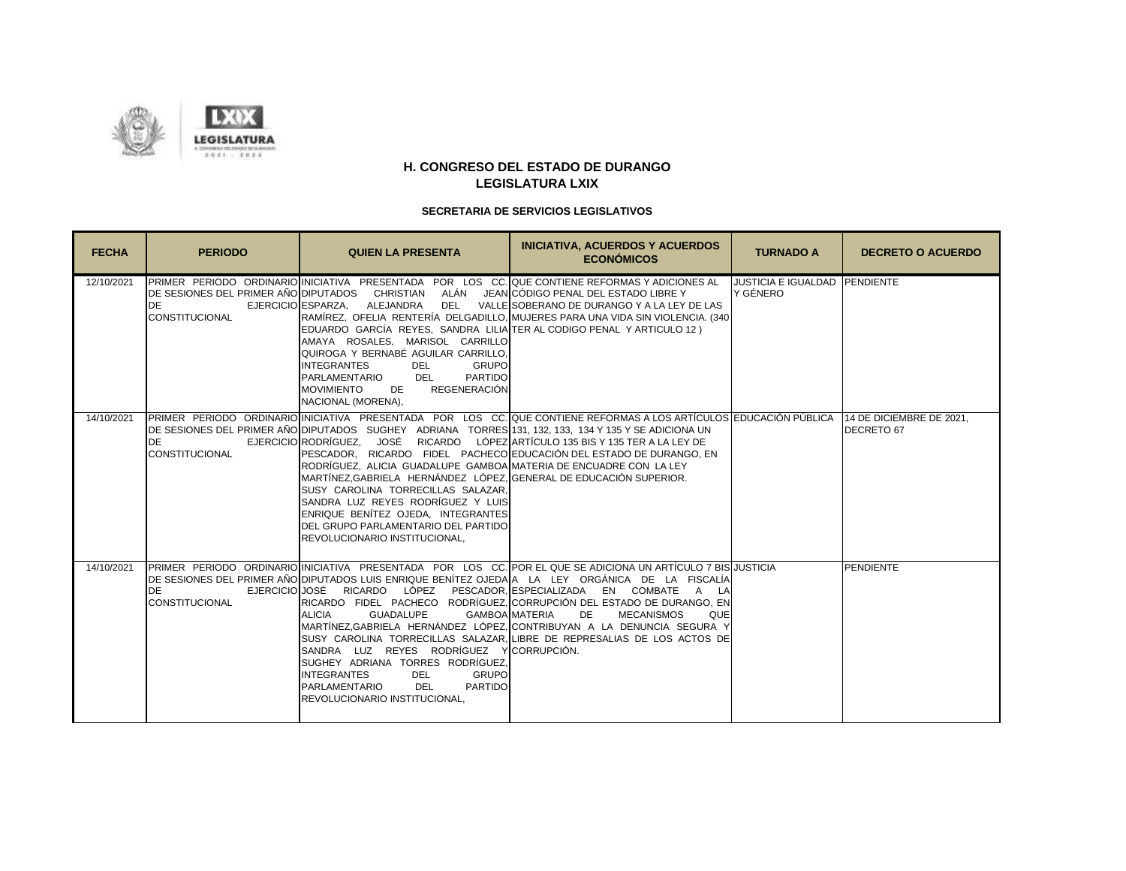



| <b>FECHA</b> | <b>PERIODO</b>                                                             | <b>QUIEN LA PRESENTA</b>                                                                                                                                                                                                                                                                                                                                                                                                                                                                                                   | <b>INICIATIVA, ACUERDOS Y ACUERDOS</b><br><b>ECONÓMICOS</b>                                                                                                                                                                                                                                                                                                                                                                                                                                                                                             | <b>TURNADO A</b>                          | <b>DECRETO O ACUERDO</b> |
|--------------|----------------------------------------------------------------------------|----------------------------------------------------------------------------------------------------------------------------------------------------------------------------------------------------------------------------------------------------------------------------------------------------------------------------------------------------------------------------------------------------------------------------------------------------------------------------------------------------------------------------|---------------------------------------------------------------------------------------------------------------------------------------------------------------------------------------------------------------------------------------------------------------------------------------------------------------------------------------------------------------------------------------------------------------------------------------------------------------------------------------------------------------------------------------------------------|-------------------------------------------|--------------------------|
| 12/10/2021   | DE SESIONES DEL PRIMER AÑO DIPUTADOS<br><b>DE</b><br><b>CONSTITUCIONAL</b> | <b>CHRISTIAN</b><br>EJERCICIO ESPARZA,<br>EDUARDO GARCÍA REYES, SANDRA LILIA TER AL CODIGO PENAL Y ARTICULO 12)<br>AMAYA ROSALES, MARISOL CARRILLO<br>QUIROGA Y BERNABÉ AGUILAR CARRILLO,<br><b>INTEGRANTES</b><br><b>GRUPO</b><br>DEL<br><b>PARLAMENTARIO</b><br>DEL<br>PARTIDO<br><b>REGENERACIÓN</b><br><b>MOVIMIENTO</b><br>DE<br>NACIONAL (MORENA),                                                                                                                                                                   | PRIMER PERIODO ORDINARIO INICIATIVA PRESENTADA POR LOS CC. QUE CONTIENE REFORMAS Y ADICIONES AL<br>ALÁN JEAN CÓDIGO PENAL DEL ESTADO LIBRE Y<br>ALEJANDRA DEL VALLE SOBERANO DE DURANGO Y A LA LEY DE LAS<br>RAMÍREZ, OFELIA RENTERÍA DELGADILLO, MUJERES PARA UNA VIDA SIN VIOLENCIA. (340                                                                                                                                                                                                                                                             | JUSTICIA E IGUALDAD PENDIENTE<br>Y GÉNERO |                          |
| 14/10/2021   | <b>DE</b><br><b>CONSTITUCIONAL</b>                                         | DE SESIONES DEL PRIMER AÑO DIPUTADOS SUGHEY ADRIANA TORRES 131, 132, 133, 134 Y 135 Y SE ADICIONA UN<br>EJERCICIO RODRÍGUEZ, JOSÉ RICARDO LÓPEZ ARTÍCULO 135 BIS Y 135 TER A LA LEY DE<br>RODRÍGUEZ, ALICIA GUADALUPE GAMBOA MATERIA DE ENCUADRE CON LA LEY<br>MARTÍNEZ, GABRIELA HERNÁNDEZ LÓPEZ, GENERAL DE EDUCACIÓN SUPERIOR.<br>SUSY CAROLINA TORRECILLAS SALAZAR.<br>SANDRA LUZ REYES RODRÍGUEZ Y LUIS<br>ENRIQUE BENÍTEZ OJEDA, INTEGRANTES<br>DEL GRUPO PARLAMENTARIO DEL PARTIDO<br>REVOLUCIONARIO INSTITUCIONAL. | PRIMER PERIODO ORDINARIO INICIATIVA PRESENTADA POR LOS CC. QUE CONTIENE REFORMAS A LOS ARTÍCULOS EDUCACIÓN PÚBLICA 14 DE DICIEMBRE DE 2021,<br>PESCADOR, RICARDO FIDEL PACHECO EDUCACIÓN DEL ESTADO DE DURANGO, EN                                                                                                                                                                                                                                                                                                                                      |                                           | DECRETO 67               |
| 14/10/2021   | <b>DE</b><br>CONSTITUCIONAL                                                | <b>ALICIA</b><br><b>GUADALUPE</b><br><b>GAMBOA MATERIA</b><br>SANDRA LUZ REYES RODRÍGUEZ Y CORRUPCIÓN.<br>SUGHEY ADRIANA TORRES RODRÍGUEZ,<br><b>INTEGRANTES</b><br><b>DEL</b><br><b>GRUPO</b><br><b>PARTIDO</b><br><b>PARLAMENTARIO</b><br><b>DEL</b><br>REVOLUCIONARIO INSTITUCIONAL.                                                                                                                                                                                                                                    | PRIMER PERIODO ORDINARIO INICIATIVA PRESENTADA POR LOS CC. POR EL QUE SE ADICIONA UN ARTÍCULO 7 BIS JUSTICIA<br>DE SESIONES DEL PRIMER AÑO DIPUTADOS LUIS ENRIQUE BENÍTEZ OJEDA A LA LEY ORGÁNICA DE LA FISCALÍA<br>EJERCICIO JOSÉ RICARDO LÓPEZ PESCADOR, ESPECIALIZADA EN COMBATE A LA<br>RICARDO FIDEL PACHECO RODRÍGUEZ, CORRUPCIÓN DEL ESTADO DE DURANGO, EN<br><b>MECANISMOS</b><br>DE<br>QUE<br>MARTÍNEZ.GABRIELA HERNÁNDEZ LÓPEZ. CONTRIBUYAN A LA DENUNCIA SEGURA Y<br>SUSY CAROLINA TORRECILLAS SALAZAR, LIBRE DE REPRESALIAS DE LOS ACTOS DE |                                           | <b>PENDIENTE</b>         |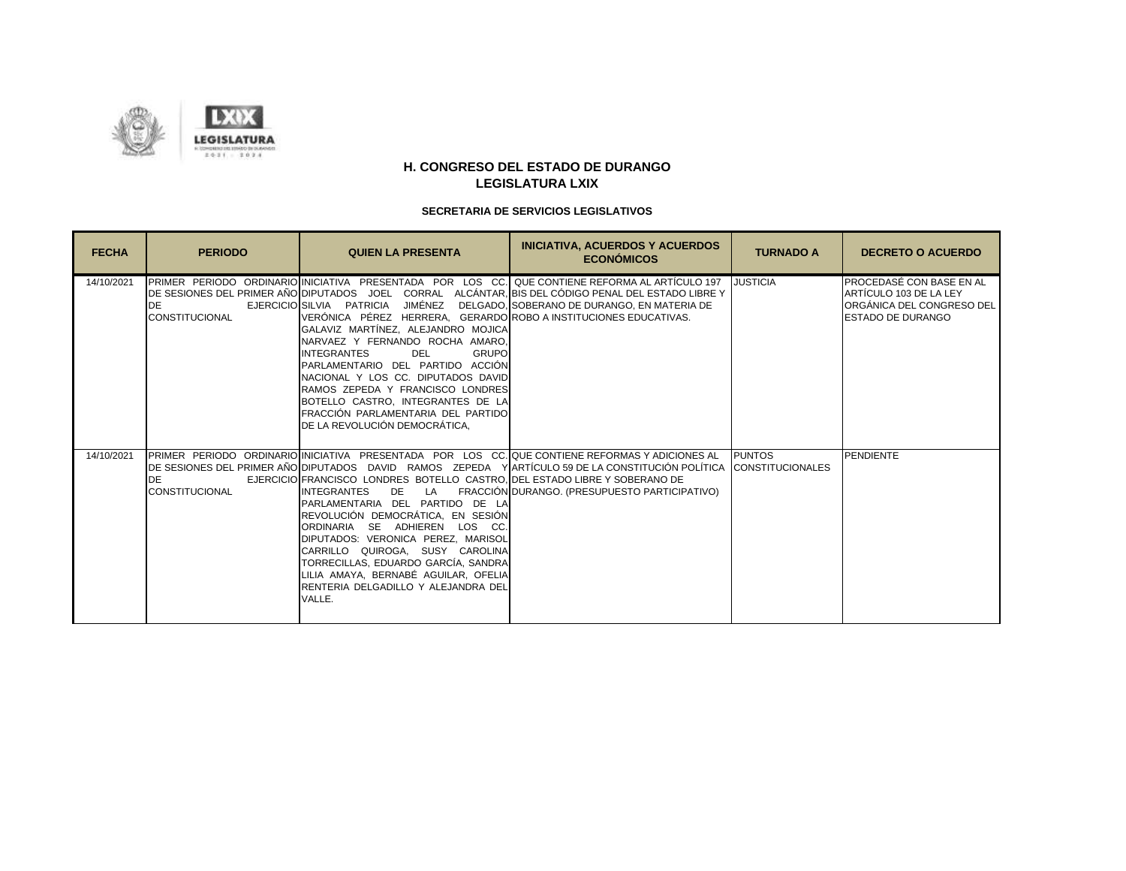

| <b>FECHA</b> | <b>PERIODO</b>                     | <b>QUIEN LA PRESENTA</b>                                                                                                                                                                                                                                                                                                                                                                                                                                                                                  | <b>INICIATIVA, ACUERDOS Y ACUERDOS</b><br><b>ECONÓMICOS</b>                                                                                                                                                                                              | <b>TURNADO A</b>                         | <b>DECRETO O ACUERDO</b>                                                                                           |
|--------------|------------------------------------|-----------------------------------------------------------------------------------------------------------------------------------------------------------------------------------------------------------------------------------------------------------------------------------------------------------------------------------------------------------------------------------------------------------------------------------------------------------------------------------------------------------|----------------------------------------------------------------------------------------------------------------------------------------------------------------------------------------------------------------------------------------------------------|------------------------------------------|--------------------------------------------------------------------------------------------------------------------|
| 14/10/2021   | <b>DE</b><br><b>CONSTITUCIONAL</b> | EJERCICIO SILVIA PATRICIA JIMÉNEZ DELGADO, SOBERANO DE DURANGO, EN MATERIA DE<br>VERÓNICA PÉREZ HERRERA, GERARDO ROBO A INSTITUCIONES EDUCATIVAS.<br>GALAVIZ MARTÍNEZ. ALEJANDRO MOJICA<br>NARVAEZ Y FERNANDO ROCHA AMARO,<br><b>DEL</b><br><b>GRUPO</b><br><b>INTEGRANTES</b><br>PARLAMENTARIO DEL PARTIDO ACCIÓN<br>NACIONAL Y LOS CC. DIPUTADOS DAVIDI<br>RAMOS ZEPEDA Y FRANCISCO LONDRES<br>BOTELLO CASTRO, INTEGRANTES DE LA<br>FRACCIÓN PARLAMENTARIA DEL PARTIDO<br>DE LA REVOLUCIÓN DEMOCRÁTICA, | PRIMER PERIODO ORDINARIO INICIATIVA PRESENTADA POR LOS CC. QUE CONTIENE REFORMA AL ARTÍCULO 197 JUSTICIA<br>DE SESIONES DEL PRIMER AÑO DIPUTADOS JOEL CORRAL ALCÁNTAR, BIS DEL CÓDIGO PENAL DEL ESTADO LIBRE Y                                           |                                          | <b>PROCEDASÉ CON BASE EN AL</b><br>ARTÍCULO 103 DE LA LEY<br>ORGÁNICA DEL CONGRESO DEL<br><b>ESTADO DE DURANGO</b> |
| 14/10/2021   | <b>DE</b><br><b>CONSTITUCIONAL</b> | EJERCICIO FRANCISCO LONDRES BOTELLO CASTRO, DEL ESTADO LIBRE Y SOBERANO DE<br><b>INTEGRANTES</b><br>DE<br>PARLAMENTARIA DEL PARTIDO DE LA<br>REVOLUCIÓN DEMOCRÁTICA, EN SESIÓN<br>ORDINARIA SE ADHIEREN LOS CC.<br>DIPUTADOS: VERONICA PEREZ, MARISOL<br>CARRILLO QUIROGA, SUSY CAROLINA<br>TORRECILLAS, EDUARDO GARCÍA, SANDRA<br>LILIA AMAYA, BERNABÉ AGUILAR, OFELIA<br>RENTERIA DELGADILLO Y ALEJANDRA DEL<br>VALLE.                                                                                  | PRIMER PERIODO ORDINARIO INICIATIVA PRESENTADA POR LOS CC. QUE CONTIENE REFORMAS Y ADICIONES AL<br>DE SESIONES DEL PRIMER AÑO DIPUTADOS DAVID RAMOS ZEPEDA Y ARTÍCULO 59 DE LA CONSTITUCIÓN POLÍTICA<br>LA FRACCIÓN DURANGO. (PRESUPUESTO PARTICIPATIVO) | <b>PUNTOS</b><br><b>CONSTITUCIONALES</b> | <b>PENDIENTE</b>                                                                                                   |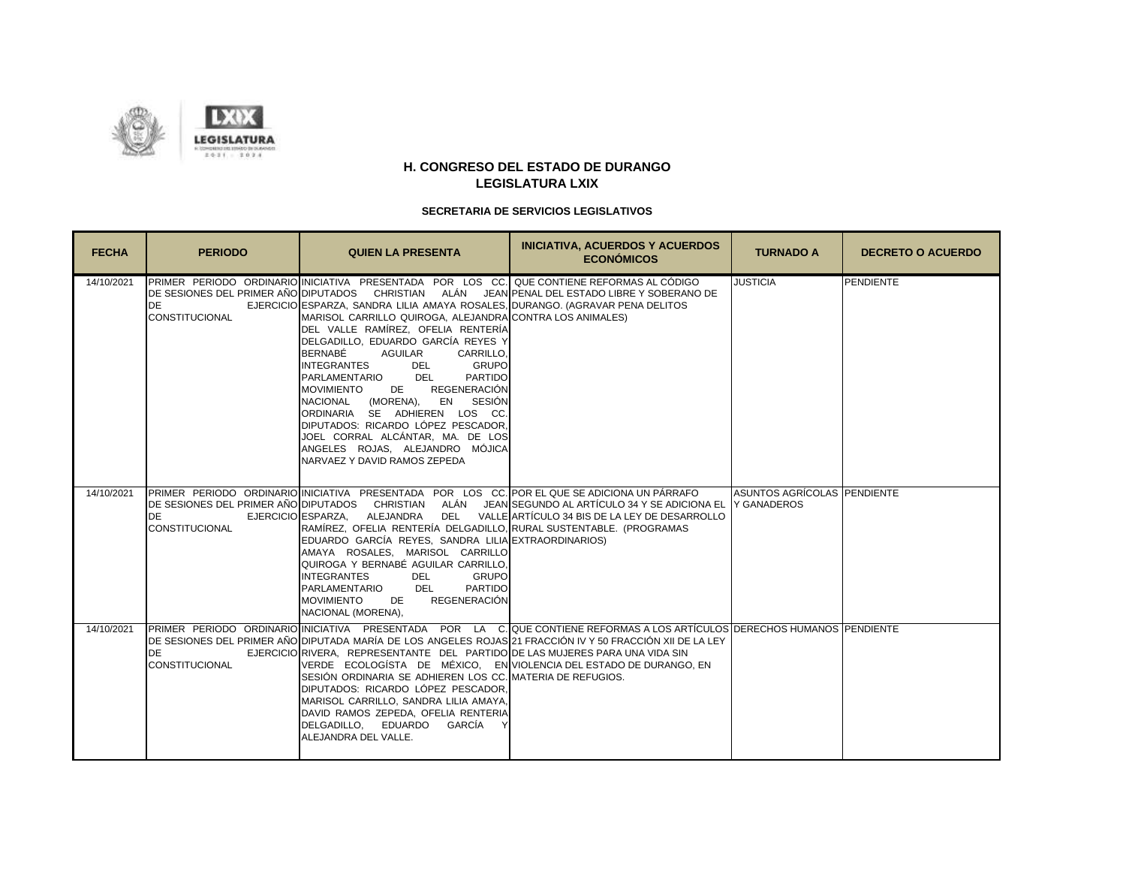

| <b>FECHA</b> | <b>PERIODO</b>              | <b>QUIEN LA PRESENTA</b>                                                                                                                                                                                                                                                                                                                                                                                                                                                                                                                                                                                                                                                                                                                                                                                                     | <b>INICIATIVA, ACUERDOS Y ACUERDOS</b><br><b>ECONÓMICOS</b>                                                                                                                                                                             | <b>TURNADO A</b>            | <b>DECRETO O ACUERDO</b> |
|--------------|-----------------------------|------------------------------------------------------------------------------------------------------------------------------------------------------------------------------------------------------------------------------------------------------------------------------------------------------------------------------------------------------------------------------------------------------------------------------------------------------------------------------------------------------------------------------------------------------------------------------------------------------------------------------------------------------------------------------------------------------------------------------------------------------------------------------------------------------------------------------|-----------------------------------------------------------------------------------------------------------------------------------------------------------------------------------------------------------------------------------------|-----------------------------|--------------------------|
| 14/10/2021   | DE<br><b>CONSTITUCIONAL</b> | PRIMER PERIODO ORDINARIO INICIATIVA PRESENTADA POR LOS CC. QUE CONTIENE REFORMAS AL CÓDIGO<br>DE SESIONES DEL PRIMER AÑO DIPUTADOS CHRISTIAN ALÁN JEAN PENAL DEL ESTADO LIBRE Y SOBERANO DE<br>EJERCICIO ESPARZA, SANDRA LILIA AMAYA ROSALES, DURANGO. (AGRAVAR PENA DELITOS<br>MARISOL CARRILLO QUIROGA, ALEJANDRA CONTRA LOS ANIMALES)<br>DEL VALLE RAMÍREZ, OFELIA RENTERÍA<br>DELGADILLO, EDUARDO GARCÍA REYES Y<br><b>BERNABÉ</b><br>AGUILAR<br>CARRILLO.<br>GRUPO<br><b>INTEGRANTES</b><br><b>DEL</b><br>DEL<br><b>PARTIDO</b><br><b>PARLAMENTARIO</b><br><b>MOVIMIENTO</b><br><b>REGENERACIÓN</b><br>DE<br>NACIONAL (MORENA), EN SESIÓN<br>ORDINARIA SE ADHIEREN LOS CC.<br>DIPUTADOS: RICARDO LÓPEZ PESCADOR.<br>JOEL CORRAL ALCÁNTAR, MA. DE LOS<br>ANGELES ROJAS, ALEJANDRO MÓJICA<br>NARVAEZ Y DAVID RAMOS ZEPEDA |                                                                                                                                                                                                                                         | <b>JUSTICIA</b>             | PENDIENTE                |
| 14/10/2021   | DE<br><b>CONSTITUCIONAL</b> | PRIMER PERIODO ORDINARIO INICIATIVA PRESENTADA POR LOS CC. POR EL QUE SE ADICIONA UN PÁRRAFO<br>RAMÍREZ, OFELIA RENTERÍA DELGADILLO, RURAL SUSTENTABLE. (PROGRAMAS<br>EDUARDO GARCÍA REYES, SANDRA LILIA EXTRAORDINARIOS)<br>AMAYA ROSALES, MARISOL CARRILLO<br>QUIROGA Y BERNABÉ AGUILAR CARRILLO,<br>GRUPO<br><b>INTEGRANTES</b><br>DEL<br><b>DEL</b><br><b>PARTIDO</b><br>PARLAMENTARIO<br><b>MOVIMIENTO</b><br><b>REGENERACIÓN</b><br>DE<br>NACIONAL (MORENA),                                                                                                                                                                                                                                                                                                                                                           | DE SESIONES DEL PRIMER AÑO DIPUTADOS CHRISTIAN ALÁN JEAN SEGUNDO AL ARTÍCULO 34 Y SE ADICIONA EL TY GANADEROS<br>EJERCICIO ESPARZA, ALEJANDRA DEL VALLE ARTÍCULO 34 BIS DE LA LEY DE DESARROLLO                                         | ASUNTOS AGRÍCOLAS PENDIENTE |                          |
| 14/10/2021   | DE<br><b>CONSTITUCIONAL</b> | EJERCICIO RIVERA, REPRESENTANTE DEL PARTIDO DE LAS MUJERES PARA UNA VIDA SIN<br>VERDE ECOLOGÍSTA DE MÉXICO, EN VIOLENCIA DEL ESTADO DE DURANGO, EN<br>SESIÓN ORDINARIA SE ADHIEREN LOS CC. MATERIA DE REFUGIOS.<br>DIPUTADOS: RICARDO LÓPEZ PESCADOR,<br>MARISOL CARRILLO, SANDRA LILIA AMAYA,<br>DAVID RAMOS ZEPEDA, OFELIA RENTERIA<br>IDELGADILLO. EDUARDO GARCÍA<br>ALEJANDRA DEL VALLE.                                                                                                                                                                                                                                                                                                                                                                                                                                 | PRIMER PERIODO ORDINARIO INICIATIVA PRESENTADA POR LA C. QUE CONTIENE REFORMAS A LOS ARTÍCULOS IDERECHOS HUMANOS PENDIENTE<br>DE SESIONES DEL PRIMER AÑO DIPUTADA MARÍA DE LOS ANGELES ROJAS 21 FRACCIÓN IV Y 50 FRACCIÓN XII DE LA LEY |                             |                          |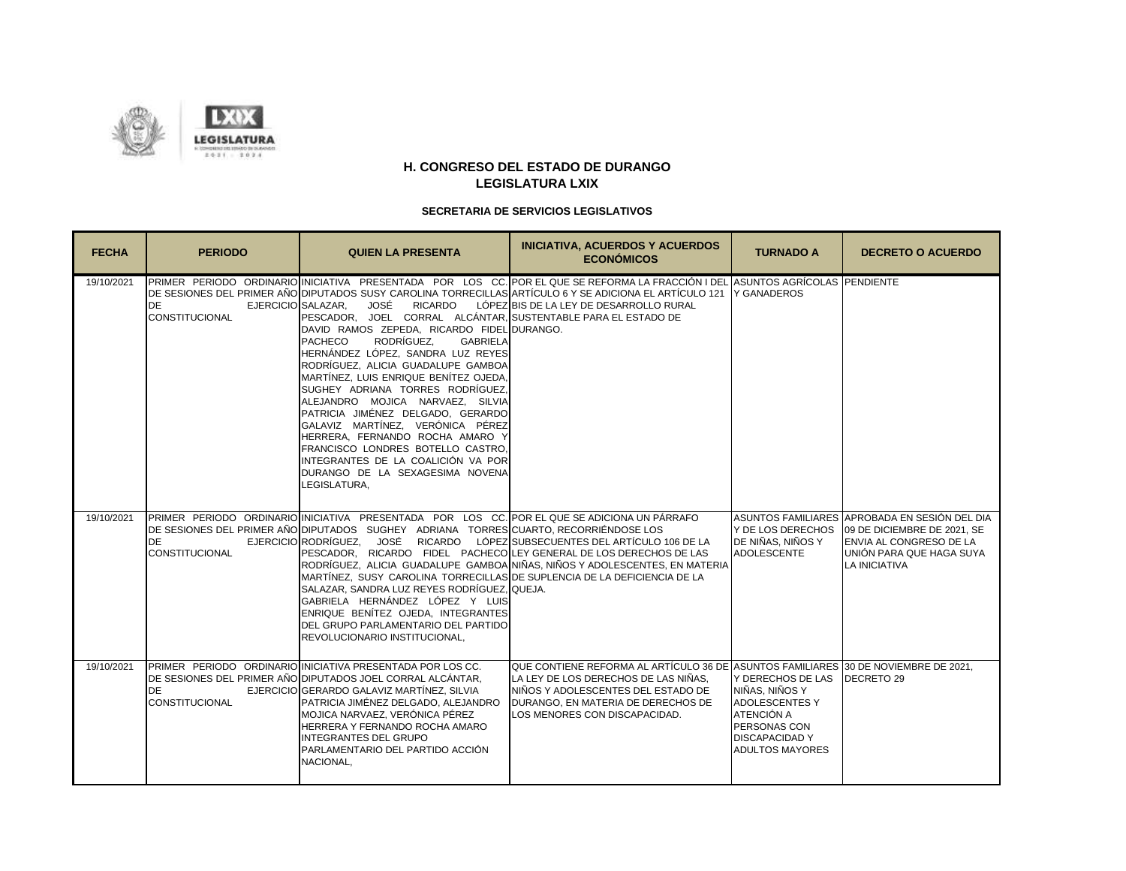

| <b>FECHA</b> | <b>PERIODO</b>                     | <b>QUIEN LA PRESENTA</b>                                                                                                                                                                                                                                                                                                                                                                                                                                                                                                                                                                                                                             | <b>INICIATIVA, ACUERDOS Y ACUERDOS</b><br><b>ECONÓMICOS</b>                                                                                                                                                                                                                                        | <b>TURNADO A</b>                                                                                                                                                | <b>DECRETO O ACUERDO</b>                                                                                                                                                       |
|--------------|------------------------------------|------------------------------------------------------------------------------------------------------------------------------------------------------------------------------------------------------------------------------------------------------------------------------------------------------------------------------------------------------------------------------------------------------------------------------------------------------------------------------------------------------------------------------------------------------------------------------------------------------------------------------------------------------|----------------------------------------------------------------------------------------------------------------------------------------------------------------------------------------------------------------------------------------------------------------------------------------------------|-----------------------------------------------------------------------------------------------------------------------------------------------------------------|--------------------------------------------------------------------------------------------------------------------------------------------------------------------------------|
| 19/10/2021   | <b>DE</b><br><b>CONSTITUCIONAL</b> | EJERCICIO SALAZAR.<br>JOSÉ<br><b>RICARDO</b><br>PESCADOR, JOEL CORRAL ALCÁNTAR, SUSTENTABLE PARA EL ESTADO DE<br>DAVID RAMOS ZEPEDA, RICARDO FIDEL DURANGO.<br>RODRÍGUEZ.<br><b>PACHECO</b><br><b>GABRIELA</b><br>HERNÁNDEZ LÓPEZ, SANDRA LUZ REYES<br>RODRÍGUEZ, ALICIA GUADALUPE GAMBOA<br>MARTÍNEZ, LUIS ENRIQUE BENÍTEZ OJEDA,<br>SUGHEY ADRIANA TORRES RODRÍGUEZ.<br>ALEJANDRO MOJICA NARVAEZ, SILVIA<br>PATRICIA JIMÉNEZ DELGADO, GERARDO<br>GALAVIZ MARTÍNEZ, VERÓNICA PÉREZ<br>HERRERA, FERNANDO ROCHA AMARO Y<br>FRANCISCO LONDRES BOTELLO CASTRO.<br>INTEGRANTES DE LA COALICIÓN VA POR<br>DURANGO DE LA SEXAGESIMA NOVENA<br>LEGISLATURA, | PRIMER PERIODO ORDINARIO INICIATIVA PRESENTADA POR LOS CC. POR EL QUE SE REFORMA LA FRACCIÓN I DEL ASUNTOS AGRÍCOLAS PENDIENTE<br>DE SESIONES DEL PRIMER AÑO DIPUTADOS SUSY CAROLINA TORRECILLAS ARTÍCULO 6 Y SE ADICIONA EL ARTÍCULO 121   Y GANADEROS<br>LÓPEZ BIS DE LA LEY DE DESARROLLO RURAL |                                                                                                                                                                 |                                                                                                                                                                                |
| 19/10/2021   | <b>DE</b><br><b>CONSTITUCIONAL</b> | PRIMER PERIODO ORDINARIO INICIATIVA PRESENTADA POR LOS CC. POR EL QUE SE ADICIONA UN PÁRRAFO<br>DE SESIONES DEL PRIMER AÑO DIPUTADOS _SUGHEY _ADRIANA _TORRES CUARTO. RECORRIÉNDOSE LOS<br>EJERCICIO RODRÍGUEZ, JOSÉ RICARDO LÓPEZ SUBSECUENTES DEL ARTÍCULO 106 DE LA<br>PESCADOR, RICARDO FIDEL PACHECO LEY GENERAL DE LOS DERECHOS DE LAS<br>MARTÍNEZ, SUSY CAROLINA TORRECILLAS DE SUPLENCIA DE LA DEFICIENCIA DE LA<br>SALAZAR, SANDRA LUZ REYES RODRÍGUEZ, QUEJA.<br>GABRIELA HERNÁNDEZ LÓPEZ Y LUIS<br>ENRIQUE BENÍTEZ OJEDA, INTEGRANTES<br>DEL GRUPO PARLAMENTARIO DEL PARTIDO<br>REVOLUCIONARIO INSTITUCIONAL,                             | RODRÍGUEZ, ALICIA GUADALUPE GAMBOA NIÑAS, NIÑOS Y ADOLESCENTES, EN MATERIA                                                                                                                                                                                                                         | DE NIÑAS, NIÑOS Y<br><b>ADOLESCENTE</b>                                                                                                                         | ASUNTOS FAMILIARES (APROBADA EN SESIÓN DEL DIA<br>Y DE LOS DERECHOS 09 DE DICIEMBRE DE 2021, SE<br>ENVIA AL CONGRESO DE LA<br>UNIÓN PARA QUE HAGA SUYA<br><b>LA INICIATIVA</b> |
| 19/10/2021   | <b>DE</b><br><b>CONSTITUCIONAL</b> | PRIMER PERIODO ORDINARIO INICIATIVA PRESENTADA POR LOS CC.<br>DE SESIONES DEL PRIMER AÑO DIPUTADOS JOEL CORRAL ALCÁNTAR,<br>EJERCICIO GERARDO GALAVIZ MARTÍNEZ. SILVIA<br>PATRICIA JIMÉNEZ DELGADO, ALEJANDRO<br>MOJICA NARVAEZ, VERÓNICA PÉREZ<br>HERRERA Y FERNANDO ROCHA AMARO<br><b>INTEGRANTES DEL GRUPO</b><br>PARLAMENTARIO DEL PARTIDO ACCIÓN<br>NACIONAL.                                                                                                                                                                                                                                                                                   | QUE CONTIENE REFORMA AL ARTÍCULO 36 DE ASUNTOS FAMILIARES 30 DE NOVIEMBRE DE 2021,<br>LA LEY DE LOS DERECHOS DE LAS NIÑAS,<br>NIÑOS Y ADOLESCENTES DEL ESTADO DE<br>DURANGO, EN MATERIA DE DERECHOS DE<br>LOS MENORES CON DISCAPACIDAD.                                                            | Y DERECHOS DE LAS DECRETO 29<br>NIÑAS, NIÑOS Y<br><b>ADOLESCENTES Y</b><br>ATENCIÓN A<br><b>PERSONAS CON</b><br><b>DISCAPACIDAD Y</b><br><b>ADULTOS MAYORES</b> |                                                                                                                                                                                |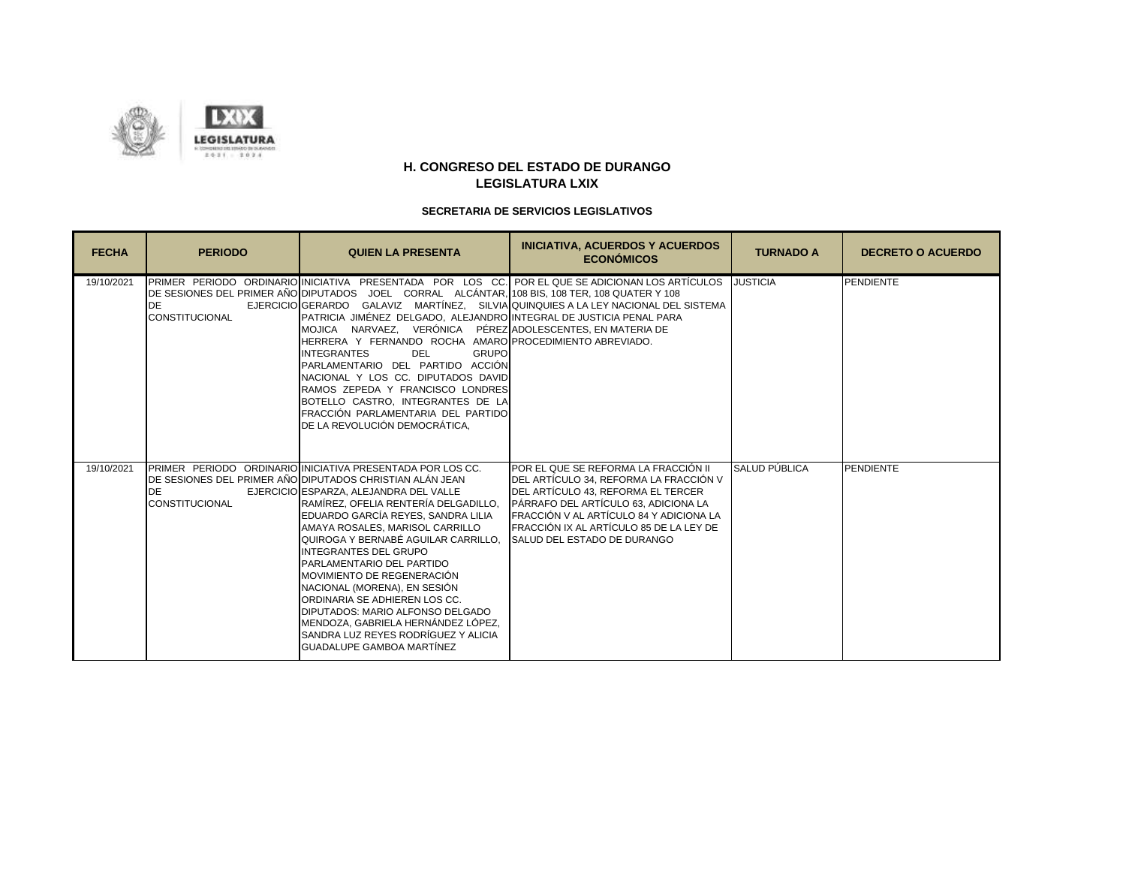

| <b>FECHA</b> | <b>PERIODO</b>                     | <b>QUIEN LA PRESENTA</b>                                                                                                                                                                                                                                                                                                                                                                                                                                                                                                                                                                                                                         | <b>INICIATIVA, ACUERDOS Y ACUERDOS</b><br><b>ECONÓMICOS</b>                                                                                                                                                                                                                               | <b>TURNADO A</b>     | <b>DECRETO O ACUERDO</b> |
|--------------|------------------------------------|--------------------------------------------------------------------------------------------------------------------------------------------------------------------------------------------------------------------------------------------------------------------------------------------------------------------------------------------------------------------------------------------------------------------------------------------------------------------------------------------------------------------------------------------------------------------------------------------------------------------------------------------------|-------------------------------------------------------------------------------------------------------------------------------------------------------------------------------------------------------------------------------------------------------------------------------------------|----------------------|--------------------------|
| 19/10/2021   | <b>DE</b><br><b>CONSTITUCIONAL</b> | DE SESIONES DEL PRIMER AÑO DIPUTADOS JOEL CORRAL ALCÁNTAR, 108 BIS, 108 TER, 108 QUATER Y 108<br>PATRICIA JIMÉNEZ DELGADO, ALEJANDRO INTEGRAL DE JUSTICIA PENAL PARA<br>MOJICA NARVAEZ, VERÓNICA PÉREZ ADOLESCENTES, EN MATERIA DE<br>HERRERA Y FERNANDO ROCHA AMARO PROCEDIMIENTO ABREVIADO.<br><b>INTEGRANTES</b><br><b>DEL</b><br><b>GRUPO</b><br>PARLAMENTARIO DEL PARTIDO ACCIÓN<br>NACIONAL Y LOS CC. DIPUTADOS DAVIDI<br>RAMOS ZEPEDA Y FRANCISCO LONDRES<br>BOTELLO CASTRO, INTEGRANTES DE LA<br>FRACCIÓN PARLAMENTARIA DEL PARTIDO<br>DE LA REVOLUCIÓN DEMOCRÁTICA.                                                                     | PRIMER PERIODO ORDINARIO INICIATIVA PRESENTADA POR LOS CC. POR EL QUE SE ADICIONAN LOS ARTÍCULOS<br>EJERCICIO GERARDO GALAVIZ MARTÍNEZ, SILVIA QUINQUIES A LA LEY NACIONAL DEL SISTEMA                                                                                                    | <b>JUSTICIA</b>      | <b>PENDIENTE</b>         |
| 19/10/2021   | <b>DE</b><br><b>CONSTITUCIONAL</b> | <b>PRIMER PERIODO ORDINARIO INICIATIVA PRESENTADA POR LOS CC.</b><br>DE SESIONES DEL PRIMER AÑO DIPUTADOS CHRISTIAN ALÁN JEAN<br>EJERCICIO ESPARZA, ALEJANDRA DEL VALLE<br>RAMÍREZ. OFELIA RENTERÍA DELGADILLO.<br>EDUARDO GARCÍA REYES. SANDRA LILIA<br>AMAYA ROSALES, MARISOL CARRILLO<br>QUIROGA Y BERNABÉ AGUILAR CARRILLO.<br><b>INTEGRANTES DEL GRUPO</b><br>PARLAMENTARIO DEL PARTIDO<br>MOVIMIENTO DE REGENERACIÓN<br>NACIONAL (MORENA), EN SESIÓN<br>ORDINARIA SE ADHIEREN LOS CC.<br>DIPUTADOS: MARIO ALFONSO DELGADO<br>MENDOZA. GABRIELA HERNÁNDEZ LÓPEZ.<br>SANDRA LUZ REYES RODRÍGUEZ Y ALICIA<br><b>GUADALUPE GAMBOA MARTÍNEZ</b> | POR EL QUE SE REFORMA LA FRACCIÓN II.<br>DEL ARTÍCULO 34, REFORMA LA FRACCIÓN V<br>DEL ARTÍCULO 43, REFORMA EL TERCER<br>PÁRRAFO DEL ARTÍCULO 63. ADICIONA LA<br>FRACCIÓN V AL ARTÍCULO 84 Y ADICIONA LA<br>FRACCIÓN IX AL ARTÍCULO 85 DE LA LEY DE<br><b>SALUD DEL ESTADO DE DURANGO</b> | <b>SALUD PÚBLICA</b> | <b>PENDIENTE</b>         |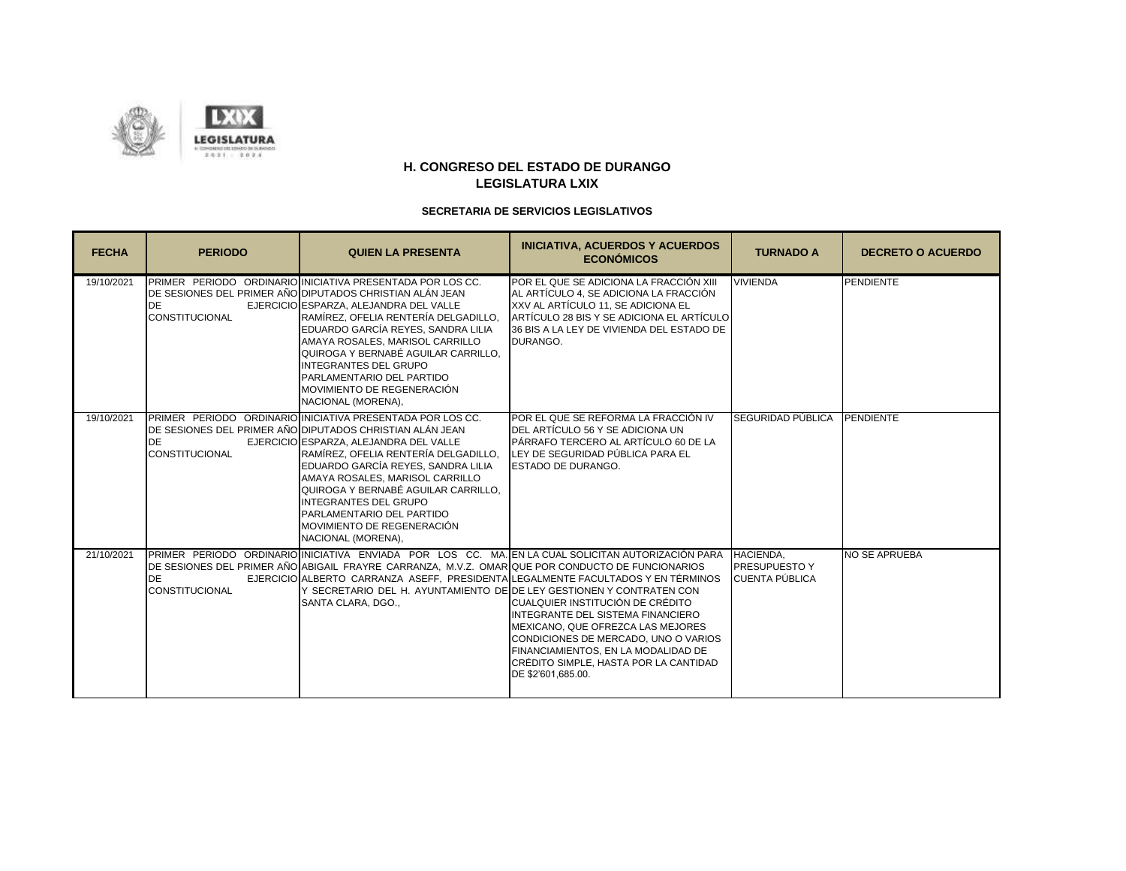

| <b>FECHA</b> | <b>PERIODO</b>              | <b>QUIEN LA PRESENTA</b>                                                                                                                                                                                                                                                                                                                                                                                                                  | <b>INICIATIVA, ACUERDOS Y ACUERDOS</b><br><b>ECONÓMICOS</b>                                                                                                                                                                                                                                                                                                                                                                                       | <b>TURNADO A</b>                             | <b>DECRETO O ACUERDO</b> |
|--------------|-----------------------------|-------------------------------------------------------------------------------------------------------------------------------------------------------------------------------------------------------------------------------------------------------------------------------------------------------------------------------------------------------------------------------------------------------------------------------------------|---------------------------------------------------------------------------------------------------------------------------------------------------------------------------------------------------------------------------------------------------------------------------------------------------------------------------------------------------------------------------------------------------------------------------------------------------|----------------------------------------------|--------------------------|
| 19/10/2021   | DE<br><b>CONSTITUCIONAL</b> | PRIMER PERIODO ORDINARIO INICIATIVA PRESENTADA POR LOS CC.<br>DE SESIONES DEL PRIMER AÑO DIPUTADOS CHRISTIAN ALÁN JEAN<br>EJERCICIO ESPARZA, ALEJANDRA DEL VALLE<br>RAMÍREZ, OFELIA RENTERÍA DELGADILLO,<br>EDUARDO GARCÍA REYES, SANDRA LILIA<br>AMAYA ROSALES, MARISOL CARRILLO<br>QUIROGA Y BERNABÉ AGUILAR CARRILLO,<br><b>INTEGRANTES DEL GRUPO</b><br>PARLAMENTARIO DEL PARTIDO<br>MOVIMIENTO DE REGENERACIÓN<br>NACIONAL (MORENA), | POR EL QUE SE ADICIONA LA FRACCIÓN XIII.<br>AL ARTÍCULO 4, SE ADICIONA LA FRACCIÓN<br>XXV AL ARTÍCULO 11. SE ADICIONA EL<br>ARTÍCULO 28 BIS Y SE ADICIONA EL ARTÍCULO<br>36 BIS A LA LEY DE VIVIENDA DEL ESTADO DE<br>DURANGO.                                                                                                                                                                                                                    | <b>VIVIENDA</b>                              | PENDIENTE                |
| 19/10/2021   | DE<br><b>CONSTITUCIONAL</b> | PRIMER PERIODO ORDINARIO INICIATIVA PRESENTADA POR LOS CC.<br>DE SESIONES DEL PRIMER AÑO DIPUTADOS CHRISTIAN ALÁN JEAN<br>EJERCICIO ESPARZA, ALEJANDRA DEL VALLE<br>RAMÍREZ, OFELIA RENTERÍA DELGADILLO,<br>EDUARDO GARCÍA REYES, SANDRA LILIA<br>AMAYA ROSALES, MARISOL CARRILLO<br>QUIROGA Y BERNABÉ AGUILAR CARRILLO.<br><b>INTEGRANTES DEL GRUPO</b><br>PARLAMENTARIO DEL PARTIDO<br>MOVIMIENTO DE REGENERACIÓN<br>NACIONAL (MORENA), | POR EL QUE SE REFORMA LA FRACCIÓN IV<br>DEL ARTÍCULO 56 Y SE ADICIONA UN<br>PÁRRAFO TERCERO AL ARTÍCULO 60 DE LA<br>LEY DE SEGURIDAD PÚBLICA PARA EL<br>ESTADO DE DURANGO.                                                                                                                                                                                                                                                                        | SEGURIDAD PÚBLICA PENDIENTE                  |                          |
| 21/10/2021   | DE<br><b>CONSTITUCIONAL</b> | DE SESIONES DEL PRIMER AÑO ABIGAIL FRAYRE CARRANZA, M.V.Z. OMAR QUE POR CONDUCTO DE FUNCIONARIOS<br>Y SECRETARIO DEL H. AYUNTAMIENTO DE DE LEY GESTIONEN Y CONTRATEN CON<br>SANTA CLARA, DGO.,                                                                                                                                                                                                                                            | PRIMER PERIODO ORDINARIO INICIATIVA ENVIADA POR LOS CC. MA EN LA CUAL SOLICITAN AUTORIZACIÓN PARA<br>EJERCICIO ALBERTO CARRANZA ASEFF, PRESIDENTA LEGALMENTE FACULTADOS Y EN TÉRMINOS<br>CUALQUIER INSTITUCIÓN DE CRÉDITO<br>INTEGRANTE DEL SISTEMA FINANCIERO<br>MEXICANO. QUE OFREZCA LAS MEJORES<br>CONDICIONES DE MERCADO, UNO O VARIOS<br>FINANCIAMIENTOS. EN LA MODALIDAD DE<br>CRÉDITO SIMPLE, HASTA POR LA CANTIDAD<br>DE \$2'601,685.00. | HACIENDA,<br>PRESUPUESTO Y<br>CUENTA PÚBLICA | <b>NO SE APRUEBA</b>     |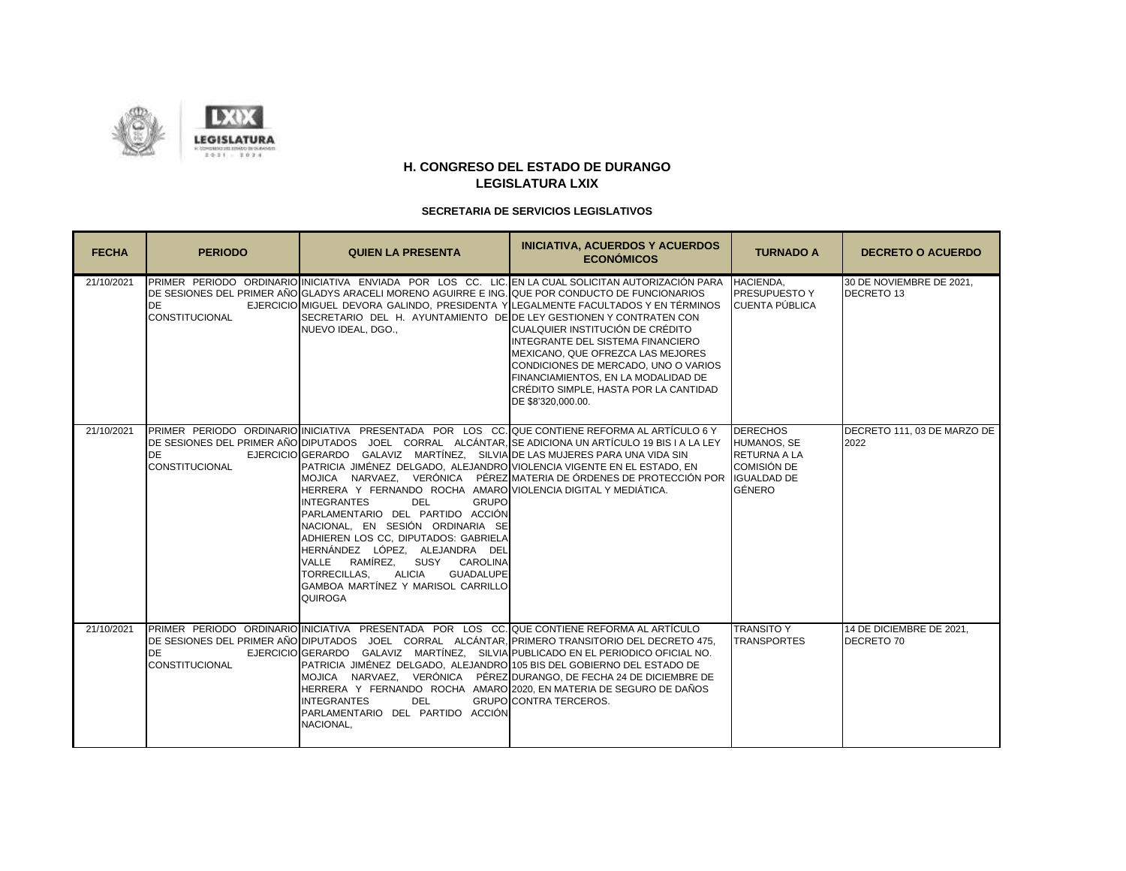

| <b>FECHA</b> | <b>PERIODO</b>                     | <b>QUIEN LA PRESENTA</b>                                                                                                                                                                                                                                                                                                                                                                                                                                                                                                                                                                 | <b>INICIATIVA, ACUERDOS Y ACUERDOS</b><br><b>ECONÓMICOS</b>                                                                                                                                                                                                                                                                                                                                                                                                    | <b>TURNADO A</b>                                                                                    | <b>DECRETO O ACUERDO</b>               |
|--------------|------------------------------------|------------------------------------------------------------------------------------------------------------------------------------------------------------------------------------------------------------------------------------------------------------------------------------------------------------------------------------------------------------------------------------------------------------------------------------------------------------------------------------------------------------------------------------------------------------------------------------------|----------------------------------------------------------------------------------------------------------------------------------------------------------------------------------------------------------------------------------------------------------------------------------------------------------------------------------------------------------------------------------------------------------------------------------------------------------------|-----------------------------------------------------------------------------------------------------|----------------------------------------|
| 21/10/2021   | <b>DE</b><br><b>CONSTITUCIONAL</b> | DE SESIONES DEL PRIMER AÑO GLADYS ARACELI MORENO AGUIRRE E ING. QUE POR CONDUCTO DE FUNCIONARIOS<br>SECRETARIO DEL H. AYUNTAMIENTO DE DE LEY GESTIONEN Y CONTRATEN CON<br>NUEVO IDEAL, DGO.,                                                                                                                                                                                                                                                                                                                                                                                             | PRIMER PERIODO ORDINARIO INICIATIVA ENVIADA POR LOS CC. LIC. EN LA CUAL SOLICITAN AUTORIZACIÓN PARA HACIENDA,<br>EJERCICIO MIGUEL DEVORA GALINDO. PRESIDENTA Y LEGALMENTE FACULTADOS Y EN TÉRMINOS<br>CUALQUIER INSTITUCIÓN DE CRÉDITO<br>INTEGRANTE DEL SISTEMA FINANCIERO<br>MEXICANO, QUE OFREZCA LAS MEJORES<br>CONDICIONES DE MERCADO. UNO O VARIOS<br>FINANCIAMIENTOS, EN LA MODALIDAD DE<br>CRÉDITO SIMPLE, HASTA POR LA CANTIDAD<br>DE \$8'320,000.00. | <b>PRESUPUESTO Y</b><br><b>CUENTA PÚBLICA</b>                                                       | 30 DE NOVIEMBRE DE 2021,<br>DECRETO 13 |
| 21/10/2021   | <b>DE</b><br><b>CONSTITUCIONAL</b> | EJERCICIO GERARDO GALAVIZ MARTÍNEZ, SILVIA DE LAS MUJERES PARA UNA VIDA SIN<br>PATRICIA JIMÉNEZ DELGADO, ALEJANDRO VIOLENCIA VIGENTE EN EL ESTADO, EN<br>HERRERA Y FERNANDO ROCHA AMARO VIOLENCIA DIGITAL Y MEDIÁTICA.<br><b>INTEGRANTES</b><br><b>DEL</b><br><b>GRUPO</b><br>PARLAMENTARIO DEL PARTIDO ACCIÓN<br>NACIONAL, EN SESIÓN ORDINARIA SE<br>ADHIEREN LOS CC, DIPUTADOS: GABRIELA<br>HERNÁNDEZ LÓPEZ, ALEJANDRA DEL<br>RAMÍREZ.<br>SUSY CAROLINA<br><b>VALLE</b><br><b>TORRECILLAS,</b><br>ALICIA<br><b>GUADALUPE</b><br>GAMBOA MARTÍNEZ Y MARISOL CARRILLO<br><b>QUIROGA</b>   | PRIMER PERIODO ORDINARIO INICIATIVA PRESENTADA POR LOS CC. QUE CONTIENE REFORMA AL ARTÍCULO 6 Y<br>DE SESIONES DEL PRIMER AÑO DIPUTADOS JOEL CORRAL ALCÁNTAR. SE ADICIONA UN ARTÍCULO 19 BIS I A LA LEY<br>MOJICA NARVAEZ, VERÓNICA PÉREZ MATERIA DE ÓRDENES DE PROTECCIÓN POR IGUALDAD DE                                                                                                                                                                     | <b>DERECHOS</b><br><b>HUMANOS, SE</b><br><b>RETURNA A LA</b><br><b>COMISIÓN DE</b><br><b>GÉNERO</b> | DECRETO 111, 03 DE MARZO DE<br>2022    |
| 21/10/2021   | <b>DE</b><br><b>CONSTITUCIONAL</b> | PRIMER PERIODO ORDINARIO INICIATIVA PRESENTADA POR LOS CC. QUE CONTIENE REFORMA AL ARTÍCULO<br>DE SESIONES DEL PRIMER AÑO DIPUTADOS JOEL CORRAL ALCÁNTAR, PRIMERO TRANSITORIO DEL DECRETO 475.<br>EJERCICIO GERARDO GALAVIZ MARTÍNEZ, SILVIA PUBLICADO EN EL PERIODICO OFICIAL NO.<br>PATRICIA JIMÉNEZ DELGADO, ALEJANDRO 105 BIS DEL GOBIERNO DEL ESTADO DE<br>MOJICA NARVAEZ, VERÓNICA PÉREZ DURANGO, DE FECHA 24 DE DICIEMBRE DE<br>HERRERA Y FERNANDO ROCHA AMARO 2020, EN MATERIA DE SEGURO DE DAÑOS<br><b>INTEGRANTES</b><br>DEL.<br>PARLAMENTARIO DEL PARTIDO ACCIÓN<br>NACIONAL, | <b>GRUPO CONTRA TERCEROS.</b>                                                                                                                                                                                                                                                                                                                                                                                                                                  | <b>TRANSITO Y</b><br><b>TRANSPORTES</b>                                                             | 14 DE DICIEMBRE DE 2021,<br>DECRETO 70 |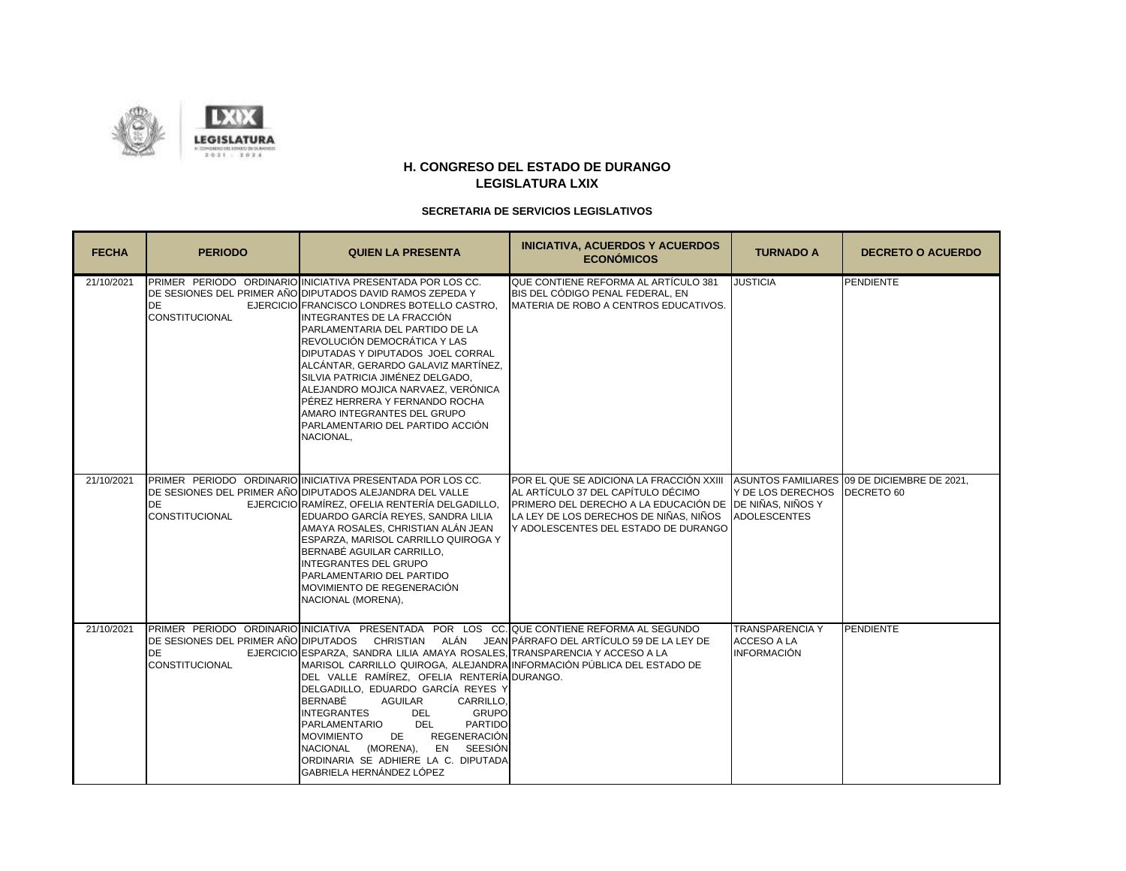

| <b>FECHA</b> | <b>PERIODO</b>                     | <b>QUIEN LA PRESENTA</b>                                                                                                                                                                                                                                                                                                                                                                                                                                                                                                                                                                                                                                                                                                                                         | <b>INICIATIVA, ACUERDOS Y ACUERDOS</b><br><b>ECONÓMICOS</b>                                                                                                                                                                 | <b>TURNADO A</b>                                            | <b>DECRETO O ACUERDO</b>                     |
|--------------|------------------------------------|------------------------------------------------------------------------------------------------------------------------------------------------------------------------------------------------------------------------------------------------------------------------------------------------------------------------------------------------------------------------------------------------------------------------------------------------------------------------------------------------------------------------------------------------------------------------------------------------------------------------------------------------------------------------------------------------------------------------------------------------------------------|-----------------------------------------------------------------------------------------------------------------------------------------------------------------------------------------------------------------------------|-------------------------------------------------------------|----------------------------------------------|
| 21/10/2021   | <b>DE</b><br><b>CONSTITUCIONAL</b> | PRIMER PERIODO ORDINARIO INICIATIVA PRESENTADA POR LOS CC.<br>DE SESIONES DEL PRIMER AÑO DIPUTADOS DAVID RAMOS ZEPEDA Y<br>EJERCICIO FRANCISCO LONDRES BOTELLO CASTRO.<br>INTEGRANTES DE LA FRACCIÓN<br>PARLAMENTARIA DEL PARTIDO DE LA<br>IREVOLUCIÓN DEMOCRÁTICA Y LAS<br><b>DIPUTADAS Y DIPUTADOS JOEL CORRAL</b><br>ALCÁNTAR, GERARDO GALAVIZ MARTÍNEZ,<br>SILVIA PATRICIA JIMÉNEZ DELGADO,<br>ALEJANDRO MOJICA NARVAEZ. VERÓNICA<br>PÉREZ HERRERA Y FERNANDO ROCHA<br>AMARO INTEGRANTES DEL GRUPO<br>PARLAMENTARIO DEL PARTIDO ACCIÓN<br>NACIONAL,                                                                                                                                                                                                          | QUE CONTIENE REFORMA AL ARTÍCULO 381<br>BIS DEL CÓDIGO PENAL FEDERAL, EN<br>MATERIA DE ROBO A CENTROS EDUCATIVOS.                                                                                                           | <b>JUSTICIA</b>                                             | PENDIENTE                                    |
| 21/10/2021   | <b>DE</b><br><b>CONSTITUCIONAL</b> | PRIMER PERIODO ORDINARIO INICIATIVA PRESENTADA POR LOS CC.<br>DE SESIONES DEL PRIMER AÑO DIPUTADOS ALEJANDRA DEL VALLE<br>EJERCICIO RAMÍREZ, OFELIA RENTERÍA DELGADILLO,<br>EDUARDO GARCÍA REYES, SANDRA LILIA<br>AMAYA ROSALES, CHRISTIAN ALÁN JEAN<br>ESPARZA, MARISOL CARRILLO QUIROGA Y<br>BERNABÉ AGUILAR CARRILLO,<br><b>INTEGRANTES DEL GRUPO</b><br>PARLAMENTARIO DEL PARTIDO<br>MOVIMIENTO DE REGENERACIÓN<br>NACIONAL (MORENA),                                                                                                                                                                                                                                                                                                                        | POR EL QUE SE ADICIONA LA FRACCIÓN XXIII<br>AL ARTÍCULO 37 DEL CAPÍTULO DÉCIMO<br>PRIMERO DEL DERECHO A LA EDUCACIÓN DE DE NIÑAS, NIÑOS Y<br>LA LEY DE LOS DERECHOS DE NIÑAS. NIÑOS<br>Y ADOLESCENTES DEL ESTADO DE DURANGO | Y DE LOS DERECHOS IDECRETO 60<br><b>ADOLESCENTES</b>        | ASUNTOS FAMILIARES 109 DE DICIEMBRE DE 2021. |
| 21/10/2021   | <b>DE</b><br><b>CONSTITUCIONAL</b> | PRIMER PERIODO ORDINARIO INICIATIVA PRESENTADA POR LOS CC. QUE CONTIENE REFORMA AL SEGUNDO<br>DE SESIONES DEL PRIMER AÑO DIPUTADOS CHRISTIAN ALÁN JEAN PÁRRAFO DEL ARTÍCULO 59 DE LA LEY DE<br>EJERCICIO ESPARZA, SANDRA LILIA AMAYA ROSALES, TRANSPARENCIA Y ACCESO A LA<br>MARISOL CARRILLO QUIROGA, ALEJANDRA INFORMACIÓN PÚBLICA DEL ESTADO DE<br>DEL VALLE RAMÍREZ, OFELIA RENTERÍA DURANGO.<br>DELGADILLO, EDUARDO GARCÍA REYES Y<br><b>BERNABÉ</b><br><b>AGUILAR</b><br>CARRILLO.<br><b>INTEGRANTES</b><br><b>GRUPO</b><br><b>DEL</b><br><b>PARTIDO</b><br><b>PARLAMENTARIO</b><br><b>DEL</b><br>DE<br><b>REGENERACIÓN</b><br><b>MOVIMIENTO</b><br>NACIONAL (MORENA),<br>SEESIÓN<br>EN<br>ORDINARIA SE ADHIERE LA C. DIPUTADA<br>GABRIELA HERNÁNDEZ LÓPEZ |                                                                                                                                                                                                                             | <b>TRANSPARENCIA Y</b><br>ACCESO A LA<br><b>INFORMACIÓN</b> | PENDIENTE                                    |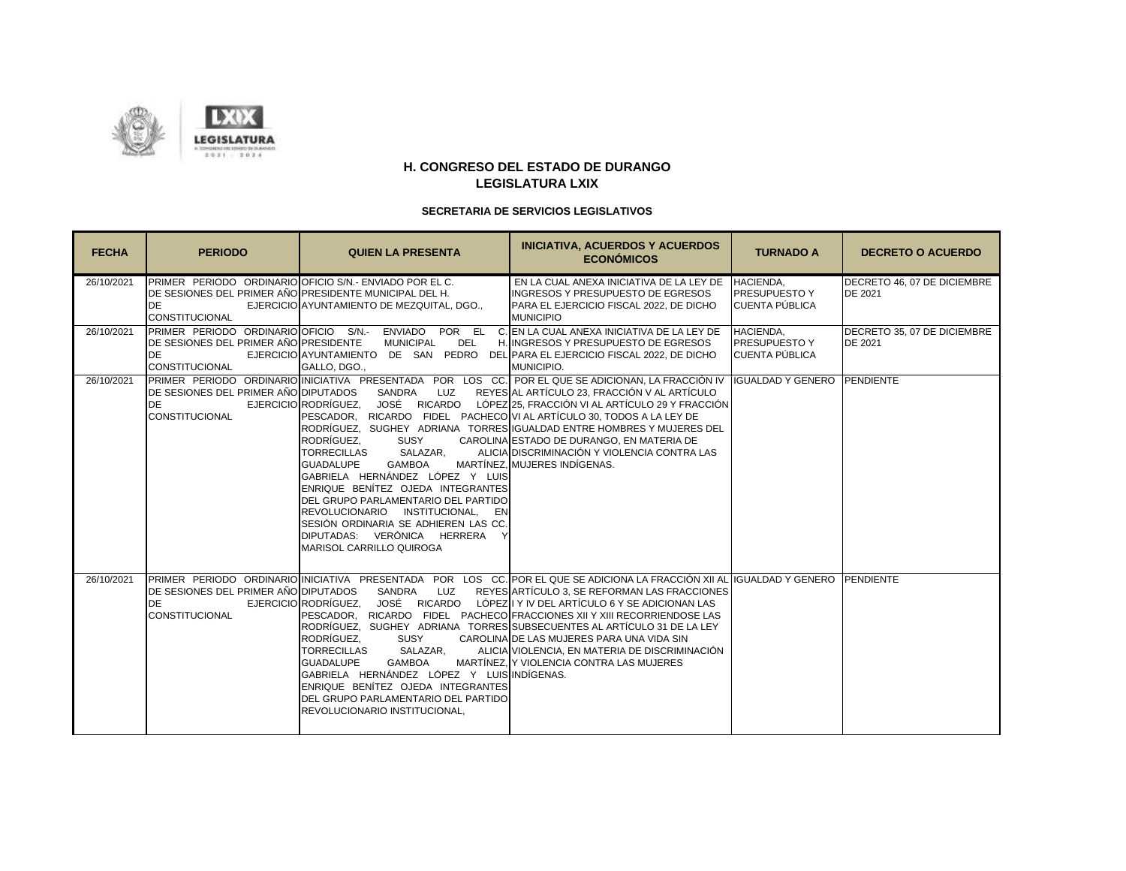

| <b>FECHA</b> | <b>PERIODO</b>                                                             | <b>QUIEN LA PRESENTA</b>                                                                                                                                                                                                                                                                                                                                                                                                          | <b>INICIATIVA, ACUERDOS Y ACUERDOS</b><br><b>ECONÓMICOS</b>                                                                                                                                                                                                                                                                                                                                                                                                                                                                                      | <b>TURNADO A</b>                                    | <b>DECRETO O ACUERDO</b>               |
|--------------|----------------------------------------------------------------------------|-----------------------------------------------------------------------------------------------------------------------------------------------------------------------------------------------------------------------------------------------------------------------------------------------------------------------------------------------------------------------------------------------------------------------------------|--------------------------------------------------------------------------------------------------------------------------------------------------------------------------------------------------------------------------------------------------------------------------------------------------------------------------------------------------------------------------------------------------------------------------------------------------------------------------------------------------------------------------------------------------|-----------------------------------------------------|----------------------------------------|
| 26/10/2021   | <b>DE</b><br><b>CONSTITUCIONAL</b>                                         | PRIMER PERIODO ORDINARIO OFICIO S/N.- ENVIADO POR EL C.<br>DE SESIONES DEL PRIMER AÑO PRESIDENTE MUNICIPAL DEL H.<br>EJERCICIO AYUNTAMIENTO DE MEZQUITAL, DGO.,                                                                                                                                                                                                                                                                   | EN LA CUAL ANEXA INICIATIVA DE LA LEY DE<br>INGRESOS Y PRESUPUESTO DE EGRESOS<br>PARA EL EJERCICIO FISCAL 2022, DE DICHO<br><b>MUNICIPIO</b>                                                                                                                                                                                                                                                                                                                                                                                                     | HACIENDA.<br><b>PRESUPUESTO Y</b><br>CUENTA PÚBLICA | DECRETO 46, 07 DE DICIEMBRE<br>DE 2021 |
| 26/10/2021   | DE SESIONES DEL PRIMER AÑO PRESIDENTE<br><b>DE</b><br>CONSTITUCIONAL       | <b>MUNICIPAL</b><br>DEL<br>GALLO, DGO.,                                                                                                                                                                                                                                                                                                                                                                                           | PRIMER PERIODO ORDINARIO OFICIO S/N.- ENVIADO POR EL C. EN LA CUAL ANEXA INICIATIVA DE LA LEY DE<br>H. INGRESOS Y PRESUPUESTO DE EGRESOS<br>EJERCICIO AYUNTAMIENTO DE SAN PEDRO DEL PARA EL EJERCICIO FISCAL 2022, DE DICHO<br>MUNICIPIO.                                                                                                                                                                                                                                                                                                        | HACIENDA,<br><b>PRESUPUESTO Y</b><br>CUENTA PÚBLICA | DECRETO 35, 07 DE DICIEMBRE<br>DE 2021 |
| 26/10/2021   | DE SESIONES DEL PRIMER AÑO DIPUTADOS<br><b>DE</b><br><b>CONSTITUCIONAL</b> | SANDRA LUZ<br>PESCADOR. RICARDO FIDEL PACHECO VI AL ARTÍCULO 30. TODOS A LA LEY DE<br>RODRÍGUEZ.<br>SUSY<br><b>TORRECILLAS</b><br>SALAZAR.<br><b>GUADALUPE</b><br>GAMBOA<br>GABRIELA HERNÁNDEZ LÓPEZ Y LUIS<br>ENRIQUE BENÍTEZ OJEDA INTEGRANTES<br>DEL GRUPO PARLAMENTARIO DEL PARTIDO<br>REVOLUCIONARIO INSTITUCIONAL,<br>EN<br>SESIÓN ORDINARIA SE ADHIEREN LAS CC.<br>DIPUTADAS: VERÓNICA HERRERA<br>MARISOL CARRILLO QUIROGA | PRIMER PERIODO ORDINARIO INICIATIVA PRESENTADA POR LOS CC. POR EL QUE SE ADICIONAN, LA FRACCIÓN IV IIGUALDAD Y GENERO PENDIENTE<br>REYES AL ARTÍCULO 23, FRACCIÓN V AL ARTÍCULO<br>EJERCICIO RODRÍGUEZ, JOSÉ RICARDO LÓPEZ 25, FRACCIÓN VI AL ARTÍCULO 29 Y FRACCIÓN<br>RODRÍGUEZ, SUGHEY ADRIANA TORRES IGUALDAD ENTRE HOMBRES Y MUJERES DEL<br>CAROLINA ESTADO DE DURANGO, EN MATERIA DE<br>ALICIA DISCRIMINACIÓN Y VIOLENCIA CONTRA LAS<br>MARTÍNEZ. MUJERES INDÍGENAS.                                                                       |                                                     |                                        |
| 26/10/2021   | DE SESIONES DEL PRIMER AÑO DIPUTADOS<br><b>DE</b><br><b>CONSTITUCIONAL</b> | SANDRA LUZ<br>EJERCICIO RODRÍGUEZ.<br>RODRÍGUEZ.<br>SUSY<br><b>TORRECILLAS</b><br>SALAZAR.<br><b>GUADALUPE</b><br><b>GAMBOA</b><br>GABRIELA HERNÁNDEZ LÓPEZ Y LUISINDÍGENAS.<br>ENRIQUE BENÍTEZ OJEDA INTEGRANTES<br><b>DEL GRUPO PARLAMENTARIO DEL PARTIDO</b><br>REVOLUCIONARIO INSTITUCIONAL,                                                                                                                                  | PRIMER PERIODO ORDINARIO INICIATIVA PRESENTADA POR LOS CC. POR EL QUE SE ADICIONA LA FRACCIÓN XII AL IIGUALDAD Y GENERO PENDIENTE<br>REYES ARTÍCULO 3, SE REFORMAN LAS FRACCIONES<br>JOSÉ RICARDO LÓPEZ I Y IV DEL ARTÍCULO 6 Y SE ADICIONAN LAS<br>PESCADOR, RICARDO FIDEL PACHECO FRACCIONES XII Y XIII RECORRIENDOSE LAS<br>RODRÍGUEZ, SUGHEY ADRIANA TORRES SUBSECUENTES AL ARTÍCULO 31 DE LA LEY<br>CAROLINA DE LAS MUJERES PARA UNA VIDA SIN<br>ALICIA VIOLENCIA, EN MATERIA DE DISCRIMINACIÓN<br>MARTÍNEZ, Y VIOLENCIA CONTRA LAS MUJERES |                                                     |                                        |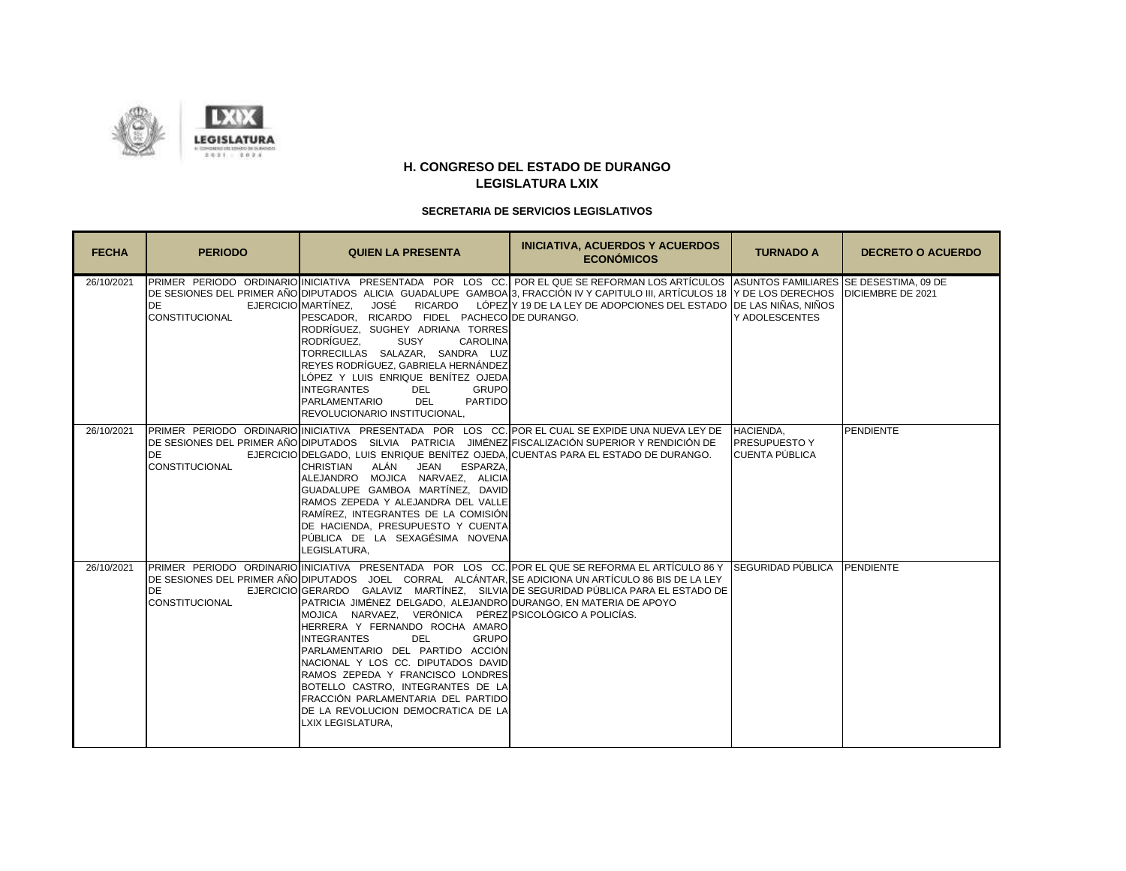



| <b>FECHA</b> | <b>PERIODO</b>                     | <b>QUIEN LA PRESENTA</b>                                                                                                                                                                                                                                                                                                                                                                                                                                                          | <b>INICIATIVA, ACUERDOS Y ACUERDOS</b><br><b>ECONÓMICOS</b>                                                                                                                                                                                                                                                                                                         | <b>TURNADO A</b>                       | <b>DECRETO O ACUERDO</b> |
|--------------|------------------------------------|-----------------------------------------------------------------------------------------------------------------------------------------------------------------------------------------------------------------------------------------------------------------------------------------------------------------------------------------------------------------------------------------------------------------------------------------------------------------------------------|---------------------------------------------------------------------------------------------------------------------------------------------------------------------------------------------------------------------------------------------------------------------------------------------------------------------------------------------------------------------|----------------------------------------|--------------------------|
| 26/10/2021   | <b>DE</b><br><b>CONSTITUCIONAL</b> | EJERCICIO MARTÍNEZ.<br>JOSÉ<br>PESCADOR, RICARDO FIDEL PACHECO DE DURANGO.<br>RODRÍGUEZ, SUGHEY ADRIANA TORRES<br>RODRÍGUEZ.<br><b>SUSY</b><br><b>CAROLINA</b><br>TORRECILLAS SALAZAR, SANDRA LUZ<br>REYES RODRÍGUEZ, GABRIELA HERNÁNDEZ<br>LÓPEZ Y LUIS ENRIQUE BENÍTEZ OJEDA<br><b>INTEGRANTES</b><br><b>GRUPO</b><br><b>DEL</b><br><b>PARTIDO</b><br><b>PARLAMENTARIO</b><br><b>DEL</b><br><b>REVOLUCIONARIO INSTITUCIONAL.</b>                                                | PRIMER PERIODO ORDINARIO INICIATIVA PRESENTADA POR LOS CC. POR EL QUE SE REFORMAN LOS ARTÍCULOS ASUNTOS FAMILIARES SE DESESTIMA. 09 DE<br>DE SESIONES DEL PRIMER AÑO DIPUTADOS ALICIA GUADALUPE GAMBOA 3, FRACCIÓN IV Y CAPITULO III, ARTÍCULOS 18 Y DE LOS DERECHOS DICIEMBRE DE 2021<br>RICARDO LÓPEZIY 19 DE LA LEY DE ADOPCIONES DEL ESTADO DE LAS NIÑAS. NIÑOS | Y ADOLESCENTES                         |                          |
| 26/10/2021   | <b>DE</b><br><b>CONSTITUCIONAL</b> | DE SESIONES DEL PRIMER AÑO DIPUTADOS SILVIA PATRICIA JIMÉNEZ FISCALIZACIÓN SUPERIOR Y RENDICIÓN DE<br>EJERCICIO DELGADO, LUIS ENRIQUE BENÍTEZ OJEDA, CUENTAS PARA EL ESTADO DE DURANGO.<br><b>CHRISTIAN</b><br>ALÁN<br>JEAN ESPARZA,<br>ALEJANDRO MOJICA NARVAEZ. ALICIA<br>GUADALUPE GAMBOA MARTÍNEZ. DAVID<br>RAMOS ZEPEDA Y ALEJANDRA DEL VALLE<br>RAMÍREZ, INTEGRANTES DE LA COMISIÓN<br>DE HACIENDA, PRESUPUESTO Y CUENTA<br>PÚBLICA DE LA SEXAGÉSIMA NOVENA<br>LEGISLATURA, | PRIMER PERIODO ORDINARIO INICIATIVA PRESENTADA POR LOS CC. POR EL CUAL SE EXPIDE UNA NUEVA LEY DE HACIENDA.                                                                                                                                                                                                                                                         | <b>PRESUPUESTO Y</b><br>CUENTA PÚBLICA | <b>PENDIENTE</b>         |
| 26/10/2021   | <b>DE</b><br><b>CONSTITUCIONAL</b> | PATRICIA JIMÉNEZ DELGADO, ALEJANDRO DURANGO, EN MATERIA DE APOYO<br>MOJICA NARVAEZ, VERÓNICA PÉREZ PSICOLÓGICO A POLICÍAS.<br>HERRERA Y FERNANDO ROCHA AMARO<br><b>INTEGRANTES</b><br><b>GRUPO</b><br><b>DEL</b><br>PARLAMENTARIO DEL PARTIDO ACCIÓN<br>NACIONAL Y LOS CC. DIPUTADOS DAVID<br>RAMOS ZEPEDA Y FRANCISCO LONDRES<br>BOTELLO CASTRO, INTEGRANTES DE LA<br>FRACCIÓN PARLAMENTARIA DEL PARTIDO<br>DE LA REVOLUCION DEMOCRATICA DE LA<br>LXIX LEGISLATURA.              | PRIMER PERIODO ORDINARIO INICIATIVA PRESENTADA POR LOS CC. POR EL QUE SE REFORMA EL ARTÍCULO 86 Y SEGURIDAD PÚBLICA PENDIENTE<br>DE SESIONES DEL PRIMER AÑO DIPUTADOS JOEL CORRAL ALCÁNTAR. SE ADICIONA UN ARTÍCULO 86 BIS DE LA LEY<br>EJERCICIO GERARDO GALAVIZ MARTÍNEZ, SILVIA DE SEGURIDAD PÚBLICA PARA EL ESTADO DE                                           |                                        |                          |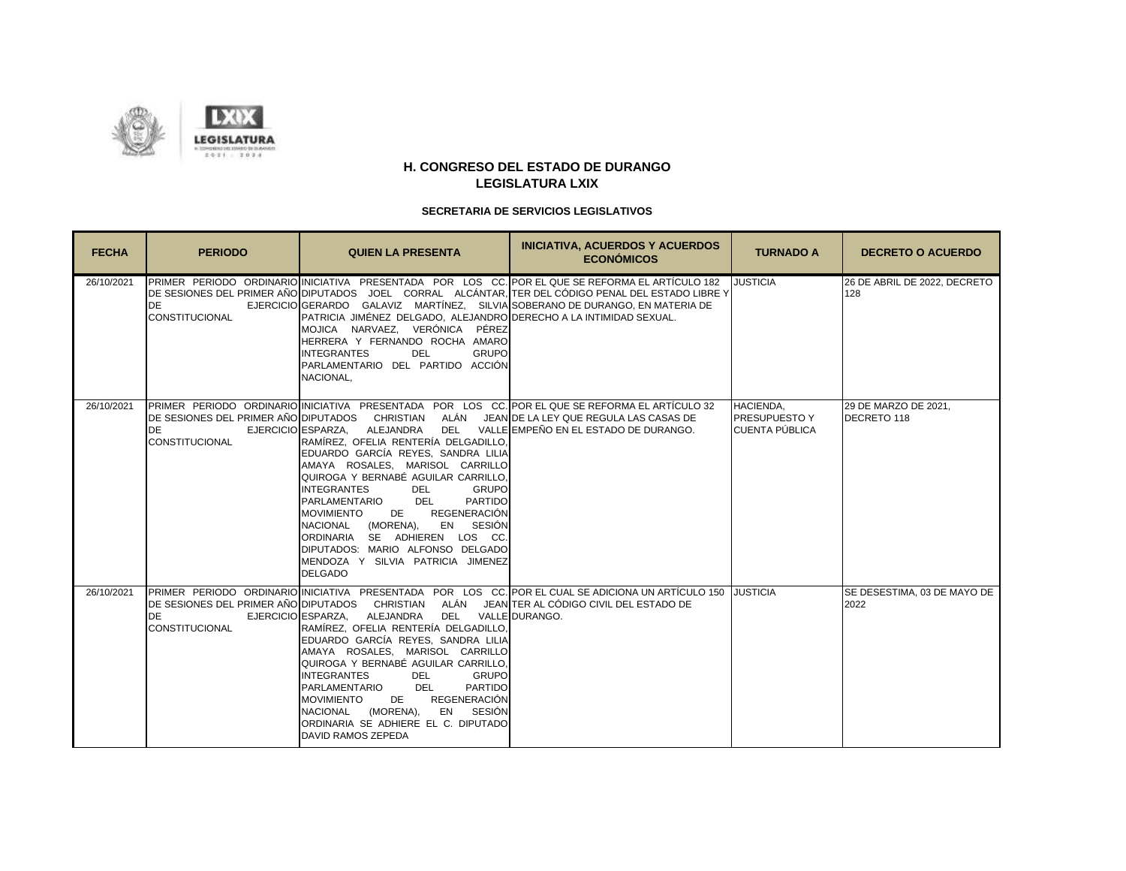

| <b>FECHA</b> | <b>PERIODO</b>                                           | <b>QUIEN LA PRESENTA</b>                                                                                                                                                                                                                                                                                                                                                                                                                                                                                                                                                                                                                                                        | <b>INICIATIVA, ACUERDOS Y ACUERDOS</b><br><b>ECONÓMICOS</b>                                                                                                                                            | <b>TURNADO A</b>                                           | <b>DECRETO O ACUERDO</b>            |
|--------------|----------------------------------------------------------|---------------------------------------------------------------------------------------------------------------------------------------------------------------------------------------------------------------------------------------------------------------------------------------------------------------------------------------------------------------------------------------------------------------------------------------------------------------------------------------------------------------------------------------------------------------------------------------------------------------------------------------------------------------------------------|--------------------------------------------------------------------------------------------------------------------------------------------------------------------------------------------------------|------------------------------------------------------------|-------------------------------------|
| 26/10/2021   | <b>DE</b><br><b>CONSTITUCIONAL</b>                       | EJERCICIO GERARDO GALAVIZ MARTÍNEZ, SILVIA SOBERANO DE DURANGO, EN MATERIA DE<br>PATRICIA JIMÉNEZ DELGADO, ALEJANDRO DERECHO A LA INTIMIDAD SEXUAL.<br>MOJICA NARVAEZ. VERÓNICA PÉREZ<br>HERRERA Y FERNANDO ROCHA AMARO<br><b>INTEGRANTES</b><br><b>DEL</b><br><b>GRUPO</b><br>PARLAMENTARIO DEL PARTIDO ACCIÓN<br>NACIONAL,                                                                                                                                                                                                                                                                                                                                                    | PRIMER PERIODO ORDINARIO INICIATIVA PRESENTADA POR LOS CC. POR EL QUE SE REFORMA EL ARTÍCULO 182<br>DE SESIONES DEL PRIMER AÑO DIPUTADOS JOEL CORRAL ALCÁNTAR, TER DEL CÓDIGO PENAL DEL ESTADO LIBRE Y | <b>JUSTICIA</b>                                            | 26 DE ABRIL DE 2022, DECRETO<br>128 |
| 26/10/2021   | <b>DE</b><br>EJERCICIO ESPARZA,<br><b>CONSTITUCIONAL</b> | PRIMER PERIODO ORDINARIO INICIATIVA PRESENTADA POR LOS CC. POR EL QUE SE REFORMA EL ARTÍCULO 32<br>DE SESIONES DEL PRIMER AÑO DIPUTADOS CHRISTIAN ALÁN JEAN DE LA LEY QUE REGULA LAS CASAS DE<br>ALEJANDRA<br>RAMÍREZ, OFELIA RENTERÍA DELGADILLO,<br>EDUARDO GARCÍA REYES, SANDRA LILIA<br>AMAYA ROSALES, MARISOL CARRILLO<br>QUIROGA Y BERNABÉ AGUILAR CARRILLO<br><b>INTEGRANTES</b><br><b>GRUPO</b><br><b>DEL</b><br>DEL<br><b>PARTIDO</b><br>PARLAMENTARIO<br>REGENERACIÓN<br><b>MOVIMIENTO</b><br>DE<br>NACIONAL<br>(MORENA),<br>EN SESIÓN<br>SE ADHIEREN LOS CC.<br>ORDINARIA<br>DIPUTADOS: MARIO ALFONSO DELGADO<br>MENDOZA Y SILVIA PATRICIA JIMENEZ<br><b>DELGADO</b> | DEL VALLE EMPEÑO EN EL ESTADO DE DURANGO.                                                                                                                                                              | HACIENDA,<br><b>PRESUPUESTO Y</b><br><b>CUENTA PÚBLICA</b> | 29 DE MARZO DE 2021,<br>DECRETO 118 |
| 26/10/2021   | DE<br><b>CONSTITUCIONAL</b>                              | DE SESIONES DEL PRIMER AÑO DIPUTADOS      CHRISTIAN       ALÁN       JEAN TER AL CÓDIGO CIVIL DEL ESTADO DE<br>DEL VALLE DURANGO.<br>EJERCICIO ESPARZA,<br>ALEJANDRA<br>RAMÍREZ, OFELIA RENTERÍA DELGADILLO<br>EDUARDO GARCÍA REYES, SANDRA LILIA<br>AMAYA ROSALES, MARISOL CARRILLO<br>QUIROGA Y BERNABÉ AGUILAR CARRILLO,<br><b>INTEGRANTES</b><br><b>GRUPO</b><br><b>DEL</b><br>PARLAMENTARIO<br>DEL<br><b>PARTIDO</b><br><b>REGENERACIÓN</b><br><b>MOVIMIENTO</b><br>DE<br>NACIONAL (MORENA),<br>EN<br>SESIÓN<br>ORDINARIA SE ADHIERE EL C. DIPUTADO<br><b>DAVID RAMOS ZEPEDA</b>                                                                                           | PRIMER PERIODO ORDINARIO INICIATIVA PRESENTADA POR LOS CC. POR EL CUAL SE ADICIONA UN ARTÍCULO 150 JUSTICIA                                                                                            |                                                            | SE DESESTIMA, 03 DE MAYO DE<br>2022 |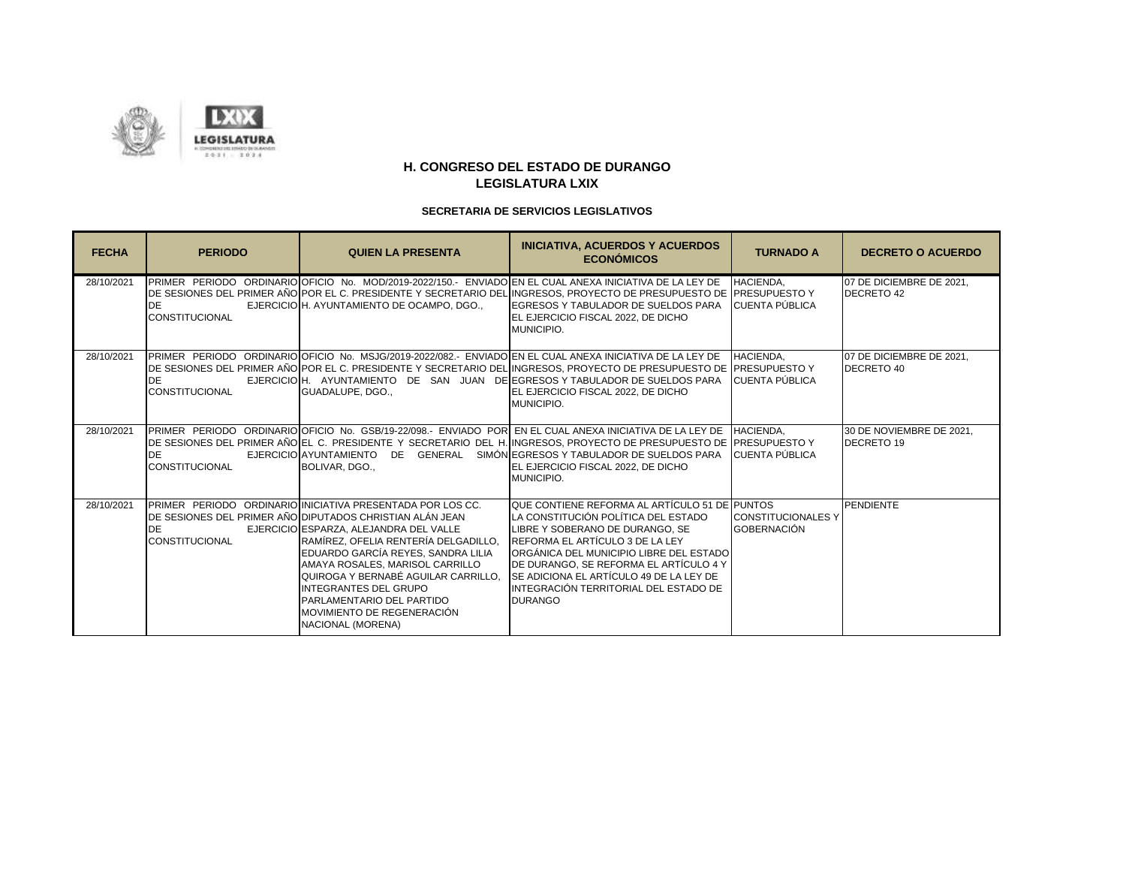

| <b>FECHA</b> | <b>PERIODO</b>                     | <b>QUIEN LA PRESENTA</b>                                                                                                                                                                                                                                                                                                                                                                                                                 | <b>INICIATIVA, ACUERDOS Y ACUERDOS</b><br><b>ECONÓMICOS</b>                                                                                                                                                                                                                                                                                                          | <b>TURNADO A</b>                                | <b>DECRETO O ACUERDO</b>                      |
|--------------|------------------------------------|------------------------------------------------------------------------------------------------------------------------------------------------------------------------------------------------------------------------------------------------------------------------------------------------------------------------------------------------------------------------------------------------------------------------------------------|----------------------------------------------------------------------------------------------------------------------------------------------------------------------------------------------------------------------------------------------------------------------------------------------------------------------------------------------------------------------|-------------------------------------------------|-----------------------------------------------|
| 28/10/2021   | <b>DE</b><br><b>CONSTITUCIONAL</b> | EJERCICIO H. AYUNTAMIENTO DE OCAMPO, DGO.,                                                                                                                                                                                                                                                                                                                                                                                               | PRIMER PERIODO ORDINARIO OFICIO No. MOD/2019-2022/150.- ENVIADO EN EL CUAL ANEXA INICIATIVA DE LA LEY DE<br>DE SESIONES DEL PRIMER AÑO POR EL C. PRESIDENTE Y SECRETARIO DEL INGRESOS. PROYECTO DE PRESUPUESTO DE  PRESUPUESTO Y<br>EGRESOS Y TABULADOR DE SUELDOS PARA<br>EL EJERCICIO FISCAL 2022, DE DICHO<br>MUNICIPIO.                                          | HACIENDA,<br><b>CUENTA PÚBLICA</b>              | 07 DE DICIEMBRE DE 2021,<br><b>DECRETO 42</b> |
| 28/10/2021   | DE<br>CONSTITUCIONAL               | GUADALUPE, DGO.,                                                                                                                                                                                                                                                                                                                                                                                                                         | PRIMER PERIODO ORDINARIO OFICIO No. MSJG/2019-2022/082.- ENVIADO EN EL CUAL ANEXA INICIATIVA DE LA LEY DE<br>DE SESIONES DEL PRIMER AÑO POR EL C. PRESIDENTE Y SECRETARIO DEL INGRESOS, PROYECTO DE PRESUPUESTO DE PRESUPUESTO Y<br>EJERCICIO H. AYUNTAMIENTO DE SAN JUAN DE EGRESOS Y TABULADOR DE SUELDOS PARA<br>EL EJERCICIO FISCAL 2022, DE DICHO<br>MUNICIPIO. | HACIENDA,<br><b>CUENTA PÚBLICA</b>              | 07 DE DICIEMBRE DE 2021,<br>DECRETO 40        |
| 28/10/2021   | <b>DE</b><br><b>CONSTITUCIONAL</b> | EJERCICIO AYUNTAMIENTO DE GENERAL<br>BOLIVAR, DGO.,                                                                                                                                                                                                                                                                                                                                                                                      | PRIMER PERIODO ORDINARIO OFICIO No. GSB/19-22/098.- ENVIADO POR EN EL CUAL ANEXA INICIATIVA DE LA LEY DE<br>DE SESIONES DEL PRIMER AÑO EL C. PRESIDENTE Y SECRETARIO DEL H. INGRESOS, PROYECTO DE PRESUPUESTO DE  PRESUPUESTO Y<br>SIMÓN EGRESOS Y TABULADOR DE SUELDOS PARA<br>EL EJERCICIO FISCAL 2022, DE DICHO<br>MUNICIPIO.                                     | <b>HACIENDA.</b><br><b>CUENTA PÚBLICA</b>       | 30 DE NOVIEMBRE DE 2021.<br><b>DECRETO 19</b> |
| 28/10/2021   | DE<br><b>CONSTITUCIONAL</b>        | PRIMER PERIODO ORDINARIO INICIATIVA PRESENTADA POR LOS CC.<br>DE SESIONES DEL PRIMER AÑO DIPUTADOS CHRISTIAN ALÁN JEAN<br>EJERCICIO ESPARZA. ALEJANDRA DEL VALLE<br>RAMÍREZ. OFELIA RENTERÍA DELGADILLO.<br>EDUARDO GARCÍA REYES, SANDRA LILIA<br>AMAYA ROSALES, MARISOL CARRILLO<br>QUIROGA Y BERNABÉ AGUILAR CARRILLO.<br><b>INTEGRANTES DEL GRUPO</b><br>PARLAMENTARIO DEL PARTIDO<br>MOVIMIENTO DE REGENERACIÓN<br>NACIONAL (MORENA) | QUE CONTIENE REFORMA AL ARTÍCULO 51 DE PUNTOS<br>LA CONSTITUCIÓN POLÍTICA DEL ESTADO<br>LIBRE Y SOBERANO DE DURANGO. SE<br>REFORMA EL ARTÍCULO 3 DE LA LEY<br>ORGÁNICA DEL MUNICIPIO LIBRE DEL ESTADO<br>DE DURANGO, SE REFORMA EL ARTÍCULO 4 Y<br>SE ADICIONA EL ARTÍCULO 49 DE LA LEY DE<br>INTEGRACIÓN TERRITORIAL DEL ESTADO DE<br><b>DURANGO</b>                | <b>CONSTITUCIONALES Y</b><br><b>GOBERNACIÓN</b> | PENDIENTE                                     |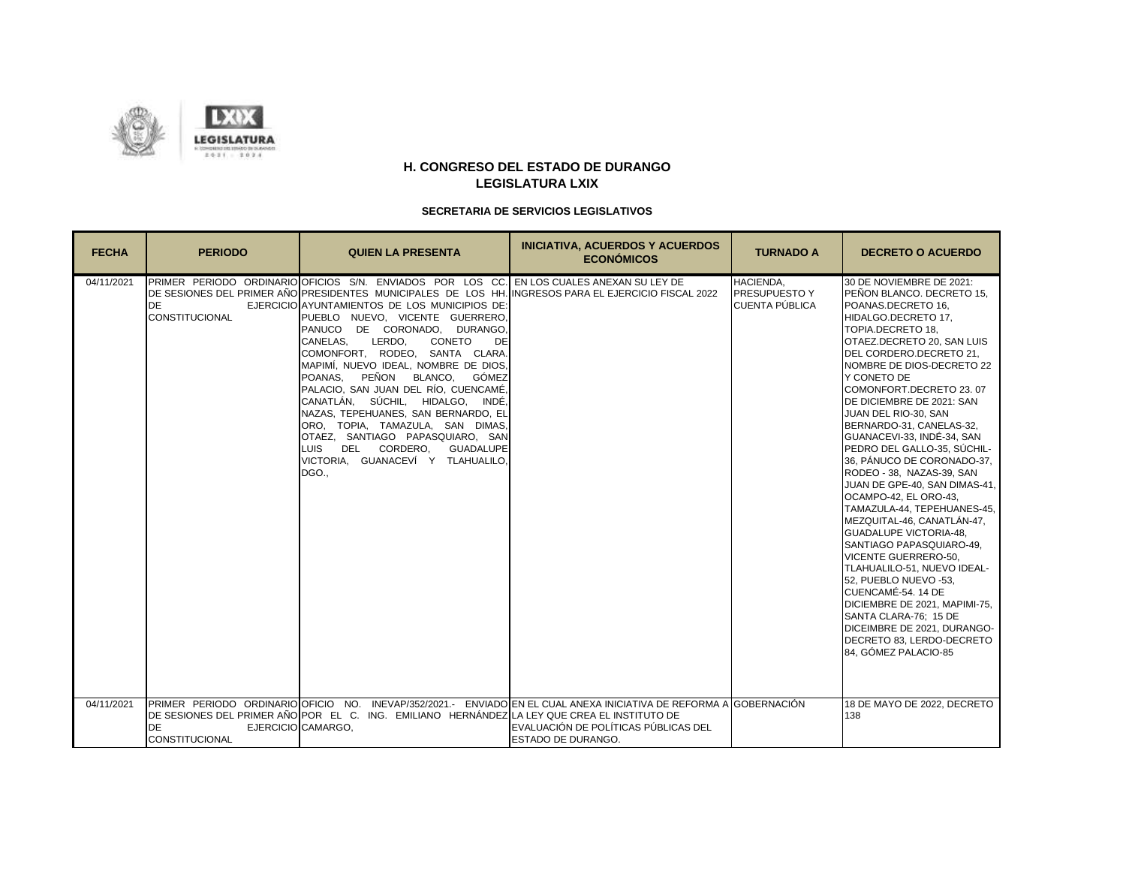



| <b>FECHA</b> | <b>PERIODO</b>                                                     | <b>QUIEN LA PRESENTA</b>                                                                                                                                                                                                                                                                                                                                                                                                                                                                                                                                                                                                                                                                                                                                      | <b>INICIATIVA, ACUERDOS Y ACUERDOS</b><br><b>ECONÓMICOS</b>                                                                                           | <b>TURNADO A</b>                                                  | <b>DECRETO O ACUERDO</b>                                                                                                                                                                                                                                                                                                                                                                                                                                                                                                                                                                                                                                                                                                                                                                                                                                                                                          |
|--------------|--------------------------------------------------------------------|---------------------------------------------------------------------------------------------------------------------------------------------------------------------------------------------------------------------------------------------------------------------------------------------------------------------------------------------------------------------------------------------------------------------------------------------------------------------------------------------------------------------------------------------------------------------------------------------------------------------------------------------------------------------------------------------------------------------------------------------------------------|-------------------------------------------------------------------------------------------------------------------------------------------------------|-------------------------------------------------------------------|-------------------------------------------------------------------------------------------------------------------------------------------------------------------------------------------------------------------------------------------------------------------------------------------------------------------------------------------------------------------------------------------------------------------------------------------------------------------------------------------------------------------------------------------------------------------------------------------------------------------------------------------------------------------------------------------------------------------------------------------------------------------------------------------------------------------------------------------------------------------------------------------------------------------|
| 04/11/2021   | <b>DE</b><br><b>CONSTITUCIONAL</b>                                 | PRIMER PERIODO ORDINARIO OFICIOS S/N. ENVIADOS POR LOS CC. EN LOS CUALES ANEXAN SU LEY DE<br>DE SESIONES DEL PRIMER AÑO PRESIDENTES MUNICIPALES DE LOS HH. INGRESOS PARA EL EJERCICIO FISCAL 2022<br>EJERCICIO AYUNTAMIENTOS DE LOS MUNICIPIOS DE:<br>PUEBLO NUEVO, VICENTE GUERRERO.<br>PANUCO DE CORONADO, DURANGO,<br>CANELAS.<br>LERDO,<br>CONETO<br>DE<br>COMONFORT. RODEO. SANTA CLARA.<br>MAPIMÍ, NUEVO IDEAL, NOMBRE DE DIOS,<br>PEÑON BLANCO, GÓMEZ<br>POANAS.<br>PALACIO, SAN JUAN DEL RÍO, CUENCAMÉ,<br>CANATLÁN, SÚCHIL, HIDALGO, INDÉ,<br>NAZAS, TEPEHUANES, SAN BERNARDO, EL<br>ORO, TOPIA, TAMAZULA, SAN DIMAS,<br>OTAEZ, SANTIAGO PAPASQUIARO, SAN<br>DEL CORDERO.<br><b>GUADALUPE</b><br>LUIS.<br>VICTORIA. GUANACEVÍ Y TLAHUALILO.<br>DGO., |                                                                                                                                                       | <b>HACIENDA.</b><br><b>PRESUPUESTO Y</b><br><b>CUENTA PÚBLICA</b> | 30 DE NOVIEMBRE DE 2021:<br>PEÑON BLANCO. DECRETO 15,<br>POANAS.DECRETO 16,<br>HIDALGO.DECRETO 17,<br>TOPIA.DECRETO 18.<br>OTAEZ.DECRETO 20, SAN LUIS<br>DEL CORDERO.DECRETO 21.<br>NOMBRE DE DIOS-DECRETO 22<br>Y CONETO DE<br>COMONFORT.DECRETO 23.07<br><b>IDE DICIEMBRE DE 2021: SAN</b><br>JUAN DEL RIO-30, SAN<br>BERNARDO-31, CANELAS-32,<br>GUANACEVI-33, INDÉ-34, SAN<br>PEDRO DEL GALLO-35. SÚCHIL-<br>36, PÁNUCO DE CORONADO-37,<br>RODEO - 38, NAZAS-39, SAN<br>JUAN DE GPE-40, SAN DIMAS-41,<br>OCAMPO-42, EL ORO-43,<br>TAMAZULA-44, TEPEHUANES-45,<br>MEZQUITAL-46, CANATLÁN-47,<br><b>GUADALUPE VICTORIA-48.</b><br>SANTIAGO PAPASQUIARO-49.<br>IVICENTE GUERRERO-50.<br>TLAHUALILO-51. NUEVO IDEAL-<br>52, PUEBLO NUEVO -53,<br>CUENCAMÉ-54, 14 DE<br>DICIEMBRE DE 2021, MAPIMI-75,<br>SANTA CLARA-76; 15 DE<br>DICEIMBRE DE 2021, DURANGO-<br>DECRETO 83, LERDO-DECRETO<br>84, GÓMEZ PALACIO-85 |
| 04/11/2021   | PRIMER PERIODO ORDINARIO OFICIO NO.<br>DE<br><b>CONSTITUCIONAL</b> | DE SESIONES DEL PRIMER AÑO POR EL C. ING. EMILIANO HERNÁNDEZ LA LEY QUE CREA EL INSTITUTO DE<br>EJERCICIO CAMARGO,                                                                                                                                                                                                                                                                                                                                                                                                                                                                                                                                                                                                                                            | INEVAP/352/2021.- ENVIADO EN EL CUAL ANEXA INICIATIVA DE REFORMA A IGOBERNACIÓN<br><b>IEVALUACIÓN DE POLÍTICAS PÚBLICAS DEL</b><br>ESTADO DE DURANGO. |                                                                   | 18 DE MAYO DE 2022. DECRETO<br>138                                                                                                                                                                                                                                                                                                                                                                                                                                                                                                                                                                                                                                                                                                                                                                                                                                                                                |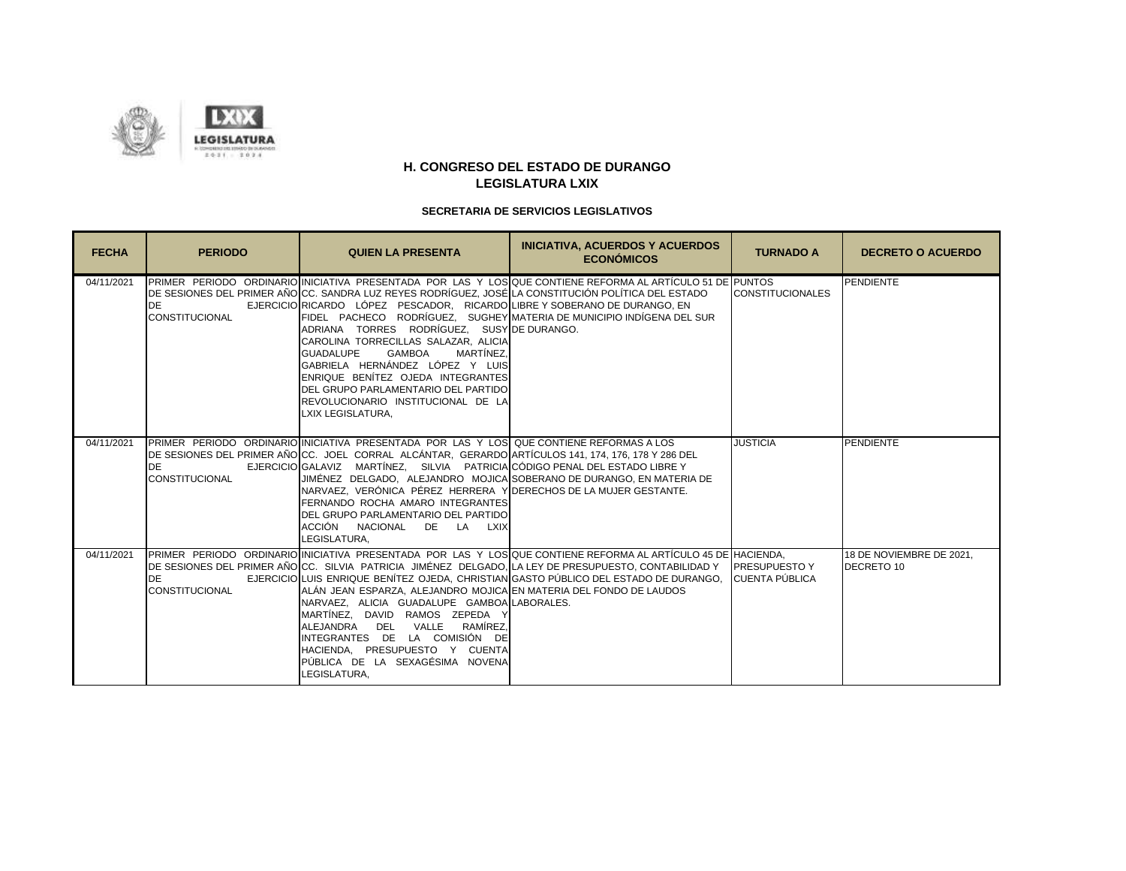

| <b>FECHA</b> | <b>PERIODO</b>                     | <b>QUIEN LA PRESENTA</b>                                                                                                                                                                                                                                                                                                                                                                                                                                                                                                                                                    | <b>INICIATIVA, ACUERDOS Y ACUERDOS</b><br><b>ECONÓMICOS</b>                                                                                                                                                                                                                                                                  | <b>TURNADO A</b>        | <b>DECRETO O ACUERDO</b>               |
|--------------|------------------------------------|-----------------------------------------------------------------------------------------------------------------------------------------------------------------------------------------------------------------------------------------------------------------------------------------------------------------------------------------------------------------------------------------------------------------------------------------------------------------------------------------------------------------------------------------------------------------------------|------------------------------------------------------------------------------------------------------------------------------------------------------------------------------------------------------------------------------------------------------------------------------------------------------------------------------|-------------------------|----------------------------------------|
| 04/11/2021   | <b>DE</b><br><b>CONSTITUCIONAL</b> | DE SESIONES DEL PRIMER AÑOÍCC. SANDRA LUZ REYES RODRÍGUEZ. JOSÉİLA CONSTITUCIÓN POLÍTICA DEL ESTADO<br>EJERCICIO RICARDO LÓPEZ PESCADOR, RICARDO LIBRE Y SOBERANO DE DURANGO, EN<br>FIDEL PACHECO RODRÍGUEZ, SUGHEY MATERIA DE MUNICIPIO INDÍGENA DEL SUR<br>ADRIANA TORRES RODRÍGUEZ, SUSY DE DURANGO.<br>CAROLINA TORRECILLAS SALAZAR, ALICIA<br><b>GAMBOA</b><br>MARTÍNEZ,<br><b>GUADALUPE</b><br>GABRIELA HERNÁNDEZ LÓPEZ Y LUIS<br>ENRIQUE BENÍTEZ OJEDA INTEGRANTES<br>DEL GRUPO PARLAMENTARIO DEL PARTIDO<br>REVOLUCIONARIO INSTITUCIONAL DE LA<br>LXIX LEGISLATURA, | PRIMER PERIODO ORDINARIO INICIATIVA PRESENTADA POR LAS Y LOS QUE CONTIENE REFORMA AL ARTÍCULO 51 DE PUNTOS                                                                                                                                                                                                                   | <b>CONSTITUCIONALES</b> | <b>PENDIENTE</b>                       |
| 04/11/2021   | <b>DE</b><br><b>CONSTITUCIONAL</b> | PRIMER PERIODO ORDINARIO INICIATIVA PRESENTADA POR LAS Y LOS QUE CONTIENE REFORMAS A LOS<br>DE SESIONES DEL PRIMER AÑO CC. JOEL CORRAL ALCÁNTAR, GERARDO ARTÍCULOS 141, 174, 176, 178 Y 286 DEL<br>EJERCICIO GALAVIZ MARTÍNEZ, SILVIA PATRICIA CÓDIGO PENAL DEL ESTADO LIBRE Y<br>JIMÉNEZ DELGADO, ALEJANDRO MOJICA SOBERANO DE DURANGO, EN MATERIA DE<br>NARVAEZ, VERÓNICA PÉREZ HERRERA Y DERECHOS DE LA MUJER GESTANTE.<br>FERNANDO ROCHA AMARO INTEGRANTES<br>DEL GRUPO PARLAMENTARIO DEL PARTIDO<br>ACCIÓN NACIONAL DE LA LXIX<br>LEGISLATURA.                         |                                                                                                                                                                                                                                                                                                                              | <b>JUSTICIA</b>         | <b>PENDIENTE</b>                       |
| 04/11/2021   | <b>DE</b><br><b>CONSTITUCIONAL</b> | ALÁN JEAN ESPARZA. ALEJANDRO MOJICA EN MATERIA DEL FONDO DE LAUDOS<br>NARVAEZ. ALICIA GUADALUPE GAMBOA LABORALES.<br>MARTÍNEZ. DAVID RAMOS ZEPEDA Y<br>VALLE<br>RAMÍREZ.<br>ALEJANDRA<br>DEL<br>INTEGRANTES DE LA COMISIÓN DE<br>HACIENDA, PRESUPUESTO Y CUENTA<br>PÚBLICA DE LA SEXAGÉSIMA NOVENA<br>LEGISLATURA,                                                                                                                                                                                                                                                          | PRIMER PERIODO ORDINARIO INICIATIVA PRESENTADA POR LAS Y LOS QUE CONTIENE REFORMA AL ARTÍCULO 45 DE HACIENDA.<br>DE SESIONES DEL PRIMER AÑO CC. SILVIA PATRICIA JIMÉNEZ DELGADO. LA LEY DE PRESUPUESTO, CONTABILIDAD Y PRESUPUESTO Y<br>EJERCICIO LUIS ENRIQUE BENÍTEZ OJEDA, CHRISTIAN GASTO PÚBLICO DEL ESTADO DE DURANGO, | CUENTA PÚBLICA          | 18 DE NOVIEMBRE DE 2021.<br>DECRETO 10 |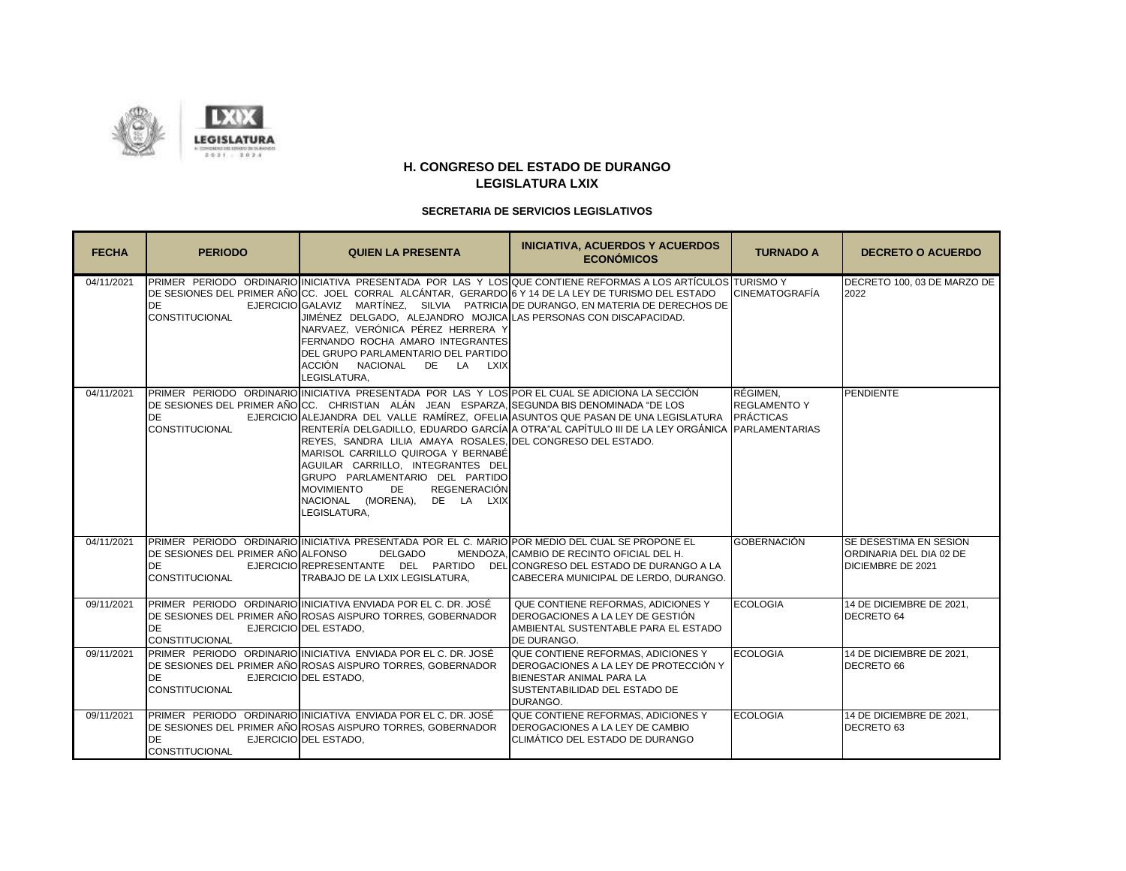

| <b>FECHA</b> | <b>PERIODO</b>                                                           | <b>QUIEN LA PRESENTA</b>                                                                                                                                                                                                                                                                                                                                                                                                                                                      | <b>INICIATIVA, ACUERDOS Y ACUERDOS</b><br><b>ECONÓMICOS</b>                                                                                                                                                                                                                                              | <b>TURNADO A</b>                | <b>DECRETO O ACUERDO</b>                                                       |
|--------------|--------------------------------------------------------------------------|-------------------------------------------------------------------------------------------------------------------------------------------------------------------------------------------------------------------------------------------------------------------------------------------------------------------------------------------------------------------------------------------------------------------------------------------------------------------------------|----------------------------------------------------------------------------------------------------------------------------------------------------------------------------------------------------------------------------------------------------------------------------------------------------------|---------------------------------|--------------------------------------------------------------------------------|
| 04/11/2021   | DE<br><b>CONSTITUCIONAL</b>                                              | JIMÉNEZ DELGADO, ALEJANDRO MOJICA LAS PERSONAS CON DISCAPACIDAD.<br>NARVAEZ, VERÓNICA PÉREZ HERRERA Y<br>FERNANDO ROCHA AMARO INTEGRANTES<br>DEL GRUPO PARLAMENTARIO DEL PARTIDO<br>ACCIÓN NACIONAL<br>DE LA LXIX<br>LEGISLATURA,                                                                                                                                                                                                                                             | PRIMER PERIODO ORDINARIO INICIATIVA PRESENTADA POR LAS Y LOS QUE CONTIENE REFORMAS A LOS ARTÍCULOS TURISMO Y<br>DE SESIONES DEL PRIMER AÑO CC. JOEL CORRAL ALCÁNTAR, GERARDO 6 Y 14 DE LA LEY DE TURISMO DEL ESTADO<br>EJERCICIO GALAVIZ MARTÍNEZ, SILVIA PATRICIA DE DURANGO, EN MATERIA DE DERECHOS DE | <b>CINEMATOGRAFÍA</b>           | DECRETO 100, 03 DE MARZO DE<br>2022                                            |
| 04/11/2021   | <b>DE</b><br><b>CONSTITUCIONAL</b>                                       | PRIMER PERIODO ORDINARIO INICIATIVA PRESENTADA POR LAS Y LOS POR EL CUAL SE ADICIONA LA SECCIÓN<br>DE SESIONES DEL PRIMER AÑOICC. CHRISTIAN ALÁN JEAN ESPARZA. SEGUNDA BIS DENOMINADA "DE LOS<br>REYES, SANDRA LILIA AMAYA ROSALES, DEL CONGRESO DEL ESTADO.<br>MARISOL CARRILLO QUIROGA Y BERNABÉ<br>AGUILAR CARRILLO, INTEGRANTES DEL<br>GRUPO PARLAMENTARIO DEL PARTIDO<br><b>MOVIMIENTO</b><br><b>REGENERACIÓN</b><br>DE<br>NACIONAL (MORENA), DE LA LXIX<br>LEGISLATURA, | EJERCICIO ALEJANDRA DEL VALLE RAMÍREZ, OFELIA ASUNTOS QUE PASAN DE UNA LEGISLATURA PRÁCTICAS<br>RENTERÍA DELGADILLO, EDUARDO GARCÍA A OTRA"AL CAPÍTULO III DE LA LEY ORGÁNICA PARLAMENTARIAS                                                                                                             | RÉGIMEN.<br><b>REGLAMENTO Y</b> | PENDIENTE                                                                      |
| 04/11/2021   | DE SESIONES DEL PRIMER AÑO ALFONSO<br><b>DE</b><br><b>CONSTITUCIONAL</b> | PRIMER PERIODO ORDINARIO INICIATIVA PRESENTADA POR EL C. MARIO POR MEDIO DEL CUAL SE PROPONE EL<br><b>DELGADO</b><br>TRABAJO DE LA LXIX LEGISLATURA,                                                                                                                                                                                                                                                                                                                          | MENDOZA. CAMBIO DE RECINTO OFICIAL DEL H.<br>EJERCICIO REPRESENTANTE DEL PARTIDO DEL CONGRESO DEL ESTADO DE DURANGO A LA<br>CABECERA MUNICIPAL DE LERDO, DURANGO.                                                                                                                                        | <b>GOBERNACIÓN</b>              | <b>ISE DESESTIMA EN SESION</b><br>ORDINARIA DEL DIA 02 DE<br>DICIEMBRE DE 2021 |
| 09/11/2021   | <b>DE</b><br><b>CONSTITUCIONAL</b>                                       | <b>PRIMER PERIODO ORDINARIO INICIATIVA ENVIADA POR EL C. DR. JOSÉ</b><br>DE SESIONES DEL PRIMER AÑO ROSAS AISPURO TORRES. GOBERNADOR<br>EJERCICIO DEL ESTADO,                                                                                                                                                                                                                                                                                                                 | QUE CONTIENE REFORMAS, ADICIONES Y<br>DEROGACIONES A LA LEY DE GESTIÓN<br>AMBIENTAL SUSTENTABLE PARA EL ESTADO<br>DE DURANGO.                                                                                                                                                                            | <b>ECOLOGIA</b>                 | 14 DE DICIEMBRE DE 2021.<br><b>DECRETO 64</b>                                  |
| 09/11/2021   | <b>DE</b><br><b>CONSTITUCIONAL</b>                                       | PRIMER PERIODO ORDINARIO INICIATIVA ENVIADA POR EL C. DR. JOSÉ<br>DE SESIONES DEL PRIMER AÑO ROSAS AISPURO TORRES, GOBERNADOR<br>EJERCICIO DEL ESTADO,                                                                                                                                                                                                                                                                                                                        | QUE CONTIENE REFORMAS, ADICIONES Y<br>DEROGACIONES A LA LEY DE PROTECCIÓN Y<br>BIENESTAR ANIMAL PARA LA<br>SUSTENTABILIDAD DEL ESTADO DE<br>DURANGO.                                                                                                                                                     | <b>ECOLOGIA</b>                 | 14 DE DICIEMBRE DE 2021,<br><b>DECRETO 66</b>                                  |
| 09/11/2021   | <b>DE</b><br><b>CONSTITUCIONAL</b>                                       | <b>PRIMER PERIODO ORDINARIO INICIATIVA ENVIADA POR EL C. DR. JOSÉ</b><br>DE SESIONES DEL PRIMER AÑO ROSAS AISPURO TORRES, GOBERNADOR<br>EJERCICIO DEL ESTADO,                                                                                                                                                                                                                                                                                                                 | <b>QUE CONTIENE REFORMAS, ADICIONES Y</b><br>DEROGACIONES A LA LEY DE CAMBIO<br><b>ICLIMÁTICO DEL ESTADO DE DURANGO</b>                                                                                                                                                                                  | <b>ECOLOGIA</b>                 | 14 DE DICIEMBRE DE 2021,<br><b>DECRETO 63</b>                                  |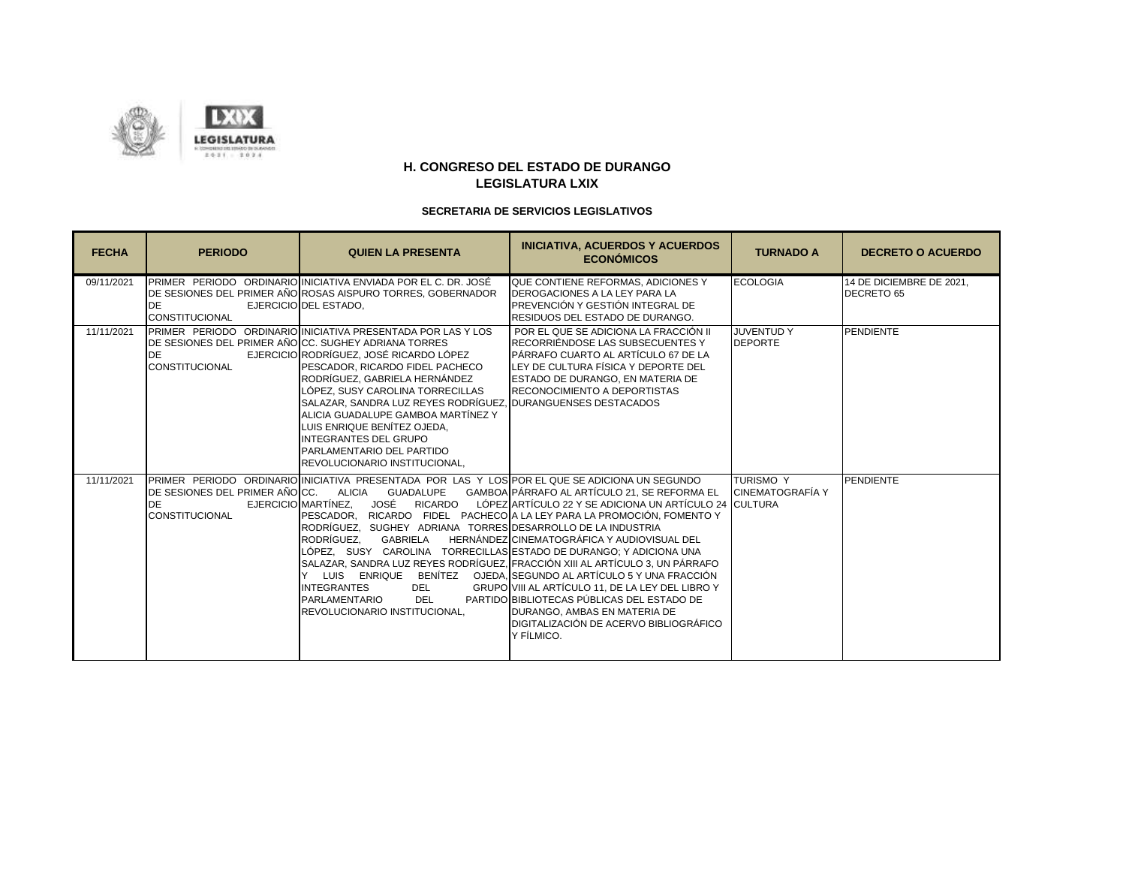



| <b>FECHA</b> | <b>PERIODO</b>                                                                             | <b>QUIEN LA PRESENTA</b>                                                                                                                                                                                                                                                                                                                                                                                                                                              | <b>INICIATIVA, ACUERDOS Y ACUERDOS</b><br><b>ECONÓMICOS</b>                                                                                                                                                                                                                                                                                                                                                                                                                                                                                             | <b>TURNADO A</b>                     | <b>DECRETO O ACUERDO</b>                      |
|--------------|--------------------------------------------------------------------------------------------|-----------------------------------------------------------------------------------------------------------------------------------------------------------------------------------------------------------------------------------------------------------------------------------------------------------------------------------------------------------------------------------------------------------------------------------------------------------------------|---------------------------------------------------------------------------------------------------------------------------------------------------------------------------------------------------------------------------------------------------------------------------------------------------------------------------------------------------------------------------------------------------------------------------------------------------------------------------------------------------------------------------------------------------------|--------------------------------------|-----------------------------------------------|
| 09/11/2021   | <b>DE</b><br><b>CONSTITUCIONAL</b>                                                         | PRIMER PERIODO ORDINARIO INICIATIVA ENVIADA POR EL C. DR. JOSÉ<br>DE SESIONES DEL PRIMER AÑO ROSAS AISPURO TORRES, GOBERNADOR<br>EJERCICIO DEL ESTADO,                                                                                                                                                                                                                                                                                                                | QUE CONTIENE REFORMAS, ADICIONES Y<br><b>DEROGACIONES A LA LEY PARA LA</b><br>PREVENCIÓN Y GESTIÓN INTEGRAL DE<br>RESIDUOS DEL ESTADO DE DURANGO.                                                                                                                                                                                                                                                                                                                                                                                                       | <b>ECOLOGIA</b>                      | 14 DE DICIEMBRE DE 2021.<br><b>DECRETO 65</b> |
| 11/11/2021   | DE SESIONES DEL PRIMER AÑOICC. SUGHEY ADRIANA TORRES<br><b>DE</b><br><b>CONSTITUCIONAL</b> | PRIMER PERIODO ORDINARIO INICIATIVA PRESENTADA POR LAS Y LOS<br>EJERCICIO RODRÍGUEZ, JOSÉ RICARDO LÓPEZ<br>PESCADOR, RICARDO FIDEL PACHECO<br>RODRÍGUEZ. GABRIELA HERNÁNDEZ<br>LÓPEZ. SUSY CAROLINA TORRECILLAS<br>SALAZAR, SANDRA LUZ REYES RODRÍGUEZ, DURANGUENSES DESTACADOS<br>ALICIA GUADALUPE GAMBOA MARTÍNEZ Y<br>LUIS ENRIQUE BENÍTEZ OJEDA,<br><b>INTEGRANTES DEL GRUPO</b><br>PARLAMENTARIO DEL PARTIDO<br><b>REVOLUCIONARIO INSTITUCIONAL.</b>             | POR EL QUE SE ADICIONA LA FRACCIÓN II.<br>RECORRIÉNDOSE LAS SUBSECUENTES Y<br>PÁRRAFO CUARTO AL ARTÍCULO 67 DE LA<br>LEY DE CULTURA FÍSICA Y DEPORTE DEL<br>ESTADO DE DURANGO, EN MATERIA DE<br><b>RECONOCIMIENTO A DEPORTISTAS</b>                                                                                                                                                                                                                                                                                                                     | <b>JUVENTUDY</b><br><b>DEPORTE</b>   | PENDIENTE                                     |
| 11/11/2021   | DE SESIONES DEL PRIMER AÑO CC.<br>DE<br><b>CONSTITUCIONAL</b>                              | PRIMER PERIODO ORDINARIO INICIATIVA PRESENTADA POR LAS Y LOS POR EL QUE SE ADICIONA UN SEGUNDO<br>ALICIA GUADALUPE<br>JOSÉ RICARDO<br>EJERCICIO MARTÍNEZ,<br>RODRÍGUEZ. SUGHEY ADRIANA TORRESIDESARROLLO DE LA INDUSTRIA<br>RODRÍGUEZ,<br><b>GABRIELA</b><br>LÓPEZ, SUSY CAROLINA TORRECILLAS ESTADO DE DURANGO; Y ADICIONA UNA<br>BENÍTEZ<br>LUIS ENRIQUE<br><b>INTEGRANTES</b><br><b>DEL</b><br><b>DEL</b><br>PARLAMENTARIO<br><b>REVOLUCIONARIO INSTITUCIONAL.</b> | GAMBOA PÁRRAFO AL ARTÍCULO 21, SE REFORMA EL<br>LÓPEZ ARTÍCULO 22 Y SE ADICIONA UN ARTÍCULO 24 CULTURA<br>PESCADOR, RICARDO FIDEL PACHECO A LA LEY PARA LA PROMOCIÓN, FOMENTO Y<br>HERNÁNDEZ CINEMATOGRÁFICA Y AUDIOVISUAL DEL<br>SALAZAR, SANDRA LUZ REYES RODRÍGUEZ, FRACCIÓN XIII AL ARTÍCULO 3, UN PÁRRAFO<br>OJEDA, SEGUNDO AL ARTÍCULO 5 Y UNA FRACCIÓN<br>GRUPO VIII AL ARTÍCULO 11, DE LA LEY DEL LIBRO Y<br>PARTIDO BIBLIOTECAS PÚBLICAS DEL ESTADO DE<br>DURANGO, AMBAS EN MATERIA DE<br>DIGITALIZACIÓN DE ACERVO BIBLIOGRÁFICO<br>Y FÍLMICO. | <b>TURISMO Y</b><br>CINEMATOGRAFÍA Y | PENDIENTE                                     |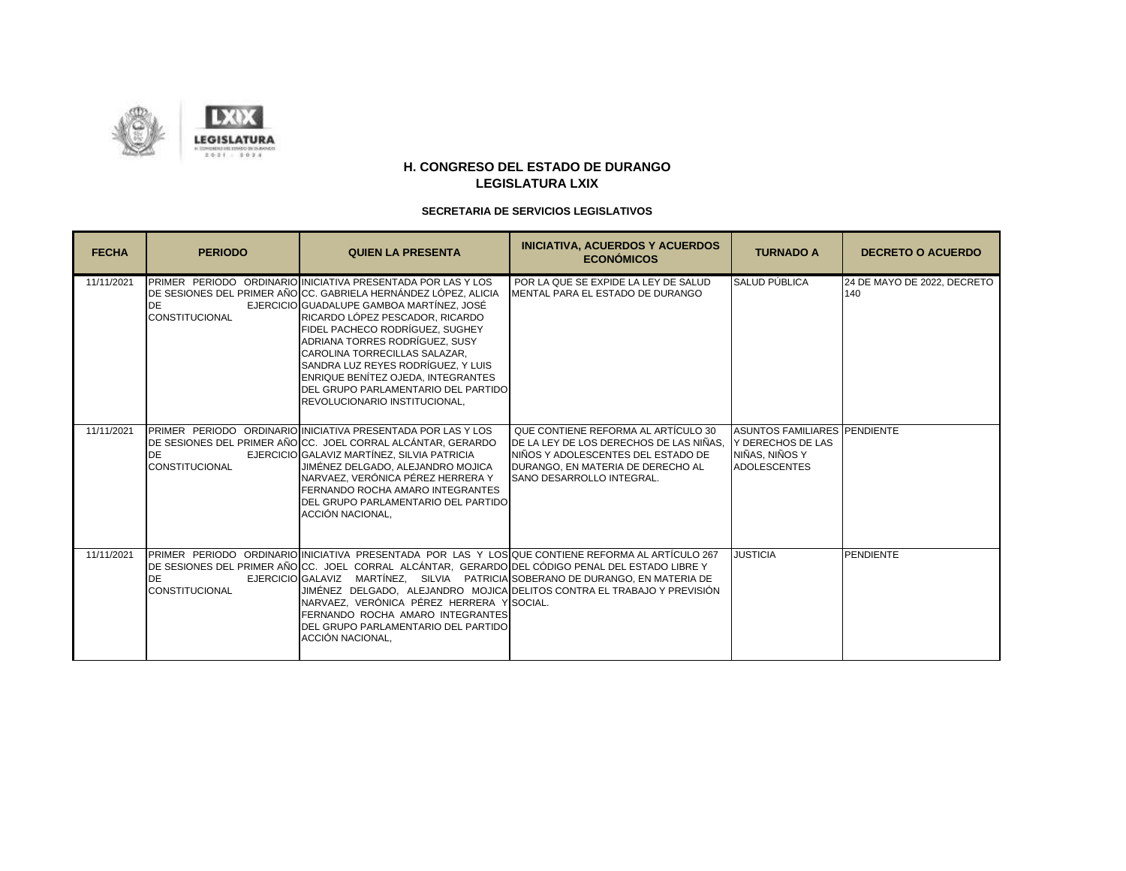

| <b>FECHA</b> | <b>PERIODO</b>                     | <b>QUIEN LA PRESENTA</b>                                                                                                                                                                                                                                                                                                                                                                                                                                                         | <b>INICIATIVA, ACUERDOS Y ACUERDOS</b><br><b>ECONÓMICOS</b>                                                                                                                                                      | <b>TURNADO A</b>                                                      | <b>DECRETO O ACUERDO</b>           |
|--------------|------------------------------------|----------------------------------------------------------------------------------------------------------------------------------------------------------------------------------------------------------------------------------------------------------------------------------------------------------------------------------------------------------------------------------------------------------------------------------------------------------------------------------|------------------------------------------------------------------------------------------------------------------------------------------------------------------------------------------------------------------|-----------------------------------------------------------------------|------------------------------------|
| 11/11/2021   | <b>DE</b><br><b>CONSTITUCIONAL</b> | <b>PRIMER PERIODO ORDINARIO INICIATIVA PRESENTADA POR LAS Y LOS</b><br>DE SESIONES DEL PRIMER AÑO CC. GABRIELA HERNÁNDEZ LÓPEZ, ALICIA<br>EJERCICIO GUADALUPE GAMBOA MARTÍNEZ, JOSÉ<br>RICARDO LÓPEZ PESCADOR, RICARDO<br>FIDEL PACHECO RODRÍGUEZ. SUGHEY<br>ADRIANA TORRES RODRÍGUEZ, SUSY<br>CAROLINA TORRECILLAS SALAZAR,<br>SANDRA LUZ REYES RODRÍGUEZ. Y LUIS<br>ENRIQUE BENÍTEZ OJEDA, INTEGRANTES<br>DEL GRUPO PARLAMENTARIO DEL PARTIDO<br>REVOLUCIONARIO INSTITUCIONAL, | POR LA QUE SE EXPIDE LA LEY DE SALUD<br>IMENTAL PARA EL ESTADO DE DURANGO                                                                                                                                        | SALUD PÚBLICA                                                         | 24 DE MAYO DE 2022, DECRETO<br>140 |
| 11/11/2021   | <b>DE</b><br><b>CONSTITUCIONAL</b> | <b>PRIMER PERIODO ORDINARIO INICIATIVA PRESENTADA POR LAS Y LOS</b><br>DE SESIONES DEL PRIMER AÑO CC. JOEL CORRAL ALCÁNTAR. GERARDO<br>EJERCICIO GALAVIZ MARTÍNEZ. SILVIA PATRICIA<br>JIMÉNEZ DELGADO, ALEJANDRO MOJICA<br>NARVAEZ, VERÓNICA PÉREZ HERRERA Y<br>FERNANDO ROCHA AMARO INTEGRANTES<br>DEL GRUPO PARLAMENTARIO DEL PARTIDO<br>ACCIÓN NACIONAL.                                                                                                                      | QUE CONTIENE REFORMA AL ARTÍCULO 30<br>DE LA LEY DE LOS DERECHOS DE LAS NIÑAS. TY DERECHOS DE LAS<br>NIÑOS Y ADOLESCENTES DEL ESTADO DE<br>DURANGO, EN MATERIA DE DERECHO AL<br><b>SANO DESARROLLO INTEGRAL.</b> | ASUNTOS FAMILIARES PENDIENTE<br>NIÑAS, NIÑOS Y<br><b>ADOLESCENTES</b> |                                    |
| 11/11/2021   | <b>DE</b><br><b>CONSTITUCIONAL</b> | PRIMER PERIODO ORDINARIO INICIATIVA PRESENTADA POR LAS Y LOS QUE CONTIENE REFORMA AL ARTÍCULO 267<br>DE SESIONES DEL PRIMER AÑO CC. JOEL CORRAL ALCÁNTAR, GERARDO DEL CÓDIGO PENAL DEL ESTADO LIBRE Y<br>EJERCICIO GALAVIZ MARTÍNEZ, SILVIA PATRICIA SOBERANO DE DURANGO, EN MATERIA DE<br>NARVAEZ, VERÓNICA PÉREZ HERRERA Y SOCIAL.<br>FERNANDO ROCHA AMARO INTEGRANTES<br>DEL GRUPO PARLAMENTARIO DEL PARTIDO<br>ACCIÓN NACIONAL,                                              | JIMÉNEZ DELGADO, ALEJANDRO MOJICA DELITOS CONTRA EL TRABAJO Y PREVISIÓN                                                                                                                                          | <b>JUSTICIA</b>                                                       | PENDIENTE                          |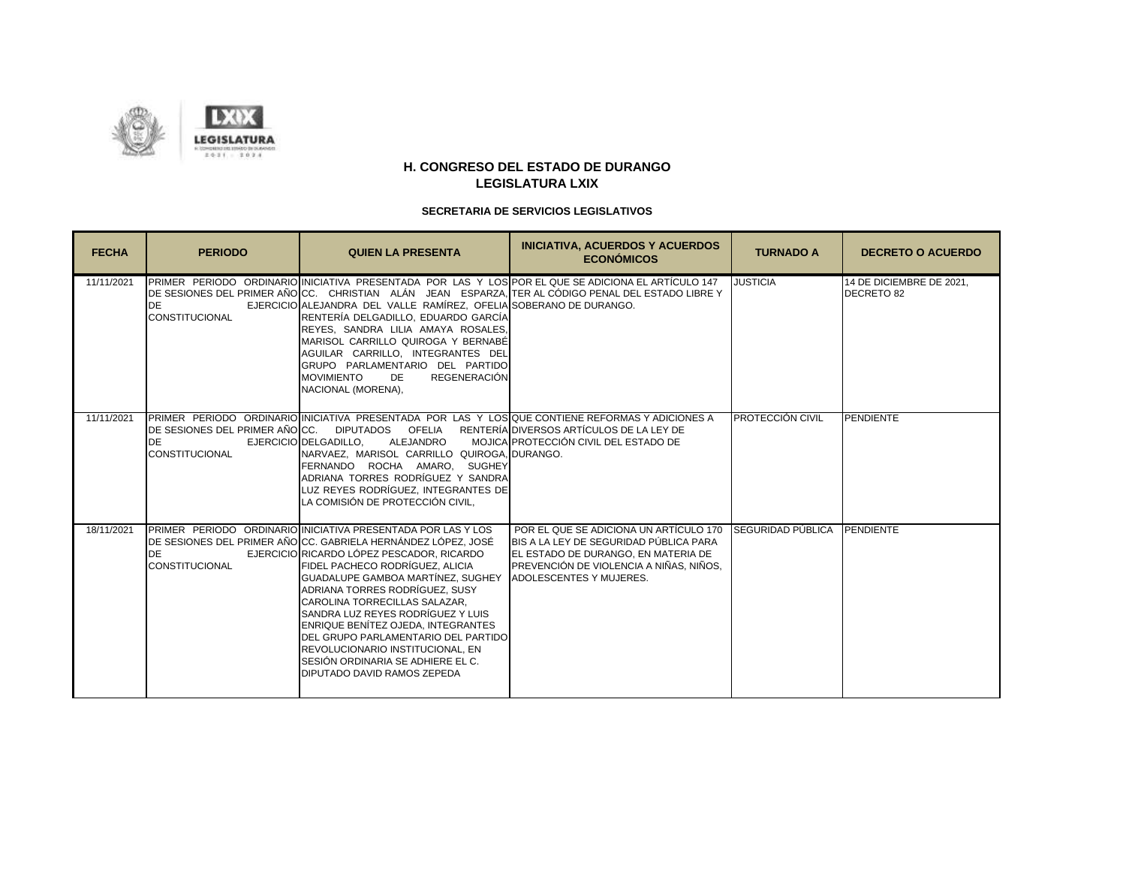

| <b>FECHA</b> | <b>PERIODO</b>                     | <b>QUIEN LA PRESENTA</b>                                                                                                                                                                                                                                                                                                                                                                                                                                                                                                                                      | <b>INICIATIVA, ACUERDOS Y ACUERDOS</b><br><b>ECONÓMICOS</b>                                                                                                                                   | <b>TURNADO A</b>        | <b>DECRETO O ACUERDO</b>                      |
|--------------|------------------------------------|---------------------------------------------------------------------------------------------------------------------------------------------------------------------------------------------------------------------------------------------------------------------------------------------------------------------------------------------------------------------------------------------------------------------------------------------------------------------------------------------------------------------------------------------------------------|-----------------------------------------------------------------------------------------------------------------------------------------------------------------------------------------------|-------------------------|-----------------------------------------------|
| 11/11/2021   | <b>DE</b><br><b>CONSTITUCIONAL</b> | PRIMER PERIODO ORDINARIO INICIATIVA PRESENTADA POR LAS Y LOS POR EL QUE SE ADICIONA EL ARTÍCULO 147<br>EJERCICIO ALEJANDRA DEL VALLE RAMÍREZ, OFELIA SOBERANO DE DURANGO.<br>RENTERÍA DELGADILLO, EDUARDO GARCÍA<br>REYES. SANDRA LILIA AMAYA ROSALES.<br>MARISOL CARRILLO QUIROGA Y BERNABÉ<br>AGUILAR CARRILLO, INTEGRANTES DEL<br>GRUPO PARLAMENTARIO DEL PARTIDO<br><b>MOVIMIENTO</b><br>DE<br><b>REGENERACIÓN</b><br>NACIONAL (MORENA),                                                                                                                  | DE SESIONES DEL PRIMER AÑO CC. CHRISTIAN ALÁN JEAN ESPARZA, TER AL CÓDIGO PENAL DEL ESTADO LIBRE Y                                                                                            | <b>JUSTICIA</b>         | 14 DE DICIEMBRE DE 2021.<br><b>DECRETO 82</b> |
| 11/11/2021   | <b>DE</b><br><b>CONSTITUCIONAL</b> | PRIMER PERIODO ORDINARIO INICIATIVA PRESENTADA POR LAS Y LOS QUE CONTIENE REFORMAS Y ADICIONES A<br>IDE SESIONES DEL PRIMER AÑOICC.      DIPUTADOS       OFELIA       RENTERÍAIDIVERSOS ARTÍCULOS DE LA LEY DE<br>ALEJANDRO<br>EJERCICIO DELGADILLO,<br>NARVAEZ, MARISOL CARRILLO QUIROGA, DURANGO.<br>FERNANDO ROCHA AMARO, SUGHEY<br>ADRIANA TORRES RODRÍGUEZ Y SANDRA<br>LUZ REYES RODRÍGUEZ, INTEGRANTES DE<br>LA COMISIÓN DE PROTECCIÓN CIVIL.                                                                                                           | MOJICA PROTECCIÓN CIVIL DEL ESTADO DE                                                                                                                                                         | <b>PROTECCIÓN CIVIL</b> | <b>PENDIENTE</b>                              |
| 18/11/2021   | <b>DE</b><br><b>CONSTITUCIONAL</b> | <b>PRIMER PERIODO ORDINARIO INICIATIVA PRESENTADA POR LAS Y LOS</b><br>DE SESIONES DEL PRIMER AÑO CC. GABRIELA HERNÁNDEZ LÓPEZ, JOSÉ<br>EJERCICIO RICARDO LÓPEZ PESCADOR, RICARDO<br>FIDEL PACHECO RODRÍGUEZ, ALICIA<br>GUADALUPE GAMBOA MARTÍNEZ, SUGHEY<br>ADRIANA TORRES RODRÍGUEZ. SUSY<br>CAROLINA TORRECILLAS SALAZAR,<br>SANDRA LUZ REYES RODRÍGUEZ Y LUIS<br><b>ENRIQUE BENÍTEZ OJEDA. INTEGRANTES</b><br>DEL GRUPO PARLAMENTARIO DEL PARTIDO<br>REVOLUCIONARIO INSTITUCIONAL. EN<br>SESIÓN ORDINARIA SE ADHIERE EL C.<br>DIPUTADO DAVID RAMOS ZEPEDA | POR EL QUE SE ADICIONA UN ARTÍCULO 170<br>BIS A LA LEY DE SEGURIDAD PÚBLICA PARA<br>EL ESTADO DE DURANGO, EN MATERIA DE<br>PREVENCIÓN DE VIOLENCIA A NIÑAS, NIÑOS,<br>ADOLESCENTES Y MUJERES. | SEGURIDAD PÚBLICA       | PENDIENTE                                     |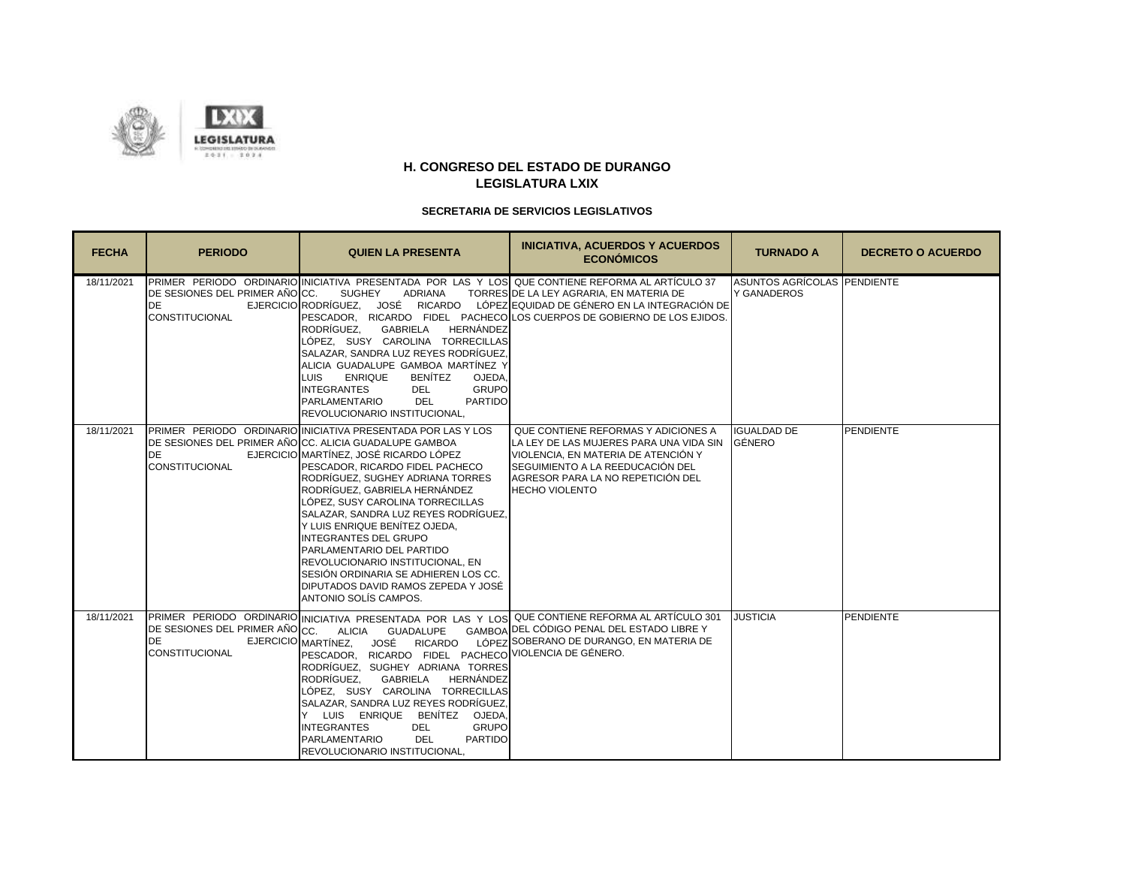

| <b>FECHA</b> | <b>PERIODO</b>                                                | <b>QUIEN LA PRESENTA</b>                                                                                                                                                                                                                                                                                                                                                                                                                                                                                                                                                                              | <b>INICIATIVA, ACUERDOS Y ACUERDOS</b><br><b>ECONÓMICOS</b>                                                                                                                                                                    | <b>TURNADO A</b>                           | <b>DECRETO O ACUERDO</b> |
|--------------|---------------------------------------------------------------|-------------------------------------------------------------------------------------------------------------------------------------------------------------------------------------------------------------------------------------------------------------------------------------------------------------------------------------------------------------------------------------------------------------------------------------------------------------------------------------------------------------------------------------------------------------------------------------------------------|--------------------------------------------------------------------------------------------------------------------------------------------------------------------------------------------------------------------------------|--------------------------------------------|--------------------------|
| 18/11/2021   | DE SESIONES DEL PRIMER AÑO CC.<br>DE<br><b>CONSTITUCIONAL</b> | PRIMER PERIODO ORDINARIO INICIATIVA PRESENTADA POR LAS Y LOS QUE CONTIENE REFORMA AL ARTÍCULO 37<br><b>SUGHEY</b><br><b>ADRIANA</b><br>HERNÁNDEZ<br>RODRÍGUEZ.<br><b>GABRIELA</b><br>LÓPEZ. SUSY CAROLINA TORRECILLAS<br>SALAZAR, SANDRA LUZ REYES RODRÍGUEZ,<br>ALICIA GUADALUPE GAMBOA MARTÍNEZ Y<br><b>BENÍTEZ</b><br>∟UIS.<br><b>ENRIQUE</b><br>OJEDA.<br><b>GRUPO</b><br><b>INTEGRANTES</b><br><b>DEL</b><br><b>PARTIDO</b><br><b>PARLAMENTARIO</b><br><b>DEL</b><br><b>REVOLUCIONARIO INSTITUCIONAL.</b>                                                                                        | TORRES DE LA LEY AGRARIA, EN MATERIA DE<br>EJERCICIO RODRÍGUEZ. JOSÉ RICARDO LÓPEZ EQUIDAD DE GÉNERO EN LA INTEGRACIÓN DE<br>PESCADOR. RICARDO FIDEL PACHECOLOS CUERPOS DE GOBIERNO DE LOS EJIDOS.                             | ASUNTOS AGRÍCOLAS PENDIENTE<br>Y GANADEROS |                          |
| 18/11/2021   | <b>DE</b><br><b>CONSTITUCIONAL</b>                            | <b>PRIMER PERIODO ORDINARIO INICIATIVA PRESENTADA POR LAS Y LOS</b><br>DE SESIONES DEL PRIMER AÑOICC. ALICIA GUADALUPE GAMBOA<br>EJERCICIO MARTÍNEZ. JOSÉ RICARDO LÓPEZ<br>PESCADOR, RICARDO FIDEL PACHECO<br>RODRÍGUEZ, SUGHEY ADRIANA TORRES<br>RODRÍGUEZ, GABRIELA HERNÁNDEZ<br>LÓPEZ. SUSY CAROLINA TORRECILLAS<br>SALAZAR, SANDRA LUZ REYES RODRÍGUEZ,<br>Y LUIS ENRIQUE BENÍTEZ OJEDA.<br><b>INTEGRANTES DEL GRUPO</b><br>PARLAMENTARIO DEL PARTIDO<br>REVOLUCIONARIO INSTITUCIONAL, EN<br>SESIÓN ORDINARIA SE ADHIEREN LOS CC.<br>DIPUTADOS DAVID RAMOS ZEPEDA Y JOSÉ<br>ANTONIO SOLÍS CAMPOS. | QUE CONTIENE REFORMAS Y ADICIONES A<br>LA LEY DE LAS MUJERES PARA UNA VIDA SIN GÉNERO<br>VIOLENCIA. EN MATERIA DE ATENCIÓN Y<br>SEGUIMIENTO A LA REEDUCACIÓN DEL<br>AGRESOR PARA LA NO REPETICIÓN DEL<br><b>HECHO VIOLENTO</b> | <b>IGUALDAD DE</b>                         | <b>PENDIENTE</b>         |
| 18/11/2021   | DE SESIONES DEL PRIMER AÑO CC.<br>DE<br><b>CONSTITUCIONAL</b> | PRIMER PERIODO ORDINARIO INICIATIVA PRESENTADA POR LAS Y LOS<br>GUADALUPE<br><b>ALICIA</b><br>EJERCICIO MARTÍNEZ,<br><b>RICARDO</b><br>JOSÉ<br>PESCADOR, RICARDO FIDEL PACHECO VIOLENCIA DE GÉNERO.<br>RODRÍGUEZ, SUGHEY ADRIANA TORRES<br>HERNÁNDEZ<br>RODRÍGUEZ.<br><b>GABRIELA</b><br>LÓPEZ, SUSY CAROLINA TORRECILLAS<br>SALAZAR, SANDRA LUZ REYES RODRÍGUEZ,<br>LUIS ENRIQUE BENÍTEZ OJEDA.<br>Y<br><b>INTEGRANTES</b><br>DEL<br><b>GRUPO</b><br><b>PARTIDO</b><br><b>PARLAMENTARIO</b><br><b>DEL</b><br>REVOLUCIONARIO INSTITUCIONAL,                                                           | QUE CONTIENE REFORMA AL ARTÍCULO 301<br>GAMBOA DEL CÓDIGO PENAL DEL ESTADO LIBRE Y<br>LÓPEZ SOBERANO DE DURANGO, EN MATERIA DE                                                                                                 | <b>JUSTICIA</b>                            | <b>PENDIENTE</b>         |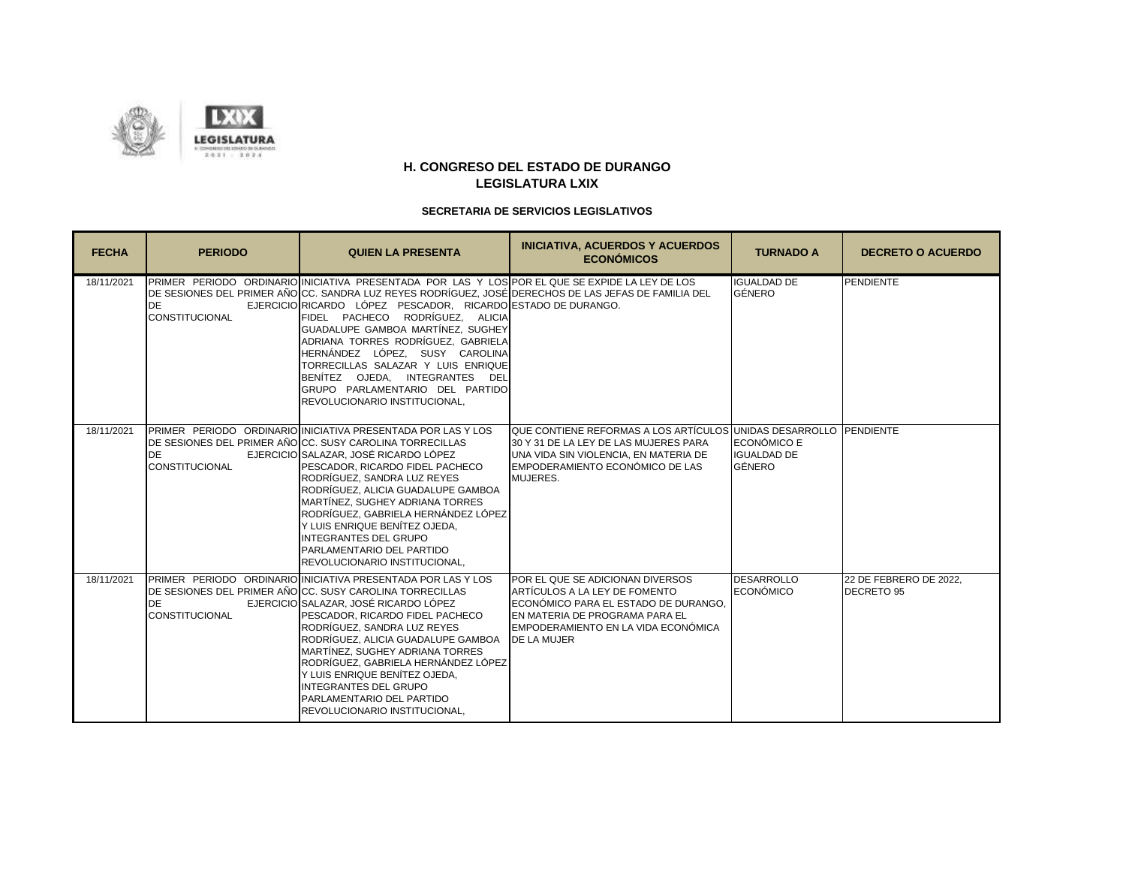

| <b>FECHA</b> | <b>PERIODO</b>                     | <b>QUIEN LA PRESENTA</b>                                                                                                                                                                                                                                                                                                                                                                                                                                                                                                                                             | <b>INICIATIVA, ACUERDOS Y ACUERDOS</b><br><b>ECONÓMICOS</b>                                                                                                                                         | <b>TURNADO A</b>                            | <b>DECRETO O ACUERDO</b>             |
|--------------|------------------------------------|----------------------------------------------------------------------------------------------------------------------------------------------------------------------------------------------------------------------------------------------------------------------------------------------------------------------------------------------------------------------------------------------------------------------------------------------------------------------------------------------------------------------------------------------------------------------|-----------------------------------------------------------------------------------------------------------------------------------------------------------------------------------------------------|---------------------------------------------|--------------------------------------|
| 18/11/2021   | <b>DE</b><br><b>CONSTITUCIONAL</b> | PRIMER PERIODO ORDINARIO INICIATIVA PRESENTADA POR LAS Y LOS POR EL QUE SE EXPIDE LA LEY DE LOS<br>IDE SESIONES DEL PRIMER AÑOICC. SANDRA LUZ REYES RODRÍGUEZ. JOSÉIDERECHOS DE LAS JEFAS DE FAMILIA DEL<br>EJERCICIO RICARDO LÓPEZ PESCADOR, RICARDO ESTADO DE DURANGO.<br>FIDEL PACHECO RODRÍGUEZ. ALICIA<br>GUADALUPE GAMBOA MARTÍNEZ, SUGHEY<br>ADRIANA TORRES RODRÍGUEZ, GABRIELA<br>HERNÁNDEZ LÓPEZ, SUSY CAROLINA<br>TORRECILLAS SALAZAR Y LUIS ENRIQUE<br>BENÍTEZ OJEDA, INTEGRANTES DEL<br>GRUPO PARLAMENTARIO DEL PARTIDO<br>REVOLUCIONARIO INSTITUCIONAL. |                                                                                                                                                                                                     | <b>IGUALDAD DE</b><br><b>GÉNERO</b>         | <b>PENDIENTE</b>                     |
| 18/11/2021   | <b>DE</b><br><b>CONSTITUCIONAL</b> | <b>PRIMER PERIODO ORDINARIO INICIATIVA PRESENTADA POR LAS Y LOS</b><br>DE SESIONES DEL PRIMER AÑOICC. SUSY CAROLINA TORRECILLAS<br>EJERCICIO SALAZAR, JOSÉ RICARDO LÓPEZ<br>PESCADOR, RICARDO FIDEL PACHECO<br>RODRÍGUEZ. SANDRA LUZ REYES<br>RODRÍGUEZ, ALICIA GUADALUPE GAMBOA<br>MARTÍNEZ. SUGHEY ADRIANA TORRES<br>RODRÍGUEZ, GABRIELA HERNÁNDEZ LÓPEZ<br>Y LUIS ENRIQUE BENÍTEZ OJEDA,<br><b>INTEGRANTES DEL GRUPO</b><br>PARLAMENTARIO DEL PARTIDO<br>REVOLUCIONARIO INSTITUCIONAL,                                                                            | QUE CONTIENE REFORMAS A LOS ARTÍCULOS UNIDAS DESARROLLO TPENDIENTE<br>30 Y 31 DE LA LEY DE LAS MUJERES PARA<br>UNA VIDA SIN VIOLENCIA, EN MATERIA DE<br>EMPODERAMIENTO ECONÓMICO DE LAS<br>MUJERES. | ECONÓMICO E<br><b>IGUALDAD DE</b><br>GÉNERO |                                      |
| 18/11/2021   | DE<br><b>CONSTITUCIONAL</b>        | <b>PRIMER PERIODO ORDINARIO INICIATIVA PRESENTADA POR LAS Y LOS</b><br>DE SESIONES DEL PRIMER AÑOICC. SUSY CAROLINA TORRECILLAS<br>EJERCICIO SALAZAR, JOSÉ RICARDO LÓPEZ<br>PESCADOR, RICARDO FIDEL PACHECO<br>RODRÍGUEZ, SANDRA LUZ REYES<br>RODRÍGUEZ, ALICIA GUADALUPE GAMBOA<br>MARTÍNEZ. SUGHEY ADRIANA TORRES<br>RODRÍGUEZ. GABRIELA HERNÁNDEZ LÓPEZ<br>Y LUIS ENRIQUE BENÍTEZ OJEDA.<br><b>INTEGRANTES DEL GRUPO</b><br>PARLAMENTARIO DEL PARTIDO<br>REVOLUCIONARIO INSTITUCIONAL,                                                                            | POR EL QUE SE ADICIONAN DIVERSOS<br>ARTÍCULOS A LA LEY DE FOMENTO<br>ECONÓMICO PARA EL ESTADO DE DURANGO.<br>EN MATERIA DE PROGRAMA PARA EL<br>EMPODERAMIENTO EN LA VIDA ECONÓMICA<br>DE LA MUJER   | <b>DESARROLLO</b><br><b>ECONÓMICO</b>       | 22 DE FEBRERO DE 2022,<br>DECRETO 95 |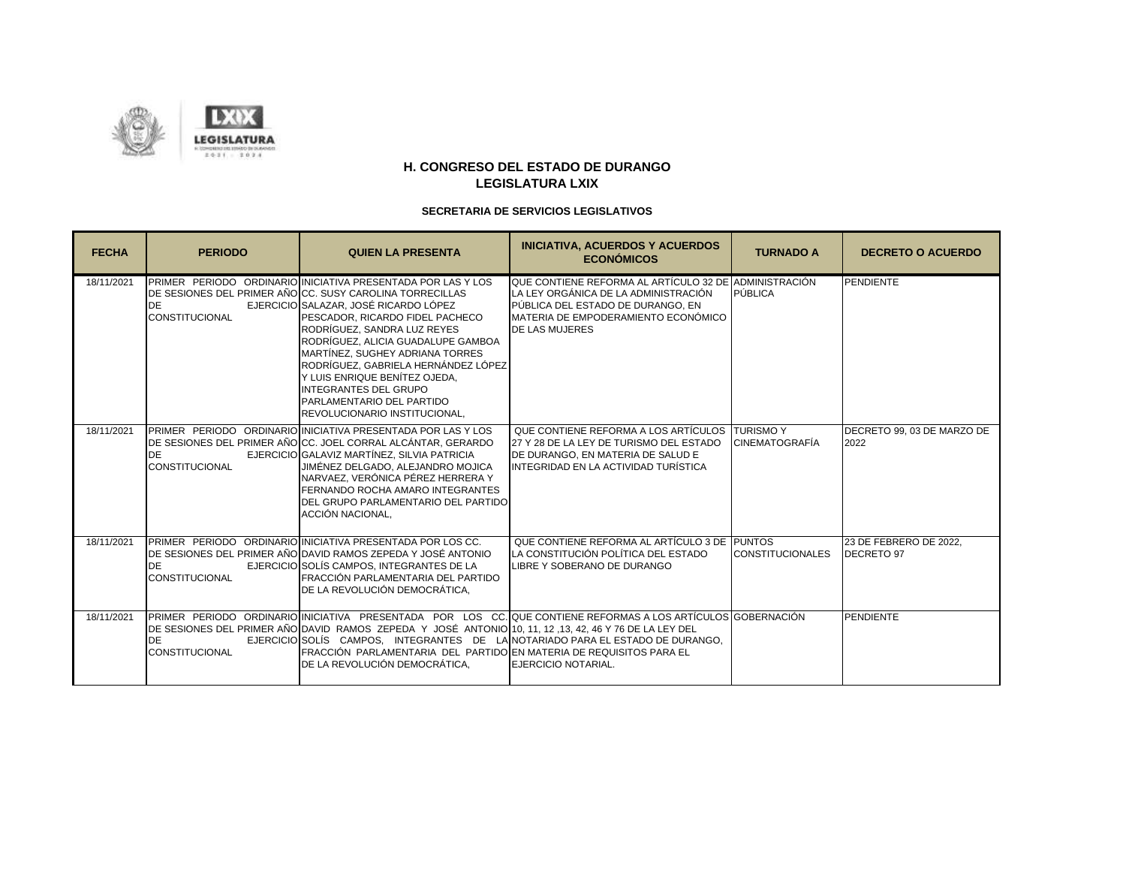

| <b>FECHA</b> | <b>PERIODO</b>                     | <b>QUIEN LA PRESENTA</b>                                                                                                                                                                                                                                                                                                                                                                                                                                                                  | <b>INICIATIVA, ACUERDOS Y ACUERDOS</b><br><b>ECONÓMICOS</b>                                                                                                                                                           | <b>TURNADO A</b>        | <b>DECRETO O ACUERDO</b>             |
|--------------|------------------------------------|-------------------------------------------------------------------------------------------------------------------------------------------------------------------------------------------------------------------------------------------------------------------------------------------------------------------------------------------------------------------------------------------------------------------------------------------------------------------------------------------|-----------------------------------------------------------------------------------------------------------------------------------------------------------------------------------------------------------------------|-------------------------|--------------------------------------|
| 18/11/2021   | DE<br><b>CONSTITUCIONAL</b>        | <b>PRIMER PERIODO ORDINARIO INICIATIVA PRESENTADA POR LAS Y LOS</b><br>DE SESIONES DEL PRIMER AÑO CC. SUSY CAROLINA TORRECILLAS<br>EJERCICIO SALAZAR, JOSÉ RICARDO LÓPEZ<br>PESCADOR, RICARDO FIDEL PACHECO<br>RODRÍGUEZ, SANDRA LUZ REYES<br>RODRÍGUEZ, ALICIA GUADALUPE GAMBOA<br>MARTÍNEZ, SUGHEY ADRIANA TORRES<br>RODRÍGUEZ, GABRIELA HERNÁNDEZ LÓPEZ<br>Y LUIS ENRIQUE BENÍTEZ OJEDA,<br><b>INTEGRANTES DEL GRUPO</b><br>PARLAMENTARIO DEL PARTIDO<br>REVOLUCIONARIO INSTITUCIONAL. | QUE CONTIENE REFORMA AL ARTÍCULO 32 DE ADMINISTRACIÓN<br>LA LEY ORGÁNICA DE LA ADMINISTRACIÓN<br>PÚBLICA DEL ESTADO DE DURANGO, EN<br>MATERIA DE EMPODERAMIENTO ECONÓMICO<br><b>DE LAS MUJERES</b>                    | PÚBLICA                 | PENDIENTE                            |
| 18/11/2021   | <b>DE</b><br><b>CONSTITUCIONAL</b> | <b>PRIMER PERIODO ORDINARIO INICIATIVA PRESENTADA POR LAS Y LOS</b><br>DE SESIONES DEL PRIMER AÑO CC. JOEL CORRAL ALCÁNTAR, GERARDO<br>EJERCICIO GALAVIZ MARTÍNEZ. SILVIA PATRICIA<br>JIMÉNEZ DELGADO, ALEJANDRO MOJICA<br>NARVAEZ, VERÓNICA PÉREZ HERRERA Y<br>FERNANDO ROCHA AMARO INTEGRANTES<br>DEL GRUPO PARLAMENTARIO DEL PARTIDO<br>ACCIÓN NACIONAL.                                                                                                                               | QUE CONTIENE REFORMA A LOS ARTÍCULOS TURISMO Y<br>27 Y 28 DE LA LEY DE TURISMO DEL ESTADO<br>DE DURANGO. EN MATERIA DE SALUD E<br>INTEGRIDAD EN LA ACTIVIDAD TURÍSTICA                                                | <b>CINEMATOGRAFÍA</b>   | DECRETO 99, 03 DE MARZO DE<br>2022   |
| 18/11/2021   | DE<br><b>CONSTITUCIONAL</b>        | PRIMER PERIODO ORDINARIO INICIATIVA PRESENTADA POR LOS CC.<br>DE SESIONES DEL PRIMER AÑO DAVID RAMOS ZEPEDA Y JOSÉ ANTONIO<br>EJERCICIO SOLÍS CAMPOS, INTEGRANTES DE LA<br>FRACCIÓN PARLAMENTARIA DEL PARTIDO<br>DE LA REVOLUCIÓN DEMOCRÁTICA,                                                                                                                                                                                                                                            | QUE CONTIENE REFORMA AL ARTÍCULO 3 DE PUNTOS<br>LA CONSTITUCIÓN POLÍTICA DEL ESTADO<br>LIBRE Y SOBERANO DE DURANGO                                                                                                    | <b>CONSTITUCIONALES</b> | 23 DE FEBRERO DE 2022.<br>DECRETO 97 |
| 18/11/2021   | DE<br><b>CONSTITUCIONAL</b>        | DE SESIONES DEL PRIMER AÑO DAVID RAMOS ZEPEDA Y JOSÉ ANTONIO 10, 11, 12, 13, 42, 46 Y 76 DE LA LEY DEL<br>FRACCIÓN PARLAMENTARIA DEL PARTIDO EN MATERIA DE REQUISITOS PARA EL<br>DE LA REVOLUCIÓN DEMOCRÁTICA.                                                                                                                                                                                                                                                                            | PRIMER PERIODO ORDINARIO INICIATIVA PRESENTADA POR LOS CC. QUE CONTIENE REFORMAS A LOS ARTÍCULOS GOBERNACIÓN<br>EJERCICIO SOLÍS CAMPOS, INTEGRANTES DE LA NOTARIADO PARA EL ESTADO DE DURANGO,<br>EJERCICIO NOTARIAL. |                         | PENDIENTE                            |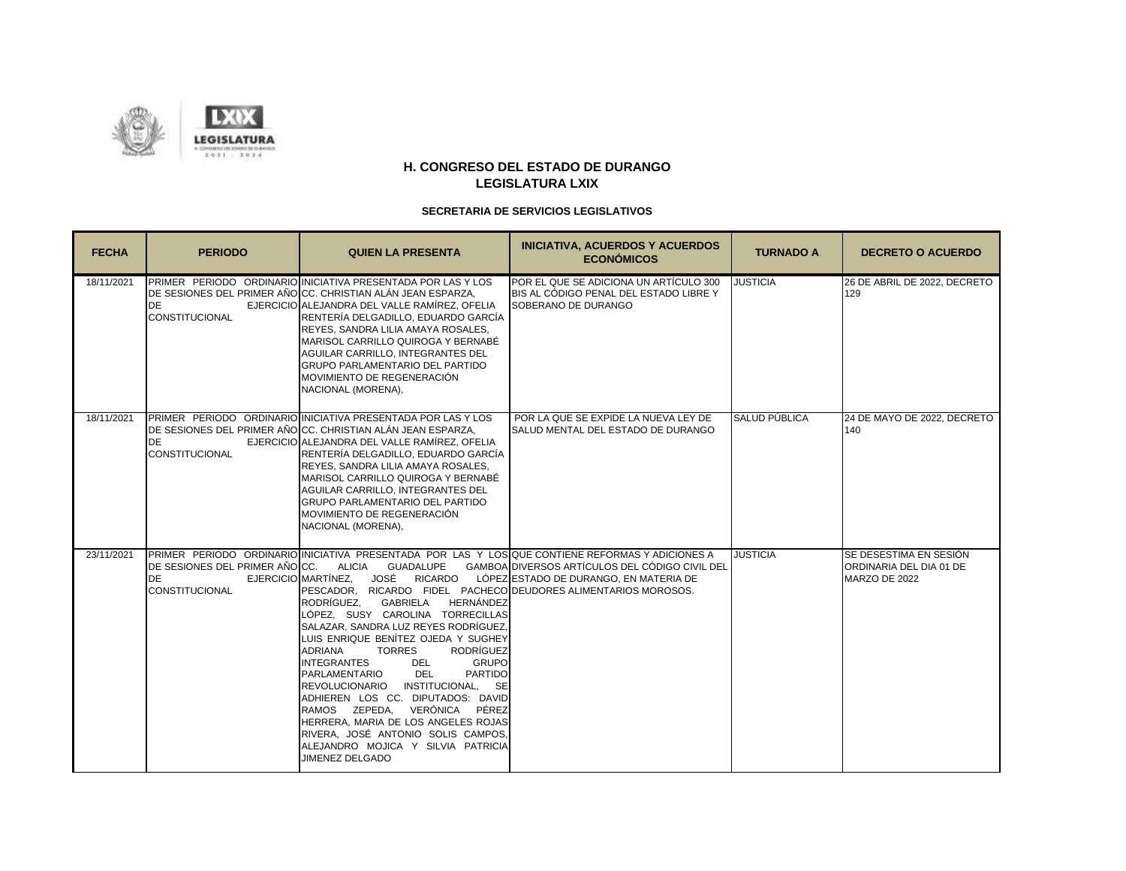

| <b>FECHA</b> | <b>PERIODO</b>                                                | <b>QUIEN LA PRESENTA</b>                                                                                                                                                                                                                                                                                                                                                                                                                                                                                                                                                                                                                                                                                                                                                                                                            | <b>INICIATIVA, ACUERDOS Y ACUERDOS</b><br><b>ECONÓMICOS</b>                                             | <b>TURNADO A</b> | <b>DECRETO O ACUERDO</b>                                           |
|--------------|---------------------------------------------------------------|-------------------------------------------------------------------------------------------------------------------------------------------------------------------------------------------------------------------------------------------------------------------------------------------------------------------------------------------------------------------------------------------------------------------------------------------------------------------------------------------------------------------------------------------------------------------------------------------------------------------------------------------------------------------------------------------------------------------------------------------------------------------------------------------------------------------------------------|---------------------------------------------------------------------------------------------------------|------------------|--------------------------------------------------------------------|
| 18/11/2021   | <b>DE</b><br><b>CONSTITUCIONAL</b>                            | PRIMER PERIODO ORDINARIO INICIATIVA PRESENTADA POR LAS Y LOS<br>IDE SESIONES DEL PRIMER AÑOICC. CHRISTIAN ALÁN JEAN ESPARZA.<br>EJERCICIO ALEJANDRA DEL VALLE RAMÍREZ, OFELIA<br>RENTERÍA DELGADILLO, EDUARDO GARCÍA<br>REYES. SANDRA LILIA AMAYA ROSALES.<br>MARISOL CARRILLO QUIROGA Y BERNABÉ<br>AGUILAR CARRILLO. INTEGRANTES DEL<br><b>GRUPO PARLAMENTARIO DEL PARTIDO</b><br>MOVIMIENTO DE REGENERACIÓN<br>NACIONAL (MORENA),                                                                                                                                                                                                                                                                                                                                                                                                 | POR EL QUE SE ADICIONA UN ARTÍCULO 300<br>BIS AL CÓDIGO PENAL DEL ESTADO LIBRE Y<br>SOBERANO DE DURANGO | <b>JUSTICIA</b>  | 26 DE ABRIL DE 2022, DECRETO<br>129                                |
| 18/11/2021   | <b>DE</b><br><b>CONSTITUCIONAL</b>                            | <b>PRIMER PERIODO ORDINARIO INICIATIVA PRESENTADA POR LAS Y LOS</b><br>DE SESIONES DEL PRIMER AÑOLCC. CHRISTIAN ALÁN JEAN ESPARZA.<br>EJERCICIO ALEJANDRA DEL VALLE RAMÍREZ, OFELIA<br>RENTERÍA DELGADILLO, EDUARDO GARCÍA<br>REYES. SANDRA LILIA AMAYA ROSALES.<br>MARISOL CARRILLO QUIROGA Y BERNABÉ<br>AGUILAR CARRILLO, INTEGRANTES DEL<br><b>GRUPO PARLAMENTARIO DEL PARTIDO</b><br>MOVIMIENTO DE REGENERACIÓN<br>NACIONAL (MORENA),                                                                                                                                                                                                                                                                                                                                                                                           | POR LA QUE SE EXPIDE LA NUEVA LEY DE<br>SALUD MENTAL DEL ESTADO DE DURANGO                              | SALUD PÚBLICA    | 24 DE MAYO DE 2022, DECRETO<br>140                                 |
| 23/11/2021   | DE SESIONES DEL PRIMER AÑO CC.<br>DE<br><b>CONSTITUCIONAL</b> | PRIMER PERIODO ORDINARIO INICIATIVA PRESENTADA POR LAS Y LOS QUE CONTIENE REFORMAS Y ADICIONES A<br>ALICIA GUADALUPE<br>JOSÉ<br>EJERCICIO MARTÍNEZ,<br>RICARDO<br>PESCADOR, RICARDO FIDEL PACHECO DEUDORES ALIMENTARIOS MOROSOS.<br>RODRÍGUEZ.<br><b>GABRIELA</b><br>HERNÁNDEZ<br>LÓPEZ, SUSY CAROLINA TORRECILLAS<br>SALAZAR, SANDRA LUZ REYES RODRÍGUEZ,<br>LUIS ENRIQUE BENÍTEZ OJEDA Y SUGHEY<br><b>RODRÍGUEZ</b><br><b>ADRIANA</b><br><b>TORRES</b><br><b>GRUPO</b><br><b>INTEGRANTES</b><br><b>DEL</b><br><b>PARTIDO</b><br><b>DEL</b><br><b>PARLAMENTARIO</b><br>REVOLUCIONARIO<br>INSTITUCIONAL.<br><b>SE</b><br>ADHIEREN LOS CC. DIPUTADOS: DAVID<br>RAMOS ZEPEDA. VERÓNICA<br>PÉREZ<br>HERRERA, MARIA DE LOS ANGELES ROJAS<br>RIVERA, JOSÉ ANTONIO SOLIS CAMPOS,<br>ALEJANDRO MOJICA Y SILVIA PATRICIA<br>JIMENEZ DELGADO | GAMBOA DIVERSOS ARTÍCULOS DEL CÓDIGO CIVIL DEL<br>LÓPEZ ESTADO DE DURANGO, EN MATERIA DE                | <b>JUSTICIA</b>  | SE DESESTIMA EN SESIÓN<br>ORDINARIA DEL DIA 01 DE<br>MARZO DE 2022 |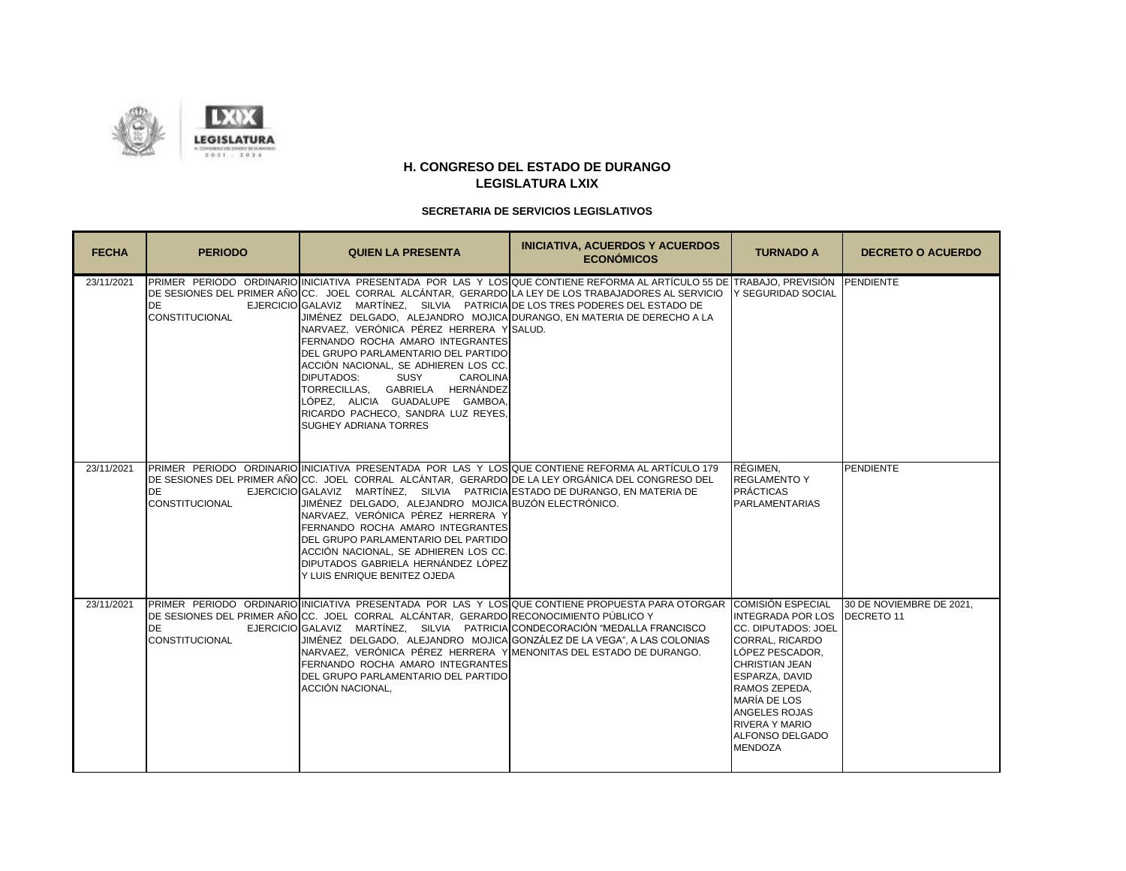

| <b>FECHA</b> | <b>PERIODO</b>                     | <b>QUIEN LA PRESENTA</b>                                                                                                                                                                                                                                                                                                                                                                                                                                                                                   | <b>INICIATIVA, ACUERDOS Y ACUERDOS</b><br><b>ECONÓMICOS</b>                                                                                                                                                                              | <b>TURNADO A</b>                                                                                                                                                                                                                                                                 | <b>DECRETO O ACUERDO</b> |
|--------------|------------------------------------|------------------------------------------------------------------------------------------------------------------------------------------------------------------------------------------------------------------------------------------------------------------------------------------------------------------------------------------------------------------------------------------------------------------------------------------------------------------------------------------------------------|------------------------------------------------------------------------------------------------------------------------------------------------------------------------------------------------------------------------------------------|----------------------------------------------------------------------------------------------------------------------------------------------------------------------------------------------------------------------------------------------------------------------------------|--------------------------|
| 23/11/2021   | <b>DE</b><br><b>CONSTITUCIONAL</b> | EJERCICIO GALAVIZ MARTÍNEZ, SILVIA PATRICIA DE LOS TRES PODERES DEL ESTADO DE<br>JIMÉNEZ DELGADO, ALEJANDRO MOJICA DURANGO, EN MATERIA DE DERECHO A LA<br>NARVAEZ, VERÓNICA PÉREZ HERRERA Y SALUD.<br>FERNANDO ROCHA AMARO INTEGRANTES<br>DEL GRUPO PARLAMENTARIO DEL PARTIDO<br>ACCIÓN NACIONAL, SE ADHIEREN LOS CC.<br>DIPUTADOS:<br>SUSY<br><b>CAROLINA</b><br>TORRECILLAS. GABRIELA HERNÁNDEZ<br>LÓPEZ. ALICIA GUADALUPE GAMBOA.<br>RICARDO PACHECO, SANDRA LUZ REYES,<br><b>SUGHEY ADRIANA TORRES</b> | PRIMER PERIODO ORDINARIO INICIATIVA PRESENTADA POR LAS Y LOS QUE CONTIENE REFORMA AL ARTÍCULO 55 DE ITRABAJO. PREVISIÓN PENDIENTE<br>DE SESIONES DEL PRIMER AÑO CC. JOEL CORRAL ALCÁNTAR, GERARDO LA LEY DE LOS TRABAJADORES AL SERVICIO | Y SEGURIDAD SOCIAL                                                                                                                                                                                                                                                               |                          |
| 23/11/2021   | <b>DE</b><br><b>CONSTITUCIONAL</b> | DE SESIONES DEL PRIMER AÑOICC.  JOEL  CORRAL  ALCÁNTAR.  GERARDOIDE LA LEY ORGÁNICA DEL CONGRESO DEL<br>EJERCICIO GALAVIZ MARTÍNEZ, SILVIA PATRICIA ESTADO DE DURANGO, EN MATERIA DE<br>JIMÉNEZ DELGADO, ALEJANDRO MOJICA BUZÓN ELECTRÓNICO.<br>NARVAEZ, VERÓNICA PÉREZ HERRERA Y<br>FERNANDO ROCHA AMARO INTEGRANTES<br>DEL GRUPO PARLAMENTARIO DEL PARTIDO<br>ACCIÓN NACIONAL. SE ADHIEREN LOS CC.<br><b>DIPUTADOS GABRIELA HERNÁNDEZ LÓPEZ</b><br>Y LUIS ENRIQUE BENITEZ OJEDA                          | PRIMER PERIODO ORDINARIO INICIATIVA PRESENTADA POR LAS Y LOS QUE CONTIENE REFORMA AL ARTÍCULO 179                                                                                                                                        | RÉGIMEN.<br><b>REGLAMENTO Y</b><br><b>PRÁCTICAS</b><br><b>PARLAMENTARIAS</b>                                                                                                                                                                                                     | PENDIENTE                |
| 23/11/2021   | <b>DE</b><br><b>CONSTITUCIONAL</b> | DE SESIONES DEL PRIMER AÑO CC. JOEL CORRAL ALCÁNTAR, GERARDO RECONOCIMIENTO PÚBLICO Y<br>EJERCICIO GALAVIZ MARTÍNEZ, SILVIA PATRICIA CONDECORACIÓN "MEDALLA FRANCISCO<br>JIMÉNEZ DELGADO, ALEJANDRO MOJICA GONZÁLEZ DE LA VEGA", A LAS COLONIAS<br>NARVAEZ, VERÓNICA PÉREZ HERRERA Y MENONITAS DEL ESTADO DE DURANGO.<br>FERNANDO ROCHA AMARO INTEGRANTES<br>DEL GRUPO PARLAMENTARIO DEL PARTIDO<br>ACCIÓN NACIONAL.                                                                                       | PRIMER PERIODO ORDINARIO INICIATIVA PRESENTADA POR LAS Y LOS QUE CONTIENE PROPUESTA PARA OTORGAR COMISIÓN ESPECIAL                                                                                                                       | INTEGRADA POR LOS DECRETO 11<br>CC. DIPUTADOS: JOEL<br><b>CORRAL, RICARDO</b><br>LÓPEZ PESCADOR.<br><b>CHRISTIAN JEAN</b><br>ESPARZA, DAVID<br>RAMOS ZEPEDA.<br><b>MARÍA DE LOS</b><br><b>ANGELES ROJAS</b><br><b>RIVERA Y MARIO</b><br><b>ALFONSO DELGADO</b><br><b>MENDOZA</b> | 30 DE NOVIEMBRE DE 2021. |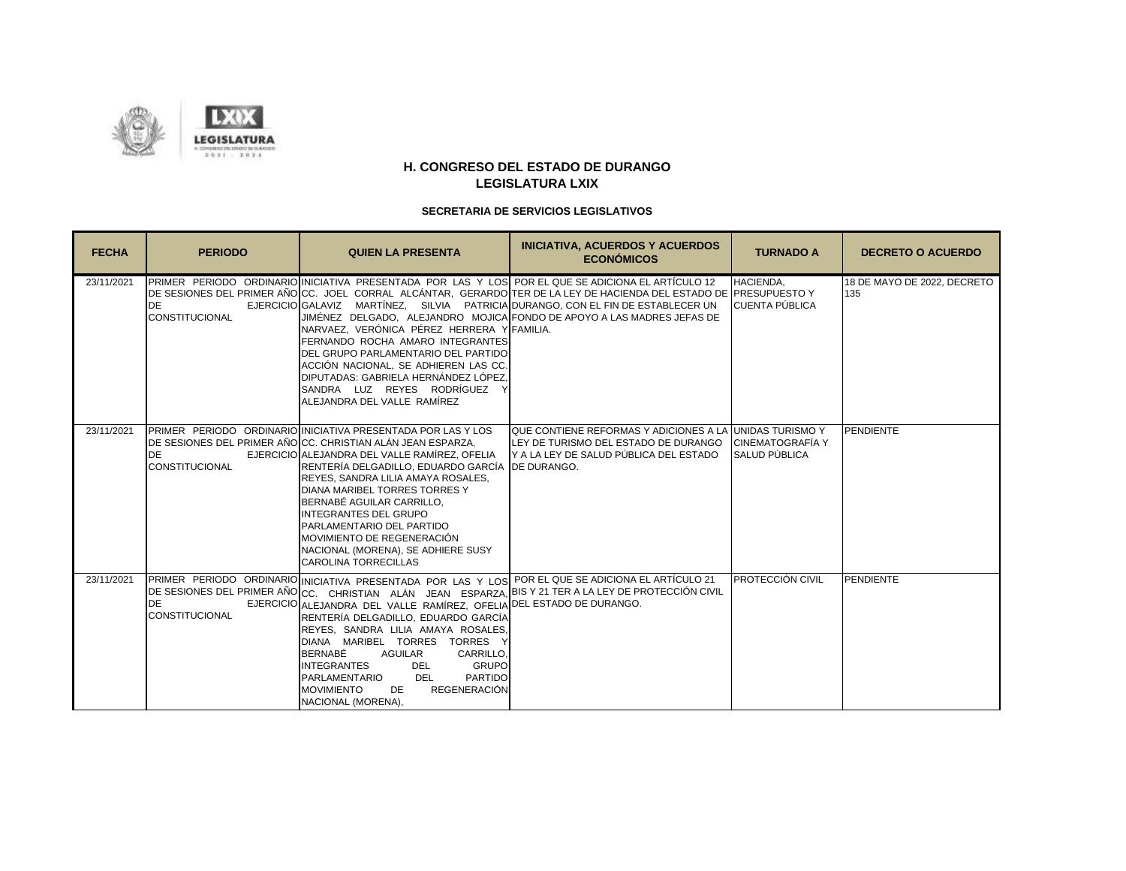

| <b>FECHA</b> | <b>PERIODO</b>                     | <b>QUIEN LA PRESENTA</b>                                                                                                                                                                                                                                                                                                                                                                                                                                                                                          | <b>INICIATIVA, ACUERDOS Y ACUERDOS</b><br><b>ECONÓMICOS</b>                                                                                                                                  | <b>TURNADO A</b>                         | <b>DECRETO O ACUERDO</b>           |
|--------------|------------------------------------|-------------------------------------------------------------------------------------------------------------------------------------------------------------------------------------------------------------------------------------------------------------------------------------------------------------------------------------------------------------------------------------------------------------------------------------------------------------------------------------------------------------------|----------------------------------------------------------------------------------------------------------------------------------------------------------------------------------------------|------------------------------------------|------------------------------------|
| 23/11/2021   | <b>DE</b><br><b>CONSTITUCIONAL</b> | PRIMER  PERIODO  ORDINARIO INICIATIVA  PRESENTADA  POR LAS Y LOSI POR EL QUE SE ADICIONA EL ARTÍCULO 12<br>EJERCICIO GALAVIZ MARTÍNEZ, SILVIA PATRICIA DURANGO, CON EL FIN DE ESTABLECER UN<br>NARVAEZ, VERÓNICA PÉREZ HERRERA Y FAMILIA.<br>FERNANDO ROCHA AMARO INTEGRANTES<br>DEL GRUPO PARLAMENTARIO DEL PARTIDO<br>ACCIÓN NACIONAL, SE ADHIEREN LAS CC.<br>DIPUTADAS: GABRIELA HERNÁNDEZ LÓPEZ,<br>SANDRA LUZ REYES RODRÍGUEZ Y<br>ALEJANDRA DEL VALLE RAMÍREZ                                               | DE SESIONES DEL PRIMER AÑO CC. JOEL CORRAL ALCÁNTAR, GERARDO TER DE LA LEY DE HACIENDA DEL ESTADO DE PRESUPUESTO Y<br>JIMÉNEZ DELGADO, ALEJANDRO MOJICA FONDO DE APOYO A LAS MADRES JEFAS DE | HACIENDA,<br><b>CUENTA PÚBLICA</b>       | 18 DE MAYO DE 2022, DECRETO<br>135 |
| 23/11/2021   | <b>DE</b><br><b>CONSTITUCIONAL</b> | PRIMER PERIODO ORDINARIO INICIATIVA PRESENTADA POR LAS Y LOS<br>DE SESIONES DEL PRIMER AÑO CC. CHRISTIAN ALÁN JEAN ESPARZA,<br>EJERCICIO ALEJANDRA DEL VALLE RAMÍREZ. OFELIA<br>RENTERÍA DELGADILLO, EDUARDO GARCÍA DE DURANGO.<br>REYES, SANDRA LILIA AMAYA ROSALES,<br><b>DIANA MARIBEL TORRES TORRES Y</b><br>BERNABÉ AGUILAR CARRILLO,<br><b>INTEGRANTES DEL GRUPO</b><br><b>PARLAMENTARIO DEL PARTIDO</b><br>MOVIMIENTO DE REGENERACIÓN<br>NACIONAL (MORENA), SE ADHIERE SUSY<br><b>CAROLINA TORRECILLAS</b> | QUE CONTIENE REFORMAS Y ADICIONES A LA UNIDAS TURISMO Y<br>LEY DE TURISMO DEL ESTADO DE DURANGO<br>IY A LA LEY DE SALUD PÚBLICA DEL ESTADO                                                   | <b>CINEMATOGRAFÍA Y</b><br>SALUD PÚBLICA | <b>PENDIENTE</b>                   |
| 23/11/2021   | <b>DE</b><br><b>CONSTITUCIONAL</b> | PRIMER PERIODO ORDINARIO INICIATIVA PRESENTADA POR LAS Y LOS POR EL QUE SE ADICIONA EL ARTÍCULO 21<br>EJERCICIO ALEJANDRA DEL VALLE RAMÍREZ, OFELIA DEL ESTADO DE DURANGO.<br>RENTERÍA DELGADILLO, EDUARDO GARCÍA<br>REYES, SANDRA LILIA AMAYA ROSALES,<br>DIANA MARIBEL TORRES TORRES Y<br><b>BERNABÉ</b><br>AGUILAR<br>CARRILLO.<br><b>GRUPO</b><br><b>INTEGRANTES</b><br><b>DEL</b><br>PARTIDO<br><b>DEL</b><br><b>PARLAMENTARIO</b><br><b>REGENERACIÓN</b><br><b>MOVIMIENTO</b><br>DE<br>NACIONAL (MORENA),   | DE SESIONES DEL PRIMER AÑO CC. CHRISTIAN ALÁN JEAN ESPARZA, BIS Y 21 TER A LA LEY DE PROTECCIÓN CIVIL                                                                                        | <b>PROTECCIÓN CIVIL</b>                  | <b>PENDIENTE</b>                   |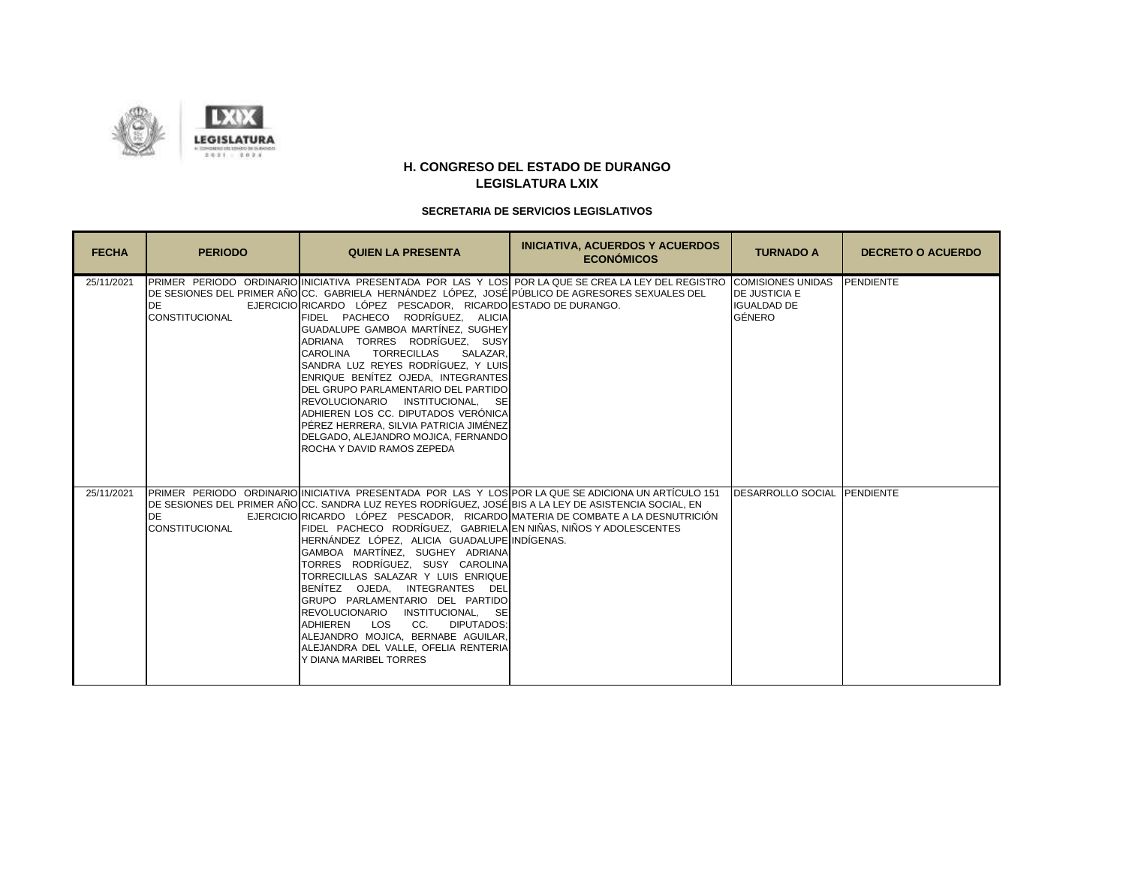

| <b>FECHA</b> | <b>PERIODO</b>                     | <b>QUIEN LA PRESENTA</b>                                                                                                                                                                                                                                                                                                                                                                                                                                                                                                                                                                                                                                                                       | <b>INICIATIVA, ACUERDOS Y ACUERDOS</b><br><b>ECONÓMICOS</b>                                                                     | <b>TURNADO A</b>                                            | <b>DECRETO O ACUERDO</b> |
|--------------|------------------------------------|------------------------------------------------------------------------------------------------------------------------------------------------------------------------------------------------------------------------------------------------------------------------------------------------------------------------------------------------------------------------------------------------------------------------------------------------------------------------------------------------------------------------------------------------------------------------------------------------------------------------------------------------------------------------------------------------|---------------------------------------------------------------------------------------------------------------------------------|-------------------------------------------------------------|--------------------------|
| 25/11/2021   | <b>DE</b><br><b>CONSTITUCIONAL</b> | DE SESIONES DEL PRIMER AÑO│CC.  GABRIELA  HERNÁNDEZ  LÓPEZ,  JOSÉ│PÚBLICO DE AGRESORES SEXUALES DEL<br>EJERCICIO RICARDO LÓPEZ PESCADOR, RICARDO ESTADO DE DURANGO.<br>FIDEL PACHECO RODRÍGUEZ, ALICIA<br>GUADALUPE GAMBOA MARTÍNEZ, SUGHEY<br>ADRIANA TORRES RODRÍGUEZ, SUSY<br><b>CAROLINA</b><br><b>TORRECILLAS</b><br>SALAZAR.<br>SANDRA LUZ REYES RODRÍGUEZ, Y LUIS<br>ENRIQUE BENÍTEZ OJEDA, INTEGRANTES<br>DEL GRUPO PARLAMENTARIO DEL PARTIDO<br>REVOLUCIONARIO INSTITUCIONAL. SE<br>ADHIEREN LOS CC. DIPUTADOS VERÓNICA<br>PÉREZ HERRERA. SILVIA PATRICIA JIMÉNEZ<br>DELGADO, ALEJANDRO MOJICA, FERNANDO<br>ROCHA Y DAVID RAMOS ZEPEDA                                                | PRIMER PERIODO ORDINARIO INICIATIVA PRESENTADA POR LAS Y LOS POR LA QUE SE CREA LA LEY DEL REGISTRO COMISIONES UNIDAS           | <b>DE JUSTICIA E</b><br><b>IGUALDAD DE</b><br><b>GÉNERO</b> | PENDIENTE                |
| 25/11/2021   | <b>DE</b><br><b>CONSTITUCIONAL</b> | DE SESIONES DEL PRIMER AÑO CC. SANDRA LUZ REYES RODRÍGUEZ, JOSÉ BIS A LA LEY DE ASISTENCIA SOCIAL, EN<br>EJERCICIO RICARDO LÓPEZ PESCADOR. RICARDO MATERIA DE COMBATE A LA DESNUTRICIÓN<br>FIDEL PACHECO RODRÍGUEZ, GABRIELA EN NIÑAS, NIÑOS Y ADOLESCENTES<br>HERNÁNDEZ LÓPEZ, ALICIA GUADALUPE INDÍGENAS.<br>GAMBOA MARTÍNEZ, SUGHEY ADRIANA<br>TORRES RODRÍGUEZ, SUSY CAROLINA<br>TORRECILLAS SALAZAR Y LUIS ENRIQUE<br>BENÍTEZ OJEDA, INTEGRANTES DEL<br>GRUPO PARLAMENTARIO DEL PARTIDO<br>REVOLUCIONARIO INSTITUCIONAL, SE<br>CC.<br><b>ADHIEREN</b><br>LOS<br><b>DIPUTADOS:</b><br>ALEJANDRO MOJICA. BERNABE AGUILAR.<br>ALEJANDRA DEL VALLE, OFELIA RENTERIA<br>Y DIANA MARIBEL TORRES | PRIMER PERIODO ORDINARIO INICIATIVA PRESENTADA POR LAS Y LOS POR LA QUE SE ADICIONA UN ARTÍCULO 151 DESARROLLO SOCIAL PENDIENTE |                                                             |                          |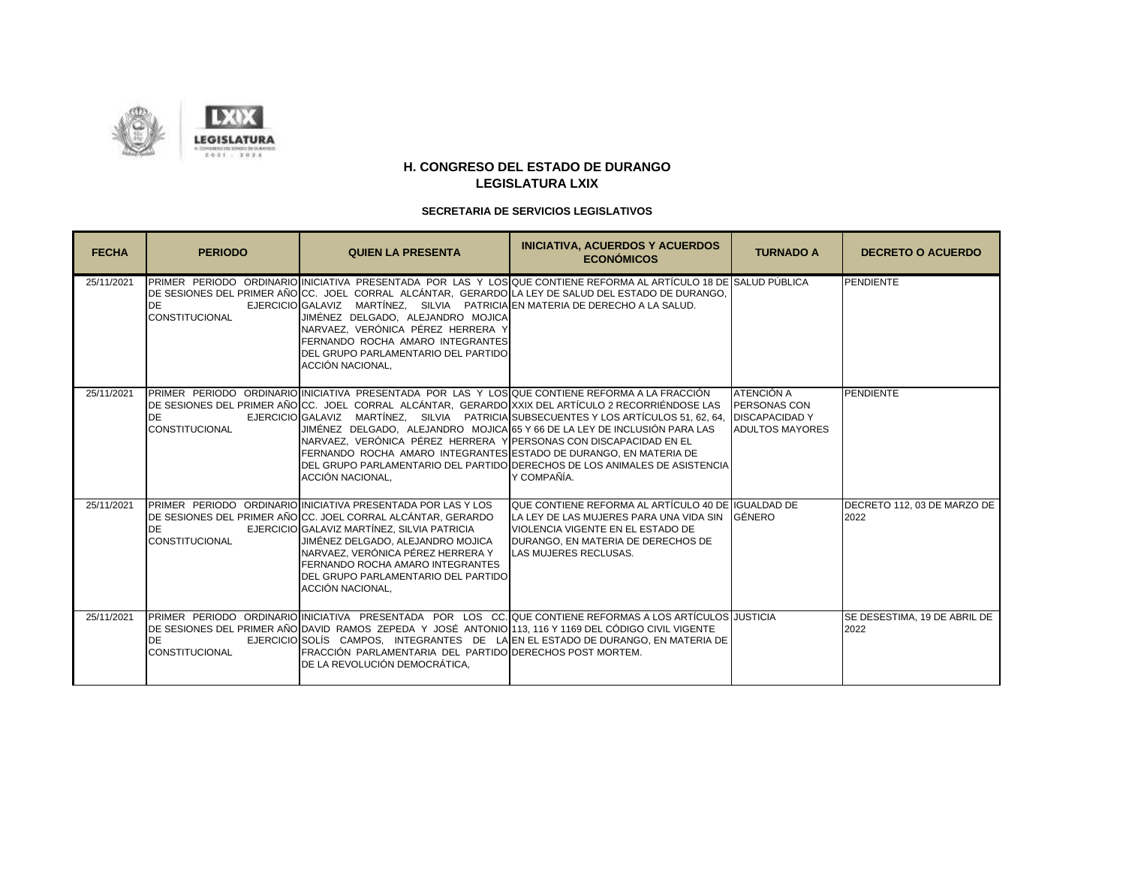

| <b>FECHA</b> | <b>PERIODO</b>                     | <b>QUIEN LA PRESENTA</b>                                                                                                                                                                                                                                                                                                                                    | <b>INICIATIVA, ACUERDOS Y ACUERDOS</b><br><b>ECONÓMICOS</b>                                                                                                                                                                                                                                               | <b>TURNADO A</b>                                            | <b>DECRETO O ACUERDO</b>             |
|--------------|------------------------------------|-------------------------------------------------------------------------------------------------------------------------------------------------------------------------------------------------------------------------------------------------------------------------------------------------------------------------------------------------------------|-----------------------------------------------------------------------------------------------------------------------------------------------------------------------------------------------------------------------------------------------------------------------------------------------------------|-------------------------------------------------------------|--------------------------------------|
| 25/11/2021   | DE<br><b>CONSTITUCIONAL</b>        | EJERCICIO GALAVIZ MARTÍNEZ, SILVIA PATRICIA EN MATERIA DE DERECHO A LA SALUD.<br>JIMÉNEZ DELGADO, ALEJANDRO MOJICA<br>NARVAEZ, VERÓNICA PÉREZ HERRERA Y<br>FERNANDO ROCHA AMARO INTEGRANTES<br>DEL GRUPO PARLAMENTARIO DEL PARTIDO<br>ACCIÓN NACIONAL.                                                                                                      | PRIMER PERIODO ORDINARIO INICIATIVA PRESENTADA POR LAS Y LOS QUE CONTIENE REFORMA AL ARTÍCULO 18 DE SALUD PÚBLICA<br>DE SESIONES DEL PRIMER AÑO CC. JOEL CORRAL ALCÁNTAR, GERARDO LA LEY DE SALUD DEL ESTADO DE DURANGO,                                                                                  |                                                             | <b>PENDIENTE</b>                     |
| 25/11/2021   | <b>DE</b><br><b>CONSTITUCIONAL</b> | PRIMER PERIODO ORDINARIO INICIATIVA PRESENTADA POR LAS Y LOS QUE CONTIENE REFORMA A LA FRACCIÓN<br>JIMÉNEZ DELGADO. ALEJANDRO MOJICA 65 Y 66 DE LA LEY DE INCLUSIÓN PARA LAS<br>NARVAEZ, VERÓNICA PÉREZ HERRERA Y PERSONAS CON DISCAPACIDAD EN EL<br>FERNANDO ROCHA AMARO INTEGRANTES ESTADO DE DURANGO, EN MATERIA DE<br>ACCIÓN NACIONAL.                  | DE SESIONES DEL PRIMER AÑOICC. JOEL  CORRAL  ALCÁNTAR.  GERARDOIXXIX DEL ARTÍCULO 2 RECORRIÉNDOSE LAS<br>EJERCICIO GALAVIZ MARTÍNEZ, SILVIA PATRICIA SUBSECUENTES Y LOS ARTÍCULOS 51, 62, 64, DISCAPACIDAD Y<br>DEL GRUPO PARLAMENTARIO DEL PARTIDO DERECHOS DE LOS ANIMALES DE ASISTENCIA<br>Y COMPAÑÍA. | ATENCIÓN A<br><b>PERSONAS CON</b><br><b>ADULTOS MAYORES</b> | <b>PENDIENTE</b>                     |
| 25/11/2021   | DE<br><b>CONSTITUCIONAL</b>        | <b>PRIMER PERIODO ORDINARIO INICIATIVA PRESENTADA POR LAS Y LOS</b><br>DE SESIONES DEL PRIMER AÑO CC. JOEL CORRAL ALCÁNTAR, GERARDO<br>EJERCICIO GALAVIZ MARTÍNEZ, SILVIA PATRICIA<br>JIMÉNEZ DELGADO. ALEJANDRO MOJICA<br>NARVAEZ, VERÓNICA PÉREZ HERRERA Y<br>FERNANDO ROCHA AMARO INTEGRANTES<br>DEL GRUPO PARLAMENTARIO DEL PARTIDO<br>ACCIÓN NACIONAL, | QUE CONTIENE REFORMA AL ARTÍCULO 40 DE IGUALDAD DE<br>LA LEY DE LAS MUJERES PARA UNA VIDA SIN GÉNERO<br>VIOLENCIA VIGENTE EN EL ESTADO DE<br><b>IDURANGO. EN MATERIA DE DERECHOS DE</b><br>LAS MUJERES RECLUSAS.                                                                                          |                                                             | DECRETO 112, 03 DE MARZO DE<br>2022  |
| 25/11/2021   | DE<br><b>CONSTITUCIONAL</b>        | DE SESIONES DEL PRIMER AÑO DAVID RAMOS ZEPEDA Y JOSÉ ANTONIO 113, 116 Y 1169 DEL CÓDIGO CIVIL VIGENTE<br>FRACCIÓN PARLAMENTARIA DEL PARTIDO DERECHOS POST MORTEM.<br>DE LA REVOLUCIÓN DEMOCRÁTICA,                                                                                                                                                          | PRIMER PERIODO ORDINARIO INICIATIVA PRESENTADA POR LOS CC. QUE CONTIENE REFORMAS A LOS ARTÍCULOS JUSTICIA<br>EJERCICIO SOLÍS CAMPOS, INTEGRANTES DE LA EN EL ESTADO DE DURANGO, EN MATERIA DE                                                                                                             |                                                             | SE DESESTIMA, 19 DE ABRIL DE<br>2022 |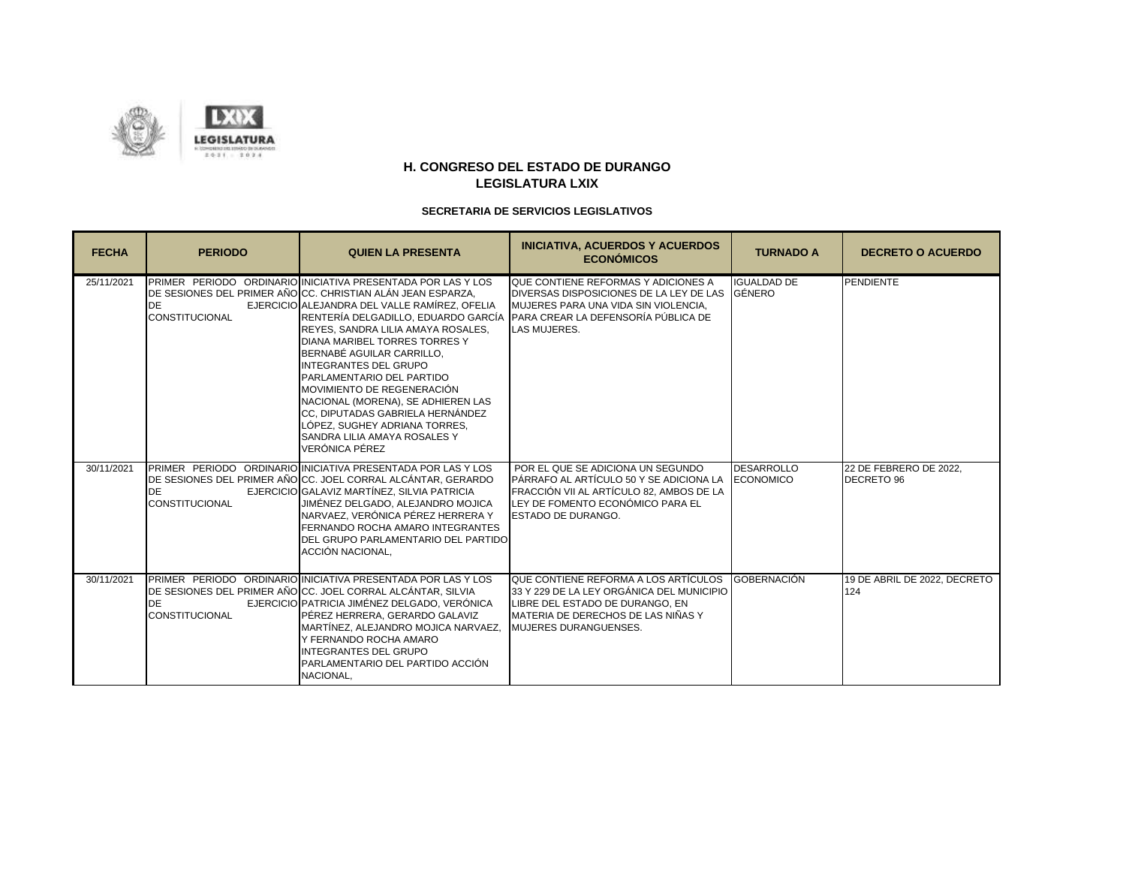

| <b>FECHA</b> | <b>PERIODO</b>                     | <b>QUIEN LA PRESENTA</b>                                                                                                                                                                                                                                                                                                                                                                                                                                                                                                                                                                                                          | <b>INICIATIVA, ACUERDOS Y ACUERDOS</b><br><b>ECONÓMICOS</b>                                                                                                                                | <b>TURNADO A</b>                      | <b>DECRETO O ACUERDO</b>             |
|--------------|------------------------------------|-----------------------------------------------------------------------------------------------------------------------------------------------------------------------------------------------------------------------------------------------------------------------------------------------------------------------------------------------------------------------------------------------------------------------------------------------------------------------------------------------------------------------------------------------------------------------------------------------------------------------------------|--------------------------------------------------------------------------------------------------------------------------------------------------------------------------------------------|---------------------------------------|--------------------------------------|
| 25/11/2021   | <b>DE</b><br><b>CONSTITUCIONAL</b> | <b>PRIMER PERIODO ORDINARIO INICIATIVA PRESENTADA POR LAS Y LOS</b><br>DE SESIONES DEL PRIMER AÑO CC. CHRISTIAN ALÁN JEAN ESPARZA,<br>EJERCICIO ALEJANDRA DEL VALLE RAMÍREZ, OFELIA<br>RENTERÍA DELGADILLO. EDUARDO GARCÍA PARA CREAR LA DEFENSORÍA PÚBLICA DE<br>REYES, SANDRA LILIA AMAYA ROSALES,<br><b>DIANA MARIBEL TORRES TORRES Y</b><br>BERNABÉ AGUILAR CARRILLO.<br><b>INTEGRANTES DEL GRUPO</b><br>PARLAMENTARIO DEL PARTIDO<br>MOVIMIENTO DE REGENERACIÓN<br>NACIONAL (MORENA), SE ADHIEREN LAS<br>CC. DIPUTADAS GABRIELA HERNÁNDEZ<br>LÓPEZ. SUGHEY ADRIANA TORRES.<br>SANDRA LILIA AMAYA ROSALES Y<br>VERÓNICA PÉREZ | QUE CONTIENE REFORMAS Y ADICIONES A<br><b>DIVERSAS DISPOSICIONES DE LA LEY DE LAS</b><br>MUJERES PARA UNA VIDA SIN VIOLENCIA.<br>LAS MUJERES.                                              | <b>IGUALDAD DE</b><br><b>GÉNERO</b>   | <b>PENDIENTE</b>                     |
| 30/11/2021   | <b>DE</b><br><b>CONSTITUCIONAL</b> | PRIMER PERIODO ORDINARIO INICIATIVA PRESENTADA POR LAS Y LOS<br>DE SESIONES DEL PRIMER AÑO CC. JOEL CORRAL ALCÁNTAR, GERARDO<br>EJERCICIO GALAVIZ MARTÍNEZ, SILVIA PATRICIA<br>JIMÉNEZ DELGADO. ALEJANDRO MOJICA<br>NARVAEZ, VERÓNICA PÉREZ HERRERA Y<br>FERNANDO ROCHA AMARO INTEGRANTES<br>DEL GRUPO PARLAMENTARIO DEL PARTIDO<br>ACCIÓN NACIONAL,                                                                                                                                                                                                                                                                              | POR EL QUE SE ADICIONA UN SEGUNDO<br>PÁRRAFO AL ARTÍCULO 50 Y SE ADICIONA LA<br>FRACCIÓN VII AL ARTÍCULO 82, AMBOS DE LA<br>LEY DE FOMENTO ECONÓMICO PARA EL<br><b>ESTADO DE DURANGO.</b>  | <b>DESARROLLO</b><br><b>ECONOMICO</b> | 22 DE FEBRERO DE 2022,<br>DECRETO 96 |
| 30/11/2021   | <b>DE</b><br><b>CONSTITUCIONAL</b> | <b>PRIMER PERIODO ORDINARIO INICIATIVA PRESENTADA POR LAS Y LOS</b><br>DE SESIONES DEL PRIMER AÑO CC. JOEL CORRAL ALCÁNTAR, SILVIA<br>EJERCICIO PATRICIA JIMÉNEZ DELGADO, VERÓNICA<br>PÉREZ HERRERA. GERARDO GALAVIZ<br>MARTÍNEZ. ALEJANDRO MOJICA NARVAEZ.<br>Y FERNANDO ROCHA AMARO<br><b>INTEGRANTES DEL GRUPO</b><br>PARLAMENTARIO DEL PARTIDO ACCIÓN<br>NACIONAL.                                                                                                                                                                                                                                                            | QUE CONTIENE REFORMA A LOS ARTÍCULOS<br>33 Y 229 DE LA LEY ORGÁNICA DEL MUNICIPIO<br>LIBRE DEL ESTADO DE DURANGO. EN<br>MATERIA DE DERECHOS DE LAS NIÑAS Y<br><b>MUJERES DURANGUENSES.</b> | <b>GOBERNACIÓN</b>                    | 19 DE ABRIL DE 2022, DECRETO<br>124  |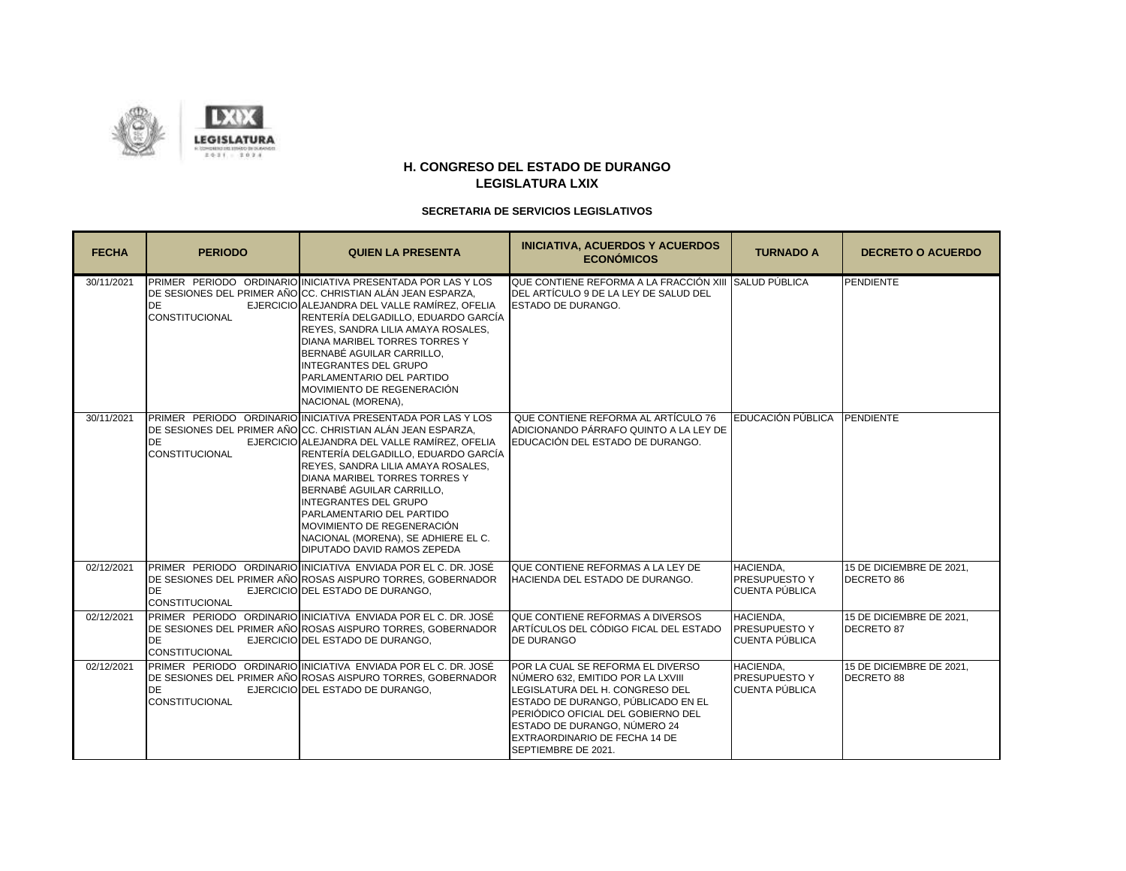



| <b>FECHA</b> | <b>PERIODO</b>                     | <b>QUIEN LA PRESENTA</b>                                                                                                                                                                                                                                                                                                                                                                                                                                                                               | <b>INICIATIVA, ACUERDOS Y ACUERDOS</b><br><b>ECONÓMICOS</b>                                                                                                                                                                                                                   | <b>TURNADO A</b>                                                  | <b>DECRETO O ACUERDO</b>               |
|--------------|------------------------------------|--------------------------------------------------------------------------------------------------------------------------------------------------------------------------------------------------------------------------------------------------------------------------------------------------------------------------------------------------------------------------------------------------------------------------------------------------------------------------------------------------------|-------------------------------------------------------------------------------------------------------------------------------------------------------------------------------------------------------------------------------------------------------------------------------|-------------------------------------------------------------------|----------------------------------------|
| 30/11/2021   | <b>DE</b><br><b>CONSTITUCIONAL</b> | PRIMER PERIODO ORDINARIO INICIATIVA PRESENTADA POR LAS Y LOS<br>DE SESIONES DEL PRIMER AÑO CC. CHRISTIAN ALÁN JEAN ESPARZA,<br>EJERCICIO ALEJANDRA DEL VALLE RAMÍREZ, OFELIA<br>RENTERÍA DELGADILLO, EDUARDO GARCÍA<br>REYES, SANDRA LILIA AMAYA ROSALES,<br><b>DIANA MARIBEL TORRES TORRES Y</b><br>BERNABÉ AGUILAR CARRILLO,<br><b>INTEGRANTES DEL GRUPO</b><br>PARLAMENTARIO DEL PARTIDO<br>MOVIMIENTO DE REGENERACIÓN<br>NACIONAL (MORENA),                                                        | QUE CONTIENE REFORMA A LA FRACCIÓN XIII SALUD PÚBLICA<br>DEL ARTÍCULO 9 DE LA LEY DE SALUD DEL<br>ESTADO DE DURANGO.                                                                                                                                                          |                                                                   | PENDIENTE                              |
| 30/11/2021   | <b>DE</b><br><b>CONSTITUCIONAL</b> | PRIMER PERIODO ORDINARIO INICIATIVA PRESENTADA POR LAS Y LOS<br>DE SESIONES DEL PRIMER AÑO CC. CHRISTIAN ALÁN JEAN ESPARZA.<br>EJERCICIO ALEJANDRA DEL VALLE RAMÍREZ. OFELIA<br>RENTERÍA DELGADILLO. EDUARDO GARCÍA<br>REYES, SANDRA LILIA AMAYA ROSALES,<br><b>DIANA MARIBEL TORRES TORRES Y</b><br>BERNABÉ AGUILAR CARRILLO.<br><b>INTEGRANTES DEL GRUPO</b><br>PARLAMENTARIO DEL PARTIDO<br>MOVIMIENTO DE REGENERACIÓN<br>NACIONAL (MORENA), SE ADHIERE EL C.<br><b>DIPUTADO DAVID RAMOS ZEPEDA</b> | QUE CONTIENE REFORMA AL ARTÍCULO 76<br>ADICIONANDO PÁRRAFO QUINTO A LA LEY DE<br>EDUCACIÓN DEL ESTADO DE DURANGO.                                                                                                                                                             | EDUCACIÓN PÚBLICA                                                 | PENDIENTE                              |
| 02/12/2021   | DE<br><b>CONSTITUCIONAL</b>        | PRIMER PERIODO ORDINARIO INICIATIVA ENVIADA POR EL C. DR. JOSÉ<br>DE SESIONES DEL PRIMER AÑO ROSAS AISPURO TORRES. GOBERNADOR<br>EJERCICIO DEL ESTADO DE DURANGO,                                                                                                                                                                                                                                                                                                                                      | QUE CONTIENE REFORMAS A LA LEY DE<br>HACIENDA DEL ESTADO DE DURANGO.                                                                                                                                                                                                          | HACIENDA.<br><b>PRESUPUESTO Y</b><br>CUENTA PÚBLICA               | 15 DE DICIEMBRE DE 2021.<br>DECRETO 86 |
| 02/12/2021   | <b>DE</b><br><b>CONSTITUCIONAL</b> | PRIMER PERIODO ORDINARIO INICIATIVA ENVIADA POR EL C. DR. JOSÉ<br>DE SESIONES DEL PRIMER AÑO ROSAS AISPURO TORRES, GOBERNADOR<br>EJERCICIO DEL ESTADO DE DURANGO,                                                                                                                                                                                                                                                                                                                                      | QUE CONTIENE REFORMAS A DIVERSOS<br>ARTÍCULOS DEL CÓDIGO FICAL DEL ESTADO<br><b>DE DURANGO</b>                                                                                                                                                                                | <b>HACIENDA.</b><br><b>PRESUPUESTO Y</b><br><b>CUENTA PÚBLICA</b> | 15 DE DICIEMBRE DE 2021.<br>DECRETO 87 |
| 02/12/2021   | <b>DE</b><br><b>CONSTITUCIONAL</b> | PRIMER PERIODO ORDINARIO INICIATIVA ENVIADA POR EL C. DR. JOSÉ<br>DE SESIONES DEL PRIMER AÑO ROSAS AISPURO TORRES, GOBERNADOR<br>EJERCICIO DEL ESTADO DE DURANGO.                                                                                                                                                                                                                                                                                                                                      | POR LA CUAL SE REFORMA EL DIVERSO<br>NÚMERO 632. EMITIDO POR LA LXVIII<br>LEGISLATURA DEL H. CONGRESO DEL<br>ESTADO DE DURANGO. PÚBLICADO EN EL<br>PERIÓDICO OFICIAL DEL GOBIERNO DEL<br>ESTADO DE DURANGO. NÚMERO 24<br>EXTRAORDINARIO DE FECHA 14 DE<br>SEPTIEMBRE DE 2021. | HACIENDA.<br><b>PRESUPUESTO Y</b><br>CUENTA PÚBLICA               | 15 DE DICIEMBRE DE 2021.<br>DECRETO 88 |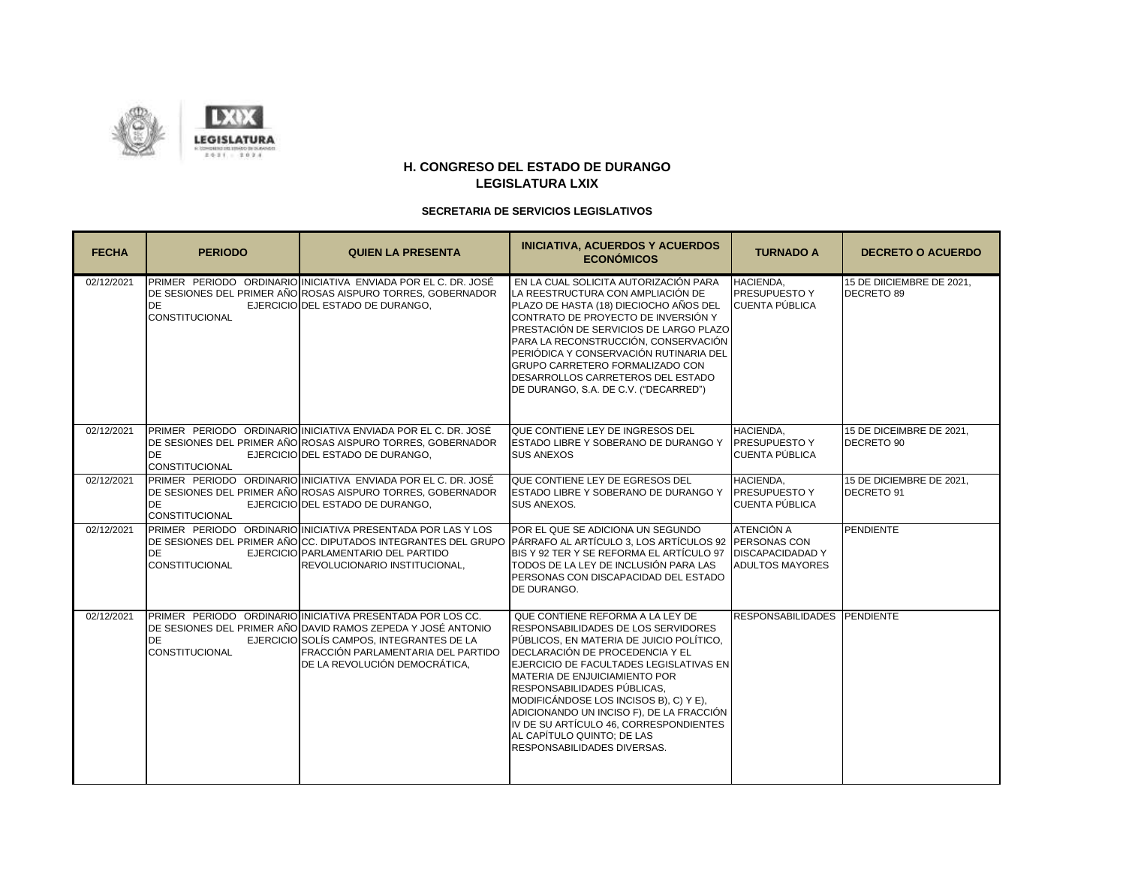

| <b>FECHA</b> | <b>PERIODO</b>                     | <b>QUIEN LA PRESENTA</b>                                                                                                                                                                                                                       | <b>INICIATIVA, ACUERDOS Y ACUERDOS</b><br><b>ECONÓMICOS</b>                                                                                                                                                                                                                                                                                                                                                                                                                  | <b>TURNADO A</b>                                                  | <b>DECRETO O ACUERDO</b>                       |
|--------------|------------------------------------|------------------------------------------------------------------------------------------------------------------------------------------------------------------------------------------------------------------------------------------------|------------------------------------------------------------------------------------------------------------------------------------------------------------------------------------------------------------------------------------------------------------------------------------------------------------------------------------------------------------------------------------------------------------------------------------------------------------------------------|-------------------------------------------------------------------|------------------------------------------------|
| 02/12/2021   | <b>DE</b><br><b>CONSTITUCIONAL</b> | PRIMER PERIODO ORDINARIO INICIATIVA ENVIADA POR EL C. DR. JOSÉ<br>DE SESIONES DEL PRIMER AÑO ROSAS AISPURO TORRES, GOBERNADOR<br>EJERCICIO DEL ESTADO DE DURANGO.                                                                              | EN LA CUAL SOLICITA AUTORIZACIÓN PARA<br>LA REESTRUCTURA CON AMPLIACIÓN DE<br>PLAZO DE HASTA (18) DIECIOCHO AÑOS DEL<br>CONTRATO DE PROYECTO DE INVERSIÓN Y<br>PRESTACIÓN DE SERVICIOS DE LARGO PLAZO<br>PARA LA RECONSTRUCCIÓN, CONSERVACIÓN<br>PERIÓDICA Y CONSERVACIÓN RUTINARIA DEL<br>GRUPO CARRETERO FORMALIZADO CON<br>DESARROLLOS CARRETEROS DEL ESTADO<br>DE DURANGO, S.A. DE C.V. ("DECARRED")                                                                     | <b>HACIENDA.</b><br><b>PRESUPUESTO Y</b><br><b>CUENTA PÚBLICA</b> | 15 DE DIICIEMBRE DE 2021.<br><b>DECRETO 89</b> |
| 02/12/2021   | <b>DE</b><br><b>CONSTITUCIONAL</b> | PRIMER PERIODO ORDINARIO INICIATIVA ENVIADA POR EL C. DR. JOSÉ<br>DE SESIONES DEL PRIMER AÑO ROSAS AISPURO TORRES, GOBERNADOR<br>EJERCICIO DEL ESTADO DE DURANGO.                                                                              | QUE CONTIENE LEY DE INGRESOS DEL<br>ESTADO LIBRE Y SOBERANO DE DURANGO Y<br><b>SUS ANEXOS</b>                                                                                                                                                                                                                                                                                                                                                                                | HACIENDA,<br><b>PRESUPUESTO Y</b><br><b>CUENTA PÚBLICA</b>        | 15 DE DICEIMBRE DE 2021,<br>DECRETO 90         |
| 02/12/2021   | <b>DE</b><br>CONSTITUCIONAL        | PRIMER PERIODO ORDINARIO INICIATIVA ENVIADA POR EL C. DR. JOSÉ<br>DE SESIONES DEL PRIMER AÑOIROSAS AISPURO TORRES. GOBERNADOR<br>EJERCICIO DEL ESTADO DE DURANGO,                                                                              | QUE CONTIENE LEY DE EGRESOS DEL<br>ESTADO LIBRE Y SOBERANO DE DURANGO Y<br><b>SUS ANEXOS.</b>                                                                                                                                                                                                                                                                                                                                                                                | HACIENDA,<br><b>PRESUPUESTO Y</b><br><b>CUENTA PÚBLICA</b>        | 15 DE DICIEMBRE DE 2021.<br>DECRETO 91         |
| 02/12/2021   | <b>DE</b><br><b>CONSTITUCIONAL</b> | PRIMER PERIODO ORDINARIO INICIATIVA PRESENTADA POR LAS Y LOS<br>EJERCICIO PARLAMENTARIO DEL PARTIDO<br>REVOLUCIONARIO INSTITUCIONAL.                                                                                                           | POR EL QUE SE ADICIONA UN SEGUNDO<br>DE SESIONES DEL PRIMER AÑO CC. DIPUTADOS INTEGRANTES DEL GRUPO PÁRRAFO AL ARTÍCULO 3, LOS ARTÍCULOS 92 PERSONAS CON<br>BIS Y 92 TER Y SE REFORMA EL ARTÍCULO 97<br>TODOS DE LA LEY DE INCLUSIÓN PARA LAS<br>PERSONAS CON DISCAPACIDAD DEL ESTADO<br>DE DURANGO.                                                                                                                                                                         | ATENCIÓN A<br><b>DISCAPACIDADAD Y</b><br><b>ADULTOS MAYORES</b>   | PENDIENTE                                      |
| 02/12/2021   | <b>DE</b><br><b>CONSTITUCIONAL</b> | PRIMER PERIODO ORDINARIO INICIATIVA PRESENTADA POR LOS CC.<br>DE SESIONES DEL PRIMER AÑO DAVID RAMOS ZEPEDA Y JOSÉ ANTONIO<br>EJERCICIO SOLÍS CAMPOS. INTEGRANTES DE LA<br>FRACCIÓN PARLAMENTARIA DEL PARTIDO<br>DE LA REVOLUCIÓN DEMOCRÁTICA, | QUE CONTIENE REFORMA A LA LEY DE<br>RESPONSABILIDADES DE LOS SERVIDORES<br>PÚBLICOS. EN MATERIA DE JUICIO POLÍTICO.<br>DECLARACIÓN DE PROCEDENCIA Y EL<br>EJERCICIO DE FACULTADES LEGISLATIVAS EN<br><b>MATERIA DE ENJUICIAMIENTO POR</b><br>RESPONSABILIDADES PÚBLICAS.<br>MODIFICÁNDOSE LOS INCISOS B), C) Y E),<br>ADICIONANDO UN INCISO F), DE LA FRACCIÓN<br>IV DE SU ARTÍCULO 46, CORRESPONDIENTES<br>AL CAPÍTULO QUINTO; DE LAS<br><b>RESPONSABILIDADES DIVERSAS.</b> | RESPONSABILIDADES PENDIENTE                                       |                                                |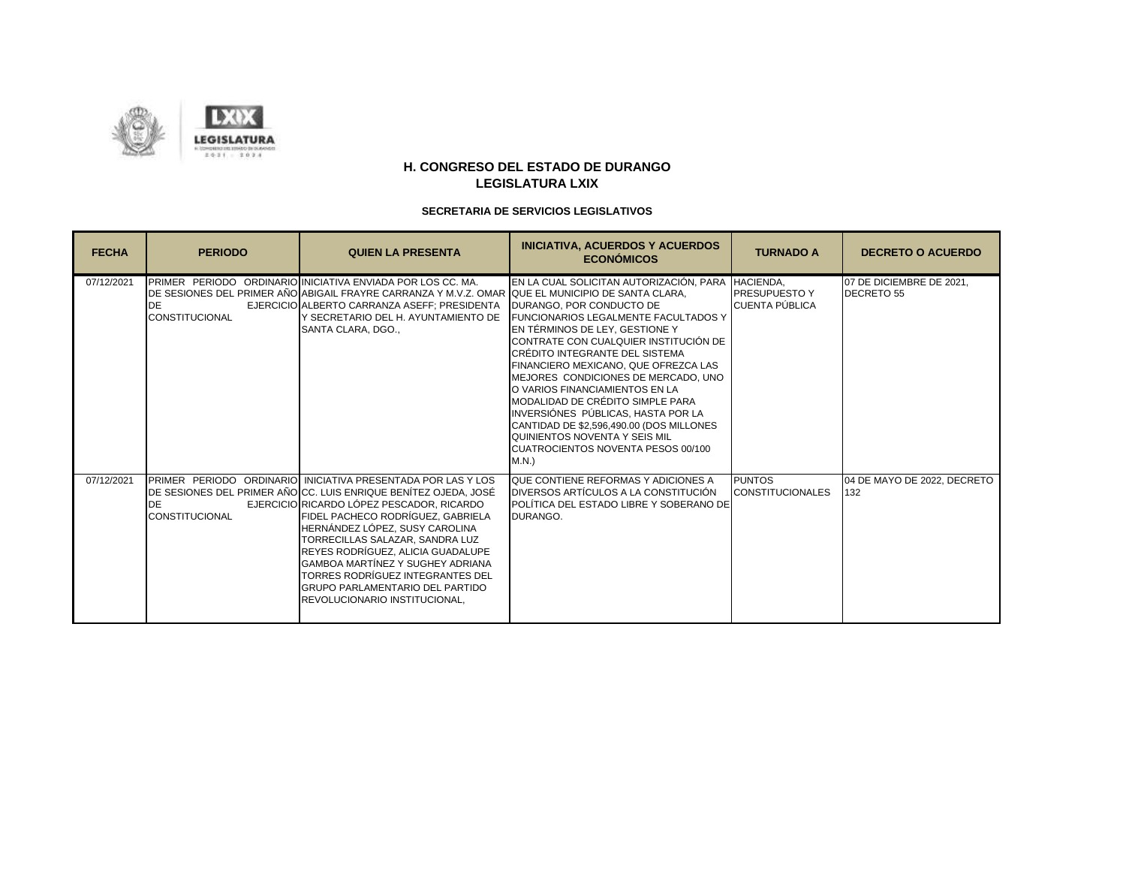

| <b>FECHA</b> | <b>PERIODO</b>              | <b>QUIEN LA PRESENTA</b>                                                                                                                                                                                                                                                                                                                                                                                                                                                       | <b>INICIATIVA, ACUERDOS Y ACUERDOS</b><br><b>ECONÓMICOS</b>                                                                                                                                                                                                                                                                                                                                                                                                                                                                                                             | <b>TURNADO A</b>                              | <b>DECRETO O ACUERDO</b>               |
|--------------|-----------------------------|--------------------------------------------------------------------------------------------------------------------------------------------------------------------------------------------------------------------------------------------------------------------------------------------------------------------------------------------------------------------------------------------------------------------------------------------------------------------------------|-------------------------------------------------------------------------------------------------------------------------------------------------------------------------------------------------------------------------------------------------------------------------------------------------------------------------------------------------------------------------------------------------------------------------------------------------------------------------------------------------------------------------------------------------------------------------|-----------------------------------------------|----------------------------------------|
| 07/12/2021   | DE<br><b>CONSTITUCIONAL</b> | PRIMER PERIODO ORDINARIO INICIATIVA ENVIADA POR LOS CC. MA.<br>DE SESIONES DEL PRIMER AÑO ABIGAIL FRAYRE CARRANZA Y M.V.Z. OMAR QUE EL MUNICIPIO DE SANTA CLARA,<br>EJERCICIO ALBERTO CARRANZA ASEFF; PRESIDENTA<br>Y SECRETARIO DEL H. AYUNTAMIENTO DE<br>SANTA CLARA, DGO.,                                                                                                                                                                                                  | EN LA CUAL SOLICITAN AUTORIZACIÓN, PARA HACIENDA,<br>DURANGO, POR CONDUCTO DE<br><b>FUNCIONARIOS LEGALMENTE FACULTADOS Y</b><br>EN TÉRMINOS DE LEY, GESTIONE Y<br>ICONTRATE CON CUALQUIER INSTITUCIÓN DE<br>CRÉDITO INTEGRANTE DEL SISTEMA<br>FINANCIERO MEXICANO. QUE OFREZCA LAS<br>MEJORES CONDICIONES DE MERCADO, UNO<br>O VARIOS FINANCIAMIENTOS EN LA<br>MODALIDAD DE CRÉDITO SIMPLE PARA<br>INVERSIÓNES PÚBLICAS. HASTA POR LA<br>CANTIDAD DE \$2,596,490.00 (DOS MILLONES<br>QUINIENTOS NOVENTA Y SEIS MIL<br><b>CUATROCIENTOS NOVENTA PESOS 00/100</b><br>M.N. | <b>PRESUPUESTO Y</b><br><b>CUENTA PÚBLICA</b> | 07 DE DICIEMBRE DE 2021,<br>DECRETO 55 |
| 07/12/2021   | DE<br><b>CONSTITUCIONAL</b> | PRIMER PERIODO ORDINARIO INICIATIVA PRESENTADA POR LAS Y LOS<br>DE SESIONES DEL PRIMER AÑO CC. LUIS ENRIQUE BENÍTEZ OJEDA, JOSÉ<br>EJERCICIO RICARDO LÓPEZ PESCADOR, RICARDO<br>FIDEL PACHECO RODRÍGUEZ. GABRIELA<br>HERNÁNDEZ LÓPEZ, SUSY CAROLINA<br>TORRECILLAS SALAZAR. SANDRA LUZ<br>REYES RODRÍGUEZ. ALICIA GUADALUPE<br>GAMBOA MARTÍNEZ Y SUGHEY ADRIANA<br>TORRES RODRÍGUEZ INTEGRANTES DEL<br><b>GRUPO PARLAMENTARIO DEL PARTIDO</b><br>REVOLUCIONARIO INSTITUCIONAL, | QUE CONTIENE REFORMAS Y ADICIONES A<br><b>DIVERSOS ARTÍCULOS A LA CONSTITUCIÓN</b><br>POLÍTICA DEL ESTADO LIBRE Y SOBERANO DE<br>DURANGO.                                                                                                                                                                                                                                                                                                                                                                                                                               | <b>PUNTOS</b><br><b>CONSTITUCIONALES</b>      | 04 DE MAYO DE 2022, DECRETO<br>132     |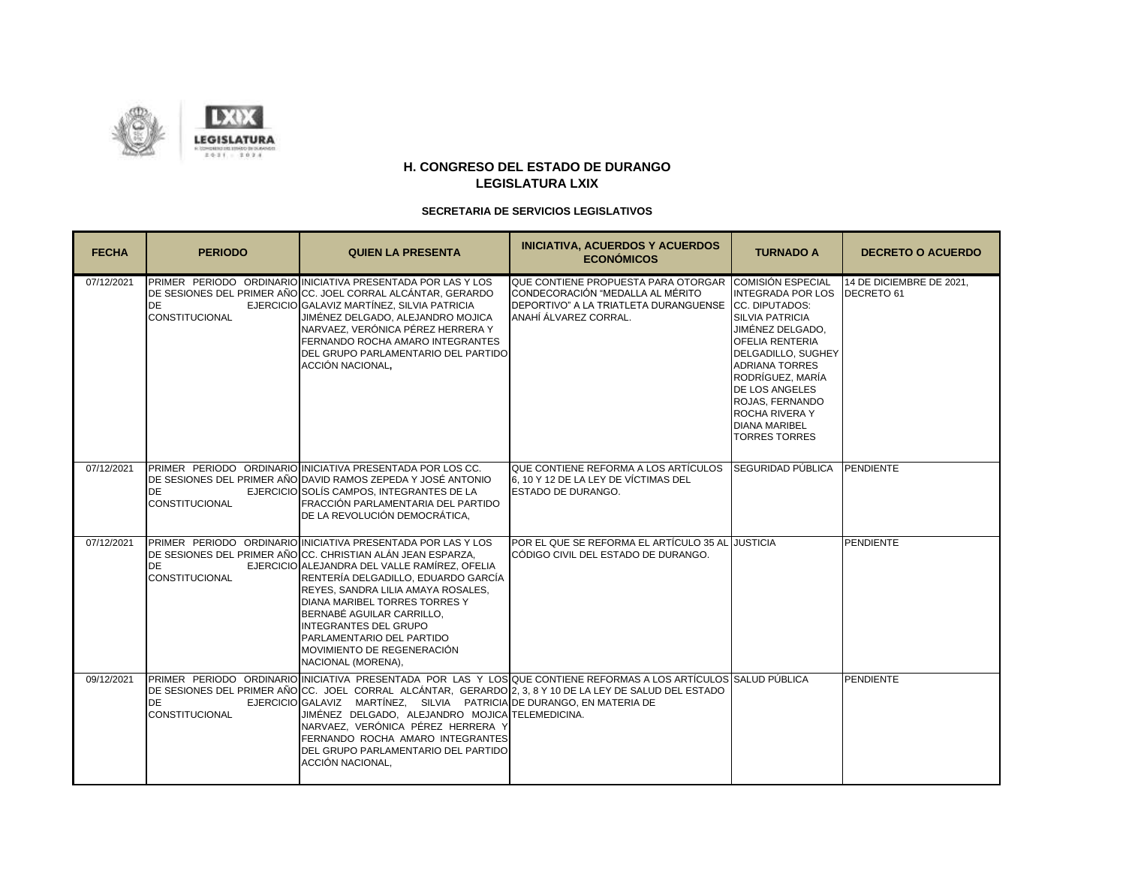

| <b>FECHA</b> | <b>PERIODO</b>                     | <b>QUIEN LA PRESENTA</b>                                                                                                                                                                                                                                                                                                                                                                                                                 | <b>INICIATIVA, ACUERDOS Y ACUERDOS</b><br><b>ECONÓMICOS</b>                                                                                                                                                                 | <b>TURNADO A</b>                                                                                                                                                                                                                                                                         | <b>DECRETO O ACUERDO</b>                       |
|--------------|------------------------------------|------------------------------------------------------------------------------------------------------------------------------------------------------------------------------------------------------------------------------------------------------------------------------------------------------------------------------------------------------------------------------------------------------------------------------------------|-----------------------------------------------------------------------------------------------------------------------------------------------------------------------------------------------------------------------------|------------------------------------------------------------------------------------------------------------------------------------------------------------------------------------------------------------------------------------------------------------------------------------------|------------------------------------------------|
| 07/12/2021   | <b>DE</b><br><b>CONSTITUCIONAL</b> | PRIMER PERIODO ORDINARIO INICIATIVA PRESENTADA POR LAS Y LOS<br>DE SESIONES DEL PRIMER AÑO CC. JOEL CORRAL ALCÁNTAR, GERARDO<br>EJERCICIO GALAVIZ MARTÍNEZ. SILVIA PATRICIA<br>JIMÉNEZ DELGADO. ALEJANDRO MOJICA<br>NARVAEZ. VERÓNICA PÉREZ HERRERA Y<br><b>FERNANDO ROCHA AMARO INTEGRANTES</b><br>DEL GRUPO PARLAMENTARIO DEL PARTIDO<br>ACCIÓN NACIONAL,                                                                              | QUE CONTIENE PROPUESTA PARA OTORGAR COMISIÓN ESPECIAL<br>CONDECORACIÓN "MEDALLA AL MÉRITO<br>DEPORTIVO" A LA TRIATLETA DURANGUENSE CC. DIPUTADOS:<br>ANAHÍ ÁLVAREZ CORRAL.                                                  | <b>INTEGRADA POR LOS</b><br><b>SILVIA PATRICIA</b><br>JIMÉNEZ DELGADO.<br><b>OFELIA RENTERIA</b><br>DELGADILLO, SUGHEY<br><b>ADRIANA TORRES</b><br>RODRÍGUEZ, MARÍA<br><b>DE LOS ANGELES</b><br>ROJAS, FERNANDO<br><b>ROCHA RIVERA Y</b><br><b>DIANA MARIBEL</b><br><b>TORRES TORRES</b> | 14 DE DICIEMBRE DE 2021,<br><b>IDECRETO 61</b> |
| 07/12/2021   | <b>DE</b><br><b>CONSTITUCIONAL</b> | PRIMER PERIODO ORDINARIO INICIATIVA PRESENTADA POR LOS CC.<br>DE SESIONES DEL PRIMER AÑO DAVID RAMOS ZEPEDA Y JOSÉ ANTONIO<br>EJERCICIO SOLÍS CAMPOS, INTEGRANTES DE LA<br>FRACCIÓN PARLAMENTARIA DEL PARTIDO<br>DE LA REVOLUCIÓN DEMOCRÁTICA.                                                                                                                                                                                           | QUE CONTIENE REFORMA A LOS ARTÍCULOS<br>6.10 Y 12 DE LA LEY DE VÍCTIMAS DEL<br>ESTADO DE DURANGO.                                                                                                                           | SEGURIDAD PÚBLICA PENDIENTE                                                                                                                                                                                                                                                              |                                                |
| 07/12/2021   | <b>DE</b><br><b>CONSTITUCIONAL</b> | PRIMER PERIODO ORDINARIO INICIATIVA PRESENTADA POR LAS Y LOS<br>DE SESIONES DEL PRIMER AÑOLCC. CHRISTIAN ALÁN JEAN ESPARZA.<br>EJERCICIO ALEJANDRA DEL VALLE RAMÍREZ. OFELIA<br>RENTERÍA DELGADILLO, EDUARDO GARCÍA<br>REYES. SANDRA LILIA AMAYA ROSALES.<br>DIANA MARIBEL TORRES TORRES Y<br>BERNABÉ AGUILAR CARRILLO,<br><b>INTEGRANTES DEL GRUPO</b><br>PARLAMENTARIO DEL PARTIDO<br>MOVIMIENTO DE REGENERACIÓN<br>NACIONAL (MORENA), | POR EL QUE SE REFORMA EL ARTÍCULO 35 AL JUSTICIA<br>CÓDIGO CIVIL DEL ESTADO DE DURANGO.                                                                                                                                     |                                                                                                                                                                                                                                                                                          | PENDIENTE                                      |
| 09/12/2021   | <b>DE</b><br><b>CONSTITUCIONAL</b> | EJERCICIO GALAVIZ MARTÍNEZ, SILVIA PATRICIA DE DURANGO, EN MATERIA DE<br>JIMÉNEZ DELGADO, ALEJANDRO MOJICA TELEMEDICINA.<br>NARVAEZ, VERÓNICA PÉREZ HERRERA Y<br>FERNANDO ROCHA AMARO INTEGRANTES<br>DEL GRUPO PARLAMENTARIO DEL PARTIDO<br>ACCIÓN NACIONAL.                                                                                                                                                                             | PRIMER PERIODO ORDINARIO INICIATIVA PRESENTADA POR LAS Y LOS QUE CONTIENE REFORMAS A LOS ARTÍCULOS SALUD PÚBLICA<br>DE SESIONES DEL PRIMER AÑO CC. JOEL CORRAL ALCÁNTAR, GERARDO 2, 3, 8 Y 10 DE LA LEY DE SALUD DEL ESTADO |                                                                                                                                                                                                                                                                                          | PENDIENTE                                      |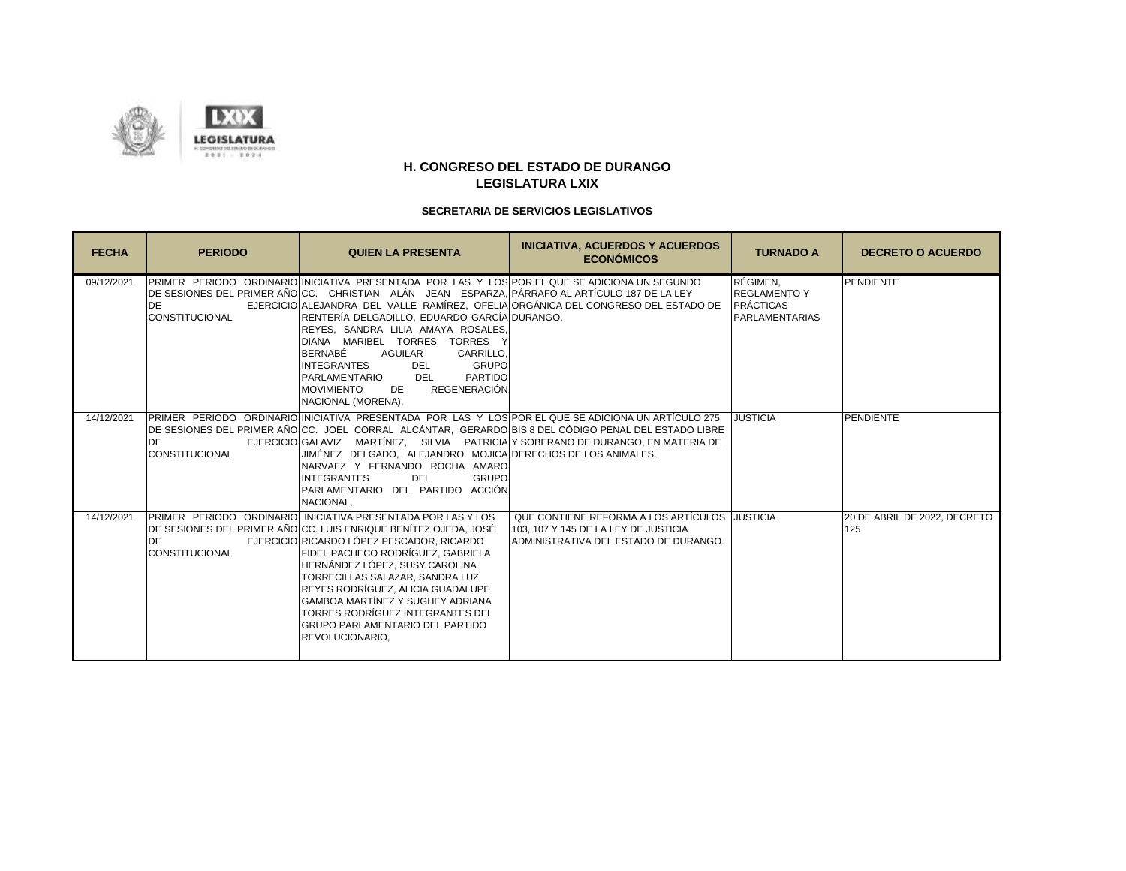

| <b>FECHA</b> | <b>PERIODO</b>                     | <b>QUIEN LA PRESENTA</b>                                                                                                                                                                                                                                                                                                                                                                                                                                                                                                                             | <b>INICIATIVA, ACUERDOS Y ACUERDOS</b><br><b>ECONÓMICOS</b>                                                                                                                                                                                                                                     | <b>TURNADO A</b>                                                             | <b>DECRETO O ACUERDO</b>            |
|--------------|------------------------------------|------------------------------------------------------------------------------------------------------------------------------------------------------------------------------------------------------------------------------------------------------------------------------------------------------------------------------------------------------------------------------------------------------------------------------------------------------------------------------------------------------------------------------------------------------|-------------------------------------------------------------------------------------------------------------------------------------------------------------------------------------------------------------------------------------------------------------------------------------------------|------------------------------------------------------------------------------|-------------------------------------|
| 09/12/2021   | <b>DE</b><br><b>CONSTITUCIONAL</b> | PRIMER PERIODO ORDINARIO INICIATIVA PRESENTADA POR LAS Y LOS POR EL QUE SE ADICIONA UN SEGUNDO<br>DE SESIONES DEL PRIMER AÑO CC. CHRISTIAN ALÁN JEAN ESPARZA, PÁRRAFO AL ARTÍCULO 187 DE LA LEY<br>RENTERÍA DELGADILLO, EDUARDO GARCÍA DURANGO.<br>REYES, SANDRA LILIA AMAYA ROSALES,<br>DIANA MARIBEL TORRES TORRES Y<br><b>BERNABÉ</b><br><b>AGUILAR</b><br>CARRILLO.<br><b>GRUPO</b><br><b>INTEGRANTES</b><br><b>DEL</b><br>DEL<br><b>PARTIDO</b><br><b>PARLAMENTARIO</b><br><b>REGENERACIÓN</b><br><b>MOVIMIENTO</b><br>DE<br>NACIONAL (MORENA), | EJERCICIO ALEJANDRA DEL VALLE RAMÍREZ, OFELIA ORGÁNICA DEL CONGRESO DEL ESTADO DE                                                                                                                                                                                                               | RÉGIMEN.<br><b>REGLAMENTO Y</b><br><b>PRÁCTICAS</b><br><b>PARLAMENTARIAS</b> | <b>PENDIENTE</b>                    |
| 14/12/2021   | <b>DE</b><br><b>CONSTITUCIONAL</b> | JIMÉNEZ DELGADO, ALEJANDRO MOJICA DERECHOS DE LOS ANIMALES.<br>NARVAEZ Y FERNANDO ROCHA AMARO<br><b>INTEGRANTES</b><br><b>DEL</b><br><b>GRUPO</b><br>PARLAMENTARIO DEL PARTIDO ACCIÓN<br>NACIONAL,                                                                                                                                                                                                                                                                                                                                                   | PRIMER PERIODO ORDINARIO INICIATIVA PRESENTADA POR LAS Y LOS POR EL QUE SE ADICIONA UN ARTÍCULO 275<br>DE SESIONES DEL PRIMER AÑO CC. JOEL CORRAL ALCÁNTAR, GERARDO BIS 8 DEL CÓDIGO PENAL DEL ESTADO LIBRE<br>EJERCICIO GALAVIZ MARTÍNEZ, SILVIA PATRICIA Y SOBERANO DE DURANGO, EN MATERIA DE | <b>JUSTICIA</b>                                                              | <b>PENDIENTE</b>                    |
| 14/12/2021   | <b>DE</b><br><b>CONSTITUCIONAL</b> | <b>PRIMER PERIODO ORDINARIO INICIATIVA PRESENTADA POR LAS Y LOS</b><br>IDE SESIONES DEL PRIMER AÑOICC. LUIS ENRIQUE BENÍTEZ OJEDA. JOSÉ<br>EJERCICIO RICARDO LÓPEZ PESCADOR. RICARDO<br>FIDEL PACHECO RODRÍGUEZ, GABRIELA<br>HERNÁNDEZ LÓPEZ, SUSY CAROLINA<br>TORRECILLAS SALAZAR, SANDRA LUZ<br>REYES RODRÍGUEZ. ALICIA GUADALUPE<br>GAMBOA MARTÍNEZ Y SUGHEY ADRIANA<br>TORRES RODRÍGUEZ INTEGRANTES DEL<br><b>GRUPO PARLAMENTARIO DEL PARTIDO</b><br>REVOLUCIONARIO,                                                                             | QUE CONTIENE REFORMA A LOS ARTÍCULOS JJUSTICIA<br>103. 107 Y 145 DE LA LEY DE JUSTICIA<br>ADMINISTRATIVA DEL ESTADO DE DURANGO.                                                                                                                                                                 |                                                                              | 20 DE ABRIL DE 2022, DECRETO<br>125 |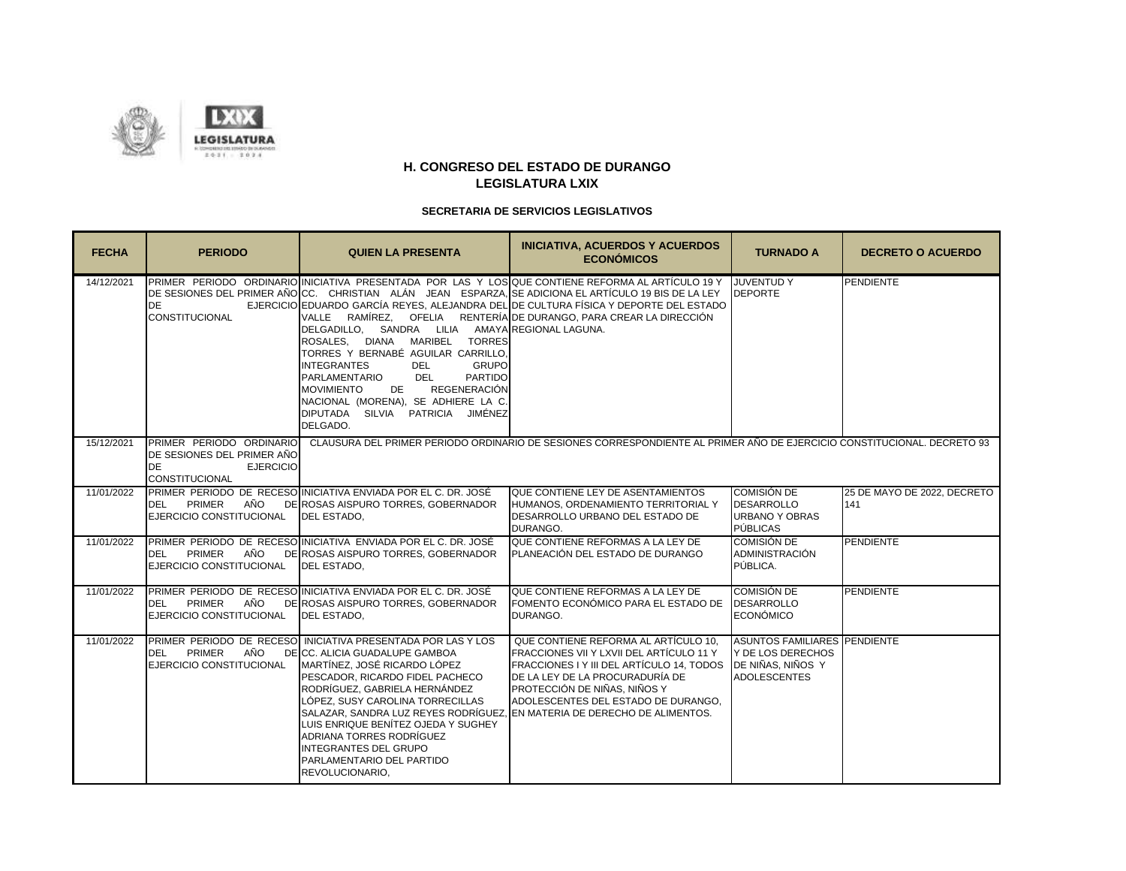

| <b>FECHA</b> | <b>PERIODO</b>                                                                                                   | <b>QUIEN LA PRESENTA</b>                                                                                                                                                                                                                                                                                                                                                                                                                                              | <b>INICIATIVA, ACUERDOS Y ACUERDOS</b><br><b>ECONÓMICOS</b>                                                                                                                                                                                                                                        | <b>TURNADO A</b>                                                                              | <b>DECRETO O ACUERDO</b>           |
|--------------|------------------------------------------------------------------------------------------------------------------|-----------------------------------------------------------------------------------------------------------------------------------------------------------------------------------------------------------------------------------------------------------------------------------------------------------------------------------------------------------------------------------------------------------------------------------------------------------------------|----------------------------------------------------------------------------------------------------------------------------------------------------------------------------------------------------------------------------------------------------------------------------------------------------|-----------------------------------------------------------------------------------------------|------------------------------------|
| 14/12/2021   | <b>DE</b><br><b>CONSTITUCIONAL</b>                                                                               | VALLE RAMÍREZ, OFELIA RENTERÍA DE DURANGO, PARA CREAR LA DIRECCIÓN<br>DELGADILLO, SANDRA LILIA AMAYA REGIONAL LAGUNA.<br>ROSALES, DIANA MARIBEL TORRES<br>TORRES Y BERNABÉ AGUILAR CARRILLO.<br><b>INTEGRANTES</b><br><b>GRUPO</b><br><b>DEL</b><br><b>PARTIDO</b><br>PARLAMENTARIO<br><b>DEL</b><br><b>MOVIMIENTO</b><br><b>REGENERACIÓN</b><br>DE<br>NACIONAL (MORENA), SE ADHIERE LA C.<br>DIPUTADA SILVIA PATRICIA JIMÉNEZ<br>DELGADO.                            | PRIMER PERIODO ORDINARIO INICIATIVA PRESENTADA POR LAS Y LOS QUE CONTIENE REFORMA AL ARTÍCULO 19 Y<br>DE SESIONES DEL PRIMER AÑO CC. CHRISTIAN ALÁN JEAN ESPARZA, SE ADICIONA EL ARTÍCULO 19 BIS DE LA LEY<br>EJERCICIO EDUARDO GARCÍA REYES, ALEJANDRA DEL DE CULTURA FÍSICA Y DEPORTE DEL ESTADO | <b>JUVENTUDY</b><br><b>DEPORTE</b>                                                            | PENDIENTE                          |
| 15/12/2021   | PRIMER PERIODO ORDINARIO<br>DE SESIONES DEL PRIMER AÑO<br><b>DE</b><br><b>EJERCICIO</b><br><b>CONSTITUCIONAL</b> |                                                                                                                                                                                                                                                                                                                                                                                                                                                                       | CLAUSURA DEL PRIMER PERIODO ORDINARIO DE SESIONES CORRESPONDIENTE AL PRIMER AÑO DE EJERCICIO CONSTITUCIONAL. DECRETO 93                                                                                                                                                                            |                                                                                               |                                    |
| 11/01/2022   | AÑO<br><b>DEL</b><br><b>PRIMER</b><br>EJERCICIO CONSTITUCIONAL                                                   | PRIMER PERIODO DE RECESO INICIATIVA ENVIADA POR EL C. DR. JOSÉ<br>DE ROSAS AISPURO TORRES, GOBERNADOR<br>DEL ESTADO.                                                                                                                                                                                                                                                                                                                                                  | QUE CONTIENE LEY DE ASENTAMIENTOS<br>HUMANOS, ORDENAMIENTO TERRITORIAL Y<br>DESARROLLO URBANO DEL ESTADO DE<br>DURANGO.                                                                                                                                                                            | <b>COMISIÓN DE</b><br><b>DESARROLLO</b><br><b>URBANO Y OBRAS</b><br>PÚBLICAS                  | 25 DE MAYO DE 2022, DECRETO<br>141 |
| 11/01/2022   | AÑO<br>PRIMER<br>DEL.<br>EJERCICIO CONSTITUCIONAL                                                                | PRIMER PERIODO DE RECESO INICIATIVA ENVIADA POR EL C. DR. JOSÉ<br>DE ROSAS AISPURO TORRES, GOBERNADOR<br>DEL ESTADO.                                                                                                                                                                                                                                                                                                                                                  | QUE CONTIENE REFORMAS A LA LEY DE<br>PLANEACIÓN DEL ESTADO DE DURANGO                                                                                                                                                                                                                              | <b>COMISIÓN DE</b><br><b>ADMINISTRACIÓN</b><br>PÚBLICA.                                       | PENDIENTE                          |
| 11/01/2022   | PRIMER<br>AÑO<br><b>DEL</b><br>EJERCICIO CONSTITUCIONAL                                                          | PRIMER PERIODO DE RECESO INICIATIVA ENVIADA POR EL C. DR. JOSÉ<br>DE ROSAS AISPURO TORRES, GOBERNADOR<br>DEL ESTADO,                                                                                                                                                                                                                                                                                                                                                  | QUE CONTIENE REFORMAS A LA LEY DE<br>FOMENTO ECONÓMICO PARA EL ESTADO DE DESARROLLO<br>DURANGO.                                                                                                                                                                                                    | <b>COMISIÓN DE</b><br><b>ECONÓMICO</b>                                                        | PENDIENTE                          |
| 11/01/2022   | AÑO<br>PRIMER<br><b>DEL</b><br>EJERCICIO CONSTITUCIONAL                                                          | PRIMER PERIODO DE RECESO INICIATIVA PRESENTADA POR LAS Y LOS<br>DE CC. ALICIA GUADALUPE GAMBOA<br>MARTÍNEZ. JOSÉ RICARDO LÓPEZ<br>PESCADOR, RICARDO FIDEL PACHECO<br>RODRÍGUEZ. GABRIELA HERNÁNDEZ<br>LÓPEZ, SUSY CAROLINA TORRECILLAS<br>SALAZAR. SANDRA LUZ REYES RODRÍGUEZ. EN MATERIA DE DERECHO DE ALIMENTOS.<br>LUIS ENRIQUE BENÍTEZ OJEDA Y SUGHEY<br>ADRIANA TORRES RODRÍGUEZ<br><b>INTEGRANTES DEL GRUPO</b><br>PARLAMENTARIO DEL PARTIDO<br>REVOLUCIONARIO, | QUE CONTIENE REFORMA AL ARTÍCULO 10.<br>FRACCIONES VII Y LXVII DEL ARTÍCULO 11 Y<br>FRACCIONES I Y III DEL ARTÍCULO 14. TODOS<br>DE LA LEY DE LA PROCURADURÍA DE<br>PROTECCIÓN DE NIÑAS, NIÑOS Y<br>ADOLESCENTES DEL ESTADO DE DURANGO.                                                            | ASUNTOS FAMILIARES PENDIENTE<br>Y DE LOS DERECHOS<br>DE NIÑAS, NIÑOS Y<br><b>ADOLESCENTES</b> |                                    |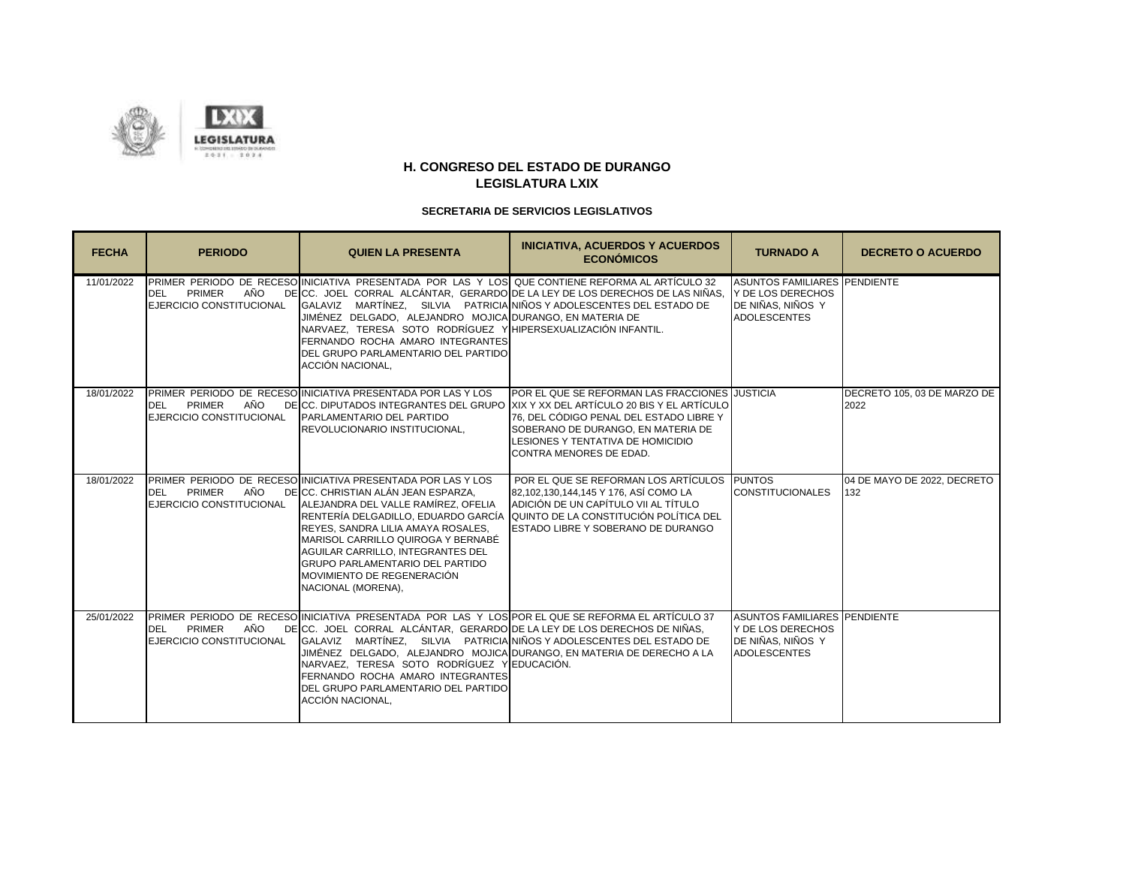

| <b>FECHA</b> | <b>PERIODO</b>                                   | <b>QUIEN LA PRESENTA</b>                                                                                                                                                                                                                                                                                                                                                                                                                                                     | <b>INICIATIVA, ACUERDOS Y ACUERDOS</b><br><b>ECONÓMICOS</b>                                                                                                                                                                                                                                 | <b>TURNADO A</b>                                                                                     | <b>DECRETO O ACUERDO</b>            |
|--------------|--------------------------------------------------|------------------------------------------------------------------------------------------------------------------------------------------------------------------------------------------------------------------------------------------------------------------------------------------------------------------------------------------------------------------------------------------------------------------------------------------------------------------------------|---------------------------------------------------------------------------------------------------------------------------------------------------------------------------------------------------------------------------------------------------------------------------------------------|------------------------------------------------------------------------------------------------------|-------------------------------------|
| 11/01/2022   | AÑO<br>PRIMER<br>DEL<br>EJERCICIO CONSTITUCIONAL | PRIMER PERIODO DE RECESO INICIATIVA PRESENTADA POR LAS Y LOS QUE CONTIENE REFORMA AL ARTÍCULO 32<br>GALAVIZ MARTÍNEZ, SILVIA PATRICIA NIÑOS Y ADOLESCENTES DEL ESTADO DE<br>JIMÉNEZ DELGADO, ALEJANDRO MOJICA DURANGO, EN MATERIA DE<br>NARVAEZ, TERESA SOTO RODRÍGUEZ Y HIPERSEXUALIZACIÓN INFANTIL.<br>FERNANDO ROCHA AMARO INTEGRANTES<br>DEL GRUPO PARLAMENTARIO DEL PARTIDO<br>ACCIÓN NACIONAL.                                                                         | DE CC. JOEL CORRAL ALCÁNTAR, GERARDO DE LA LEY DE LOS DERECHOS DE LAS NIÑAS, Y DE LOS DERECHOS                                                                                                                                                                                              | ASUNTOS FAMILIARES PENDIENTE<br>DE NIÑAS, NIÑOS Y<br><b>ADOLESCENTES</b>                             |                                     |
| 18/01/2022   | AÑO<br>PRIMER<br>DEL<br>EJERCICIO CONSTITUCIONAL | PRIMER PERIODO DE RECESO INICIATIVA PRESENTADA POR LAS Y LOS<br>PARLAMENTARIO DEL PARTIDO<br>REVOLUCIONARIO INSTITUCIONAL.                                                                                                                                                                                                                                                                                                                                                   | <b>POR EL QUE SE REFORMAN LAS FRACCIONES JUSTICIA</b><br>DE CC. DIPUTADOS INTEGRANTES DEL GRUPO XIX Y XX DEL ARTÍCULO 20 BIS Y EL ARTÍCULO<br>76, DEL CÓDIGO PENAL DEL ESTADO LIBRE Y<br>SOBERANO DE DURANGO, EN MATERIA DE<br>LESIONES Y TENTATIVA DE HOMICIDIO<br>CONTRA MENORES DE EDAD. |                                                                                                      | DECRETO 105, 03 DE MARZO DE<br>2022 |
| 18/01/2022   | AÑO<br>PRIMER<br>DEL<br>EJERCICIO CONSTITUCIONAL | PRIMER PERIODO DE RECESO INICIATIVA PRESENTADA POR LAS Y LOS<br>DE CC. CHRISTIAN ALÁN JEAN ESPARZA,<br>ALEJANDRA DEL VALLE RAMÍREZ, OFELIA<br>REYES, SANDRA LILIA AMAYA ROSALES,<br>MARISOL CARRILLO QUIROGA Y BERNABÉ<br>AGUILAR CARRILLO. INTEGRANTES DEL<br><b>GRUPO PARLAMENTARIO DEL PARTIDO</b><br>MOVIMIENTO DE REGENERACIÓN<br>NACIONAL (MORENA),                                                                                                                    | POR EL QUE SE REFORMAN LOS ARTÍCULOS PUNTOS<br>82,102,130,144,145 Y 176, ASÍ COMO LA<br>ADICIÓN DE UN CAPÍTULO VII AL TÍTULO<br>RENTERÍA DELGADILLO, EDUARDO GARCÍA  QUINTO DE LA CONSTITUCIÓN POLÍTICA DEL<br>ESTADO LIBRE Y SOBERANO DE DURANGO                                           | <b>CONSTITUCIONALES</b>                                                                              | 04 DE MAYO DE 2022, DECRETO<br>132  |
| 25/01/2022   | AÑO<br>PRIMER<br>DEL<br>EJERCICIO CONSTITUCIONAL | PRIMER PERIODO DE RECESO INICIATIVA PRESENTADA POR LAS Y LOS POR EL QUE SE REFORMA EL ARTÍCULO 37<br>DE CC. JOEL CORRAL ALCÁNTAR, GERARDO DE LA LEY DE LOS DERECHOS DE NIÑAS.<br>GALAVIZ MARTÍNEZ, SILVIA PATRICIA NIÑOS Y ADOLESCENTES DEL ESTADO DE<br>JIMÉNEZ DELGADO, ALEJANDRO MOJICA DURANGO, EN MATERIA DE DERECHO A LA<br>NARVAEZ, TERESA SOTO RODRÍGUEZ Y EDUCACIÓN.<br>FERNANDO ROCHA AMARO INTEGRANTES<br>DEL GRUPO PARLAMENTARIO DEL PARTIDO<br>ACCIÓN NACIONAL. |                                                                                                                                                                                                                                                                                             | <b>ASUNTOS FAMILIARES PENDIENTE</b><br>Y DE LOS DERECHOS<br>DE NIÑAS, NIÑOS Y<br><b>ADOLESCENTES</b> |                                     |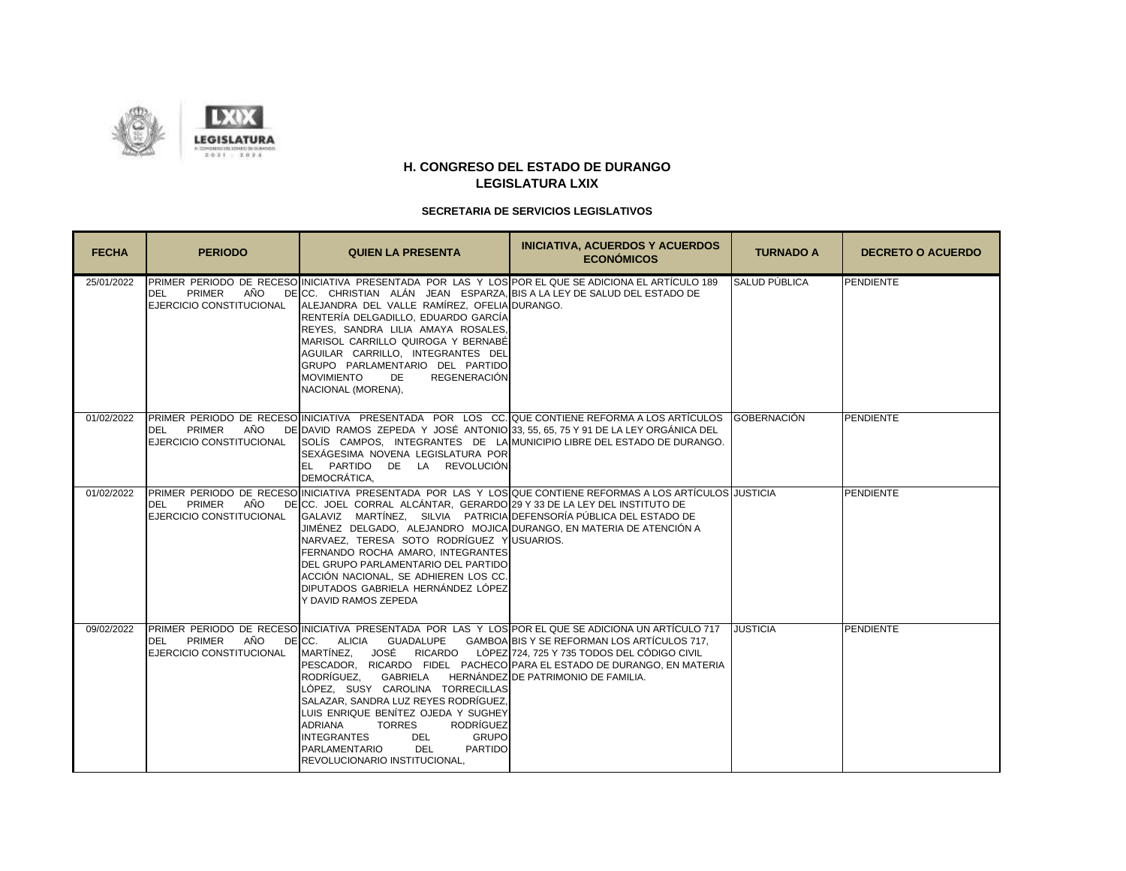



| <b>FECHA</b> | <b>PERIODO</b>                                   | <b>QUIEN LA PRESENTA</b>                                                                                                                                                                                                                                                                                                                                                                                                                                                                   | <b>INICIATIVA, ACUERDOS Y ACUERDOS</b><br><b>ECONÓMICOS</b>                                                                                                                                                                                                                                                                           | <b>TURNADO A</b> | <b>DECRETO O ACUERDO</b> |
|--------------|--------------------------------------------------|--------------------------------------------------------------------------------------------------------------------------------------------------------------------------------------------------------------------------------------------------------------------------------------------------------------------------------------------------------------------------------------------------------------------------------------------------------------------------------------------|---------------------------------------------------------------------------------------------------------------------------------------------------------------------------------------------------------------------------------------------------------------------------------------------------------------------------------------|------------------|--------------------------|
| 25/01/2022   | DEL PRIMER<br>AÑO<br>EJERCICIO CONSTITUCIONAL    | PRIMER PERIODO DE RECESO INICIATIVA PRESENTADA POR LAS Y LOS POR EL QUE SE ADICIONA EL ARTÍCULO 189<br>DE CC. CHRISTIAN ALÁN JEAN ESPARZA, BIS A LA LEY DE SALUD DEL ESTADO DE<br>ALEJANDRA DEL VALLE RAMÍREZ, OFELIA DURANGO.<br>RENTERÍA DELGADILLO, EDUARDO GARCÍA<br>REYES, SANDRA LILIA AMAYA ROSALES,<br>MARISOL CARRILLO QUIROGA Y BERNABÉ<br>AGUILAR CARRILLO, INTEGRANTES DEL<br>GRUPO PARLAMENTARIO DEL PARTIDO<br><b>MOVIMIENTO</b><br>REGENERACIÓN<br>DE<br>NACIONAL (MORENA), |                                                                                                                                                                                                                                                                                                                                       | SALUD PÚBLICA    | PENDIENTE                |
| 01/02/2022   | AÑO<br>PRIMER<br>DEL<br>EJERCICIO CONSTITUCIONAL | SEXÁGESIMA NOVENA LEGISLATURA POR<br>EL PARTIDO DE LA REVOLUCIÓN<br>DEMOCRÁTICA.                                                                                                                                                                                                                                                                                                                                                                                                           | PRIMER PERIODO DE RECESO INICIATIVA PRESENTADA POR LOS CC. QUE CONTIENE REFORMA A LOS ARTÍCULOS GOBERNACIÓN<br>DE DAVID RAMOS ZEPEDA Y JOSÉ ANTONIO 33, 55, 65, 75 Y 91 DE LA LEY ORGÁNICA DEL<br>SOLÍS CAMPOS, INTEGRANTES DE LA MUNICIPIO LIBRE DEL ESTADO DE DURANGO.                                                              |                  | <b>PENDIENTE</b>         |
| 01/02/2022   | AÑO<br>PRIMER<br>DEL<br>EJERCICIO CONSTITUCIONAL | DE CC. JOEL CORRAL ALCÁNTAR, GERARDO 29 Y 33 DE LA LEY DEL INSTITUTO DE<br>GALAVIZ MARTÍNEZ, SILVIA PATRICIA DEFENSORÍA PÚBLICA DEL ESTADO DE<br>JIMÉNEZ DELGADO, ALEJANDRO MOJICA DURANGO, EN MATERIA DE ATENCIÓN A<br>NARVAEZ, TERESA SOTO RODRÍGUEZ Y USUARIOS.<br>FERNANDO ROCHA AMARO, INTEGRANTES<br>DEL GRUPO PARLAMENTARIO DEL PARTIDO<br>ACCIÓN NACIONAL, SE ADHIEREN LOS CC.<br>DIPUTADOS GABRIELA HERNÁNDEZ LÓPEZ<br>Y DAVID RAMOS ZEPEDA                                       | PRIMER PERIODO DE RECESO INICIATIVA PRESENTADA POR LAS Y LOS QUE CONTIENE REFORMAS A LOS ARTÍCULOS JUSTICIA                                                                                                                                                                                                                           |                  | <b>PENDIENTE</b>         |
| 09/02/2022   | PRIMER<br>DEL<br>EJERCICIO CONSTITUCIONAL        | AÑO DEICC. ALICIA GUADALUPE<br>MARTÍNEZ.<br>RODRÍGUEZ.<br><b>GABRIELA</b><br>LÓPEZ, SUSY CAROLINA TORRECILLAS<br>SALAZAR, SANDRA LUZ REYES RODRÍGUEZ,<br>LUIS ENRIQUE BENÍTEZ OJEDA Y SUGHEY<br><b>RODRÍGUEZ</b><br><b>ADRIANA</b><br><b>TORRES</b><br><b>GRUPO</b><br><b>INTEGRANTES</b><br>DEL.<br>PARLAMENTARIO<br><b>PARTIDO</b><br>DEL.<br>REVOLUCIONARIO INSTITUCIONAL.                                                                                                              | PRIMER PERIODO DE RECESO INICIATIVA PRESENTADA POR LAS Y LOS POR EL QUE SE ADICIONA UN ARTÍCULO 717<br><b>GAMBOAIBIS Y SE REFORMAN LOS ARTÍCULOS 717.</b><br>JOSÉ RICARDO LÓPEZ 724, 725 Y 735 TODOS DEL CÓDIGO CIVIL<br>PESCADOR, RICARDO FIDEL PACHECO PARA EL ESTADO DE DURANGO, EN MATERIA<br>HERNÁNDEZIDE PATRIMONIO DE FAMILIA. | <b>JUSTICIA</b>  | <b>PENDIENTE</b>         |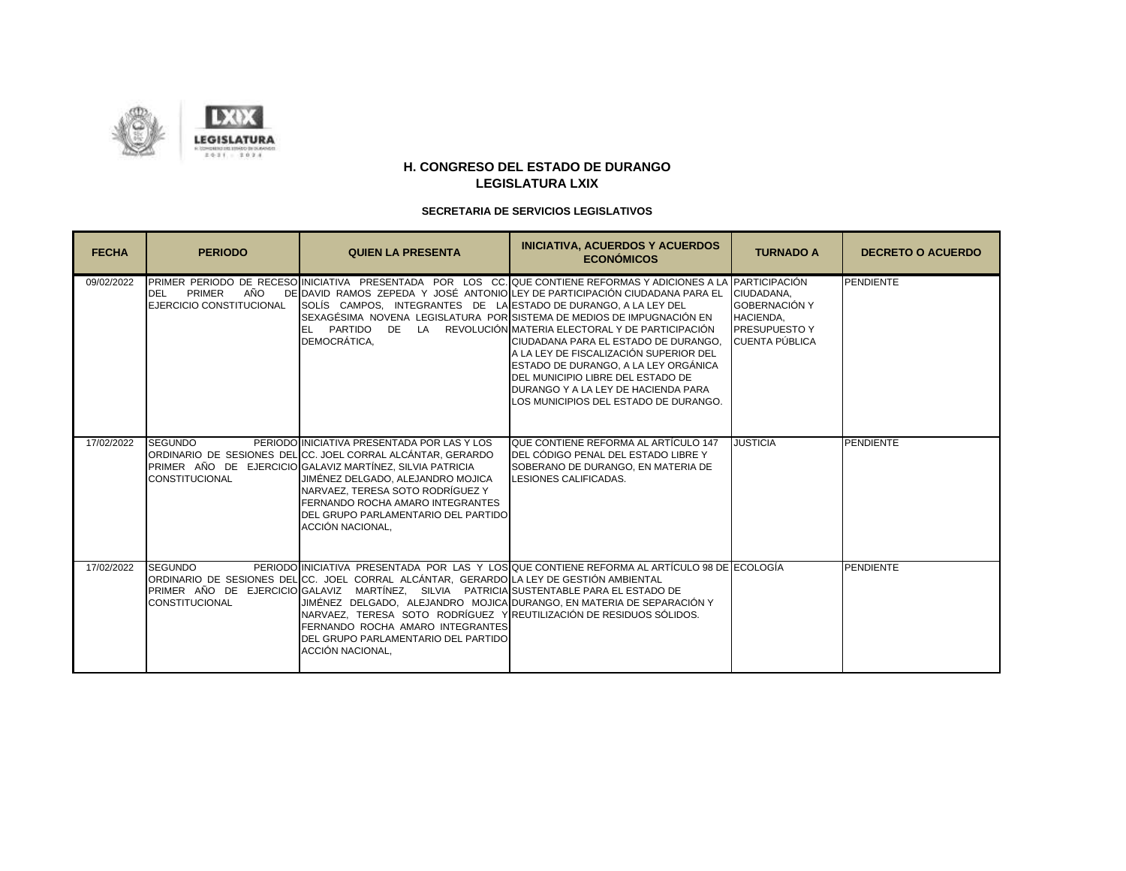

| <b>FECHA</b> | <b>PERIODO</b>                                          | <b>QUIEN LA PRESENTA</b>                                                                                                                                                                                                                                                                                                                                                                                                           | <b>INICIATIVA, ACUERDOS Y ACUERDOS</b><br><b>ECONÓMICOS</b>                                                                                                                                                                                                                                                                                                                                                                                                 | <b>TURNADO A</b>                                                                                 | <b>DECRETO O ACUERDO</b> |
|--------------|---------------------------------------------------------|------------------------------------------------------------------------------------------------------------------------------------------------------------------------------------------------------------------------------------------------------------------------------------------------------------------------------------------------------------------------------------------------------------------------------------|-------------------------------------------------------------------------------------------------------------------------------------------------------------------------------------------------------------------------------------------------------------------------------------------------------------------------------------------------------------------------------------------------------------------------------------------------------------|--------------------------------------------------------------------------------------------------|--------------------------|
| 09/02/2022   | AÑO<br><b>PRIMER</b><br>DEL<br>EJERCICIO CONSTITUCIONAL | SOLÍS CAMPOS, INTEGRANTES DE LA ESTADO DE DURANGO, A LA LEY DEL<br>SEXAGÉSIMA NOVENA LEGISLATURA POR SISTEMA DE MEDIOS DE IMPUGNACIÓN EN<br>EL PARTIDO DE LA REVOLUCIÓN MATERIA ELECTORAL Y DE PARTICIPACIÓN<br>DEMOCRÁTICA.                                                                                                                                                                                                       | PRIMER PERIODO DE RECESO INICIATIVA PRESENTADA POR LOS CC. QUE CONTIENE REFORMAS Y ADICIONES A LA PARTICIPACIÓN<br>DE DAVID RAMOS ZEPEDA Y JOSÉ ANTONIO LEY DE PARTICIPACIÓN CIUDADANA PARA EL<br><b>CIUDADANA PARA EL ESTADO DE DURANGO.</b><br>A LA LEY DE FISCALIZACIÓN SUPERIOR DEL<br>ESTADO DE DURANGO. A LA LEY ORGÁNICA<br>DEL MUNICIPIO LIBRE DEL ESTADO DE<br><b>DURANGO Y A LA LEY DE HACIENDA PARA</b><br>LOS MUNICIPIOS DEL ESTADO DE DURANGO. | CIUDADANA.<br>GOBERNACIÓN Y<br><b>HACIENDA.</b><br><b>PRESUPUESTO Y</b><br><b>CUENTA PÚBLICA</b> | <b>PENDIENTE</b>         |
| 17/02/2022   | <b>SEGUNDO</b><br><b>CONSTITUCIONAL</b>                 | PERIODO INICIATIVA PRESENTADA POR LAS Y LOS<br>ORDINARIO DE SESIONES DEL CC. JOEL CORRAL ALCÁNTAR, GERARDO<br>PRIMER AÑO DE EJERCICIO GALAVIZ MARTÍNEZ, SILVIA PATRICIA<br>JIMÉNEZ DELGADO. ALEJANDRO MOJICA<br>NARVAEZ. TERESA SOTO RODRÍGUEZ Y<br>FERNANDO ROCHA AMARO INTEGRANTES<br>DEL GRUPO PARLAMENTARIO DEL PARTIDO<br>ACCIÓN NACIONAL.                                                                                    | QUE CONTIENE REFORMA AL ARTÍCULO 147<br>IDEL CÓDIGO PENAL DEL ESTADO LIBRE Y<br>SOBERANO DE DURANGO, EN MATERIA DE<br>LESIONES CALIFICADAS.                                                                                                                                                                                                                                                                                                                 | <b>JUSTICIA</b>                                                                                  | <b>PENDIENTE</b>         |
| 17/02/2022   | <b>SEGUNDO</b><br><b>CONSTITUCIONAL</b>                 | IORDINARIO DE SESIONES DELICC. JOEL CORRAL ALCÁNTAR. GERARDOILA LEY DE GESTIÓN AMBIENTAL<br>PRIMER AÑO DE EJERCICIO GALAVIZ MARTÍNEZ, SILVIA PATRICIA SUSTENTABLE PARA EL ESTADO DE<br>JIMÉNEZ DELGADO, ALEJANDRO MOJICA DURANGO, EN MATERIA DE SEPARACIÓN Y<br>NARVAEZ, TERESA SOTO RODRÍGUEZ Y REUTILIZACIÓN DE RESIDUOS SÓLIDOS.<br>FERNANDO ROCHA AMARO INTEGRANTES<br>DEL GRUPO PARLAMENTARIO DEL PARTIDO<br>ACCIÓN NACIONAL, | PERIODO INICIATIVA PRESENTADA POR LAS Y LOS QUE CONTIENE REFORMA AL ARTÍCULO 98 DE ECOLOGÍA                                                                                                                                                                                                                                                                                                                                                                 |                                                                                                  | <b>PENDIENTE</b>         |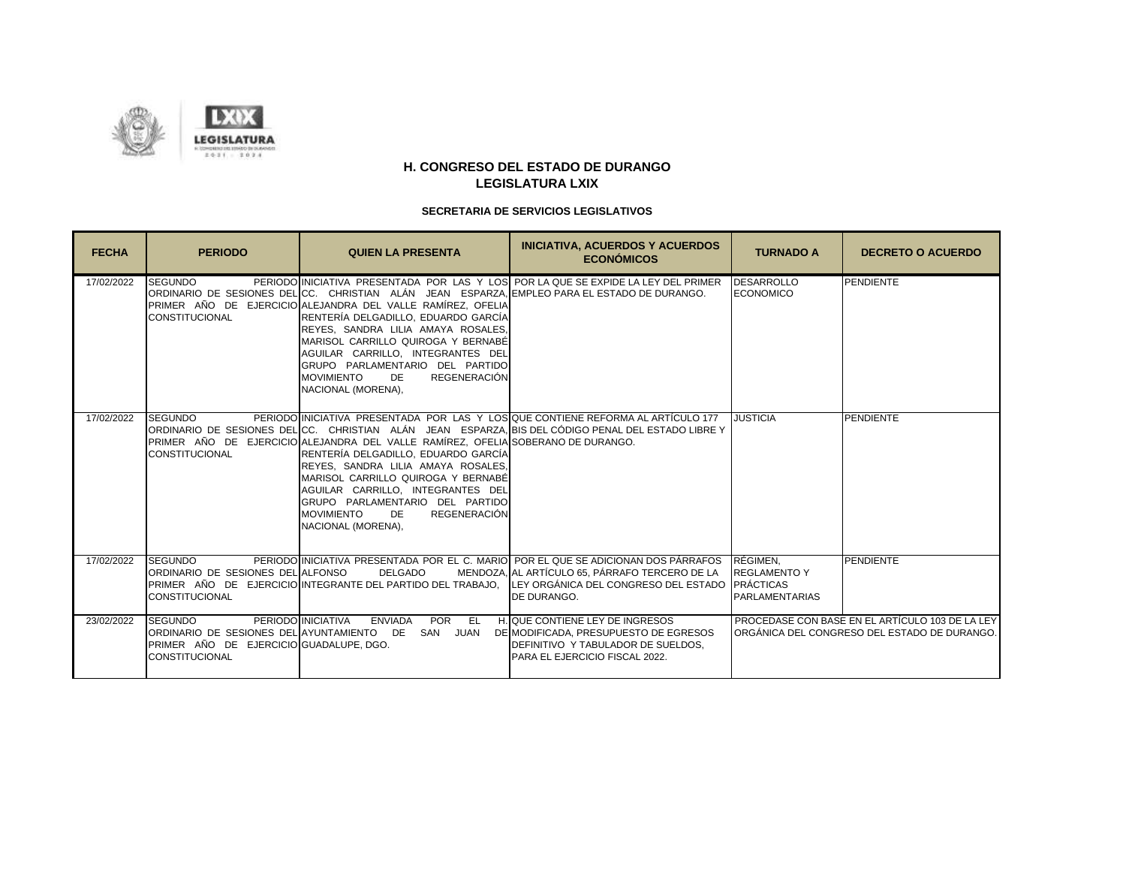



| <b>FECHA</b> | <b>PERIODO</b>                                                                     | <b>QUIEN LA PRESENTA</b>                                                                                                                                                                                                                                                                                                                                                                                                       | <b>INICIATIVA, ACUERDOS Y ACUERDOS</b><br><b>ECONÓMICOS</b>                                                                                                                                                    | <b>TURNADO A</b>                             | <b>DECRETO O ACUERDO</b>                                                                        |
|--------------|------------------------------------------------------------------------------------|--------------------------------------------------------------------------------------------------------------------------------------------------------------------------------------------------------------------------------------------------------------------------------------------------------------------------------------------------------------------------------------------------------------------------------|----------------------------------------------------------------------------------------------------------------------------------------------------------------------------------------------------------------|----------------------------------------------|-------------------------------------------------------------------------------------------------|
| 17/02/2022   | <b>SEGUNDO</b><br><b>CONSTITUCIONAL</b>                                            | ORDINARIO DE SESIONES DEL CC. CHRISTIAN ALÁN JEAN ESPARZA, EMPLEO PARA EL ESTADO DE DURANGO.<br>PRIMER AÑO DE EJERCICIO ALEJANDRA DEL VALLE RAMÍREZ, OFELIA<br>RENTERÍA DELGADILLO, EDUARDO GARCÍA<br>REYES, SANDRA LILIA AMAYA ROSALES,<br>MARISOL CARRILLO QUIROGA Y BERNABÉ<br>AGUILAR CARRILLO, INTEGRANTES DEL<br>GRUPO PARLAMENTARIO DEL PARTIDO<br><b>MOVIMIENTO</b><br><b>REGENERACIÓN</b><br>DE<br>NACIONAL (MORENA), | PERIODO INICIATIVA PRESENTADA POR LAS Y LOS POR LA QUE SE EXPIDE LA LEY DEL PRIMER                                                                                                                             | <b>DESARROLLO</b><br><b>ECONOMICO</b>        | <b>PENDIENTE</b>                                                                                |
| 17/02/2022   | <b>SEGUNDO</b><br><b>CONSTITUCIONAL</b>                                            | PRIMER AÑO DE EJERCICIO ALEJANDRA DEL VALLE RAMÍREZ, OFELIA SOBERANO DE DURANGO.<br>RENTERÍA DELGADILLO, EDUARDO GARCÍA<br>REYES, SANDRA LILIA AMAYA ROSALES,<br>MARISOL CARRILLO QUIROGA Y BERNABÉ<br>AGUILAR CARRILLO, INTEGRANTES DEL<br>GRUPO PARLAMENTARIO DEL PARTIDO<br><b>MOVIMIENTO</b><br>DE<br><b>REGENERACIÓN</b><br>NACIONAL (MORENA),                                                                            | PERIODO INICIATIVA PRESENTADA POR LAS Y LOS QUE CONTIENE REFORMA AL ARTÍCULO 177<br>ORDINARIO DE SESIONES DEL CC. CHRISTIAN ALÁN JEAN ESPARZA, BIS DEL CÓDIGO PENAL DEL ESTADO LIBRE Y                         | <b>JUSTICIA</b>                              | <b>PENDIENTE</b>                                                                                |
| 17/02/2022   | <b>SEGUNDO</b><br>ORDINARIO DE SESIONES DEL ALFONSO<br><b>CONSTITUCIONAL</b>       | DELGADO<br>PRIMER AÑO DE EJERCICIO INTEGRANTE DEL PARTIDO DEL TRABAJO.                                                                                                                                                                                                                                                                                                                                                         | PERIODO INICIATIVA PRESENTADA POR EL C. MARIO POR EL QUE SE ADICIONAN DOS PÁRRAFOS RÉGIMEN.<br>MENDOZA, AL ARTÍCULO 65, PÁRRAFO TERCERO DE LA<br>LEY ORGÁNICA DEL CONGRESO DEL ESTADO PRÁCTICAS<br>DE DURANGO. | <b>REGLAMENTO Y</b><br><b>PARLAMENTARIAS</b> | <b>PENDIENTE</b>                                                                                |
| 23/02/2022   | <b>SEGUNDO</b><br>PRIMER AÑO DE EJERCICIO GUADALUPE, DGO.<br><b>CONSTITUCIONAL</b> | <b>PERIODO INICIATIVA</b><br><b>ENVIADA</b><br>POR EL<br>ORDINARIO DE SESIONES DEL AYUNTAMIENTO DE SAN JUAN                                                                                                                                                                                                                                                                                                                    | H. QUE CONTIENE LEY DE INGRESOS<br>DE MODIFICADA, PRESUPUESTO DE EGRESOS<br><b>IDEFINITIVO Y TABULADOR DE SUELDOS.</b><br>PARA EL EJERCICIO FISCAL 2022.                                                       |                                              | PROCEDASE CON BASE EN EL ARTÍCULO 103 DE LA LEY<br>ORGÁNICA DEL CONGRESO DEL ESTADO DE DURANGO. |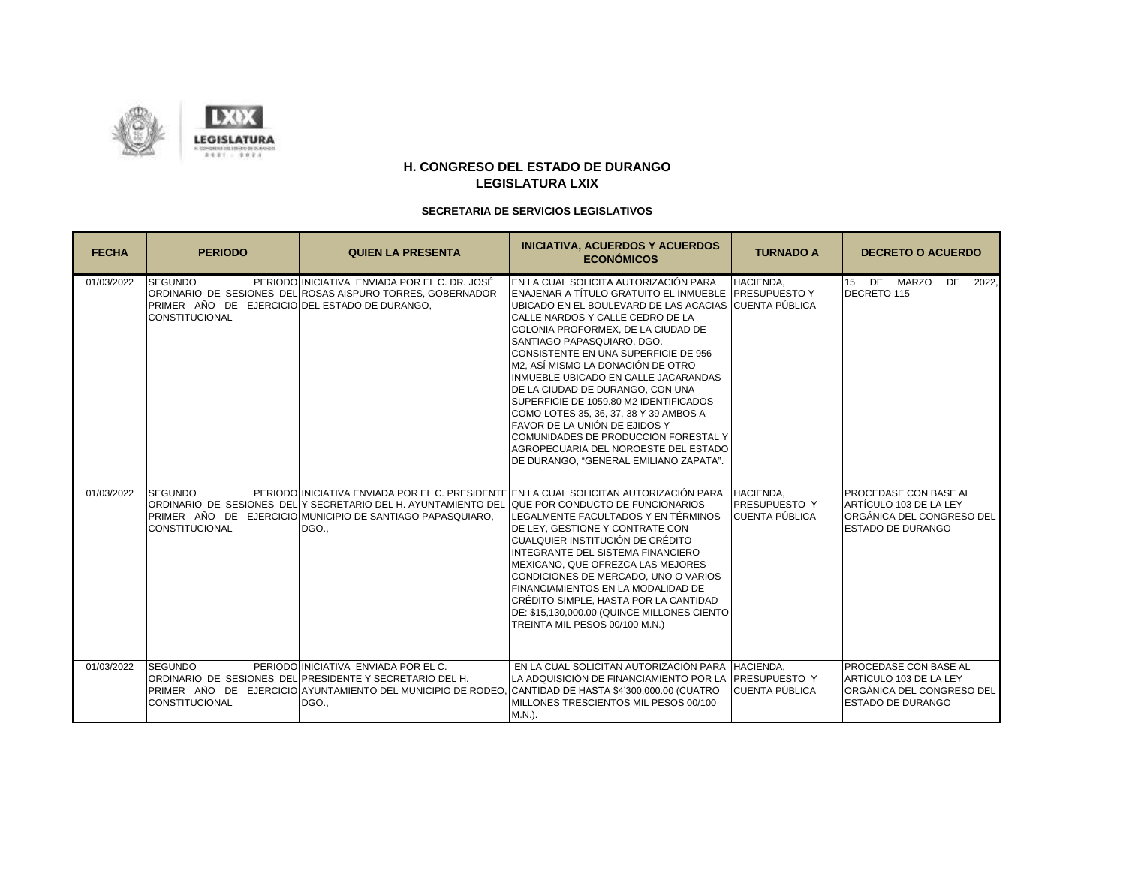



| <b>FECHA</b> | <b>PERIODO</b>                                                                            | <b>QUIEN LA PRESENTA</b>                                                                                                                                             | <b>INICIATIVA, ACUERDOS Y ACUERDOS</b><br><b>ECONÓMICOS</b>                                                                                                                                                                                                                                                                                                                                                                                                                                                                                                                                                                                                            | <b>TURNADO A</b>                       | <b>DECRETO O ACUERDO</b>                                                                                        |
|--------------|-------------------------------------------------------------------------------------------|----------------------------------------------------------------------------------------------------------------------------------------------------------------------|------------------------------------------------------------------------------------------------------------------------------------------------------------------------------------------------------------------------------------------------------------------------------------------------------------------------------------------------------------------------------------------------------------------------------------------------------------------------------------------------------------------------------------------------------------------------------------------------------------------------------------------------------------------------|----------------------------------------|-----------------------------------------------------------------------------------------------------------------|
| 01/03/2022   | <b>SEGUNDO</b><br>PRIMER AÑO DE EJERCICIO DEL ESTADO DE DURANGO.<br><b>CONSTITUCIONAL</b> | PERIODO INICIATIVA ENVIADA POR EL C. DR. JOSÉ<br>IORDINARIO DE SESIONES DELIROSAS AISPURO TORRES. GOBERNADOR                                                         | EN LA CUAL SOLICITA AUTORIZACIÓN PARA<br>ENAJENAR A TÍTULO GRATUITO EL INMUEBLE PRESUPUESTO Y<br>UBICADO EN EL BOULEVARD DE LAS ACACIAS CUENTA PÚBLICA<br>CALLE NARDOS Y CALLE CEDRO DE LA<br>COLONIA PROFORMEX, DE LA CIUDAD DE<br>SANTIAGO PAPASQUIARO, DGO.<br>CONSISTENTE EN UNA SUPERFICIE DE 956<br>M2, ASÍ MISMO LA DONACIÓN DE OTRO<br>INMUEBLE UBICADO EN CALLE JACARANDAS<br>DE LA CIUDAD DE DURANGO, CON UNA<br>SUPERFICIE DE 1059.80 M2 IDENTIFICADOS<br>COMO LOTES 35, 36, 37, 38 Y 39 AMBOS A<br>FAVOR DE LA UNIÓN DE EJIDOS Y<br>COMUNIDADES DE PRODUCCIÓN FORESTAL Y<br>AGROPECUARIA DEL NOROESTE DEL ESTADO<br>DE DURANGO, "GENERAL EMILIANO ZAPATA". | <b>HACIENDA.</b>                       | 15 DE MARZO<br>DE 2022,<br>DECRETO 115                                                                          |
| 01/03/2022   | <b>SEGUNDO</b><br><b>CONSTITUCIONAL</b>                                                   | ORDINARIO DE SESIONES DEL Y SECRETARIO DEL H. AYUNTAMIENTO DEL QUE POR CONDUCTO DE FUNCIONARIOS<br>PRIMER AÑO DE EJERCICIO MUNICIPIO DE SANTIAGO PAPASQUIARO,<br>DGO | PERIODO INICIATIVA ENVIADA POR EL C. PRESIDENTE EN LA CUAL SOLICITAN AUTORIZACIÓN PARA HACIENDA.<br>LEGALMENTE FACULTADOS Y EN TÉRMINOS<br>DE LEY. GESTIONE Y CONTRATE CON<br>CUALQUIER INSTITUCIÓN DE CRÉDITO<br>INTEGRANTE DEL SISTEMA FINANCIERO<br>MEXICANO. QUE OFREZCA LAS MEJORES<br>CONDICIONES DE MERCADO. UNO O VARIOS<br>FINANCIAMIENTOS EN LA MODALIDAD DE<br>CRÉDITO SIMPLE. HASTA POR LA CANTIDAD<br>DE: \$15,130,000.00 (QUINCE MILLONES CIENTO<br>TREINTA MIL PESOS 00/100 M.N.)                                                                                                                                                                       | <b>PRESUPUESTO Y</b><br>CUENTA PÚBLICA | <b>PROCEDASE CON BASE AL</b><br>ARTÍCULO 103 DE LA LEY<br>ORGÁNICA DEL CONGRESO DEL<br><b>ESTADO DE DURANGO</b> |
| 01/03/2022   | <b>SEGUNDO</b><br><b>CONSTITUCIONAL</b>                                                   | PERIODO INICIATIVA ENVIADA POR EL C.<br>ORDINARIO DE SESIONES DEL PRESIDENTE Y SECRETARIO DEL H.<br>DGO                                                              | EN LA CUAL SOLICITAN AUTORIZACIÓN PARA HACIENDA.<br>LA ADQUISICIÓN DE FINANCIAMIENTO POR LA PRESUPUESTO Y<br>PRIMER AÑO DE EJERCICIO AYUNTAMIENTO DEL MUNICIPIO DE RODEO, CANTIDAD DE HASTA \$4'300,000.00 (CUATRO<br>MILLONES TRESCIENTOS MIL PESOS 00/100<br>$M.N.$ ).                                                                                                                                                                                                                                                                                                                                                                                               | <b>ICUENTA PÚBLICA</b>                 | PROCEDASE CON BASE AL<br>ARTÍCULO 103 DE LA LEY<br>ORGÁNICA DEL CONGRESO DEL<br><b>ESTADO DE DURANGO</b>        |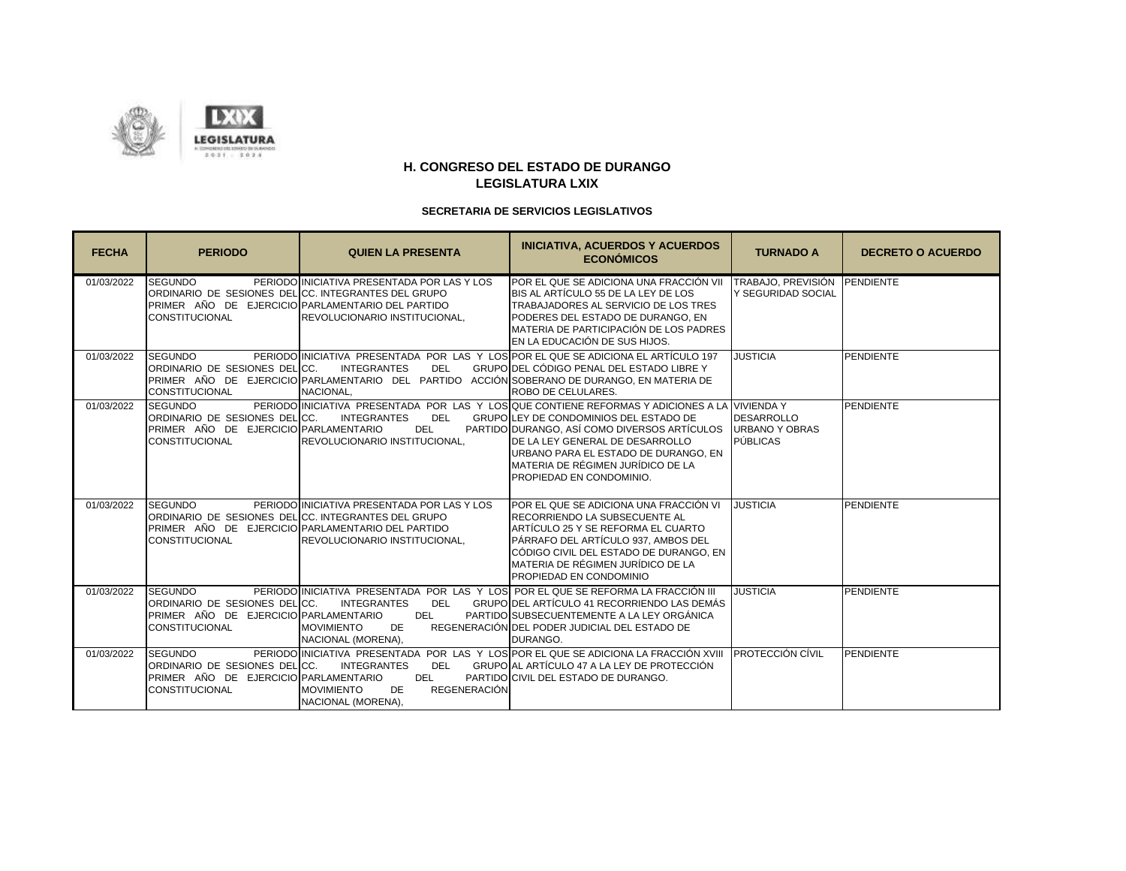

| <b>FECHA</b> | <b>PERIODO</b>                                                                                                                                      | <b>QUIEN LA PRESENTA</b>                                                                                                                                                                                                           | <b>INICIATIVA, ACUERDOS Y ACUERDOS</b><br><b>ECONÓMICOS</b>                                                                                                                                                                                                                                                                         | <b>TURNADO A</b>                                       | <b>DECRETO O ACUERDO</b> |
|--------------|-----------------------------------------------------------------------------------------------------------------------------------------------------|------------------------------------------------------------------------------------------------------------------------------------------------------------------------------------------------------------------------------------|-------------------------------------------------------------------------------------------------------------------------------------------------------------------------------------------------------------------------------------------------------------------------------------------------------------------------------------|--------------------------------------------------------|--------------------------|
| 01/03/2022   | <b>SEGUNDO</b><br>ORDINARIO DE SESIONES DELICC. INTEGRANTES DEL GRUPO<br>PRIMER AÑO DE EJERCICIO PARLAMENTARIO DEL PARTIDO<br><b>CONSTITUCIONAL</b> | PERIODO INICIATIVA PRESENTADA POR LAS Y LOS<br>REVOLUCIONARIO INSTITUCIONAL,                                                                                                                                                       | POR EL QUE SE ADICIONA UNA FRACCIÓN VII<br>BIS AL ARTÍCULO 55 DE LA LEY DE LOS<br>TRABAJADORES AL SERVICIO DE LOS TRES<br>PODERES DEL ESTADO DE DURANGO, EN<br>MATERIA DE PARTICIPACIÓN DE LOS PADRES<br>EN LA EDUCACIÓN DE SUS HIJOS.                                                                                              | TRABAJO, PREVISIÓN PENDIENTE<br>Y SEGURIDAD SOCIAL     |                          |
| 01/03/2022   | <b>SEGUNDO</b><br>ORDINARIO DE SESIONES DELICC.<br><b>CONSTITUCIONAL</b>                                                                            | PERIODO INICIATIVA PRESENTADA POR LAS Y LOS POR EL QUE SE ADICIONA EL ARTÍCULO 197<br><b>DEL</b><br><b>INTEGRANTES</b><br>PRIMER AÑO DE EJERCICIO PARLAMENTARIO DEL PARTIDO ACCIÓN SOBERANO DE DURANGO, EN MATERIA DE<br>NACIONAL, | GRUPO DEL CÓDIGO PENAL DEL ESTADO LIBRE Y<br>ROBO DE CELULARES.                                                                                                                                                                                                                                                                     | <b>JUSTICIA</b>                                        | <b>PENDIENTE</b>         |
| 01/03/2022   | <b>SEGUNDO</b><br>ORDINARIO DE SESIONES DELICC.<br>PRIMER AÑO DE EJERCICIO PARLAMENTARIO<br><b>CONSTITUCIONAL</b>                                   | <b>DEL</b><br><b>INTEGRANTES</b><br><b>DEL</b><br>REVOLUCIONARIO INSTITUCIONAL,                                                                                                                                                    | PERIODO INICIATIVA PRESENTADA POR LAS Y LOS QUE CONTIENE REFORMAS Y ADICIONES A LA VIVIENDA Y<br>GRUPOLLEY DE CONDOMINIOS DEL ESTADO DE<br>PARTIDO DURANGO, ASÍ COMO DIVERSOS ARTÍCULOS<br>DE LA LEY GENERAL DE DESARROLLO<br>URBANO PARA EL ESTADO DE DURANGO, EN<br>MATERIA DE RÉGIMEN JURÍDICO DE LA<br>PROPIEDAD EN CONDOMINIO. | <b>DESARROLLO</b><br><b>URBANO Y OBRAS</b><br>PÚBLICAS | <b>PENDIENTE</b>         |
| 01/03/2022   | <b>SEGUNDO</b><br>ORDINARIO DE SESIONES DEL CC. INTEGRANTES DEL GRUPO<br>PRIMER AÑO DE EJERCICIO PARLAMENTARIO DEL PARTIDO<br><b>CONSTITUCIONAL</b> | PERIODO INICIATIVA PRESENTADA POR LAS Y LOS<br>REVOLUCIONARIO INSTITUCIONAL,                                                                                                                                                       | POR EL QUE SE ADICIONA UNA FRACCIÓN VI<br>RECORRIENDO LA SUBSECUENTE AL<br>ARTÍCULO 25 Y SE REFORMA EL CUARTO<br>PÁRRAFO DEL ARTÍCULO 937, AMBOS DEL<br>CÓDIGO CIVIL DEL ESTADO DE DURANGO. EN<br>MATERIA DE RÉGIMEN JURÍDICO DE LA<br>PROPIEDAD EN CONDOMINIO                                                                      | <b>JUSTICIA</b>                                        | PENDIENTE                |
| 01/03/2022   | <b>SEGUNDO</b><br>ORDINARIO DE SESIONES DELICC.<br>PRIMER AÑO DE EJERCICIO PARLAMENTARIO<br><b>CONSTITUCIONAL</b>                                   | PERIODO INICIATIVA PRESENTADA POR LAS Y LOS POR EL QUE SE REFORMA LA FRACCIÓN III<br><b>INTEGRANTES</b><br><b>DEL</b><br><b>DEL</b><br><b>MOVIMIENTO</b><br>DE<br>NACIONAL (MORENA),                                               | GRUPO DEL ARTÍCULO 41 RECORRIENDO LAS DEMÁS<br>PARTIDO SUBSECUENTEMENTE A LA LEY ORGÁNICA<br>REGENERACIÓN DEL PODER JUDICIAL DEL ESTADO DE<br>DURANGO.                                                                                                                                                                              | <b>JUSTICIA</b>                                        | PENDIENTE                |
| 01/03/2022   | <b>SEGUNDO</b><br>ORDINARIO DE SESIONES DEL CC.<br>PRIMER AÑO DE EJERCICIO PARLAMENTARIO<br><b>CONSTITUCIONAL</b>                                   | <b>DEL</b><br><b>INTEGRANTES</b><br><b>DEL</b><br><b>MOVIMIENTO</b><br>DE<br><b>REGENERACIÓN</b><br>NACIONAL (MORENA),                                                                                                             | PERIODO INICIATIVA PRESENTADA POR LAS Y LOS POR EL QUE SE ADICIONA LA FRACCIÓN XVIII<br>GRUPO AL ARTÍCULO 47 A LA LEY DE PROTECCIÓN<br>PARTIDO CIVIL DEL ESTADO DE DURANGO.                                                                                                                                                         | PROTECCIÓN CÍVIL                                       | PENDIENTE                |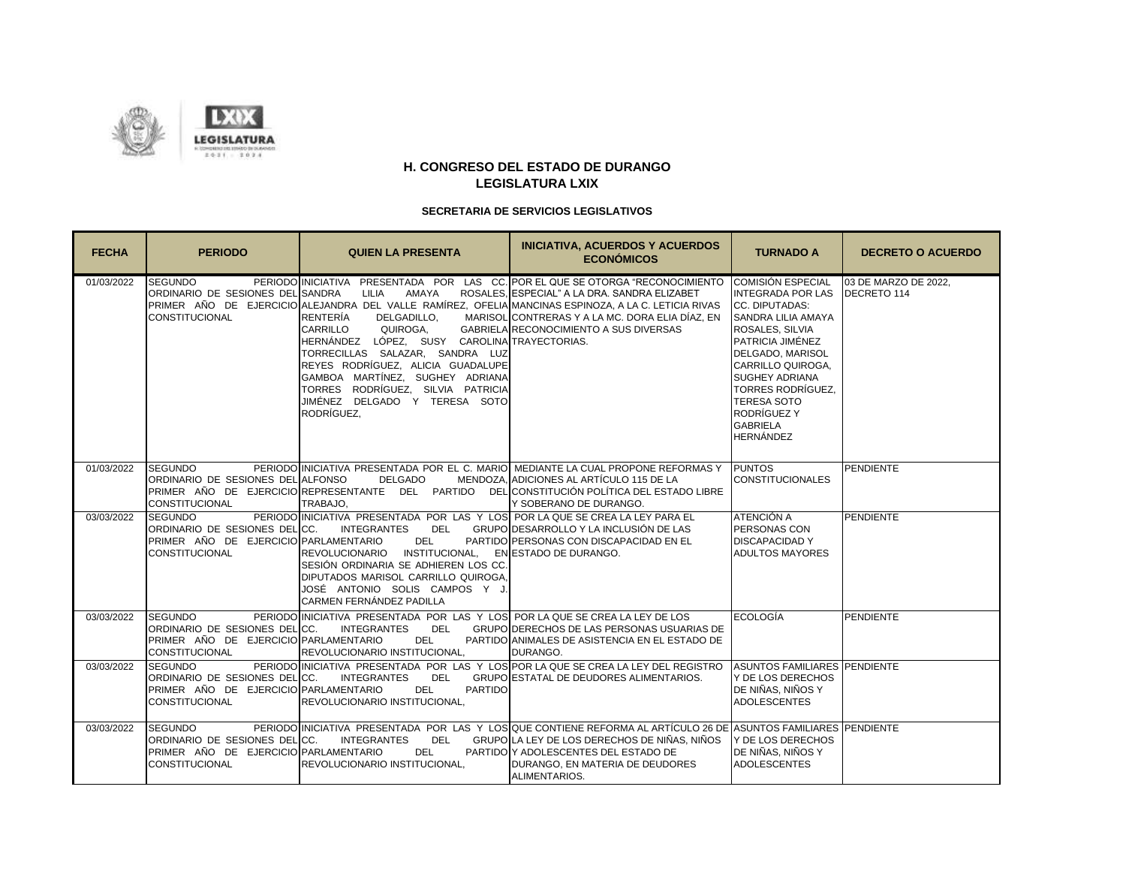

| <b>FECHA</b> | <b>PERIODO</b>                                                                                                    | <b>QUIEN LA PRESENTA</b>                                                                                                                                                                                                                                                                                                                                                                                                               | <b>INICIATIVA, ACUERDOS Y ACUERDOS</b><br><b>ECONÓMICOS</b>                                                                                                                                                                                                | <b>TURNADO A</b>                                                                                                                                                                                                                                                                                                            | <b>DECRETO O ACUERDO</b>                   |
|--------------|-------------------------------------------------------------------------------------------------------------------|----------------------------------------------------------------------------------------------------------------------------------------------------------------------------------------------------------------------------------------------------------------------------------------------------------------------------------------------------------------------------------------------------------------------------------------|------------------------------------------------------------------------------------------------------------------------------------------------------------------------------------------------------------------------------------------------------------|-----------------------------------------------------------------------------------------------------------------------------------------------------------------------------------------------------------------------------------------------------------------------------------------------------------------------------|--------------------------------------------|
| 01/03/2022   | <b>SEGUNDO</b><br>ORDINARIO DE SESIONES DEL SANDRA<br><b>CONSTITUCIONAL</b>                                       | <b>LILIA</b><br>AMAYA<br>PRIMER AÑO DE EJERCICIO ALEJANDRA DEL VALLE RAMÍREZ, OFELIA MANCINAS ESPINOZA, A LA C. LETICIA RIVAS<br><b>RENTERÍA</b><br>DELGADILLO,<br>CARRILLO<br>QUIROGA,<br>HERNÁNDEZ LÓPEZ, SUSY CAROLINA TRAYECTORIAS.<br>TORRECILLAS SALAZAR, SANDRA LUZ<br>REYES RODRÍGUEZ. ALICIA GUADALUPE<br>GAMBOA MARTÍNEZ, SUGHEY ADRIANA<br>TORRES RODRÍGUEZ, SILVIA PATRICIA<br>JIMÉNEZ DELGADO Y TERESA SOTO<br>RODRÍGUEZ, | PERIODO INICIATIVA PRESENTADA POR LAS CC. POR EL QUE SE OTORGA "RECONOCIMIENTO<br>ROSALES, ESPECIAL" A LA DRA. SANDRA ELIZABET<br>MARISOL CONTRERAS Y A LA MC. DORA ELIA DÍAZ, EN<br>GABRIELA RECONOCIMIENTO A SUS DIVERSAS                                | <b>COMISIÓN ESPECIAL</b><br><b>INTEGRADA POR LAS</b><br>CC. DIPUTADAS:<br><b>SANDRA LILIA AMAYA</b><br>ROSALES, SILVIA<br>PATRICIA JIMÉNEZ<br>DELGADO, MARISOL<br>CARRILLO QUIROGA,<br><b>SUGHEY ADRIANA</b><br><b>TORRES RODRÍGUEZ.</b><br><b>TERESA SOTO</b><br><b>RODRÍGUEZ Y</b><br><b>GABRIELA</b><br><b>HERNÁNDEZ</b> | 03 DE MARZO DE 2022.<br><b>DECRETO 114</b> |
| 01/03/2022   | <b>SEGUNDO</b><br>ORDINARIO DE SESIONES DEL ALFONSO<br><b>CONSTITUCIONAL</b>                                      | <b>DELGADO</b><br>PRIMER AÑO DE EJERCICIO REPRESENTANTE DEL PARTIDO<br>TRABAJO,                                                                                                                                                                                                                                                                                                                                                        | PERIODO INICIATIVA PRESENTADA POR EL C. MARIO MEDIANTE LA CUAL PROPONE REFORMAS Y<br>MENDOZA. ADICIONES AL ARTÍCULO 115 DE LA<br>DEL CONSTITUCIÓN POLÍTICA DEL ESTADO LIBRE<br>Y SOBERANO DE DURANGO.                                                      | <b>PUNTOS</b><br><b>CONSTITUCIONALES</b>                                                                                                                                                                                                                                                                                    | PENDIENTE                                  |
| 03/03/2022   | <b>SEGUNDO</b><br>ORDINARIO DE SESIONES DEL CC.<br>PRIMER AÑO DE EJERCICIO PARLAMENTARIO<br><b>CONSTITUCIONAL</b> | PERIODO INICIATIVA PRESENTADA POR LAS Y LOS POR LA QUE SE CREA LA LEY PARA EL<br><b>INTEGRANTES</b><br><b>DEL</b><br>DEL<br>REVOLUCIONARIO INSTITUCIONAL,<br>SESIÓN ORDINARIA SE ADHIEREN LOS CC.<br>DIPUTADOS MARISOL CARRILLO QUIROGA,<br>JOSÉ ANTONIO SOLIS CAMPOS Y J.<br>CARMEN FERNÁNDEZ PADILLA                                                                                                                                 | GRUPO DESARROLLO Y LA INCLUSIÓN DE LAS<br>PARTIDO PERSONAS CON DISCAPACIDAD EN EL<br>EN ESTADO DE DURANGO.                                                                                                                                                 | ATENCIÓN A<br><b>PERSONAS CON</b><br><b>DISCAPACIDAD Y</b><br><b>ADULTOS MAYORES</b>                                                                                                                                                                                                                                        | PENDIENTE                                  |
| 03/03/2022   | <b>SEGUNDO</b><br>ORDINARIO DE SESIONES DELICC.<br>PRIMER AÑO DE EJERCICIO PARLAMENTARIO<br><b>CONSTITUCIONAL</b> | PERIODO INICIATIVA PRESENTADA POR LAS Y LOS POR LA QUE SE CREA LA LEY DE LOS<br><b>INTEGRANTES</b><br><b>DEL</b><br><b>DEL</b><br>REVOLUCIONARIO INSTITUCIONAL,                                                                                                                                                                                                                                                                        | GRUPO DERECHOS DE LAS PERSONAS USUARIAS DE<br>PARTIDO ANIMALES DE ASISTENCIA EN EL ESTADO DE<br>DURANGO.                                                                                                                                                   | <b>ECOLOGÍA</b>                                                                                                                                                                                                                                                                                                             | PENDIENTE                                  |
| 03/03/2022   | <b>SEGUNDO</b><br>ORDINARIO DE SESIONES DELICC.<br>PRIMER AÑO DE EJERCICIO PARLAMENTARIO<br><b>CONSTITUCIONAL</b> | <b>INTEGRANTES</b><br><b>DEL</b><br><b>PARTIDO</b><br><b>DEL</b><br>REVOLUCIONARIO INSTITUCIONAL,                                                                                                                                                                                                                                                                                                                                      | PERIODO INICIATIVA PRESENTADA POR LAS Y LOS POR LA QUE SE CREA LA LEY DEL REGISTRO<br>GRUPO ESTATAL DE DEUDORES ALIMENTARIOS.                                                                                                                              | ASUNTOS FAMILIARES PENDIENTE<br>Y DE LOS DERECHOS<br>DE NIÑAS, NIÑOS Y<br><b>ADOLESCENTES</b>                                                                                                                                                                                                                               |                                            |
| 03/03/2022   | <b>SEGUNDO</b><br>ORDINARIO DE SESIONES DELICC.<br>PRIMER AÑO DE EJERCICIO PARLAMENTARIO<br><b>CONSTITUCIONAL</b> | <b>INTEGRANTES</b><br><b>DEL</b><br><b>DEL</b><br>REVOLUCIONARIO INSTITUCIONAL.                                                                                                                                                                                                                                                                                                                                                        | PERIODO INICIATIVA PRESENTADA POR LAS Y LOS QUE CONTIENE REFORMA AL ARTÍCULO 26 DE ASUNTOS FAMILIARES PENDIENTE<br>GRUPOLA LEY DE LOS DERECHOS DE NIÑAS, NIÑOS<br>PARTIDO Y ADOLESCENTES DEL ESTADO DE<br>DURANGO, EN MATERIA DE DEUDORES<br>ALIMENTARIOS. | Y DE LOS DERECHOS<br>DE NIÑAS, NIÑOS Y<br><b>ADOLESCENTES</b>                                                                                                                                                                                                                                                               |                                            |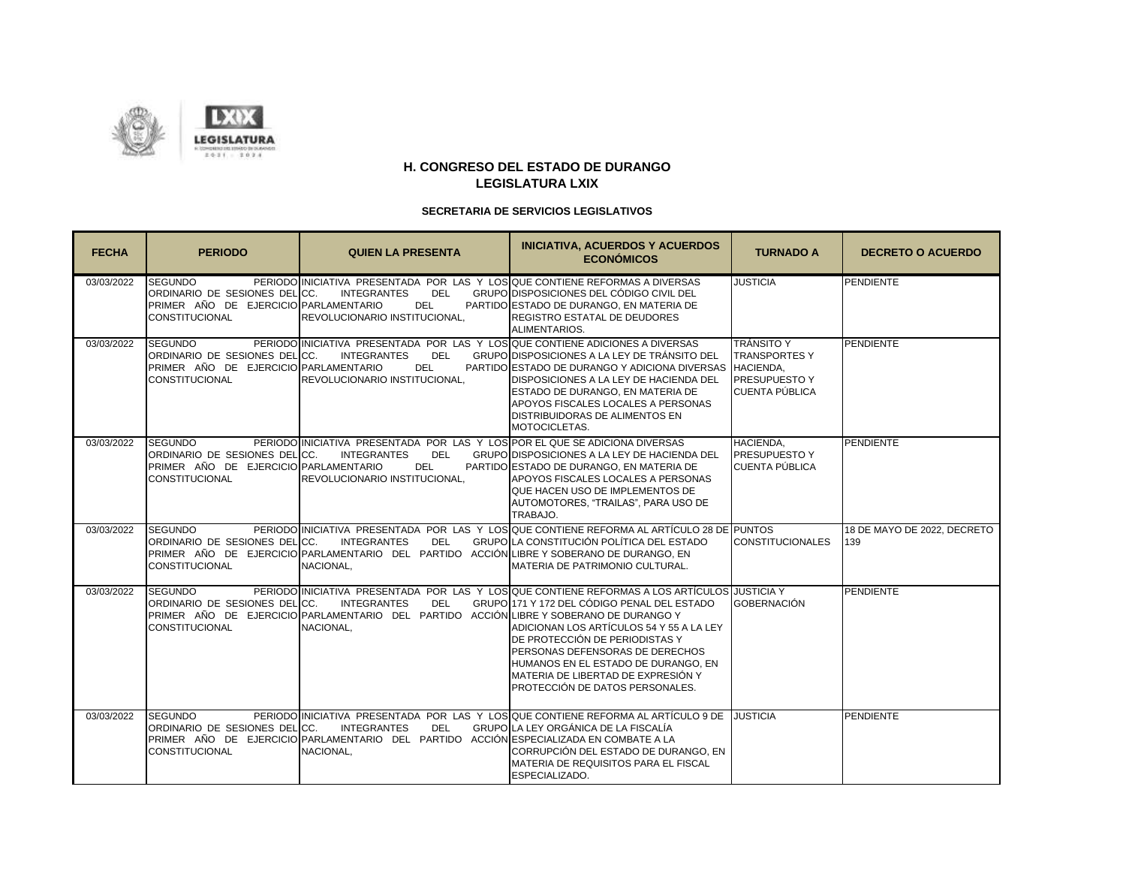

| <b>FECHA</b> | <b>PERIODO</b>                                                                                                    | <b>QUIEN LA PRESENTA</b>                                                                                                                                              | <b>INICIATIVA, ACUERDOS Y ACUERDOS</b><br><b>ECONÓMICOS</b>                                                                                                                                                                                                                                                                                                                  | <b>TURNADO A</b>                                                                                 | <b>DECRETO O ACUERDO</b>           |
|--------------|-------------------------------------------------------------------------------------------------------------------|-----------------------------------------------------------------------------------------------------------------------------------------------------------------------|------------------------------------------------------------------------------------------------------------------------------------------------------------------------------------------------------------------------------------------------------------------------------------------------------------------------------------------------------------------------------|--------------------------------------------------------------------------------------------------|------------------------------------|
| 03/03/2022   | <b>SEGUNDO</b><br>ORDINARIO DE SESIONES DEL CC.<br>PRIMER AÑO DE EJERCICIO PARLAMENTARIO<br><b>CONSTITUCIONAL</b> | PERIODO INICIATIVA PRESENTADA POR LAS Y LOS QUE CONTIENE REFORMAS A DIVERSAS<br><b>DEL</b><br><b>INTEGRANTES</b><br><b>DEL</b><br>REVOLUCIONARIO INSTITUCIONAL,       | GRUPO DISPOSICIONES DEL CÓDIGO CIVIL DEL<br>PARTIDO ESTADO DE DURANGO. EN MATERIA DE<br><b>REGISTRO ESTATAL DE DEUDORES</b><br>ALIMENTARIOS.                                                                                                                                                                                                                                 | <b>JUSTICIA</b>                                                                                  | PENDIENTE                          |
| 03/03/2022   | <b>SEGUNDO</b><br>ORDINARIO DE SESIONES DELICC.<br>PRIMER AÑO DE EJERCICIO PARLAMENTARIO<br><b>CONSTITUCIONAL</b> | PERIODO INICIATIVA PRESENTADA POR LAS Y LOS QUE CONTIENE ADICIONES A DIVERSAS<br><b>INTEGRANTES</b><br><b>DEL</b><br><b>DEL</b><br>REVOLUCIONARIO INSTITUCIONAL.      | GRUPO DISPOSICIONES A LA LEY DE TRÁNSITO DEL<br>PARTIDO ESTADO DE DURANGO Y ADICIONA DIVERSAS<br>DISPOSICIONES A LA LEY DE HACIENDA DEL<br>ESTADO DE DURANGO. EN MATERIA DE<br>APOYOS FISCALES LOCALES A PERSONAS<br><b>DISTRIBUIDORAS DE ALIMENTOS EN</b><br>MOTOCICLETAS.                                                                                                  | <b>TRÁNSITO Y</b><br><b>TRANSPORTES Y</b><br>HACIENDA.<br><b>PRESUPUESTO Y</b><br>CUENTA PÚBLICA | PENDIENTE                          |
| 03/03/2022   | <b>SEGUNDO</b><br>ORDINARIO DE SESIONES DEL CC.<br>PRIMER AÑO DE EJERCICIO PARLAMENTARIO<br><b>CONSTITUCIONAL</b> | PERIODO INICIATIVA PRESENTADA POR LAS Y LOS POR EL QUE SE ADICIONA DIVERSAS<br><b>DEL</b><br><b>INTEGRANTES</b><br><b>DEL</b><br><b>REVOLUCIONARIO INSTITUCIONAL.</b> | GRUPO DISPOSICIONES A LA LEY DE HACIENDA DEL<br>PARTIDO ESTADO DE DURANGO, EN MATERIA DE<br><b>APOYOS FISCALES LOCALES A PERSONAS</b><br>QUE HACEN USO DE IMPLEMENTOS DE<br>AUTOMOTORES, "TRAILAS", PARA USO DE<br>TRABAJO.                                                                                                                                                  | HACIENDA,<br><b>PRESUPUESTO Y</b><br><b>CUENTA PÚBLICA</b>                                       | PENDIENTE                          |
| 03/03/2022   | <b>SEGUNDO</b><br>ORDINARIO DE SESIONES DELICC.<br><b>CONSTITUCIONAL</b>                                          | <b>DEL</b><br><b>INTEGRANTES</b><br>PRIMER AÑO DE EJERCICIO PARLAMENTARIO DEL PARTIDO ACCIÓN LIBRE Y SOBERANO DE DURANGO, EN<br>NACIONAL.                             | PERIODO INICIATIVA PRESENTADA POR LAS Y LOS QUE CONTIENE REFORMA AL ARTÍCULO 28 DE PUNTOS<br>GRUPOLA CONSTITUCIÓN POLÍTICA DEL ESTADO<br>MATERIA DE PATRIMONIO CULTURAL.                                                                                                                                                                                                     | <b>CONSTITUCIONALES</b>                                                                          | 18 DE MAYO DE 2022, DECRETO<br>139 |
| 03/03/2022   | <b>SEGUNDO</b><br>ORDINARIO DE SESIONES DELICC.<br><b>CONSTITUCIONAL</b>                                          | <b>INTEGRANTES</b><br><b>DEL</b><br>PRIMER AÑO DE EJERCICIO PARLAMENTARIO DEL PARTIDO ACCIÓN LIBRE Y SOBERANO DE DURANGO Y<br>NACIONAL,                               | PERIODO INICIATIVA PRESENTADA POR LAS Y LOS QUE CONTIENE REFORMAS A LOS ARTÍCULOS JUSTICIA Y<br>GRUPO 171 Y 172 DEL CÓDIGO PENAL DEL ESTADO<br>ADICIONAN LOS ARTÍCULOS 54 Y 55 A LA LEY<br>DE PROTECCIÓN DE PERIODISTAS Y<br>PERSONAS DEFENSORAS DE DERECHOS<br>HUMANOS EN EL ESTADO DE DURANGO, EN<br>MATERIA DE LIBERTAD DE EXPRESIÓN Y<br>PROTECCIÓN DE DATOS PERSONALES. | GOBERNACIÓN                                                                                      | PENDIENTE                          |
| 03/03/2022   | <b>SEGUNDO</b><br>ORDINARIO DE SESIONES DEL CC.<br><b>CONSTITUCIONAL</b>                                          | <b>INTEGRANTES</b><br><b>DEL</b><br>PRIMER AÑO DE EJERCICIO PARLAMENTARIO DEL PARTIDO ACCIÓN ESPECIALIZADA EN COMBATE A LA<br>NACIONAL,                               | PERIODO INICIATIVA PRESENTADA POR LAS Y LOS QUE CONTIENE REFORMA AL ARTÍCULO 9 DE JUSTICIA<br>GRUPO LA LEY ORGÁNICA DE LA FISCALÍA<br>CORRUPCIÓN DEL ESTADO DE DURANGO. EN<br><b>MATERIA DE REQUISITOS PARA EL FISCAL</b><br>ESPECIALIZADO.                                                                                                                                  |                                                                                                  | PENDIENTE                          |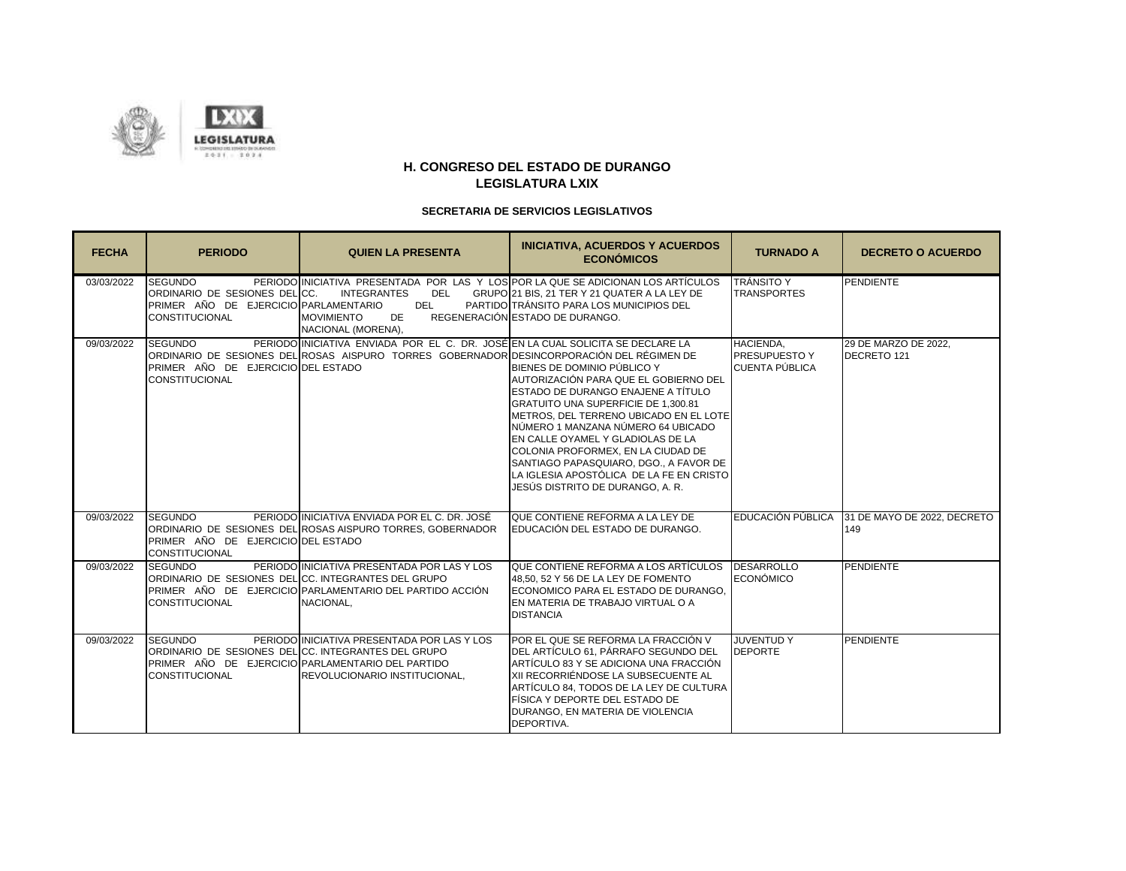

| <b>FECHA</b> | <b>PERIODO</b>                                                                                                                                      | <b>QUIEN LA PRESENTA</b>                                                                                                                                                     | <b>INICIATIVA, ACUERDOS Y ACUERDOS</b><br><b>ECONÓMICOS</b>                                                                                                                                                                                                                                                                                                                                                                            | <b>TURNADO A</b>                                           | <b>DECRETO O ACUERDO</b>            |
|--------------|-----------------------------------------------------------------------------------------------------------------------------------------------------|------------------------------------------------------------------------------------------------------------------------------------------------------------------------------|----------------------------------------------------------------------------------------------------------------------------------------------------------------------------------------------------------------------------------------------------------------------------------------------------------------------------------------------------------------------------------------------------------------------------------------|------------------------------------------------------------|-------------------------------------|
| 03/03/2022   | <b>SEGUNDO</b><br>ORDINARIO DE SESIONES DELICC.<br>PRIMER AÑO DE EJERCICIO PARLAMENTARIO<br><b>CONSTITUCIONAL</b>                                   | <b>INTEGRANTES</b><br><b>DEL</b><br><b>DEL</b><br><b>MOVIMIENTO</b><br>DE<br>NACIONAL (MORENA),                                                                              | PERIODO INICIATIVA PRESENTADA POR LAS Y LOS POR LA QUE SE ADICIONAN LOS ARTÍCULOS<br>GRUPO 21 BIS, 21 TER Y 21 QUATER A LA LEY DE<br>PARTIDO TRÁNSITO PARA LOS MUNICIPIOS DEL<br>REGENERACIÓN ESTADO DE DURANGO.                                                                                                                                                                                                                       | <b>TRÁNSITO Y</b><br><b>TRANSPORTES</b>                    | PENDIENTE                           |
| 09/03/2022   | <b>SEGUNDO</b><br>PRIMER AÑO DE EJERCICIO DEL ESTADO<br><b>CONSTITUCIONAL</b>                                                                       | PERIODO INICIATIVA ENVIADA POR EL C. DR. JOSÉ EN LA CUAL SOLICITA SE DECLARE LA<br>ORDINARIO DE SESIONES DEL ROSAS AISPURO TORRES GOBERNADOR DESINCORPORACIÓN DEL RÉGIMEN DE | BIENES DE DOMINIO PÚBLICO Y<br>AUTORIZACIÓN PARA QUE EL GOBIERNO DEL<br>ESTADO DE DURANGO ENAJENE A TÍTULO<br>GRATUITO UNA SUPERFICIE DE 1,300.81<br>METROS. DEL TERRENO UBICADO EN EL LOTE<br>NÚMERO 1 MANZANA NÚMERO 64 UBICADO<br>EN CALLE OYAMEL Y GLADIOLAS DE LA<br>COLONIA PROFORMEX, EN LA CIUDAD DE<br>SANTIAGO PAPASQUIARO, DGO., A FAVOR DE<br>LA IGLESIA APOSTÓLICA DE LA FE EN CRISTO<br>JESÚS DISTRITO DE DURANGO, A. R. | HACIENDA.<br><b>PRESUPUESTO Y</b><br><b>CUENTA PÚBLICA</b> | 29 DE MARZO DE 2022.<br>DECRETO 121 |
| 09/03/2022   | <b>SEGUNDO</b><br>PRIMER AÑO DE EJERCICIO DEL ESTADO<br><b>CONSTITUCIONAL</b>                                                                       | PERIODO INICIATIVA ENVIADA POR EL C. DR. JOSÉ<br>ORDINARIO DE SESIONES DELIROSAS AISPURO TORRES. GOBERNADOR                                                                  | QUE CONTIENE REFORMA A LA LEY DE<br>EDUCACIÓN DEL ESTADO DE DURANGO.                                                                                                                                                                                                                                                                                                                                                                   | EDUCACIÓN PÚBLICA                                          | 31 DE MAYO DE 2022. DECRETO<br>149  |
| 09/03/2022   | <b>SEGUNDO</b><br>ORDINARIO DE SESIONES DELICC. INTEGRANTES DEL GRUPO<br><b>CONSTITUCIONAL</b>                                                      | PERIODO INICIATIVA PRESENTADA POR LAS Y LOS<br>PRIMER AÑO DE EJERCICIO PARLAMENTARIO DEL PARTIDO ACCIÓN<br>NACIONAL,                                                         | QUE CONTIENE REFORMA A LOS ARTÍCULOS<br>48.50, 52 Y 56 DE LA LEY DE FOMENTO<br>ECONOMICO PARA EL ESTADO DE DURANGO.<br>EN MATERIA DE TRABAJO VIRTUAL O A<br><b>DISTANCIA</b>                                                                                                                                                                                                                                                           | DESARROLLO<br><b>ECONÓMICO</b>                             | PENDIENTE                           |
| 09/03/2022   | <b>SEGUNDO</b><br>ORDINARIO DE SESIONES DELICC. INTEGRANTES DEL GRUPO<br>PRIMER AÑO DE EJERCICIO PARLAMENTARIO DEL PARTIDO<br><b>CONSTITUCIONAL</b> | PERIODO INICIATIVA PRESENTADA POR LAS Y LOS<br>REVOLUCIONARIO INSTITUCIONAL,                                                                                                 | POR EL QUE SE REFORMA LA FRACCIÓN V<br>DEL ARTÍCULO 61. PÁRRAFO SEGUNDO DEL<br>ARTÍCULO 83 Y SE ADICIONA UNA FRACCIÓN<br>XII RECORRIÉNDOSE LA SUBSECUENTE AL<br>ARTÍCULO 84. TODOS DE LA LEY DE CULTURA<br>FÍSICA Y DEPORTE DEL ESTADO DE<br>DURANGO, EN MATERIA DE VIOLENCIA<br>DEPORTIVA.                                                                                                                                            | <b>JUVENTUDY</b><br><b>DEPORTE</b>                         | PENDIENTE                           |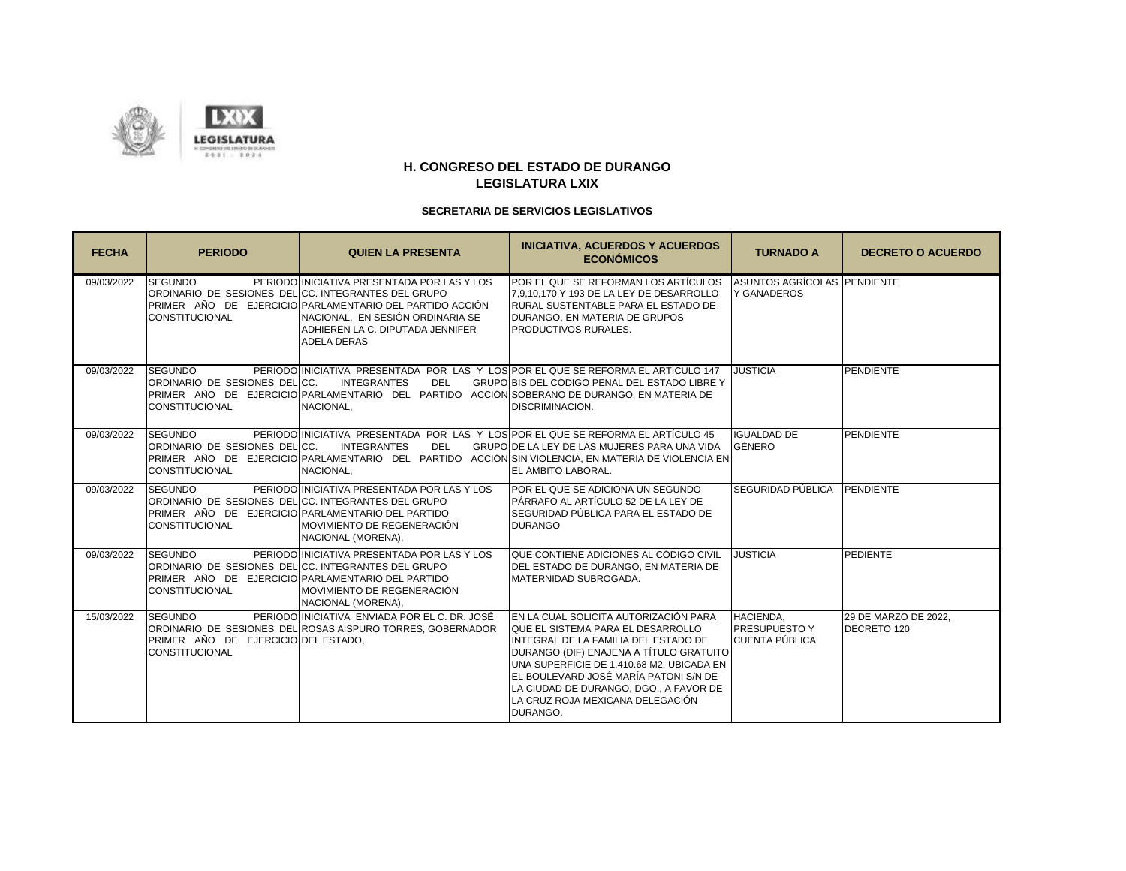

| <b>FECHA</b> | <b>PERIODO</b>                                                                                                                                      | <b>QUIEN LA PRESENTA</b>                                                                                                                                                                              | <b>INICIATIVA, ACUERDOS Y ACUERDOS</b><br><b>ECONÓMICOS</b>                                                                                                                                                                                                                                                                                   | <b>TURNADO A</b>                                    | <b>DECRETO O ACUERDO</b>            |
|--------------|-----------------------------------------------------------------------------------------------------------------------------------------------------|-------------------------------------------------------------------------------------------------------------------------------------------------------------------------------------------------------|-----------------------------------------------------------------------------------------------------------------------------------------------------------------------------------------------------------------------------------------------------------------------------------------------------------------------------------------------|-----------------------------------------------------|-------------------------------------|
| 09/03/2022   | <b>SEGUNDO</b><br>ORDINARIO DE SESIONES DEL CC. INTEGRANTES DEL GRUPO<br><b>CONSTITUCIONAL</b>                                                      | PERIODO INICIATIVA PRESENTADA POR LAS Y LOS<br>PRIMER AÑO DE EJERCICIO PARLAMENTARIO DEL PARTIDO ACCIÓN<br>NACIONAL, EN SESIÓN ORDINARIA SE<br>ADHIEREN LA C. DIPUTADA JENNIFER<br><b>ADELA DERAS</b> | POR EL QUE SE REFORMAN LOS ARTÍCULOS<br>7,9,10,170 Y 193 DE LA LEY DE DESARROLLO<br>RURAL SUSTENTABLE PARA EL ESTADO DE<br>DURANGO, EN MATERIA DE GRUPOS<br>PRODUCTIVOS RURALES.                                                                                                                                                              | ASUNTOS AGRÍCOLAS PENDIENTE<br>Y GANADEROS          |                                     |
| 09/03/2022   | <b>SEGUNDO</b><br>ORDINARIO DE SESIONES DEL CC.<br><b>CONSTITUCIONAL</b>                                                                            | <b>INTEGRANTES</b><br><b>DEL</b><br>PRIMER AÑO DE EJERCICIO PARLAMENTARIO DEL PARTIDO ACCIÓN SOBERANO DE DURANGO, EN MATERIA DE<br>NACIONAL.                                                          | PERIODO INICIATIVA PRESENTADA POR LAS Y LOS POR EL QUE SE REFORMA EL ARTÍCULO 147<br>GRUPO BIS DEL CÓDIGO PENAL DEL ESTADO LIBRE Y<br>DISCRIMINACIÓN.                                                                                                                                                                                         | <b>JUSTICIA</b>                                     | PENDIENTE                           |
| 09/03/2022   | <b>SEGUNDO</b><br>ORDINARIO DE SESIONES DELICC.<br><b>CONSTITUCIONAL</b>                                                                            | PERIODO INICIATIVA PRESENTADA POR LAS Y LOS POR EL QUE SE REFORMA EL ARTÍCULO 45<br><b>INTEGRANTES</b><br><b>DEL</b><br>NACIONAL,                                                                     | GRUPO DE LA LEY DE LAS MUJERES PARA UNA VIDA<br>PRIMER AÑO DE EJERCICIO PARLAMENTARIO DEL PARTIDO ACCIÓN SIN VIOLENCIA, EN MATERIA DE VIOLENCIA EN<br>EL ÁMBITO LABORAL.                                                                                                                                                                      | <b>IGUALDAD DE</b><br>GÉNERO                        | PENDIENTE                           |
| 09/03/2022   | <b>SEGUNDO</b><br>ORDINARIO DE SESIONES DEL CC. INTEGRANTES DEL GRUPO<br><b>CONSTITUCIONAL</b>                                                      | PERIODO INICIATIVA PRESENTADA POR LAS Y LOS<br>PRIMER AÑO DE EJERCICIO PARLAMENTARIO DEL PARTIDO<br>MOVIMIENTO DE REGENERACIÓN<br>NACIONAL (MORENA),                                                  | POR EL QUE SE ADICIONA UN SEGUNDO<br>PÁRRAFO AL ARTÍCULO 52 DE LA LEY DE<br>SEGURIDAD PÚBLICA PARA EL ESTADO DE<br><b>DURANGO</b>                                                                                                                                                                                                             | SEGURIDAD PÚBLICA PENDIENTE                         |                                     |
| 09/03/2022   | <b>SEGUNDO</b><br>ORDINARIO DE SESIONES DELICC. INTEGRANTES DEL GRUPO<br>PRIMER AÑO DE EJERCICIO PARLAMENTARIO DEL PARTIDO<br><b>CONSTITUCIONAL</b> | PERIODO INICIATIVA PRESENTADA POR LAS Y LOS<br>MOVIMIENTO DE REGENERACIÓN<br>NACIONAL (MORENA),                                                                                                       | QUE CONTIENE ADICIONES AL CÓDIGO CIVIL<br>DEL ESTADO DE DURANGO. EN MATERIA DE<br>MATERNIDAD SUBROGADA.                                                                                                                                                                                                                                       | <b>JUSTICIA</b>                                     | PEDIENTE                            |
| 15/03/2022   | <b>SEGUNDO</b><br>PRIMER AÑO DE EJERCICIO DEL ESTADO,<br><b>CONSTITUCIONAL</b>                                                                      | PERIODO INICIATIVA ENVIADA POR EL C. DR. JOSÉ<br>ORDINARIO DE SESIONES DEL ROSAS AISPURO TORRES, GOBERNADOR                                                                                           | EN LA CUAL SOLICITA AUTORIZACIÓN PARA<br>QUE EL SISTEMA PARA EL DESARROLLO<br>INTEGRAL DE LA FAMILIA DEL ESTADO DE<br>DURANGO (DIF) ENAJENA A TÍTULO GRATUITO<br>UNA SUPERFICIE DE 1,410.68 M2, UBICADA EN<br>EL BOULEVARD JOSÉ MARÍA PATONI S/N DE<br>LA CIUDAD DE DURANGO, DGO., A FAVOR DE<br>LA CRUZ ROJA MEXICANA DELEGACIÓN<br>DURANGO. | HACIENDA.<br>PRESUPUESTO Y<br><b>CUENTA PÚBLICA</b> | 29 DE MARZO DE 2022.<br>DECRETO 120 |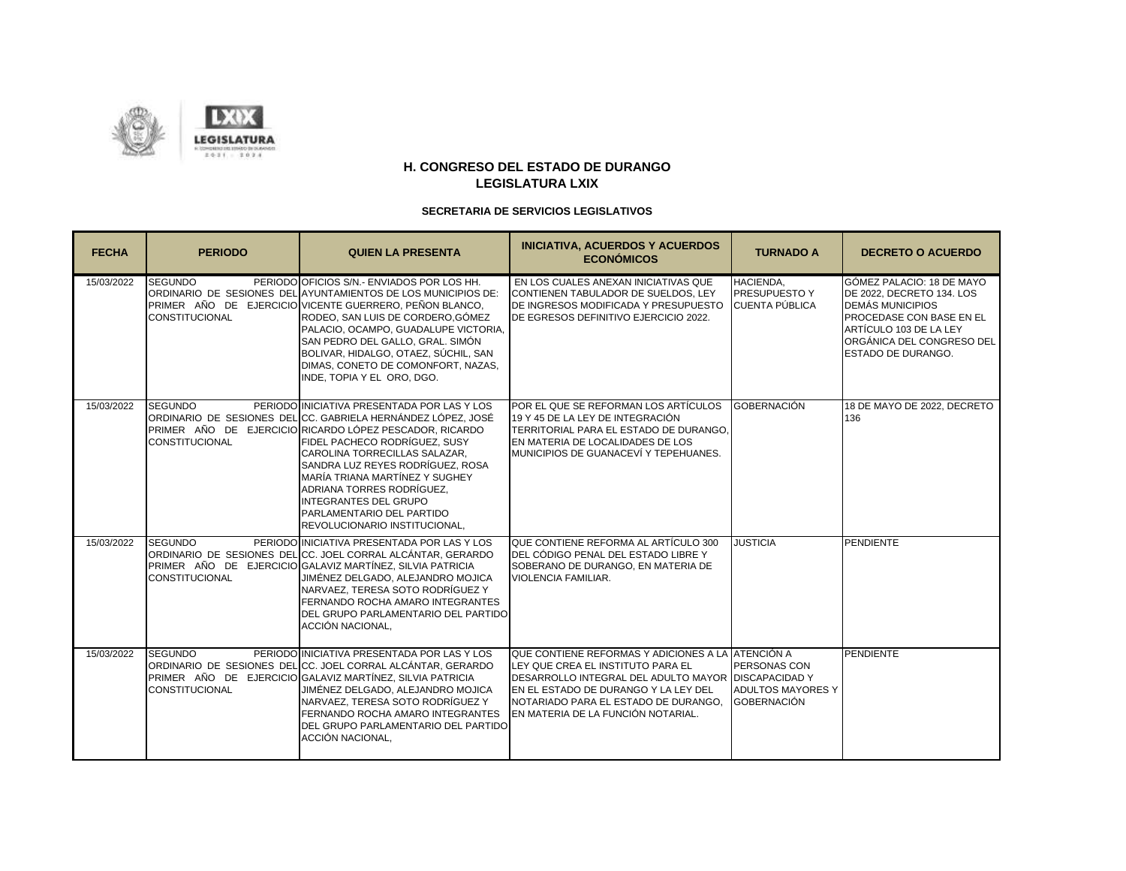



| <b>FECHA</b> | <b>PERIODO</b>                          | <b>QUIEN LA PRESENTA</b>                                                                                                                                                                                                                                                                                                                                                                                                                         | <b>INICIATIVA, ACUERDOS Y ACUERDOS</b><br><b>ECONÓMICOS</b>                                                                                                                                                                                                         | <b>TURNADO A</b>                                               | <b>DECRETO O ACUERDO</b>                                                                                                                                                                   |
|--------------|-----------------------------------------|--------------------------------------------------------------------------------------------------------------------------------------------------------------------------------------------------------------------------------------------------------------------------------------------------------------------------------------------------------------------------------------------------------------------------------------------------|---------------------------------------------------------------------------------------------------------------------------------------------------------------------------------------------------------------------------------------------------------------------|----------------------------------------------------------------|--------------------------------------------------------------------------------------------------------------------------------------------------------------------------------------------|
| 15/03/2022   | <b>SEGUNDO</b><br><b>CONSTITUCIONAL</b> | PERIODO OFICIOS S/N. - ENVIADOS POR LOS HH.<br>ORDINARIO DE SESIONES DEL AYUNTAMIENTOS DE LOS MUNICIPIOS DE:<br><b>PRIMER AÑO DE EJERCICIO VICENTE GUERRERO, PEÑON BLANCO.</b><br>RODEO, SAN LUIS DE CORDERO, GÓMEZ<br>PALACIO. OCAMPO. GUADALUPE VICTORIA.<br>SAN PEDRO DEL GALLO, GRAL, SIMÓN<br>BOLIVAR, HIDALGO, OTAEZ, SÚCHIL, SAN<br>DIMAS, CONETO DE COMONFORT, NAZAS,<br>INDE, TOPIA Y EL ORO, DGO.                                      | EN LOS CUALES ANEXAN INICIATIVAS QUE<br>CONTIENEN TABULADOR DE SUELDOS. LEY<br>DE INGRESOS MODIFICADA Y PRESUPUESTO<br>DE EGRESOS DEFINITIVO EJERCICIO 2022.                                                                                                        | HACIENDA,<br><b>PRESUPUESTO Y</b><br>CUENTA PÚBLICA            | GÓMEZ PALACIO: 18 DE MAYO<br>DE 2022. DECRETO 134. LOS<br><b>DEMÁS MUNICIPIOS</b><br>PROCEDASE CON BASE EN EL<br>ARTÍCULO 103 DE LA LEY<br>ORGÁNICA DEL CONGRESO DEL<br>ESTADO DE DURANGO. |
| 15/03/2022   | <b>SEGUNDO</b><br><b>CONSTITUCIONAL</b> | PERIODO INICIATIVA PRESENTADA POR LAS Y LOS<br>ORDINARIO DE SESIONES DEL CC. GABRIELA HERNÁNDEZ LÓPEZ. JOSÉ<br><b>PRIMER AÑO DE EJERCICIO RICARDO LÓPEZ PESCADOR. RICARDO</b><br>FIDEL PACHECO RODRÍGUEZ, SUSY<br>CAROLINA TORRECILLAS SALAZAR,<br>SANDRA LUZ REYES RODRÍGUEZ, ROSA<br>MARÍA TRIANA MARTÍNEZ Y SUGHEY<br>ADRIANA TORRES RODRÍGUEZ.<br><b>INTEGRANTES DEL GRUPO</b><br>PARLAMENTARIO DEL PARTIDO<br>REVOLUCIONARIO INSTITUCIONAL. | POR EL QUE SE REFORMAN LOS ARTÍCULOS<br>19 Y 45 DE LA LEY DE INTEGRACIÓN<br>TERRITORIAL PARA EL ESTADO DE DURANGO.<br>EN MATERIA DE LOCALIDADES DE LOS<br>MUNICIPIOS DE GUANACEVÍ Y TEPEHUANES.                                                                     | GOBERNACIÓN                                                    | 18 DE MAYO DE 2022, DECRETO<br>136                                                                                                                                                         |
| 15/03/2022   | <b>SEGUNDO</b><br><b>CONSTITUCIONAL</b> | PERIODO INICIATIVA PRESENTADA POR LAS Y LOS<br>ORDINARIO DE SESIONES DEL CC. JOEL CORRAL ALCÁNTAR, GERARDO<br><b>PRIMER AÑO DE EJERCICIO GALAVIZ MARTÍNEZ. SILVIA PATRICIA</b><br>JIMÉNEZ DELGADO, ALEJANDRO MOJICA<br>NARVAEZ, TERESA SOTO RODRÍGUEZ Y<br>FERNANDO ROCHA AMARO INTEGRANTES<br>DEL GRUPO PARLAMENTARIO DEL PARTIDO<br>ACCIÓN NACIONAL.                                                                                           | QUE CONTIENE REFORMA AL ARTÍCULO 300<br>DEL CÓDIGO PENAL DEL ESTADO LIBRE Y<br>SOBERANO DE DURANGO, EN MATERIA DE<br>VIOLENCIA FAMILIAR.                                                                                                                            | <b>JUSTICIA</b>                                                | <b>PENDIENTE</b>                                                                                                                                                                           |
| 15/03/2022   | <b>SEGUNDO</b><br><b>CONSTITUCIONAL</b> | PERIODO INICIATIVA PRESENTADA POR LAS Y LOS<br>ORDINARIO DE SESIONES DEL CC. JOEL CORRAL ALCÁNTAR, GERARDO<br>PRIMER AÑO DE EJERCICIO GALAVIZ MARTÍNEZ, SILVIA PATRICIA<br>JIMÉNEZ DELGADO, ALEJANDRO MOJICA<br>NARVAEZ. TERESA SOTO RODRÍGUEZ Y<br>FERNANDO ROCHA AMARO INTEGRANTES<br>DEL GRUPO PARLAMENTARIO DEL PARTIDO<br>ACCIÓN NACIONAL.                                                                                                  | QUE CONTIENE REFORMAS Y ADICIONES A LA ATENCIÓN A<br>LEY QUE CREA EL INSTITUTO PARA EL<br>DESARROLLO INTEGRAL DEL ADULTO MAYOR DISCAPACIDAD Y<br>EN EL ESTADO DE DURANGO Y LA LEY DEL<br>NOTARIADO PARA EL ESTADO DE DURANGO.<br>EN MATERIA DE LA FUNCIÓN NOTARIAL. | PERSONAS CON<br><b>ADULTOS MAYORES Y</b><br><b>GOBERNACIÓN</b> | <b>PENDIENTE</b>                                                                                                                                                                           |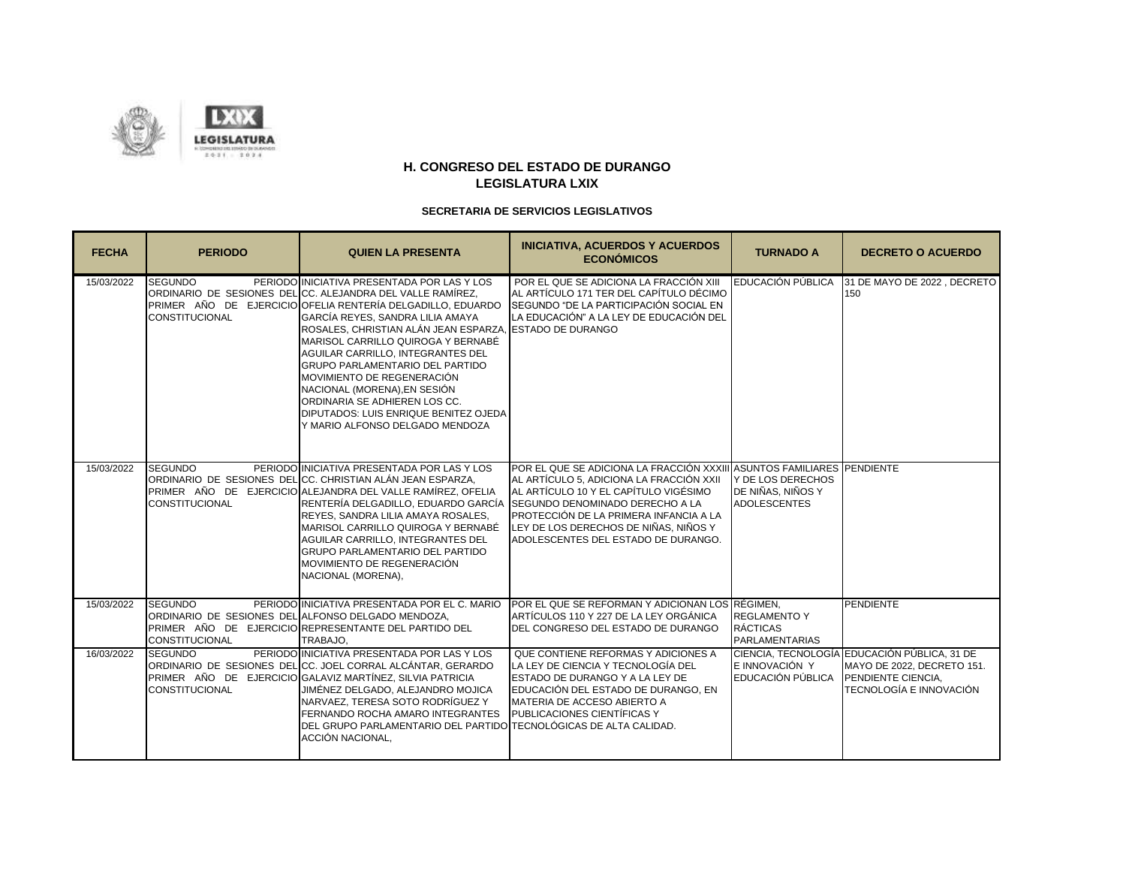



| <b>FECHA</b> | <b>PERIODO</b>                                                                                | <b>QUIEN LA PRESENTA</b>                                                                                                                                                                                                                                                                                                                                                                                                                                                                                                                                                       | <b>INICIATIVA, ACUERDOS Y ACUERDOS</b><br><b>ECONÓMICOS</b>                                                                                                                                                                                                                           | <b>TURNADO A</b>                                                | <b>DECRETO O ACUERDO</b>                                                                                                    |
|--------------|-----------------------------------------------------------------------------------------------|--------------------------------------------------------------------------------------------------------------------------------------------------------------------------------------------------------------------------------------------------------------------------------------------------------------------------------------------------------------------------------------------------------------------------------------------------------------------------------------------------------------------------------------------------------------------------------|---------------------------------------------------------------------------------------------------------------------------------------------------------------------------------------------------------------------------------------------------------------------------------------|-----------------------------------------------------------------|-----------------------------------------------------------------------------------------------------------------------------|
| 15/03/2022   | <b>SEGUNDO</b><br><b>CONSTITUCIONAL</b>                                                       | PERIODO INICIATIVA PRESENTADA POR LAS Y LOS<br>ORDINARIO DE SESIONES DEL CC. ALEJANDRA DEL VALLE RAMÍREZ,<br>PRIMER AÑO DE EJERCICIO OFELIA RENTERÍA DELGADILLO. EDUARDO<br>GARCÍA REYES, SANDRA LILIA AMAYA<br>ROSALES, CHRISTIAN ALÁN JEAN ESPARZA, ESTADO DE DURANGO<br>MARISOL CARRILLO QUIROGA Y BERNABÉ<br>AGUILAR CARRILLO, INTEGRANTES DEL<br><b>GRUPO PARLAMENTARIO DEL PARTIDO</b><br>MOVIMIENTO DE REGENERACIÓN<br>NACIONAL (MORENA), EN SESIÓN<br>ORDINARIA SE ADHIEREN LOS CC.<br><b>DIPUTADOS: LUIS ENRIQUE BENITEZ OJEDA</b><br>Y MARIO ALFONSO DELGADO MENDOZA | POR EL QUE SE ADICIONA LA FRACCIÓN XIII<br>AL ARTÍCULO 171 TER DEL CAPÍTULO DÉCIMO<br>SEGUNDO "DE LA PARTICIPACIÓN SOCIAL EN<br>LA EDUCACIÓN" A LA LEY DE EDUCACIÓN DEL                                                                                                               | EDUCACIÓN PÚBLICA                                               | 31 DE MAYO DE 2022, DECRETO<br>150                                                                                          |
| 15/03/2022   | <b>SEGUNDO</b><br><b>CONSTITUCIONAL</b>                                                       | PERIODO INICIATIVA PRESENTADA POR LAS Y LOS<br>ORDINARIO DE SESIONES DELICC. CHRISTIAN ALÁN JEAN ESPARZA.<br>PRIMER AÑO DE EJERCICIO ALEJANDRA DEL VALLE RAMÍREZ. OFELIA<br>RENTERÍA DELGADILLO. EDUARDO GARCÍA SEGUNDO DENOMINADO DERECHO A LA<br>REYES, SANDRA LILIA AMAYA ROSALES,<br>MARISOL CARRILLO QUIROGA Y BERNABÉ<br>AGUILAR CARRILLO, INTEGRANTES DEL<br><b>GRUPO PARLAMENTARIO DEL PARTIDO</b><br>MOVIMIENTO DE REGENERACIÓN<br>NACIONAL (MORENA),                                                                                                                 | POR EL QUE SE ADICIONA LA FRACCIÓN XXXIII ASUNTOS FAMILIARES PENDIENTE<br>AL ARTÍCULO 5, ADICIONA LA FRACCIÓN XXII<br>AL ARTÍCULO 10 Y EL CAPÍTULO VIGÉSIMO<br>PROTECCIÓN DE LA PRIMERA INFANCIA A LA<br>LEY DE LOS DERECHOS DE NIÑAS, NIÑOS Y<br>ADOLESCENTES DEL ESTADO DE DURANGO. | Y DE LOS DERECHOS<br>DE NIÑAS, NIÑOS Y<br><b>ADOLESCENTES</b>   |                                                                                                                             |
| 15/03/2022   | <b>SEGUNDO</b><br>ORDINARIO DE SESIONES DEL ALFONSO DELGADO MENDOZA,<br><b>CONSTITUCIONAL</b> | PERIODO INICIATIVA PRESENTADA POR EL C. MARIO<br>PRIMER AÑO DE EJERCICIO REPRESENTANTE DEL PARTIDO DEL<br>TRABAJO.                                                                                                                                                                                                                                                                                                                                                                                                                                                             | POR EL QUE SE REFORMAN Y ADICIONAN LOS RÉGIMEN,<br>ARTÍCULOS 110 Y 227 DE LA LEY ORGÁNICA<br>DEL CONGRESO DEL ESTADO DE DURANGO                                                                                                                                                       | <b>REGLAMENTO Y</b><br><b>RÁCTICAS</b><br><b>PARLAMENTARIAS</b> | <b>PENDIENTE</b>                                                                                                            |
| 16/03/2022   | <b>SEGUNDO</b><br><b>CONSTITUCIONAL</b>                                                       | PERIODO INICIATIVA PRESENTADA POR LAS Y LOS<br>ORDINARIO DE SESIONES DEL CC. JOEL CORRAL ALCÁNTAR. GERARDO<br><b>PRIMER AÑO DE EJERCICIO GALAVIZ MARTÍNEZ. SILVIA PATRICIA</b><br>JIMÉNEZ DELGADO, ALEJANDRO MOJICA<br>NARVAEZ. TERESA SOTO RODRÍGUEZ Y<br>FERNANDO ROCHA AMARO INTEGRANTES<br>DEL GRUPO PARLAMENTARIO DEL PARTIDO TECNOLÓGICAS DE ALTA CALIDAD.<br>ACCIÓN NACIONAL,                                                                                                                                                                                           | QUE CONTIENE REFORMAS Y ADICIONES A<br>LA LEY DE CIENCIA Y TECNOLOGÍA DEL<br>ESTADO DE DURANGO Y A LA LEY DE<br>EDUCACIÓN DEL ESTADO DE DURANGO, EN<br>MATERIA DE ACCESO ABIERTO A<br>PUBLICACIONES CIENTÍFICAS Y                                                                     | E INNOVACIÓN Y<br>EDUCACIÓN PÚBLICA                             | CIENCIA, TECNOLOGÍA EDUCACIÓN PÚBLICA, 31 DE<br>MAYO DE 2022. DECRETO 151.<br>PENDIENTE CIENCIA.<br>TECNOLOGÍA E INNOVACIÓN |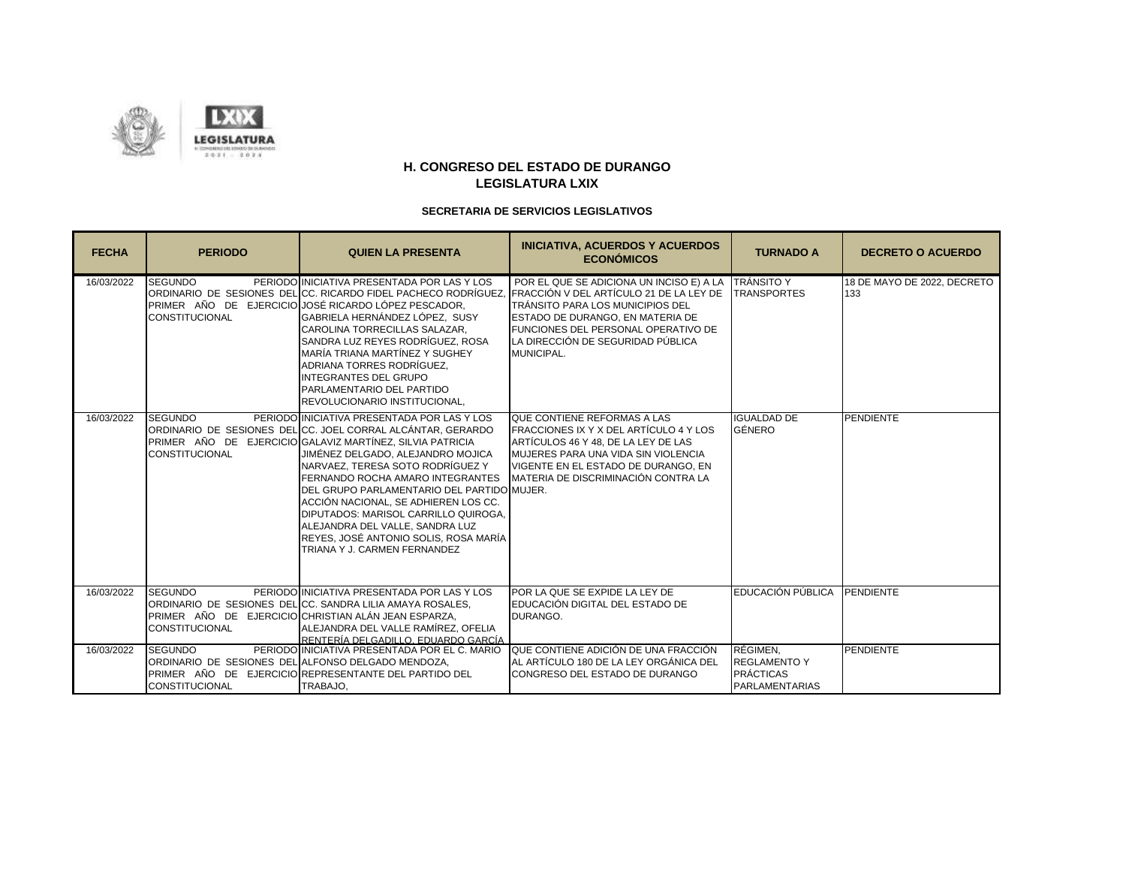

| <b>FECHA</b> | <b>PERIODO</b>                                                                                | <b>QUIEN LA PRESENTA</b>                                                                                                                                                                                                                                                                                                                                                                                                                                                                                                       | <b>INICIATIVA, ACUERDOS Y ACUERDOS</b><br><b>ECONÓMICOS</b>                                                                                                                                                                                                                                                                            | <b>TURNADO A</b>                                                             | <b>DECRETO O ACUERDO</b>           |
|--------------|-----------------------------------------------------------------------------------------------|--------------------------------------------------------------------------------------------------------------------------------------------------------------------------------------------------------------------------------------------------------------------------------------------------------------------------------------------------------------------------------------------------------------------------------------------------------------------------------------------------------------------------------|----------------------------------------------------------------------------------------------------------------------------------------------------------------------------------------------------------------------------------------------------------------------------------------------------------------------------------------|------------------------------------------------------------------------------|------------------------------------|
| 16/03/2022   | <b>SEGUNDO</b><br><b>CONSTITUCIONAL</b>                                                       | PERIODO INICIATIVA PRESENTADA POR LAS Y LOS<br>PRIMER AÑO DE EJERCICIO JOSÉ RICARDO LÓPEZ PESCADOR,<br>GABRIELA HERNÁNDEZ LÓPEZ. SUSY<br>CAROLINA TORRECILLAS SALAZAR.<br>SANDRA LUZ REYES RODRÍGUEZ. ROSA<br>MARÍA TRIANA MARTÍNEZ Y SUGHEY<br>ADRIANA TORRES RODRÍGUEZ.<br><b>INTEGRANTES DEL GRUPO</b><br>PARLAMENTARIO DEL PARTIDO<br>REVOLUCIONARIO INSTITUCIONAL,                                                                                                                                                        | POR EL QUE SE ADICIONA UN INCISO E) A LA TRÁNSITO Y<br>ORDINARIO DE SESIONES DEL CC. RICARDO FIDEL PACHECO RODRÍGUEZ, FRACCIÓN V DEL ARTÍCULO 21 DE LA LEY DE<br>TRÁNSITO PARA LOS MUNICIPIOS DEL<br>ESTADO DE DURANGO, EN MATERIA DE<br>FUNCIONES DEL PERSONAL OPERATIVO DE<br>LA DIRECCIÓN DE SEGURIDAD PÚBLICA<br><b>MUNICIPAL.</b> | <b>TRANSPORTES</b>                                                           | 18 DE MAYO DE 2022, DECRETO<br>133 |
| 16/03/2022   | <b>SEGUNDO</b><br><b>CONSTITUCIONAL</b>                                                       | PERIODO INICIATIVA PRESENTADA POR LAS Y LOS<br>ORDINARIO DE SESIONES DEL CC. JOEL CORRAL ALCÁNTAR, GERARDO<br>PRIMER AÑO DE EJERCICIO GALAVIZ MARTÍNEZ, SILVIA PATRICIA<br>JIMÉNEZ DELGADO. ALEJANDRO MOJICA<br>NARVAEZ. TERESA SOTO RODRÍGUEZ Y<br>FERNANDO ROCHA AMARO INTEGRANTES<br>DEL GRUPO PARLAMENTARIO DEL PARTIDO MUJER.<br>ACCIÓN NACIONAL, SE ADHIEREN LOS CC.<br>DIPUTADOS: MARISOL CARRILLO QUIROGA.<br>ALEJANDRA DEL VALLE. SANDRA LUZ<br>REYES, JOSÉ ANTONIO SOLIS, ROSA MARÍA<br>TRIANA Y J. CARMEN FERNANDEZ | <b>QUE CONTIENE REFORMAS A LAS</b><br>FRACCIONES IX Y X DEL ARTÍCULO 4 Y LOS<br>ARTÍCULOS 46 Y 48, DE LA LEY DE LAS<br><b>MUJERES PARA UNA VIDA SIN VIOLENCIA</b><br>VIGENTE EN EL ESTADO DE DURANGO. EN<br><b>MATERIA DE DISCRIMINACIÓN CONTRA LA</b>                                                                                 | <b>IGUALDAD DE</b><br><b>GÉNERO</b>                                          | <b>PENDIENTE</b>                   |
| 16/03/2022   | <b>SEGUNDO</b><br><b>CONSTITUCIONAL</b>                                                       | PERIODO INICIATIVA PRESENTADA POR LAS Y LOS<br>ORDINARIO DE SESIONES DEL CC. SANDRA LILIA AMAYA ROSALES,<br>PRIMER AÑO DE EJERCICIO CHRISTIAN ALÁN JEAN ESPARZA,<br>ALEJANDRA DEL VALLE RAMÍREZ. OFELIA<br>RENTERÍA DELGADILLO. EDUARDO GARCÍA                                                                                                                                                                                                                                                                                 | POR LA QUE SE EXPIDE LA LEY DE<br>EDUCACIÓN DIGITAL DEL ESTADO DE<br>DURANGO.                                                                                                                                                                                                                                                          | EDUCACIÓN PÚBLICA                                                            | <b>PENDIENTE</b>                   |
| 16/03/2022   | <b>SEGUNDO</b><br>ORDINARIO DE SESIONES DEL ALFONSO DELGADO MENDOZA.<br><b>CONSTITUCIONAL</b> | PERIODO INICIATIVA PRESENTADA POR EL C. MARIO<br>PRIMER AÑO DE EJERCICIO REPRESENTANTE DEL PARTIDO DEL<br>TRABAJO.                                                                                                                                                                                                                                                                                                                                                                                                             | QUE CONTIENE ADICIÓN DE UNA FRACCIÓN<br>AL ARTÍCULO 180 DE LA LEY ORGÁNICA DEL<br>CONGRESO DEL ESTADO DE DURANGO                                                                                                                                                                                                                       | RÉGIMEN.<br><b>REGLAMENTO Y</b><br><b>PRÁCTICAS</b><br><b>PARLAMENTARIAS</b> | <b>PENDIENTE</b>                   |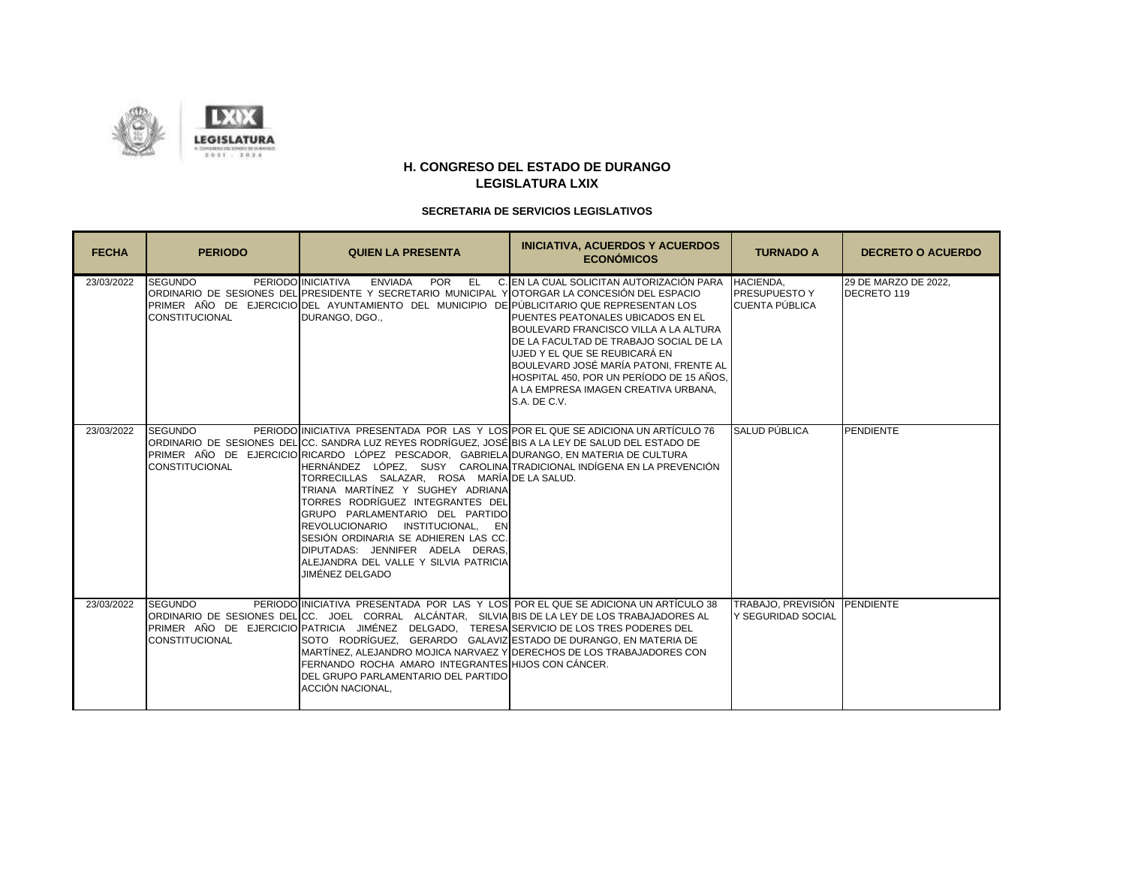

| <b>FECHA</b> | <b>PERIODO</b>                          | <b>QUIEN LA PRESENTA</b>                                                                                                                                                                                                                                                                                                                                                                                                                                                                                                                                                                                                     | <b>INICIATIVA, ACUERDOS Y ACUERDOS</b><br><b>ECONÓMICOS</b>                                                                                                                                                                                                                                                                                                | <b>TURNADO A</b>                                          | <b>DECRETO O ACUERDO</b>            |
|--------------|-----------------------------------------|------------------------------------------------------------------------------------------------------------------------------------------------------------------------------------------------------------------------------------------------------------------------------------------------------------------------------------------------------------------------------------------------------------------------------------------------------------------------------------------------------------------------------------------------------------------------------------------------------------------------------|------------------------------------------------------------------------------------------------------------------------------------------------------------------------------------------------------------------------------------------------------------------------------------------------------------------------------------------------------------|-----------------------------------------------------------|-------------------------------------|
| 23/03/2022   | <b>SEGUNDO</b><br><b>CONSTITUCIONAL</b> | <b>POR</b><br><b>PERIODO INICIATIVA</b><br><b>ENVIADA</b><br>EL.<br>ORDINARIO DE SESIONES DEL PRESIDENTE Y SECRETARIO MUNICIPAL Y OTORGAR LA CONCESIÓN DEL ESPACIO<br>IPRIMER AÑO DE EJERCICIOIDEL AYUNTAMIENTO DEL MUNICIPIO DEIPÚBLICITARIOQUEREPRESENTANLOS<br>DURANGO, DGO                                                                                                                                                                                                                                                                                                                                               | C. EN LA CUAL SOLICITAN AUTORIZACIÓN PARA HACIENDA.<br>PUENTES PEATONALES UBICADOS EN EL<br>BOULEVARD FRANCISCO VILLA A LA ALTURA<br>DE LA FACULTAD DE TRABAJO SOCIAL DE LA<br>UJED Y EL QUE SE REUBICARÁ EN<br>BOULEVARD JOSÉ MARÍA PATONI. FRENTE AL<br>HOSPITAL 450, POR UN PERÍODO DE 15 AÑOS,<br>A LA EMPRESA IMAGEN CREATIVA URBANA.<br>S.A. DE C.V. | <b>PRESUPUESTO Y</b><br><b>CUENTA PÚBLICA</b>             | 29 DE MARZO DE 2022.<br>DECRETO 119 |
| 23/03/2022   | <b>SEGUNDO</b><br><b>CONSTITUCIONAL</b> | PERIODO INICIATIVA PRESENTADA POR LAS Y LOS POR EL QUE SE ADICIONA UN ARTÍCULO 76<br>ORDINARIO DE SESIONES DELICC. SANDRA LUZ REYES RODRÍGUEZ. JOSÉIBIS A LA LEY DE SALUD DEL ESTADO DE<br>PRIMER AÑO DE EJERCICIO RICARDO LÓPEZ PESCADOR, GABRIELA DURANGO, EN MATERIA DE CULTURA<br>TORRECILLAS SALAZAR, ROSA MARÍA DE LA SALUD.<br>TRIANA MARTÍNEZ Y SUGHEY ADRIANA<br>TORRES RODRÍGUEZ INTEGRANTES DEL<br>GRUPO PARLAMENTARIO DEL PARTIDO<br>REVOLUCIONARIO INSTITUCIONAL,<br>EN<br>SESIÓN ORDINARIA SE ADHIEREN LAS CC.<br>DIPUTADAS: JENNIFER ADELA DERAS.<br>ALEJANDRA DEL VALLE Y SILVIA PATRICIA<br>JIMÉNEZ DELGADO | HERNÁNDEZ LÓPEZ, SUSY CAROLINA TRADICIONAL INDÍGENA EN LA PREVENCIÓN                                                                                                                                                                                                                                                                                       | SALUD PÚBLICA                                             | <b>PENDIENTE</b>                    |
| 23/03/2022   | <b>SEGUNDO</b><br><b>CONSTITUCIONAL</b> | PERIODO INICIATIVA PRESENTADA POR LAS Y LOS POR EL QUE SE ADICIONA UN ARTÍCULO 38<br>ORDINARIO DE SESIONES DELICC. JOEL CORRAL ALCÁNTAR. SILVIAIBIS DE LA LEY DE LOS TRABAJADORES AL<br>PRIMER AÑO DE EJERCICIO PATRICIA JIMÉNEZ DELGADO. TERESA SERVICIO DE LOS TRES PODERES DEL<br>SOTO RODRÍGUEZ, GERARDO GALAVIZ ESTADO DE DURANGO, EN MATERIA DE<br>IMARTÍNEZ. ALEJANDRO MOJICA NARVAEZ YI DERECHOS DE LOS TRABAJADORES CON<br>FERNANDO ROCHA AMARO INTEGRANTES HIJOS CON CÁNCER.<br>DEL GRUPO PARLAMENTARIO DEL PARTIDO<br>ACCIÓN NACIONAL.                                                                            |                                                                                                                                                                                                                                                                                                                                                            | TRABAJO, PREVISIÓN PENDIENTE<br><b>Y SEGURIDAD SOCIAL</b> |                                     |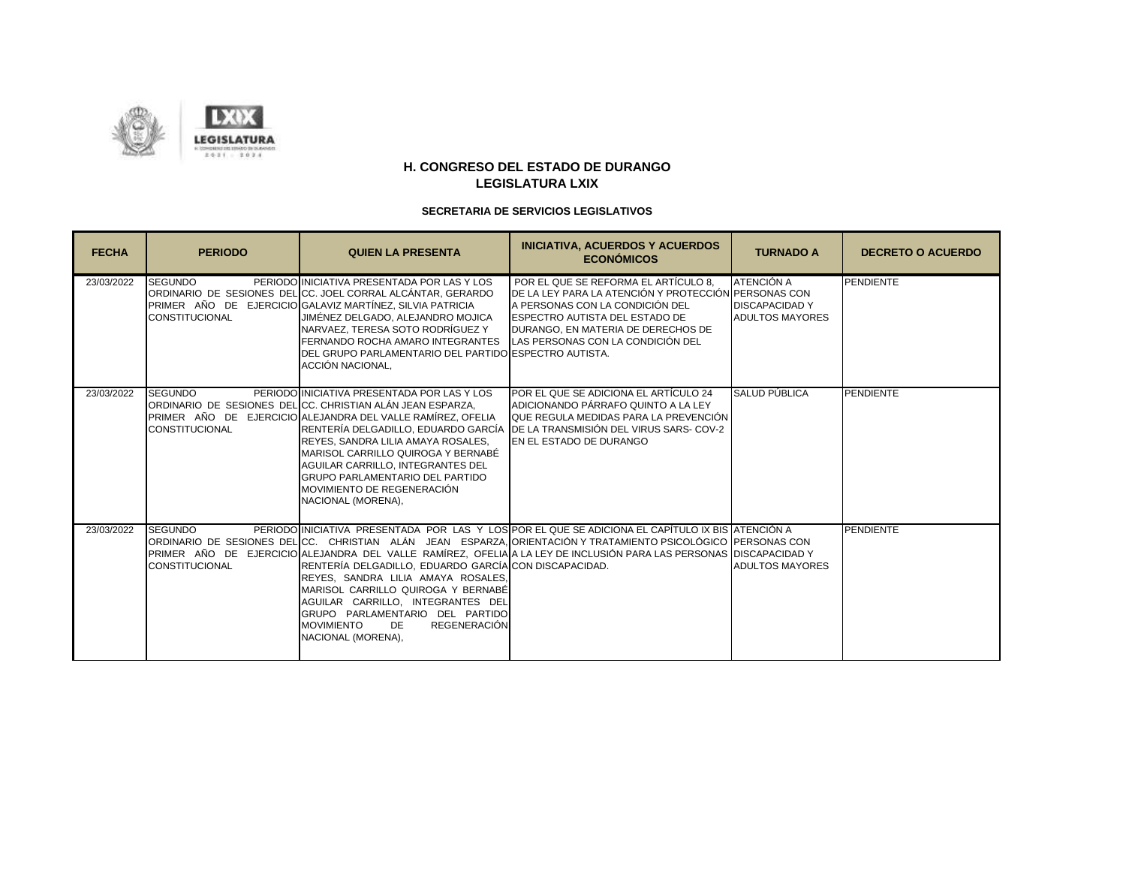

| <b>FECHA</b> | <b>PERIODO</b>                          | <b>QUIEN LA PRESENTA</b>                                                                                                                                                                                                                                                                                                                                                                                                       | <b>INICIATIVA, ACUERDOS Y ACUERDOS</b><br><b>ECONÓMICOS</b>                                                                                                                                                                                                                                                                                   | <b>TURNADO A</b>                                                     | <b>DECRETO O ACUERDO</b> |
|--------------|-----------------------------------------|--------------------------------------------------------------------------------------------------------------------------------------------------------------------------------------------------------------------------------------------------------------------------------------------------------------------------------------------------------------------------------------------------------------------------------|-----------------------------------------------------------------------------------------------------------------------------------------------------------------------------------------------------------------------------------------------------------------------------------------------------------------------------------------------|----------------------------------------------------------------------|--------------------------|
| 23/03/2022   | <b>SEGUNDO</b><br><b>CONSTITUCIONAL</b> | PERIODO INICIATIVA PRESENTADA POR LAS Y LOS<br>ORDINARIO DE SESIONES DEL CC. JOEL CORRAL ALCÁNTAR, GERARDO<br>PRIMER AÑO DE EJERCICIO GALAVIZ MARTÍNEZ. SILVIA PATRICIA<br>JIMÉNEZ DELGADO, ALEJANDRO MOJICA<br>NARVAEZ. TERESA SOTO RODRÍGUEZ Y<br>FERNANDO ROCHA AMARO INTEGRANTES<br>DEL GRUPO PARLAMENTARIO DEL PARTIDO ESPECTRO AUTISTA.<br>ACCIÓN NACIONAL,                                                              | POR EL QUE SE REFORMA EL ARTÍCULO 8.<br>DE LA LEY PARA LA ATENCIÓN Y PROTECCIÓN PERSONAS CON<br>A PERSONAS CON LA CONDICIÓN DEL<br>ESPECTRO AUTISTA DEL ESTADO DE<br>DURANGO. EN MATERIA DE DERECHOS DE<br>LAS PERSONAS CON LA CONDICIÓN DEL                                                                                                  | <b>ATENCIÓN A</b><br><b>DISCAPACIDAD Y</b><br><b>ADULTOS MAYORES</b> | PENDIENTE                |
| 23/03/2022   | <b>SEGUNDO</b><br><b>CONSTITUCIONAL</b> | PERIODO INICIATIVA PRESENTADA POR LAS Y LOS<br>ORDINARIO DE SESIONES DEL CC. CHRISTIAN ALÁN JEAN ESPARZA,<br>PRIMER AÑO DE EJERCICIO ALEJANDRA DEL VALLE RAMÍREZ, OFELIA<br>RENTERÍA DELGADILLO. EDUARDO GARCÍA<br>REYES, SANDRA LILIA AMAYA ROSALES,<br>MARISOL CARRILLO QUIROGA Y BERNABÉ<br>AGUILAR CARRILLO. INTEGRANTES DEL<br><b>GRUPO PARLAMENTARIO DEL PARTIDO</b><br>MOVIMIENTO DE REGENERACIÓN<br>NACIONAL (MORENA), | POR EL QUE SE ADICIONA EL ARTÍCULO 24<br>ADICIONANDO PÁRRAFO QUINTO A LA LEY<br>QUE REGULA MEDIDAS PARA LA PREVENCIÓN<br>DE LA TRANSMISIÓN DEL VIRUS SARS- COV-2<br>EN EL ESTADO DE DURANGO                                                                                                                                                   | SALUD PÚBLICA                                                        | <b>PENDIENTE</b>         |
| 23/03/2022   | <b>SEGUNDO</b><br><b>CONSTITUCIONAL</b> | RENTERÍA DELGADILLO. EDUARDO GARCÍA CON DISCAPACIDAD.<br>REYES. SANDRA LILIA AMAYA ROSALES.<br>MARISOL CARRILLO QUIROGA Y BERNABÉ<br>AGUILAR CARRILLO, INTEGRANTES DEL<br>GRUPO PARLAMENTARIO DEL PARTIDO<br><b>MOVIMIENTO</b><br><b>REGENERACIÓN</b><br>DE<br>NACIONAL (MORENA),                                                                                                                                              | PERIODO INICIATIVA PRESENTADA POR LAS Y LOSIPOR EL QUE SE ADICIONA EL CAPÍTULO IX BIS ATENCIÓN A<br>IORDINARIO DE SESIONES DELICC.  CHRISTIAN  ALÁN  JEAN  ESPARZA IORIENTACIÓN Y TRATAMIENTO PSICOLÓGICO IPERSONAS CON<br>PRIMER AÑO DE EJERCICIO ALEJANDRA DEL VALLE RAMÍREZ, OFELIA A LA LEY DE INCLUSIÓN PARA LAS PERSONAS DISCAPACIDAD Y | <b>ADULTOS MAYORES</b>                                               | PENDIENTE                |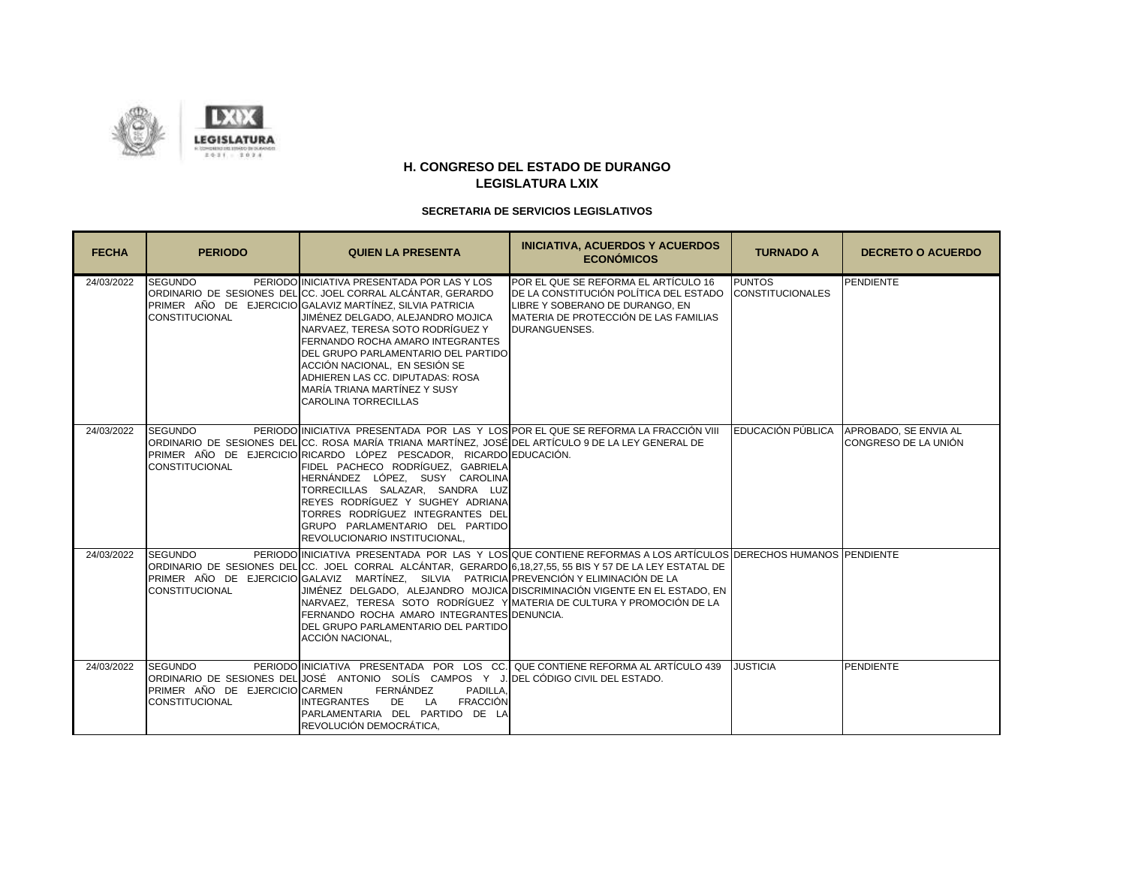



| <b>FECHA</b> | <b>PERIODO</b>                                                            | <b>QUIEN LA PRESENTA</b>                                                                                                                                                                                                                                                                                                                                                                                                                                        | <b>INICIATIVA, ACUERDOS Y ACUERDOS</b><br><b>ECONÓMICOS</b>                                                                                                                                                                                                                                                                                                                    | <b>TURNADO A</b>                         | <b>DECRETO O ACUERDO</b>                                        |
|--------------|---------------------------------------------------------------------------|-----------------------------------------------------------------------------------------------------------------------------------------------------------------------------------------------------------------------------------------------------------------------------------------------------------------------------------------------------------------------------------------------------------------------------------------------------------------|--------------------------------------------------------------------------------------------------------------------------------------------------------------------------------------------------------------------------------------------------------------------------------------------------------------------------------------------------------------------------------|------------------------------------------|-----------------------------------------------------------------|
| 24/03/2022   | <b>SEGUNDO</b><br><b>CONSTITUCIONAL</b>                                   | PERIODO INICIATIVA PRESENTADA POR LAS Y LOS<br>ORDINARIO DE SESIONES DEL CC. JOEL CORRAL ALCÁNTAR, GERARDO<br>PRIMER AÑO DE EJERCICIO GALAVIZ MARTÍNEZ, SILVIA PATRICIA<br>JIMÉNEZ DELGADO, ALEJANDRO MOJICA<br>NARVAEZ, TERESA SOTO RODRÍGUEZ Y<br>FERNANDO ROCHA AMARO INTEGRANTES<br>DEL GRUPO PARLAMENTARIO DEL PARTIDO<br>ACCIÓN NACIONAL, EN SESIÓN SE<br>ADHIEREN LAS CC. DIPUTADAS: ROSA<br>MARÍA TRIANA MARTÍNEZ Y SUSY<br><b>CAROLINA TORRECILLAS</b> | POR EL QUE SE REFORMA EL ARTÍCULO 16<br>DE LA CONSTITUCIÓN POLÍTICA DEL ESTADO<br>LIBRE Y SOBERANO DE DURANGO. EN<br>MATERIA DE PROTECCIÓN DE LAS FAMILIAS<br>DURANGUENSES.                                                                                                                                                                                                    | <b>PUNTOS</b><br><b>CONSTITUCIONALES</b> | PENDIENTE                                                       |
| 24/03/2022   | <b>SEGUNDO</b><br><b>CONSTITUCIONAL</b>                                   | ORDINARIO DE SESIONES DEL CC. ROSA MARÍA TRIANA MARTÍNEZ, JOSÉ DEL ARTÍCULO 9 DE LA LEY GENERAL DE<br>PRIMER AÑO DE EJERCICIONICARDO LÓPEZ PESCADOR. RICARDO EDUCACIÓN.<br>FIDEL PACHECO RODRÍGUEZ, GABRIELA<br>HERNÁNDEZ LÓPEZ, SUSY CAROLINA<br>TORRECILLAS SALAZAR, SANDRA LUZ<br>REYES RODRÍGUEZ Y SUGHEY ADRIANA<br>TORRES RODRÍGUEZ INTEGRANTES DEL<br>GRUPO PARLAMENTARIO DEL PARTIDO<br>REVOLUCIONARIO INSTITUCIONAL.                                   | PERIODO INICIATIVA PRESENTADA POR LAS Y LOS POR EL QUE SE REFORMA LA FRACCIÓN VIII                                                                                                                                                                                                                                                                                             |                                          | EDUCACIÓN PÚBLICA APROBADO, SE ENVIA AL<br>CONGRESO DE LA UNIÓN |
| 24/03/2022   | <b>SEGUNDO</b><br><b>CONSTITUCIONAL</b>                                   | PRIMER AÑO DE EJERCICIO GALAVIZ MARTÍNEZ, SILVIA PATRICIA PREVENCIÓN Y ELIMINACIÓN DE LA<br>FERNANDO ROCHA AMARO INTEGRANTES DENUNCIA.<br>DEL GRUPO PARLAMENTARIO DEL PARTIDO<br>ACCIÓN NACIONAL.                                                                                                                                                                                                                                                               | PERIODO INICIATIVA PRESENTADA POR LAS Y LOS QUE CONTIENE REFORMAS A LOS ARTÍCULOS DERECHOS HUMANOS PENDIENTE<br>ORDINARIO DE SESIONES DEL CC. JOEL CORRAL ALCÁNTAR, GERARDO 6.18.27.55, 55 BIS Y 57 DE LA LEY ESTATAL DE<br>JIMÉNEZ DELGADO, ALEJANDRO MOJICA DISCRIMINACIÓN VIGENTE EN EL ESTADO, EN<br>NARVAEZ, TERESA SOTO RODRÍGUEZ Y MATERIA DE CULTURA Y PROMOCIÓN DE LA |                                          |                                                                 |
| 24/03/2022   | <b>SEGUNDO</b><br>PRIMER AÑO DE EJERCICIO CARMEN<br><b>CONSTITUCIONAL</b> | ORDINARIO DE SESIONES DELLJOSÉ ANTONIO SOLÍS CAMPOS Y J. IDEL CÓDIGO CIVIL DEL ESTADO.<br>FERNÁNDEZ<br>PADILLA,<br><b>FRACCIÓN</b><br><b>INTEGRANTES</b><br>LA<br>DE<br>PARLAMENTARIA DEL PARTIDO DE LA<br>REVOLUCIÓN DEMOCRÁTICA.                                                                                                                                                                                                                              | PERIODO INICIATIVA PRESENTADA POR LOS CC. QUE CONTIENE REFORMA AL ARTÍCULO 439                                                                                                                                                                                                                                                                                                 | <b>JUSTICIA</b>                          | <b>PENDIENTE</b>                                                |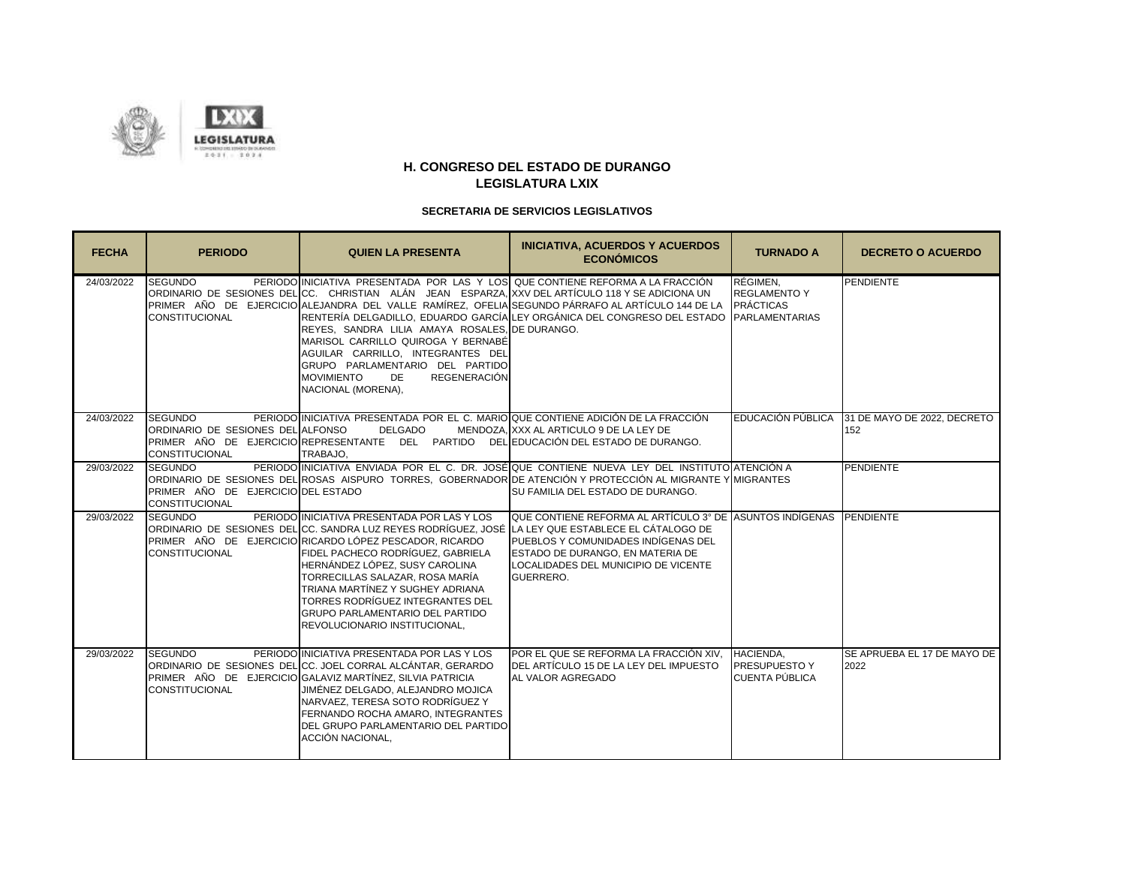



| <b>FECHA</b> | <b>PERIODO</b>                                                               | <b>QUIEN LA PRESENTA</b>                                                                                                                                                                                                                                                                                                                                                                                                                                                    | <b>INICIATIVA, ACUERDOS Y ACUERDOS</b><br><b>ECONÓMICOS</b>                                                                                                                                                                                       | <b>TURNADO A</b>                              | <b>DECRETO O ACUERDO</b>            |
|--------------|------------------------------------------------------------------------------|-----------------------------------------------------------------------------------------------------------------------------------------------------------------------------------------------------------------------------------------------------------------------------------------------------------------------------------------------------------------------------------------------------------------------------------------------------------------------------|---------------------------------------------------------------------------------------------------------------------------------------------------------------------------------------------------------------------------------------------------|-----------------------------------------------|-------------------------------------|
| 24/03/2022   | <b>SEGUNDO</b><br><b>CONSTITUCIONAL</b>                                      | PERIODO INICIATIVA PRESENTADA POR LAS Y LOS QUE CONTIENE REFORMA A LA FRACCIÓN<br>ORDINARIO DE SESIONES DEL CC. CHRISTIAN ALÁN JEAN ESPARZA, XXV DEL ARTÍCULO 118 Y SE ADICIONA UN<br>REYES, SANDRA LILIA AMAYA ROSALES, DE DURANGO.<br>MARISOL CARRILLO QUIROGA Y BERNABÉ<br>AGUILAR CARRILLO, INTEGRANTES DEL<br>GRUPO PARLAMENTARIO DEL PARTIDO<br><b>MOVIMIENTO</b><br><b>REGENERACIÓN</b><br>DE<br>NACIONAL (MORENA),                                                  | PRIMER AÑO DE EJERCICIO ALEJANDRA DEL VALLE RAMÍREZ, OFELIA SEGUNDO PÁRRAFO AL ARTÍCULO 144 DE LA PRÁCTICAS<br>RENTERÍA DELGADILLO, EDUARDO GARCÍA LEY ORGÁNICA DEL CONGRESO DEL ESTADO PARLAMENTARIAS                                            | RÉGIMEN.<br><b>REGLAMENTO Y</b>               | <b>PENDIENTE</b>                    |
| 24/03/2022   | <b>SEGUNDO</b><br>ORDINARIO DE SESIONES DEL ALFONSO<br><b>CONSTITUCIONAL</b> | PERIODO INICIATIVA PRESENTADA POR EL C. MARIO QUE CONTIENE ADICIÓN DE LA FRACCIÓN<br><b>DELGADO</b><br>PRIMER AÑO DE EJERCICIO REPRESENTANTE DEL PARTIDO DEL EDUCACIÓN DEL ESTADO DE DURANGO.<br>TRABAJO,                                                                                                                                                                                                                                                                   | MENDOZA, XXX AL ARTICULO 9 DE LA LEY DE                                                                                                                                                                                                           | EDUCACIÓN PÚBLICA                             | 31 DE MAYO DE 2022, DECRETO<br>152  |
| 29/03/2022   | <b>SEGUNDO</b><br>PRIMER AÑO DE EJERCICIO DEL ESTADO<br>CONSTITUCIONAL       |                                                                                                                                                                                                                                                                                                                                                                                                                                                                             | PERIODO INICIATIVA ENVIADA POR EL C. DR. JOSÉ QUE CONTIENE NUEVA LEY DEL INSTITUTO ATENCIÓN A<br>ORDINARIO DE SESIONES DEL ROSAS AISPURO TORRES. GOBERNADORIDE ATENCIÓN Y PROTECCIÓN AL MIGRANTE YIMIGRANTES<br>SU FAMILIA DEL ESTADO DE DURANGO. |                                               | <b>PENDIENTE</b>                    |
| 29/03/2022   | <b>SEGUNDO</b><br><b>CONSTITUCIONAL</b>                                      | PERIODO INICIATIVA PRESENTADA POR LAS Y LOS<br>IORDINARIO DE SESIONES DELICC. SANDRA LUZ REYES RODRÍGUEZ. JOSÉ ILA LEY QUE ESTABLECE EL CÁTALOGO DE<br>PRIMER AÑO DE EJERCICIO RICARDO LÓPEZ PESCADOR, RICARDO<br>FIDEL PACHECO RODRÍGUEZ. GABRIELA<br>HERNÁNDEZ LÓPEZ, SUSY CAROLINA<br>TORRECILLAS SALAZAR, ROSA MARÍA<br>TRIANA MARTÍNEZ Y SUGHEY ADRIANA<br>TORRES RODRÍGUEZ INTEGRANTES DEL<br><b>GRUPO PARLAMENTARIO DEL PARTIDO</b><br>REVOLUCIONARIO INSTITUCIONAL, | QUE CONTIENE REFORMA AL ARTÍCULO 3º DE IASUNTOS INDÍGENAS PPENDIENTE<br>PUEBLOS Y COMUNIDADES INDÍGENAS DEL<br>ESTADO DE DURANGO. EN MATERIA DE<br>LOCALIDADES DEL MUNICIPIO DE VICENTE<br>GUERRERO.                                              |                                               |                                     |
| 29/03/2022   | <b>SEGUNDO</b><br><b>CONSTITUCIONAL</b>                                      | PERIODO INICIATIVA PRESENTADA POR LAS Y LOS<br>ORDINARIO DE SESIONES DEL CC. JOEL CORRAL ALCÁNTAR, GERARDO<br><b>PRIMER AÑO DE EJERCICIO GALAVIZ MARTÍNEZ. SILVIA PATRICIA</b><br>JIMÉNEZ DELGADO, ALEJANDRO MOJICA<br>NARVAEZ. TERESA SOTO RODRÍGUEZ Y<br>FERNANDO ROCHA AMARO, INTEGRANTES<br>DEL GRUPO PARLAMENTARIO DEL PARTIDO<br>ACCIÓN NACIONAL.                                                                                                                     | POR EL QUE SE REFORMA LA FRACCIÓN XIV. HACIENDA.<br>DEL ARTÍCULO 15 DE LA LEY DEL IMPUESTO<br>AL VALOR AGREGADO                                                                                                                                   | <b>PRESUPUESTO Y</b><br><b>CUENTA PÚBLICA</b> | SE APRUEBA EL 17 DE MAYO DE<br>2022 |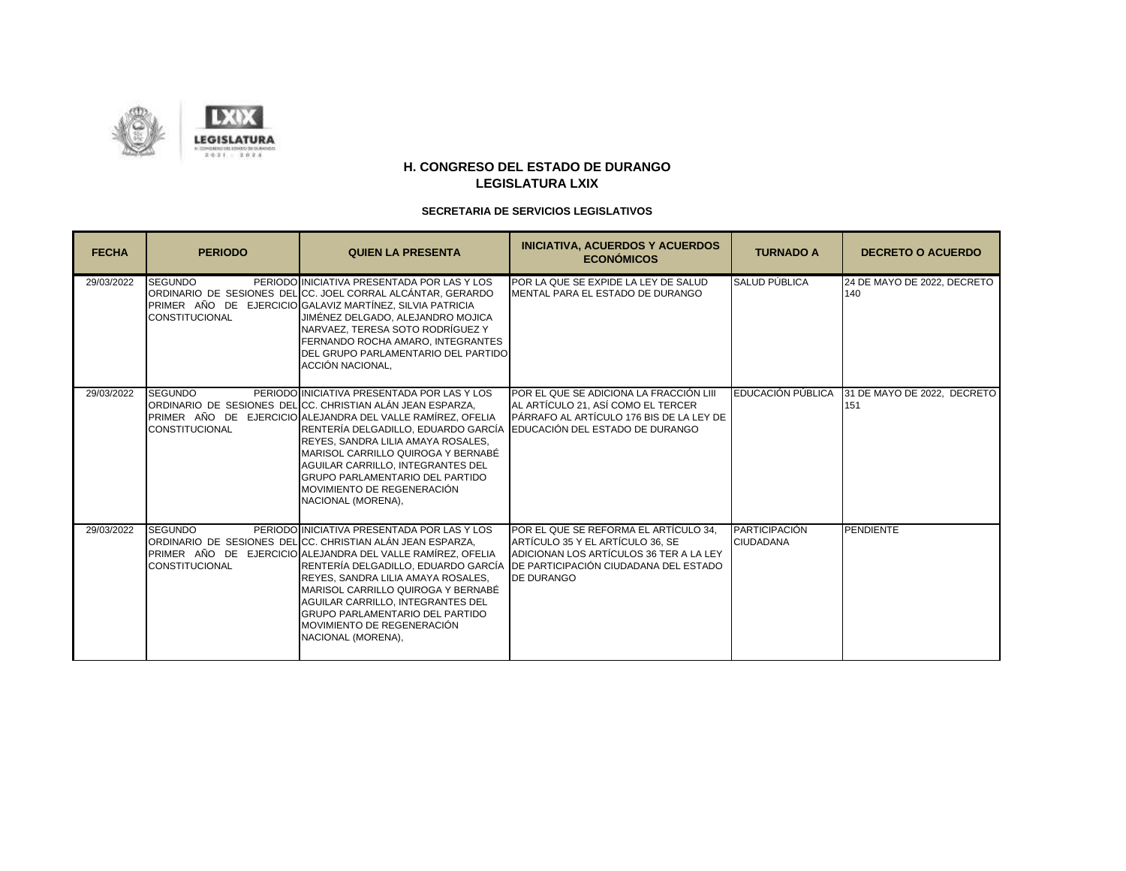

| <b>FECHA</b> | <b>PERIODO</b>                          | <b>QUIEN LA PRESENTA</b>                                                                                                                                                                                                                                                                                                                                                                                                        | <b>INICIATIVA, ACUERDOS Y ACUERDOS</b><br><b>ECONÓMICOS</b>                                                                                                                                                            | <b>TURNADO A</b>                  | <b>DECRETO O ACUERDO</b>           |
|--------------|-----------------------------------------|---------------------------------------------------------------------------------------------------------------------------------------------------------------------------------------------------------------------------------------------------------------------------------------------------------------------------------------------------------------------------------------------------------------------------------|------------------------------------------------------------------------------------------------------------------------------------------------------------------------------------------------------------------------|-----------------------------------|------------------------------------|
| 29/03/2022   | <b>SEGUNDO</b><br><b>CONSTITUCIONAL</b> | PERIODO INICIATIVA PRESENTADA POR LAS Y LOS<br>ORDINARIO DE SESIONES DEL CC. JOEL CORRAL ALCÁNTAR, GERARDO<br>PRIMER AÑO DE EJERCICIO GALAVIZ MARTÍNEZ, SILVIA PATRICIA<br>JIMÉNEZ DELGADO, ALEJANDRO MOJICA<br>NARVAEZ. TERESA SOTO RODRÍGUEZ Y<br>FERNANDO ROCHA AMARO, INTEGRANTES<br>DEL GRUPO PARLAMENTARIO DEL PARTIDO<br>ACCIÓN NACIONAL.                                                                                | POR LA QUE SE EXPIDE LA LEY DE SALUD<br>IMENTAL PARA EL ESTADO DE DURANGO                                                                                                                                              | SALUD PÚBLICA                     | 24 DE MAYO DE 2022, DECRETO<br>140 |
| 29/03/2022   | <b>SEGUNDO</b><br><b>CONSTITUCIONAL</b> | PERIODO INICIATIVA PRESENTADA POR LAS Y LOS<br>IORDINARIO DE SESIONES DELICC. CHRISTIAN ALÁN JEAN ESPARZA.<br>PRIMER AÑO DE EJERCICIO ALEJANDRA DEL VALLE RAMÍREZ, OFELIA<br>RENTERÍA DELGADILLO. EDUARDO GARCÍA<br>REYES, SANDRA LILIA AMAYA ROSALES,<br>MARISOL CARRILLO QUIROGA Y BERNABÉ<br>AGUILAR CARRILLO. INTEGRANTES DEL<br><b>GRUPO PARLAMENTARIO DEL PARTIDO</b><br>MOVIMIENTO DE REGENERACIÓN<br>NACIONAL (MORENA), | POR EL QUE SE ADICIONA LA FRACCIÓN LIII<br>AL ARTÍCULO 21. ASÍ COMO EL TERCER<br>PÁRRAFO AL ARTÍCULO 176 BIS DE LA LEY DE<br>EDUCACIÓN DEL ESTADO DE DURANGO                                                           | <b>EDUCACIÓN PÚBLICA</b>          | 31 DE MAYO DE 2022. DECRETO<br>151 |
| 29/03/2022   | <b>SEGUNDO</b><br><b>CONSTITUCIONAL</b> | PERIODO INICIATIVA PRESENTADA POR LAS Y LOS<br>ORDINARIO DE SESIONES DELICC. CHRISTIAN ALÁN JEAN ESPARZA.<br>PRIMER AÑO DE EJERCICIO ALEJANDRA DEL VALLE RAMÍREZ, OFELIA<br>REYES. SANDRA LILIA AMAYA ROSALES.<br>MARISOL CARRILLO QUIROGA Y BERNABÉ<br>AGUILAR CARRILLO. INTEGRANTES DEL<br><b>GRUPO PARLAMENTARIO DEL PARTIDO</b><br>MOVIMIENTO DE REGENERACIÓN<br>NACIONAL (MORENA),                                         | POR EL QUE SE REFORMA EL ARTÍCULO 34.<br>ARTÍCULO 35 Y EL ARTÍCULO 36. SE<br>ADICIONAN LOS ARTÍCULOS 36 TER A LA LEY<br>RENTERÍA DELGADILLO. EDUARDO GARCÍA DE PARTICIPACIÓN CIUDADANA DEL ESTADO<br><b>DE DURANGO</b> | PARTICIPACIÓN<br><b>CIUDADANA</b> | <b>PENDIENTE</b>                   |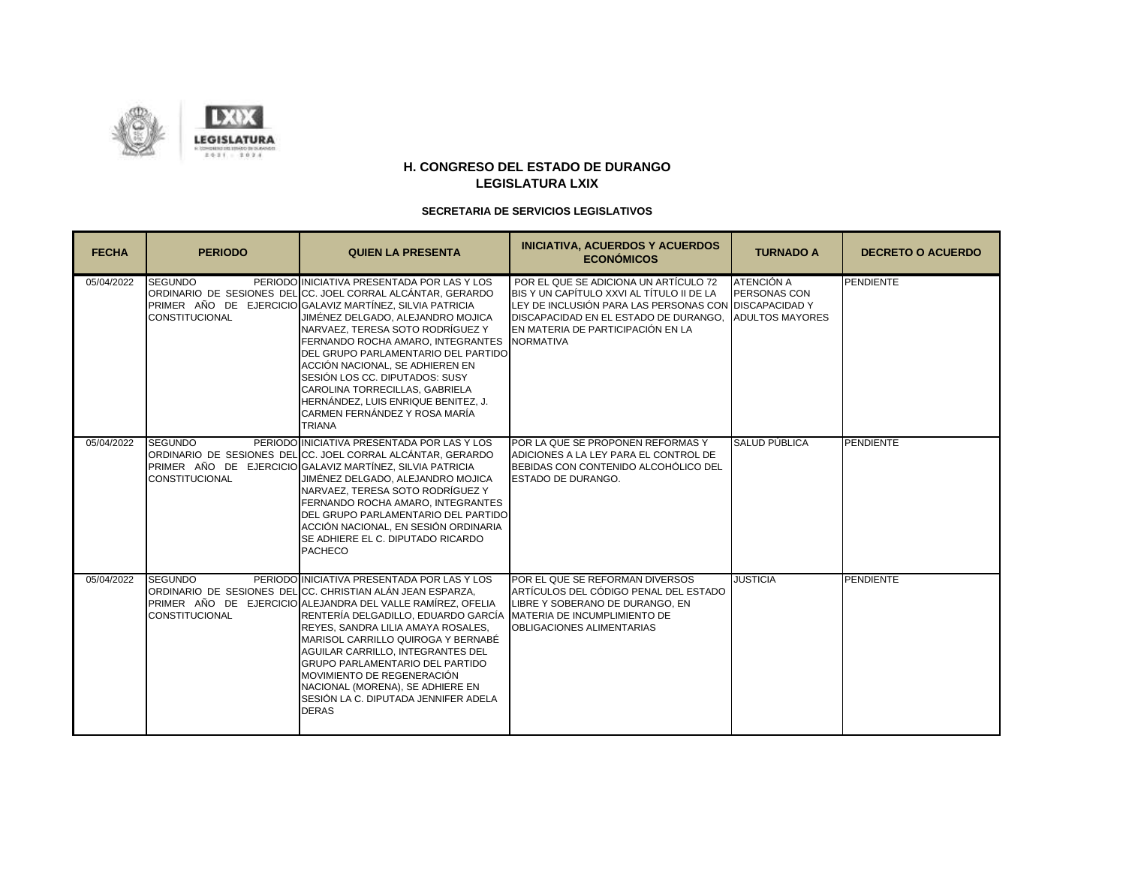



| <b>FECHA</b> | <b>PERIODO</b>                          | <b>QUIEN LA PRESENTA</b>                                                                                                                                                                                                                                                                                                                                                                                                                                                                                                          | <b>INICIATIVA, ACUERDOS Y ACUERDOS</b><br><b>ECONÓMICOS</b>                                                                                                                                                                                          | <b>TURNADO A</b>                                                   | <b>DECRETO O ACUERDO</b> |
|--------------|-----------------------------------------|-----------------------------------------------------------------------------------------------------------------------------------------------------------------------------------------------------------------------------------------------------------------------------------------------------------------------------------------------------------------------------------------------------------------------------------------------------------------------------------------------------------------------------------|------------------------------------------------------------------------------------------------------------------------------------------------------------------------------------------------------------------------------------------------------|--------------------------------------------------------------------|--------------------------|
| 05/04/2022   | <b>SEGUNDO</b><br><b>CONSTITUCIONAL</b> | PERIODO INICIATIVA PRESENTADA POR LAS Y LOS<br>ORDINARIO DE SESIONES DELICC. JOEL CORRAL ALCÁNTAR. GERARDO<br>PRIMER AÑO DE EJERCICIO GALAVIZ MARTÍNEZ, SILVIA PATRICIA<br>JIMÉNEZ DELGADO, ALEJANDRO MOJICA<br>NARVAEZ. TERESA SOTO RODRÍGUEZ Y<br>FERNANDO ROCHA AMARO, INTEGRANTES<br>DEL GRUPO PARLAMENTARIO DEL PARTIDO<br>ACCIÓN NACIONAL, SE ADHIEREN EN<br>SESIÓN LOS CC. DIPUTADOS: SUSY<br>CAROLINA TORRECILLAS, GABRIELA<br>HERNÁNDEZ, LUIS ENRIQUE BENITEZ, J.<br>CARMEN FERNÁNDEZ Y ROSA MARÍA<br><b>TRIANA</b>      | POR EL QUE SE ADICIONA UN ARTÍCULO 72<br>BIS Y UN CAPÍTULO XXVI AL TÍTULO II DE LA<br>LEY DE INCLUSIÓN PARA LAS PERSONAS CON DISCAPACIDAD Y<br><b>DISCAPACIDAD EN EL ESTADO DE DURANGO.</b><br>EN MATERIA DE PARTICIPACIÓN EN LA<br><b>NORMATIVA</b> | <b>ATENCIÓN A</b><br><b>PERSONAS CON</b><br><b>ADULTOS MAYORES</b> | <b>PENDIENTE</b>         |
| 05/04/2022   | <b>SEGUNDO</b><br><b>CONSTITUCIONAL</b> | PERIODO INICIATIVA PRESENTADA POR LAS Y LOS<br>ORDINARIO DE SESIONES DEL CC. JOEL CORRAL ALCÁNTAR. GERARDO<br>PRIMER AÑO DE EJERCICIO GALAVIZ MARTÍNEZ, SILVIA PATRICIA<br>JIMÉNEZ DELGADO, ALEJANDRO MOJICA<br>NARVAEZ. TERESA SOTO RODRÍGUEZ Y<br>FERNANDO ROCHA AMARO. INTEGRANTES<br>DEL GRUPO PARLAMENTARIO DEL PARTIDO<br>ACCIÓN NACIONAL, EN SESIÓN ORDINARIA<br>SE ADHIERE EL C. DIPUTADO RICARDO<br><b>PACHECO</b>                                                                                                       | <b>POR LA QUE SE PROPONEN REFORMAS Y</b><br>ADICIONES A LA LEY PARA EL CONTROL DE<br>BEBIDAS CON CONTENIDO ALCOHÓLICO DEL<br><b>ESTADO DE DURANGO.</b>                                                                                               | SALUD PÚBLICA                                                      | <b>PENDIENTE</b>         |
| 05/04/2022   | <b>SEGUNDO</b><br><b>CONSTITUCIONAL</b> | PERIODO INICIATIVA PRESENTADA POR LAS Y LOS<br>ORDINARIO DE SESIONES DELICC. CHRISTIAN ALÁN JEAN ESPARZA.<br>PRIMER AÑO DE EJERCICIO ALEJANDRA DEL VALLE RAMÍREZ. OFELIA<br>RENTERÍA DELGADILLO, EDUARDO GARCÍA MATERIA DE INCUMPLIMIENTO DE<br>REYES, SANDRA LILIA AMAYA ROSALES,<br>MARISOL CARRILLO QUIROGA Y BERNABÉ<br>AGUILAR CARRILLO. INTEGRANTES DEL<br><b>GRUPO PARLAMENTARIO DEL PARTIDO</b><br>MOVIMIENTO DE REGENERACIÓN<br>NACIONAL (MORENA), SE ADHIERE EN<br>SESIÓN LA C. DIPUTADA JENNIFER ADELA<br><b>DERAS</b> | POR EL QUE SE REFORMAN DIVERSOS<br>ARTÍCULOS DEL CÓDIGO PENAL DEL ESTADO<br>LIBRE Y SOBERANO DE DURANGO. EN<br>OBLIGACIONES ALIMENTARIAS                                                                                                             | <b>JUSTICIA</b>                                                    | PENDIENTE                |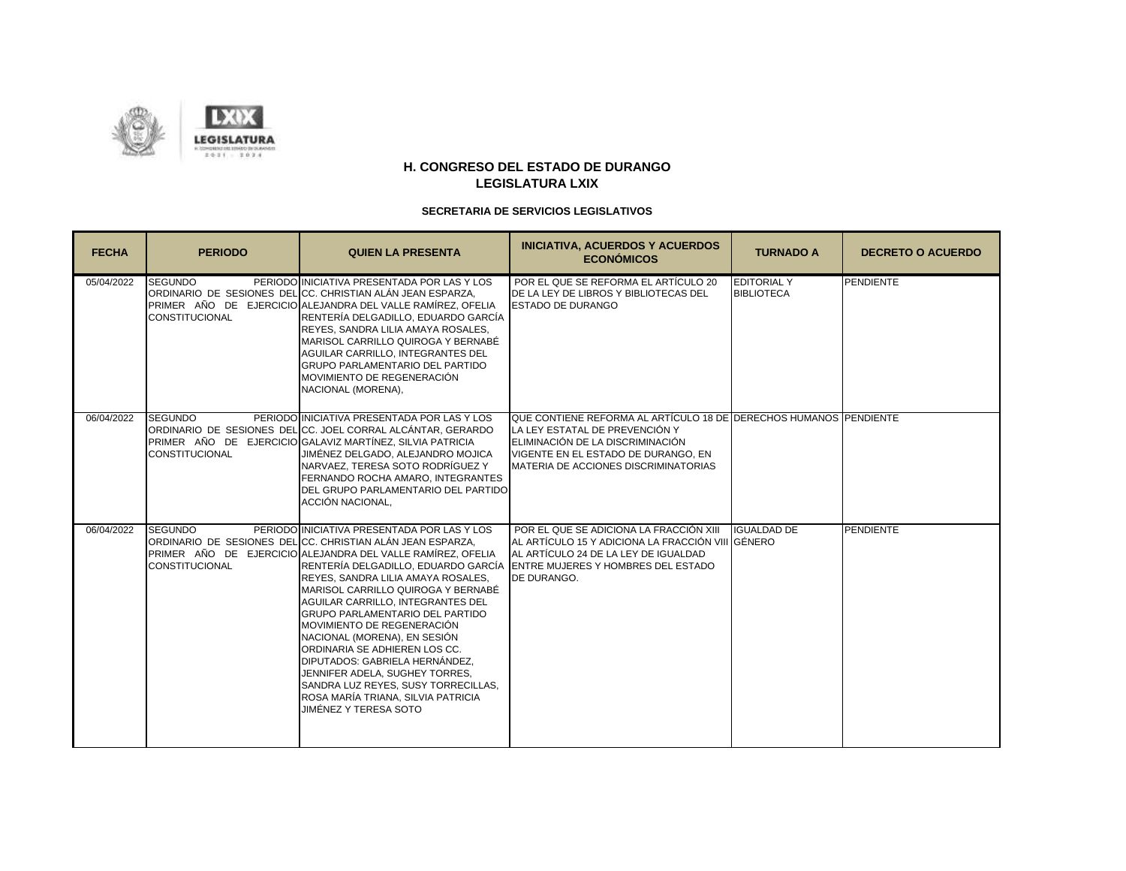



| <b>FECHA</b> | <b>PERIODO</b>                          | <b>QUIEN LA PRESENTA</b>                                                                                                                                                                                                                                                                                                                                                                                                                                                                                                                                                                                                                                                                | <b>INICIATIVA, ACUERDOS Y ACUERDOS</b><br><b>ECONÓMICOS</b>                                                                                                                                                                    | <b>TURNADO A</b>                        | <b>DECRETO O ACUERDO</b> |
|--------------|-----------------------------------------|-----------------------------------------------------------------------------------------------------------------------------------------------------------------------------------------------------------------------------------------------------------------------------------------------------------------------------------------------------------------------------------------------------------------------------------------------------------------------------------------------------------------------------------------------------------------------------------------------------------------------------------------------------------------------------------------|--------------------------------------------------------------------------------------------------------------------------------------------------------------------------------------------------------------------------------|-----------------------------------------|--------------------------|
| 05/04/2022   | <b>SEGUNDO</b><br><b>CONSTITUCIONAL</b> | PERIODO INICIATIVA PRESENTADA POR LAS Y LOS<br>ORDINARIO DE SESIONES DELICC. CHRISTIAN ALÁN JEAN ESPARZA.<br>PRIMER AÑO DE EJERCICIO ALEJANDRA DEL VALLE RAMÍREZ. OFELIA<br>RENTERÍA DELGADILLO, EDUARDO GARCÍA<br>REYES, SANDRA LILIA AMAYA ROSALES,<br>MARISOL CARRILLO QUIROGA Y BERNABÉ<br>AGUILAR CARRILLO. INTEGRANTES DEL<br><b>GRUPO PARLAMENTARIO DEL PARTIDO</b><br>MOVIMIENTO DE REGENERACIÓN<br>NACIONAL (MORENA),                                                                                                                                                                                                                                                          | POR EL QUE SE REFORMA EL ARTÍCULO 20<br>DE LA LEY DE LIBROS Y BIBLIOTECAS DEL<br><b>ESTADO DE DURANGO</b>                                                                                                                      | <b>EDITORIAL Y</b><br><b>BIBLIOTECA</b> | PENDIENTE                |
| 06/04/2022   | <b>SEGUNDO</b><br><b>CONSTITUCIONAL</b> | PERIODO INICIATIVA PRESENTADA POR LAS Y LOS<br>ORDINARIO DE SESIONES DEL CC. JOEL CORRAL ALCÁNTAR, GERARDO<br>PRIMER AÑO DE EJERCICIO GALAVIZ MARTÍNEZ, SILVIA PATRICIA<br>JIMÉNEZ DELGADO, ALEJANDRO MOJICA<br>NARVAEZ, TERESA SOTO RODRÍGUEZ Y<br>FERNANDO ROCHA AMARO. INTEGRANTES<br>DEL GRUPO PARLAMENTARIO DEL PARTIDO<br>ACCIÓN NACIONAL.                                                                                                                                                                                                                                                                                                                                        | QUE CONTIENE REFORMA AL ARTÍCULO 18 DE DERECHOS HUMANOS PENDIENTE<br>LA LEY ESTATAL DE PREVENCIÓN Y<br>ELIMINACIÓN DE LA DISCRIMINACIÓN<br>VIGENTE EN EL ESTADO DE DURANGO. EN<br><b>IMATERIA DE ACCIONES DISCRIMINATORIAS</b> |                                         |                          |
| 06/04/2022   | <b>SEGUNDO</b><br><b>CONSTITUCIONAL</b> | PERIODO INICIATIVA PRESENTADA POR LAS Y LOS<br>ORDINARIO DE SESIONES DELICC. CHRISTIAN ALÁN JEAN ESPARZA.<br>PRIMER AÑO DE EJERCICIO ALEJANDRA DEL VALLE RAMÍREZ, OFELIA<br>RENTERÍA DELGADILLO. EDUARDO GARCÍA IENTRE MUJERES Y HOMBRES DEL ESTADO<br>REYES, SANDRA LILIA AMAYA ROSALES,<br>MARISOL CARRILLO QUIROGA Y BERNABÉ<br>AGUILAR CARRILLO. INTEGRANTES DEL<br><b>GRUPO PARLAMENTARIO DEL PARTIDO</b><br>MOVIMIENTO DE REGENERACIÓN<br>NACIONAL (MORENA), EN SESIÓN<br>ORDINARIA SE ADHIEREN LOS CC.<br>DIPUTADOS: GABRIELA HERNÁNDEZ.<br>JENNIFER ADELA, SUGHEY TORRES,<br>SANDRA LUZ REYES, SUSY TORRECILLAS,<br>ROSA MARÍA TRIANA, SILVIA PATRICIA<br>JIMÉNEZ Y TERESA SOTO | POR EL QUE SE ADICIONA LA FRACCIÓN XIII   IGUALDAD DE<br>AL ARTÍCULO 15 Y ADICIONA LA FRACCIÓN VIII GÉNERO<br>AL ARTÍCULO 24 DE LA LEY DE IGUALDAD<br>DE DURANGO.                                                              |                                         | PENDIENTE                |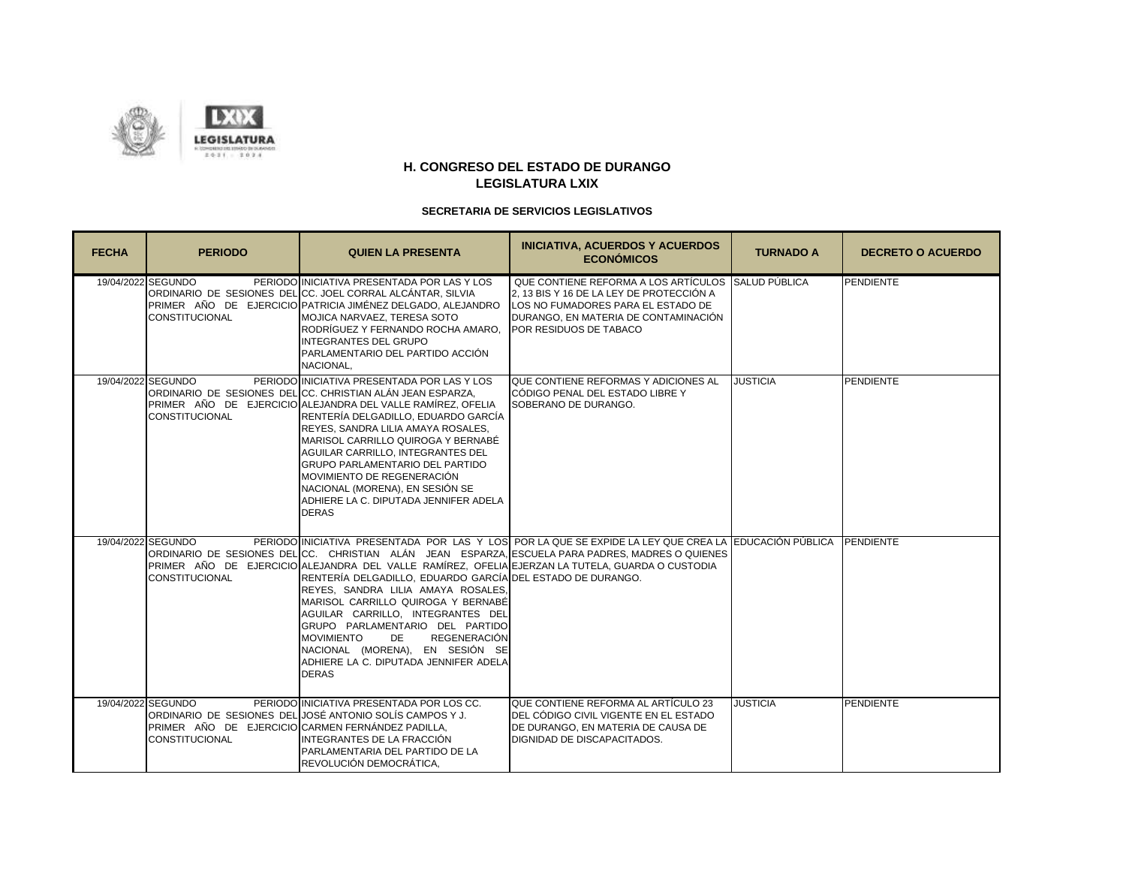

| <b>FECHA</b>       | <b>PERIODO</b>                                                                                   | <b>QUIEN LA PRESENTA</b>                                                                                                                                                                                                                                                                                                                                                                                                                                                                              | <b>INICIATIVA, ACUERDOS Y ACUERDOS</b><br><b>ECONÓMICOS</b>                                                                                                                                                         | <b>TURNADO A</b> | <b>DECRETO O ACUERDO</b> |
|--------------------|--------------------------------------------------------------------------------------------------|-------------------------------------------------------------------------------------------------------------------------------------------------------------------------------------------------------------------------------------------------------------------------------------------------------------------------------------------------------------------------------------------------------------------------------------------------------------------------------------------------------|---------------------------------------------------------------------------------------------------------------------------------------------------------------------------------------------------------------------|------------------|--------------------------|
|                    | 19/04/2022 SEGUNDO<br><b>CONSTITUCIONAL</b>                                                      | PERIODO INICIATIVA PRESENTADA POR LAS Y LOS<br>ORDINARIO DE SESIONES DEL CC. JOEL CORRAL ALCÁNTAR, SILVIA<br>PRIMER AÑO DE EJERCICIO PATRICIA JIMÉNEZ DELGADO, ALEJANDRO<br>MOJICA NARVAEZ, TERESA SOTO<br>RODRÍGUEZ Y FERNANDO ROCHA AMARO.<br><b>INTEGRANTES DEL GRUPO</b><br>PARLAMENTARIO DEL PARTIDO ACCIÓN<br>NACIONAL.                                                                                                                                                                         | QUE CONTIENE REFORMA A LOS ARTÍCULOS SALUD PÚBLICA<br>2, 13 BIS Y 16 DE LA LEY DE PROTECCIÓN A<br>LOS NO FUMADORES PARA EL ESTADO DE<br>DURANGO, EN MATERIA DE CONTAMINACIÓN<br>POR RESIDUOS DE TABACO              |                  | <b>PENDIENTE</b>         |
| 19/04/2022 SEGUNDO | <b>CONSTITUCIONAL</b>                                                                            | PERIODO INICIATIVA PRESENTADA POR LAS Y LOS<br>IORDINARIO DE SESIONES DELICC. CHRISTIAN ALÁN JEAN ESPARZA.<br>PRIMER AÑO DE EJERCICIO ALEJANDRA DEL VALLE RAMÍREZ, OFELIA<br>RENTERÍA DELGADILLO, EDUARDO GARCÍA<br>REYES, SANDRA LILIA AMAYA ROSALES,<br>MARISOL CARRILLO QUIROGA Y BERNABÉ<br>AGUILAR CARRILLO. INTEGRANTES DEL<br><b>GRUPO PARLAMENTARIO DEL PARTIDO</b><br>MOVIMIENTO DE REGENERACIÓN<br>NACIONAL (MORENA), EN SESIÓN SE<br>ADHIERE LA C. DIPUTADA JENNIFER ADELA<br><b>DERAS</b> | QUE CONTIENE REFORMAS Y ADICIONES AL<br><b>CÓDIGO PENAL DEL ESTADO LIBRE Y</b><br>SOBERANO DE DURANGO.                                                                                                              | <b>JUSTICIA</b>  | <b>PENDIENTE</b>         |
| 19/04/2022 SEGUNDO | <b>CONSTITUCIONAL</b>                                                                            | PRIMER AÑO DE EJERCICIO ALEJANDRA DEL VALLE RAMÍREZ, OFELIA EJERZAN LA TUTELA, GUARDA O CUSTODIA<br>RENTERÍA DELGADILLO, EDUARDO GARCÍA DEL ESTADO DE DURANGO.<br>REYES, SANDRA LILIA AMAYA ROSALES,<br>MARISOL CARRILLO QUIROGA Y BERNABÉ<br>AGUILAR CARRILLO, INTEGRANTES DEL<br>GRUPO PARLAMENTARIO DEL PARTIDO<br><b>MOVIMIENTO</b><br><b>REGENERACIÓN</b><br>DE<br>NACIONAL (MORENA), EN SESIÓN SE<br>ADHIERE LA C. DIPUTADA JENNIFER ADELA<br><b>DERAS</b>                                      | PERIODO INICIATIVA PRESENTADA POR LAS Y LOS POR LA QUE SE EXPIDE LA LEY QUE CREA LA EDUCACIÓN PÚBLICA PENDIENTE<br>ORDINARIO DE SESIONES DEL CC. CHRISTIAN ALÁN JEAN ESPARZA. ESCUELA PARA PADRES, MADRES O QUIENES |                  |                          |
|                    | 19/04/2022 SEGUNDO<br>PRIMER AÑO DE EJERCICIO CARMEN FERNÁNDEZ PADILLA,<br><b>CONSTITUCIONAL</b> | PERIODO INICIATIVA PRESENTADA POR LOS CC.<br>ORDINARIO DE SESIONES DELLJOSÉ ANTONIO SOLÍS CAMPOS Y J.<br>INTEGRANTES DE LA FRACCIÓN<br>PARLAMENTARIA DEL PARTIDO DE LA<br>REVOLUCIÓN DEMOCRÁTICA.                                                                                                                                                                                                                                                                                                     | QUE CONTIENE REFORMA AL ARTÍCULO 23<br>DEL CÓDIGO CIVIL VIGENTE EN EL ESTADO<br>DE DURANGO, EN MATERIA DE CAUSA DE<br>DIGNIDAD DE DISCAPACITADOS.                                                                   | <b>JUSTICIA</b>  | <b>PENDIENTE</b>         |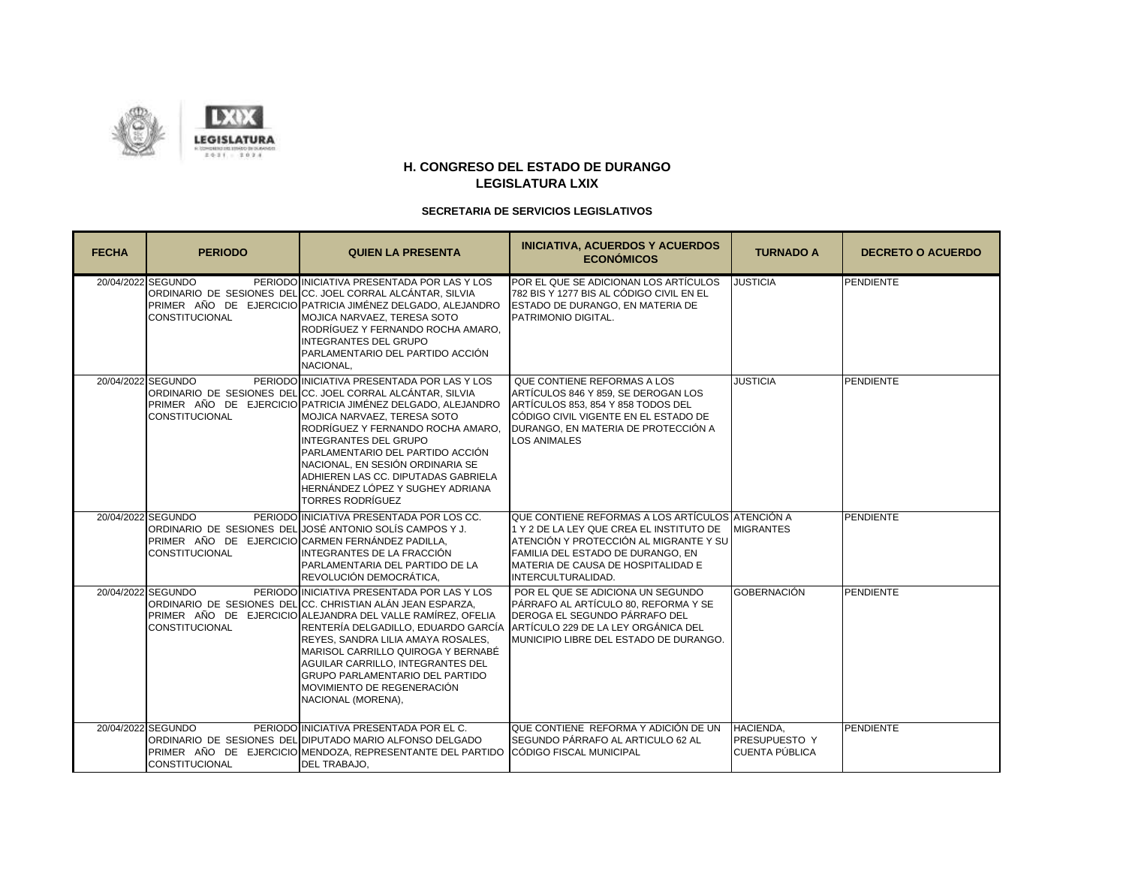

| <b>FECHA</b> | <b>PERIODO</b>                                                                            | <b>QUIEN LA PRESENTA</b>                                                                                                                                                                                                                                                                                                                                                                                                                            | <b>INICIATIVA, ACUERDOS Y ACUERDOS</b><br><b>ECONÓMICOS</b>                                                                                                                                                                             | <b>TURNADO A</b>                             | <b>DECRETO O ACUERDO</b> |
|--------------|-------------------------------------------------------------------------------------------|-----------------------------------------------------------------------------------------------------------------------------------------------------------------------------------------------------------------------------------------------------------------------------------------------------------------------------------------------------------------------------------------------------------------------------------------------------|-----------------------------------------------------------------------------------------------------------------------------------------------------------------------------------------------------------------------------------------|----------------------------------------------|--------------------------|
|              | 20/04/2022 SEGUNDO<br><b>CONSTITUCIONAL</b>                                               | PERIODO INICIATIVA PRESENTADA POR LAS Y LOS<br>ORDINARIO DE SESIONES DEL CC. JOEL CORRAL ALCÁNTAR, SILVIA<br>PRIMER AÑO DE EJERCICIO PATRICIA JIMÉNEZ DELGADO, ALEJANDRO<br>MOJICA NARVAEZ. TERESA SOTO<br>RODRÍGUEZ Y FERNANDO ROCHA AMARO.<br><b>INTEGRANTES DEL GRUPO</b><br>PARLAMENTARIO DEL PARTIDO ACCIÓN<br>NACIONAL.                                                                                                                       | POR EL QUE SE ADICIONAN LOS ARTÍCULOS<br>782 BIS Y 1277 BIS AL CÓDIGO CIVIL EN EL<br>ESTADO DE DURANGO, EN MATERIA DE<br>PATRIMONIO DIGITAL.                                                                                            | <b>JUSTICIA</b>                              | PENDIENTE                |
|              | 20/04/2022 SEGUNDO<br><b>CONSTITUCIONAL</b>                                               | PERIODO INICIATIVA PRESENTADA POR LAS Y LOS<br>ORDINARIO DE SESIONES DEL CC. JOEL CORRAL ALCÁNTAR, SILVIA<br>PRIMER AÑO DE EJERCICIO PATRICIA JIMÉNEZ DELGADO, ALEJANDRO<br>MOJICA NARVAEZ, TERESA SOTO<br>RODRÍGUEZ Y FERNANDO ROCHA AMARO.<br><b>INTEGRANTES DEL GRUPO</b><br>PARLAMENTARIO DEL PARTIDO ACCIÓN<br>NACIONAL, EN SESIÓN ORDINARIA SE<br>ADHIEREN LAS CC. DIPUTADAS GABRIELA<br>HERNÁNDEZ LÓPEZ Y SUGHEY ADRIANA<br>TORRES RODRÍGUEZ | QUE CONTIENE REFORMAS A LOS<br>ARTÍCULOS 846 Y 859, SE DEROGAN LOS<br>ARTÍCULOS 853, 854 Y 858 TODOS DEL<br>CÓDIGO CIVIL VIGENTE EN EL ESTADO DE<br>DURANGO. EN MATERIA DE PROTECCIÓN A<br><b>LOS ANIMALES</b>                          | <b>JUSTICIA</b>                              | PENDIENTE                |
|              | 20/04/2022 SEGUNDO<br>PRIMER AÑO DE EJERCICIO CARMEN FERNÁNDEZ PADILLA,<br>CONSTITUCIONAL | PERIODO INICIATIVA PRESENTADA POR LOS CC.<br>ORDINARIO DE SESIONES DEL JOSÉ ANTONIO SOLÍS CAMPOS Y J.<br>INTEGRANTES DE LA FRACCIÓN<br>PARLAMENTARIA DEL PARTIDO DE LA<br>REVOLUCIÓN DEMOCRÁTICA.                                                                                                                                                                                                                                                   | QUE CONTIENE REFORMAS A LOS ARTÍCULOS ATENCIÓN A<br>1 Y 2 DE LA LEY QUE CREA EL INSTITUTO DE<br>ATENCIÓN Y PROTECCIÓN AL MIGRANTE Y SU<br>FAMILIA DEL ESTADO DE DURANGO, EN<br>MATERIA DE CAUSA DE HOSPITALIDAD E<br>INTERCULTURALIDAD. | <b>MIGRANTES</b>                             | PENDIENTE                |
|              | 20/04/2022 SEGUNDO<br>CONSTITUCIONAL                                                      | PERIODO INICIATIVA PRESENTADA POR LAS Y LOS<br>ORDINARIO DE SESIONES DEL CC. CHRISTIAN ALÁN JEAN ESPARZA,<br>PRIMER AÑO DE EJERCICIO ALEJANDRA DEL VALLE RAMÍREZ. OFELIA<br>RENTERÍA DELGADILLO, EDUARDO GARCÍA<br>REYES, SANDRA LILIA AMAYA ROSALES,<br>MARISOL CARRILLO QUIROGA Y BERNABÉ<br>AGUILAR CARRILLO, INTEGRANTES DEL<br><b>GRUPO PARLAMENTARIO DEL PARTIDO</b><br>MOVIMIENTO DE REGENERACIÓN<br>NACIONAL (MORENA),                      | POR EL QUE SE ADICIONA UN SEGUNDO<br>PÁRRAFO AL ARTÍCULO 80, REFORMA Y SE<br>DEROGA EL SEGUNDO PÁRRAFO DEL<br>ARTÍCULO 229 DE LA LEY ORGÁNICA DEL<br>MUNICIPIO LIBRE DEL ESTADO DE DURANGO.                                             | <b>GOBERNACIÓN</b>                           | <b>PENDIENTE</b>         |
|              | 20/04/2022 SEGUNDO<br>CONSTITUCIONAL                                                      | PERIODO INICIATIVA PRESENTADA POR EL C.<br>ORDINARIO DE SESIONES DEL DIPUTADO MARIO ALFONSO DELGADO<br>PRIMER AÑO DE EJERCICIO MENDOZA. REPRESENTANTE DEL PARTIDO<br>DEL TRABAJO,                                                                                                                                                                                                                                                                   | QUE CONTIENE REFORMA Y ADICIÓN DE UN<br>SEGUNDO PÁRRAFO AL ARTICULO 62 AL<br>CÓDIGO FISCAL MUNICIPAL                                                                                                                                    | HACIENDA,<br>PRESUPUESTO Y<br>CUENTA PÚBLICA | <b>PENDIENTE</b>         |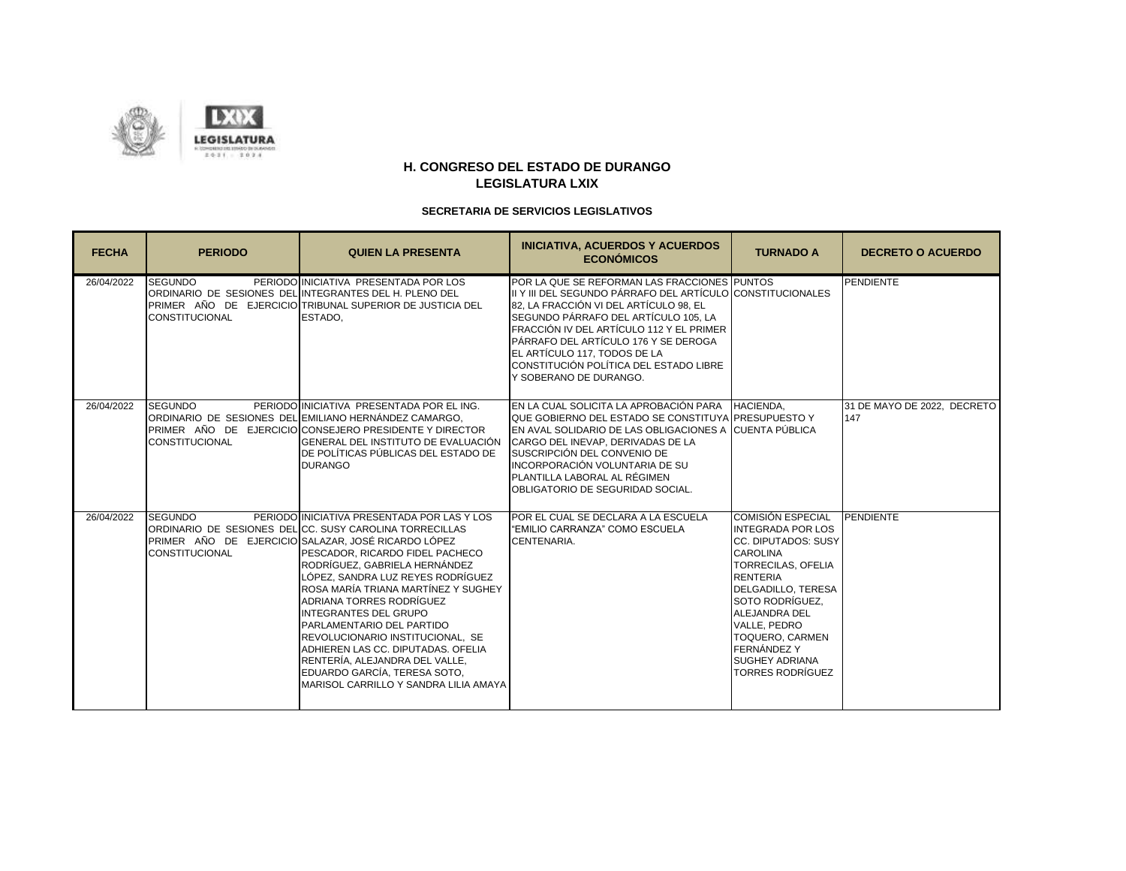

| <b>FECHA</b> | <b>PERIODO</b>                          | <b>QUIEN LA PRESENTA</b>                                                                                                                                                                                                                                                                                                                                                                                                                                                                                                                                                                            | <b>INICIATIVA, ACUERDOS Y ACUERDOS</b><br><b>ECONÓMICOS</b>                                                                                                                                                                                                                                                                                                                          | <b>TURNADO A</b>                                                                                                                                                                                                                                                                                                             | <b>DECRETO O ACUERDO</b>           |
|--------------|-----------------------------------------|-----------------------------------------------------------------------------------------------------------------------------------------------------------------------------------------------------------------------------------------------------------------------------------------------------------------------------------------------------------------------------------------------------------------------------------------------------------------------------------------------------------------------------------------------------------------------------------------------------|--------------------------------------------------------------------------------------------------------------------------------------------------------------------------------------------------------------------------------------------------------------------------------------------------------------------------------------------------------------------------------------|------------------------------------------------------------------------------------------------------------------------------------------------------------------------------------------------------------------------------------------------------------------------------------------------------------------------------|------------------------------------|
| 26/04/2022   | <b>SEGUNDO</b><br><b>CONSTITUCIONAL</b> | PERIODO INICIATIVA PRESENTADA POR LOS<br>ORDINARIO DE SESIONES DEL INTEGRANTES DEL H. PLENO DEL<br>PRIMER AÑO DE EJERCICIO TRIBUNAL SUPERIOR DE JUSTICIA DEL<br>ESTADO.                                                                                                                                                                                                                                                                                                                                                                                                                             | POR LA QUE SE REFORMAN LAS FRACCIONES PUNTOS<br>II Y III DEL SEGUNDO PÁRRAFO DEL ARTÍCULO CONSTITUCIONALES<br>82, LA FRACCIÓN VI DEL ARTÍCULO 98, EL<br>SEGUNDO PÁRRAFO DEL ARTÍCULO 105. LA<br>FRACCIÓN IV DEL ARTÍCULO 112 Y EL PRIMER<br>PÁRRAFO DEL ARTÍCULO 176 Y SE DEROGA<br>EL ARTÍCULO 117, TODOS DE LA<br>CONSTITUCIÓN POLÍTICA DEL ESTADO LIBRE<br>Y SOBERANO DE DURANGO. |                                                                                                                                                                                                                                                                                                                              | <b>PENDIENTE</b>                   |
| 26/04/2022   | <b>SEGUNDO</b><br><b>CONSTITUCIONAL</b> | PERIODO INICIATIVA PRESENTADA POR EL ING.<br>ORDINARIO DE SESIONES DEL EMILIANO HERNÁNDEZ CAMARGO,<br>PRIMER AÑO DE EJERCICIO CONSEJERO PRESIDENTE Y DIRECTOR<br>GENERAL DEL INSTITUTO DE EVALUACIÓN<br>DE POLÍTICAS PÚBLICAS DEL ESTADO DE<br><b>DURANGO</b>                                                                                                                                                                                                                                                                                                                                       | EN LA CUAL SOLICITA LA APROBACIÓN PARA HACIENDA.<br>QUE GOBIERNO DEL ESTADO SE CONSTITUYA PRESUPUESTO Y<br>EN AVAL SOLIDARIO DE LAS OBLIGACIONES A CUENTA PÚBLICA<br>CARGO DEL INEVAP. DERIVADAS DE LA<br>SUSCRIPCIÓN DEL CONVENIO DE<br>INCORPORACIÓN VOLUNTARIA DE SU<br>PLANTILLA LABORAL AL RÉGIMEN<br>OBLIGATORIO DE SEGURIDAD SOCIAL.                                          |                                                                                                                                                                                                                                                                                                                              | 31 DE MAYO DE 2022. DECRETO<br>147 |
| 26/04/2022   | <b>SEGUNDO</b><br><b>CONSTITUCIONAL</b> | PERIODO INICIATIVA PRESENTADA POR LAS Y LOS<br>ORDINARIO DE SESIONES DELICC. SUSY CAROLINA TORRECILLAS<br><b>PRIMER AÑO DE EJERCICIO SALAZAR. JOSÉ RICARDO LÓPEZ</b><br>PESCADOR, RICARDO FIDEL PACHECO<br>RODRÍGUEZ. GABRIELA HERNÁNDEZ<br>LÓPEZ. SANDRA LUZ REYES RODRÍGUEZ.<br>ROSA MARÍA TRIANA MARTÍNEZ Y SUGHEY<br>ADRIANA TORRES RODRÍGUEZ<br><b>INTEGRANTES DEL GRUPO</b><br>PARLAMENTARIO DEL PARTIDO<br>REVOLUCIONARIO INSTITUCIONAL. SE<br>ADHIEREN LAS CC. DIPUTADAS. OFELIA<br>RENTERÍA, ALEJANDRA DEL VALLE,<br>EDUARDO GARCÍA, TERESA SOTO,<br>MARISOL CARRILLO Y SANDRA LILIA AMAYA | POR EL CUAL SE DECLARA A LA ESCUELA<br>FEMILIO CARRANZA" COMO ESCUELA<br>CENTENARIA.                                                                                                                                                                                                                                                                                                 | <b>COMISIÓN ESPECIAL</b><br><b>INTEGRADA POR LOS</b><br>CC. DIPUTADOS: SUSY<br><b>CAROLINA</b><br><b>TORRECILAS, OFELIA</b><br><b>RENTERIA</b><br>DELGADILLO, TERESA<br>SOTO RODRÍGUEZ.<br><b>ALEJANDRA DEL</b><br>VALLE, PEDRO<br><b>TOQUERO, CARMEN</b><br>FERNÁNDEZ Y<br><b>SUGHEY ADRIANA</b><br><b>TORRES RODRÍGUEZ</b> | PENDIENTE                          |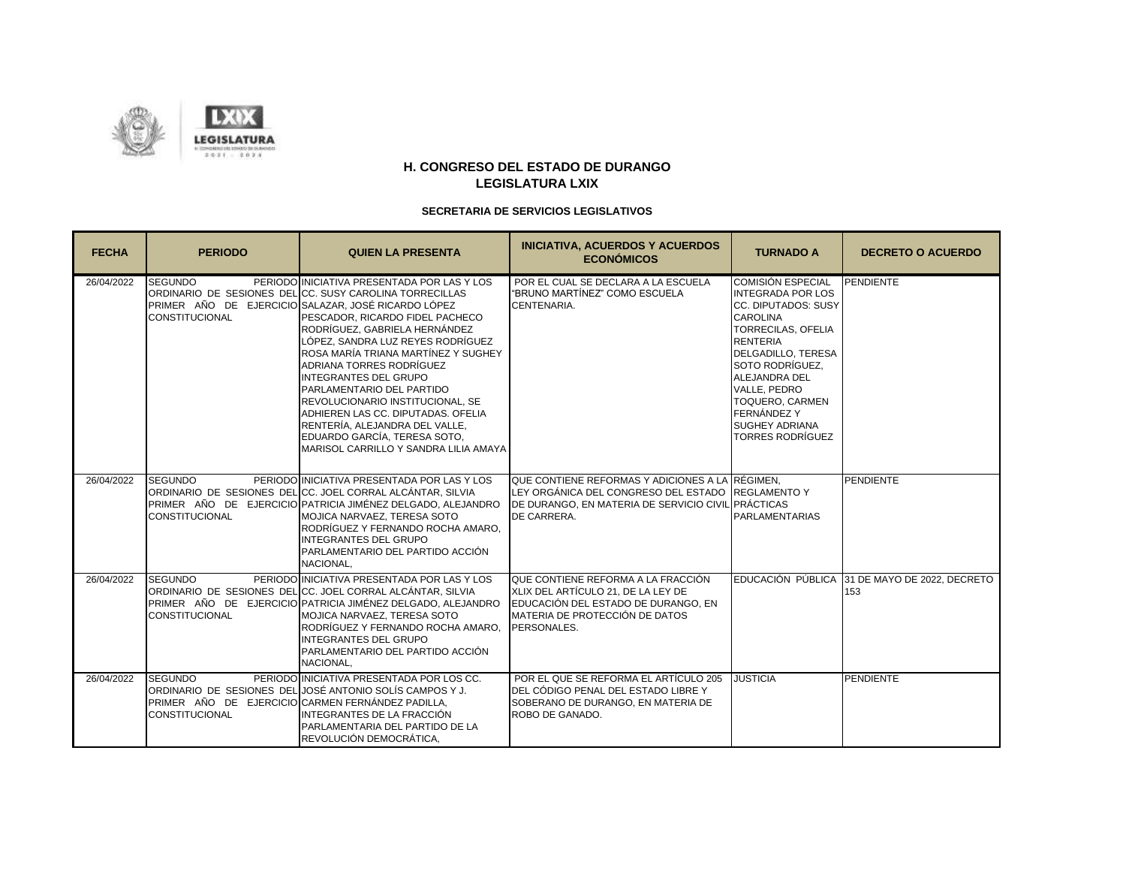

| <b>FECHA</b> | <b>PERIODO</b>                                                                               | <b>QUIEN LA PRESENTA</b>                                                                                                                                                                                                                                                                                                                                                                                                                                                                                                                                                                    | <b>INICIATIVA, ACUERDOS Y ACUERDOS</b><br><b>ECONÓMICOS</b>                                                                                                               | <b>TURNADO A</b>                                                                                                                                                                                                                                                                                                     | <b>DECRETO O ACUERDO</b>                             |
|--------------|----------------------------------------------------------------------------------------------|---------------------------------------------------------------------------------------------------------------------------------------------------------------------------------------------------------------------------------------------------------------------------------------------------------------------------------------------------------------------------------------------------------------------------------------------------------------------------------------------------------------------------------------------------------------------------------------------|---------------------------------------------------------------------------------------------------------------------------------------------------------------------------|----------------------------------------------------------------------------------------------------------------------------------------------------------------------------------------------------------------------------------------------------------------------------------------------------------------------|------------------------------------------------------|
| 26/04/2022   | <b>SEGUNDO</b><br><b>CONSTITUCIONAL</b>                                                      | PERIODO INICIATIVA PRESENTADA POR LAS Y LOS<br>ORDINARIO DE SESIONES DEL CC. SUSY CAROLINA TORRECILLAS<br>PRIMER AÑO DE EJERCICIO SALAZAR, JOSÉ RICARDO LÓPEZ<br>PESCADOR. RICARDO FIDEL PACHECO<br>RODRÍGUEZ. GABRIELA HERNÁNDEZ<br>LÓPEZ, SANDRA LUZ REYES RODRÍGUEZ<br>ROSA MARÍA TRIANA MARTÍNEZ Y SUGHEY<br>ADRIANA TORRES RODRÍGUEZ<br><b>INTEGRANTES DEL GRUPO</b><br>PARLAMENTARIO DEL PARTIDO<br>REVOLUCIONARIO INSTITUCIONAL, SE<br>ADHIEREN LAS CC. DIPUTADAS, OFELIA<br>RENTERÍA, ALEJANDRA DEL VALLE,<br>EDUARDO GARCÍA, TERESA SOTO,<br>MARISOL CARRILLO Y SANDRA LILIA AMAYA | POR EL CUAL SE DECLARA A LA ESCUELA<br>"BRUNO MARTÍNEZ" COMO ESCUELA<br>CENTENARIA.                                                                                       | <b>COMISIÓN ESPECIAL</b><br><b>INTEGRADA POR LOS</b><br>CC. DIPUTADOS: SUSY<br><b>CAROLINA</b><br><b>TORRECILAS, OFELIA</b><br><b>RENTERIA</b><br>DELGADILLO, TERESA<br>SOTO RODRÍGUEZ.<br>ALEJANDRA DEL<br>VALLE, PEDRO<br>TOQUERO, CARMEN<br><b>FERNÁNDEZY</b><br><b>SUGHEY ADRIANA</b><br><b>TORRES RODRÍGUEZ</b> | PENDIENTE                                            |
| 26/04/2022   | <b>SEGUNDO</b><br><b>CONSTITUCIONAL</b>                                                      | PERIODO INICIATIVA PRESENTADA POR LAS Y LOS<br>ORDINARIO DE SESIONES DEL CC. JOEL CORRAL ALCÁNTAR, SILVIA<br>PRIMER AÑO DE EJERCICIO PATRICIA JIMÉNEZ DELGADO, ALEJANDRO<br>MOJICA NARVAEZ, TERESA SOTO<br>RODRÍGUEZ Y FERNANDO ROCHA AMARO.<br><b>INTEGRANTES DEL GRUPO</b><br>PARLAMENTARIO DEL PARTIDO ACCIÓN<br>NACIONAL.                                                                                                                                                                                                                                                               | QUE CONTIENE REFORMAS Y ADICIONES A LA RÉGIMEN.<br>LEY ORGÁNICA DEL CONGRESO DEL ESTADO REGLAMENTO Y<br>DE DURANGO, EN MATERIA DE SERVICIO CIVIL PRÁCTICAS<br>DE CARRERA. | <b>PARLAMENTARIAS</b>                                                                                                                                                                                                                                                                                                | PENDIENTE                                            |
| 26/04/2022   | <b>SEGUNDO</b><br><b>CONSTITUCIONAL</b>                                                      | PERIODO INICIATIVA PRESENTADA POR LAS Y LOS<br>ORDINARIO DE SESIONES DEL CC. JOEL CORRAL ALCÁNTAR, SILVIA<br>PRIMER AÑO DE EJERCICIO PATRICIA JIMÉNEZ DELGADO, ALEJANDRO<br>MOJICA NARVAEZ, TERESA SOTO<br>RODRÍGUEZ Y FERNANDO ROCHA AMARO.<br><b>INTEGRANTES DEL GRUPO</b><br>PARLAMENTARIO DEL PARTIDO ACCIÓN<br>NACIONAL,                                                                                                                                                                                                                                                               | QUE CONTIENE REFORMA A LA FRACCIÓN<br>XLIX DEL ARTÍCULO 21, DE LA LEY DE<br>EDUCACIÓN DEL ESTADO DE DURANGO. EN<br><b>IMATERIA DE PROTECCIÓN DE DATOS</b><br>PERSONALES.  |                                                                                                                                                                                                                                                                                                                      | EDUCACIÓN PÚBLICA 31 DE MAYO DE 2022, DECRETO<br>153 |
| 26/04/2022   | <b>SEGUNDO</b><br>PRIMER AÑO DE EJERCICIO CARMEN FERNÁNDEZ PADILLA,<br><b>CONSTITUCIONAL</b> | PERIODO INICIATIVA PRESENTADA POR LOS CC.<br>ORDINARIO DE SESIONES DELLJOSÉ ANTONIO SOLÍS CAMPOS Y J.<br>INTEGRANTES DE LA FRACCIÓN<br>PARLAMENTARIA DEL PARTIDO DE LA<br>REVOLUCIÓN DEMOCRÁTICA,                                                                                                                                                                                                                                                                                                                                                                                           | POR EL QUE SE REFORMA EL ARTÍCULO 205<br>DEL CÓDIGO PENAL DEL ESTADO LIBRE Y<br>SOBERANO DE DURANGO, EN MATERIA DE<br>ROBO DE GANADO.                                     | <b>JUSTICIA</b>                                                                                                                                                                                                                                                                                                      | PENDIENTE                                            |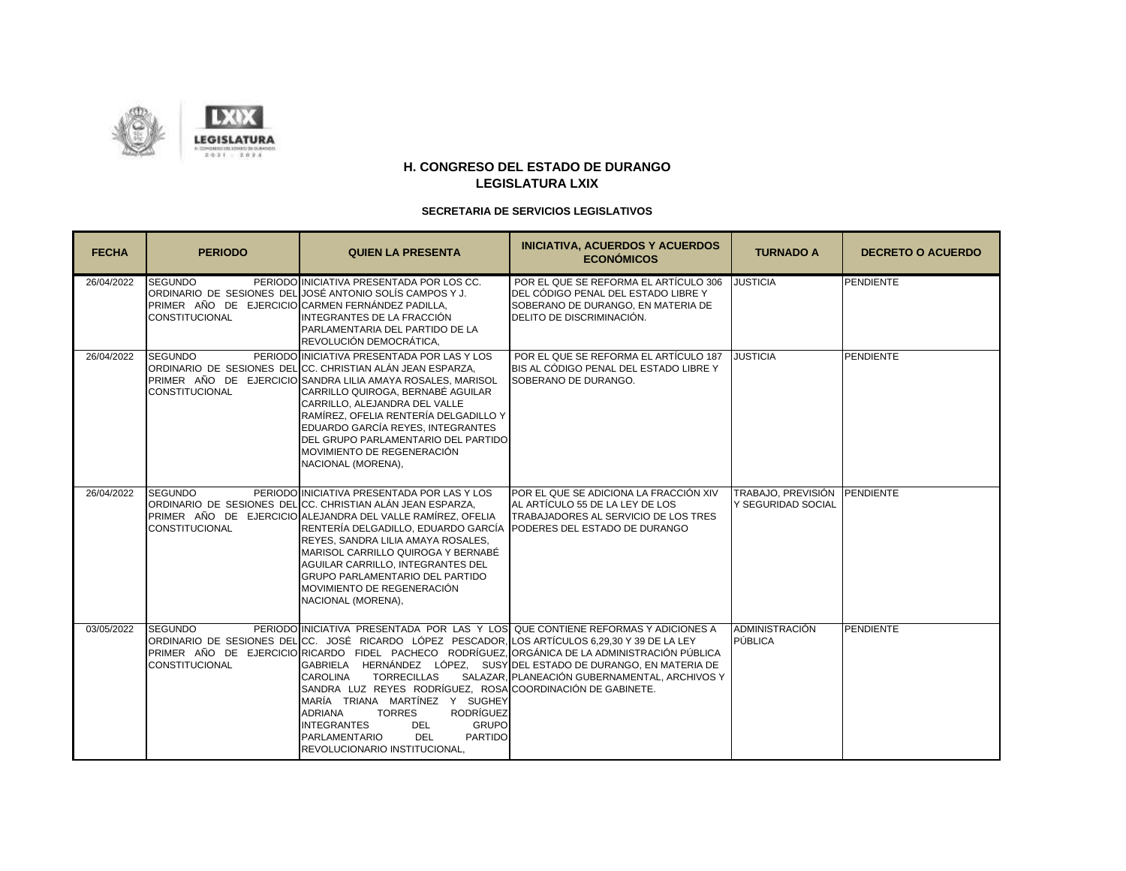



| <b>FECHA</b> | <b>PERIODO</b>                                                                               | <b>QUIEN LA PRESENTA</b>                                                                                                                                                                                                                                                                                                                                                                                                                                                                                    | <b>INICIATIVA, ACUERDOS Y ACUERDOS</b><br><b>ECONÓMICOS</b>                                                                                                                                                           | <b>TURNADO A</b>                                   | <b>DECRETO O ACUERDO</b> |
|--------------|----------------------------------------------------------------------------------------------|-------------------------------------------------------------------------------------------------------------------------------------------------------------------------------------------------------------------------------------------------------------------------------------------------------------------------------------------------------------------------------------------------------------------------------------------------------------------------------------------------------------|-----------------------------------------------------------------------------------------------------------------------------------------------------------------------------------------------------------------------|----------------------------------------------------|--------------------------|
| 26/04/2022   | <b>SEGUNDO</b><br>PRIMER AÑO DE EJERCICIO CARMEN FERNÁNDEZ PADILLA,<br><b>CONSTITUCIONAL</b> | PERIODO INICIATIVA PRESENTADA POR LOS CC.<br>ORDINARIO DE SESIONES DELLJOSÉ ANTONIO SOLÍS CAMPOS Y J.<br>INTEGRANTES DE LA FRACCIÓN<br>PARLAMENTARIA DEL PARTIDO DE LA<br>REVOLUCIÓN DEMOCRÁTICA,                                                                                                                                                                                                                                                                                                           | POR EL QUE SE REFORMA EL ARTÍCULO 306<br>DEL CÓDIGO PENAL DEL ESTADO LIBRE Y<br>SOBERANO DE DURANGO, EN MATERIA DE<br>DELITO DE DISCRIMINACIÓN.                                                                       | <b>JUSTICIA</b>                                    | <b>PENDIENTE</b>         |
| 26/04/2022   | <b>SEGUNDO</b><br><b>CONSTITUCIONAL</b>                                                      | PERIODO INICIATIVA PRESENTADA POR LAS Y LOS<br>ORDINARIO DE SESIONES DEL CC. CHRISTIAN ALÁN JEAN ESPARZA,<br>PRIMER AÑO DE EJERCICIO SANDRA LILIA AMAYA ROSALES, MARISOL<br>CARRILLO QUIROGA, BERNABÉ AGUILAR<br>CARRILLO, ALEJANDRA DEL VALLE<br>RAMÍREZ, OFELIA RENTERÍA DELGADILLO Y<br>EDUARDO GARCÍA REYES, INTEGRANTES<br>DEL GRUPO PARLAMENTARIO DEL PARTIDO<br>MOVIMIENTO DE REGENERACIÓN<br>NACIONAL (MORENA),                                                                                     | POR EL QUE SE REFORMA EL ARTÍCULO 187<br>BIS AL CÓDIGO PENAL DEL ESTADO LIBRE Y<br>SOBERANO DE DURANGO.                                                                                                               | <b>JUSTICIA</b>                                    | <b>PENDIENTE</b>         |
| 26/04/2022   | <b>SEGUNDO</b><br>CONSTITUCIONAL                                                             | PERIODO INICIATIVA PRESENTADA POR LAS Y LOS<br>ORDINARIO DE SESIONES DEL CC. CHRISTIAN ALÁN JEAN ESPARZA,<br>PRIMER AÑO DE EJERCICIO ALEJANDRA DEL VALLE RAMÍREZ. OFELIA<br>RENTERÍA DELGADILLO, EDUARDO GARCÍA<br>REYES, SANDRA LILIA AMAYA ROSALES,<br>MARISOL CARRILLO QUIROGA Y BERNABÉ<br>AGUILAR CARRILLO, INTEGRANTES DEL<br><b>GRUPO PARLAMENTARIO DEL PARTIDO</b><br>MOVIMIENTO DE REGENERACIÓN<br>NACIONAL (MORENA),                                                                              | POR EL QUE SE ADICIONA LA FRACCIÓN XIV<br>AL ARTÍCULO 55 DE LA LEY DE LOS<br>TRABAJADORES AL SERVICIO DE LOS TRES<br>PODERES DEL ESTADO DE DURANGO                                                                    | TRABAJO, PREVISIÓN PENDIENTE<br>Y SEGURIDAD SOCIAL |                          |
| 03/05/2022   | <b>SEGUNDO</b><br><b>CONSTITUCIONAL</b>                                                      | PERIODO INICIATIVA PRESENTADA POR LAS Y LOS QUE CONTIENE REFORMAS Y ADICIONES A<br>ORDINARIO DE SESIONES DEL CC. JOSÉ RICARDO LÓPEZ PESCADOR. LOS ARTÍCULOS 6.29.30 Y 39 DE LA LEY<br><b>TORRECILLAS</b><br>CAROLINA<br>SANDRA LUZ REYES RODRÍGUEZ. ROSA COORDINACIÓN DE GABINETE.<br>MARÍA TRIANA MARTÍNEZ Y SUGHEY<br><b>ADRIANA</b><br><b>RODRÍGUEZ</b><br><b>TORRES</b><br><b>INTEGRANTES</b><br><b>GRUPO</b><br>DEL.<br><b>PARTIDO</b><br>PARLAMENTARIO<br><b>DEL</b><br>REVOLUCIONARIO INSTITUCIONAL. | PRIMER AÑO DE EJERCICIO RICARDO FIDEL PACHECO RODRÍGUEZ ORGÁNICA DE LA ADMINISTRACIÓN PÚBLICA<br>GABRIELA HERNÁNDEZ LÓPEZ, SUSY DEL ESTADO DE DURANGO, EN MATERIA DE<br>SALAZAR. PLANEACIÓN GUBERNAMENTAL. ARCHIVOS Y | ADMINISTRACIÓN<br>PÚBLICA                          | PENDIENTE                |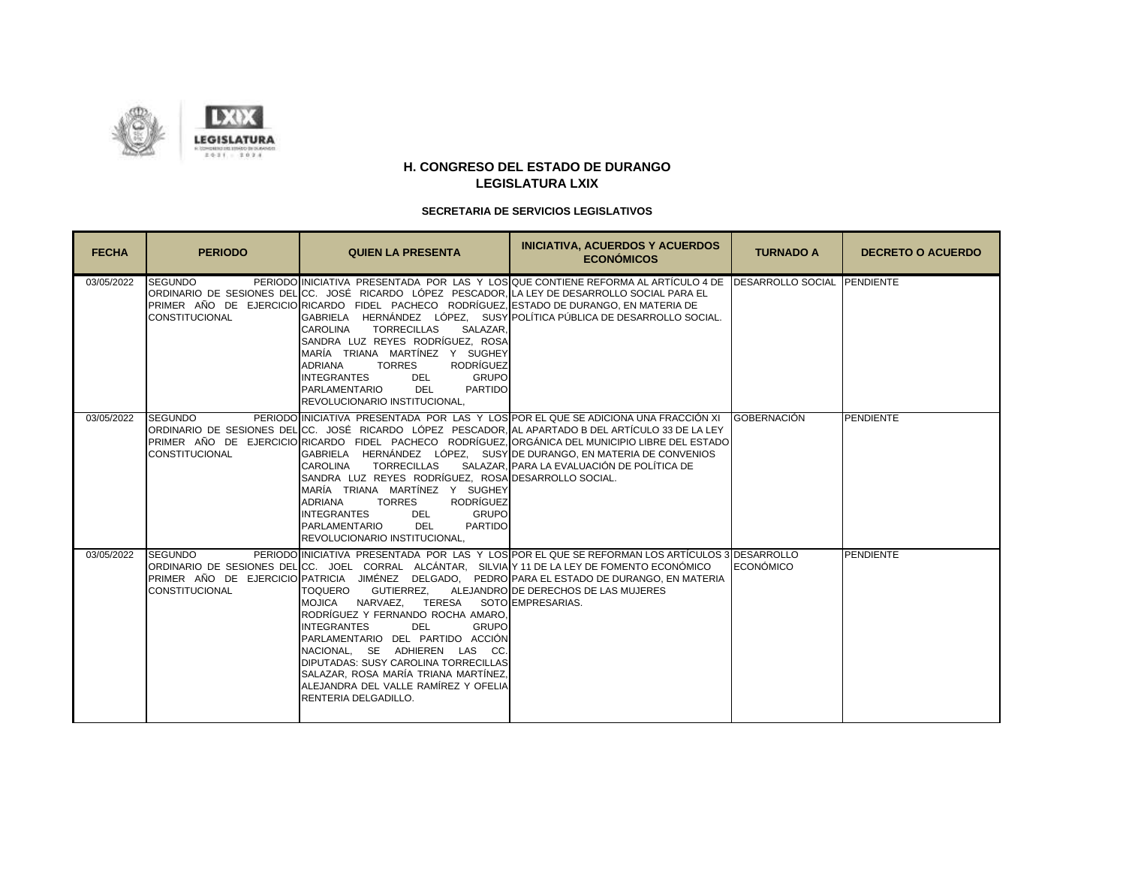

| <b>FECHA</b> | <b>PERIODO</b>                          | <b>QUIEN LA PRESENTA</b>                                                                                                                                                                                                                                                                                                                                                                                                                                                                            | <b>INICIATIVA, ACUERDOS Y ACUERDOS</b><br><b>ECONÓMICOS</b>                                                                                                                                                                                                                                                                               | <b>TURNADO A</b>   | <b>DECRETO O ACUERDO</b> |
|--------------|-----------------------------------------|-----------------------------------------------------------------------------------------------------------------------------------------------------------------------------------------------------------------------------------------------------------------------------------------------------------------------------------------------------------------------------------------------------------------------------------------------------------------------------------------------------|-------------------------------------------------------------------------------------------------------------------------------------------------------------------------------------------------------------------------------------------------------------------------------------------------------------------------------------------|--------------------|--------------------------|
| 03/05/2022   | <b>SEGUNDO</b><br><b>CONSTITUCIONAL</b> | ORDINARIO DE SESIONES DELOC. JOSÉ RICARDO LÓPEZ PESCADOR. LA LEY DE DESARROLLO SOCIAL PARA EL<br>PRIMER AÑO DE EJERCICIO RICARDO FIDEL PACHECO RODRÍGUEZ ESTADO DE DURANGO, EN MATERIA DE<br><b>TORRECILLAS</b><br>SALAZAR.<br><b>CAROLINA</b><br>SANDRA LUZ REYES RODRÍGUEZ, ROSA<br>MARÍA TRIANA MARTÍNEZ Y SUGHEY<br><b>RODRÍGUEZ</b><br>ADRIANA<br><b>TORRES</b><br><b>GRUPO</b><br><b>INTEGRANTES</b><br>DEL<br><b>PARTIDO</b><br>PARLAMENTARIO<br><b>DEL</b><br>REVOLUCIONARIO INSTITUCIONAL. | PERIODO INICIATIVA PRESENTADA POR LAS Y LOS QUE CONTIENE REFORMA AL ARTÍCULO 4 DE DESARROLLO SOCIAL PENDIENTE<br>GABRIELA HERNÁNDEZ LÓPEZ, SUSY POLÍTICA PÚBLICA DE DESARROLLO SOCIAL.                                                                                                                                                    |                    |                          |
| 03/05/2022   | <b>SEGUNDO</b><br><b>CONSTITUCIONAL</b> | GABRIELA HERNÁNDEZ LÓPEZ, SUSY DE DURANGO, EN MATERIA DE CONVENIOS<br><b>CAROLINA</b><br><b>TORRECILLAS</b><br>SANDRA LUZ REYES RODRÍGUEZ, ROSA DESARROLLO SOCIAL.<br>MARÍA TRIANA MARTÍNEZ Y SUGHEY<br><b>RODRÍGUEZ</b><br>ADRIANA<br><b>TORRES</b><br>GRUPO<br><b>INTEGRANTES</b><br><b>DEL</b><br><b>PARTIDO</b><br>PARLAMENTARIO<br><b>DEL</b><br><b>REVOLUCIONARIO INSTITUCIONAL.</b>                                                                                                          | PERIODO INICIATIVA PRESENTADA POR LAS Y LOS POR EL QUE SE ADICIONA UNA FRACCIÓN XI<br>ORDINARIO DE SESIONES DELOCO JOSÉ RICARDO LÓPEZ PESCADOR, AL APARTADO B DEL ARTÍCULO 33 DE LA LEY<br>PRIMER AÑO DE EJERCICIO RICARDO FIDEL PACHECO RODRÍGUEZ, ORGÁNICA DEL MUNICIPIO LIBRE DEL ESTADO<br>SALAZAR. PARA LA EVALUACIÓN DE POLÍTICA DE | <b>GOBERNACIÓN</b> | <b>PENDIENTE</b>         |
| 03/05/2022   | <b>SEGUNDO</b><br><b>CONSTITUCIONAL</b> | ORDINARIO DE SESIONES DELICC. JOEL CORRAL ALCÁNTAR. SILVIAIY 11 DE LA LEY DE FOMENTO ECONÓMICO<br>GUTIERREZ.<br>TOQUERO<br>MOJICA NARVAEZ.<br>TERESA SOTO EMPRESARIAS.<br>RODRÍGUEZ Y FERNANDO ROCHA AMARO.<br><b>INTEGRANTES</b><br><b>GRUPO</b><br><b>DEL</b><br>PARLAMENTARIO DEL PARTIDO ACCIÓN<br>NACIONAL. SE ADHIEREN LAS CC.<br><b>DIPUTADAS: SUSY CAROLINA TORRECILLAS</b><br>SALAZAR. ROSA MARÍA TRIANA MARTÍNEZ.<br>ALEJANDRA DEL VALLE RAMÍREZ Y OFELIA<br>RENTERIA DELGADILLO.         | PERIODO INICIATIVA PRESENTADA POR LAS Y LOS POR EL QUE SE REFORMAN LOS ARTÍCULOS 3 DESARROLLO<br>PRIMER AÑO DE EJERCICIO PATRICIA JIMÉNEZ DELGADO, PEDRO PARA EL ESTADO DE DURANGO, EN MATERIA<br>ALEJANDRO DE DERECHOS DE LAS MUJERES                                                                                                    | <b>ECONÓMICO</b>   | <b>PENDIENTE</b>         |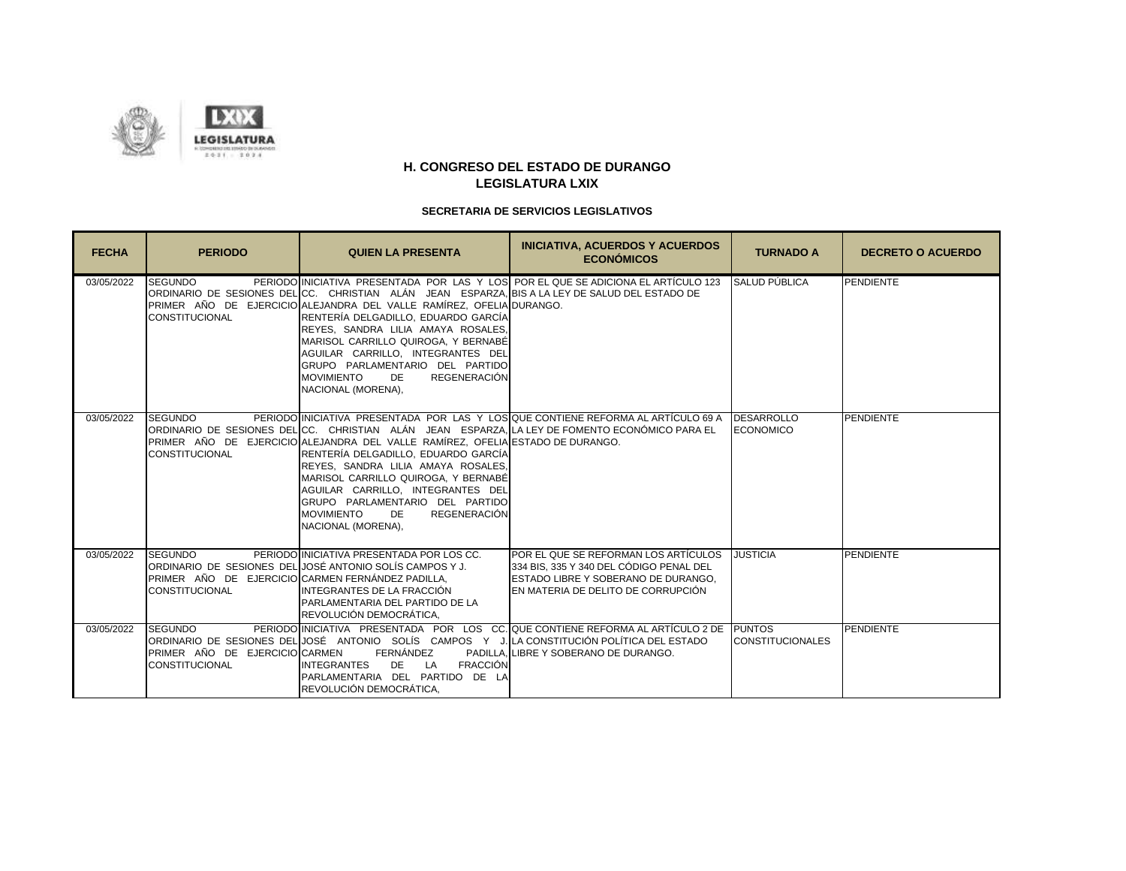

| <b>FECHA</b> | <b>PERIODO</b>                                                                               | <b>QUIEN LA PRESENTA</b>                                                                                                                                                                                                                                                                                                                                                                                                                              | <b>INICIATIVA, ACUERDOS Y ACUERDOS</b><br><b>ECONÓMICOS</b>                                                                                                  | <b>TURNADO A</b>                      | <b>DECRETO O ACUERDO</b> |
|--------------|----------------------------------------------------------------------------------------------|-------------------------------------------------------------------------------------------------------------------------------------------------------------------------------------------------------------------------------------------------------------------------------------------------------------------------------------------------------------------------------------------------------------------------------------------------------|--------------------------------------------------------------------------------------------------------------------------------------------------------------|---------------------------------------|--------------------------|
| 03/05/2022   | <b>SEGUNDO</b><br><b>CONSTITUCIONAL</b>                                                      | ORDINARIO DE SESIONES DELOC. CHRISTIAN ALÁN JEAN ESPARZA, BIS A LA LEY DE SALUD DEL ESTADO DE<br>PRIMER AÑO DE EJERCICIOLALEJANDRA DEL VALLE RAMÍREZ. OFELIALDURANGO.<br>RENTERÍA DELGADILLO, EDUARDO GARCÍA<br>REYES, SANDRA LILIA AMAYA ROSALES,<br>MARISOL CARRILLO QUIROGA, Y BERNABÉ<br>AGUILAR CARRILLO, INTEGRANTES DEL<br>GRUPO PARLAMENTARIO DEL PARTIDO<br><b>MOVIMIENTO</b><br>REGENERACIÓN<br>DF.<br>NACIONAL (MORENA),                   | PERIODO INICIATIVA PRESENTADA POR LAS Y LOS POR EL QUE SE ADICIONA EL ARTÍCULO 123                                                                           | SALUD PÚBLICA                         | PENDIENTE                |
| 03/05/2022   | <b>SEGUNDO</b><br><b>CONSTITUCIONAL</b>                                                      | IORDINARIO DE SESIONES DELICC. CHRISTIAN ALÁN JEAN ESPARZA. LA LEY DE FOMENTO ECONÓMICO PARA EL<br>PRIMER AÑO DE EJERCICIO ALEJANDRA DEL VALLE RAMÍREZ, OFELIA ESTADO DE DURANGO.<br>RENTERÍA DELGADILLO, EDUARDO GARCÍA<br>REYES, SANDRA LILIA AMAYA ROSALES,<br>MARISOL CARRILLO QUIROGA, Y BERNABÉ<br>AGUILAR CARRILLO, INTEGRANTES DEL<br>GRUPO PARLAMENTARIO DEL PARTIDO<br><b>MOVIMIENTO</b><br><b>REGENERACIÓN</b><br>DE<br>NACIONAL (MORENA), | PERIODO INICIATIVA PRESENTADA POR LAS Y LOS QUE CONTIENE REFORMA AL ARTÍCULO 69 A                                                                            | <b>DESARROLLO</b><br><b>ECONOMICO</b> | <b>PENDIENTE</b>         |
| 03/05/2022   | <b>SEGUNDO</b><br>PRIMER AÑO DE EJERCICIO CARMEN FERNÁNDEZ PADILLA,<br><b>CONSTITUCIONAL</b> | PERIODO INICIATIVA PRESENTADA POR LOS CC.<br>ORDINARIO DE SESIONES DEL JOSÉ ANTONIO SOLÍS CAMPOS Y J.<br>INTEGRANTES DE LA FRACCIÓN<br>PARLAMENTARIA DEL PARTIDO DE LA<br>REVOLUCIÓN DEMOCRÁTICA.                                                                                                                                                                                                                                                     | POR EL QUE SE REFORMAN LOS ARTÍCULOS<br>334 BIS. 335 Y 340 DEL CÓDIGO PENAL DEL<br>ESTADO LIBRE Y SOBERANO DE DURANGO.<br>EN MATERIA DE DELITO DE CORRUPCIÓN | <b>JUSTICIA</b>                       | PENDIENTE                |
| 03/05/2022   | <b>SEGUNDO</b><br>PRIMER AÑO DE EJERCICIO CARMEN<br><b>CONSTITUCIONAL</b>                    | ORDINARIO DE SESIONES DEL JOSÉ ANTONIO SOLÍS CAMPOS Y J. LA CONSTITUCIÓN POLÍTICA DEL ESTADO<br>FERNÁNDEZ<br><b>FRACCIÓN</b><br><b>INTEGRANTES</b><br>DE<br>LA<br>PARLAMENTARIA DEL PARTIDO DE LA<br>REVOLUCIÓN DEMOCRÁTICA.                                                                                                                                                                                                                          | PERIODO INICIATIVA PRESENTADA POR LOS CC. QUE CONTIENE REFORMA AL ARTÍCULO 2 DE PUNTOS<br>PADILLA. LIBRE Y SOBERANO DE DURANGO.                              | <b>CONSTITUCIONALES</b>               | PENDIENTE                |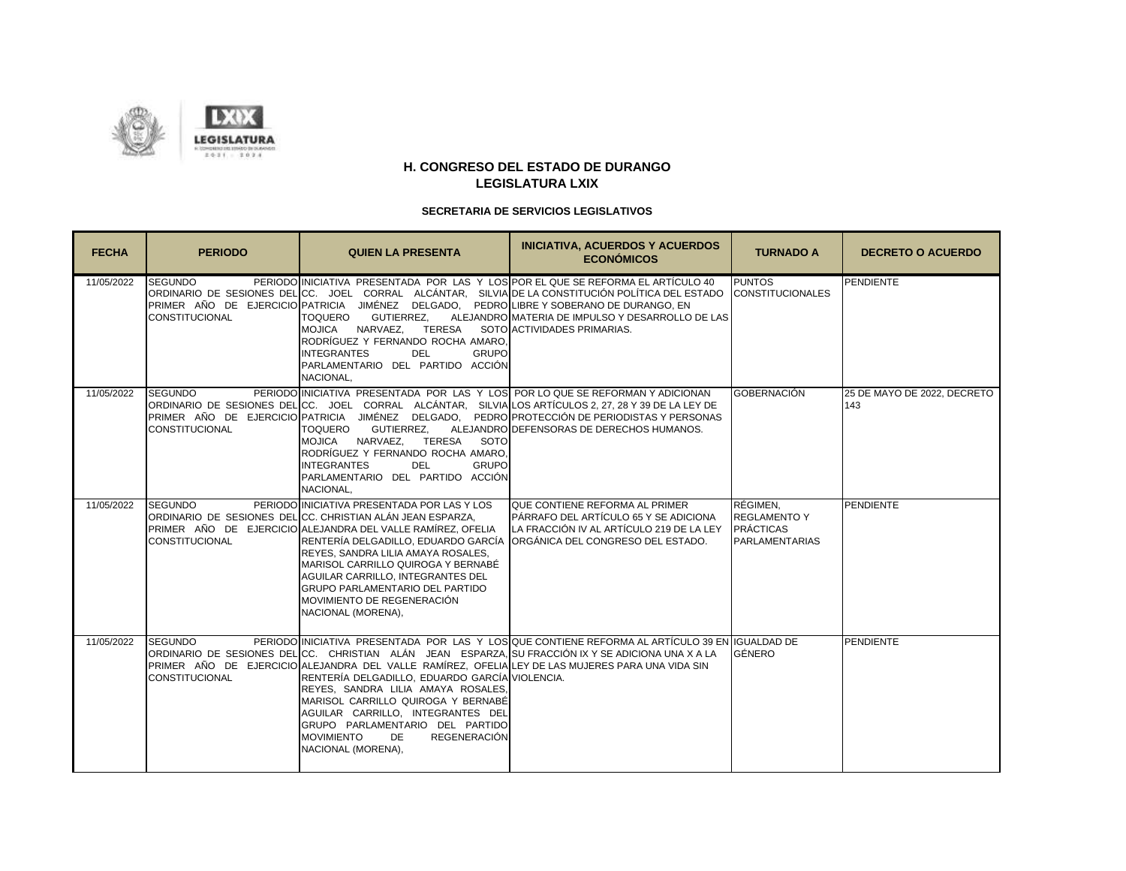

| <b>FECHA</b> | <b>PERIODO</b>                          | <b>QUIEN LA PRESENTA</b>                                                                                                                                                                                                                                                                                                                                                                                                                                                              | <b>INICIATIVA, ACUERDOS Y ACUERDOS</b><br><b>ECONÓMICOS</b>                                                                                                                         | <b>TURNADO A</b>                                                             | <b>DECRETO O ACUERDO</b>           |
|--------------|-----------------------------------------|---------------------------------------------------------------------------------------------------------------------------------------------------------------------------------------------------------------------------------------------------------------------------------------------------------------------------------------------------------------------------------------------------------------------------------------------------------------------------------------|-------------------------------------------------------------------------------------------------------------------------------------------------------------------------------------|------------------------------------------------------------------------------|------------------------------------|
| 11/05/2022   | <b>SEGUNDO</b><br><b>CONSTITUCIONAL</b> | PERIODO INICIATIVA PRESENTADA POR LAS Y LOS POR EL QUE SE REFORMA EL ARTÍCULO 40<br>PRIMER AÑO DE EJERCICIO PATRICIA JIMÉNEZ DELGADO. PEDRO LIBRE Y SOBERANO DE DURANGO. EN<br>GUTIERREZ,<br><b>TOQUERO</b><br><b>TERESA</b><br><b>MOJICA</b><br>NARVAEZ,<br>RODRÍGUEZ Y FERNANDO ROCHA AMARO.<br><b>INTEGRANTES</b><br><b>DEL</b><br>GRUPO<br>PARLAMENTARIO DEL PARTIDO ACCIÓN<br>NACIONAL,                                                                                          | ORDINARIO DE SESIONES DELOCO JOEL CORRAL ALCÁNTAR, SILVIA DE LA CONSTITUCIÓN POLÍTICA DEL ESTADO<br>ALEJANDRO MATERIA DE IMPULSO Y DESARROLLO DE LAS<br>SOTO ACTIVIDADES PRIMARIAS. | <b>PUNTOS</b><br><b>CONSTITUCIONALES</b>                                     | <b>PENDIENTE</b>                   |
| 11/05/2022   | <b>SEGUNDO</b><br><b>CONSTITUCIONAL</b> | PERIODO INICIATIVA PRESENTADA POR LAS Y LOS POR LO QUE SE REFORMAN Y ADICIONAN<br>ORDINARIO DE SESIONES DEL CC. JOEL CORRAL ALCÁNTAR, SILVIA LOS ARTÍCULOS 2, 27, 28 Y 39 DE LA LEY DE<br>GUTIERREZ,<br><b>TOQUERO</b><br>NARVAEZ,<br><b>TERESA</b><br>SOTO<br>MOJICA<br>RODRÍGUEZ Y FERNANDO ROCHA AMARO.<br><b>INTEGRANTES</b><br><b>DEL</b><br><b>GRUPO</b><br>PARLAMENTARIO DEL PARTIDO ACCIÓN<br>NACIONAL,                                                                       | PRIMER AÑO DE EJERCICIO PATRICIA JIMÉNEZ DELGADO, PEDRO PROTECCIÓN DE PERIODISTAS Y PERSONAS<br>ALEJANDRO DEFENSORAS DE DERECHOS HUMANOS.                                           | <b>GOBERNACIÓN</b>                                                           | 25 DE MAYO DE 2022. DECRETO<br>143 |
| 11/05/2022   | <b>SEGUNDO</b><br>CONSTITUCIONAL        | PERIODO INICIATIVA PRESENTADA POR LAS Y LOS<br>ORDINARIO DE SESIONES DEL CC. CHRISTIAN ALÁN JEAN ESPARZA,<br>PRIMER AÑO DE EJERCICIO ALEJANDRA DEL VALLE RAMÍREZ, OFELIA<br>RENTERÍA DELGADILLO, EDUARDO GARCÍA<br>REYES. SANDRA LILIA AMAYA ROSALES.<br>MARISOL CARRILLO QUIROGA Y BERNABÉ<br>AGUILAR CARRILLO, INTEGRANTES DEL<br>GRUPO PARLAMENTARIO DEL PARTIDO<br>MOVIMIENTO DE REGENERACIÓN<br>NACIONAL (MORENA),                                                               | QUE CONTIENE REFORMA AL PRIMER<br>PÁRRAFO DEL ARTÍCULO 65 Y SE ADICIONA<br>LA FRACCIÓN IV AL ARTÍCULO 219 DE LA LEY<br>ORGÁNICA DEL CONGRESO DEL ESTADO.                            | RÉGIMEN.<br><b>REGLAMENTO Y</b><br><b>PRÁCTICAS</b><br><b>PARLAMENTARIAS</b> | <b>PENDIENTE</b>                   |
| 11/05/2022   | <b>SEGUNDO</b><br><b>CONSTITUCIONAL</b> | ORDINARIO DE SESIONES DEL CC. CHRISTIAN ALÁN JEAN ESPARZA. SU FRACCIÓN IX Y SE ADICIONA UNA X A LA<br>PRIMER AÑO DE EJERCICIO ALEJANDRA DEL VALLE RAMÍREZ, OFELIA LEY DE LAS MUJERES PARA UNA VIDA SIN<br>RENTERÍA DELGADILLO, EDUARDO GARCÍA VIOLENCIA.<br>REYES, SANDRA LILIA AMAYA ROSALES,<br>MARISOL CARRILLO QUIROGA Y BERNABÉ<br>AGUILAR CARRILLO, INTEGRANTES DEL<br>GRUPO PARLAMENTARIO DEL PARTIDO<br><b>MOVIMIENTO</b><br><b>REGENERACIÓN</b><br>DE.<br>NACIONAL (MORENA), | PERIODO INICIATIVA PRESENTADA POR LAS Y LOS QUE CONTIENE REFORMA AL ARTÍCULO 39 EN IGUALDAD DE                                                                                      | <b>GÉNERO</b>                                                                | <b>PENDIENTE</b>                   |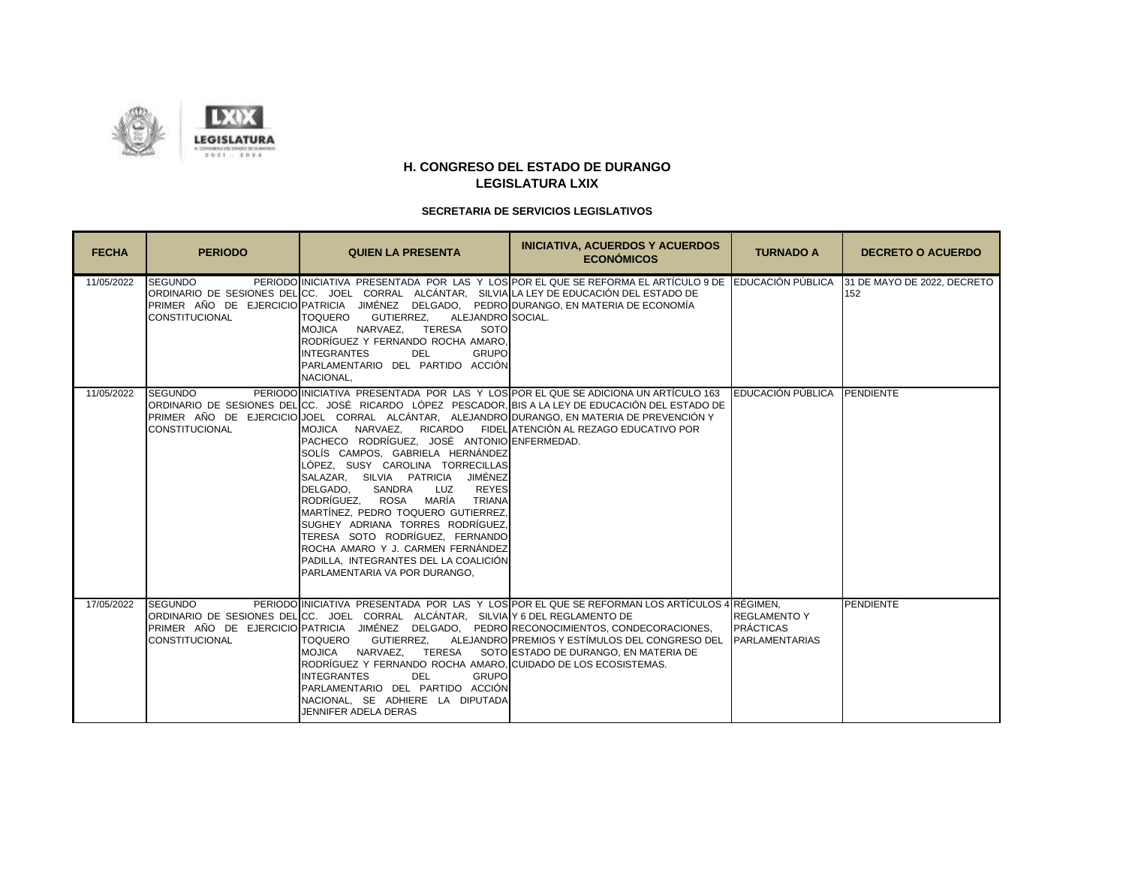

| <b>FECHA</b> | <b>PERIODO</b>                          | <b>QUIEN LA PRESENTA</b>                                                                                                                                                                                                                                                                                                                                                                                                                                                                                                                                                                                                                             | <b>INICIATIVA, ACUERDOS Y ACUERDOS</b><br><b>ECONÓMICOS</b>                                                                                                                                                           | <b>TURNADO A</b>                        | <b>DECRETO O ACUERDO</b>           |
|--------------|-----------------------------------------|------------------------------------------------------------------------------------------------------------------------------------------------------------------------------------------------------------------------------------------------------------------------------------------------------------------------------------------------------------------------------------------------------------------------------------------------------------------------------------------------------------------------------------------------------------------------------------------------------------------------------------------------------|-----------------------------------------------------------------------------------------------------------------------------------------------------------------------------------------------------------------------|-----------------------------------------|------------------------------------|
| 11/05/2022   | <b>SEGUNDO</b><br><b>CONSTITUCIONAL</b> | ORDINARIO DE SESIONES DELOCO. JOEL CORRAL ALCÁNTAR, SILVIA LA LEY DE EDUCACIÓN DEL ESTADO DE<br>PRIMER AÑO DE EJERCICIO PATRICIA JIMÉNEZ DELGADO, PEDRO DURANGO, EN MATERIA DE ECONOMÍA<br><b>TOQUERO</b><br>GUTIERREZ,<br>ALEJANDRO SOCIAL.<br><b>MOJICA</b><br>NARVAEZ.<br><b>TERESA</b><br><b>SOTO</b><br>RODRÍGUEZ Y FERNANDO ROCHA AMARO.<br><b>GRUPO</b><br><b>INTEGRANTES</b><br><b>DEL</b><br>PARLAMENTARIO DEL PARTIDO ACCIÓN<br>NACIONAL,                                                                                                                                                                                                  | PERIODO INICIATIVA PRESENTADA POR LAS Y LOS POR EL QUE SE REFORMA EL ARTÍCULO 9 DE EDUCACIÓN PÚBLICA                                                                                                                  |                                         | 31 DE MAYO DE 2022, DECRETO<br>152 |
| 11/05/2022   | <b>SEGUNDO</b><br><b>CONSTITUCIONAL</b> | PRIMER AÑO DE EJERCICIO JOEL CORRAL ALCÁNTAR, ALEJANDRO DURANGO, EN MATERIA DE PREVENCIÓN Y<br>MOJICA NARVAEZ, RICARDO FIDEL ATENCIÓN AL REZAGO EDUCATIVO POR<br>PACHECO RODRÍGUEZ, JOSÉ ANTONIO ENFERMEDAD.<br>SOLÍS CAMPOS, GABRIELA HERNÁNDEZ<br>LÓPEZ, SUSY CAROLINA TORRECILLAS<br>SALAZAR, SILVIA PATRICIA<br>JIMÉNEZ<br>DELGADO,<br>SANDRA<br>LUZ<br><b>REYES</b><br>MARÍA<br>RODRÍGUEZ,<br>ROSA<br><b>TRIANA</b><br>MARTÍNEZ, PEDRO TOQUERO GUTIERREZ,<br>SUGHEY ADRIANA TORRES RODRÍGUEZ,<br>TERESA SOTO RODRÍGUEZ, FERNANDO<br>ROCHA AMARO Y J. CARMEN FERNÁNDEZ<br>PADILLA. INTEGRANTES DEL LA COALICIÓN<br>PARLAMENTARIA VA POR DURANGO. | PERIODO INICIATIVA PRESENTADA POR LAS Y LOS POR EL QUE SE ADICIONA UN ARTÍCULO 163 EDUCACIÓN PÚBLICA PENDIENTE<br>IORDINARIO DE SESIONES DELICC. JOSÉ RICARDO LÓPEZ PESCADOR. BIS A LA LEY DE EDUCACIÓN DEL ESTADO DE |                                         |                                    |
| 17/05/2022   | <b>SEGUNDO</b><br><b>CONSTITUCIONAL</b> | ORDINARIO DE SESIONES DELOC. JOEL CORRAL ALCÁNTAR, SILVIA Y 6 DEL REGLAMENTO DE<br>PRIMER AÑO DE EJERCICIO PATRICIA JIMÉNEZ DELGADO, PEDRO RECONOCIMIENTOS CONDECORACIONES,<br>GUTIERREZ.<br><b>TOQUERO</b><br>TERESA<br><b>MOJICA</b><br>NARVAEZ.<br>RODRÍGUEZ Y FERNANDO ROCHA AMARO CUIDADO DE LOS ECOSISTEMAS.<br><b>INTEGRANTES</b><br><b>DEL</b><br><b>GRUPO</b><br>PARLAMENTARIO DEL PARTIDO ACCIÓN<br>NACIONAL, SE ADHIERE LA DIPUTADA<br>JENNIFER ADELA DERAS                                                                                                                                                                               | PERIODO INICIATIVA PRESENTADA POR LAS Y LOS POR EL QUE SE REFORMAN LOS ARTÍCULOS 4 RÉGIMEN.<br>ALEJANDRO PREMIOS Y ESTÍMULOS DEL CONGRESO DEL PARLAMENTARIAS<br>SOTO ESTADO DE DURANGO. EN MATERIA DE                 | <b>REGLAMENTO Y</b><br><b>PRÁCTICAS</b> | <b>PENDIENTE</b>                   |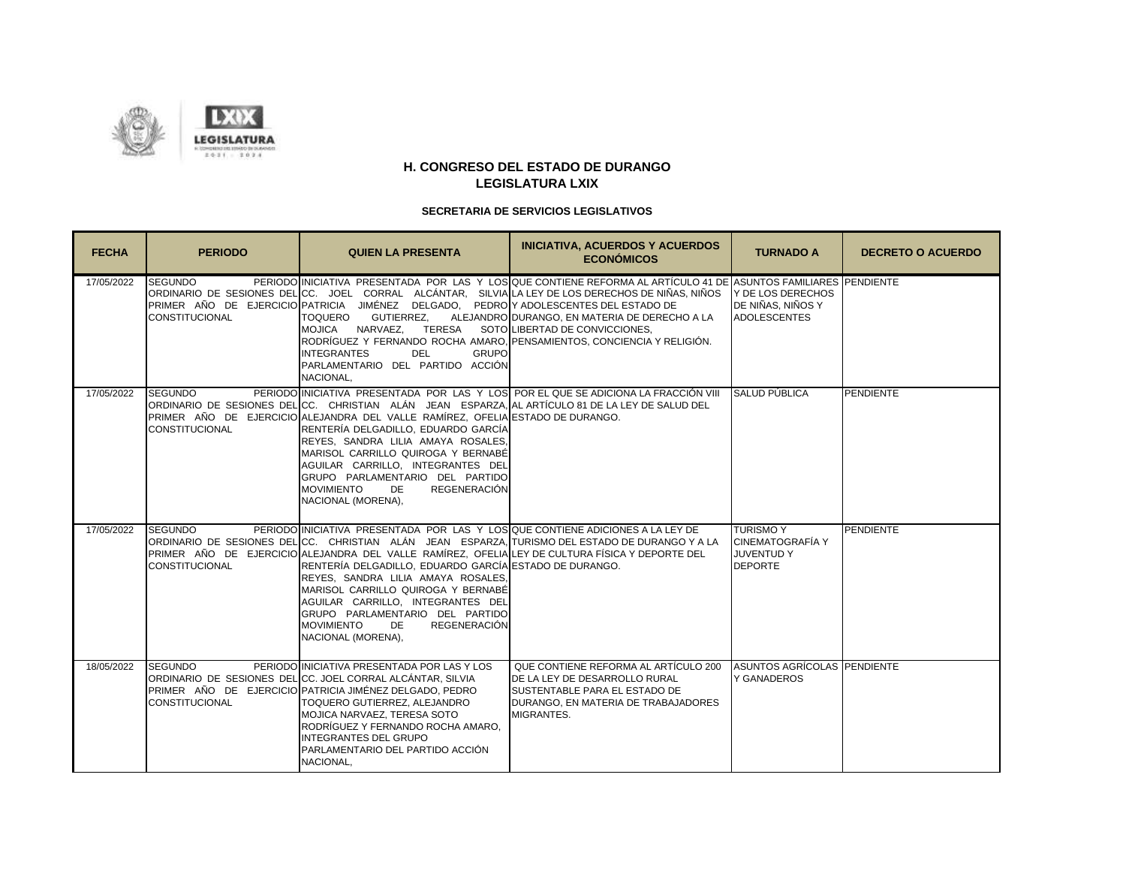

| <b>FECHA</b> | <b>PERIODO</b>                          | <b>QUIEN LA PRESENTA</b>                                                                                                                                                                                                                                                                                                                                                                                                                                                | <b>INICIATIVA, ACUERDOS Y ACUERDOS</b><br><b>ECONÓMICOS</b>                                                                                                                                                                                                                                             | <b>TURNADO A</b>                                                                  | <b>DECRETO O ACUERDO</b> |
|--------------|-----------------------------------------|-------------------------------------------------------------------------------------------------------------------------------------------------------------------------------------------------------------------------------------------------------------------------------------------------------------------------------------------------------------------------------------------------------------------------------------------------------------------------|---------------------------------------------------------------------------------------------------------------------------------------------------------------------------------------------------------------------------------------------------------------------------------------------------------|-----------------------------------------------------------------------------------|--------------------------|
| 17/05/2022   | <b>SEGUNDO</b><br><b>CONSTITUCIONAL</b> | PRIMER AÑO DE EJERCICIO PATRICIA JIMÉNEZ DELGADO, PEDRO Y ADOLESCENTES DEL ESTADO DE<br><b>TOQUERO</b><br>GUTIERREZ,<br><b>MOJICA</b><br>NARVAEZ.<br><b>TERESA</b><br>RODRÍGUEZ Y FERNANDO ROCHA AMARO, PENSAMIENTOS, CONCIENCIA Y RELIGIÓN.<br><b>GRUPO</b><br><b>INTEGRANTES</b><br><b>DEL</b><br>PARLAMENTARIO DEL PARTIDO ACCIÓN<br>NACIONAL,                                                                                                                       | PERIODO INICIATIVA PRESENTADA POR LAS Y LOS QUE CONTIENE REFORMA AL ARTÍCULO 41 DE ASUNTOS FAMILIARES PENDIENTE<br>ORDINARIO DE SESIONES DELOCO. JOEL CORRAL ALCÁNTAR, SILVIA LA LEY DE LOS DERECHOS DE NIÑAS, NIÑOS<br>ALEJANDRO DURANGO, EN MATERIA DE DERECHO A LA<br>SOTO LIBERTAD DE CONVICCIONES. | Y DE LOS DERECHOS<br>DE NIÑAS, NIÑOS Y<br><b>ADOLESCENTES</b>                     |                          |
| 17/05/2022   | <b>SEGUNDO</b><br><b>CONSTITUCIONAL</b> | ORDINARIO DE SESIONES DELICC. CHRISTIAN ALÁN JEAN ESPARZA.IAL ARTÍCULO 81 DE LA LEY DE SALUD DEL<br>PRIMER AÑO DE EJERCICIO ALEJANDRA DEL VALLE RAMÍREZ, OFELIA ESTADO DE DURANGO.<br>RENTERÍA DELGADILLO. EDUARDO GARCÍA<br>REYES, SANDRA LILIA AMAYA ROSALES,<br>MARISOL CARRILLO QUIROGA Y BERNABÉ<br>AGUILAR CARRILLO, INTEGRANTES DEL<br>GRUPO PARLAMENTARIO DEL PARTIDO<br><b>MOVIMIENTO</b><br>DE<br><b>REGENERACIÓN</b><br>NACIONAL (MORENA),                   | PERIODO INICIATIVA PRESENTADA POR LAS Y LOS POR EL QUE SE ADICIONA LA FRACCIÓN VIII                                                                                                                                                                                                                     | SALUD PÚBLICA                                                                     | <b>PENDIENTE</b>         |
| 17/05/2022   | <b>SEGUNDO</b><br><b>CONSTITUCIONAL</b> | PERIODO INICIATIVA PRESENTADA POR LAS Y LOS QUE CONTIENE ADICIONES A LA LEY DE<br>PRIMER AÑO DE EJERCICIO ALEJANDRA DEL VALLE RAMÍREZ, OFELIA LEY DE CULTURA FÍSICA Y DEPORTE DEL<br>RENTERÍA DELGADILLO, EDUARDO GARCÍA ESTADO DE DURANGO.<br>REYES, SANDRA LILIA AMAYA ROSALES,<br>MARISOL CARRILLO QUIROGA Y BERNABÉ<br>AGUILAR CARRILLO, INTEGRANTES DEL<br>GRUPO PARLAMENTARIO DEL PARTIDO<br><b>MOVIMIENTO</b><br>DE<br><b>REGENERACIÓN</b><br>NACIONAL (MORENA), | ORDINARIO DE SESIONES DEL CC. CHRISTIAN ALÁN JEAN ESPARZA. TURISMO DEL ESTADO DE DURANGO Y A LA                                                                                                                                                                                                         | <b>TURISMO Y</b><br><b>CINEMATOGRAFÍA Y</b><br><b>JUVENTUDY</b><br><b>DEPORTE</b> | <b>PENDIENTE</b>         |
| 18/05/2022   | <b>SEGUNDO</b><br><b>CONSTITUCIONAL</b> | PERIODO INICIATIVA PRESENTADA POR LAS Y LOS<br>ORDINARIO DE SESIONES DEL CC. JOEL CORRAL ALCÁNTAR, SILVIA<br>PRIMER AÑO DE EJERCICIO PATRICIA JIMÉNEZ DELGADO, PEDRO<br>TOQUERO GUTIERREZ, ALEJANDRO<br>MOJICA NARVAEZ, TERESA SOTO<br>RODRÍGUEZ Y FERNANDO ROCHA AMARO.<br><b>INTEGRANTES DEL GRUPO</b><br>PARLAMENTARIO DEL PARTIDO ACCIÓN<br>NACIONAL,                                                                                                               | QUE CONTIENE REFORMA AL ARTÍCULO 200<br>DE LA LEY DE DESARROLLO RURAL<br>SUSTENTABLE PARA EL ESTADO DE<br>DURANGO. EN MATERIA DE TRABAJADORES<br><b>MIGRANTES.</b>                                                                                                                                      | ASUNTOS AGRÍCOLAS PENDIENTE<br>Y GANADEROS                                        |                          |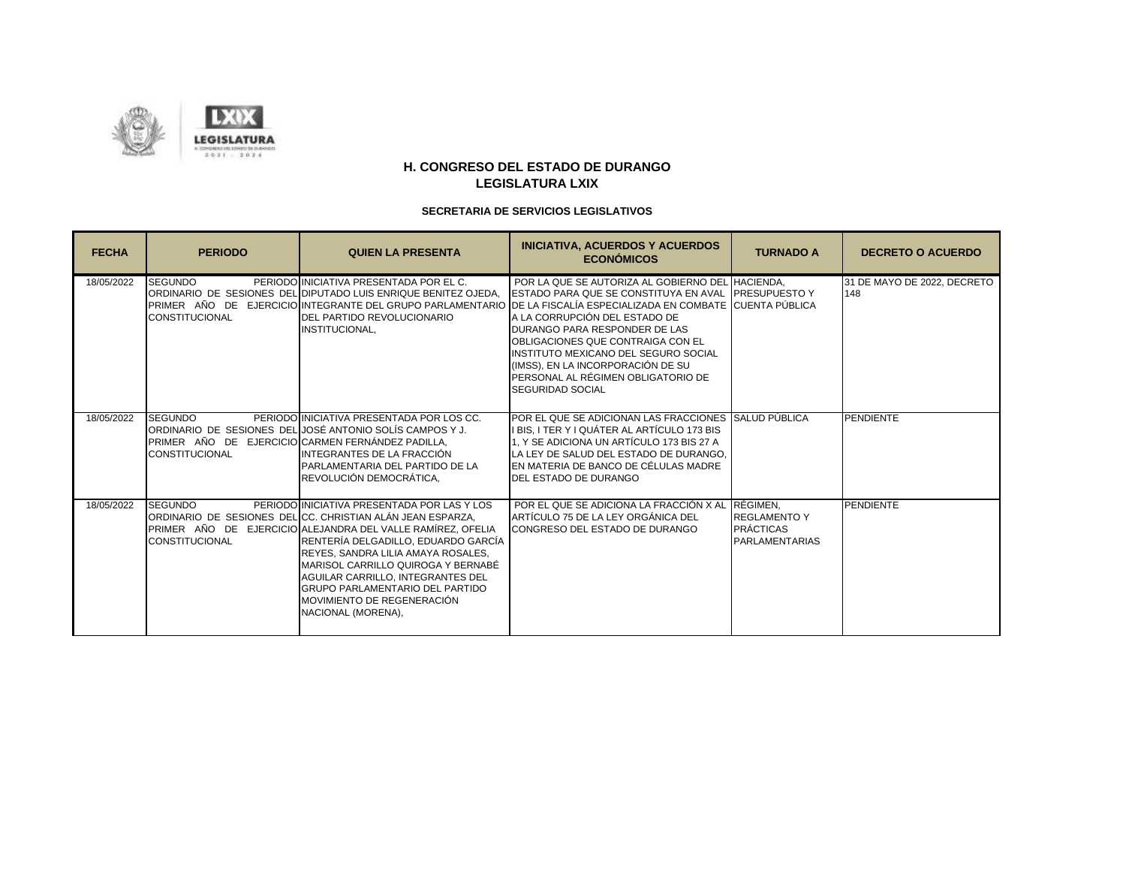

| <b>FECHA</b> | <b>PERIODO</b>                                                                               | <b>QUIEN LA PRESENTA</b>                                                                                                                                                                                                                                                                                                                                                                                                       | <b>INICIATIVA, ACUERDOS Y ACUERDOS</b><br><b>ECONÓMICOS</b>                                                                                                                                                                                                                                                                                                                                                                                                                               | <b>TURNADO A</b>                                                 | <b>DECRETO O ACUERDO</b>           |
|--------------|----------------------------------------------------------------------------------------------|--------------------------------------------------------------------------------------------------------------------------------------------------------------------------------------------------------------------------------------------------------------------------------------------------------------------------------------------------------------------------------------------------------------------------------|-------------------------------------------------------------------------------------------------------------------------------------------------------------------------------------------------------------------------------------------------------------------------------------------------------------------------------------------------------------------------------------------------------------------------------------------------------------------------------------------|------------------------------------------------------------------|------------------------------------|
| 18/05/2022   | <b>SEGUNDO</b><br><b>CONSTITUCIONAL</b>                                                      | PERIODO INICIATIVA PRESENTADA POR EL C.<br>ORDINARIO DE SESIONES DEL DIPUTADO LUIS ENRIQUE BENITEZ OJEDA.<br><b>DEL PARTIDO REVOLUCIONARIO</b><br>INSTITUCIONAL.                                                                                                                                                                                                                                                               | POR LA QUE SE AUTORIZA AL GOBIERNO DEL HACIENDA.<br>ESTADO PARA QUE SE CONSTITUYA EN AVAL PRESUPUESTO Y<br>PRIMER AÑO DE EJERCICIO INTEGRANTE DEL GRUPO PARLAMENTARIO DE LA FISCALÍA ESPECIALIZADA EN COMBATE ICUENTA PÚBLICA<br>A LA CORRUPCIÓN DEL ESTADO DE<br><b>DURANGO PARA RESPONDER DE LAS</b><br>OBLIGACIONES QUE CONTRAIGA CON EL<br>INSTITUTO MEXICANO DEL SEGURO SOCIAL<br>(IMSS), EN LA INCORPORACIÓN DE SU<br>PERSONAL AL RÉGIMEN OBLIGATORIO DE<br><b>SEGURIDAD SOCIAL</b> |                                                                  | 31 DE MAYO DE 2022, DECRETO<br>148 |
| 18/05/2022   | <b>SEGUNDO</b><br>PRIMER AÑO DE EJERCICIO CARMEN FERNÁNDEZ PADILLA.<br><b>CONSTITUCIONAL</b> | PERIODO INICIATIVA PRESENTADA POR LOS CC.<br>ORDINARIO DE SESIONES DELLJOSÉ ANTONIO SOLÍS CAMPOS Y J.<br>INTEGRANTES DE LA FRACCIÓN<br>PARLAMENTARIA DEL PARTIDO DE LA<br>REVOLUCIÓN DEMOCRÁTICA.                                                                                                                                                                                                                              | POR EL QUE SE ADICIONAN LAS FRACCIONES SSALUD PÚBLICA<br>I BIS. I TER Y I QUÁTER AL ARTÍCULO 173 BIS<br>1, Y SE ADICIONA UN ARTÍCULO 173 BIS 27 A<br>LA LEY DE SALUD DEL ESTADO DE DURANGO.<br>EN MATERIA DE BANCO DE CÉLULAS MADRE<br>DEL ESTADO DE DURANGO                                                                                                                                                                                                                              |                                                                  | <b>PENDIENTE</b>                   |
| 18/05/2022   | <b>SEGUNDO</b><br><b>CONSTITUCIONAL</b>                                                      | PERIODO INICIATIVA PRESENTADA POR LAS Y LOS<br>ORDINARIO DE SESIONES DEL CC. CHRISTIAN ALÁN JEAN ESPARZA,<br>PRIMER AÑO DE EJERCICIO ALEJANDRA DEL VALLE RAMÍREZ, OFELIA<br>RENTERÍA DELGADILLO, EDUARDO GARCÍA<br>REYES, SANDRA LILIA AMAYA ROSALES,<br>MARISOL CARRILLO QUIROGA Y BERNABÉ<br>AGUILAR CARRILLO. INTEGRANTES DEL<br><b>GRUPO PARLAMENTARIO DEL PARTIDO</b><br>MOVIMIENTO DE REGENERACIÓN<br>NACIONAL (MORENA), | POR EL QUE SE ADICIONA LA FRACCIÓN X AL RÉGIMEN,<br>ARTÍCULO 75 DE LA LEY ORGÁNICA DEL<br>CONGRESO DEL ESTADO DE DURANGO                                                                                                                                                                                                                                                                                                                                                                  | <b>REGLAMENTO Y</b><br><b>PRÁCTICAS</b><br><b>PARLAMENTARIAS</b> | <b>PENDIENTE</b>                   |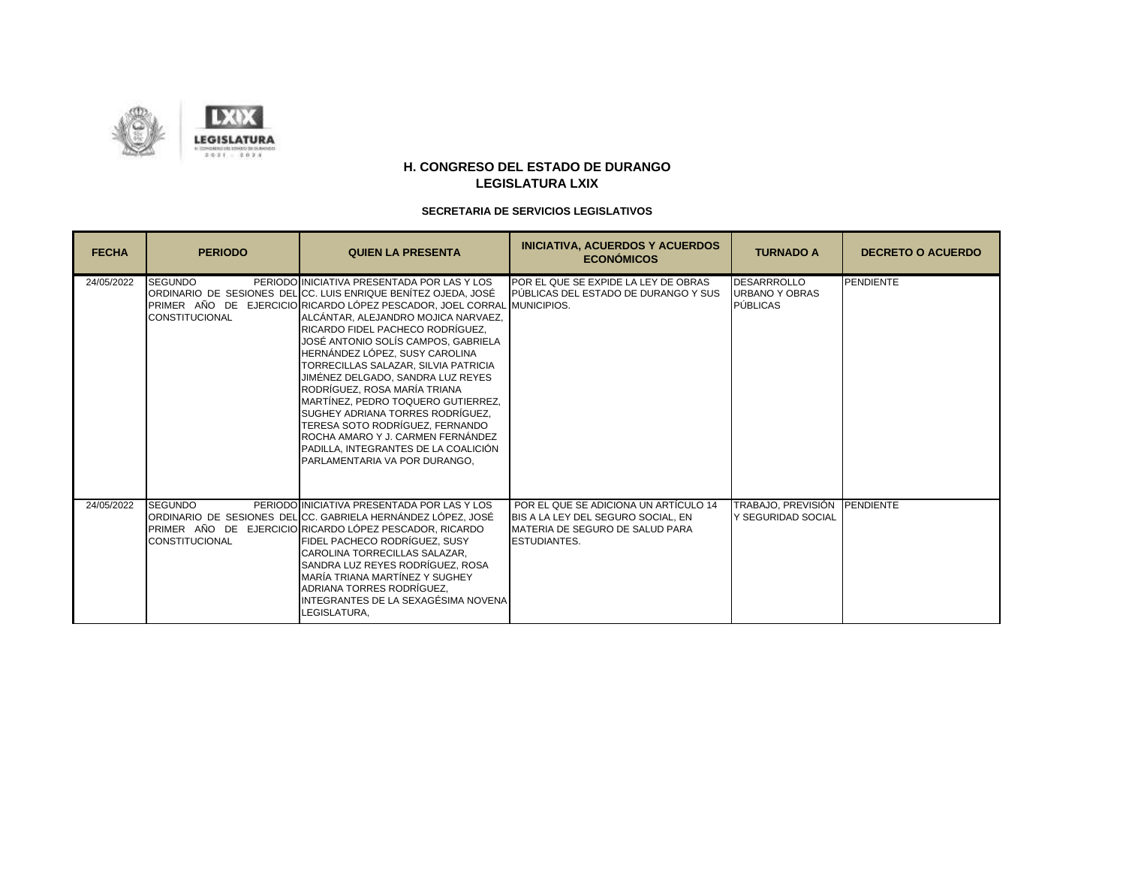

| <b>FECHA</b> | <b>PERIODO</b>                          | <b>QUIEN LA PRESENTA</b>                                                                                                                                                                                                                                                                                                                                                                                                                                                                                                                                                                                                                                                             | <b>INICIATIVA, ACUERDOS Y ACUERDOS</b><br><b>ECONÓMICOS</b>                                                                           | <b>TURNADO A</b>                                               | <b>DECRETO O ACUERDO</b> |
|--------------|-----------------------------------------|--------------------------------------------------------------------------------------------------------------------------------------------------------------------------------------------------------------------------------------------------------------------------------------------------------------------------------------------------------------------------------------------------------------------------------------------------------------------------------------------------------------------------------------------------------------------------------------------------------------------------------------------------------------------------------------|---------------------------------------------------------------------------------------------------------------------------------------|----------------------------------------------------------------|--------------------------|
| 24/05/2022   | <b>SEGUNDO</b><br><b>CONSTITUCIONAL</b> | PERIODO INICIATIVA PRESENTADA POR LAS Y LOS<br>ORDINARIO DE SESIONES DEL CC. LUIS ENRIQUE BENÍTEZ OJEDA, JOSÉ<br>PRIMER AÑO DE EJERCICIO RICARDO LÓPEZ PESCADOR, JOEL CORRAL MUNICIPIOS.<br>ALCÁNTAR, ALEJANDRO MOJICA NARVAEZ,<br>RICARDO FIDEL PACHECO RODRÍGUEZ.<br>JOSÉ ANTONIO SOLÍS CAMPOS, GABRIELA<br>HERNÁNDEZ LÓPEZ. SUSY CAROLINA<br>TORRECILLAS SALAZAR, SILVIA PATRICIA<br>JIMÉNEZ DELGADO, SANDRA LUZ REYES<br>RODRÍGUEZ. ROSA MARÍA TRIANA<br>MARTÍNEZ, PEDRO TOQUERO GUTIERREZ,<br>SUGHEY ADRIANA TORRES RODRÍGUEZ.<br>TERESA SOTO RODRÍGUEZ, FERNANDO<br>ROCHA AMARO Y J. CARMEN FERNÁNDEZ<br>PADILLA. INTEGRANTES DE LA COALICIÓN<br>PARLAMENTARIA VA POR DURANGO. | POR EL QUE SE EXPIDE LA LEY DE OBRAS<br>IPÚBLICAS DEL ESTADO DE DURANGO Y SUS                                                         | <b>DESARRROLLO</b><br><b>URBANO Y OBRAS</b><br><b>PÚBLICAS</b> | PENDIENTE                |
| 24/05/2022   | <b>SEGUNDO</b><br><b>CONSTITUCIONAL</b> | PERIODO INICIATIVA PRESENTADA POR LAS Y LOS<br>ORDINARIO DE SESIONES DEL CC. GABRIELA HERNÁNDEZ LÓPEZ. JOSÉ<br>PRIMER AÑO DE EJERCICIO RICARDO LÓPEZ PESCADOR, RICARDO<br>FIDEL PACHECO RODRÍGUEZ, SUSY<br>CAROLINA TORRECILLAS SALAZAR,<br>SANDRA LUZ REYES RODRÍGUEZ. ROSA<br>MARÍA TRIANA MARTÍNEZ Y SUGHEY<br>ADRIANA TORRES RODRÍGUEZ.<br>INTEGRANTES DE LA SEXAGÉSIMA NOVENA<br>LEGISLATURA,                                                                                                                                                                                                                                                                                   | POR EL QUE SE ADICIONA UN ARTÍCULO 14<br>BIS A LA LEY DEL SEGURO SOCIAL. EN<br>MATERIA DE SEGURO DE SALUD PARA<br><b>ESTUDIANTES.</b> | TRABAJO, PREVISIÓN PENDIENTE<br>Y SEGURIDAD SOCIAL             |                          |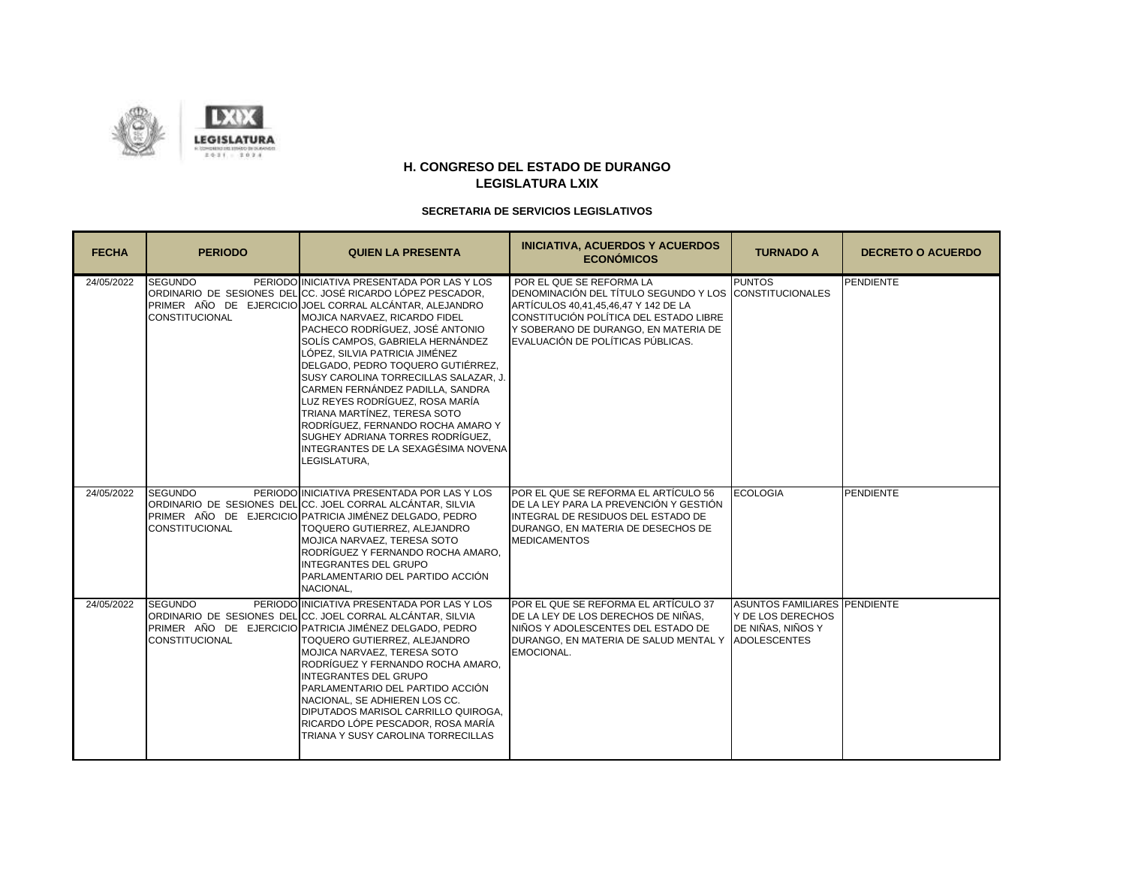



| <b>FECHA</b> | <b>PERIODO</b>                          | <b>QUIEN LA PRESENTA</b>                                                                                                                                                                                                                                                                                                                                                                                                                                                                                                                                                                                                                    | <b>INICIATIVA, ACUERDOS Y ACUERDOS</b><br><b>ECONÓMICOS</b>                                                                                                                                                                      | <b>TURNADO A</b>                                                                                     | <b>DECRETO O ACUERDO</b> |
|--------------|-----------------------------------------|---------------------------------------------------------------------------------------------------------------------------------------------------------------------------------------------------------------------------------------------------------------------------------------------------------------------------------------------------------------------------------------------------------------------------------------------------------------------------------------------------------------------------------------------------------------------------------------------------------------------------------------------|----------------------------------------------------------------------------------------------------------------------------------------------------------------------------------------------------------------------------------|------------------------------------------------------------------------------------------------------|--------------------------|
| 24/05/2022   | <b>SEGUNDO</b><br><b>CONSTITUCIONAL</b> | PERIODO INICIATIVA PRESENTADA POR LAS Y LOS<br>ORDINARIO DE SESIONES DEL CC. JOSÉ RICARDO LÓPEZ PESCADOR.<br>PRIMER AÑO DE EJERCICIO JOEL CORRAL ALCÁNTAR, ALEJANDRO<br>MOJICA NARVAEZ, RICARDO FIDEL<br>PACHECO RODRÍGUEZ, JOSÉ ANTONIO<br>SOLÍS CAMPOS. GABRIELA HERNÁNDEZ<br>LÓPEZ. SILVIA PATRICIA JIMÉNEZ<br>IDELGADO. PEDRO TOQUERO GUTIÉRREZ.<br><b>SUSY CAROLINA TORRECILLAS SALAZAR, J.</b><br>CARMEN FERNÁNDEZ PADILLA, SANDRA<br>LUZ REYES RODRÍGUEZ. ROSA MARÍA<br>TRIANA MARTÍNEZ. TERESA SOTO<br>RODRÍGUEZ, FERNANDO ROCHA AMARO Y<br>SUGHEY ADRIANA TORRES RODRÍGUEZ,<br>INTEGRANTES DE LA SEXAGÉSIMA NOVENA<br>LEGISLATURA. | POR EL QUE SE REFORMA LA<br>DENOMINACIÓN DEL TÍTULO SEGUNDO Y LOS<br>ARTÍCULOS 40,41,45,46,47 Y 142 DE LA<br>CONSTITUCIÓN POLÍTICA DEL ESTADO LIBRE<br>Y SOBERANO DE DURANGO, EN MATERIA DE<br>EVALUACIÓN DE POLÍTICAS PÚBLICAS. | <b>PUNTOS</b><br><b>CONSTITUCIONALES</b>                                                             | PENDIENTE                |
| 24/05/2022   | <b>SEGUNDO</b><br><b>CONSTITUCIONAL</b> | PERIODO INICIATIVA PRESENTADA POR LAS Y LOS<br>ORDINARIO DE SESIONES DEL CC. JOEL CORRAL ALCÁNTAR, SILVIA<br>PRIMER AÑO DE EJERCICIO PATRICIA JIMÉNEZ DELGADO, PEDRO<br>TOQUERO GUTIERREZ, ALEJANDRO<br>MOJICA NARVAEZ, TERESA SOTO<br>RODRÍGUEZ Y FERNANDO ROCHA AMARO.<br><b>INTEGRANTES DEL GRUPO</b><br>PARLAMENTARIO DEL PARTIDO ACCIÓN<br>NACIONAL.                                                                                                                                                                                                                                                                                   | POR EL QUE SE REFORMA EL ARTÍCULO 56<br>DE LA LEY PARA LA PREVENCIÓN Y GESTIÓN<br>INTEGRAL DE RESIDUOS DEL ESTADO DE<br>DURANGO, EN MATERIA DE DESECHOS DE<br><b>MEDICAMENTOS</b>                                                | <b>ECOLOGIA</b>                                                                                      | PENDIENTE                |
| 24/05/2022   | <b>SEGUNDO</b><br><b>CONSTITUCIONAL</b> | PERIODO INICIATIVA PRESENTADA POR LAS Y LOS<br>ORDINARIO DE SESIONES DEL CC. JOEL CORRAL ALCÁNTAR, SILVIA<br>PRIMER AÑO DE EJERCICIO PATRICIA JIMÉNEZ DELGADO. PEDRO<br>TOQUERO GUTIERREZ, ALEJANDRO<br>MOJICA NARVAEZ. TERESA SOTO<br>RODRÍGUEZ Y FERNANDO ROCHA AMARO,<br><b>INTEGRANTES DEL GRUPO</b><br>PARLAMENTARIO DEL PARTIDO ACCIÓN<br>NACIONAL. SE ADHIEREN LOS CC.<br><b>DIPUTADOS MARISOL CARRILLO QUIROGA.</b><br>RICARDO LÓPE PESCADOR, ROSA MARÍA<br>TRIANA Y SUSY CAROLINA TORRECILLAS                                                                                                                                      | POR EL QUE SE REFORMA EL ARTÍCULO 37<br>DE LA LEY DE LOS DERECHOS DE NIÑAS,<br>NIÑOS Y ADOLESCENTES DEL ESTADO DE<br>DURANGO, EN MATERIA DE SALUD MENTAL Y<br>EMOCIONAL.                                                         | <b>ASUNTOS FAMILIARES PENDIENTE</b><br>Y DE LOS DERECHOS<br>DE NIÑAS, NIÑOS Y<br><b>ADOLESCENTES</b> |                          |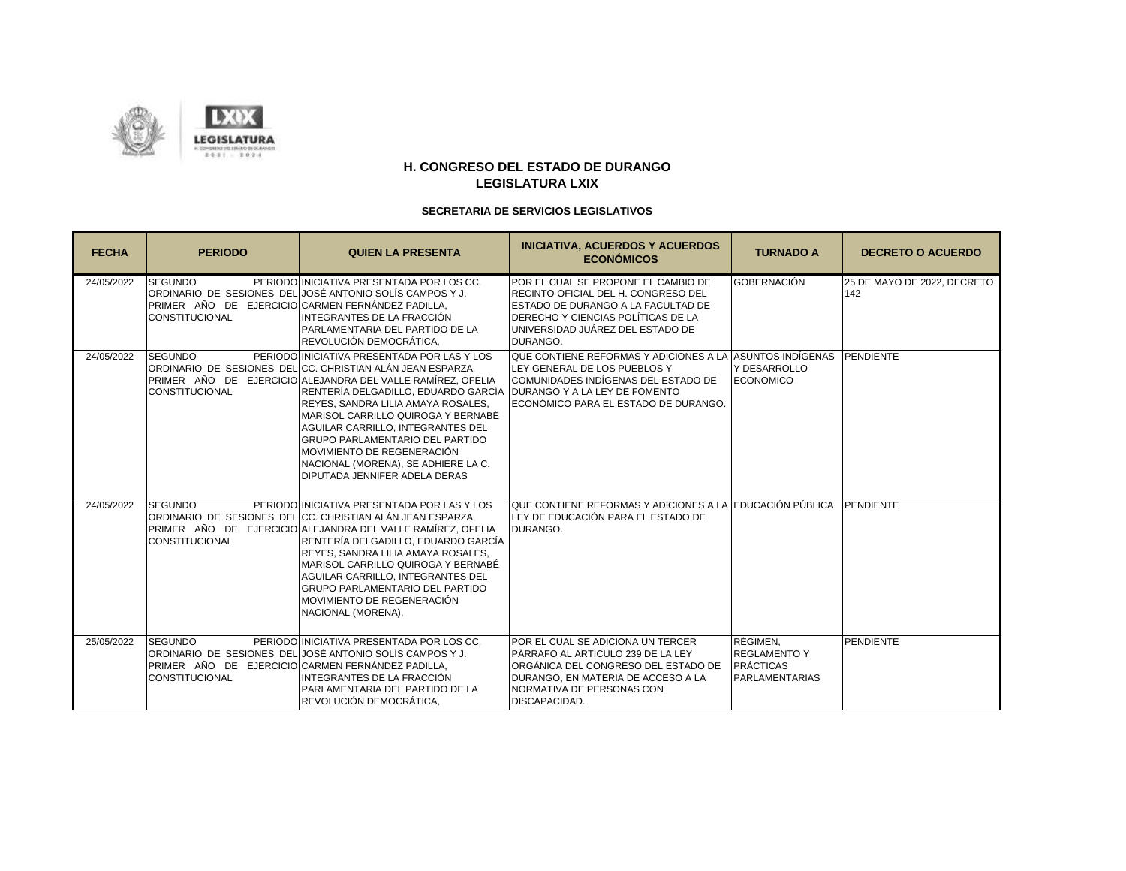

| <b>FECHA</b> | <b>PERIODO</b>                                                                               | <b>QUIEN LA PRESENTA</b>                                                                                                                                                                                                                                                                                                                                                                                                                                                                                  | <b>INICIATIVA, ACUERDOS Y ACUERDOS</b><br><b>ECONÓMICOS</b>                                                                                                                                              | <b>TURNADO A</b>                                                             | <b>DECRETO O ACUERDO</b>           |
|--------------|----------------------------------------------------------------------------------------------|-----------------------------------------------------------------------------------------------------------------------------------------------------------------------------------------------------------------------------------------------------------------------------------------------------------------------------------------------------------------------------------------------------------------------------------------------------------------------------------------------------------|----------------------------------------------------------------------------------------------------------------------------------------------------------------------------------------------------------|------------------------------------------------------------------------------|------------------------------------|
| 24/05/2022   | <b>SEGUNDO</b><br>PRIMER AÑO DE EJERCICIO CARMEN FERNÁNDEZ PADILLA,<br><b>CONSTITUCIONAL</b> | PERIODO INICIATIVA PRESENTADA POR LOS CC.<br>ORDINARIO DE SESIONES DEL JOSÉ ANTONIO SOLÍS CAMPOS Y J.<br>INTEGRANTES DE LA FRACCIÓN<br>PARLAMENTARIA DEL PARTIDO DE LA<br>REVOLUCIÓN DEMOCRÁTICA,                                                                                                                                                                                                                                                                                                         | POR EL CUAL SE PROPONE EL CAMBIO DE<br>RECINTO OFICIAL DEL H. CONGRESO DEL<br>ESTADO DE DURANGO A LA FACULTAD DE<br>DERECHO Y CIENCIAS POLÍTICAS DE LA<br>UNIVERSIDAD JUÁREZ DEL ESTADO DE<br>DURANGO.   | GOBERNACIÓN                                                                  | 25 DE MAYO DE 2022, DECRETO<br>142 |
| 24/05/2022   | <b>SEGUNDO</b><br><b>CONSTITUCIONAL</b>                                                      | PERIODO INICIATIVA PRESENTADA POR LAS Y LOS<br>ORDINARIO DE SESIONES DELICC. CHRISTIAN ALÁN JEAN ESPARZA.<br>PRIMER AÑO DE EJERCICIO ALEJANDRA DEL VALLE RAMÍREZ. OFELIA<br>IRENTERÍA DELGADILLO. EDUARDO GARCÍA  DURANGO Y A LA LEY DE FOMENTO<br>REYES, SANDRA LILIA AMAYA ROSALES,<br>MARISOL CARRILLO QUIROGA Y BERNABÉ<br>AGUILAR CARRILLO. INTEGRANTES DEL<br>GRUPO PARLAMENTARIO DEL PARTIDO<br>MOVIMIENTO DE REGENERACIÓN<br>NACIONAL (MORENA), SE ADHIERE LA C.<br>DIPUTADA JENNIFER ADELA DERAS | QUE CONTIENE REFORMAS Y ADICIONES A LA ASUNTOS INDÍGENAS PENDIENTE<br>LEY GENERAL DE LOS PUEBLOS Y<br>COMUNIDADES INDÍGENAS DEL ESTADO DE<br>ECONÓMICO PARA EL ESTADO DE DURANGO.                        | Y DESARROLLO<br><b>ECONOMICO</b>                                             |                                    |
| 24/05/2022   | <b>SEGUNDO</b><br><b>CONSTITUCIONAL</b>                                                      | PERIODO INICIATIVA PRESENTADA POR LAS Y LOS<br>ORDINARIO DE SESIONES DELICC. CHRISTIAN ALÁN JEAN ESPARZA.<br>PRIMER AÑO DE EJERCICIO ALEJANDRA DEL VALLE RAMÍREZ. OFELIA<br>RENTERÍA DELGADILLO, EDUARDO GARCÍA<br>REYES, SANDRA LILIA AMAYA ROSALES,<br>MARISOL CARRILLO QUIROGA Y BERNABÉ<br>AGUILAR CARRILLO. INTEGRANTES DEL<br><b>GRUPO PARLAMENTARIO DEL PARTIDO</b><br>MOVIMIENTO DE REGENERACIÓN<br>NACIONAL (MORENA),                                                                            | QUE CONTIENE REFORMAS Y ADICIONES A LA IEDUCACIÓN PÚBLICA I PENDIENTE<br>LEY DE EDUCACIÓN PARA EL ESTADO DE<br>DURANGO.                                                                                  |                                                                              |                                    |
| 25/05/2022   | <b>SEGUNDO</b><br>PRIMER AÑO DE EJERCICIO CARMEN FERNÁNDEZ PADILLA.<br><b>CONSTITUCIONAL</b> | PERIODO INICIATIVA PRESENTADA POR LOS CC.<br>ORDINARIO DE SESIONES DEL JOSÉ ANTONIO SOLÍS CAMPOS Y J.<br>INTEGRANTES DE LA FRACCIÓN<br>PARLAMENTARIA DEL PARTIDO DE LA<br>REVOLUCIÓN DEMOCRÁTICA.                                                                                                                                                                                                                                                                                                         | POR EL CUAL SE ADICIONA UN TERCER<br>PÁRRAFO AL ARTÍCULO 239 DE LA LEY<br>ORGÁNICA DEL CONGRESO DEL ESTADO DE<br>DURANGO, EN MATERIA DE ACCESO A LA<br>NORMATIVA DE PERSONAS CON<br><b>DISCAPACIDAD.</b> | RÉGIMEN.<br><b>REGLAMENTO Y</b><br><b>PRÁCTICAS</b><br><b>PARLAMENTARIAS</b> | <b>PENDIENTE</b>                   |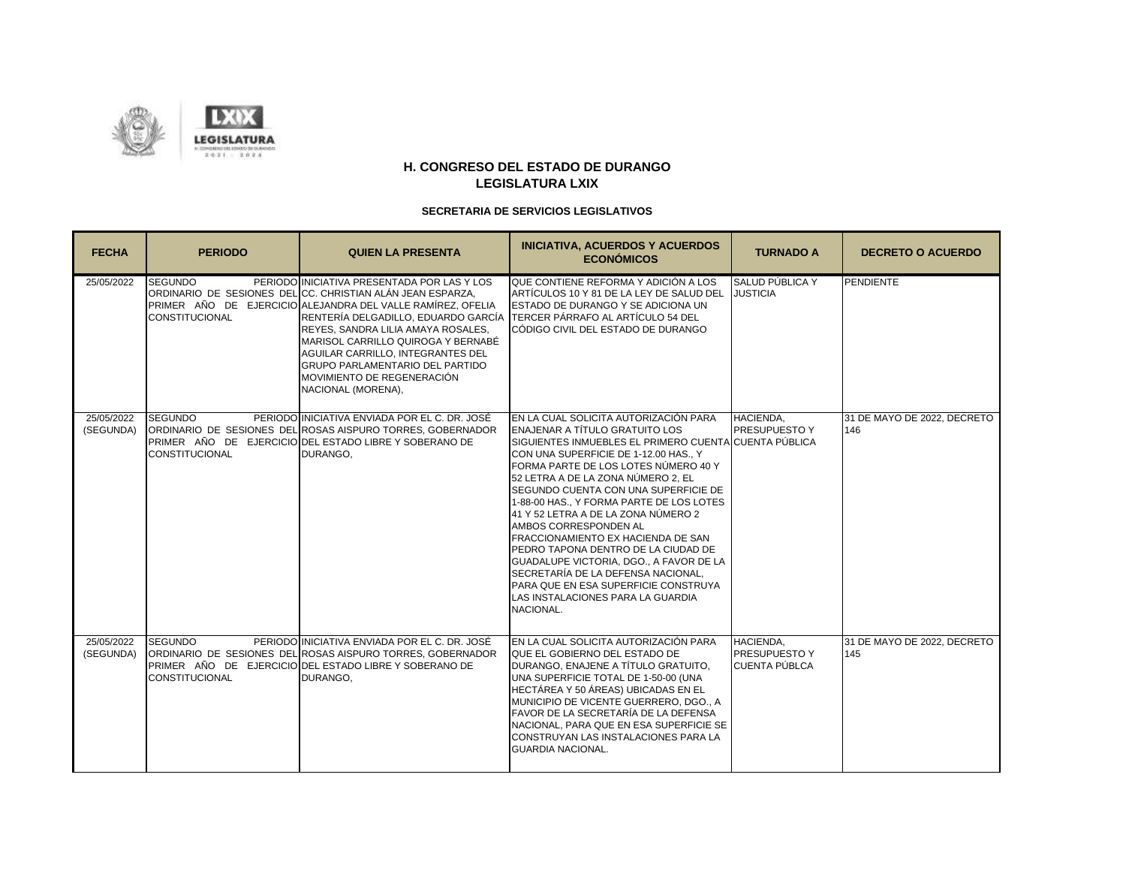



| <b>FECHA</b>            | <b>PERIODO</b>                          | <b>QUIEN LA PRESENTA</b>                                                                                                                                                                                                                                                                                                                                                                                                                                  | <b>INICIATIVA, ACUERDOS Y ACUERDOS</b><br><b>ECONÓMICOS</b>                                                                                                                                                                                                                                                                                                                                                                                                                                                                                                                                                                                                                | <b>TURNADO A</b>                                   | <b>DECRETO O ACUERDO</b>           |
|-------------------------|-----------------------------------------|-----------------------------------------------------------------------------------------------------------------------------------------------------------------------------------------------------------------------------------------------------------------------------------------------------------------------------------------------------------------------------------------------------------------------------------------------------------|----------------------------------------------------------------------------------------------------------------------------------------------------------------------------------------------------------------------------------------------------------------------------------------------------------------------------------------------------------------------------------------------------------------------------------------------------------------------------------------------------------------------------------------------------------------------------------------------------------------------------------------------------------------------------|----------------------------------------------------|------------------------------------|
| 25/05/2022              | <b>SEGUNDO</b><br><b>CONSTITUCIONAL</b> | PERIODO INICIATIVA PRESENTADA POR LAS Y LOS<br>ORDINARIO DE SESIONES DEL CC. CHRISTIAN ALÁN JEAN ESPARZA,<br>PRIMER AÑO DE EJERCICIO ALEJANDRA DEL VALLE RAMÍREZ. OFELIA<br>RENTERÍA DELGADILLO, EDUARDO GARCÍA TERCER PÁRRAFO AL ARTÍCULO 54 DEL<br>REYES, SANDRA LILIA AMAYA ROSALES,<br>MARISOL CARRILLO QUIROGA Y BERNABÉ<br>AGUILAR CARRILLO. INTEGRANTES DEL<br>GRUPO PARLAMENTARIO DEL PARTIDO<br>MOVIMIENTO DE REGENERACIÓN<br>NACIONAL (MORENA), | QUE CONTIENE REFORMA Y ADICIÓN A LOS<br>ARTÍCULOS 10 Y 81 DE LA LEY DE SALUD DEL<br>ESTADO DE DURANGO Y SE ADICIONA UN<br>CÓDIGO CIVIL DEL ESTADO DE DURANGO                                                                                                                                                                                                                                                                                                                                                                                                                                                                                                               | SALUD PÚBLICA Y<br><b>JUSTICIA</b>                 | <b>PENDIENTE</b>                   |
| 25/05/2022<br>(SEGUNDA) | <b>SEGUNDO</b><br><b>CONSTITUCIONAL</b> | PERIODO INICIATIVA ENVIADA POR EL C. DR. JOSÉ<br>ORDINARIO DE SESIONES DEL ROSAS AISPURO TORRES. GOBERNADOR<br>PRIMER AÑO DE EJERCICIO DEL ESTADO LIBRE Y SOBERANO DE<br>DURANGO,                                                                                                                                                                                                                                                                         | EN LA CUAL SOLICITA AUTORIZACIÓN PARA<br><b>ENAJENAR A TÍTULO GRATUITO LOS</b><br>SIGUIENTES INMUEBLES EL PRIMERO CUENTA CUENTA PÚBLICA<br>CON UNA SUPERFICIE DE 1-12.00 HAS., Y<br>FORMA PARTE DE LOS LOTES NÚMERO 40 Y<br>52 LETRA A DE LA ZONA NÚMERO 2, EL<br>SEGUNDO CUENTA CON UNA SUPERFICIE DE<br>1-88-00 HAS., Y FORMA PARTE DE LOS LOTES<br>41 Y 52 LETRA A DE LA ZONA NÚMERO 2<br>AMBOS CORRESPONDEN AL<br>FRACCIONAMIENTO EX HACIENDA DE SAN<br>PEDRO TAPONA DENTRO DE LA CIUDAD DE<br>GUADALUPE VICTORIA, DGO., A FAVOR DE LA<br>SECRETARÍA DE LA DEFENSA NACIONAL,<br>PARA QUE EN ESA SUPERFICIE CONSTRUYA<br>LAS INSTALACIONES PARA LA GUARDIA<br>NACIONAL. | HACIENDA.<br><b>PRESUPUESTO Y</b>                  | 31 DE MAYO DE 2022. DECRETO<br>146 |
| 25/05/2022<br>(SEGUNDA) | <b>SEGUNDO</b><br><b>CONSTITUCIONAL</b> | PERIODO INICIATIVA ENVIADA POR EL C. DR. JOSÉ<br>ORDINARIO DE SESIONES DELIROSAS AISPURO TORRES, GOBERNADOR<br>PRIMER AÑO DE EJERCICIO DEL ESTADO LIBRE Y SOBERANO DE<br>DURANGO.                                                                                                                                                                                                                                                                         | EN LA CUAL SOLICITA AUTORIZACIÓN PARA<br>QUE EL GOBIERNO DEL ESTADO DE<br>DURANGO, ENAJENE A TÍTULO GRATUITO,<br>UNA SUPERFICIE TOTAL DE 1-50-00 (UNA<br>HECTÁREA Y 50 ÁREAS) UBICADAS EN EL<br>MUNICIPIO DE VICENTE GUERRERO, DGO., A<br>FAVOR DE LA SECRETARÍA DE LA DEFENSA<br>NACIONAL, PARA QUE EN ESA SUPERFICIE SE<br>CONSTRUYAN LAS INSTALACIONES PARA LA<br><b>GUARDIA NACIONAL.</b>                                                                                                                                                                                                                                                                              | HACIENDA.<br><b>PRESUPUESTO Y</b><br>CUENTA PÚBLCA | 31 DE MAYO DE 2022. DECRETO<br>145 |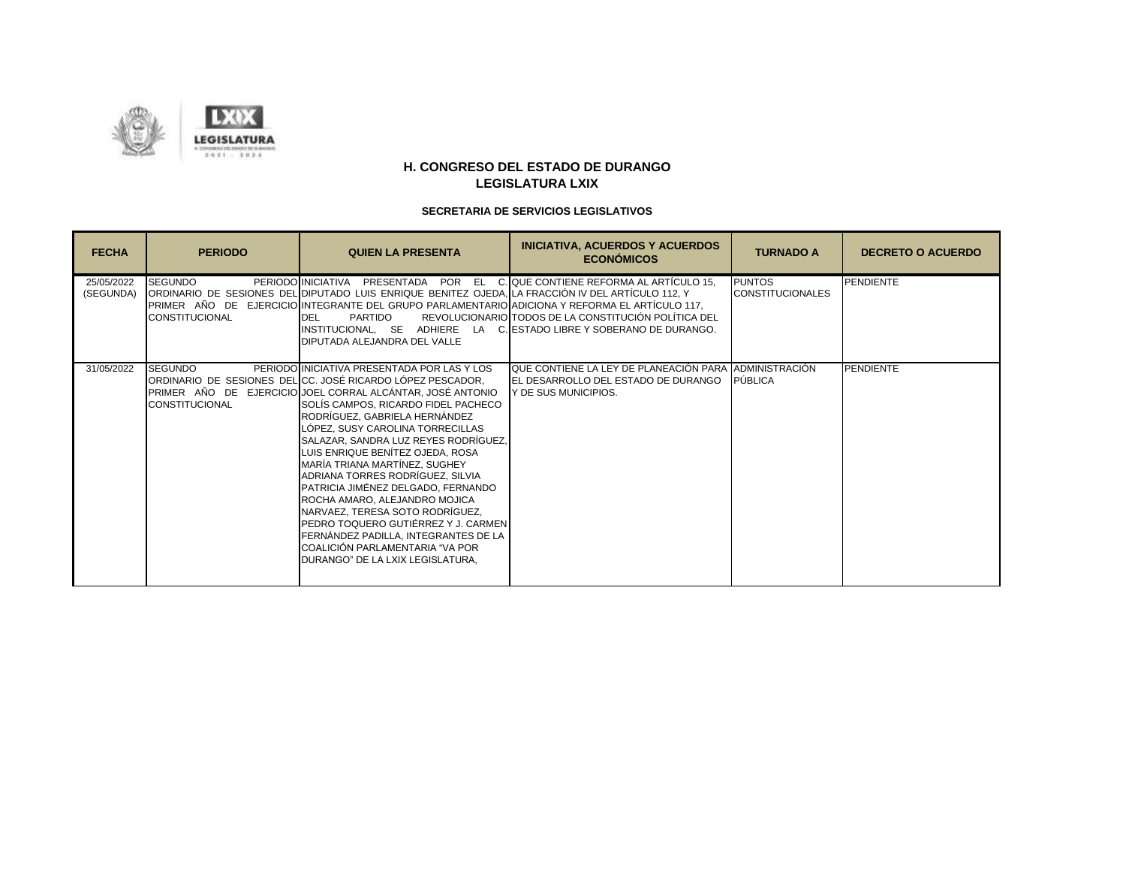

| <b>FECHA</b>            | <b>PERIODO</b>                          | <b>QUIEN LA PRESENTA</b>                                                                                                                                                                                                                                                                                                                                                                                                                                                                                                                                                                                                                                                                                    | <b>INICIATIVA, ACUERDOS Y ACUERDOS</b><br><b>ECONÓMICOS</b>                                                            | <b>TURNADO A</b>                         | <b>DECRETO O ACUERDO</b> |
|-------------------------|-----------------------------------------|-------------------------------------------------------------------------------------------------------------------------------------------------------------------------------------------------------------------------------------------------------------------------------------------------------------------------------------------------------------------------------------------------------------------------------------------------------------------------------------------------------------------------------------------------------------------------------------------------------------------------------------------------------------------------------------------------------------|------------------------------------------------------------------------------------------------------------------------|------------------------------------------|--------------------------|
| 25/05/2022<br>(SEGUNDA) | <b>SEGUNDO</b><br><b>CONSTITUCIONAL</b> | PERIODO INICIATIVA PRESENTADA POR EL C. QUE CONTIENE REFORMA AL ARTÍCULO 15.<br>ORDINARIO DE SESIONES DEL DIPUTADO LUIS ENRIQUE BENITEZ OJEDA, LA FRACCIÓN IV DEL ARTÍCULO 112, Y<br>PRIMER AÑO DE EJERCICIO INTEGRANTE DEL GRUPO PARLAMENTARIO ADICIONA Y REFORMA EL ARTÍCULO 117,<br><b>PARTIDO</b><br><b>DEL</b><br>IINSTITUCIONAL. SE ADHIERE LA<br><b>DIPUTADA ALEJANDRA DEL VALLE</b>                                                                                                                                                                                                                                                                                                                 | REVOLUCIONARIO TODOS DE LA CONSTITUCIÓN POLÍTICA DEL<br>C. ESTADO LIBRE Y SOBERANO DE DURANGO.                         | <b>PUNTOS</b><br><b>CONSTITUCIONALES</b> | PENDIENTE                |
| 31/05/2022              | <b>SEGUNDO</b><br><b>CONSTITUCIONAL</b> | PERIODO INICIATIVA PRESENTADA POR LAS Y LOS<br>ORDINARIO DE SESIONES DEL CC. JOSÉ RICARDO LÓPEZ PESCADOR,<br>PRIMER AÑO DE EJERCICIO JOEL CORRAL ALCÁNTAR, JOSÉ ANTONIO<br>SOLÍS CAMPOS, RICARDO FIDEL PACHECO<br>RODRÍGUEZ, GABRIELA HERNÁNDEZ<br>ÓPEZ, SUSY CAROLINA TORRECILLAS<br>SALAZAR, SANDRA LUZ REYES RODRÍGUEZ,<br>LUIS ENRIQUE BENÍTEZ OJEDA, ROSA<br>MARÍA TRIANA MARTÍNEZ, SUGHEY<br>ADRIANA TORRES RODRÍGUEZ, SILVIA<br>PATRICIA JIMÉNEZ DELGADO, FERNANDO<br>ROCHA AMARO, ALEJANDRO MOJICA<br>NARVAEZ, TERESA SOTO RODRÍGUEZ,<br>PEDRO TOQUERO GUTIÉRREZ Y J. CARMEN<br>FERNÁNDEZ PADILLA, INTEGRANTES DE LA<br>COALICIÓN PARLAMENTARIA "VA POR<br><b>IDURANGO" DE LA LXIX LEGISLATURA.</b> | IQUE CONTIENE LA LEY DE PLANEACIÓN PARA IADMINISTRACIÓN<br>EL DESARROLLO DEL ESTADO DE DURANGO<br>Y DE SUS MUNICIPIOS. | PÚBLICA                                  | <b>PENDIENTE</b>         |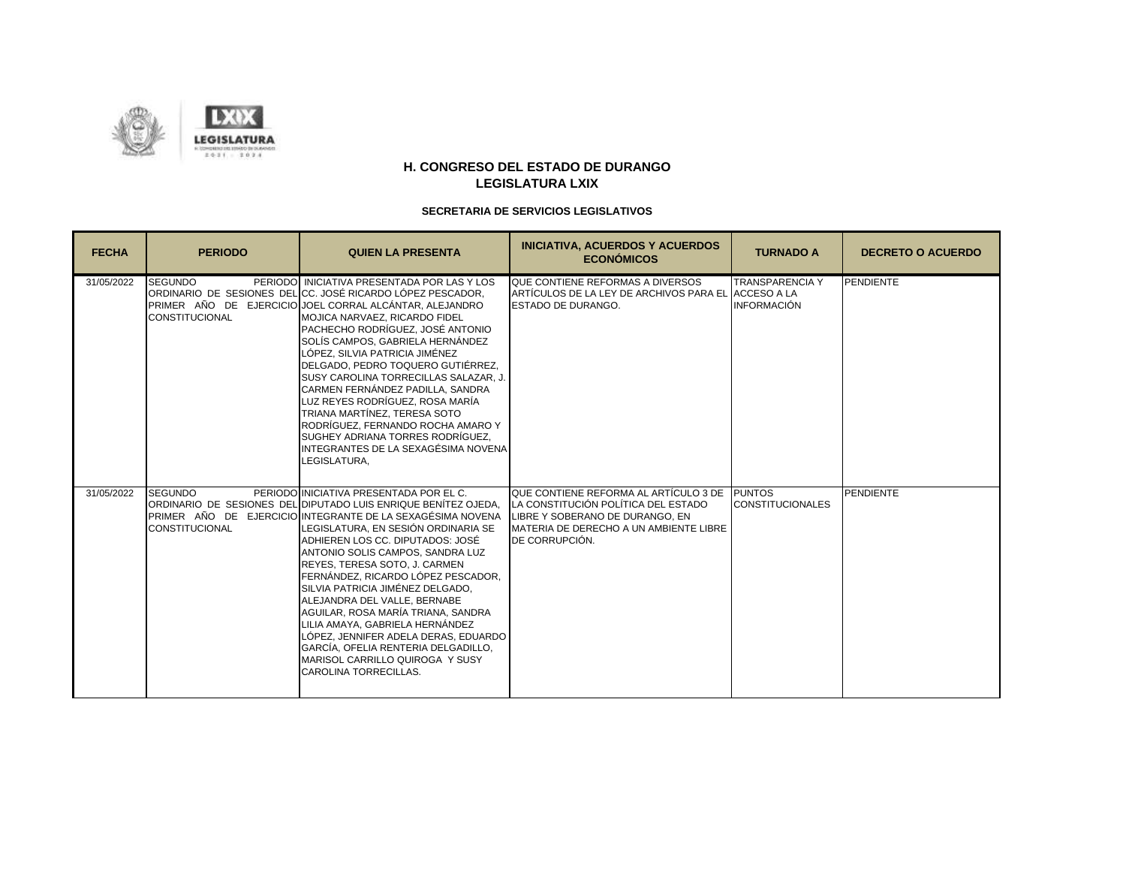

| <b>FECHA</b> | <b>PERIODO</b>                          | <b>QUIEN LA PRESENTA</b>                                                                                                                                                                                                                                                                                                                                                                                                                                                                                                                                                                                                                              | <b>INICIATIVA, ACUERDOS Y ACUERDOS</b><br><b>ECONÓMICOS</b>                                                                                                                        | <b>TURNADO A</b>                                                   | <b>DECRETO O ACUERDO</b> |
|--------------|-----------------------------------------|-------------------------------------------------------------------------------------------------------------------------------------------------------------------------------------------------------------------------------------------------------------------------------------------------------------------------------------------------------------------------------------------------------------------------------------------------------------------------------------------------------------------------------------------------------------------------------------------------------------------------------------------------------|------------------------------------------------------------------------------------------------------------------------------------------------------------------------------------|--------------------------------------------------------------------|--------------------------|
| 31/05/2022   | <b>SEGUNDO</b><br><b>CONSTITUCIONAL</b> | PERIODO INICIATIVA PRESENTADA POR LAS Y LOS<br>ORDINARIO DE SESIONES DEL CC. JOSÉ RICARDO LÓPEZ PESCADOR.<br>PRIMER AÑO DE EJERCICIO JOEL CORRAL ALCÁNTAR, ALEJANDRO<br>MOJICA NARVAEZ, RICARDO FIDEL<br>PACHECHO RODRÍGUEZ. JOSÉ ANTONIO<br>SOLÍS CAMPOS, GABRIELA HERNÁNDEZ<br>LÓPEZ. SILVIA PATRICIA JIMÉNEZ<br>DELGADO, PEDRO TOQUERO GUTIÉRREZ,<br>SUSY CAROLINA TORRECILLAS SALAZAR, J.<br>CARMEN FERNÁNDEZ PADILLA, SANDRA<br>LUZ REYES RODRÍGUEZ. ROSA MARÍA<br>TRIANA MARTÍNEZ, TERESA SOTO<br>RODRÍGUEZ, FERNANDO ROCHA AMARO Y<br>SUGHEY ADRIANA TORRES RODRÍGUEZ.<br>INTEGRANTES DE LA SEXAGÉSIMA NOVENA<br>LEGISLATURA.                  | QUE CONTIENE REFORMAS A DIVERSOS<br>ARTÍCULOS DE LA LEY DE ARCHIVOS PARA EL<br><b>ESTADO DE DURANGO.</b>                                                                           | <b>TRANSPARENCIA Y</b><br><b>ACCESO A LA</b><br><b>INFORMACIÓN</b> | PENDIENTE                |
| 31/05/2022   | <b>SEGUNDO</b><br><b>CONSTITUCIONAL</b> | PERIODO INICIATIVA PRESENTADA POR EL C.<br>ORDINARIO DE SESIONES DEL DIPUTADO LUIS ENRIQUE BENÍTEZ OJEDA.<br>PRIMER AÑO DE EJERCICIO INTEGRANTE DE LA SEXAGÉSIMA NOVENA<br>LEGISLATURA, EN SESIÓN ORDINARIA SE<br>ADHIEREN LOS CC. DIPUTADOS: JOSÉ<br>ANTONIO SOLIS CAMPOS. SANDRA LUZ<br>REYES, TERESA SOTO, J. CARMEN<br>FERNÁNDEZ, RICARDO LÓPEZ PESCADOR,<br>SILVIA PATRICIA JIMÉNEZ DELGADO.<br>ALEJANDRA DEL VALLE, BERNABE<br>AGUILAR, ROSA MARÍA TRIANA, SANDRA<br>LILIA AMAYA, GABRIELA HERNÁNDEZ<br>LÓPEZ, JENNIFER ADELA DERAS, EDUARDO<br>GARCÍA, OFELIA RENTERIA DELGADILLO,<br>MARISOL CARRILLO QUIROGA Y SUSY<br>CAROLINA TORRECILLAS. | QUE CONTIENE REFORMA AL ARTÍCULO 3 DE PUNTOS<br>LA CONSTITUCIÓN POLÍTICA DEL ESTADO<br>LIBRE Y SOBERANO DE DURANGO. EN<br>MATERIA DE DERECHO A UN AMBIENTE LIBRE<br>DE CORRUPCIÓN. | <b>CONSTITUCIONALES</b>                                            | <b>PENDIENTE</b>         |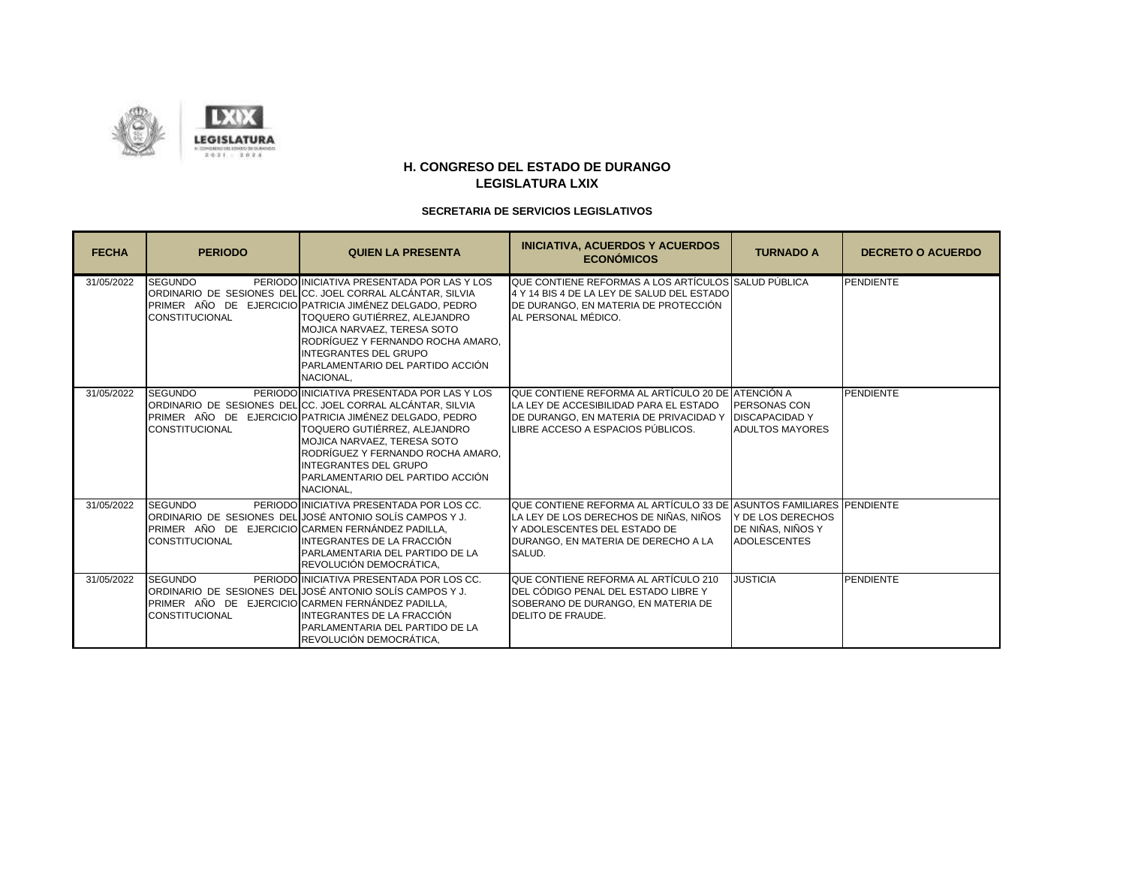

| <b>FECHA</b> | <b>PERIODO</b>                                                                               | <b>QUIEN LA PRESENTA</b>                                                                                                                                                                                                                                                                                                                                  | <b>INICIATIVA, ACUERDOS Y ACUERDOS</b><br><b>ECONÓMICOS</b>                                                                                                                                       | <b>TURNADO A</b>                                                       | <b>DECRETO O ACUERDO</b> |
|--------------|----------------------------------------------------------------------------------------------|-----------------------------------------------------------------------------------------------------------------------------------------------------------------------------------------------------------------------------------------------------------------------------------------------------------------------------------------------------------|---------------------------------------------------------------------------------------------------------------------------------------------------------------------------------------------------|------------------------------------------------------------------------|--------------------------|
| 31/05/2022   | <b>SEGUNDO</b><br><b>CONSTITUCIONAL</b>                                                      | PERIODO INICIATIVA PRESENTADA POR LAS Y LOS<br>ORDINARIO DE SESIONES DELICC. JOEL CORRAL ALCÁNTAR. SILVIA<br>PRIMER AÑO DE EJERCICIO PATRICIA JIMÉNEZ DELGADO, PEDRO<br>TOQUERO GUTIÉRREZ, ALEJANDRO<br>MOJICA NARVAEZ. TERESA SOTO<br>RODRÍGUEZ Y FERNANDO ROCHA AMARO.<br><b>INTEGRANTES DEL GRUPO</b><br>PARLAMENTARIO DEL PARTIDO ACCIÓN<br>NACIONAL. | QUE CONTIENE REFORMAS A LOS ARTÍCULOS SALUD PÚBLICA<br>4 Y 14 BIS 4 DE LA LEY DE SALUD DEL ESTADO<br>DE DURANGO, EN MATERIA DE PROTECCIÓN<br>AL PERSONAL MÉDICO.                                  |                                                                        | PENDIENTE                |
| 31/05/2022   | <b>SEGUNDO</b><br><b>CONSTITUCIONAL</b>                                                      | PERIODO INICIATIVA PRESENTADA POR LAS Y LOS<br>ORDINARIO DE SESIONES DELICC. JOEL CORRAL ALCÁNTAR. SILVIA<br>PRIMER AÑO DE EJERCICIO PATRICIA JIMÉNEZ DELGADO, PEDRO<br>TOQUERO GUTIÉRREZ, ALEJANDRO<br>MOJICA NARVAEZ, TERESA SOTO<br>RODRÍGUEZ Y FERNANDO ROCHA AMARO,<br><b>INTEGRANTES DEL GRUPO</b><br>PARLAMENTARIO DEL PARTIDO ACCIÓN<br>NACIONAL. | QUE CONTIENE REFORMA AL ARTÍCULO 20 DE ATENCIÓN A<br>LA LEY DE ACCESIBILIDAD PARA EL ESTADO<br>DE DURANGO, EN MATERIA DE PRIVACIDAD Y<br>LIBRE ACCESO A ESPACIOS PÚBLICOS.                        | <b>PERSONAS CON</b><br><b>DISCAPACIDAD Y</b><br><b>ADULTOS MAYORES</b> | PENDIENTE                |
| 31/05/2022   | <b>SEGUNDO</b><br>PRIMER AÑO DE EJERCICIO CARMEN FERNÁNDEZ PADILLA.<br><b>CONSTITUCIONAL</b> | PERIODO INICIATIVA PRESENTADA POR LOS CC.<br>ORDINARIO DE SESIONES DEL JOSÉ ANTONIO SOLÍS CAMPOS Y J.<br>INTEGRANTES DE LA FRACCIÓN<br>PARLAMENTARIA DEL PARTIDO DE LA<br>REVOLUCIÓN DEMOCRÁTICA.                                                                                                                                                         | QUE CONTIENE REFORMA AL ARTÍCULO 33 DE LASUNTOS FAMILIARES I PENDIENTE<br>LA LEY DE LOS DERECHOS DE NIÑAS. NIÑOS<br>Y ADOLESCENTES DEL ESTADO DE<br>DURANGO, EN MATERIA DE DERECHO A LA<br>SALUD. | <b>IY DE LOS DERECHOS</b><br>DE NIÑAS, NIÑOS Y<br><b>ADOLESCENTES</b>  |                          |
| 31/05/2022   | <b>SEGUNDO</b><br>PRIMER AÑO DE EJERCICIO CARMEN FERNÁNDEZ PADILLA,<br><b>CONSTITUCIONAL</b> | PERIODO INICIATIVA PRESENTADA POR LOS CC.<br>ORDINARIO DE SESIONES DELJOSÉ ANTONIO SOLÍS CAMPOS Y J.<br>INTEGRANTES DE LA FRACCIÓN<br>PARLAMENTARIA DEL PARTIDO DE LA<br>REVOLUCIÓN DEMOCRÁTICA,                                                                                                                                                          | QUE CONTIENE REFORMA AL ARTÍCULO 210<br>DEL CÓDIGO PENAL DEL ESTADO LIBRE Y<br>SOBERANO DE DURANGO, EN MATERIA DE<br>DELITO DE FRAUDE.                                                            | <b>JUSTICIA</b>                                                        | PENDIENTE                |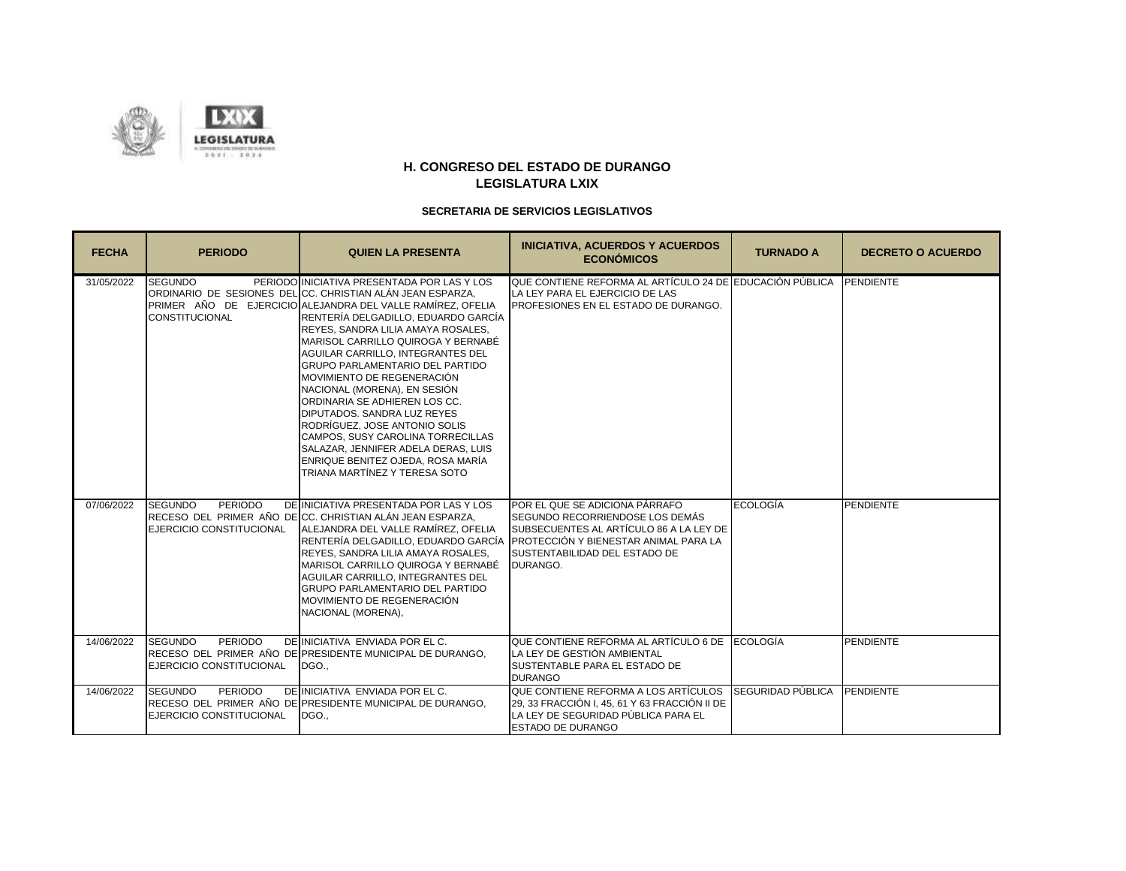



| <b>FECHA</b> | <b>PERIODO</b>                                               | <b>QUIEN LA PRESENTA</b>                                                                                                                                                                                                                                                                                                                                                                                                                                                                                                                                                                                                                                                                    | <b>INICIATIVA, ACUERDOS Y ACUERDOS</b><br><b>ECONÓMICOS</b>                                                                                                                                                                            | <b>TURNADO A</b>            | <b>DECRETO O ACUERDO</b> |
|--------------|--------------------------------------------------------------|---------------------------------------------------------------------------------------------------------------------------------------------------------------------------------------------------------------------------------------------------------------------------------------------------------------------------------------------------------------------------------------------------------------------------------------------------------------------------------------------------------------------------------------------------------------------------------------------------------------------------------------------------------------------------------------------|----------------------------------------------------------------------------------------------------------------------------------------------------------------------------------------------------------------------------------------|-----------------------------|--------------------------|
| 31/05/2022   | <b>SEGUNDO</b><br><b>CONSTITUCIONAL</b>                      | PERIODO INICIATIVA PRESENTADA POR LAS Y LOS<br>ORDINARIO DE SESIONES DEL CC. CHRISTIAN ALÁN JEAN ESPARZA,<br>PRIMER AÑO DE EJERCICIO ALEJANDRA DEL VALLE RAMÍREZ, OFELIA<br>RENTERÍA DELGADILLO, EDUARDO GARCÍA<br>REYES. SANDRA LILIA AMAYA ROSALES.<br>MARISOL CARRILLO QUIROGA Y BERNABÉ<br>AGUILAR CARRILLO, INTEGRANTES DEL<br><b>GRUPO PARLAMENTARIO DEL PARTIDO</b><br>MOVIMIENTO DE REGENERACIÓN<br>NACIONAL (MORENA), EN SESIÓN<br>ORDINARIA SE ADHIEREN LOS CC.<br>DIPUTADOS. SANDRA LUZ REYES<br>RODRÍGUEZ. JOSE ANTONIO SOLIS<br>CAMPOS, SUSY CAROLINA TORRECILLAS<br>SALAZAR, JENNIFER ADELA DERAS, LUIS<br>ENRIQUE BENITEZ OJEDA, ROSA MARÍA<br>TRIANA MARTÍNEZ Y TERESA SOTO | QUE CONTIENE REFORMA AL ARTÍCULO 24 DE EDUCACIÓN PÚBLICA<br>LA LEY PARA EL EJERCICIO DE LAS<br><b>PROFESIONES EN EL ESTADO DE DURANGO.</b>                                                                                             |                             | <b>PENDIENTE</b>         |
| 07/06/2022   | <b>SEGUNDO</b><br><b>PERIODO</b><br>EJERCICIO CONSTITUCIONAL | DE INICIATIVA PRESENTADA POR LAS Y LOS<br>RECESO DEL PRIMER AÑO DE CC. CHRISTIAN ALÁN JEAN ESPARZA.<br>ALEJANDRA DEL VALLE RAMÍREZ. OFELIA<br>REYES, SANDRA LILIA AMAYA ROSALES,<br>MARISOL CARRILLO QUIROGA Y BERNABÉ<br>AGUILAR CARRILLO. INTEGRANTES DEL<br><b>GRUPO PARLAMENTARIO DEL PARTIDO</b><br>MOVIMIENTO DE REGENERACIÓN<br>NACIONAL (MORENA),                                                                                                                                                                                                                                                                                                                                   | POR EL QUE SE ADICIONA PÁRRAFO<br>SEGUNDO RECORRIENDOSE LOS DEMÁS<br>SUBSECUENTES AL ARTÍCULO 86 A LA LEY DE<br>RENTERÍA DELGADILLO, EDUARDO GARCÍA PROTECCIÓN Y BIENESTAR ANIMAL PARA LA<br>SUSTENTABILIDAD DEL ESTADO DE<br>DURANGO. | ECOLOGÍA                    | <b>PENDIENTE</b>         |
| 14/06/2022   | <b>SEGUNDO</b><br>PERIODO<br>EJERCICIO CONSTITUCIONAL        | DE INICIATIVA ENVIADA POR EL C.<br>RECESO DEL PRIMER AÑO DE PRESIDENTE MUNICIPAL DE DURANGO,<br>DGO.,                                                                                                                                                                                                                                                                                                                                                                                                                                                                                                                                                                                       | QUE CONTIENE REFORMA AL ARTÍCULO 6 DE ECOLOGÍA<br>LA LEY DE GESTIÓN AMBIENTAL<br>SUSTENTABLE PARA EL ESTADO DE<br><b>DURANGO</b>                                                                                                       |                             | <b>PENDIENTE</b>         |
| 14/06/2022   | <b>SEGUNDO</b><br>PERIODO<br>EJERCICIO CONSTITUCIONAL        | DE INICIATIVA ENVIADA POR EL C.<br>RECESO DEL PRIMER AÑO DE PRESIDENTE MUNICIPAL DE DURANGO.<br>DGO.,                                                                                                                                                                                                                                                                                                                                                                                                                                                                                                                                                                                       | QUE CONTIENE REFORMA A LOS ARTÍCULOS<br>29. 33 FRACCIÓN I. 45. 61 Y 63 FRACCIÓN II DE<br>LA LEY DE SEGURIDAD PÚBLICA PARA EL<br><b>ESTADO DE DURANGO</b>                                                                               | SEGURIDAD PÚBLICA PENDIENTE |                          |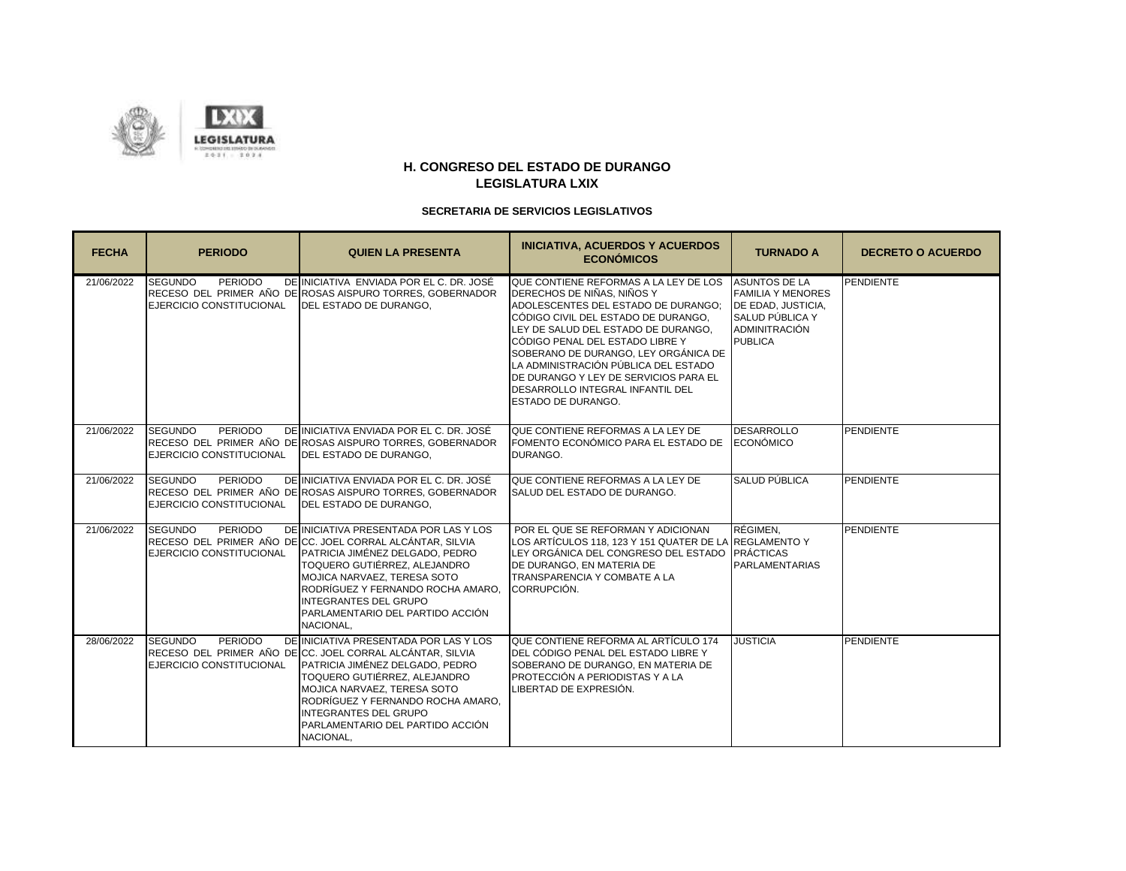

| <b>FECHA</b> | <b>PERIODO</b>                                               | <b>QUIEN LA PRESENTA</b>                                                                                                                                                                                                                                                                                                    | <b>INICIATIVA, ACUERDOS Y ACUERDOS</b><br><b>ECONÓMICOS</b>                                                                                                                                                                                                                                                                                                                                                    | <b>TURNADO A</b>                                                                                                      | <b>DECRETO O ACUERDO</b> |
|--------------|--------------------------------------------------------------|-----------------------------------------------------------------------------------------------------------------------------------------------------------------------------------------------------------------------------------------------------------------------------------------------------------------------------|----------------------------------------------------------------------------------------------------------------------------------------------------------------------------------------------------------------------------------------------------------------------------------------------------------------------------------------------------------------------------------------------------------------|-----------------------------------------------------------------------------------------------------------------------|--------------------------|
| 21/06/2022   | <b>PERIODO</b><br><b>SEGUNDO</b><br>EJERCICIO CONSTITUCIONAL | DE INICIATIVA ENVIADA POR EL C. DR. JOSÉ<br>RECESO DEL PRIMER AÑO DE ROSAS AISPURO TORRES. GOBERNADOR<br>DEL ESTADO DE DURANGO,                                                                                                                                                                                             | QUE CONTIENE REFORMAS A LA LEY DE LOS<br>DERECHOS DE NIÑAS, NIÑOS Y<br>ADOLESCENTES DEL ESTADO DE DURANGO:<br>CÓDIGO CIVIL DEL ESTADO DE DURANGO.<br>LEY DE SALUD DEL ESTADO DE DURANGO.<br>CÓDIGO PENAL DEL ESTADO LIBRE Y<br>SOBERANO DE DURANGO. LEY ORGÁNICA DE<br>LA ADMINISTRACIÓN PÚBLICA DEL ESTADO<br>DE DURANGO Y LEY DE SERVICIOS PARA EL<br>DESARROLLO INTEGRAL INFANTIL DEL<br>ESTADO DE DURANGO. | ASUNTOS DE LA<br><b>FAMILIA Y MENORES</b><br>DE EDAD, JUSTICIA,<br>SALUD PÚBLICA Y<br>ADMINITRACIÓN<br><b>PUBLICA</b> | PENDIENTE                |
| 21/06/2022   | <b>SEGUNDO</b><br><b>PERIODO</b><br>EJERCICIO CONSTITUCIONAL | DE INICIATIVA ENVIADA POR EL C. DR. JOSÉ<br>RECESO DEL PRIMER AÑO DE ROSAS AISPURO TORRES, GOBERNADOR<br>DEL ESTADO DE DURANGO.                                                                                                                                                                                             | QUE CONTIENE REFORMAS A LA LEY DE<br>FOMENTO ECONÓMICO PARA EL ESTADO DE<br>DURANGO.                                                                                                                                                                                                                                                                                                                           | <b>DESARROLLO</b><br>ECONÓMICO                                                                                        | PENDIENTE                |
| 21/06/2022   | <b>SEGUNDO</b><br><b>PERIODO</b><br>EJERCICIO CONSTITUCIONAL | DE INICIATIVA ENVIADA POR EL C. DR. JOSÉ<br>RECESO DEL PRIMER AÑO DE ROSAS AISPURO TORRES, GOBERNADOR<br>DEL ESTADO DE DURANGO.                                                                                                                                                                                             | QUE CONTIENE REFORMAS A LA LEY DE<br>SALUD DEL ESTADO DE DURANGO.                                                                                                                                                                                                                                                                                                                                              | SALUD PÚBLICA                                                                                                         | PENDIENTE                |
| 21/06/2022   | <b>SEGUNDO</b><br>PERIODO<br>EJERCICIO CONSTITUCIONAL        | DE INICIATIVA PRESENTADA POR LAS Y LOS<br>RECESO DEL PRIMER AÑO DE CC. JOEL CORRAL ALCÁNTAR, SILVIA<br>PATRICIA JIMÉNEZ DELGADO. PEDRO<br>TOQUERO GUTIÉRREZ, ALEJANDRO<br>MOJICA NARVAEZ, TERESA SOTO<br>RODRÍGUEZ Y FERNANDO ROCHA AMARO.<br><b>INTEGRANTES DEL GRUPO</b><br>PARLAMENTARIO DEL PARTIDO ACCIÓN<br>NACIONAL, | POR EL QUE SE REFORMAN Y ADICIONAN<br>LOS ARTÍCULOS 118, 123 Y 151 QUATER DE LA REGLAMENTO Y<br>LEY ORGÁNICA DEL CONGRESO DEL ESTADO PRÁCTICAS<br>DE DURANGO, EN MATERIA DE<br>TRANSPARENCIA Y COMBATE A LA<br>CORRUPCIÓN.                                                                                                                                                                                     | RÉGIMEN.<br><b>PARLAMENTARIAS</b>                                                                                     | PENDIENTE                |
| 28/06/2022   | <b>SEGUNDO</b><br><b>PERIODO</b><br>EJERCICIO CONSTITUCIONAL | DE INICIATIVA PRESENTADA POR LAS Y LOS<br>RECESO DEL PRIMER AÑO DE CC. JOEL CORRAL ALCÁNTAR, SILVIA<br>PATRICIA JIMÉNEZ DELGADO. PEDRO<br>TOQUERO GUTIÉRREZ, ALEJANDRO<br>MOJICA NARVAEZ. TERESA SOTO<br>RODRÍGUEZ Y FERNANDO ROCHA AMARO.<br><b>INTEGRANTES DEL GRUPO</b><br>PARLAMENTARIO DEL PARTIDO ACCIÓN<br>NACIONAL, | QUE CONTIENE REFORMA AL ARTÍCULO 174<br>DEL CÓDIGO PENAL DEL ESTADO LIBRE Y<br>SOBERANO DE DURANGO, EN MATERIA DE<br>PROTECCIÓN A PERIODISTAS Y A LA<br>LIBERTAD DE EXPRESIÓN.                                                                                                                                                                                                                                 | <b>JUSTICIA</b>                                                                                                       | PENDIENTE                |